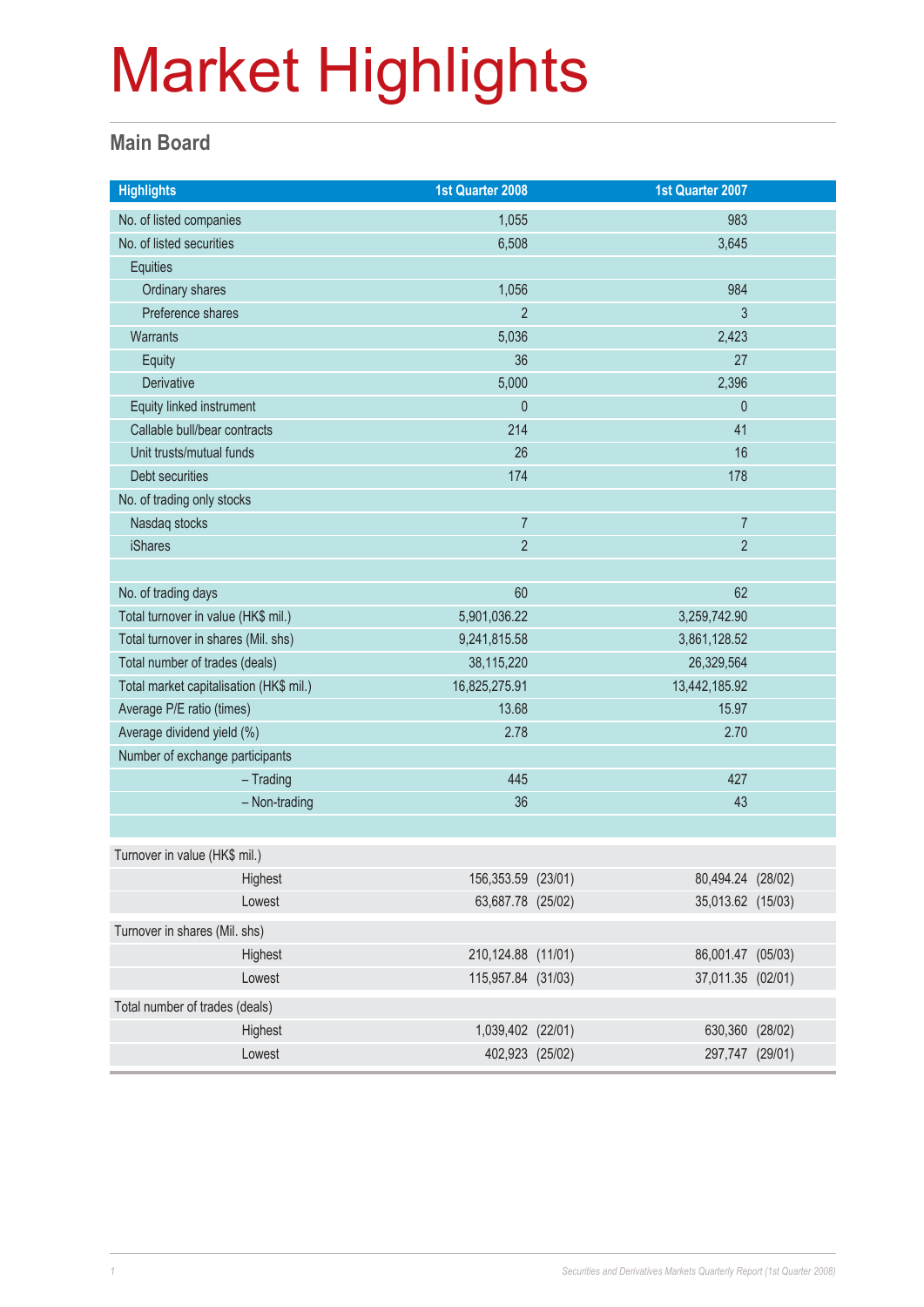#### **Main Board**

| <b>Highlights</b>                       |               | 1st Quarter 2008   | 1st Quarter 2007  |  |
|-----------------------------------------|---------------|--------------------|-------------------|--|
| No. of listed companies                 |               | 1,055              | 983               |  |
| No. of listed securities                |               | 6,508              | 3,645             |  |
| Equities                                |               |                    |                   |  |
| Ordinary shares                         |               | 1,056              | 984               |  |
| Preference shares                       |               | $\overline{2}$     | 3                 |  |
| <b>Warrants</b>                         |               | 5,036              | 2,423             |  |
| <b>Equity</b>                           |               | 36                 | 27                |  |
| Derivative                              |               | 5,000              | 2,396             |  |
| Equity linked instrument                |               | $\theta$           | $\theta$          |  |
| Callable bull/bear contracts            |               | 214                | 41                |  |
| Unit trusts/mutual funds                |               | 26                 | 16                |  |
| Debt securities                         |               | 174                | 178               |  |
| No. of trading only stocks              |               |                    |                   |  |
| Nasdaq stocks                           |               | $\overline{7}$     | $\overline{7}$    |  |
| <b>iShares</b>                          |               | $\overline{2}$     | $\overline{2}$    |  |
|                                         |               |                    |                   |  |
| No. of trading days                     |               | 60                 | 62                |  |
| Total turnover in value (HK\$ mil.)     |               | 5,901,036.22       | 3,259,742.90      |  |
| Total turnover in shares (Mil. shs)     |               | 9,241,815.58       | 3,861,128.52      |  |
| Total number of trades (deals)          |               | 38,115,220         | 26,329,564        |  |
| Total market capitalisation (HK\$ mil.) |               | 16,825,275.91      | 13,442,185.92     |  |
| Average P/E ratio (times)               |               | 13.68              | 15.97             |  |
| Average dividend yield (%)              |               | 2.78               | 2.70              |  |
| Number of exchange participants         |               |                    |                   |  |
|                                         | $-$ Trading   | 445                | 427               |  |
|                                         | - Non-trading | 36                 | 43                |  |
|                                         |               |                    |                   |  |
| Turnover in value (HK\$ mil.)           |               |                    |                   |  |
|                                         | Highest       | 156,353.59 (23/01) | 80,494.24 (28/02) |  |
|                                         | Lowest        | 63,687.78 (25/02)  | 35,013.62 (15/03) |  |
| Turnover in shares (Mil. shs)           |               |                    |                   |  |
|                                         | Highest       | 210,124.88 (11/01) | 86,001.47 (05/03) |  |
|                                         | Lowest        | 115,957.84 (31/03) | 37,011.35 (02/01) |  |
| Total number of trades (deals)          |               |                    |                   |  |
|                                         | Highest       | 1,039,402 (22/01)  | 630,360 (28/02)   |  |
|                                         | Lowest        | 402,923 (25/02)    | 297,747 (29/01)   |  |
|                                         |               |                    |                   |  |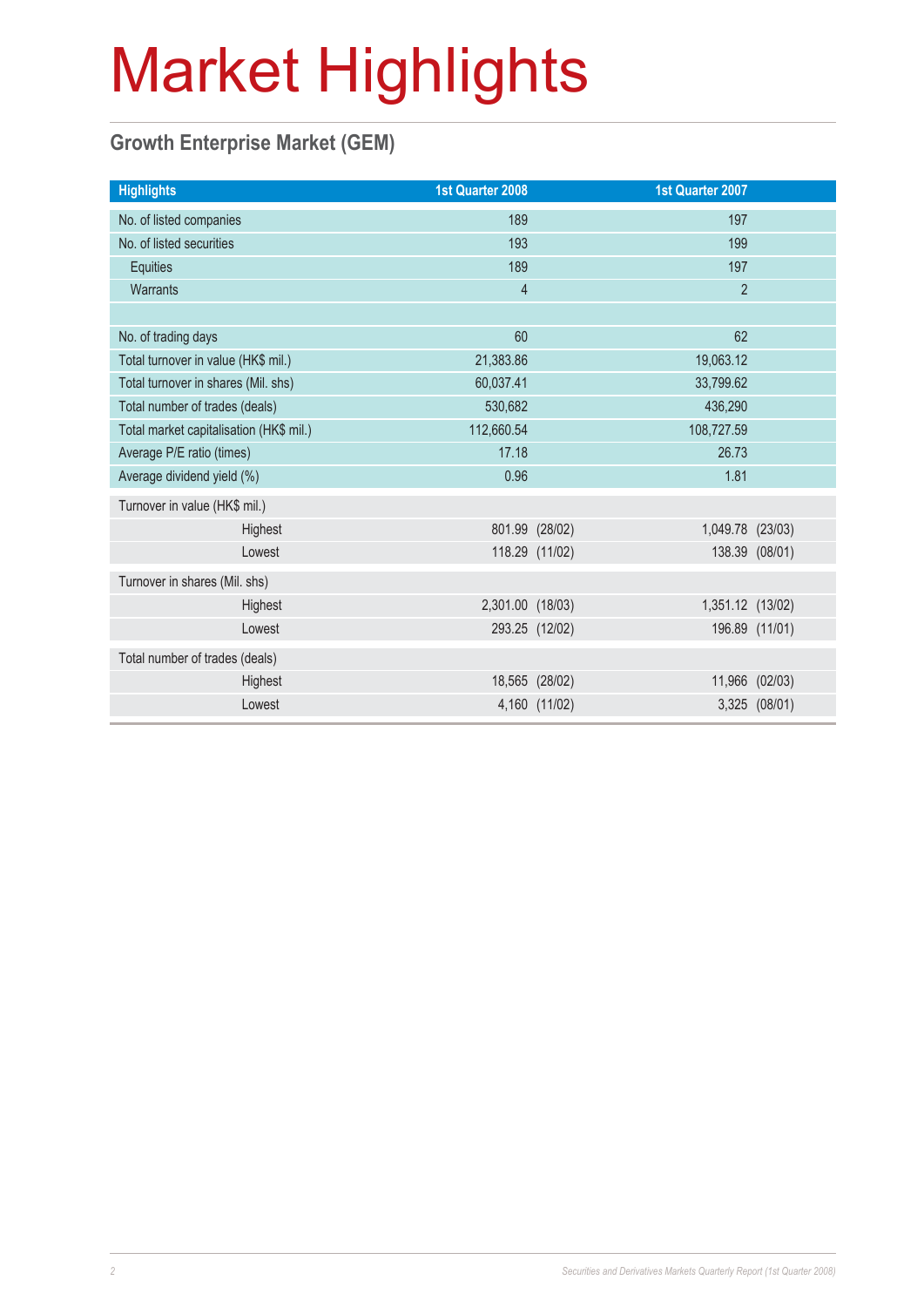### **Growth Enterprise Market (GEM)**

| <b>Highlights</b>                       | <b>1st Quarter 2008</b> |                | 1st Quarter 2007 |                |
|-----------------------------------------|-------------------------|----------------|------------------|----------------|
| No. of listed companies                 | 189                     |                | 197              |                |
| No. of listed securities                | 193                     |                | 199              |                |
| Equities                                | 189                     |                | 197              |                |
| Warrants                                | $\overline{4}$          |                | $\overline{2}$   |                |
|                                         |                         |                |                  |                |
| No. of trading days                     | 60                      |                | 62               |                |
| Total turnover in value (HK\$ mil.)     | 21,383.86               |                | 19,063.12        |                |
| Total turnover in shares (Mil. shs)     | 60,037.41               |                | 33,799.62        |                |
| Total number of trades (deals)          | 530,682                 |                | 436,290          |                |
| Total market capitalisation (HK\$ mil.) | 112,660.54              |                | 108,727.59       |                |
| Average P/E ratio (times)               | 17.18                   |                | 26.73            |                |
| Average dividend yield (%)              | 0.96                    |                | 1.81             |                |
| Turnover in value (HK\$ mil.)           |                         |                |                  |                |
| Highest                                 |                         | 801.99 (28/02) | 1,049.78 (23/03) |                |
| Lowest                                  |                         | 118.29 (11/02) |                  | 138.39 (08/01) |
| Turnover in shares (Mil. shs)           |                         |                |                  |                |
| Highest                                 | 2,301.00 (18/03)        |                | 1,351.12 (13/02) |                |
| Lowest                                  |                         | 293.25 (12/02) |                  | 196.89 (11/01) |
| Total number of trades (deals)          |                         |                |                  |                |
| Highest                                 |                         | 18,565 (28/02) |                  | 11,966 (02/03) |
| Lowest                                  |                         | 4,160 (11/02)  |                  | 3,325 (08/01)  |
|                                         |                         |                |                  |                |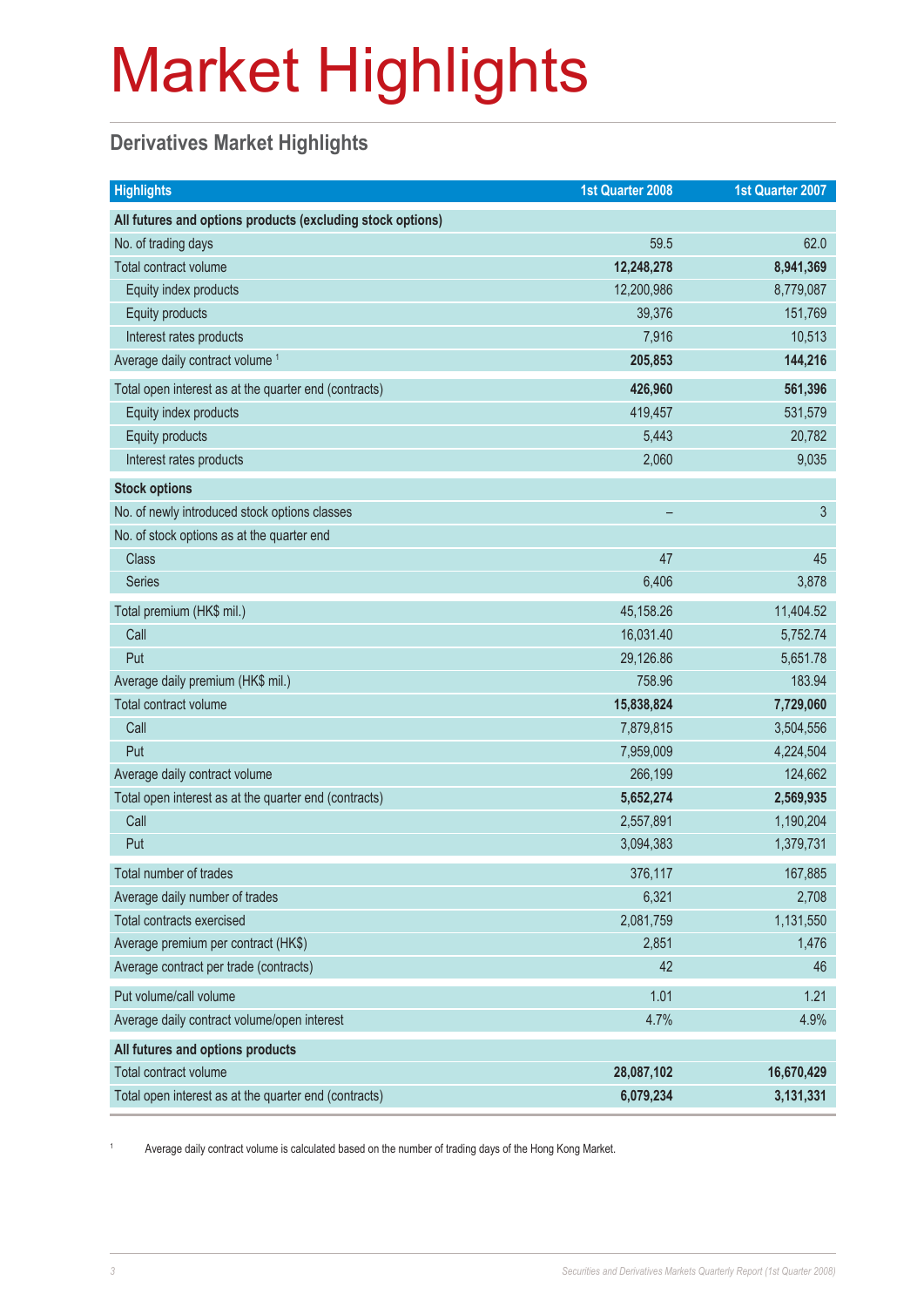### **Derivatives Market Highlights**

| <b>Highlights</b>                                          | 1st Quarter 2008 | 1st Quarter 2007 |
|------------------------------------------------------------|------------------|------------------|
| All futures and options products (excluding stock options) |                  |                  |
| No. of trading days                                        | 59.5             | 62.0             |
| Total contract volume                                      | 12,248,278       | 8,941,369        |
| Equity index products                                      | 12,200,986       | 8,779,087        |
| Equity products                                            | 39,376           | 151,769          |
| Interest rates products                                    | 7,916            | 10,513           |
| Average daily contract volume <sup>1</sup>                 | 205,853          | 144,216          |
| Total open interest as at the quarter end (contracts)      | 426,960          | 561,396          |
| Equity index products                                      | 419,457          | 531,579          |
| Equity products                                            | 5,443            | 20,782           |
| Interest rates products                                    | 2,060            | 9,035            |
| <b>Stock options</b>                                       |                  |                  |
| No. of newly introduced stock options classes              |                  | 3                |
| No. of stock options as at the quarter end                 |                  |                  |
| <b>Class</b>                                               | 47               | 45               |
| <b>Series</b>                                              | 6,406            | 3,878            |
| Total premium (HK\$ mil.)                                  | 45,158.26        | 11,404.52        |
| Call                                                       | 16,031.40        | 5,752.74         |
| Put                                                        | 29,126.86        | 5,651.78         |
| Average daily premium (HK\$ mil.)                          | 758.96           | 183.94           |
| Total contract volume                                      | 15,838,824       | 7,729,060        |
| Call                                                       | 7,879,815        | 3,504,556        |
| Put                                                        | 7,959,009        | 4,224,504        |
| Average daily contract volume                              | 266,199          | 124,662          |
| Total open interest as at the quarter end (contracts)      | 5,652,274        | 2,569,935        |
| Call                                                       | 2,557,891        | 1,190,204        |
| Put                                                        | 3,094,383        | 1,379,731        |
| Total number of trades                                     | 376,117          | 167,885          |
| Average daily number of trades                             | 6,321            | 2,708            |
| Total contracts exercised                                  | 2,081,759        | 1,131,550        |
| Average premium per contract (HK\$)                        | 2,851            | 1,476            |
| Average contract per trade (contracts)                     | 42               | 46               |
| Put volume/call volume                                     | 1.01             | 1.21             |
| Average daily contract volume/open interest                | 4.7%             | 4.9%             |
| All futures and options products                           |                  |                  |
| Total contract volume                                      | 28,087,102       | 16,670,429       |
| Total open interest as at the quarter end (contracts)      | 6,079,234        | 3,131,331        |

1 Average daily contract volume is calculated based on the number of trading days of the Hong Kong Market.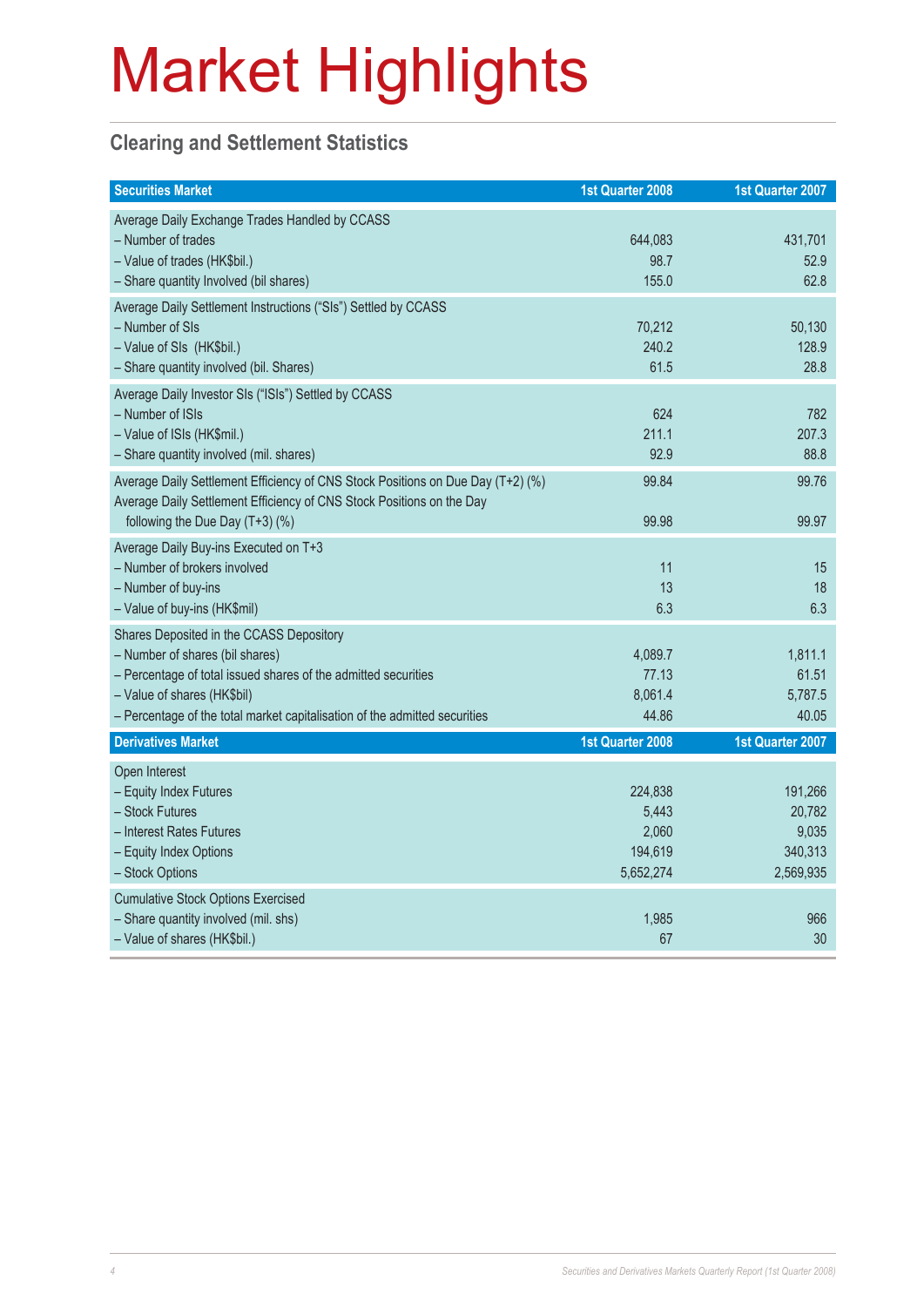#### **Clearing and Settlement Statistics**

| <b>Securities Market</b>                                                                                                                                                                                                                                   | 1st Quarter 2008                                  | 1st Quarter 2007                                   |
|------------------------------------------------------------------------------------------------------------------------------------------------------------------------------------------------------------------------------------------------------------|---------------------------------------------------|----------------------------------------------------|
| Average Daily Exchange Trades Handled by CCASS<br>- Number of trades<br>- Value of trades (HK\$bil.)<br>- Share quantity Involved (bil shares)                                                                                                             | 644,083<br>98.7<br>155.0                          | 431,701<br>52.9<br>62.8                            |
| Average Daily Settlement Instructions ("SIs") Settled by CCASS<br>- Number of SIs<br>- Value of SIs (HK\$bil.)<br>- Share quantity involved (bil. Shares)                                                                                                  | 70,212<br>240.2<br>61.5                           | 50,130<br>128.9<br>28.8                            |
| Average Daily Investor SIs ("ISIs") Settled by CCASS<br>- Number of ISIs<br>- Value of ISIs (HK\$mil.)<br>- Share quantity involved (mil. shares)                                                                                                          | 624<br>211.1<br>92.9                              | 782<br>207.3<br>88.8                               |
| Average Daily Settlement Efficiency of CNS Stock Positions on Due Day (T+2) (%)<br>Average Daily Settlement Efficiency of CNS Stock Positions on the Day<br>following the Due Day (T+3) (%)                                                                | 99.84<br>99.98                                    | 99.76<br>99.97                                     |
| Average Daily Buy-ins Executed on T+3<br>- Number of brokers involved<br>- Number of buy-ins<br>- Value of buy-ins (HK\$mil)                                                                                                                               | 11<br>13<br>6.3                                   | 15<br>18<br>6.3                                    |
| Shares Deposited in the CCASS Depository<br>- Number of shares (bil shares)<br>- Percentage of total issued shares of the admitted securities<br>- Value of shares (HK\$bil)<br>- Percentage of the total market capitalisation of the admitted securities | 4,089.7<br>77.13<br>8,061.4<br>44.86              | 1,811.1<br>61.51<br>5,787.5<br>40.05               |
| <b>Derivatives Market</b>                                                                                                                                                                                                                                  | 1st Quarter 2008                                  | 1st Quarter 2007                                   |
| Open Interest<br>- Equity Index Futures<br>- Stock Futures<br>- Interest Rates Futures<br>- Equity Index Options<br>- Stock Options                                                                                                                        | 224,838<br>5,443<br>2,060<br>194,619<br>5,652,274 | 191,266<br>20,782<br>9,035<br>340,313<br>2,569,935 |
| <b>Cumulative Stock Options Exercised</b><br>- Share quantity involved (mil. shs)<br>- Value of shares (HK\$bil.)                                                                                                                                          | 1,985<br>67                                       | 966<br>30                                          |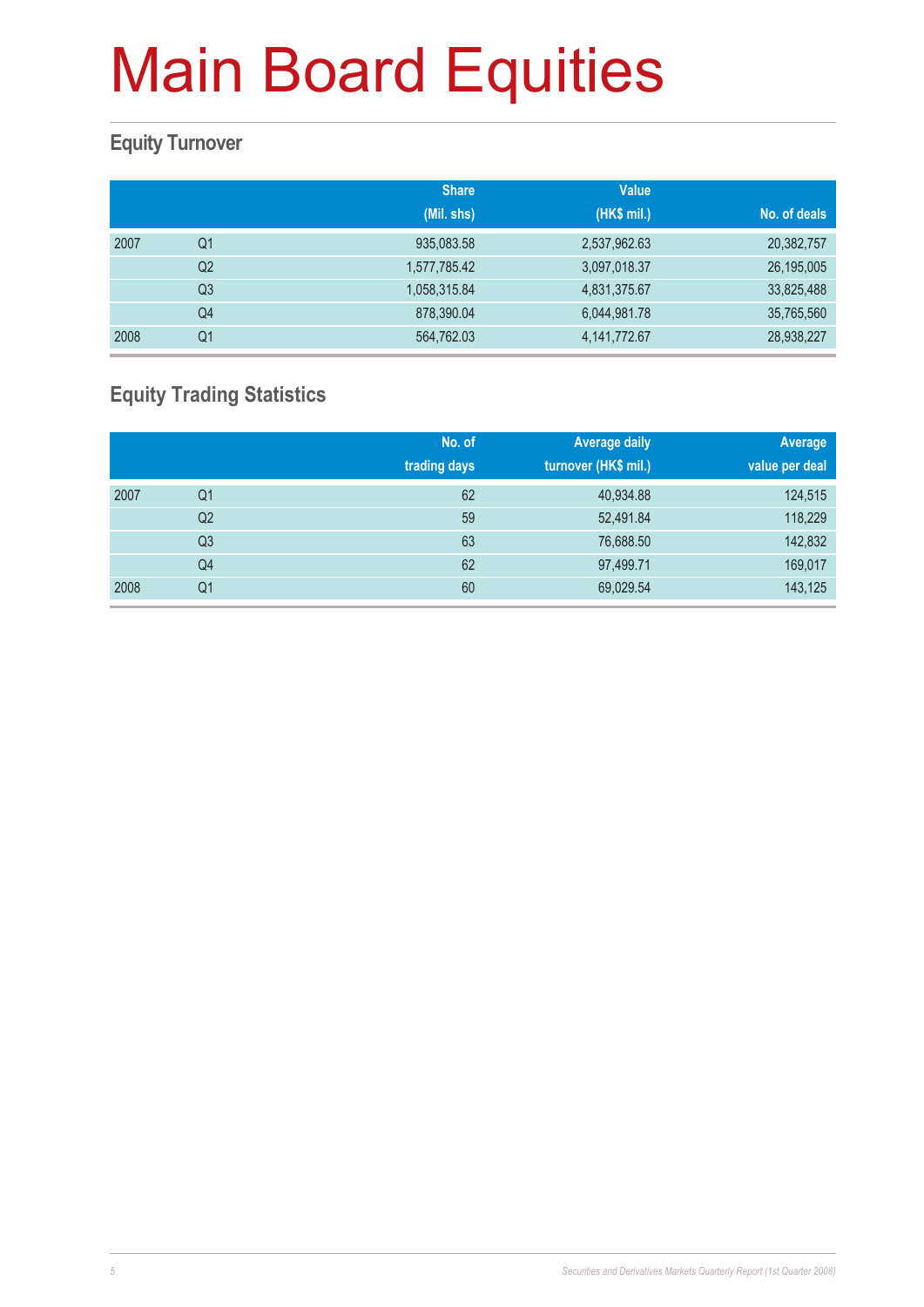#### **Equity Turnover**

|      |                | <b>Share</b> | <b>Value</b> |              |
|------|----------------|--------------|--------------|--------------|
|      |                | (Mil. shs)   | (HK\$ mil.)  | No. of deals |
| 2007 | Q <sub>1</sub> | 935,083.58   | 2,537,962.63 | 20,382,757   |
|      | Q <sub>2</sub> | 1,577,785.42 | 3,097,018.37 | 26,195,005   |
|      | Q <sub>3</sub> | 1,058,315.84 | 4,831,375.67 | 33,825,488   |
|      | Q4             | 878,390.04   | 6,044,981.78 | 35,765,560   |
| 2008 | Q <sub>1</sub> | 564,762.03   | 4,141,772.67 | 28,938,227   |

### **Equity Trading Statistics**

|      |                | No. of<br>trading days | <b>Average daily</b><br>turnover (HK\$ mil.) | Average<br>value per deal |
|------|----------------|------------------------|----------------------------------------------|---------------------------|
| 2007 | Q <sub>1</sub> | 62                     | 40,934.88                                    | 124,515                   |
|      | Q2             | 59                     | 52,491.84                                    | 118,229                   |
|      | Q <sub>3</sub> | 63                     | 76,688.50                                    | 142,832                   |
|      | Q4             | 62                     | 97,499.71                                    | 169,017                   |
| 2008 | Q <sub>1</sub> | 60                     | 69,029.54                                    | 143,125                   |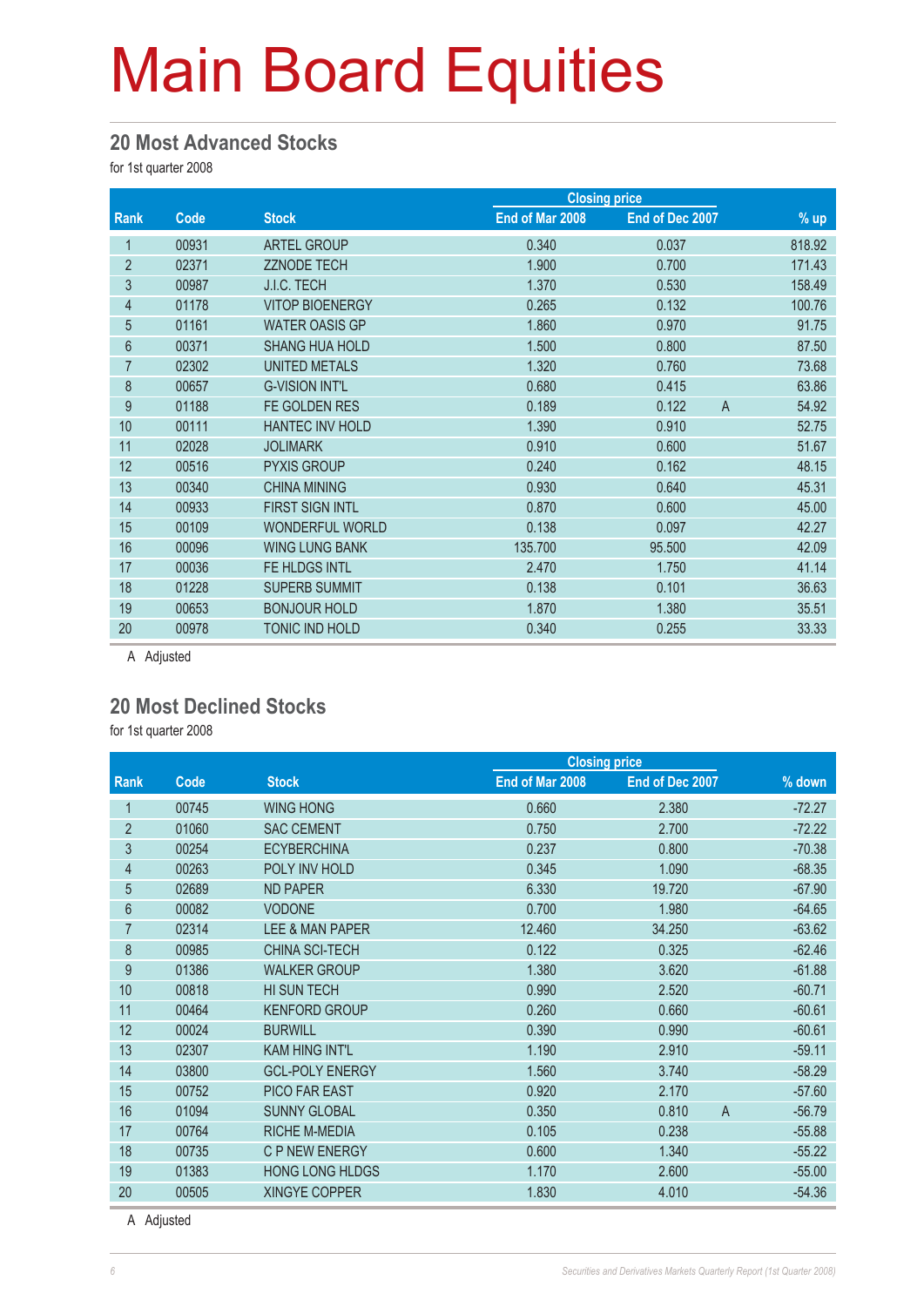#### **20 Most Advanced Stocks**

for 1st quarter 2008

|                |       |                        | <b>Closing price</b> |                 |                         |
|----------------|-------|------------------------|----------------------|-----------------|-------------------------|
| <b>Rank</b>    | Code  | <b>Stock</b>           | End of Mar 2008      | End of Dec 2007 | $%$ up                  |
| 1              | 00931 | <b>ARTEL GROUP</b>     | 0.340                | 0.037           | 818.92                  |
| $\overline{2}$ | 02371 | <b>ZZNODE TECH</b>     | 1.900                | 0.700           | 171.43                  |
| 3              | 00987 | J.I.C. TECH            | 1.370                | 0.530           | 158.49                  |
| 4              | 01178 | <b>VITOP BIOENERGY</b> | 0.265                | 0.132           | 100.76                  |
| $\overline{5}$ | 01161 | <b>WATER OASIS GP</b>  | 1.860                | 0.970           | 91.75                   |
| 6              | 00371 | <b>SHANG HUA HOLD</b>  | 1.500                | 0.800           | 87.50                   |
| $\overline{7}$ | 02302 | UNITED METALS          | 1.320                | 0.760           | 73.68                   |
| 8              | 00657 | <b>G-VISION INT'L</b>  | 0.680                | 0.415           | 63.86                   |
| 9              | 01188 | FE GOLDEN RES          | 0.189                | 0.122           | $\overline{A}$<br>54.92 |
| 10             | 00111 | <b>HANTEC INV HOLD</b> | 1.390                | 0.910           | 52.75                   |
| 11             | 02028 | <b>JOLIMARK</b>        | 0.910                | 0.600           | 51.67                   |
| 12             | 00516 | <b>PYXIS GROUP</b>     | 0.240                | 0.162           | 48.15                   |
| 13             | 00340 | <b>CHINA MINING</b>    | 0.930                | 0.640           | 45.31                   |
| 14             | 00933 | <b>FIRST SIGN INTL</b> | 0.870                | 0.600           | 45.00                   |
| 15             | 00109 | <b>WONDERFUL WORLD</b> | 0.138                | 0.097           | 42.27                   |
| 16             | 00096 | <b>WING LUNG BANK</b>  | 135.700              | 95.500          | 42.09                   |
| 17             | 00036 | FE HLDGS INTL          | 2.470                | 1.750           | 41.14                   |
| 18             | 01228 | <b>SUPERB SUMMIT</b>   | 0.138                | 0.101           | 36.63                   |
| 19             | 00653 | <b>BONJOUR HOLD</b>    | 1.870                | 1.380           | 35.51                   |
| 20             | 00978 | TONIC IND HOLD         | 0.340                | 0.255           | 33.33                   |

A Adjusted

#### **20 Most Declined Stocks**

for 1st quarter 2008

|                |             |                        |                 | <b>Closing price</b> |                            |  |
|----------------|-------------|------------------------|-----------------|----------------------|----------------------------|--|
| <b>Rank</b>    | <b>Code</b> | <b>Stock</b>           | End of Mar 2008 | End of Dec 2007      | % down                     |  |
| 1              | 00745       | <b>WING HONG</b>       | 0.660           | 2.380                | $-72.27$                   |  |
| $\overline{2}$ | 01060       | <b>SAC CEMENT</b>      | 0.750           | 2.700                | $-72.22$                   |  |
| 3              | 00254       | <b>ECYBERCHINA</b>     | 0.237           | 0.800                | $-70.38$                   |  |
| 4              | 00263       | POLY INV HOLD          | 0.345           | 1.090                | $-68.35$                   |  |
| $\overline{5}$ | 02689       | <b>ND PAPER</b>        | 6.330           | 19.720               | $-67.90$                   |  |
| 6              | 00082       | <b>VODONE</b>          | 0.700           | 1.980                | $-64.65$                   |  |
| $\overline{7}$ | 02314       | LEE & MAN PAPER        | 12.460          | 34.250               | $-63.62$                   |  |
| 8              | 00985       | CHINA SCI-TECH         | 0.122           | 0.325                | $-62.46$                   |  |
| 9              | 01386       | <b>WALKER GROUP</b>    | 1.380           | 3.620                | $-61.88$                   |  |
| 10             | 00818       | <b>HI SUN TECH</b>     | 0.990           | 2.520                | $-60.71$                   |  |
| 11             | 00464       | <b>KENFORD GROUP</b>   | 0.260           | 0.660                | $-60.61$                   |  |
| 12             | 00024       | <b>BURWILL</b>         | 0.390           | 0.990                | $-60.61$                   |  |
| 13             | 02307       | <b>KAM HING INT'L</b>  | 1.190           | 2.910                | $-59.11$                   |  |
| 14             | 03800       | <b>GCL-POLY ENERGY</b> | 1.560           | 3.740                | $-58.29$                   |  |
| 15             | 00752       | PICO FAR EAST          | 0.920           | 2.170                | $-57.60$                   |  |
| 16             | 01094       | <b>SUNNY GLOBAL</b>    | 0.350           | 0.810                | $\overline{A}$<br>$-56.79$ |  |
| 17             | 00764       | <b>RICHE M-MEDIA</b>   | 0.105           | 0.238                | $-55.88$                   |  |
| 18             | 00735       | C P NEW ENERGY         | 0.600           | 1.340                | $-55.22$                   |  |
| 19             | 01383       | HONG I ONG HI DGS      | 1.170           | 2.600                | $-55.00$                   |  |
| 20             | 00505       | <b>XINGYE COPPER</b>   | 1.830           | 4.010                | $-54.36$                   |  |
|                |             |                        |                 |                      |                            |  |

A Adjusted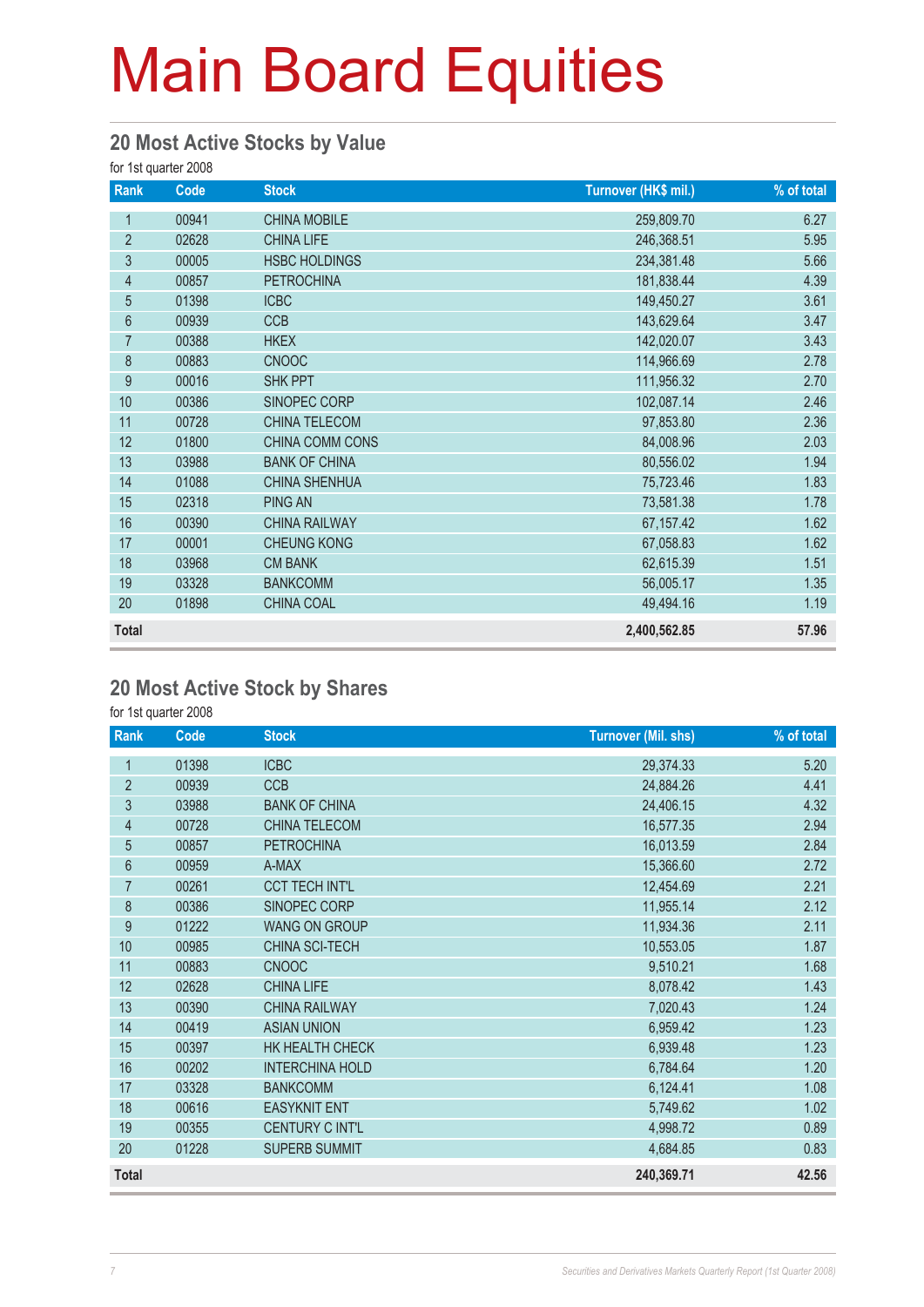#### **20 Most Active Stocks by Value**

for 1st quarter 2008

| Rank             | Code  | <b>Stock</b>         | Turnover (HK\$ mil.) | % of total |
|------------------|-------|----------------------|----------------------|------------|
| 1                | 00941 | <b>CHINA MOBILE</b>  | 259,809.70           | 6.27       |
| $\overline{2}$   | 02628 | <b>CHINA LIFE</b>    | 246,368.51           | 5.95       |
| 3                | 00005 | <b>HSBC HOLDINGS</b> | 234,381.48           | 5.66       |
| $\overline{4}$   | 00857 | <b>PETROCHINA</b>    | 181,838.44           | 4.39       |
| $\overline{5}$   | 01398 | <b>ICBC</b>          | 149,450.27           | 3.61       |
| $6\phantom{.}$   | 00939 | <b>CCB</b>           | 143,629.64           | 3.47       |
| $\overline{7}$   | 00388 | <b>HKEX</b>          | 142,020.07           | 3.43       |
| 8                | 00883 | <b>CNOOC</b>         | 114,966.69           | 2.78       |
| $\boldsymbol{9}$ | 00016 | <b>SHK PPT</b>       | 111,956.32           | 2.70       |
| 10               | 00386 | SINOPEC CORP         | 102,087.14           | 2.46       |
| 11               | 00728 | CHINA TELECOM        | 97,853.80            | 2.36       |
| 12               | 01800 | CHINA COMM CONS      | 84,008.96            | 2.03       |
| 13               | 03988 | <b>BANK OF CHINA</b> | 80,556.02            | 1.94       |
| 14               | 01088 | <b>CHINA SHENHUA</b> | 75,723.46            | 1.83       |
| 15               | 02318 | <b>PING AN</b>       | 73,581.38            | 1.78       |
| 16               | 00390 | <b>CHINA RAILWAY</b> | 67, 157.42           | 1.62       |
| 17               | 00001 | <b>CHEUNG KONG</b>   | 67,058.83            | 1.62       |
| 18               | 03968 | <b>CM BANK</b>       | 62,615.39            | 1.51       |
| 19               | 03328 | <b>BANKCOMM</b>      | 56,005.17            | 1.35       |
| 20               | 01898 | <b>CHINA COAL</b>    | 49,494.16            | 1.19       |
| <b>Total</b>     |       |                      | 2,400,562.85         | 57.96      |

#### **20 Most Active Stock by Shares**

for 1st quarter 2008

| Rank           | Code  | <b>Stock</b>           | <b>Turnover (Mil. shs)</b> | % of total |
|----------------|-------|------------------------|----------------------------|------------|
| 1              | 01398 | <b>ICBC</b>            | 29,374.33                  | 5.20       |
| $\overline{2}$ | 00939 | <b>CCB</b>             | 24,884.26                  | 4.41       |
| 3              | 03988 | <b>BANK OF CHINA</b>   | 24,406.15                  | 4.32       |
| $\overline{4}$ | 00728 | CHINA TELECOM          | 16,577.35                  | 2.94       |
| 5              | 00857 | <b>PETROCHINA</b>      | 16,013.59                  | 2.84       |
| 6              | 00959 | A-MAX                  | 15,366.60                  | 2.72       |
| $\overline{7}$ | 00261 | <b>CCT TECH INT'L</b>  | 12,454.69                  | 2.21       |
| 8              | 00386 | SINOPEC CORP           | 11,955.14                  | 2.12       |
| 9              | 01222 | <b>WANG ON GROUP</b>   | 11,934.36                  | 2.11       |
| 10             | 00985 | CHINA SCI-TECH         | 10,553.05                  | 1.87       |
| 11             | 00883 | <b>CNOOC</b>           | 9,510.21                   | 1.68       |
| 12             | 02628 | <b>CHINA LIFE</b>      | 8,078.42                   | 1.43       |
| 13             | 00390 | <b>CHINA RAILWAY</b>   | 7,020.43                   | 1.24       |
| 14             | 00419 | <b>ASIAN UNION</b>     | 6,959.42                   | 1.23       |
| 15             | 00397 | HK HEALTH CHECK        | 6,939.48                   | 1.23       |
| 16             | 00202 | <b>INTERCHINA HOLD</b> | 6,784.64                   | 1.20       |
| 17             | 03328 | <b>BANKCOMM</b>        | 6,124.41                   | 1.08       |
| 18             | 00616 | <b>EASYKNIT ENT</b>    | 5,749.62                   | 1.02       |
| 19             | 00355 | CENTURY C INT'L        | 4,998.72                   | 0.89       |
| 20             | 01228 | <b>SUPERB SUMMIT</b>   | 4,684.85                   | 0.83       |
| <b>Total</b>   |       |                        | 240,369.71                 | 42.56      |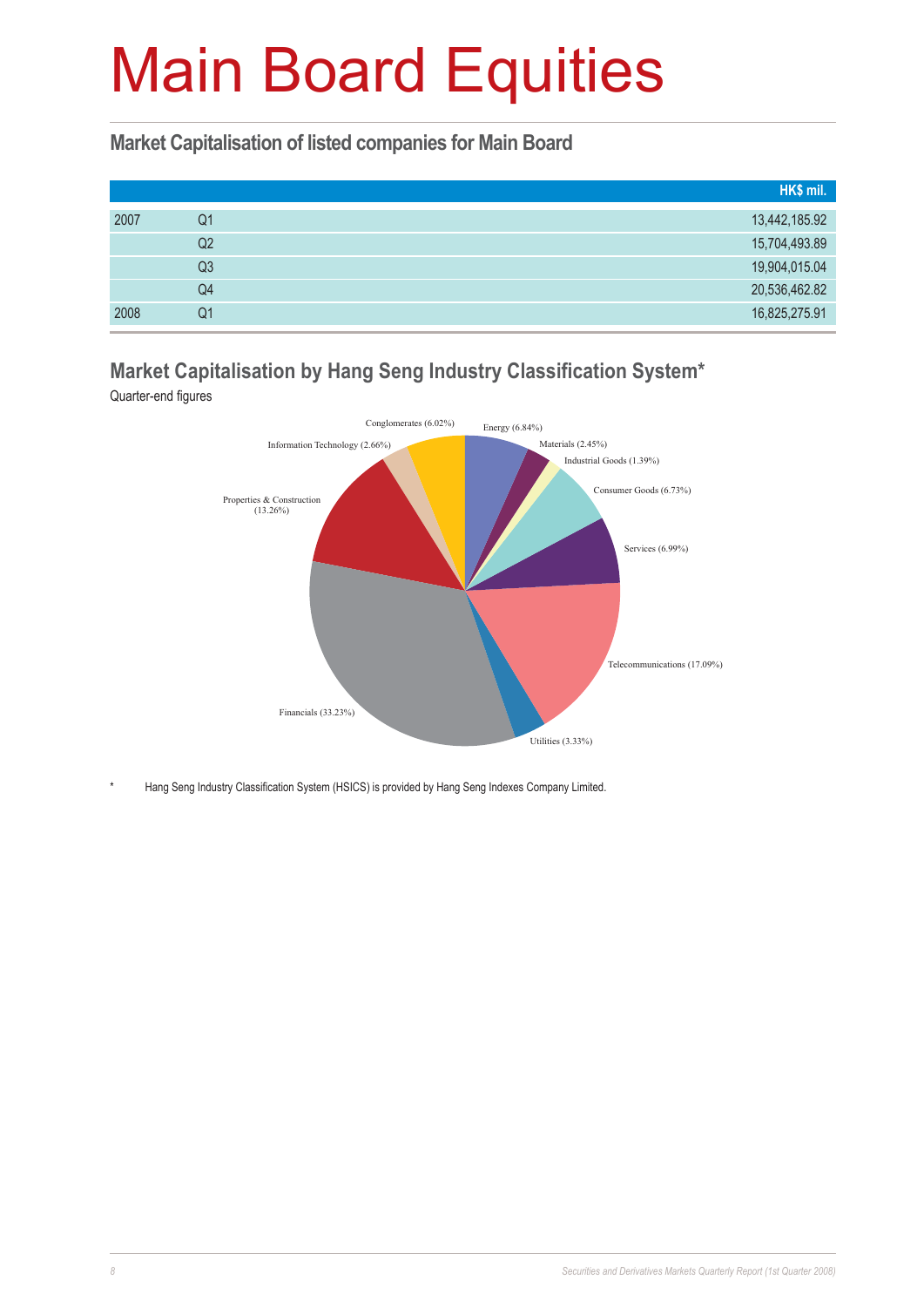#### **Market Capitalisation of listed companies for Main Board**

|      |    | HK\$ mil.     |
|------|----|---------------|
| 2007 | Q1 | 13,442,185.92 |
|      | Q2 | 15,704,493.89 |
|      | Q3 | 19,904,015.04 |
|      | Q4 | 20,536,462.82 |
| 2008 | Q1 | 16,825,275.91 |

### **Market Capitalisation by Hang Seng Industry Classification System\***

Quarter-end figures



Hang Seng Industry Classification System (HSICS) is provided by Hang Seng Indexes Company Limited.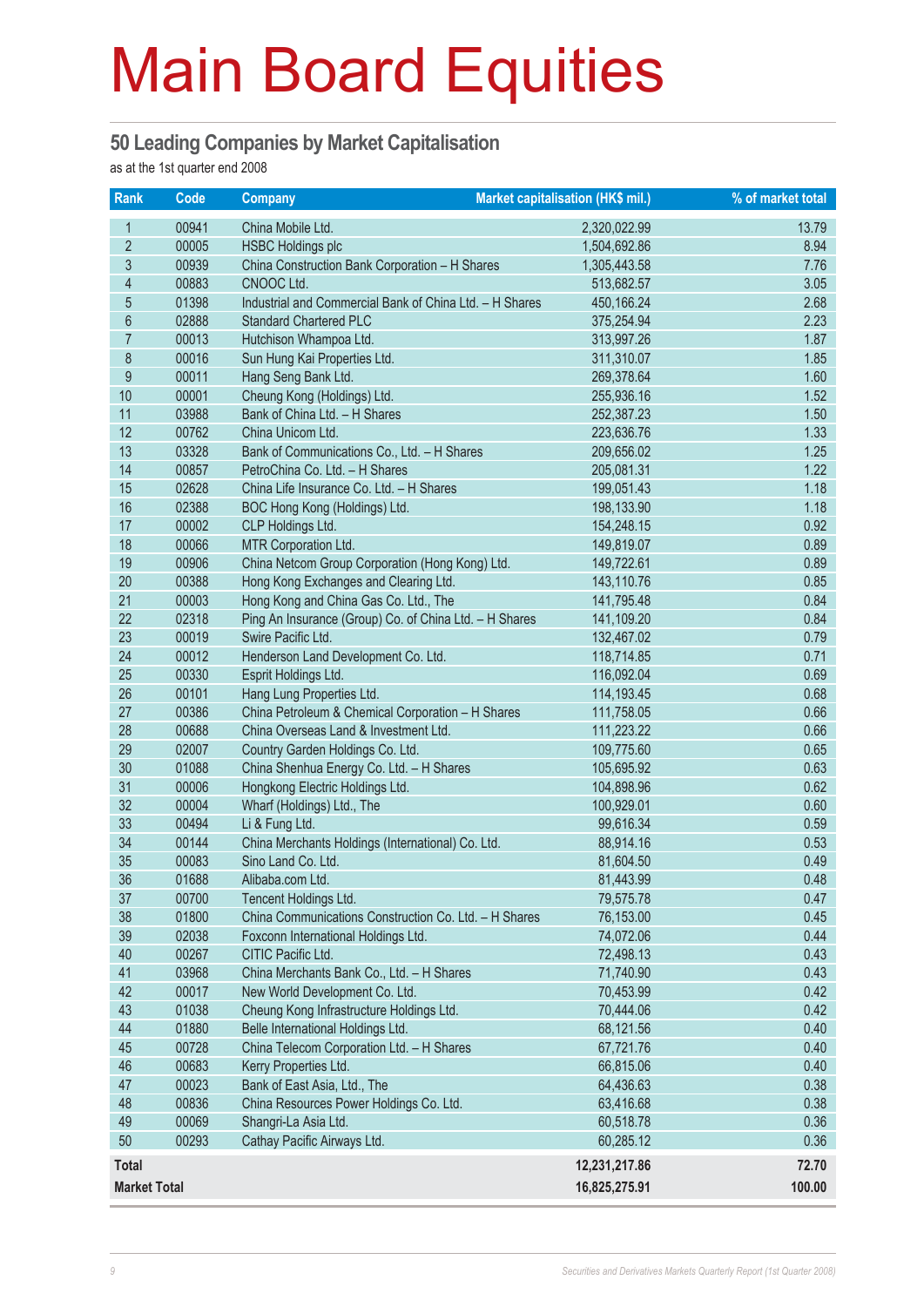#### **50 Leading Companies by Market Capitalisation**

as at the 1st quarter end 2008

| <b>Rank</b>         | Code  | <b>Company</b>                                          | Market capitalisation (HK\$ mil.) | % of market total |
|---------------------|-------|---------------------------------------------------------|-----------------------------------|-------------------|
| $\mathbf{1}$        | 00941 | China Mobile Ltd.                                       | 2,320,022.99                      | 13.79             |
| $\overline{2}$      | 00005 | <b>HSBC Holdings plc</b>                                | 1,504,692.86                      | 8.94              |
| 3                   | 00939 | China Construction Bank Corporation - H Shares          | 1,305,443.58                      | 7.76              |
| 4                   | 00883 | CNOOC Ltd.                                              | 513,682.57                        | 3.05              |
| $\overline{5}$      | 01398 | Industrial and Commercial Bank of China Ltd. - H Shares | 450,166.24                        | 2.68              |
| $6\,$               | 02888 | <b>Standard Chartered PLC</b>                           | 375,254.94                        | 2.23              |
| $\overline{7}$      | 00013 | Hutchison Whampoa Ltd.                                  | 313,997.26                        | 1.87              |
| 8                   | 00016 | Sun Hung Kai Properties Ltd.                            | 311,310.07                        | 1.85              |
| 9                   | 00011 | Hang Seng Bank Ltd.                                     | 269,378.64                        | 1.60              |
| 10                  | 00001 | Cheung Kong (Holdings) Ltd.                             | 255,936.16                        | 1.52              |
| 11                  | 03988 | Bank of China Ltd. - H Shares                           | 252,387.23                        | 1.50              |
| 12                  | 00762 | China Unicom Ltd.                                       | 223,636.76                        | 1.33              |
| 13                  | 03328 | Bank of Communications Co., Ltd. - H Shares             | 209,656.02                        | 1.25              |
| 14                  | 00857 | PetroChina Co. Ltd. - H Shares                          | 205,081.31                        | 1.22              |
| 15                  | 02628 | China Life Insurance Co. Ltd. - H Shares                | 199,051.43                        | 1.18              |
| 16                  | 02388 | BOC Hong Kong (Holdings) Ltd.                           | 198,133.90                        | 1.18              |
| 17                  | 00002 | CLP Holdings Ltd.                                       | 154,248.15                        | 0.92              |
| 18                  | 00066 | MTR Corporation Ltd.                                    | 149,819.07                        | 0.89              |
| 19                  | 00906 | China Netcom Group Corporation (Hong Kong) Ltd.         | 149,722.61                        | 0.89              |
| 20                  | 00388 | Hong Kong Exchanges and Clearing Ltd.                   | 143,110.76                        | 0.85              |
| 21                  | 00003 | Hong Kong and China Gas Co. Ltd., The                   | 141,795.48                        | 0.84              |
| 22                  | 02318 | Ping An Insurance (Group) Co. of China Ltd. - H Shares  | 141,109.20                        | 0.84              |
| 23                  | 00019 | Swire Pacific Ltd.                                      | 132,467.02                        | 0.79              |
| 24                  | 00012 | Henderson Land Development Co. Ltd.                     | 118,714.85                        | 0.71              |
| 25                  | 00330 | Esprit Holdings Ltd.                                    | 116,092.04                        | 0.69              |
| 26                  | 00101 | Hang Lung Properties Ltd.                               | 114,193.45                        | 0.68              |
| 27                  | 00386 | China Petroleum & Chemical Corporation - H Shares       | 111,758.05                        | 0.66              |
| 28                  | 00688 | China Overseas Land & Investment Ltd.                   | 111,223.22                        | 0.66              |
| 29                  | 02007 | Country Garden Holdings Co. Ltd.                        | 109,775.60                        | 0.65              |
| 30                  | 01088 | China Shenhua Energy Co. Ltd. - H Shares                | 105,695.92                        | 0.63              |
| 31                  | 00006 | Hongkong Electric Holdings Ltd.                         | 104,898.96                        | 0.62              |
| 32                  | 00004 | Wharf (Holdings) Ltd., The                              | 100,929.01                        | 0.60              |
| 33                  | 00494 | Li & Fung Ltd.                                          | 99,616.34                         | 0.59              |
| 34                  | 00144 | China Merchants Holdings (International) Co. Ltd.       | 88,914.16                         | 0.53              |
| 35                  | 00083 | Sino Land Co. Ltd.                                      | 81,604.50                         | 0.49              |
| 36                  | 01688 | Alibaba.com Ltd.                                        | 81,443.99                         | 0.48              |
| 37                  | 00700 | Tencent Holdings Ltd.                                   | 79,575.78                         | 0.47              |
| 38                  | 01800 | China Communications Construction Co. Ltd. - H Shares   | 76,153.00                         | 0.45              |
| 39                  | 02038 | Foxconn International Holdings Ltd.                     | 74,072.06                         | 0.44              |
| 40                  | 00267 | CITIC Pacific Ltd.                                      | 72,498.13                         | 0.43              |
| 41                  | 03968 | China Merchants Bank Co., Ltd. - H Shares               | 71,740.90                         | 0.43              |
| 42                  | 00017 | New World Development Co. Ltd.                          | 70,453.99                         | 0.42              |
| 43                  | 01038 | Cheung Kong Infrastructure Holdings Ltd.                | 70,444.06                         | 0.42              |
| 44                  | 01880 | Belle International Holdings Ltd.                       | 68,121.56                         | 0.40              |
| 45                  | 00728 | China Telecom Corporation Ltd. - H Shares               | 67,721.76                         | 0.40              |
| 46                  | 00683 | Kerry Properties Ltd.                                   | 66,815.06                         | 0.40              |
| 47                  | 00023 | Bank of East Asia, Ltd., The                            | 64,436.63                         | 0.38              |
| 48                  | 00836 | China Resources Power Holdings Co. Ltd.                 | 63,416.68                         | 0.38              |
| 49                  | 00069 | Shangri-La Asia Ltd.                                    | 60,518.78                         | 0.36              |
| 50                  | 00293 | Cathay Pacific Airways Ltd.                             | 60,285.12                         | 0.36              |
| <b>Total</b>        |       |                                                         | 12,231,217.86                     | 72.70             |
| <b>Market Total</b> |       |                                                         | 16,825,275.91                     | 100.00            |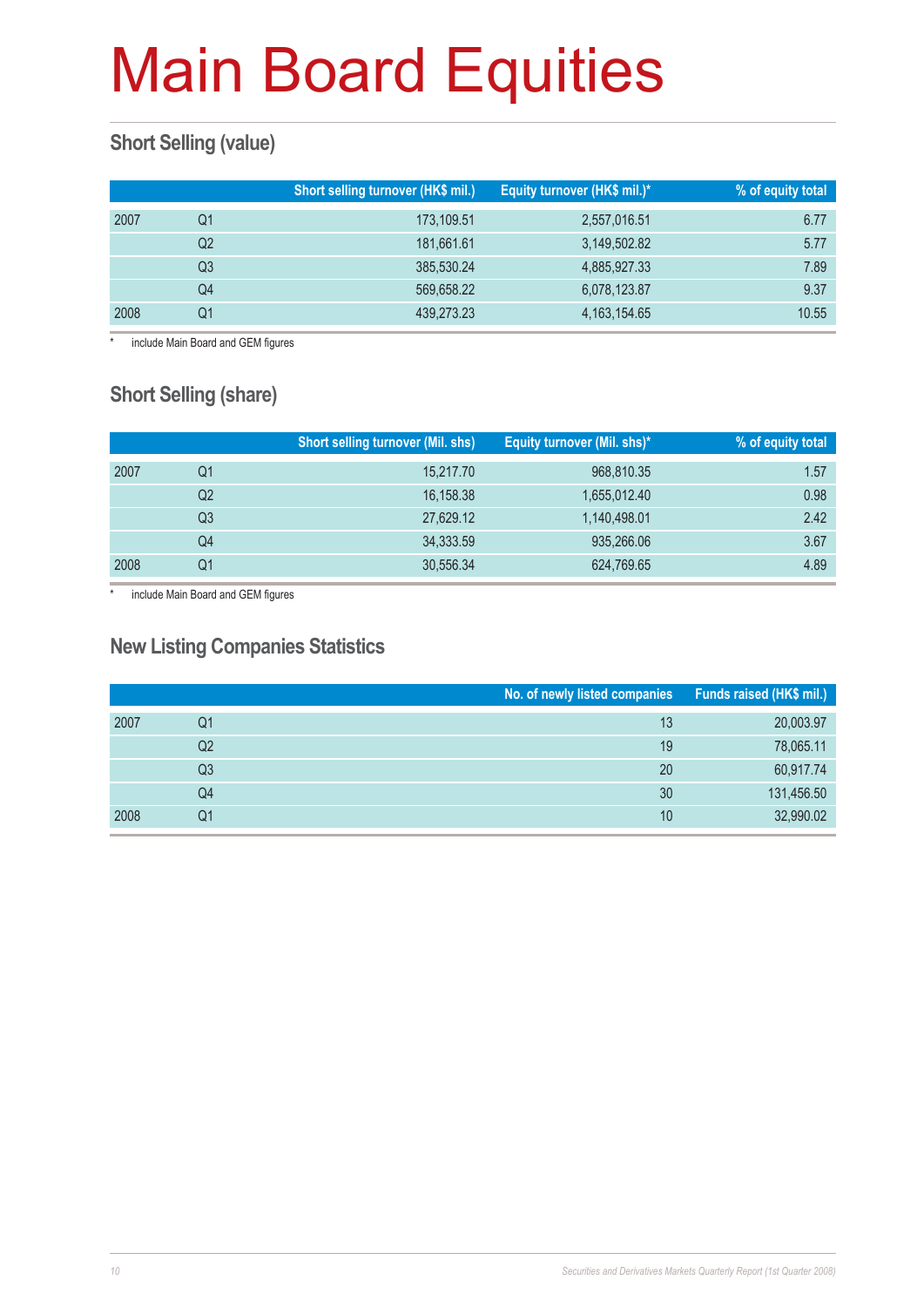### **Short Selling (value)**

|      |    | Short selling turnover (HK\$ mil.) | Equity turnover (HK\$ mil.)* | % of equity total |
|------|----|------------------------------------|------------------------------|-------------------|
| 2007 | O1 | 173,109.51                         | 2,557,016.51                 | 6.77              |
|      | Q2 | 181,661.61                         | 3,149,502.82                 | 5.77              |
|      | Q3 | 385,530.24                         | 4,885,927.33                 | 7.89              |
|      | Q4 | 569,658.22                         | 6,078,123.87                 | 9.37              |
| 2008 | Ο1 | 439,273.23                         | 4, 163, 154. 65              | 10.55             |

include Main Board and GEM figures

### **Short Selling (share)**

|      |    | <b>Short selling turnover (Mil. shs)</b> | Equity turnover (Mil. shs)* | % of equity total |
|------|----|------------------------------------------|-----------------------------|-------------------|
| 2007 | Q1 | 15,217.70                                | 968,810.35                  | 1.57              |
|      | Q2 | 16,158.38                                | 1,655,012.40                | 0.98              |
|      | Q3 | 27,629.12                                | 1,140,498.01                | 2.42              |
|      | Q4 | 34,333.59                                | 935,266.06                  | 3.67              |
| 2008 | Q1 | 30,556.34                                | 624,769.65                  | 4.89              |

\* include Main Board and GEM figures

#### **New Listing Companies Statistics**

|      |    | No. of newly listed companies Funds raised (HK\$ mil.) |            |
|------|----|--------------------------------------------------------|------------|
| 2007 | Q1 | 13                                                     | 20,003.97  |
|      | Q2 | 19                                                     | 78,065.11  |
|      | Q3 | 20                                                     | 60,917.74  |
|      | Q4 | 30                                                     | 131,456.50 |
| 2008 | Q1 | 10                                                     | 32,990.02  |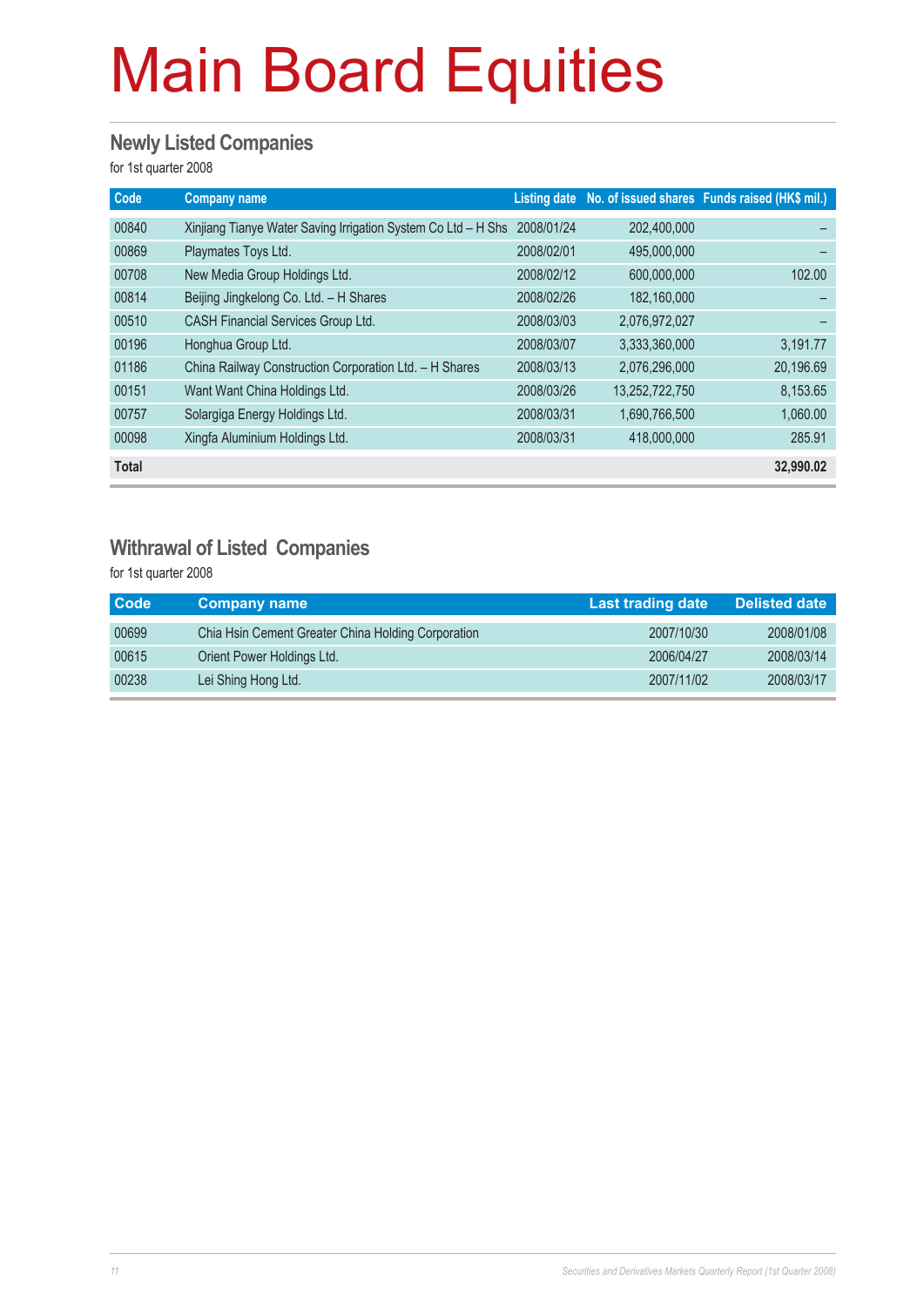#### **Newly Listed Companies**

for 1st quarter 2008

| Code         | <b>Company name</b>                                           |            |                | Listing date No. of issued shares Funds raised (HK\$ mil.) |
|--------------|---------------------------------------------------------------|------------|----------------|------------------------------------------------------------|
| 00840        | Xinjiang Tianye Water Saving Irrigation System Co Ltd - H Shs | 2008/01/24 | 202,400,000    |                                                            |
| 00869        | Playmates Toys Ltd.                                           | 2008/02/01 | 495,000,000    |                                                            |
| 00708        | New Media Group Holdings Ltd.                                 | 2008/02/12 | 600,000,000    | 102.00                                                     |
| 00814        | Beijing Jingkelong Co. Ltd. - H Shares                        | 2008/02/26 | 182,160,000    |                                                            |
| 00510        | <b>CASH Financial Services Group Ltd.</b>                     | 2008/03/03 | 2,076,972,027  |                                                            |
| 00196        | Honghua Group Ltd.                                            | 2008/03/07 | 3,333,360,000  | 3,191.77                                                   |
| 01186        | China Railway Construction Corporation Ltd. - H Shares        | 2008/03/13 | 2,076,296,000  | 20,196.69                                                  |
| 00151        | Want Want China Holdings Ltd.                                 | 2008/03/26 | 13,252,722,750 | 8,153.65                                                   |
| 00757        | Solargiga Energy Holdings Ltd.                                | 2008/03/31 | 1,690,766,500  | 1,060.00                                                   |
| 00098        | Xingfa Aluminium Holdings Ltd.                                | 2008/03/31 | 418,000,000    | 285.91                                                     |
| <b>Total</b> |                                                               |            |                | 32,990.02                                                  |

#### **Withrawal of Listed Companies**

for 1st quarter 2008

| <b>Code</b> | <b>Company name</b>                                | Last trading date | <b>Delisted date</b> |
|-------------|----------------------------------------------------|-------------------|----------------------|
| 00699       | Chia Hsin Cement Greater China Holding Corporation | 2007/10/30        | 2008/01/08           |
| 00615       | Orient Power Holdings Ltd.                         | 2006/04/27        | 2008/03/14           |
| 00238       | Lei Shing Hong Ltd.                                | 2007/11/02        | 2008/03/17           |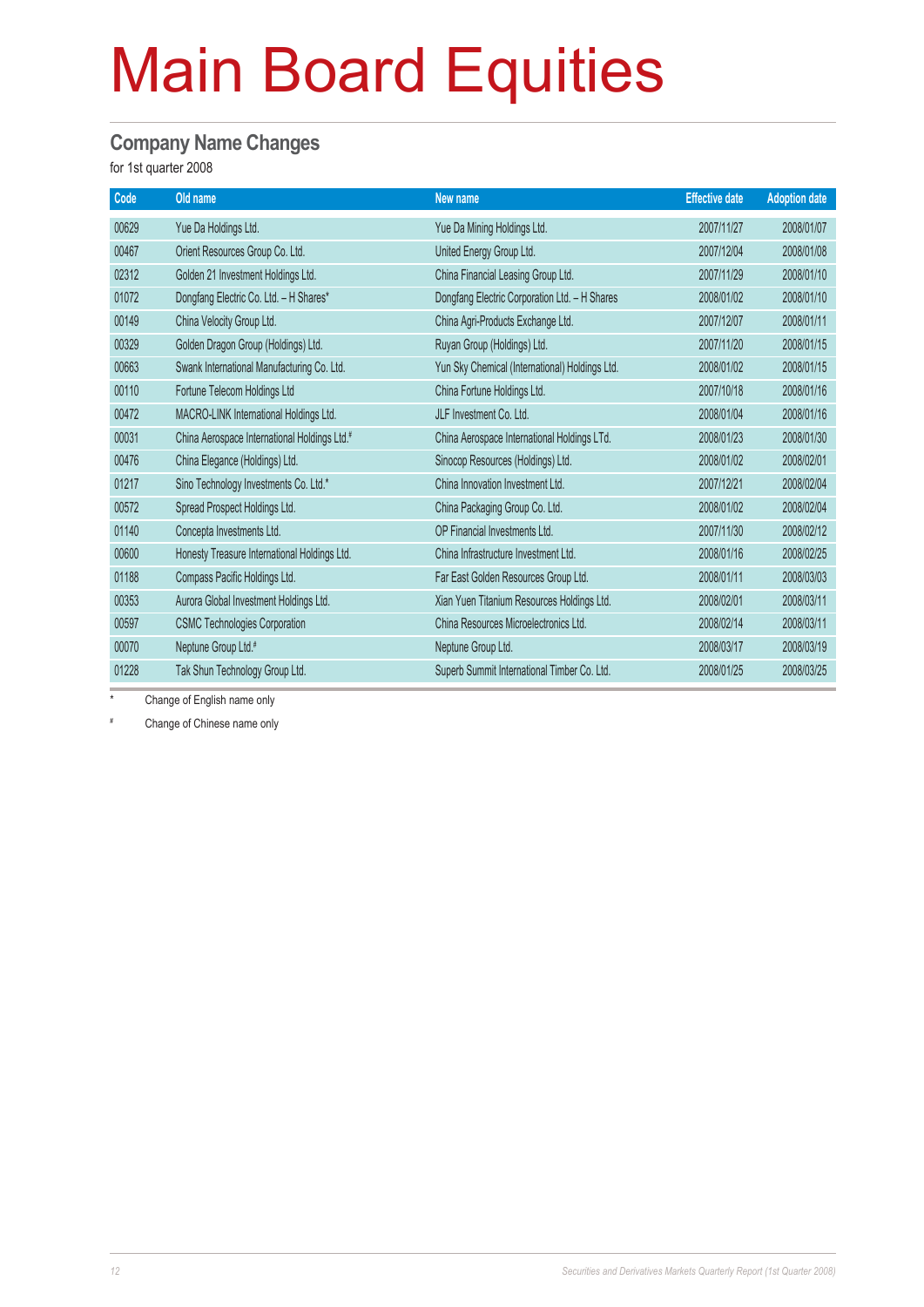#### **Company Name Changes**

for 1st quarter 2008

| Old name                                     | New name                                       | <b>Effective date</b> | <b>Adoption date</b> |
|----------------------------------------------|------------------------------------------------|-----------------------|----------------------|
| Yue Da Holdings Ltd.                         | Yue Da Mining Holdings Ltd.                    | 2007/11/27            | 2008/01/07           |
| Orient Resources Group Co. Ltd.              | United Energy Group Ltd.                       | 2007/12/04            | 2008/01/08           |
| Golden 21 Investment Holdings Ltd.           | China Financial Leasing Group Ltd.             | 2007/11/29            | 2008/01/10           |
| Dongfang Electric Co. Ltd. - H Shares*       | Dongfang Electric Corporation Ltd. - H Shares  | 2008/01/02            | 2008/01/10           |
| China Velocity Group Ltd.                    | China Agri-Products Exchange Ltd.              | 2007/12/07            | 2008/01/11           |
| Golden Dragon Group (Holdings) Ltd.          | Ruyan Group (Holdings) Ltd.                    | 2007/11/20            | 2008/01/15           |
| Swank International Manufacturing Co. Ltd.   | Yun Sky Chemical (International) Holdings Ltd. | 2008/01/02            | 2008/01/15           |
| Fortune Telecom Holdings Ltd                 | China Fortune Holdings Ltd.                    | 2007/10/18            | 2008/01/16           |
| MACRO-LINK International Holdings Ltd.       | JLF Investment Co. Ltd.                        | 2008/01/04            | 2008/01/16           |
| China Aerospace International Holdings Ltd.# | China Aerospace International Holdings LTd.    | 2008/01/23            | 2008/01/30           |
| China Elegance (Holdings) Ltd.               | Sinocop Resources (Holdings) Ltd.              | 2008/01/02            | 2008/02/01           |
| Sino Technology Investments Co. Ltd.*        | China Innovation Investment Ltd.               | 2007/12/21            | 2008/02/04           |
| Spread Prospect Holdings Ltd.                | China Packaging Group Co. Ltd.                 | 2008/01/02            | 2008/02/04           |
| Concepta Investments Ltd.                    | OP Financial Investments Ltd.                  | 2007/11/30            | 2008/02/12           |
| Honesty Treasure International Holdings Ltd. | China Infrastructure Investment Ltd.           | 2008/01/16            | 2008/02/25           |
| Compass Pacific Holdings Ltd.                | Far East Golden Resources Group Ltd.           | 2008/01/11            | 2008/03/03           |
| Aurora Global Investment Holdings Ltd.       | Xian Yuen Titanium Resources Holdings Ltd.     | 2008/02/01            | 2008/03/11           |
| <b>CSMC Technologies Corporation</b>         | China Resources Microelectronics Ltd.          | 2008/02/14            | 2008/03/11           |
| Neptune Group Ltd.#                          | Neptune Group Ltd.                             | 2008/03/17            | 2008/03/19           |
| Tak Shun Technology Group Ltd.               | Superb Summit International Timber Co. Ltd.    | 2008/01/25            | 2008/03/25           |
|                                              |                                                |                       |                      |

\* Change of English name only

# Change of Chinese name only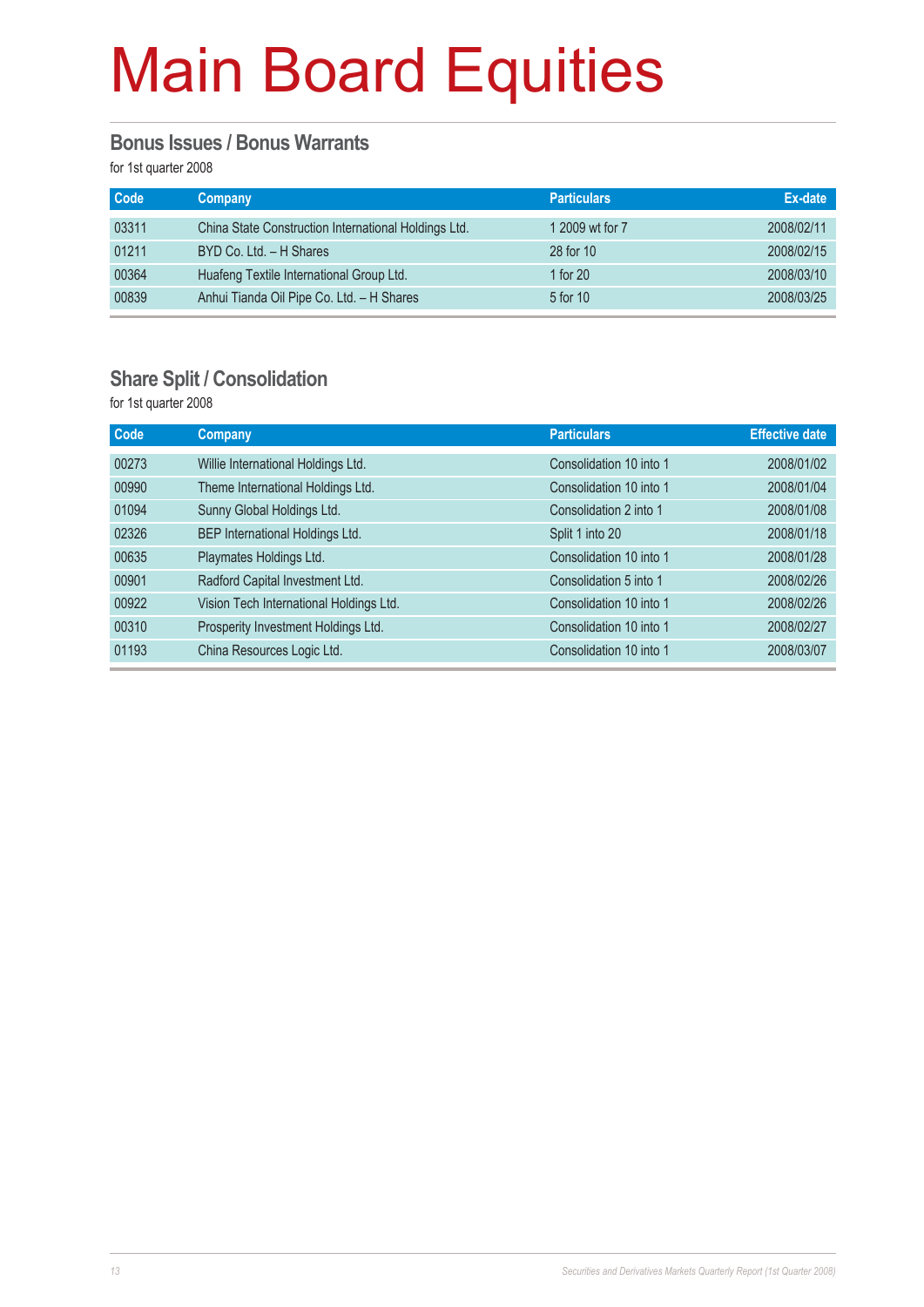#### **Bonus Issues / Bonus Warrants**

for 1st quarter 2008

| <b>Code</b> | <b>Company</b>                                       | <b>Particulars</b> | Ex-date    |
|-------------|------------------------------------------------------|--------------------|------------|
| 03311       | China State Construction International Holdings Ltd. | 1 2009 wt for 7    | 2008/02/11 |
| 01211       | BYD Co. Ltd. - H Shares                              | 28 for 10          | 2008/02/15 |
| 00364       | Huafeng Textile International Group Ltd.             | 1 for $20$         | 2008/03/10 |
| 00839       | Anhui Tianda Oil Pipe Co. Ltd. - H Shares            | 5 for 10           | 2008/03/25 |

#### **Share Split / Consolidation**

for 1st quarter 2008

| Code  | <b>Company</b>                          | <b>Particulars</b>      | <b>Effective date</b> |
|-------|-----------------------------------------|-------------------------|-----------------------|
| 00273 | Willie International Holdings Ltd.      | Consolidation 10 into 1 | 2008/01/02            |
| 00990 | Theme International Holdings Ltd.       | Consolidation 10 into 1 | 2008/01/04            |
| 01094 | Sunny Global Holdings Ltd.              | Consolidation 2 into 1  | 2008/01/08            |
| 02326 | BEP International Holdings Ltd.         | Split 1 into 20         | 2008/01/18            |
| 00635 | Playmates Holdings Ltd.                 | Consolidation 10 into 1 | 2008/01/28            |
| 00901 | Radford Capital Investment Ltd.         | Consolidation 5 into 1  | 2008/02/26            |
| 00922 | Vision Tech International Holdings Ltd. | Consolidation 10 into 1 | 2008/02/26            |
| 00310 | Prosperity Investment Holdings Ltd.     | Consolidation 10 into 1 | 2008/02/27            |
| 01193 | China Resources Logic Ltd.              | Consolidation 10 into 1 | 2008/03/07            |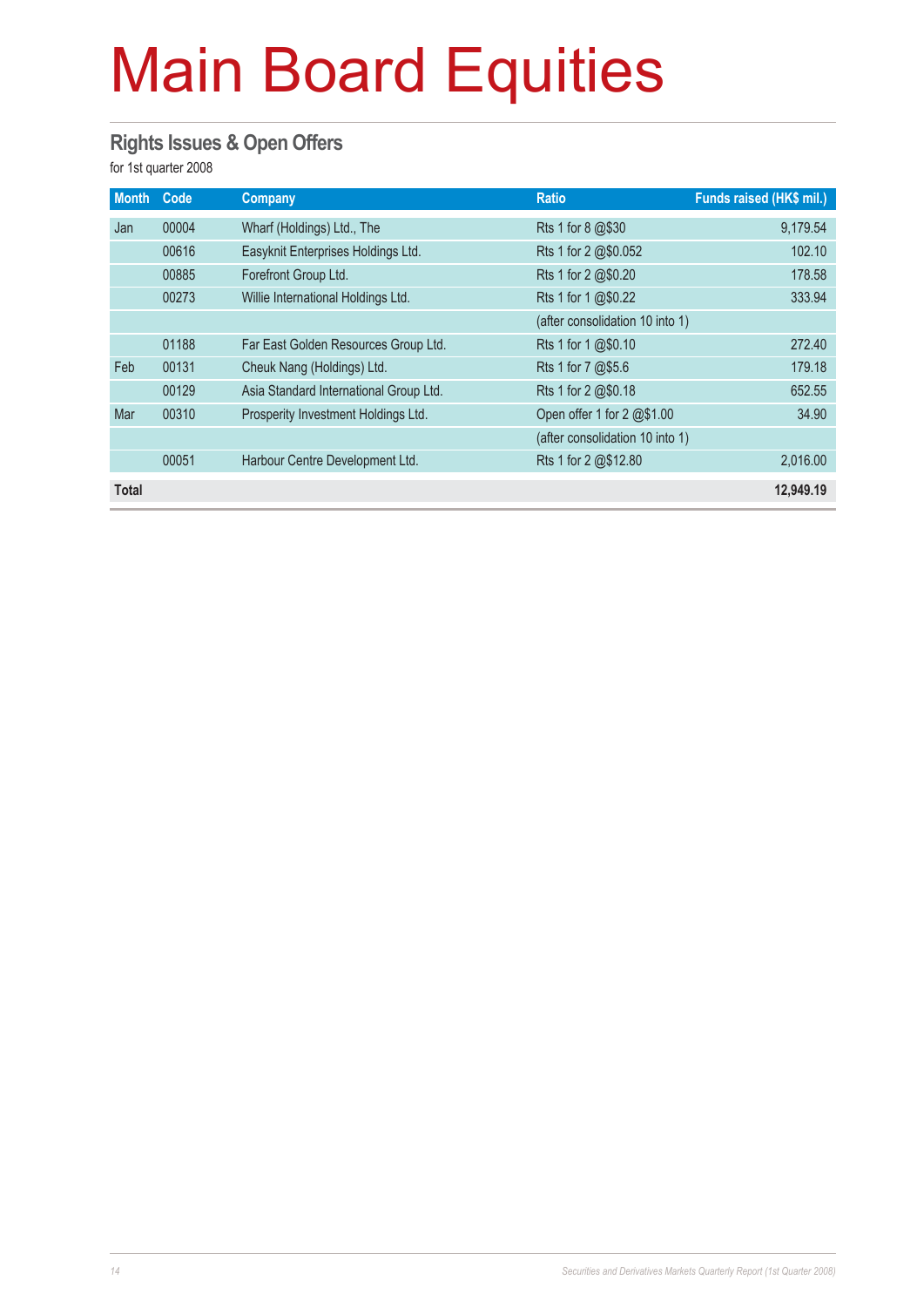#### **Rights Issues & Open Offers**

for 1st quarter 2008

| <b>Month</b> | Code  | <b>Company</b>                         | <b>Ratio</b>                    | Funds raised (HK\$ mil.) |
|--------------|-------|----------------------------------------|---------------------------------|--------------------------|
| Jan          | 00004 | Wharf (Holdings) Ltd., The             | Rts 1 for 8 @\$30               | 9,179.54                 |
|              | 00616 | Easyknit Enterprises Holdings Ltd.     | Rts 1 for 2 @\$0.052            | 102.10                   |
|              | 00885 | Forefront Group Ltd.                   | Rts 1 for 2 @\$0.20             | 178.58                   |
|              | 00273 | Willie International Holdings Ltd.     | Rts 1 for 1 @\$0.22             | 333.94                   |
|              |       |                                        | (after consolidation 10 into 1) |                          |
|              | 01188 | Far East Golden Resources Group Ltd.   | Rts 1 for 1 @\$0.10             | 272.40                   |
| Feb          | 00131 | Cheuk Nang (Holdings) Ltd.             | Rts 1 for 7 @\$5.6              | 179.18                   |
|              | 00129 | Asia Standard International Group Ltd. | Rts 1 for 2 @\$0.18             | 652.55                   |
| Mar          | 00310 | Prosperity Investment Holdings Ltd.    | Open offer 1 for 2 @\$1.00      | 34.90                    |
|              |       |                                        | (after consolidation 10 into 1) |                          |
|              | 00051 | Harbour Centre Development Ltd.        | Rts 1 for 2 @\$12.80            | 2,016.00                 |
| <b>Total</b> |       |                                        |                                 | 12,949.19                |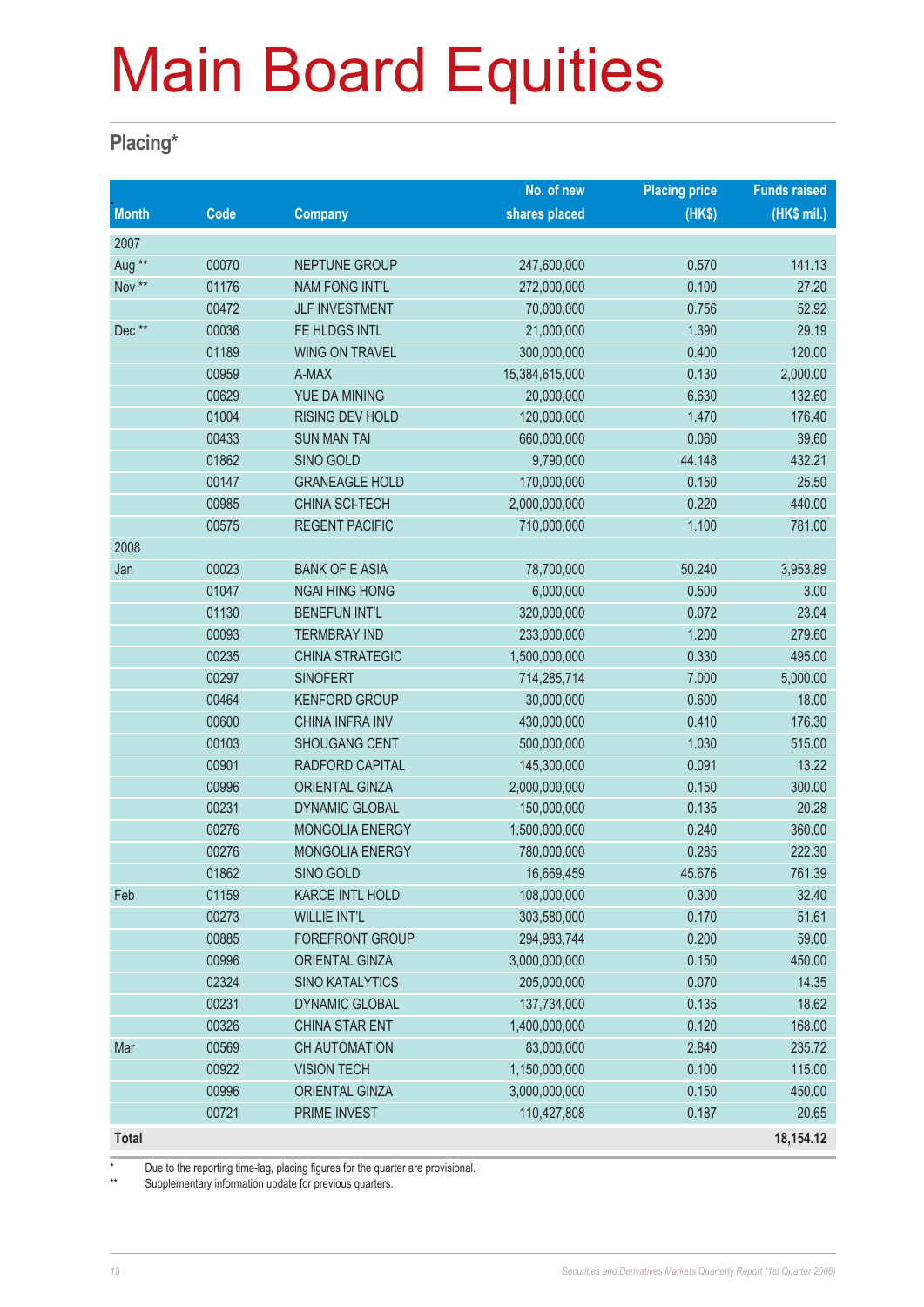#### **Placing\***

|                   |       |                        | No. of new           | <b>Placing price</b> | <b>Funds raised</b> |
|-------------------|-------|------------------------|----------------------|----------------------|---------------------|
| <b>Month</b>      | Code  | <b>Company</b>         | shares placed        | (HKS)                | (HK\$ mil.)         |
| 2007              |       |                        |                      |                      |                     |
| Aug <sup>**</sup> | 00070 | NEPTUNE GROUP          | 247,600,000          | 0.570                | 141.13              |
| Nov **            | 01176 | <b>NAM FONG INT'L</b>  | 272,000,000          | 0.100                | 27.20               |
|                   | 00472 | <b>JLF INVESTMENT</b>  | 70,000,000           | 0.756                | 52.92               |
| Dec**             | 00036 | FE HLDGS INTL          | 21,000,000           | 1.390                | 29.19               |
|                   | 01189 | <b>WING ON TRAVEL</b>  | 300,000,000          | 0.400                | 120.00              |
|                   | 00959 | A-MAX                  | 15,384,615,000       | 0.130                | 2,000.00            |
|                   | 00629 | YUE DA MINING          | 20,000,000           | 6.630                | 132.60              |
|                   | 01004 | RISING DEV HOLD        | 1.470<br>120,000,000 |                      | 176.40              |
|                   | 00433 | <b>SUN MAN TAI</b>     | 660,000,000<br>0.060 |                      | 39.60               |
|                   | 01862 | SINO GOLD              | 9,790,000            | 44.148               | 432.21              |
|                   | 00147 | <b>GRANEAGLE HOLD</b>  | 170,000,000          | 0.150                | 25.50               |
|                   | 00985 | CHINA SCI-TECH         | 2,000,000,000        |                      | 440.00              |
|                   | 00575 | <b>REGENT PACIFIC</b>  | 710,000,000<br>1.100 |                      | 781.00              |
| 2008              |       |                        |                      |                      |                     |
| Jan               | 00023 | <b>BANK OF E ASIA</b>  | 78,700,000           | 50.240               | 3,953.89            |
|                   | 01047 | <b>NGAI HING HONG</b>  | 6,000,000            | 0.500                | 3.00                |
|                   | 01130 | <b>BENEFUN INT'L</b>   | 320,000,000          | 0.072                | 23.04               |
|                   | 00093 | <b>TERMBRAY IND</b>    | 233,000,000          | 1.200                | 279.60              |
|                   | 00235 | <b>CHINA STRATEGIC</b> | 1,500,000,000        | 0.330                | 495.00              |
|                   | 00297 | <b>SINOFERT</b>        | 714,285,714          | 7.000                | 5,000.00            |
|                   | 00464 | <b>KENFORD GROUP</b>   | 30,000,000           | 0.600                | 18.00               |
|                   | 00600 | CHINA INFRA INV        | 430,000,000          | 0.410                | 176.30              |
|                   | 00103 | <b>SHOUGANG CENT</b>   | 500,000,000          | 1.030                | 515.00              |
|                   | 00901 | RADFORD CAPITAL        | 145,300,000          | 0.091                | 13.22               |
|                   | 00996 | <b>ORIENTAL GINZA</b>  | 2,000,000,000        | 0.150                | 300.00              |
|                   | 00231 | <b>DYNAMIC GLOBAL</b>  | 150,000,000          | 0.135                | 20.28               |
|                   | 00276 | MONGOLIA ENERGY        | 1,500,000,000        | 0.240                | 360.00              |
|                   | 00276 | MONGOLIA ENERGY        | 780,000,000          | 0.285                | 222.30              |
|                   | 01862 | SINO GOLD              | 16,669,459           | 45.676               | 761.39              |
| Feb               | 01159 | <b>KARCE INTL HOLD</b> | 108,000,000          | 0.300                | 32.40               |
|                   | 00273 | <b>WILLIE INT'L</b>    | 303,580,000          | 0.170                | 51.61               |
|                   | 00885 | <b>FOREFRONT GROUP</b> | 294,983,744          | 0.200                | 59.00               |
|                   | 00996 | <b>ORIENTAL GINZA</b>  | 3,000,000,000        | 0.150                | 450.00              |
|                   | 02324 | <b>SINO KATALYTICS</b> | 205,000,000          | 0.070                | 14.35               |
|                   | 00231 | DYNAMIC GLOBAL         | 137,734,000          | 0.135                | 18.62               |
|                   | 00326 | CHINA STAR ENT         | 1,400,000,000        | 0.120                | 168.00              |
| Mar               | 00569 | CH AUTOMATION          | 83,000,000           | 2.840                | 235.72              |
|                   | 00922 | <b>VISION TECH</b>     | 1,150,000,000        | 0.100                | 115.00              |
|                   | 00996 | <b>ORIENTAL GINZA</b>  | 3,000,000,000        | 0.150                | 450.00              |
|                   | 00721 | PRIME INVEST           | 110,427,808          | 0.187                | 20.65               |
| <b>Total</b>      |       |                        |                      |                      | 18,154.12           |

\* Due to the reporting time-lag, placing figures for the quarter are provisional.<br>Supplementary information undets for provising quarters

Supplementary information update for previous quarters.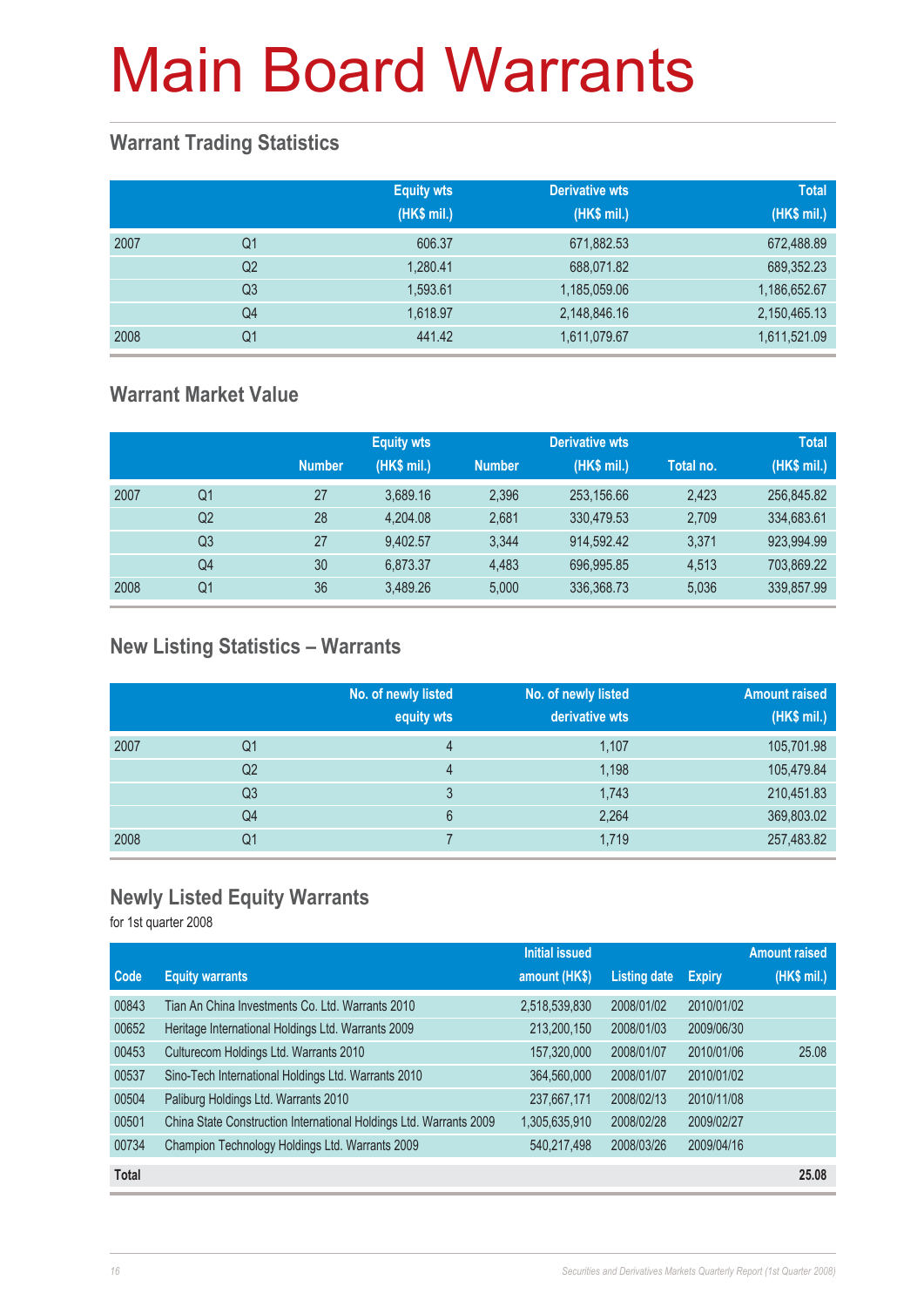#### **Warrant Trading Statistics**

|      |                | <b>Equity wts</b><br>(HK\$ mil.) | <b>Derivative wts</b><br>(HK\$ mil.) | <b>Total</b><br>(HK\$ mil.) |
|------|----------------|----------------------------------|--------------------------------------|-----------------------------|
| 2007 | Q <sub>1</sub> | 606.37                           | 671,882.53                           | 672,488.89                  |
|      | Q <sub>2</sub> | 1,280.41                         | 688,071.82                           | 689,352.23                  |
|      | Q <sub>3</sub> | 1,593.61                         | 1,185,059.06                         | 1,186,652.67                |
|      | Q <sub>4</sub> | 1,618.97                         | 2,148,846.16                         | 2,150,465.13                |
| 2008 | Q1             | 441.42                           | 1,611,079.67                         | 1,611,521.09                |

#### **Warrant Market Value**

|      |                |               | <b>Equity wts</b> |               | <b>Derivative wts</b> |           | <b>Total</b> |
|------|----------------|---------------|-------------------|---------------|-----------------------|-----------|--------------|
|      |                | <b>Number</b> | (HK\$ mil.)       | <b>Number</b> | (HK\$ mil.)           | Total no. | (HK\$ mil.)  |
| 2007 | Q1             | 27            | 3,689.16          | 2,396         | 253,156.66            | 2,423     | 256,845.82   |
|      | Q <sub>2</sub> | 28            | 4.204.08          | 2.681         | 330,479.53            | 2,709     | 334,683.61   |
|      | Q3             | 27            | 9.402.57          | 3.344         | 914.592.42            | 3.371     | 923.994.99   |
|      | Q4             | 30            | 6.873.37          | 4.483         | 696.995.85            | 4.513     | 703,869.22   |
| 2008 | Q1             | 36            | 3,489.26          | 5.000         | 336,368.73            | 5,036     | 339,857.99   |

### **New Listing Statistics – Warrants**

|      |    | No. of newly listed<br>equity wts | No. of newly listed<br>derivative wts | <b>Amount raised</b><br>(HK\$ mil.) |
|------|----|-----------------------------------|---------------------------------------|-------------------------------------|
| 2007 | Q1 | 4                                 | 1,107                                 | 105,701.98                          |
|      | Q2 | 4                                 | 1,198                                 | 105,479.84                          |
|      | Q3 | 3                                 | 1,743                                 | 210,451.83                          |
|      | Q4 | 6                                 | 2,264                                 | 369,803.02                          |
| 2008 | Q1 |                                   | 1,719                                 | 257,483.82                          |

#### **Newly Listed Equity Warrants**

for 1st quarter 2008

|              |                                                                    | <b>Initial issued</b> |                     |               | <b>Amount raised</b> |
|--------------|--------------------------------------------------------------------|-----------------------|---------------------|---------------|----------------------|
| Code         | <b>Equity warrants</b>                                             | amount (HK\$)         | <b>Listing date</b> | <b>Expiry</b> | (HK\$ mil.)          |
| 00843        | Tian An China Investments Co. Ltd. Warrants 2010                   | 2,518,539,830         | 2008/01/02          | 2010/01/02    |                      |
| 00652        | Heritage International Holdings Ltd. Warrants 2009                 | 213,200,150           | 2008/01/03          | 2009/06/30    |                      |
| 00453        | Culturecom Holdings Ltd. Warrants 2010                             | 157,320,000           | 2008/01/07          | 2010/01/06    | 25.08                |
| 00537        | Sino-Tech International Holdings Ltd. Warrants 2010                | 364,560,000           | 2008/01/07          | 2010/01/02    |                      |
| 00504        | Paliburg Holdings Ltd. Warrants 2010                               | 237,667,171           | 2008/02/13          | 2010/11/08    |                      |
| 00501        | China State Construction International Holdings Ltd. Warrants 2009 | 1,305,635,910         | 2008/02/28          | 2009/02/27    |                      |
| 00734        | Champion Technology Holdings Ltd. Warrants 2009                    | 540,217,498           | 2008/03/26          | 2009/04/16    |                      |
| <b>Total</b> |                                                                    |                       |                     |               | 25.08                |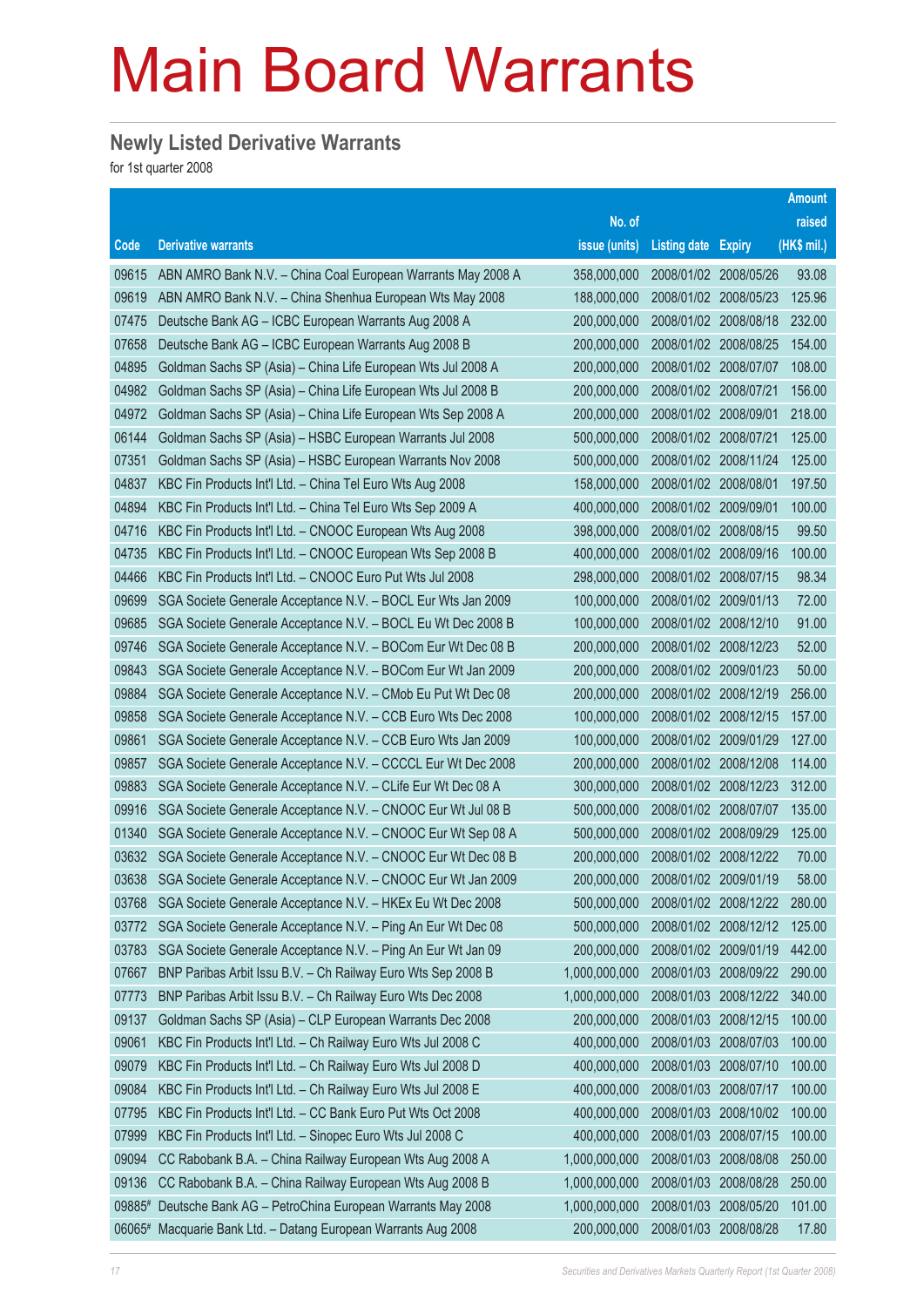### **Newly Listed Derivative Warrants**

for 1st quarter 2008

|        |                                                              |               |                            |                       | <b>Amount</b> |
|--------|--------------------------------------------------------------|---------------|----------------------------|-----------------------|---------------|
|        |                                                              | No. of        |                            |                       | raised        |
| Code   | <b>Derivative warrants</b>                                   | issue (units) | <b>Listing date Expiry</b> |                       | (HK\$ mil.)   |
| 09615  | ABN AMRO Bank N.V. - China Coal European Warrants May 2008 A | 358,000,000   | 2008/01/02 2008/05/26      |                       | 93.08         |
| 09619  | ABN AMRO Bank N.V. - China Shenhua European Wts May 2008     | 188,000,000   |                            | 2008/01/02 2008/05/23 | 125.96        |
| 07475  | Deutsche Bank AG - ICBC European Warrants Aug 2008 A         | 200,000,000   |                            | 2008/01/02 2008/08/18 | 232.00        |
| 07658  | Deutsche Bank AG - ICBC European Warrants Aug 2008 B         | 200,000,000   |                            | 2008/01/02 2008/08/25 | 154.00        |
| 04895  | Goldman Sachs SP (Asia) - China Life European Wts Jul 2008 A | 200,000,000   | 2008/01/02 2008/07/07      |                       | 108.00        |
| 04982  | Goldman Sachs SP (Asia) - China Life European Wts Jul 2008 B | 200,000,000   | 2008/01/02 2008/07/21      |                       | 156.00        |
| 04972  | Goldman Sachs SP (Asia) - China Life European Wts Sep 2008 A | 200,000,000   | 2008/01/02 2008/09/01      |                       | 218.00        |
| 06144  | Goldman Sachs SP (Asia) – HSBC European Warrants Jul 2008    | 500,000,000   | 2008/01/02 2008/07/21      |                       | 125.00        |
| 07351  | Goldman Sachs SP (Asia) - HSBC European Warrants Nov 2008    | 500,000,000   | 2008/01/02 2008/11/24      |                       | 125.00        |
| 04837  | KBC Fin Products Int'l Ltd. - China Tel Euro Wts Aug 2008    | 158,000,000   | 2008/01/02 2008/08/01      |                       | 197.50        |
| 04894  | KBC Fin Products Int'l Ltd. - China Tel Euro Wts Sep 2009 A  | 400,000,000   | 2008/01/02 2009/09/01      |                       | 100.00        |
| 04716  | KBC Fin Products Int'l Ltd. - CNOOC European Wts Aug 2008    | 398,000,000   | 2008/01/02 2008/08/15      |                       | 99.50         |
| 04735  | KBC Fin Products Int'l Ltd. - CNOOC European Wts Sep 2008 B  | 400,000,000   |                            | 2008/01/02 2008/09/16 | 100.00        |
| 04466  | KBC Fin Products Int'l Ltd. - CNOOC Euro Put Wts Jul 2008    | 298,000,000   | 2008/01/02 2008/07/15      |                       | 98.34         |
| 09699  | SGA Societe Generale Acceptance N.V. - BOCL Eur Wts Jan 2009 | 100,000,000   |                            | 2008/01/02 2009/01/13 | 72.00         |
| 09685  | SGA Societe Generale Acceptance N.V. - BOCL Eu Wt Dec 2008 B | 100,000,000   |                            | 2008/01/02 2008/12/10 | 91.00         |
| 09746  | SGA Societe Generale Acceptance N.V. - BOCom Eur Wt Dec 08 B | 200,000,000   | 2008/01/02 2008/12/23      |                       | 52.00         |
| 09843  | SGA Societe Generale Acceptance N.V. - BOCom Eur Wt Jan 2009 | 200,000,000   | 2008/01/02 2009/01/23      |                       | 50.00         |
| 09884  | SGA Societe Generale Acceptance N.V. - CMob Eu Put Wt Dec 08 | 200,000,000   |                            | 2008/01/02 2008/12/19 | 256.00        |
| 09858  | SGA Societe Generale Acceptance N.V. - CCB Euro Wts Dec 2008 | 100,000,000   |                            | 2008/01/02 2008/12/15 | 157.00        |
| 09861  | SGA Societe Generale Acceptance N.V. - CCB Euro Wts Jan 2009 | 100,000,000   | 2008/01/02 2009/01/29      |                       | 127.00        |
| 09857  | SGA Societe Generale Acceptance N.V. - CCCCL Eur Wt Dec 2008 | 200,000,000   |                            | 2008/01/02 2008/12/08 | 114.00        |
| 09883  | SGA Societe Generale Acceptance N.V. - CLife Eur Wt Dec 08 A | 300,000,000   |                            | 2008/01/02 2008/12/23 | 312.00        |
| 09916  | SGA Societe Generale Acceptance N.V. - CNOOC Eur Wt Jul 08 B | 500,000,000   | 2008/01/02 2008/07/07      |                       | 135.00        |
| 01340  | SGA Societe Generale Acceptance N.V. - CNOOC Eur Wt Sep 08 A | 500,000,000   | 2008/01/02 2008/09/29      |                       | 125.00        |
| 03632  | SGA Societe Generale Acceptance N.V. - CNOOC Eur Wt Dec 08 B | 200,000,000   |                            | 2008/01/02 2008/12/22 | 70.00         |
| 03638  | SGA Societe Generale Acceptance N.V. - CNOOC Eur Wt Jan 2009 | 200,000,000   |                            | 2008/01/02 2009/01/19 | 58.00         |
| 03768  | SGA Societe Generale Acceptance N.V. - HKEx Eu Wt Dec 2008   | 500,000,000   |                            | 2008/01/02 2008/12/22 | 280.00        |
| 03772  | SGA Societe Generale Acceptance N.V. - Ping An Eur Wt Dec 08 | 500,000,000   |                            | 2008/01/02 2008/12/12 | 125.00        |
| 03783  | SGA Societe Generale Acceptance N.V. - Ping An Eur Wt Jan 09 | 200,000,000   | 2008/01/02 2009/01/19      |                       | 442.00        |
| 07667  | BNP Paribas Arbit Issu B.V. - Ch Railway Euro Wts Sep 2008 B | 1,000,000,000 | 2008/01/03                 | 2008/09/22            | 290.00        |
| 07773  | BNP Paribas Arbit Issu B.V. - Ch Railway Euro Wts Dec 2008   | 1,000,000,000 |                            | 2008/01/03 2008/12/22 | 340.00        |
| 09137  | Goldman Sachs SP (Asia) - CLP European Warrants Dec 2008     | 200,000,000   | 2008/01/03 2008/12/15      |                       | 100.00        |
| 09061  | KBC Fin Products Int'l Ltd. - Ch Railway Euro Wts Jul 2008 C | 400,000,000   | 2008/01/03 2008/07/03      |                       | 100.00        |
| 09079  | KBC Fin Products Int'l Ltd. - Ch Railway Euro Wts Jul 2008 D | 400,000,000   | 2008/01/03                 | 2008/07/10            | 100.00        |
| 09084  | KBC Fin Products Int'l Ltd. - Ch Railway Euro Wts Jul 2008 E | 400,000,000   | 2008/01/03 2008/07/17      |                       | 100.00        |
| 07795  | KBC Fin Products Int'l Ltd. - CC Bank Euro Put Wts Oct 2008  | 400,000,000   | 2008/01/03                 | 2008/10/02            | 100.00        |
| 07999  | KBC Fin Products Int'l Ltd. - Sinopec Euro Wts Jul 2008 C    | 400,000,000   | 2008/01/03                 | 2008/07/15            | 100.00        |
| 09094  | CC Rabobank B.A. - China Railway European Wts Aug 2008 A     | 1,000,000,000 | 2008/01/03                 | 2008/08/08            | 250.00        |
| 09136  | CC Rabobank B.A. - China Railway European Wts Aug 2008 B     | 1,000,000,000 | 2008/01/03                 | 2008/08/28            | 250.00        |
| 09885# | Deutsche Bank AG - PetroChina European Warrants May 2008     | 1,000,000,000 | 2008/01/03                 | 2008/05/20            | 101.00        |
| 06065# | Macquarie Bank Ltd. - Datang European Warrants Aug 2008      | 200,000,000   | 2008/01/03 2008/08/28      |                       | 17.80         |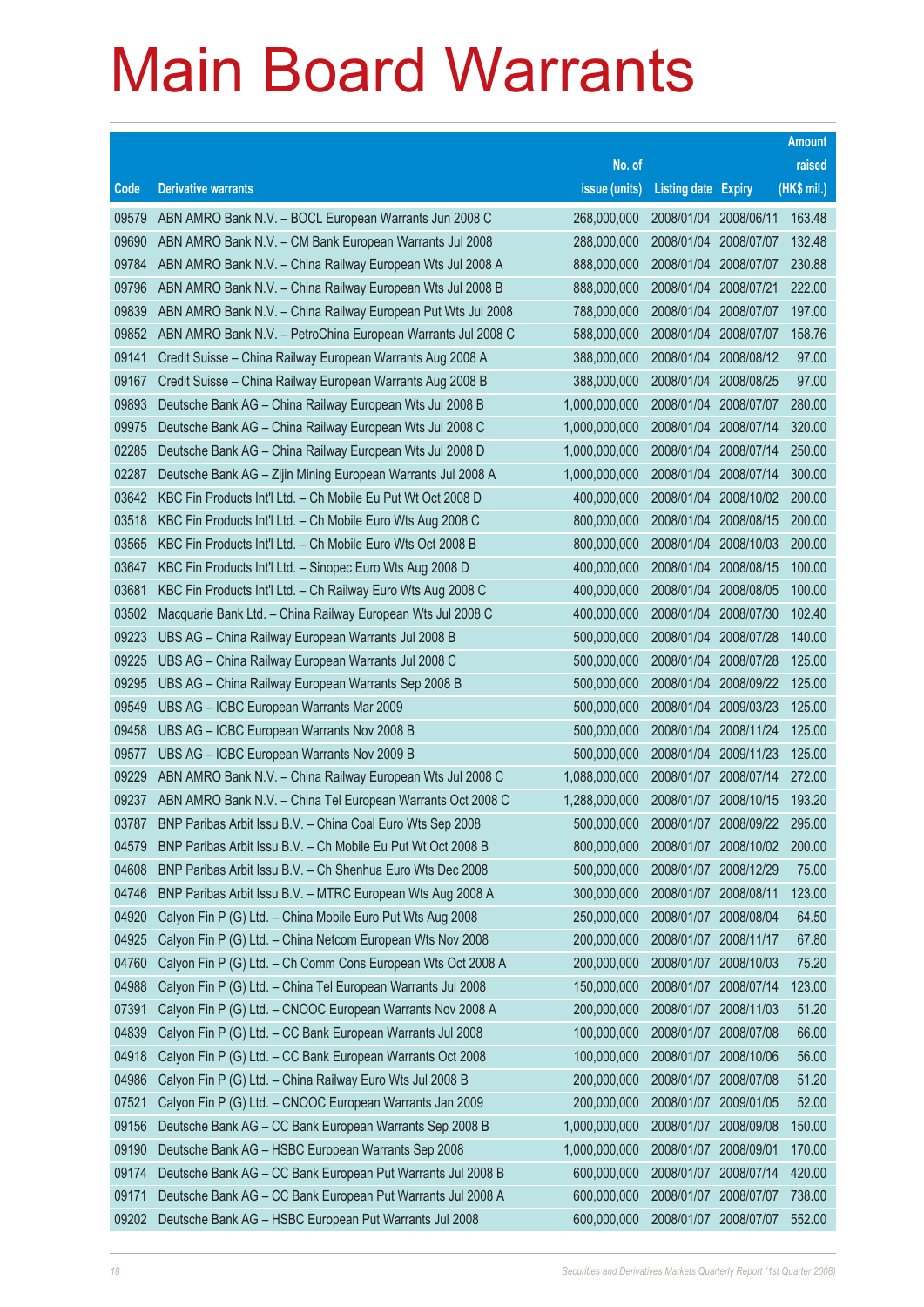|       |                                                              |               |                            |            | <b>Amount</b> |
|-------|--------------------------------------------------------------|---------------|----------------------------|------------|---------------|
|       |                                                              | No. of        |                            |            | raised        |
| Code  | <b>Derivative warrants</b>                                   | issue (units) | <b>Listing date Expiry</b> |            | (HK\$ mil.)   |
| 09579 | ABN AMRO Bank N.V. - BOCL European Warrants Jun 2008 C       | 268,000,000   | 2008/01/04 2008/06/11      |            | 163.48        |
| 09690 | ABN AMRO Bank N.V. - CM Bank European Warrants Jul 2008      | 288,000,000   | 2008/01/04                 | 2008/07/07 | 132.48        |
| 09784 | ABN AMRO Bank N.V. - China Railway European Wts Jul 2008 A   | 888,000,000   | 2008/01/04                 | 2008/07/07 | 230.88        |
| 09796 | ABN AMRO Bank N.V. - China Railway European Wts Jul 2008 B   | 888,000,000   | 2008/01/04                 | 2008/07/21 | 222.00        |
| 09839 | ABN AMRO Bank N.V. - China Railway European Put Wts Jul 2008 | 788,000,000   | 2008/01/04 2008/07/07      |            | 197.00        |
| 09852 | ABN AMRO Bank N.V. - PetroChina European Warrants Jul 2008 C | 588,000,000   | 2008/01/04                 | 2008/07/07 | 158.76        |
| 09141 | Credit Suisse - China Railway European Warrants Aug 2008 A   | 388,000,000   | 2008/01/04                 | 2008/08/12 | 97.00         |
| 09167 | Credit Suisse - China Railway European Warrants Aug 2008 B   | 388,000,000   | 2008/01/04                 | 2008/08/25 | 97.00         |
| 09893 | Deutsche Bank AG - China Railway European Wts Jul 2008 B     | 1,000,000,000 | 2008/01/04 2008/07/07      |            | 280.00        |
| 09975 | Deutsche Bank AG - China Railway European Wts Jul 2008 C     | 1,000,000,000 | 2008/01/04                 | 2008/07/14 | 320.00        |
| 02285 | Deutsche Bank AG - China Railway European Wts Jul 2008 D     | 1,000,000,000 | 2008/01/04                 | 2008/07/14 | 250.00        |
| 02287 | Deutsche Bank AG - Zijin Mining European Warrants Jul 2008 A | 1,000,000,000 | 2008/01/04                 | 2008/07/14 | 300.00        |
| 03642 | KBC Fin Products Int'l Ltd. - Ch Mobile Eu Put Wt Oct 2008 D | 400,000,000   | 2008/01/04                 | 2008/10/02 | 200.00        |
| 03518 | KBC Fin Products Int'l Ltd. - Ch Mobile Euro Wts Aug 2008 C  | 800,000,000   | 2008/01/04                 | 2008/08/15 | 200.00        |
| 03565 | KBC Fin Products Int'l Ltd. - Ch Mobile Euro Wts Oct 2008 B  | 800,000,000   | 2008/01/04                 | 2008/10/03 | 200.00        |
| 03647 | KBC Fin Products Int'l Ltd. - Sinopec Euro Wts Aug 2008 D    | 400,000,000   | 2008/01/04                 | 2008/08/15 | 100.00        |
| 03681 | KBC Fin Products Int'l Ltd. - Ch Railway Euro Wts Aug 2008 C | 400,000,000   | 2008/01/04                 | 2008/08/05 | 100.00        |
| 03502 | Macquarie Bank Ltd. - China Railway European Wts Jul 2008 C  | 400,000,000   | 2008/01/04                 | 2008/07/30 | 102.40        |
| 09223 | UBS AG - China Railway European Warrants Jul 2008 B          | 500,000,000   | 2008/01/04                 | 2008/07/28 | 140.00        |
| 09225 | UBS AG - China Railway European Warrants Jul 2008 C          | 500,000,000   | 2008/01/04                 | 2008/07/28 | 125.00        |
| 09295 | UBS AG - China Railway European Warrants Sep 2008 B          | 500,000,000   | 2008/01/04                 | 2008/09/22 | 125.00        |
| 09549 | UBS AG - ICBC European Warrants Mar 2009                     | 500,000,000   | 2008/01/04                 | 2009/03/23 | 125.00        |
| 09458 | UBS AG - ICBC European Warrants Nov 2008 B                   | 500,000,000   | 2008/01/04                 | 2008/11/24 | 125.00        |
| 09577 | UBS AG - ICBC European Warrants Nov 2009 B                   | 500,000,000   | 2008/01/04                 | 2009/11/23 | 125.00        |
| 09229 | ABN AMRO Bank N.V. - China Railway European Wts Jul 2008 C   | 1,088,000,000 | 2008/01/07                 | 2008/07/14 | 272.00        |
| 09237 | ABN AMRO Bank N.V. - China Tel European Warrants Oct 2008 C  | 1,288,000,000 | 2008/01/07                 | 2008/10/15 | 193.20        |
| 03787 | BNP Paribas Arbit Issu B.V. - China Coal Euro Wts Sep 2008   | 500,000,000   | 2008/01/07 2008/09/22      |            | 295.00        |
| 04579 | BNP Paribas Arbit Issu B.V. - Ch Mobile Eu Put Wt Oct 2008 B | 800,000,000   | 2008/01/07                 | 2008/10/02 | 200.00        |
| 04608 | BNP Paribas Arbit Issu B.V. - Ch Shenhua Euro Wts Dec 2008   | 500,000,000   | 2008/01/07                 | 2008/12/29 | 75.00         |
| 04746 | BNP Paribas Arbit Issu B.V. - MTRC European Wts Aug 2008 A   | 300,000,000   | 2008/01/07                 | 2008/08/11 | 123.00        |
| 04920 | Calyon Fin P (G) Ltd. - China Mobile Euro Put Wts Aug 2008   | 250,000,000   | 2008/01/07                 | 2008/08/04 | 64.50         |
| 04925 | Calyon Fin P (G) Ltd. - China Netcom European Wts Nov 2008   | 200,000,000   | 2008/01/07                 | 2008/11/17 | 67.80         |
| 04760 | Calyon Fin P (G) Ltd. - Ch Comm Cons European Wts Oct 2008 A | 200,000,000   | 2008/01/07                 | 2008/10/03 | 75.20         |
| 04988 | Calyon Fin P (G) Ltd. - China Tel European Warrants Jul 2008 | 150,000,000   | 2008/01/07                 | 2008/07/14 | 123.00        |
| 07391 | Calyon Fin P (G) Ltd. - CNOOC European Warrants Nov 2008 A   | 200,000,000   | 2008/01/07                 | 2008/11/03 | 51.20         |
| 04839 | Calyon Fin P (G) Ltd. - CC Bank European Warrants Jul 2008   | 100,000,000   | 2008/01/07                 | 2008/07/08 | 66.00         |
| 04918 | Calyon Fin P (G) Ltd. - CC Bank European Warrants Oct 2008   | 100,000,000   | 2008/01/07                 | 2008/10/06 | 56.00         |
| 04986 | Calyon Fin P (G) Ltd. - China Railway Euro Wts Jul 2008 B    | 200,000,000   | 2008/01/07                 | 2008/07/08 | 51.20         |
| 07521 | Calyon Fin P (G) Ltd. - CNOOC European Warrants Jan 2009     | 200,000,000   | 2008/01/07                 | 2009/01/05 | 52.00         |
| 09156 | Deutsche Bank AG - CC Bank European Warrants Sep 2008 B      | 1,000,000,000 | 2008/01/07                 | 2008/09/08 | 150.00        |
| 09190 | Deutsche Bank AG - HSBC European Warrants Sep 2008           | 1,000,000,000 | 2008/01/07                 | 2008/09/01 | 170.00        |
| 09174 | Deutsche Bank AG - CC Bank European Put Warrants Jul 2008 B  | 600,000,000   | 2008/01/07                 | 2008/07/14 | 420.00        |
| 09171 | Deutsche Bank AG - CC Bank European Put Warrants Jul 2008 A  | 600,000,000   | 2008/01/07                 | 2008/07/07 | 738.00        |
| 09202 | Deutsche Bank AG - HSBC European Put Warrants Jul 2008       | 600,000,000   | 2008/01/07                 | 2008/07/07 | 552.00        |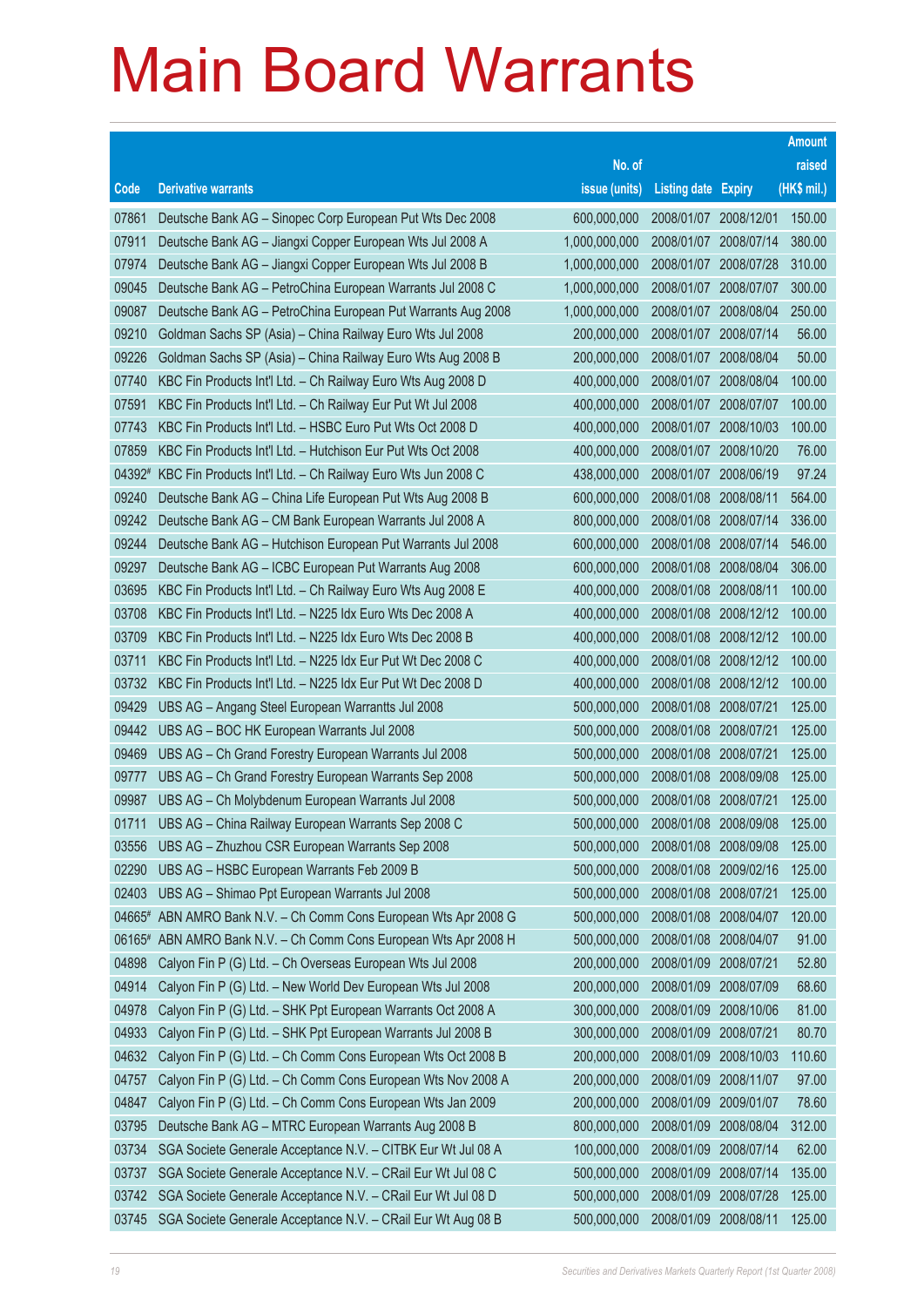|        |                                                              |               |                            |            | <b>Amount</b> |
|--------|--------------------------------------------------------------|---------------|----------------------------|------------|---------------|
|        |                                                              | No. of        |                            |            | raised        |
| Code   | <b>Derivative warrants</b>                                   | issue (units) | <b>Listing date Expiry</b> |            | $(HK$$ mil.)  |
| 07861  | Deutsche Bank AG - Sinopec Corp European Put Wts Dec 2008    | 600,000,000   | 2008/01/07 2008/12/01      |            | 150.00        |
| 07911  | Deutsche Bank AG - Jiangxi Copper European Wts Jul 2008 A    | 1,000,000,000 | 2008/01/07                 | 2008/07/14 | 380.00        |
| 07974  | Deutsche Bank AG - Jiangxi Copper European Wts Jul 2008 B    | 1,000,000,000 | 2008/01/07                 | 2008/07/28 | 310.00        |
| 09045  | Deutsche Bank AG - PetroChina European Warrants Jul 2008 C   | 1,000,000,000 | 2008/01/07                 | 2008/07/07 | 300.00        |
| 09087  | Deutsche Bank AG - PetroChina European Put Warrants Aug 2008 | 1,000,000,000 | 2008/01/07                 | 2008/08/04 | 250.00        |
| 09210  | Goldman Sachs SP (Asia) - China Railway Euro Wts Jul 2008    | 200,000,000   | 2008/01/07                 | 2008/07/14 | 56.00         |
| 09226  | Goldman Sachs SP (Asia) - China Railway Euro Wts Aug 2008 B  | 200,000,000   | 2008/01/07                 | 2008/08/04 | 50.00         |
| 07740  | KBC Fin Products Int'l Ltd. - Ch Railway Euro Wts Aug 2008 D | 400,000,000   | 2008/01/07                 | 2008/08/04 | 100.00        |
| 07591  | KBC Fin Products Int'l Ltd. - Ch Railway Eur Put Wt Jul 2008 | 400,000,000   | 2008/01/07 2008/07/07      |            | 100.00        |
| 07743  | KBC Fin Products Int'l Ltd. - HSBC Euro Put Wts Oct 2008 D   | 400,000,000   | 2008/01/07 2008/10/03      |            | 100.00        |
| 07859  | KBC Fin Products Int'l Ltd. - Hutchison Eur Put Wts Oct 2008 | 400,000,000   | 2008/01/07                 | 2008/10/20 | 76.00         |
| 04392# | KBC Fin Products Int'l Ltd. - Ch Railway Euro Wts Jun 2008 C | 438,000,000   | 2008/01/07                 | 2008/06/19 | 97.24         |
| 09240  | Deutsche Bank AG - China Life European Put Wts Aug 2008 B    | 600,000,000   | 2008/01/08                 | 2008/08/11 | 564.00        |
| 09242  | Deutsche Bank AG - CM Bank European Warrants Jul 2008 A      | 800,000,000   | 2008/01/08 2008/07/14      |            | 336.00        |
| 09244  | Deutsche Bank AG - Hutchison European Put Warrants Jul 2008  | 600,000,000   | 2008/01/08                 | 2008/07/14 | 546.00        |
| 09297  | Deutsche Bank AG - ICBC European Put Warrants Aug 2008       | 600,000,000   | 2008/01/08                 | 2008/08/04 | 306.00        |
| 03695  | KBC Fin Products Int'l Ltd. - Ch Railway Euro Wts Aug 2008 E | 400,000,000   | 2008/01/08                 | 2008/08/11 | 100.00        |
| 03708  | KBC Fin Products Int'l Ltd. - N225 Idx Euro Wts Dec 2008 A   | 400,000,000   | 2008/01/08                 | 2008/12/12 | 100.00        |
| 03709  | KBC Fin Products Int'l Ltd. - N225 Idx Euro Wts Dec 2008 B   | 400,000,000   | 2008/01/08                 | 2008/12/12 | 100.00        |
| 03711  | KBC Fin Products Int'l Ltd. - N225 Idx Eur Put Wt Dec 2008 C | 400,000,000   | 2008/01/08                 | 2008/12/12 | 100.00        |
| 03732  | KBC Fin Products Int'l Ltd. - N225 Idx Eur Put Wt Dec 2008 D | 400,000,000   | 2008/01/08                 | 2008/12/12 | 100.00        |
| 09429  | UBS AG - Angang Steel European Warrantts Jul 2008            | 500,000,000   | 2008/01/08                 | 2008/07/21 | 125.00        |
| 09442  | UBS AG - BOC HK European Warrants Jul 2008                   | 500,000,000   | 2008/01/08                 | 2008/07/21 | 125.00        |
| 09469  | UBS AG - Ch Grand Forestry European Warrants Jul 2008        | 500,000,000   | 2008/01/08                 | 2008/07/21 | 125.00        |
| 09777  | UBS AG - Ch Grand Forestry European Warrants Sep 2008        | 500,000,000   | 2008/01/08                 | 2008/09/08 | 125.00        |
| 09987  | UBS AG - Ch Molybdenum European Warrants Jul 2008            | 500,000,000   | 2008/01/08                 | 2008/07/21 | 125.00        |
| 01711  | UBS AG - China Railway European Warrants Sep 2008 C          | 500,000,000   | 2008/01/08                 | 2008/09/08 | 125.00        |
| 03556  | UBS AG - Zhuzhou CSR European Warrants Sep 2008              | 500,000,000   | 2008/01/08 2008/09/08      |            | 125.00        |
| 02290  | UBS AG - HSBC European Warrants Feb 2009 B                   | 500,000,000   | 2008/01/08                 | 2009/02/16 | 125.00        |
| 02403  | UBS AG - Shimao Ppt European Warrants Jul 2008               | 500,000,000   | 2008/01/08                 | 2008/07/21 | 125.00        |
| 04665# | ABN AMRO Bank N.V. - Ch Comm Cons European Wts Apr 2008 G    | 500,000,000   | 2008/01/08                 | 2008/04/07 | 120.00        |
| 06165# | ABN AMRO Bank N.V. - Ch Comm Cons European Wts Apr 2008 H    | 500,000,000   | 2008/01/08                 | 2008/04/07 | 91.00         |
| 04898  | Calyon Fin P (G) Ltd. - Ch Overseas European Wts Jul 2008    | 200,000,000   | 2008/01/09                 | 2008/07/21 | 52.80         |
| 04914  | Calyon Fin P (G) Ltd. - New World Dev European Wts Jul 2008  | 200,000,000   | 2008/01/09                 | 2008/07/09 | 68.60         |
| 04978  | Calyon Fin P (G) Ltd. - SHK Ppt European Warrants Oct 2008 A | 300,000,000   | 2008/01/09                 | 2008/10/06 | 81.00         |
| 04933  | Calyon Fin P (G) Ltd. - SHK Ppt European Warrants Jul 2008 B | 300,000,000   | 2008/01/09                 | 2008/07/21 | 80.70         |
| 04632  | Calyon Fin P (G) Ltd. - Ch Comm Cons European Wts Oct 2008 B | 200,000,000   | 2008/01/09                 | 2008/10/03 | 110.60        |
| 04757  | Calyon Fin P (G) Ltd. - Ch Comm Cons European Wts Nov 2008 A | 200,000,000   | 2008/01/09                 | 2008/11/07 | 97.00         |
| 04847  | Calyon Fin P (G) Ltd. - Ch Comm Cons European Wts Jan 2009   | 200,000,000   | 2008/01/09                 | 2009/01/07 | 78.60         |
| 03795  | Deutsche Bank AG - MTRC European Warrants Aug 2008 B         | 800,000,000   | 2008/01/09                 | 2008/08/04 | 312.00        |
| 03734  | SGA Societe Generale Acceptance N.V. - CITBK Eur Wt Jul 08 A | 100,000,000   | 2008/01/09                 | 2008/07/14 | 62.00         |
| 03737  | SGA Societe Generale Acceptance N.V. - CRail Eur Wt Jul 08 C | 500,000,000   | 2008/01/09                 | 2008/07/14 | 135.00        |
| 03742  | SGA Societe Generale Acceptance N.V. - CRail Eur Wt Jul 08 D | 500,000,000   | 2008/01/09                 | 2008/07/28 | 125.00        |
| 03745  | SGA Societe Generale Acceptance N.V. - CRail Eur Wt Aug 08 B | 500,000,000   | 2008/01/09                 | 2008/08/11 | 125.00        |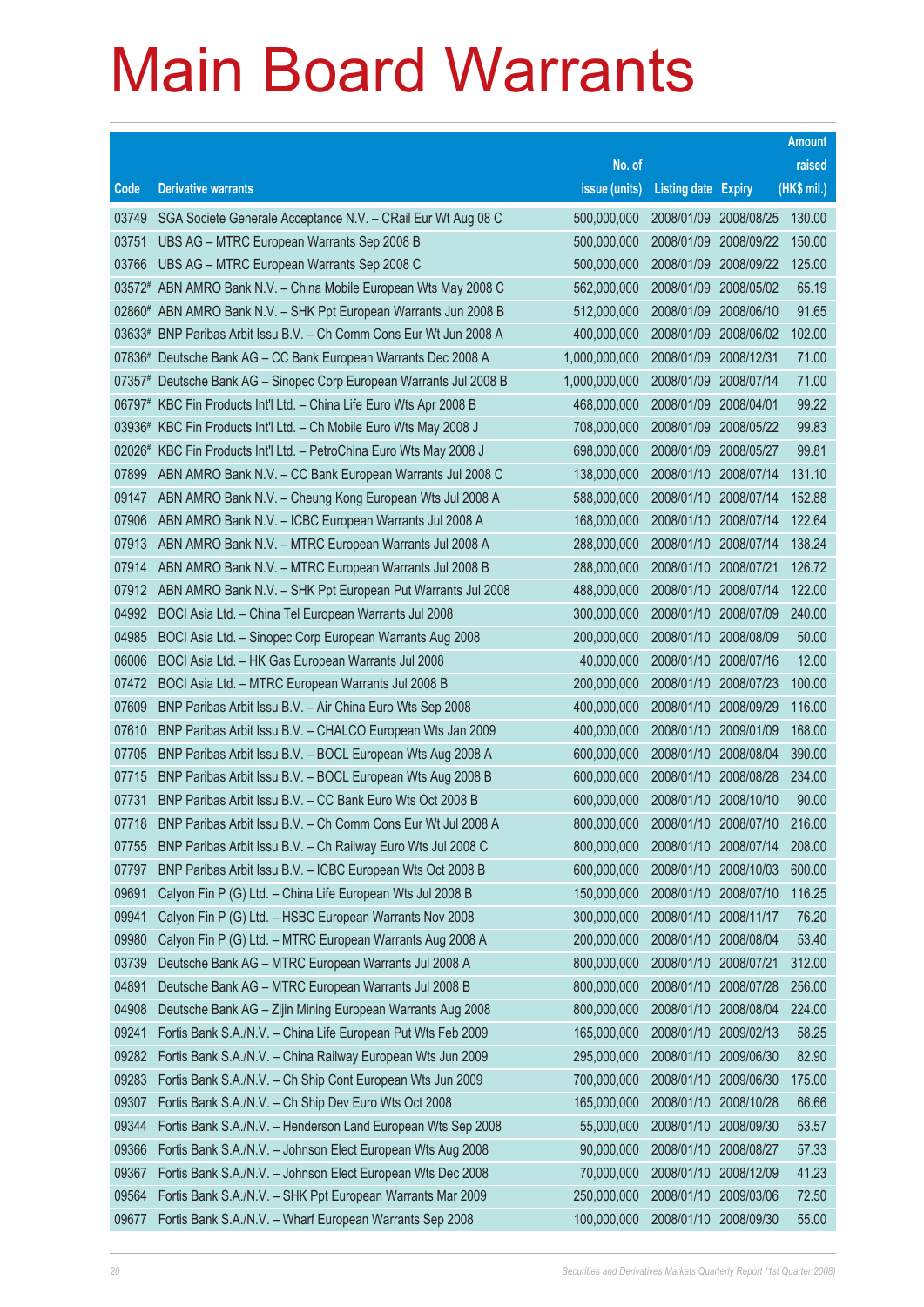|          |                                                                     |                            |                            |            | <b>Amount</b> |
|----------|---------------------------------------------------------------------|----------------------------|----------------------------|------------|---------------|
|          |                                                                     | No. of                     |                            |            | raised        |
| Code     | <b>Derivative warrants</b>                                          | issue (units)              | <b>Listing date Expiry</b> |            | $(HK$$ mil.)  |
| 03749    | SGA Societe Generale Acceptance N.V. - CRail Eur Wt Aug 08 C        | 500,000,000                | 2008/01/09                 | 2008/08/25 | 130.00        |
| 03751    | UBS AG - MTRC European Warrants Sep 2008 B                          | 500,000,000                | 2008/01/09                 | 2008/09/22 | 150.00        |
| 03766    | UBS AG - MTRC European Warrants Sep 2008 C                          | 500,000,000                | 2008/01/09                 | 2008/09/22 | 125.00        |
|          | 03572# ABN AMRO Bank N.V. - China Mobile European Wts May 2008 C    | 562,000,000                | 2008/01/09                 | 2008/05/02 | 65.19         |
|          | 02860# ABN AMRO Bank N.V. - SHK Ppt European Warrants Jun 2008 B    | 512,000,000                | 2008/01/09                 | 2008/06/10 | 91.65         |
| $03633*$ | BNP Paribas Arbit Issu B.V. - Ch Comm Cons Eur Wt Jun 2008 A        | 400,000,000                | 2008/01/09                 | 2008/06/02 | 102.00        |
|          | 07836# Deutsche Bank AG - CC Bank European Warrants Dec 2008 A      | 1,000,000,000              | 2008/01/09                 | 2008/12/31 | 71.00         |
| 07357#   | Deutsche Bank AG - Sinopec Corp European Warrants Jul 2008 B        | 1,000,000,000              | 2008/01/09                 | 2008/07/14 | 71.00         |
|          | 06797# KBC Fin Products Int'l Ltd. - China Life Euro Wts Apr 2008 B | 468,000,000                | 2008/01/09                 | 2008/04/01 | 99.22         |
| 03936#   | KBC Fin Products Int'l Ltd. - Ch Mobile Euro Wts May 2008 J         | 708,000,000                | 2008/01/09                 | 2008/05/22 | 99.83         |
| 02026#   | KBC Fin Products Int'l Ltd. - PetroChina Euro Wts May 2008 J        | 698,000,000                | 2008/01/09                 | 2008/05/27 | 99.81         |
| 07899    | ABN AMRO Bank N.V. - CC Bank European Warrants Jul 2008 C           | 138,000,000                | 2008/01/10 2008/07/14      |            | 131.10        |
| 09147    | ABN AMRO Bank N.V. - Cheung Kong European Wts Jul 2008 A            | 588,000,000                | 2008/01/10 2008/07/14      |            | 152.88        |
| 07906    | ABN AMRO Bank N.V. - ICBC European Warrants Jul 2008 A              | 168,000,000                | 2008/01/10 2008/07/14      |            | 122.64        |
| 07913    | ABN AMRO Bank N.V. - MTRC European Warrants Jul 2008 A              | 288,000,000                | 2008/01/10                 | 2008/07/14 | 138.24        |
| 07914    | ABN AMRO Bank N.V. - MTRC European Warrants Jul 2008 B              | 288,000,000                | 2008/01/10 2008/07/21      |            | 126.72        |
| 07912    | ABN AMRO Bank N.V. - SHK Ppt European Put Warrants Jul 2008         | 488,000,000                | 2008/01/10 2008/07/14      |            | 122.00        |
| 04992    | BOCI Asia Ltd. - China Tel European Warrants Jul 2008               | 300,000,000                | 2008/01/10 2008/07/09      |            | 240.00        |
| 04985    | BOCI Asia Ltd. - Sinopec Corp European Warrants Aug 2008            | 200,000,000                | 2008/01/10                 | 2008/08/09 | 50.00         |
| 06006    | BOCI Asia Ltd. - HK Gas European Warrants Jul 2008                  | 40,000,000                 | 2008/01/10 2008/07/16      |            | 12.00         |
| 07472    | BOCI Asia Ltd. - MTRC European Warrants Jul 2008 B                  | 200,000,000                | 2008/01/10 2008/07/23      |            | 100.00        |
| 07609    | BNP Paribas Arbit Issu B.V. - Air China Euro Wts Sep 2008           | 400,000,000                | 2008/01/10                 | 2008/09/29 | 116.00        |
| 07610    | BNP Paribas Arbit Issu B.V. - CHALCO European Wts Jan 2009          | 400,000,000                | 2008/01/10                 | 2009/01/09 | 168.00        |
| 07705    | BNP Paribas Arbit Issu B.V. - BOCL European Wts Aug 2008 A          | 600,000,000                | 2008/01/10                 | 2008/08/04 | 390.00        |
| 07715    | BNP Paribas Arbit Issu B.V. - BOCL European Wts Aug 2008 B          | 600,000,000                | 2008/01/10 2008/08/28      |            | 234.00        |
| 07731    | BNP Paribas Arbit Issu B.V. - CC Bank Euro Wts Oct 2008 B           | 600,000,000                | 2008/01/10                 | 2008/10/10 | 90.00         |
| 07718    | BNP Paribas Arbit Issu B.V. - Ch Comm Cons Eur Wt Jul 2008 A        | 800,000,000                | 2008/01/10 2008/07/10      |            | 216.00        |
| 07755    | BNP Paribas Arbit Issu B.V. - Ch Railway Euro Wts Jul 2008 C        | 800,000,000                | 2008/01/10 2008/07/14      |            | 208.00        |
| 07797    | BNP Paribas Arbit Issu B.V. - ICBC European Wts Oct 2008 B          | 600,000,000                | 2008/01/10                 | 2008/10/03 | 600.00        |
| 09691    | Calyon Fin P (G) Ltd. - China Life European Wts Jul 2008 B          | 150,000,000                | 2008/01/10                 | 2008/07/10 | 116.25        |
| 09941    | Calyon Fin P (G) Ltd. - HSBC European Warrants Nov 2008             | 300,000,000                | 2008/01/10                 | 2008/11/17 | 76.20         |
| 09980    | Calyon Fin P (G) Ltd. - MTRC European Warrants Aug 2008 A           | 200,000,000                | 2008/01/10                 | 2008/08/04 | 53.40         |
| 03739    | Deutsche Bank AG - MTRC European Warrants Jul 2008 A                | 800,000,000<br>800,000,000 | 2008/01/10<br>2008/01/10   | 2008/07/21 | 312.00        |
| 04891    | Deutsche Bank AG - MTRC European Warrants Jul 2008 B                |                            |                            | 2008/07/28 | 256.00        |
| 04908    | Deutsche Bank AG - Zijin Mining European Warrants Aug 2008          | 800,000,000                | 2008/01/10                 | 2008/08/04 | 224.00        |
| 09241    | Fortis Bank S.A./N.V. - China Life European Put Wts Feb 2009        | 165,000,000                | 2008/01/10                 | 2009/02/13 | 58.25         |
| 09282    | Fortis Bank S.A./N.V. - China Railway European Wts Jun 2009         | 295,000,000                | 2008/01/10                 | 2009/06/30 | 82.90         |
| 09283    | Fortis Bank S.A./N.V. - Ch Ship Cont European Wts Jun 2009          | 700,000,000                | 2008/01/10                 | 2009/06/30 | 175.00        |
| 09307    | Fortis Bank S.A./N.V. - Ch Ship Dev Euro Wts Oct 2008               | 165,000,000                | 2008/01/10                 | 2008/10/28 | 66.66         |
| 09344    | Fortis Bank S.A./N.V. - Henderson Land European Wts Sep 2008        | 55,000,000                 | 2008/01/10                 | 2008/09/30 | 53.57         |
| 09366    | Fortis Bank S.A./N.V. - Johnson Elect European Wts Aug 2008         | 90,000,000                 | 2008/01/10                 | 2008/08/27 | 57.33         |
| 09367    | Fortis Bank S.A./N.V. - Johnson Elect European Wts Dec 2008         | 70,000,000                 | 2008/01/10                 | 2008/12/09 | 41.23         |
| 09564    | Fortis Bank S.A./N.V. - SHK Ppt European Warrants Mar 2009          | 250,000,000                | 2008/01/10                 | 2009/03/06 | 72.50         |
| 09677    | Fortis Bank S.A./N.V. - Wharf European Warrants Sep 2008            | 100,000,000                | 2008/01/10                 | 2008/09/30 | 55.00         |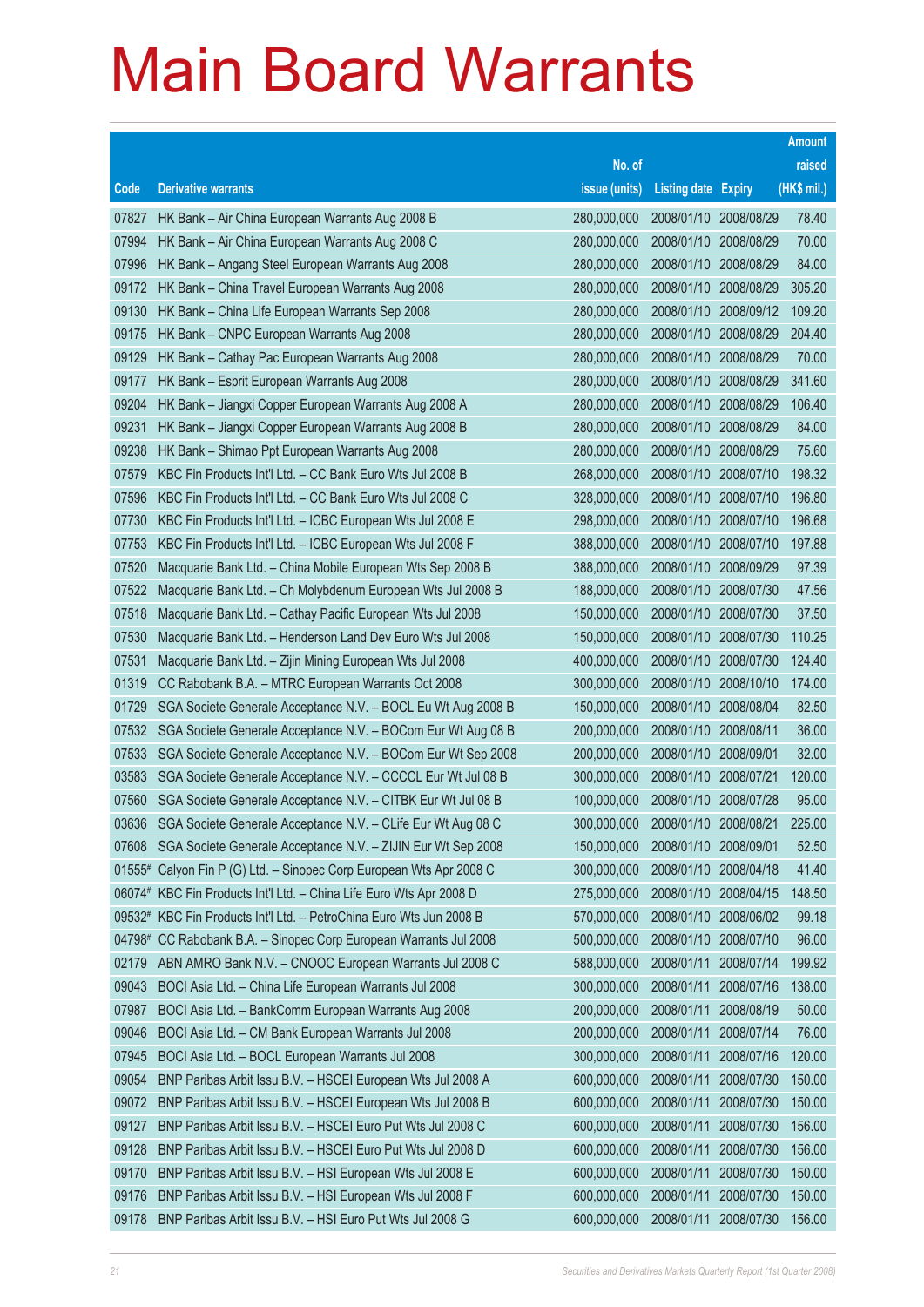|        |                                                                     |               |                            |            | <b>Amount</b> |
|--------|---------------------------------------------------------------------|---------------|----------------------------|------------|---------------|
|        |                                                                     | No. of        |                            |            | raised        |
| Code   | <b>Derivative warrants</b>                                          | issue (units) | <b>Listing date Expiry</b> |            | (HK\$ mil.)   |
| 07827  | HK Bank - Air China European Warrants Aug 2008 B                    | 280,000,000   | 2008/01/10 2008/08/29      |            | 78.40         |
| 07994  | HK Bank - Air China European Warrants Aug 2008 C                    | 280,000,000   | 2008/01/10 2008/08/29      |            | 70.00         |
| 07996  | HK Bank - Angang Steel European Warrants Aug 2008                   | 280,000,000   | 2008/01/10                 | 2008/08/29 | 84.00         |
| 09172  | HK Bank - China Travel European Warrants Aug 2008                   | 280,000,000   | 2008/01/10                 | 2008/08/29 | 305.20        |
| 09130  | HK Bank - China Life European Warrants Sep 2008                     | 280,000,000   | 2008/01/10 2008/09/12      |            | 109.20        |
| 09175  | HK Bank - CNPC European Warrants Aug 2008                           | 280,000,000   | 2008/01/10                 | 2008/08/29 | 204.40        |
| 09129  | HK Bank - Cathay Pac European Warrants Aug 2008                     | 280,000,000   | 2008/01/10                 | 2008/08/29 | 70.00         |
| 09177  | HK Bank - Esprit European Warrants Aug 2008                         | 280,000,000   | 2008/01/10                 | 2008/08/29 | 341.60        |
| 09204  | HK Bank - Jiangxi Copper European Warrants Aug 2008 A               | 280,000,000   | 2008/01/10 2008/08/29      |            | 106.40        |
| 09231  | HK Bank - Jiangxi Copper European Warrants Aug 2008 B               | 280,000,000   | 2008/01/10                 | 2008/08/29 | 84.00         |
| 09238  | HK Bank - Shimao Ppt European Warrants Aug 2008                     | 280,000,000   | 2008/01/10                 | 2008/08/29 | 75.60         |
| 07579  | KBC Fin Products Int'l Ltd. - CC Bank Euro Wts Jul 2008 B           | 268,000,000   | 2008/01/10                 | 2008/07/10 | 198.32        |
| 07596  | KBC Fin Products Int'l Ltd. - CC Bank Euro Wts Jul 2008 C           | 328,000,000   | 2008/01/10 2008/07/10      |            | 196.80        |
| 07730  | KBC Fin Products Int'l Ltd. - ICBC European Wts Jul 2008 E          | 298,000,000   | 2008/01/10                 | 2008/07/10 | 196.68        |
| 07753  | KBC Fin Products Int'l Ltd. - ICBC European Wts Jul 2008 F          | 388,000,000   | 2008/01/10                 | 2008/07/10 | 197.88        |
| 07520  | Macquarie Bank Ltd. - China Mobile European Wts Sep 2008 B          | 388,000,000   | 2008/01/10                 | 2008/09/29 | 97.39         |
| 07522  | Macquarie Bank Ltd. - Ch Molybdenum European Wts Jul 2008 B         | 188,000,000   | 2008/01/10 2008/07/30      |            | 47.56         |
| 07518  | Macquarie Bank Ltd. - Cathay Pacific European Wts Jul 2008          | 150,000,000   | 2008/01/10                 | 2008/07/30 | 37.50         |
| 07530  | Macquarie Bank Ltd. - Henderson Land Dev Euro Wts Jul 2008          | 150,000,000   | 2008/01/10                 | 2008/07/30 | 110.25        |
| 07531  | Macquarie Bank Ltd. - Zijin Mining European Wts Jul 2008            | 400,000,000   | 2008/01/10                 | 2008/07/30 | 124.40        |
| 01319  | CC Rabobank B.A. - MTRC European Warrants Oct 2008                  | 300,000,000   | 2008/01/10                 | 2008/10/10 | 174.00        |
| 01729  | SGA Societe Generale Acceptance N.V. - BOCL Eu Wt Aug 2008 B        | 150,000,000   | 2008/01/10                 | 2008/08/04 | 82.50         |
| 07532  | SGA Societe Generale Acceptance N.V. - BOCom Eur Wt Aug 08 B        | 200,000,000   | 2008/01/10                 | 2008/08/11 | 36.00         |
| 07533  | SGA Societe Generale Acceptance N.V. - BOCom Eur Wt Sep 2008        | 200,000,000   | 2008/01/10                 | 2008/09/01 | 32.00         |
| 03583  | SGA Societe Generale Acceptance N.V. - CCCCL Eur Wt Jul 08 B        | 300,000,000   | 2008/01/10 2008/07/21      |            | 120.00        |
| 07560  | SGA Societe Generale Acceptance N.V. - CITBK Eur Wt Jul 08 B        | 100,000,000   | 2008/01/10                 | 2008/07/28 | 95.00         |
| 03636  | SGA Societe Generale Acceptance N.V. - CLife Eur Wt Aug 08 C        | 300,000,000   | 2008/01/10 2008/08/21      |            | 225.00        |
|        | 07608 SGA Societe Generale Acceptance N.V. - ZIJIN Eur Wt Sep 2008  | 150,000,000   | 2008/01/10 2008/09/01      |            | 52.50         |
|        | 01555# Calyon Fin P (G) Ltd. - Sinopec Corp European Wts Apr 2008 C | 300,000,000   | 2008/01/10                 | 2008/04/18 | 41.40         |
|        | 06074# KBC Fin Products Int'l Ltd. - China Life Euro Wts Apr 2008 D | 275,000,000   | 2008/01/10                 | 2008/04/15 | 148.50        |
|        | 09532# KBC Fin Products Int'l Ltd. - PetroChina Euro Wts Jun 2008 B | 570,000,000   | 2008/01/10 2008/06/02      |            | 99.18         |
| 04798# | CC Rabobank B.A. - Sinopec Corp European Warrants Jul 2008          | 500,000,000   | 2008/01/10                 | 2008/07/10 | 96.00         |
| 02179  | ABN AMRO Bank N.V. - CNOOC European Warrants Jul 2008 C             | 588,000,000   | 2008/01/11                 | 2008/07/14 | 199.92        |
| 09043  | BOCI Asia Ltd. - China Life European Warrants Jul 2008              | 300,000,000   | 2008/01/11                 | 2008/07/16 | 138.00        |
| 07987  | BOCI Asia Ltd. - BankComm European Warrants Aug 2008                | 200,000,000   | 2008/01/11                 | 2008/08/19 | 50.00         |
| 09046  | BOCI Asia Ltd. - CM Bank European Warrants Jul 2008                 | 200,000,000   | 2008/01/11                 | 2008/07/14 | 76.00         |
| 07945  | BOCI Asia Ltd. - BOCL European Warrants Jul 2008                    | 300,000,000   | 2008/01/11                 | 2008/07/16 | 120.00        |
| 09054  | BNP Paribas Arbit Issu B.V. - HSCEI European Wts Jul 2008 A         | 600,000,000   | 2008/01/11                 | 2008/07/30 | 150.00        |
| 09072  | BNP Paribas Arbit Issu B.V. - HSCEI European Wts Jul 2008 B         | 600,000,000   | 2008/01/11                 | 2008/07/30 | 150.00        |
| 09127  | BNP Paribas Arbit Issu B.V. - HSCEI Euro Put Wts Jul 2008 C         | 600,000,000   | 2008/01/11                 | 2008/07/30 | 156.00        |
| 09128  | BNP Paribas Arbit Issu B.V. - HSCEI Euro Put Wts Jul 2008 D         | 600,000,000   | 2008/01/11                 | 2008/07/30 | 156.00        |
| 09170  | BNP Paribas Arbit Issu B.V. - HSI European Wts Jul 2008 E           | 600,000,000   | 2008/01/11                 | 2008/07/30 | 150.00        |
| 09176  | BNP Paribas Arbit Issu B.V. - HSI European Wts Jul 2008 F           | 600,000,000   | 2008/01/11                 | 2008/07/30 | 150.00        |
| 09178  | BNP Paribas Arbit Issu B.V. - HSI Euro Put Wts Jul 2008 G           | 600,000,000   | 2008/01/11                 | 2008/07/30 | 156.00        |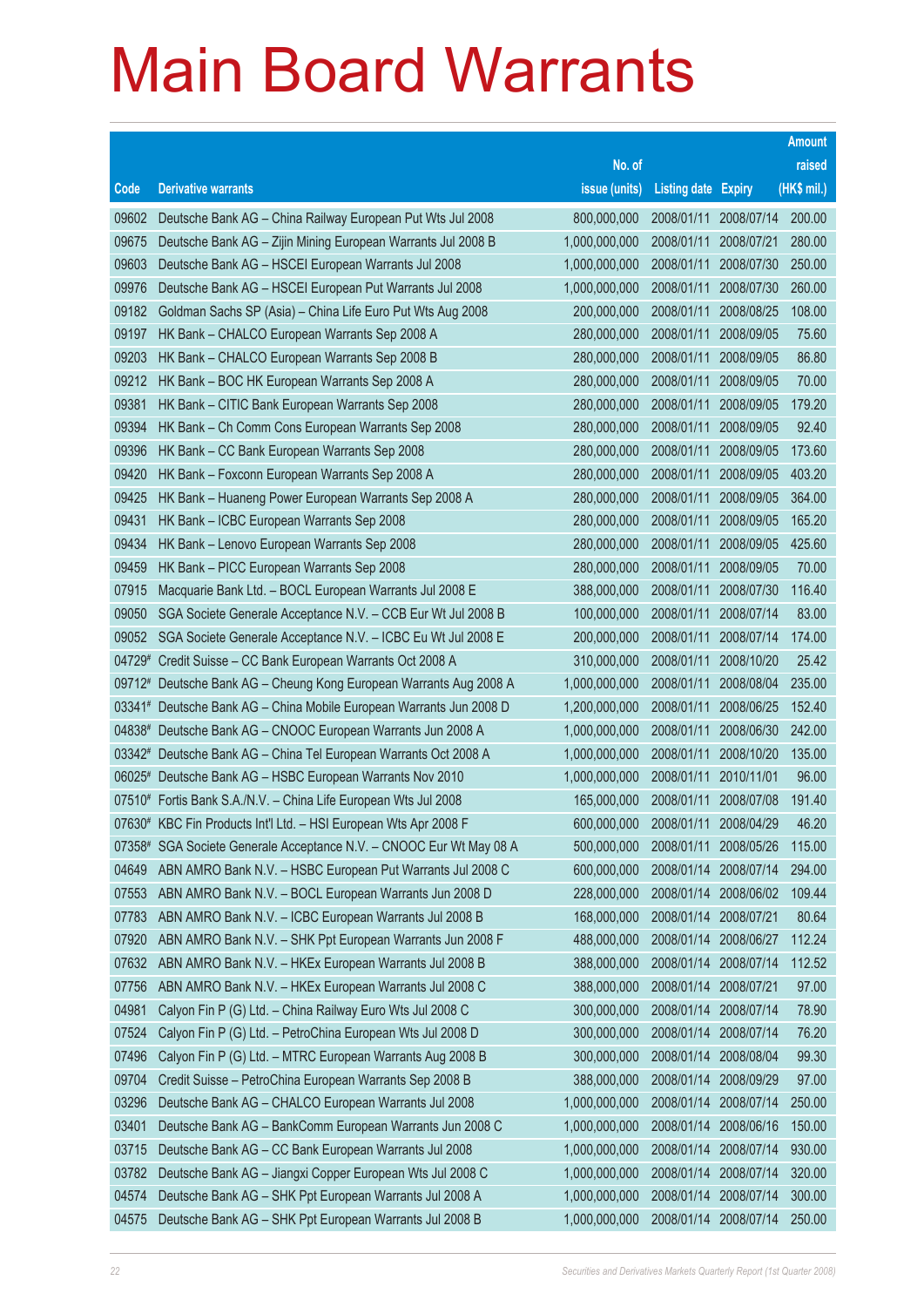|        |                                                                                                                                     |                                |                            |                          | <b>Amount</b>    |
|--------|-------------------------------------------------------------------------------------------------------------------------------------|--------------------------------|----------------------------|--------------------------|------------------|
|        |                                                                                                                                     | No. of                         |                            |                          | raised           |
| Code   | <b>Derivative warrants</b>                                                                                                          | issue (units)                  | <b>Listing date Expiry</b> |                          | (HK\$ mil.)      |
| 09602  | Deutsche Bank AG - China Railway European Put Wts Jul 2008                                                                          | 800,000,000                    | 2008/01/11                 | 2008/07/14               | 200.00           |
| 09675  | Deutsche Bank AG - Zijin Mining European Warrants Jul 2008 B                                                                        | 1,000,000,000                  | 2008/01/11                 | 2008/07/21               | 280.00           |
| 09603  | Deutsche Bank AG - HSCEI European Warrants Jul 2008                                                                                 | 1,000,000,000                  | 2008/01/11                 | 2008/07/30               | 250.00           |
| 09976  | Deutsche Bank AG - HSCEI European Put Warrants Jul 2008                                                                             | 1,000,000,000                  | 2008/01/11                 | 2008/07/30               | 260.00           |
| 09182  | Goldman Sachs SP (Asia) - China Life Euro Put Wts Aug 2008                                                                          | 200,000,000                    | 2008/01/11                 | 2008/08/25               | 108.00           |
| 09197  | HK Bank - CHALCO European Warrants Sep 2008 A                                                                                       | 280,000,000                    | 2008/01/11                 | 2008/09/05               | 75.60            |
| 09203  | HK Bank - CHALCO European Warrants Sep 2008 B                                                                                       | 280,000,000                    | 2008/01/11                 | 2008/09/05               | 86.80            |
| 09212  | HK Bank - BOC HK European Warrants Sep 2008 A                                                                                       | 280,000,000                    | 2008/01/11                 | 2008/09/05               | 70.00            |
| 09381  | HK Bank - CITIC Bank European Warrants Sep 2008                                                                                     | 280,000,000                    | 2008/01/11                 | 2008/09/05               | 179.20           |
| 09394  | HK Bank - Ch Comm Cons European Warrants Sep 2008                                                                                   | 280,000,000                    | 2008/01/11                 | 2008/09/05               | 92.40            |
| 09396  | HK Bank - CC Bank European Warrants Sep 2008                                                                                        | 280,000,000                    | 2008/01/11                 | 2008/09/05               | 173.60           |
| 09420  | HK Bank - Foxconn European Warrants Sep 2008 A                                                                                      | 280,000,000                    | 2008/01/11                 | 2008/09/05               | 403.20           |
| 09425  | HK Bank - Huaneng Power European Warrants Sep 2008 A                                                                                | 280,000,000                    | 2008/01/11                 | 2008/09/05               | 364.00           |
| 09431  | HK Bank - ICBC European Warrants Sep 2008                                                                                           | 280,000,000                    | 2008/01/11                 | 2008/09/05               | 165.20           |
| 09434  | HK Bank - Lenovo European Warrants Sep 2008                                                                                         | 280,000,000                    | 2008/01/11                 | 2008/09/05               | 425.60           |
| 09459  | HK Bank - PICC European Warrants Sep 2008                                                                                           | 280,000,000                    | 2008/01/11                 | 2008/09/05               | 70.00            |
| 07915  | Macquarie Bank Ltd. - BOCL European Warrants Jul 2008 E                                                                             | 388,000,000                    | 2008/01/11                 | 2008/07/30               | 116.40           |
| 09050  | SGA Societe Generale Acceptance N.V. - CCB Eur Wt Jul 2008 B                                                                        | 100,000,000                    | 2008/01/11                 | 2008/07/14               | 83.00            |
| 09052  | SGA Societe Generale Acceptance N.V. - ICBC Eu Wt Jul 2008 E                                                                        | 200,000,000                    | 2008/01/11                 | 2008/07/14               | 174.00           |
| 04729# | Credit Suisse - CC Bank European Warrants Oct 2008 A                                                                                | 310,000,000                    | 2008/01/11                 | 2008/10/20               | 25.42            |
|        | 09712# Deutsche Bank AG - Cheung Kong European Warrants Aug 2008 A                                                                  | 1,000,000,000                  | 2008/01/11<br>2008/01/11   | 2008/08/04               | 235.00<br>152.40 |
|        | 03341# Deutsche Bank AG - China Mobile European Warrants Jun 2008 D<br>04838# Deutsche Bank AG - CNOOC European Warrants Jun 2008 A | 1,200,000,000<br>1,000,000,000 | 2008/01/11                 | 2008/06/25<br>2008/06/30 | 242.00           |
|        | 03342# Deutsche Bank AG - China Tel European Warrants Oct 2008 A                                                                    | 1,000,000,000                  | 2008/01/11                 | 2008/10/20               | 135.00           |
|        | 06025# Deutsche Bank AG - HSBC European Warrants Nov 2010                                                                           | 1,000,000,000                  | 2008/01/11                 | 2010/11/01               | 96.00            |
|        | 07510# Fortis Bank S.A./N.V. - China Life European Wts Jul 2008                                                                     | 165,000,000                    | 2008/01/11                 | 2008/07/08               | 191.40           |
|        | 07630# KBC Fin Products Int'l Ltd. - HSI European Wts Apr 2008 F                                                                    | 600,000,000                    | 2008/01/11                 | 2008/04/29               | 46.20            |
|        | 07358# SGA Societe Generale Acceptance N.V. - CNOOC Eur Wt May 08 A                                                                 | 500,000,000                    | 2008/01/11                 | 2008/05/26               | 115.00           |
| 04649  | ABN AMRO Bank N.V. - HSBC European Put Warrants Jul 2008 C                                                                          | 600,000,000                    | 2008/01/14                 | 2008/07/14               | 294.00           |
| 07553  | ABN AMRO Bank N.V. - BOCL European Warrants Jun 2008 D                                                                              | 228,000,000                    | 2008/01/14                 | 2008/06/02               | 109.44           |
| 07783  | ABN AMRO Bank N.V. - ICBC European Warrants Jul 2008 B                                                                              | 168,000,000                    | 2008/01/14                 | 2008/07/21               | 80.64            |
| 07920  | ABN AMRO Bank N.V. - SHK Ppt European Warrants Jun 2008 F                                                                           | 488,000,000                    | 2008/01/14                 | 2008/06/27               | 112.24           |
| 07632  | ABN AMRO Bank N.V. - HKEx European Warrants Jul 2008 B                                                                              | 388,000,000                    | 2008/01/14                 | 2008/07/14               | 112.52           |
| 07756  | ABN AMRO Bank N.V. - HKEx European Warrants Jul 2008 C                                                                              | 388,000,000                    | 2008/01/14                 | 2008/07/21               | 97.00            |
| 04981  | Calyon Fin P (G) Ltd. - China Railway Euro Wts Jul 2008 C                                                                           | 300,000,000                    | 2008/01/14                 | 2008/07/14               | 78.90            |
| 07524  | Calyon Fin P (G) Ltd. - PetroChina European Wts Jul 2008 D                                                                          | 300,000,000                    | 2008/01/14                 | 2008/07/14               | 76.20            |
| 07496  | Calyon Fin P (G) Ltd. - MTRC European Warrants Aug 2008 B                                                                           | 300,000,000                    | 2008/01/14                 | 2008/08/04               | 99.30            |
| 09704  | Credit Suisse - PetroChina European Warrants Sep 2008 B                                                                             | 388,000,000                    | 2008/01/14                 | 2008/09/29               | 97.00            |
| 03296  | Deutsche Bank AG - CHALCO European Warrants Jul 2008                                                                                | 1,000,000,000                  | 2008/01/14                 | 2008/07/14               | 250.00           |
| 03401  | Deutsche Bank AG - BankComm European Warrants Jun 2008 C                                                                            | 1,000,000,000                  | 2008/01/14                 | 2008/06/16               | 150.00           |
| 03715  | Deutsche Bank AG - CC Bank European Warrants Jul 2008                                                                               | 1,000,000,000                  | 2008/01/14                 | 2008/07/14               | 930.00           |
| 03782  | Deutsche Bank AG - Jiangxi Copper European Wts Jul 2008 C                                                                           | 1,000,000,000                  | 2008/01/14                 | 2008/07/14               | 320.00           |
| 04574  | Deutsche Bank AG - SHK Ppt European Warrants Jul 2008 A                                                                             | 1,000,000,000                  | 2008/01/14                 | 2008/07/14               | 300.00           |
| 04575  | Deutsche Bank AG - SHK Ppt European Warrants Jul 2008 B                                                                             | 1,000,000,000                  | 2008/01/14                 | 2008/07/14               | 250.00           |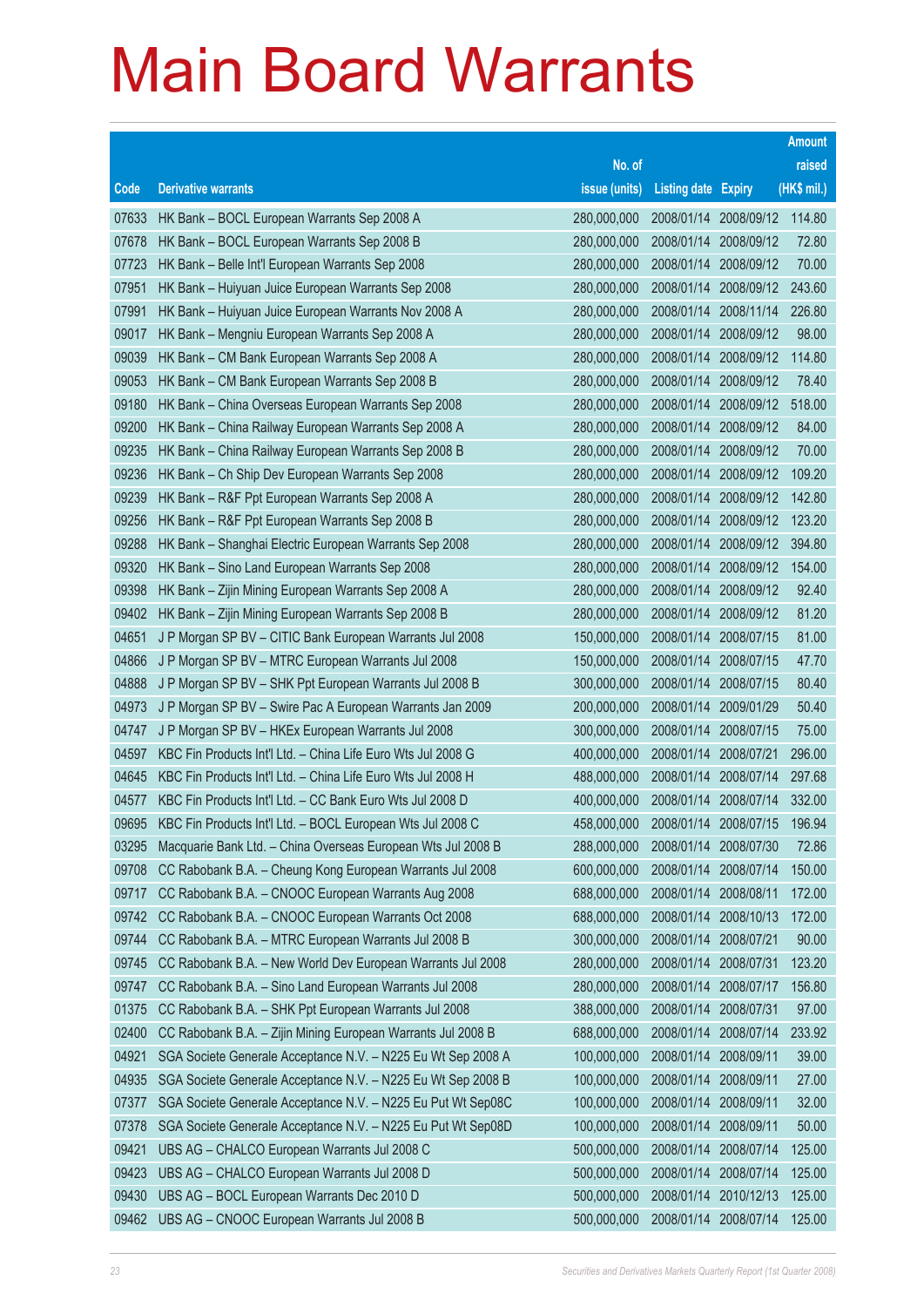|       |                                                              |               |                            |            | <b>Amount</b> |
|-------|--------------------------------------------------------------|---------------|----------------------------|------------|---------------|
|       |                                                              | No. of        |                            |            | raised        |
| Code  | <b>Derivative warrants</b>                                   | issue (units) | <b>Listing date Expiry</b> |            | (HK\$ mil.)   |
| 07633 | HK Bank - BOCL European Warrants Sep 2008 A                  | 280,000,000   | 2008/01/14                 | 2008/09/12 | 114.80        |
| 07678 | HK Bank - BOCL European Warrants Sep 2008 B                  | 280,000,000   | 2008/01/14                 | 2008/09/12 | 72.80         |
| 07723 | HK Bank - Belle Int'l European Warrants Sep 2008             | 280,000,000   | 2008/01/14                 | 2008/09/12 | 70.00         |
| 07951 | HK Bank - Huiyuan Juice European Warrants Sep 2008           | 280,000,000   | 2008/01/14                 | 2008/09/12 | 243.60        |
| 07991 | HK Bank - Huiyuan Juice European Warrants Nov 2008 A         | 280,000,000   | 2008/01/14                 | 2008/11/14 | 226.80        |
| 09017 | HK Bank - Mengniu European Warrants Sep 2008 A               | 280,000,000   | 2008/01/14                 | 2008/09/12 | 98.00         |
| 09039 | HK Bank - CM Bank European Warrants Sep 2008 A               | 280,000,000   | 2008/01/14                 | 2008/09/12 | 114.80        |
| 09053 | HK Bank - CM Bank European Warrants Sep 2008 B               | 280,000,000   | 2008/01/14                 | 2008/09/12 | 78.40         |
| 09180 | HK Bank - China Overseas European Warrants Sep 2008          | 280,000,000   | 2008/01/14                 | 2008/09/12 | 518.00        |
| 09200 | HK Bank - China Railway European Warrants Sep 2008 A         | 280,000,000   | 2008/01/14                 | 2008/09/12 | 84.00         |
| 09235 | HK Bank - China Railway European Warrants Sep 2008 B         | 280,000,000   | 2008/01/14                 | 2008/09/12 | 70.00         |
| 09236 | HK Bank - Ch Ship Dev European Warrants Sep 2008             | 280,000,000   | 2008/01/14                 | 2008/09/12 | 109.20        |
| 09239 | HK Bank - R&F Ppt European Warrants Sep 2008 A               | 280,000,000   | 2008/01/14                 | 2008/09/12 | 142.80        |
| 09256 | HK Bank - R&F Ppt European Warrants Sep 2008 B               | 280,000,000   | 2008/01/14                 | 2008/09/12 | 123.20        |
| 09288 | HK Bank – Shanghai Electric European Warrants Sep 2008       | 280,000,000   | 2008/01/14                 | 2008/09/12 | 394.80        |
| 09320 | HK Bank - Sino Land European Warrants Sep 2008               | 280,000,000   | 2008/01/14                 | 2008/09/12 | 154.00        |
| 09398 | HK Bank - Zijin Mining European Warrants Sep 2008 A          | 280,000,000   | 2008/01/14                 | 2008/09/12 | 92.40         |
| 09402 | HK Bank - Zijin Mining European Warrants Sep 2008 B          | 280,000,000   | 2008/01/14                 | 2008/09/12 | 81.20         |
| 04651 | J P Morgan SP BV - CITIC Bank European Warrants Jul 2008     | 150,000,000   | 2008/01/14                 | 2008/07/15 | 81.00         |
| 04866 | J P Morgan SP BV - MTRC European Warrants Jul 2008           | 150,000,000   | 2008/01/14                 | 2008/07/15 | 47.70         |
| 04888 | J P Morgan SP BV - SHK Ppt European Warrants Jul 2008 B      | 300,000,000   | 2008/01/14                 | 2008/07/15 | 80.40         |
| 04973 | J P Morgan SP BV - Swire Pac A European Warrants Jan 2009    | 200,000,000   | 2008/01/14                 | 2009/01/29 | 50.40         |
| 04747 | J P Morgan SP BV - HKEx European Warrants Jul 2008           | 300,000,000   | 2008/01/14                 | 2008/07/15 | 75.00         |
| 04597 | KBC Fin Products Int'l Ltd. - China Life Euro Wts Jul 2008 G | 400,000,000   | 2008/01/14                 | 2008/07/21 | 296.00        |
| 04645 | KBC Fin Products Int'l Ltd. - China Life Euro Wts Jul 2008 H | 488,000,000   | 2008/01/14                 | 2008/07/14 | 297.68        |
| 04577 | KBC Fin Products Int'l Ltd. - CC Bank Euro Wts Jul 2008 D    | 400,000,000   | 2008/01/14                 | 2008/07/14 | 332.00        |
| 09695 | KBC Fin Products Int'l Ltd. - BOCL European Wts Jul 2008 C   | 458,000,000   | 2008/01/14 2008/07/15      |            | 196.94        |
| 03295 | Macquarie Bank Ltd. - China Overseas European Wts Jul 2008 B | 288,000,000   | 2008/01/14 2008/07/30      |            | 72.86         |
| 09708 | CC Rabobank B.A. - Cheung Kong European Warrants Jul 2008    | 600,000,000   | 2008/01/14                 | 2008/07/14 | 150.00        |
| 09717 | CC Rabobank B.A. - CNOOC European Warrants Aug 2008          | 688,000,000   | 2008/01/14                 | 2008/08/11 | 172.00        |
| 09742 | CC Rabobank B.A. - CNOOC European Warrants Oct 2008          | 688,000,000   | 2008/01/14                 | 2008/10/13 | 172.00        |
| 09744 | CC Rabobank B.A. - MTRC European Warrants Jul 2008 B         | 300,000,000   | 2008/01/14                 | 2008/07/21 | 90.00         |
| 09745 | CC Rabobank B.A. - New World Dev European Warrants Jul 2008  | 280,000,000   | 2008/01/14                 | 2008/07/31 | 123.20        |
| 09747 | CC Rabobank B.A. - Sino Land European Warrants Jul 2008      | 280,000,000   | 2008/01/14                 | 2008/07/17 | 156.80        |
| 01375 | CC Rabobank B.A. - SHK Ppt European Warrants Jul 2008        | 388,000,000   | 2008/01/14                 | 2008/07/31 | 97.00         |
| 02400 | CC Rabobank B.A. - Zijin Mining European Warrants Jul 2008 B | 688,000,000   | 2008/01/14                 | 2008/07/14 | 233.92        |
| 04921 | SGA Societe Generale Acceptance N.V. - N225 Eu Wt Sep 2008 A | 100,000,000   | 2008/01/14                 | 2008/09/11 | 39.00         |
| 04935 | SGA Societe Generale Acceptance N.V. - N225 Eu Wt Sep 2008 B | 100,000,000   | 2008/01/14                 | 2008/09/11 | 27.00         |
| 07377 | SGA Societe Generale Acceptance N.V. - N225 Eu Put Wt Sep08C | 100,000,000   | 2008/01/14                 | 2008/09/11 | 32.00         |
| 07378 | SGA Societe Generale Acceptance N.V. - N225 Eu Put Wt Sep08D | 100,000,000   | 2008/01/14                 | 2008/09/11 | 50.00         |
| 09421 | UBS AG - CHALCO European Warrants Jul 2008 C                 | 500,000,000   | 2008/01/14                 | 2008/07/14 | 125.00        |
| 09423 | UBS AG - CHALCO European Warrants Jul 2008 D                 | 500,000,000   | 2008/01/14                 | 2008/07/14 | 125.00        |
| 09430 | UBS AG - BOCL European Warrants Dec 2010 D                   | 500,000,000   | 2008/01/14                 | 2010/12/13 | 125.00        |
| 09462 | UBS AG - CNOOC European Warrants Jul 2008 B                  | 500,000,000   | 2008/01/14                 | 2008/07/14 | 125.00        |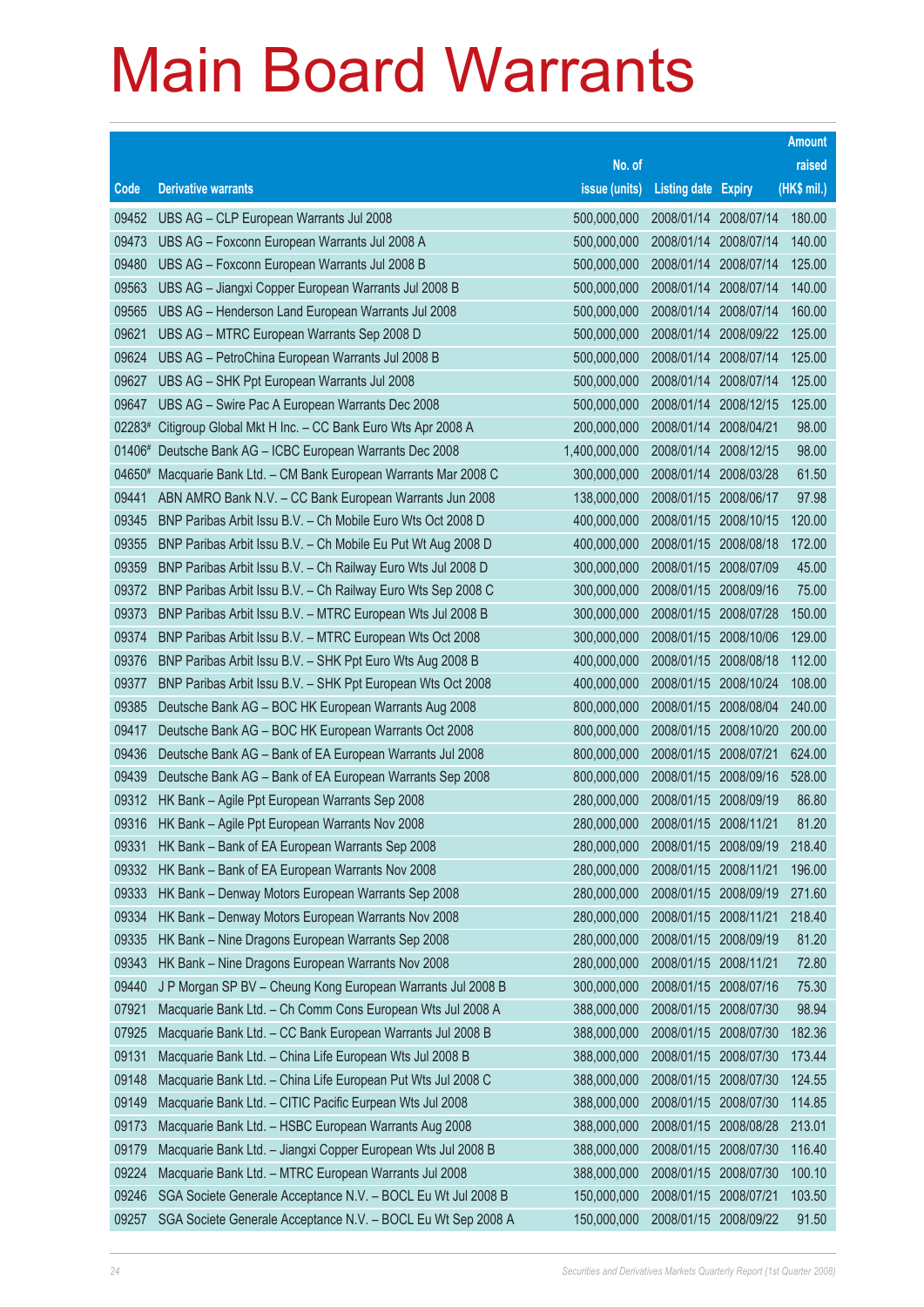|        |                                                              |               |                            |            | <b>Amount</b> |
|--------|--------------------------------------------------------------|---------------|----------------------------|------------|---------------|
|        |                                                              | No. of        |                            |            | raised        |
| Code   | <b>Derivative warrants</b>                                   | issue (units) | <b>Listing date Expiry</b> |            | (HK\$ mil.)   |
| 09452  | UBS AG - CLP European Warrants Jul 2008                      | 500,000,000   | 2008/01/14 2008/07/14      |            | 180.00        |
| 09473  | UBS AG - Foxconn European Warrants Jul 2008 A                | 500,000,000   | 2008/01/14 2008/07/14      |            | 140.00        |
| 09480  | UBS AG - Foxconn European Warrants Jul 2008 B                | 500,000,000   | 2008/01/14                 | 2008/07/14 | 125.00        |
| 09563  | UBS AG - Jiangxi Copper European Warrants Jul 2008 B         | 500,000,000   | 2008/01/14 2008/07/14      |            | 140.00        |
| 09565  | UBS AG - Henderson Land European Warrants Jul 2008           | 500,000,000   | 2008/01/14                 | 2008/07/14 | 160.00        |
| 09621  | UBS AG - MTRC European Warrants Sep 2008 D                   | 500,000,000   | 2008/01/14 2008/09/22      |            | 125.00        |
| 09624  | UBS AG - PetroChina European Warrants Jul 2008 B             | 500,000,000   | 2008/01/14                 | 2008/07/14 | 125.00        |
| 09627  | UBS AG - SHK Ppt European Warrants Jul 2008                  | 500,000,000   | 2008/01/14 2008/07/14      |            | 125.00        |
| 09647  | UBS AG - Swire Pac A European Warrants Dec 2008              | 500,000,000   | 2008/01/14 2008/12/15      |            | 125.00        |
| 02283# | Citigroup Global Mkt H Inc. - CC Bank Euro Wts Apr 2008 A    | 200,000,000   | 2008/01/14 2008/04/21      |            | 98.00         |
| 01406# | Deutsche Bank AG - ICBC European Warrants Dec 2008           | 1,400,000,000 | 2008/01/14                 | 2008/12/15 | 98.00         |
| 04650# | Macquarie Bank Ltd. - CM Bank European Warrants Mar 2008 C   | 300,000,000   | 2008/01/14 2008/03/28      |            | 61.50         |
| 09441  | ABN AMRO Bank N.V. - CC Bank European Warrants Jun 2008      | 138,000,000   | 2008/01/15                 | 2008/06/17 | 97.98         |
| 09345  | BNP Paribas Arbit Issu B.V. - Ch Mobile Euro Wts Oct 2008 D  | 400,000,000   | 2008/01/15 2008/10/15      |            | 120.00        |
| 09355  | BNP Paribas Arbit Issu B.V. - Ch Mobile Eu Put Wt Aug 2008 D | 400,000,000   | 2008/01/15                 | 2008/08/18 | 172.00        |
| 09359  | BNP Paribas Arbit Issu B.V. - Ch Railway Euro Wts Jul 2008 D | 300,000,000   | 2008/01/15 2008/07/09      |            | 45.00         |
| 09372  | BNP Paribas Arbit Issu B.V. - Ch Railway Euro Wts Sep 2008 C | 300,000,000   | 2008/01/15                 | 2008/09/16 | 75.00         |
| 09373  | BNP Paribas Arbit Issu B.V. - MTRC European Wts Jul 2008 B   | 300,000,000   | 2008/01/15 2008/07/28      |            | 150.00        |
| 09374  | BNP Paribas Arbit Issu B.V. - MTRC European Wts Oct 2008     | 300,000,000   | 2008/01/15                 | 2008/10/06 | 129.00        |
| 09376  | BNP Paribas Arbit Issu B.V. - SHK Ppt Euro Wts Aug 2008 B    | 400,000,000   | 2008/01/15                 | 2008/08/18 | 112.00        |
| 09377  | BNP Paribas Arbit Issu B.V. - SHK Ppt European Wts Oct 2008  | 400,000,000   | 2008/01/15                 | 2008/10/24 | 108.00        |
| 09385  | Deutsche Bank AG - BOC HK European Warrants Aug 2008         | 800,000,000   | 2008/01/15                 | 2008/08/04 | 240.00        |
| 09417  | Deutsche Bank AG - BOC HK European Warrants Oct 2008         | 800,000,000   | 2008/01/15                 | 2008/10/20 | 200.00        |
| 09436  | Deutsche Bank AG - Bank of EA European Warrants Jul 2008     | 800,000,000   | 2008/01/15 2008/07/21      |            | 624.00        |
| 09439  | Deutsche Bank AG - Bank of EA European Warrants Sep 2008     | 800,000,000   | 2008/01/15 2008/09/16      |            | 528.00        |
| 09312  | HK Bank - Agile Ppt European Warrants Sep 2008               | 280,000,000   | 2008/01/15 2008/09/19      |            | 86.80         |
| 09316  | HK Bank - Agile Ppt European Warrants Nov 2008               | 280,000,000   | 2008/01/15 2008/11/21      |            | 81.20         |
| 09331  | HK Bank - Bank of EA European Warrants Sep 2008              | 280,000,000   | 2008/01/15 2008/09/19      |            | 218.40        |
| 09332  | HK Bank - Bank of EA European Warrants Nov 2008              | 280,000,000   | 2008/01/15 2008/11/21      |            | 196.00        |
| 09333  | HK Bank - Denway Motors European Warrants Sep 2008           | 280,000,000   | 2008/01/15 2008/09/19      |            | 271.60        |
| 09334  | HK Bank - Denway Motors European Warrants Nov 2008           | 280,000,000   | 2008/01/15 2008/11/21      |            | 218.40        |
| 09335  | HK Bank - Nine Dragons European Warrants Sep 2008            | 280,000,000   | 2008/01/15 2008/09/19      |            | 81.20         |
| 09343  | HK Bank - Nine Dragons European Warrants Nov 2008            | 280,000,000   | 2008/01/15 2008/11/21      |            | 72.80         |
| 09440  | J P Morgan SP BV - Cheung Kong European Warrants Jul 2008 B  | 300,000,000   | 2008/01/15 2008/07/16      |            | 75.30         |
| 07921  | Macquarie Bank Ltd. - Ch Comm Cons European Wts Jul 2008 A   | 388,000,000   | 2008/01/15 2008/07/30      |            | 98.94         |
| 07925  | Macquarie Bank Ltd. - CC Bank European Warrants Jul 2008 B   | 388,000,000   | 2008/01/15 2008/07/30      |            | 182.36        |
| 09131  | Macquarie Bank Ltd. - China Life European Wts Jul 2008 B     | 388,000,000   | 2008/01/15                 | 2008/07/30 | 173.44        |
| 09148  | Macquarie Bank Ltd. - China Life European Put Wts Jul 2008 C | 388,000,000   | 2008/01/15                 | 2008/07/30 | 124.55        |
| 09149  | Macquarie Bank Ltd. - CITIC Pacific Eurpean Wts Jul 2008     | 388,000,000   | 2008/01/15 2008/07/30      |            | 114.85        |
| 09173  | Macquarie Bank Ltd. - HSBC European Warrants Aug 2008        | 388,000,000   | 2008/01/15 2008/08/28      |            | 213.01        |
| 09179  | Macquarie Bank Ltd. - Jiangxi Copper European Wts Jul 2008 B | 388,000,000   | 2008/01/15 2008/07/30      |            | 116.40        |
| 09224  | Macquarie Bank Ltd. - MTRC European Warrants Jul 2008        | 388,000,000   | 2008/01/15 2008/07/30      |            | 100.10        |
| 09246  | SGA Societe Generale Acceptance N.V. - BOCL Eu Wt Jul 2008 B | 150,000,000   | 2008/01/15 2008/07/21      |            | 103.50        |
| 09257  | SGA Societe Generale Acceptance N.V. - BOCL Eu Wt Sep 2008 A | 150,000,000   | 2008/01/15 2008/09/22      |            | 91.50         |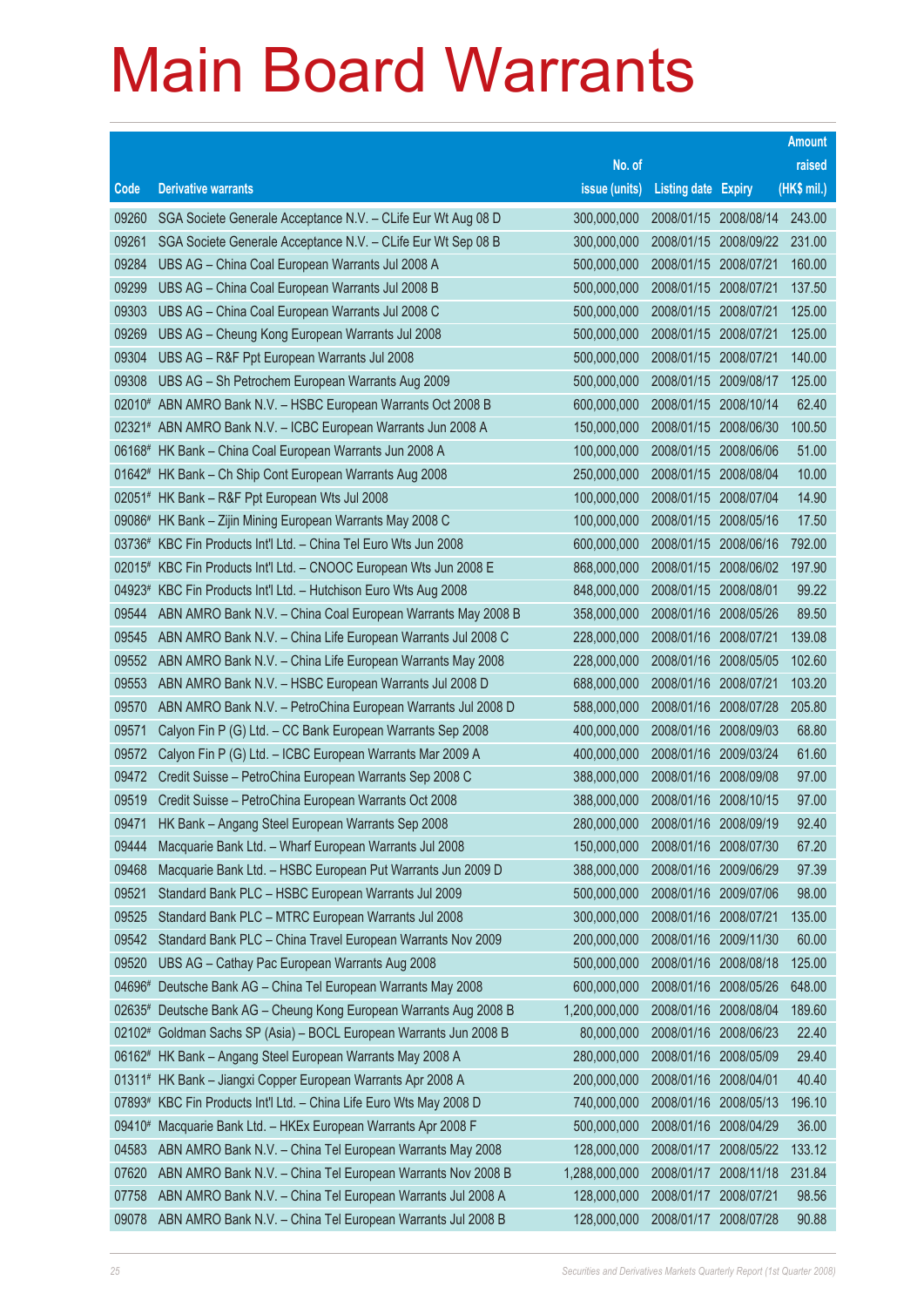|        |                                                                     |               |                            |            | <b>Amount</b> |
|--------|---------------------------------------------------------------------|---------------|----------------------------|------------|---------------|
|        |                                                                     | No. of        |                            |            | raised        |
| Code   | <b>Derivative warrants</b>                                          | issue (units) | <b>Listing date Expiry</b> |            | (HK\$ mil.)   |
| 09260  | SGA Societe Generale Acceptance N.V. - CLife Eur Wt Aug 08 D        | 300,000,000   | 2008/01/15 2008/08/14      |            | 243.00        |
| 09261  | SGA Societe Generale Acceptance N.V. - CLife Eur Wt Sep 08 B        | 300,000,000   | 2008/01/15                 | 2008/09/22 | 231.00        |
| 09284  | UBS AG - China Coal European Warrants Jul 2008 A                    | 500,000,000   | 2008/01/15                 | 2008/07/21 | 160.00        |
| 09299  | UBS AG - China Coal European Warrants Jul 2008 B                    | 500,000,000   | 2008/01/15                 | 2008/07/21 | 137.50        |
| 09303  | UBS AG - China Coal European Warrants Jul 2008 C                    | 500,000,000   | 2008/01/15                 | 2008/07/21 | 125.00        |
| 09269  | UBS AG - Cheung Kong European Warrants Jul 2008                     | 500,000,000   | 2008/01/15                 | 2008/07/21 | 125.00        |
| 09304  | UBS AG - R&F Ppt European Warrants Jul 2008                         | 500,000,000   | 2008/01/15                 | 2008/07/21 | 140.00        |
| 09308  | UBS AG - Sh Petrochem European Warrants Aug 2009                    | 500,000,000   | 2008/01/15                 | 2009/08/17 | 125.00        |
|        | 02010# ABN AMRO Bank N.V. - HSBC European Warrants Oct 2008 B       | 600,000,000   | 2008/01/15                 | 2008/10/14 | 62.40         |
|        | 02321# ABN AMRO Bank N.V. - ICBC European Warrants Jun 2008 A       | 150,000,000   | 2008/01/15                 | 2008/06/30 | 100.50        |
|        | 06168# HK Bank - China Coal European Warrants Jun 2008 A            | 100,000,000   | 2008/01/15                 | 2008/06/06 | 51.00         |
|        | 01642# HK Bank - Ch Ship Cont European Warrants Aug 2008            | 250,000,000   | 2008/01/15                 | 2008/08/04 | 10.00         |
|        | 02051# HK Bank - R&F Ppt European Wts Jul 2008                      | 100,000,000   | 2008/01/15                 | 2008/07/04 | 14.90         |
|        | 09086# HK Bank - Zijin Mining European Warrants May 2008 C          | 100,000,000   | 2008/01/15                 | 2008/05/16 | 17.50         |
|        | 03736# KBC Fin Products Int'l Ltd. - China Tel Euro Wts Jun 2008    | 600,000,000   | 2008/01/15                 | 2008/06/16 | 792.00        |
|        | 02015# KBC Fin Products Int'l Ltd. - CNOOC European Wts Jun 2008 E  | 868,000,000   | 2008/01/15                 | 2008/06/02 | 197.90        |
|        | 04923# KBC Fin Products Int'l Ltd. - Hutchison Euro Wts Aug 2008    | 848,000,000   | 2008/01/15                 | 2008/08/01 | 99.22         |
| 09544  | ABN AMRO Bank N.V. - China Coal European Warrants May 2008 B        | 358,000,000   | 2008/01/16                 | 2008/05/26 | 89.50         |
| 09545  | ABN AMRO Bank N.V. - China Life European Warrants Jul 2008 C        | 228,000,000   | 2008/01/16                 | 2008/07/21 | 139.08        |
| 09552  | ABN AMRO Bank N.V. - China Life European Warrants May 2008          | 228,000,000   | 2008/01/16                 | 2008/05/05 | 102.60        |
| 09553  | ABN AMRO Bank N.V. - HSBC European Warrants Jul 2008 D              | 688,000,000   | 2008/01/16                 | 2008/07/21 | 103.20        |
| 09570  | ABN AMRO Bank N.V. - PetroChina European Warrants Jul 2008 D        | 588,000,000   | 2008/01/16                 | 2008/07/28 | 205.80        |
| 09571  | Calyon Fin P (G) Ltd. - CC Bank European Warrants Sep 2008          | 400,000,000   | 2008/01/16                 | 2008/09/03 | 68.80         |
| 09572  | Calyon Fin P (G) Ltd. - ICBC European Warrants Mar 2009 A           | 400,000,000   | 2008/01/16                 | 2009/03/24 | 61.60         |
| 09472  | Credit Suisse - PetroChina European Warrants Sep 2008 C             | 388,000,000   | 2008/01/16                 | 2008/09/08 | 97.00         |
| 09519  | Credit Suisse - PetroChina European Warrants Oct 2008               | 388,000,000   | 2008/01/16                 | 2008/10/15 | 97.00         |
| 09471  | HK Bank - Angang Steel European Warrants Sep 2008                   | 280,000,000   | 2008/01/16                 | 2008/09/19 | 92.40         |
| 09444  | Macquarie Bank Ltd. - Wharf European Warrants Jul 2008              | 150,000,000   | 2008/01/16 2008/07/30      |            | 67.20         |
| 09468  | Macquarie Bank Ltd. - HSBC European Put Warrants Jun 2009 D         | 388,000,000   | 2008/01/16                 | 2009/06/29 | 97.39         |
| 09521  | Standard Bank PLC - HSBC European Warrants Jul 2009                 | 500,000,000   | 2008/01/16 2009/07/06      |            | 98.00         |
| 09525  | Standard Bank PLC - MTRC European Warrants Jul 2008                 | 300,000,000   | 2008/01/16                 | 2008/07/21 | 135.00        |
| 09542  | Standard Bank PLC - China Travel European Warrants Nov 2009         | 200,000,000   | 2008/01/16                 | 2009/11/30 | 60.00         |
| 09520  | UBS AG - Cathay Pac European Warrants Aug 2008                      | 500,000,000   | 2008/01/16                 | 2008/08/18 | 125.00        |
| 04696# | Deutsche Bank AG - China Tel European Warrants May 2008             | 600,000,000   | 2008/01/16                 | 2008/05/26 | 648.00        |
|        | 02635# Deutsche Bank AG - Cheung Kong European Warrants Aug 2008 B  | 1,200,000,000 | 2008/01/16                 | 2008/08/04 | 189.60        |
|        | 02102# Goldman Sachs SP (Asia) - BOCL European Warrants Jun 2008 B  | 80,000,000    | 2008/01/16                 | 2008/06/23 | 22.40         |
|        | 06162# HK Bank - Angang Steel European Warrants May 2008 A          | 280,000,000   | 2008/01/16                 | 2008/05/09 | 29.40         |
|        | 01311# HK Bank - Jiangxi Copper European Warrants Apr 2008 A        | 200,000,000   | 2008/01/16                 | 2008/04/01 | 40.40         |
|        | 07893# KBC Fin Products Int'l Ltd. - China Life Euro Wts May 2008 D | 740,000,000   | 2008/01/16                 | 2008/05/13 | 196.10        |
| 09410# | Macquarie Bank Ltd. - HKEx European Warrants Apr 2008 F             | 500,000,000   | 2008/01/16                 | 2008/04/29 | 36.00         |
| 04583  | ABN AMRO Bank N.V. - China Tel European Warrants May 2008           | 128,000,000   | 2008/01/17                 | 2008/05/22 | 133.12        |
| 07620  | ABN AMRO Bank N.V. - China Tel European Warrants Nov 2008 B         | 1,288,000,000 | 2008/01/17                 | 2008/11/18 | 231.84        |
| 07758  | ABN AMRO Bank N.V. - China Tel European Warrants Jul 2008 A         | 128,000,000   | 2008/01/17 2008/07/21      |            | 98.56         |
| 09078  | ABN AMRO Bank N.V. - China Tel European Warrants Jul 2008 B         | 128,000,000   | 2008/01/17                 | 2008/07/28 | 90.88         |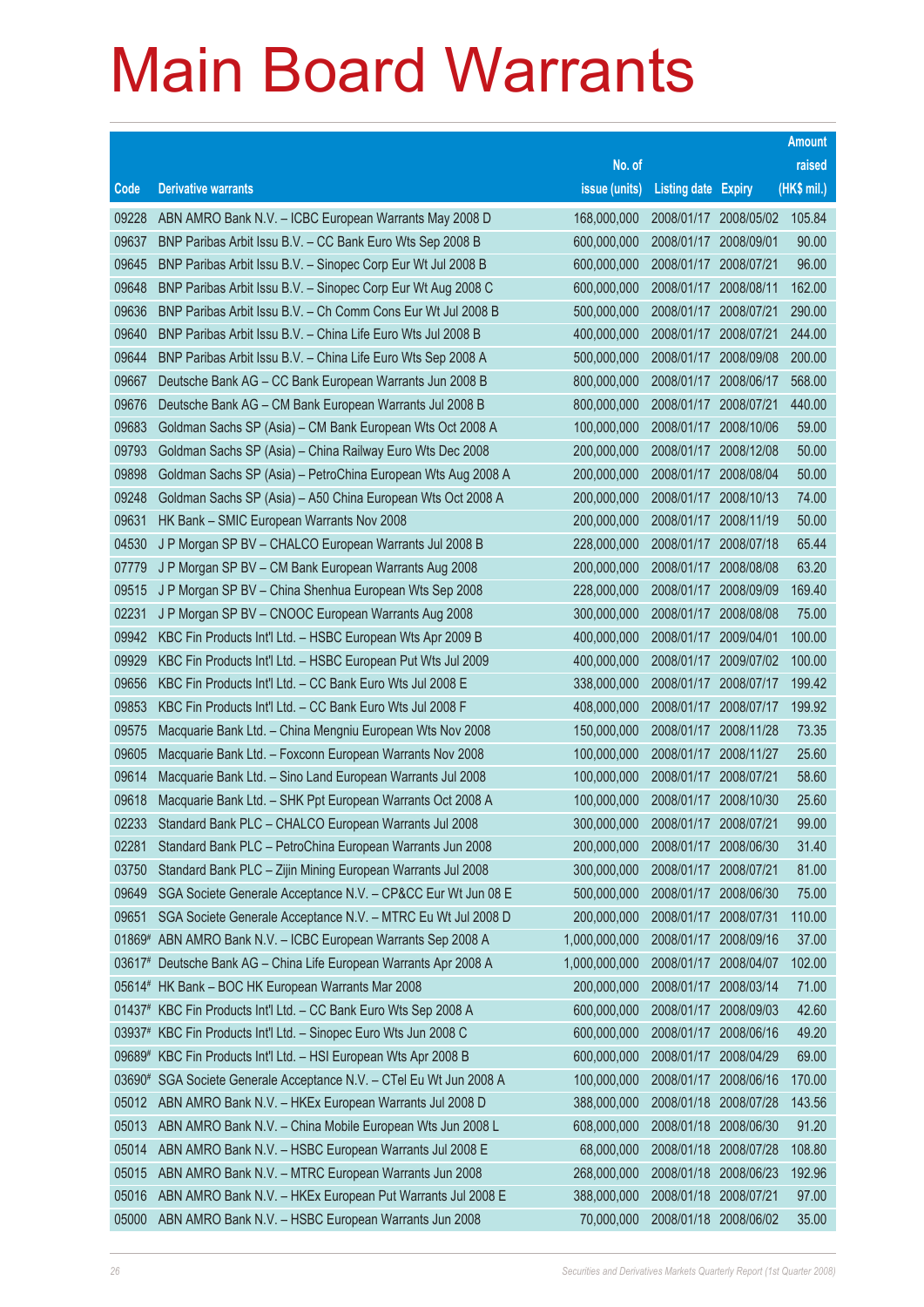|       |                                                                     |               |                            |            | <b>Amount</b> |
|-------|---------------------------------------------------------------------|---------------|----------------------------|------------|---------------|
|       |                                                                     | No. of        |                            |            | raised        |
| Code  | <b>Derivative warrants</b>                                          | issue (units) | <b>Listing date Expiry</b> |            | (HK\$ mil.)   |
| 09228 | ABN AMRO Bank N.V. - ICBC European Warrants May 2008 D              | 168,000,000   | 2008/01/17 2008/05/02      |            | 105.84        |
| 09637 | BNP Paribas Arbit Issu B.V. - CC Bank Euro Wts Sep 2008 B           | 600,000,000   | 2008/01/17 2008/09/01      |            | 90.00         |
| 09645 | BNP Paribas Arbit Issu B.V. - Sinopec Corp Eur Wt Jul 2008 B        | 600,000,000   | 2008/01/17 2008/07/21      |            | 96.00         |
| 09648 | BNP Paribas Arbit Issu B.V. - Sinopec Corp Eur Wt Aug 2008 C        | 600,000,000   | 2008/01/17 2008/08/11      |            | 162.00        |
| 09636 | BNP Paribas Arbit Issu B.V. - Ch Comm Cons Eur Wt Jul 2008 B        | 500,000,000   | 2008/01/17 2008/07/21      |            | 290.00        |
| 09640 | BNP Paribas Arbit Issu B.V. - China Life Euro Wts Jul 2008 B        | 400,000,000   | 2008/01/17 2008/07/21      |            | 244.00        |
| 09644 | BNP Paribas Arbit Issu B.V. - China Life Euro Wts Sep 2008 A        | 500,000,000   | 2008/01/17                 | 2008/09/08 | 200.00        |
| 09667 | Deutsche Bank AG - CC Bank European Warrants Jun 2008 B             | 800,000,000   | 2008/01/17 2008/06/17      |            | 568.00        |
| 09676 | Deutsche Bank AG - CM Bank European Warrants Jul 2008 B             | 800,000,000   | 2008/01/17 2008/07/21      |            | 440.00        |
| 09683 | Goldman Sachs SP (Asia) - CM Bank European Wts Oct 2008 A           | 100,000,000   | 2008/01/17 2008/10/06      |            | 59.00         |
| 09793 | Goldman Sachs SP (Asia) - China Railway Euro Wts Dec 2008           | 200,000,000   | 2008/01/17                 | 2008/12/08 | 50.00         |
| 09898 | Goldman Sachs SP (Asia) - PetroChina European Wts Aug 2008 A        | 200,000,000   | 2008/01/17 2008/08/04      |            | 50.00         |
| 09248 | Goldman Sachs SP (Asia) - A50 China European Wts Oct 2008 A         | 200,000,000   | 2008/01/17 2008/10/13      |            | 74.00         |
| 09631 | HK Bank - SMIC European Warrants Nov 2008                           | 200,000,000   | 2008/01/17 2008/11/19      |            | 50.00         |
| 04530 | J P Morgan SP BV - CHALCO European Warrants Jul 2008 B              | 228,000,000   | 2008/01/17                 | 2008/07/18 | 65.44         |
| 07779 | J P Morgan SP BV - CM Bank European Warrants Aug 2008               | 200,000,000   | 2008/01/17 2008/08/08      |            | 63.20         |
| 09515 | J P Morgan SP BV - China Shenhua European Wts Sep 2008              | 228,000,000   | 2008/01/17 2008/09/09      |            | 169.40        |
| 02231 | J P Morgan SP BV - CNOOC European Warrants Aug 2008                 | 300,000,000   | 2008/01/17                 | 2008/08/08 | 75.00         |
| 09942 | KBC Fin Products Int'l Ltd. - HSBC European Wts Apr 2009 B          | 400,000,000   | 2008/01/17                 | 2009/04/01 | 100.00        |
| 09929 | KBC Fin Products Int'l Ltd. - HSBC European Put Wts Jul 2009        | 400,000,000   | 2008/01/17 2009/07/02      |            | 100.00        |
| 09656 | KBC Fin Products Int'l Ltd. - CC Bank Euro Wts Jul 2008 E           | 338,000,000   | 2008/01/17 2008/07/17      |            | 199.42        |
| 09853 | KBC Fin Products Int'l Ltd. - CC Bank Euro Wts Jul 2008 F           | 408,000,000   | 2008/01/17 2008/07/17      |            | 199.92        |
| 09575 | Macquarie Bank Ltd. - China Mengniu European Wts Nov 2008           | 150,000,000   | 2008/01/17 2008/11/28      |            | 73.35         |
| 09605 | Macquarie Bank Ltd. - Foxconn European Warrants Nov 2008            | 100,000,000   | 2008/01/17 2008/11/27      |            | 25.60         |
| 09614 | Macquarie Bank Ltd. - Sino Land European Warrants Jul 2008          | 100,000,000   | 2008/01/17 2008/07/21      |            | 58.60         |
| 09618 | Macquarie Bank Ltd. - SHK Ppt European Warrants Oct 2008 A          | 100,000,000   | 2008/01/17                 | 2008/10/30 | 25.60         |
| 02233 | Standard Bank PLC - CHALCO European Warrants Jul 2008               | 300,000,000   | 2008/01/17                 | 2008/07/21 | 99.00         |
| 02281 | Standard Bank PLC - PetroChina European Warrants Jun 2008           | 200,000,000   | 2008/01/17 2008/06/30      |            | 31.40         |
| 03750 | Standard Bank PLC - Zijin Mining European Warrants Jul 2008         | 300,000,000   | 2008/01/17                 | 2008/07/21 | 81.00         |
| 09649 | SGA Societe Generale Acceptance N.V. - CP&CC Eur Wt Jun 08 E        | 500,000,000   | 2008/01/17                 | 2008/06/30 | 75.00         |
| 09651 | SGA Societe Generale Acceptance N.V. - MTRC Eu Wt Jul 2008 D        | 200,000,000   | 2008/01/17                 | 2008/07/31 | 110.00        |
|       | 01869# ABN AMRO Bank N.V. - ICBC European Warrants Sep 2008 A       | 1,000,000,000 | 2008/01/17                 | 2008/09/16 | 37.00         |
|       | 03617# Deutsche Bank AG - China Life European Warrants Apr 2008 A   | 1,000,000,000 | 2008/01/17                 | 2008/04/07 | 102.00        |
|       | 05614# HK Bank - BOC HK European Warrants Mar 2008                  | 200,000,000   | 2008/01/17                 | 2008/03/14 | 71.00         |
|       | 01437# KBC Fin Products Int'l Ltd. - CC Bank Euro Wts Sep 2008 A    | 600,000,000   | 2008/01/17                 | 2008/09/03 | 42.60         |
|       | 03937# KBC Fin Products Int'l Ltd. - Sinopec Euro Wts Jun 2008 C    | 600,000,000   | 2008/01/17                 | 2008/06/16 | 49.20         |
|       | 09689# KBC Fin Products Int'l Ltd. - HSI European Wts Apr 2008 B    | 600,000,000   | 2008/01/17                 | 2008/04/29 | 69.00         |
|       | 03690# SGA Societe Generale Acceptance N.V. - CTel Eu Wt Jun 2008 A | 100,000,000   | 2008/01/17                 | 2008/06/16 | 170.00        |
| 05012 | ABN AMRO Bank N.V. - HKEx European Warrants Jul 2008 D              | 388,000,000   | 2008/01/18                 | 2008/07/28 | 143.56        |
| 05013 | ABN AMRO Bank N.V. - China Mobile European Wts Jun 2008 L           | 608,000,000   | 2008/01/18                 | 2008/06/30 | 91.20         |
| 05014 | ABN AMRO Bank N.V. - HSBC European Warrants Jul 2008 E              | 68,000,000    | 2008/01/18                 | 2008/07/28 | 108.80        |
| 05015 | ABN AMRO Bank N.V. - MTRC European Warrants Jun 2008                | 268,000,000   | 2008/01/18                 | 2008/06/23 | 192.96        |
| 05016 | ABN AMRO Bank N.V. - HKEx European Put Warrants Jul 2008 E          | 388,000,000   | 2008/01/18                 | 2008/07/21 | 97.00         |
| 05000 | ABN AMRO Bank N.V. - HSBC European Warrants Jun 2008                | 70,000,000    | 2008/01/18 2008/06/02      |            | 35.00         |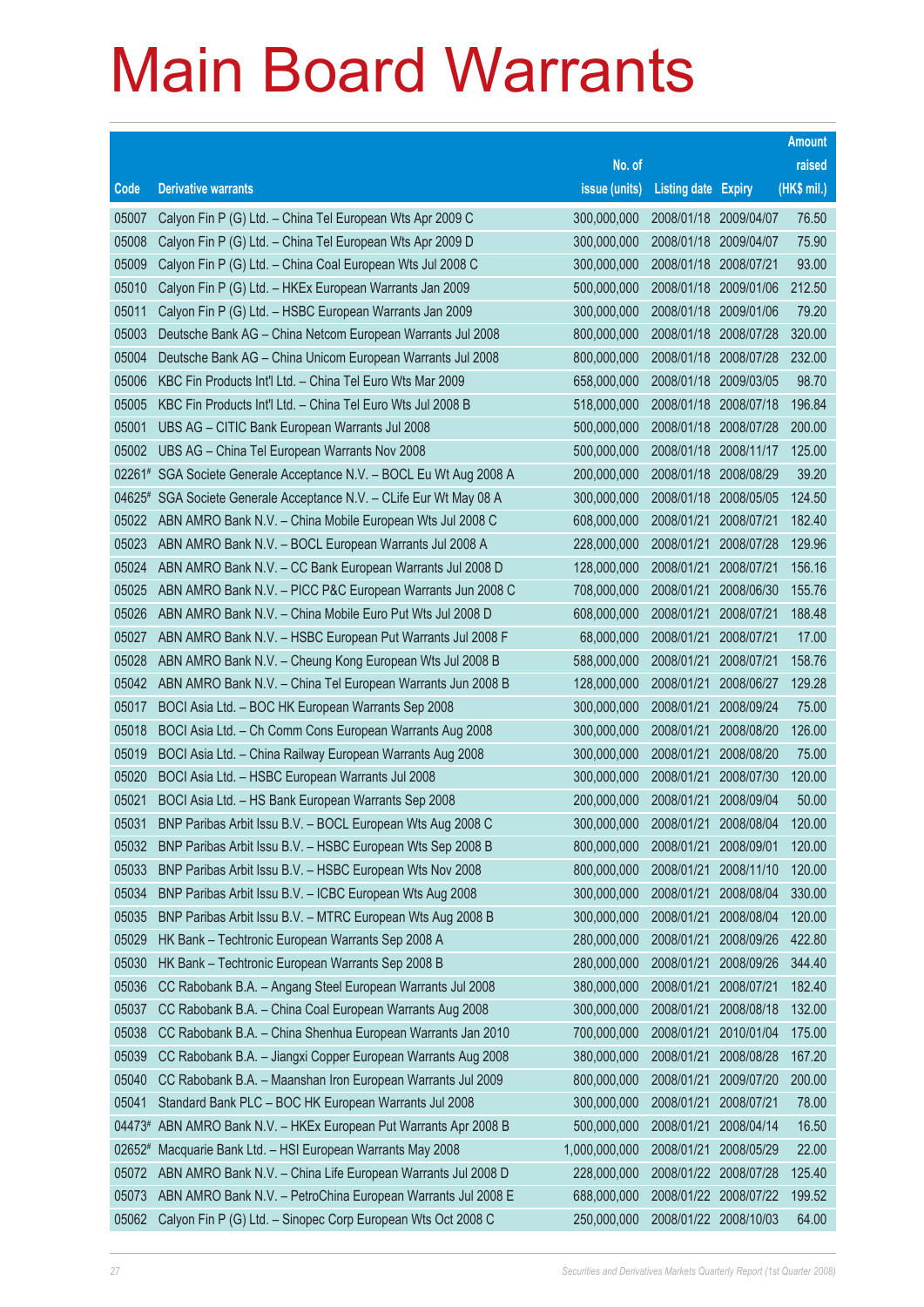|          |                                                                  |               |                            |            | <b>Amount</b> |
|----------|------------------------------------------------------------------|---------------|----------------------------|------------|---------------|
|          |                                                                  | No. of        |                            |            | raised        |
| Code     | <b>Derivative warrants</b>                                       | issue (units) | <b>Listing date Expiry</b> |            | (HK\$ mil.)   |
| 05007    | Calyon Fin P (G) Ltd. - China Tel European Wts Apr 2009 C        | 300,000,000   | 2008/01/18 2009/04/07      |            | 76.50         |
| 05008    | Calyon Fin P (G) Ltd. - China Tel European Wts Apr 2009 D        | 300,000,000   | 2008/01/18 2009/04/07      |            | 75.90         |
| 05009    | Calyon Fin P (G) Ltd. - China Coal European Wts Jul 2008 C       | 300,000,000   | 2008/01/18                 | 2008/07/21 | 93.00         |
| 05010    | Calyon Fin P (G) Ltd. - HKEx European Warrants Jan 2009          | 500,000,000   | 2008/01/18 2009/01/06      |            | 212.50        |
| 05011    | Calyon Fin P (G) Ltd. - HSBC European Warrants Jan 2009          | 300,000,000   | 2008/01/18 2009/01/06      |            | 79.20         |
| 05003    | Deutsche Bank AG - China Netcom European Warrants Jul 2008       | 800,000,000   | 2008/01/18 2008/07/28      |            | 320.00        |
| 05004    | Deutsche Bank AG - China Unicom European Warrants Jul 2008       | 800,000,000   | 2008/01/18                 | 2008/07/28 | 232.00        |
| 05006    | KBC Fin Products Int'l Ltd. - China Tel Euro Wts Mar 2009        | 658,000,000   | 2008/01/18 2009/03/05      |            | 98.70         |
| 05005    | KBC Fin Products Int'l Ltd. - China Tel Euro Wts Jul 2008 B      | 518,000,000   | 2008/01/18 2008/07/18      |            | 196.84        |
| 05001    | UBS AG - CITIC Bank European Warrants Jul 2008                   | 500,000,000   | 2008/01/18 2008/07/28      |            | 200.00        |
| 05002    | UBS AG - China Tel European Warrants Nov 2008                    | 500,000,000   | 2008/01/18                 | 2008/11/17 | 125.00        |
| $02261*$ | SGA Societe Generale Acceptance N.V. - BOCL Eu Wt Aug 2008 A     | 200,000,000   | 2008/01/18 2008/08/29      |            | 39.20         |
| 04625#   | SGA Societe Generale Acceptance N.V. - CLife Eur Wt May 08 A     | 300,000,000   | 2008/01/18 2008/05/05      |            | 124.50        |
| 05022    | ABN AMRO Bank N.V. - China Mobile European Wts Jul 2008 C        | 608,000,000   | 2008/01/21                 | 2008/07/21 | 182.40        |
| 05023    | ABN AMRO Bank N.V. - BOCL European Warrants Jul 2008 A           | 228,000,000   | 2008/01/21                 | 2008/07/28 | 129.96        |
| 05024    | ABN AMRO Bank N.V. - CC Bank European Warrants Jul 2008 D        | 128,000,000   | 2008/01/21                 | 2008/07/21 | 156.16        |
| 05025    | ABN AMRO Bank N.V. - PICC P&C European Warrants Jun 2008 C       | 708,000,000   | 2008/01/21                 | 2008/06/30 | 155.76        |
| 05026    | ABN AMRO Bank N.V. - China Mobile Euro Put Wts Jul 2008 D        | 608,000,000   | 2008/01/21                 | 2008/07/21 | 188.48        |
| 05027    | ABN AMRO Bank N.V. - HSBC European Put Warrants Jul 2008 F       | 68,000,000    | 2008/01/21                 | 2008/07/21 | 17.00         |
| 05028    | ABN AMRO Bank N.V. - Cheung Kong European Wts Jul 2008 B         | 588,000,000   | 2008/01/21                 | 2008/07/21 | 158.76        |
| 05042    | ABN AMRO Bank N.V. - China Tel European Warrants Jun 2008 B      | 128,000,000   | 2008/01/21                 | 2008/06/27 | 129.28        |
| 05017    | BOCI Asia Ltd. - BOC HK European Warrants Sep 2008               | 300,000,000   | 2008/01/21                 | 2008/09/24 | 75.00         |
| 05018    | BOCI Asia Ltd. - Ch Comm Cons European Warrants Aug 2008         | 300,000,000   | 2008/01/21                 | 2008/08/20 | 126.00        |
| 05019    | BOCI Asia Ltd. - China Railway European Warrants Aug 2008        | 300,000,000   | 2008/01/21                 | 2008/08/20 | 75.00         |
| 05020    | BOCI Asia Ltd. - HSBC European Warrants Jul 2008                 | 300,000,000   | 2008/01/21                 | 2008/07/30 | 120.00        |
| 05021    | BOCI Asia Ltd. - HS Bank European Warrants Sep 2008              | 200,000,000   | 2008/01/21                 | 2008/09/04 | 50.00         |
| 05031    | BNP Paribas Arbit Issu B.V. - BOCL European Wts Aug 2008 C       | 300,000,000   | 2008/01/21                 | 2008/08/04 | 120.00        |
|          | 05032 BNP Paribas Arbit Issu B.V. - HSBC European Wts Sep 2008 B | 800,000,000   | 2008/01/21                 | 2008/09/01 | 120.00        |
| 05033    | BNP Paribas Arbit Issu B.V. - HSBC European Wts Nov 2008         | 800,000,000   | 2008/01/21                 | 2008/11/10 | 120.00        |
| 05034    | BNP Paribas Arbit Issu B.V. - ICBC European Wts Aug 2008         | 300,000,000   | 2008/01/21                 | 2008/08/04 | 330.00        |
| 05035    | BNP Paribas Arbit Issu B.V. - MTRC European Wts Aug 2008 B       | 300,000,000   | 2008/01/21                 | 2008/08/04 | 120.00        |
| 05029    | HK Bank - Techtronic European Warrants Sep 2008 A                | 280,000,000   | 2008/01/21                 | 2008/09/26 | 422.80        |
| 05030    | HK Bank - Techtronic European Warrants Sep 2008 B                | 280,000,000   | 2008/01/21                 | 2008/09/26 | 344.40        |
| 05036    | CC Rabobank B.A. - Angang Steel European Warrants Jul 2008       | 380,000,000   | 2008/01/21                 | 2008/07/21 | 182.40        |
| 05037    | CC Rabobank B.A. - China Coal European Warrants Aug 2008         | 300,000,000   | 2008/01/21                 | 2008/08/18 | 132.00        |
| 05038    | CC Rabobank B.A. - China Shenhua European Warrants Jan 2010      | 700,000,000   | 2008/01/21                 | 2010/01/04 | 175.00        |
| 05039    | CC Rabobank B.A. - Jiangxi Copper European Warrants Aug 2008     | 380,000,000   | 2008/01/21                 | 2008/08/28 | 167.20        |
| 05040    | CC Rabobank B.A. - Maanshan Iron European Warrants Jul 2009      | 800,000,000   | 2008/01/21                 | 2009/07/20 | 200.00        |
| 05041    | Standard Bank PLC - BOC HK European Warrants Jul 2008            | 300,000,000   | 2008/01/21                 | 2008/07/21 | 78.00         |
| 04473#   | ABN AMRO Bank N.V. - HKEx European Put Warrants Apr 2008 B       | 500,000,000   | 2008/01/21                 | 2008/04/14 | 16.50         |
| $02652*$ | Macquarie Bank Ltd. - HSI European Warrants May 2008             | 1,000,000,000 | 2008/01/21                 | 2008/05/29 | 22.00         |
| 05072    | ABN AMRO Bank N.V. - China Life European Warrants Jul 2008 D     | 228,000,000   | 2008/01/22 2008/07/28      |            | 125.40        |
| 05073    | ABN AMRO Bank N.V. - PetroChina European Warrants Jul 2008 E     | 688,000,000   | 2008/01/22 2008/07/22      |            | 199.52        |
| 05062    | Calyon Fin P (G) Ltd. - Sinopec Corp European Wts Oct 2008 C     | 250,000,000   | 2008/01/22 2008/10/03      |            | 64.00         |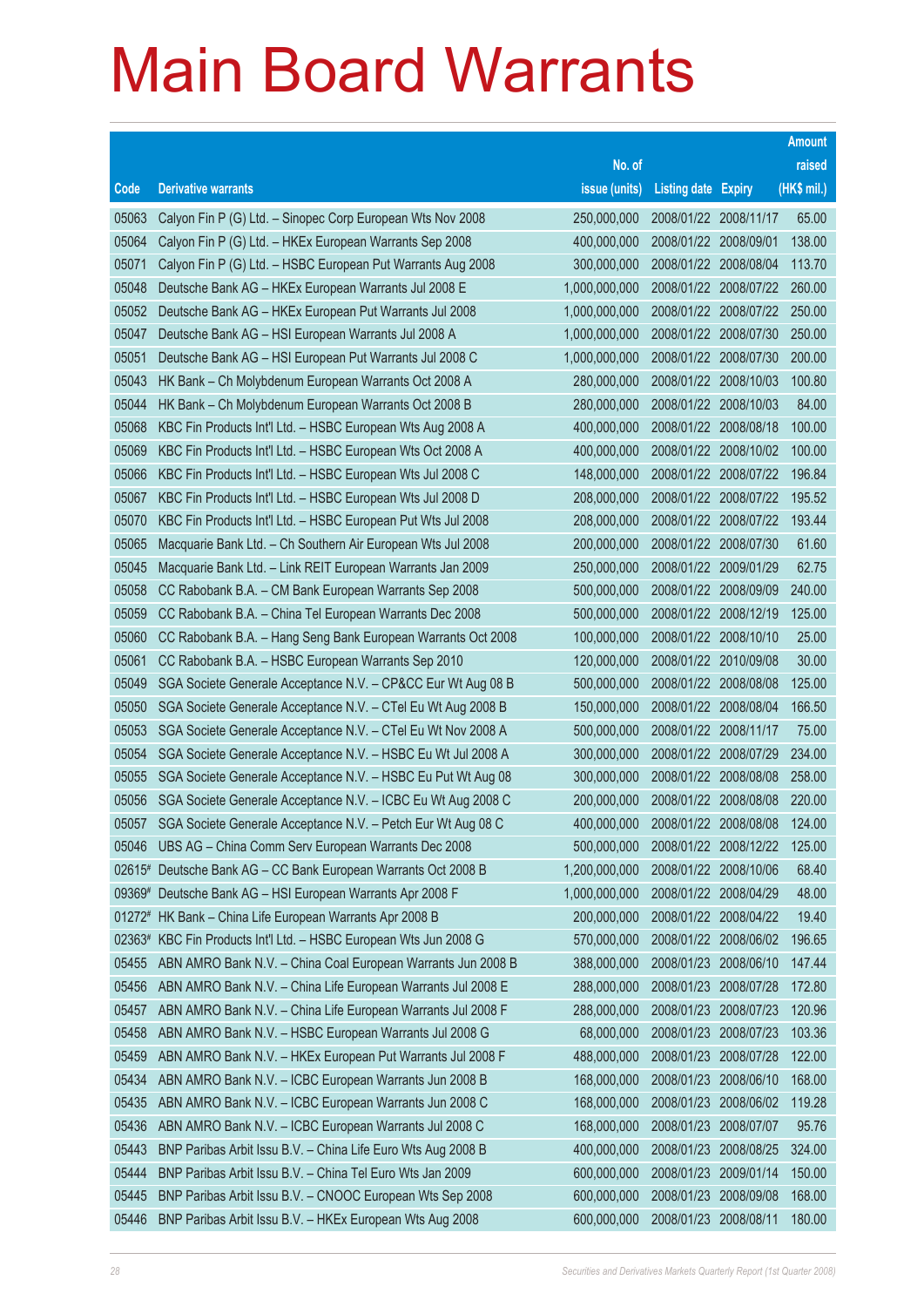|        |                                                                |               |                            |            | <b>Amount</b> |
|--------|----------------------------------------------------------------|---------------|----------------------------|------------|---------------|
|        |                                                                | No. of        |                            |            | raised        |
| Code   | <b>Derivative warrants</b>                                     | issue (units) | <b>Listing date Expiry</b> |            | (HK\$ mil.)   |
| 05063  | Calyon Fin P (G) Ltd. - Sinopec Corp European Wts Nov 2008     | 250,000,000   | 2008/01/22 2008/11/17      |            | 65.00         |
| 05064  | Calyon Fin P (G) Ltd. - HKEx European Warrants Sep 2008        | 400,000,000   | 2008/01/22                 | 2008/09/01 | 138.00        |
| 05071  | Calyon Fin P (G) Ltd. - HSBC European Put Warrants Aug 2008    | 300,000,000   | 2008/01/22                 | 2008/08/04 | 113.70        |
| 05048  | Deutsche Bank AG - HKEx European Warrants Jul 2008 E           | 1,000,000,000 | 2008/01/22                 | 2008/07/22 | 260.00        |
| 05052  | Deutsche Bank AG - HKEx European Put Warrants Jul 2008         | 1,000,000,000 | 2008/01/22 2008/07/22      |            | 250.00        |
| 05047  | Deutsche Bank AG - HSI European Warrants Jul 2008 A            | 1,000,000,000 | 2008/01/22                 | 2008/07/30 | 250.00        |
| 05051  | Deutsche Bank AG - HSI European Put Warrants Jul 2008 C        | 1,000,000,000 | 2008/01/22                 | 2008/07/30 | 200.00        |
| 05043  | HK Bank - Ch Molybdenum European Warrants Oct 2008 A           | 280,000,000   | 2008/01/22                 | 2008/10/03 | 100.80        |
| 05044  | HK Bank - Ch Molybdenum European Warrants Oct 2008 B           | 280,000,000   | 2008/01/22 2008/10/03      |            | 84.00         |
| 05068  | KBC Fin Products Int'l Ltd. - HSBC European Wts Aug 2008 A     | 400,000,000   | 2008/01/22                 | 2008/08/18 | 100.00        |
| 05069  | KBC Fin Products Int'l Ltd. - HSBC European Wts Oct 2008 A     | 400,000,000   | 2008/01/22                 | 2008/10/02 | 100.00        |
| 05066  | KBC Fin Products Int'l Ltd. - HSBC European Wts Jul 2008 C     | 148,000,000   | 2008/01/22                 | 2008/07/22 | 196.84        |
| 05067  | KBC Fin Products Int'l Ltd. - HSBC European Wts Jul 2008 D     | 208,000,000   | 2008/01/22 2008/07/22      |            | 195.52        |
| 05070  | KBC Fin Products Int'l Ltd. - HSBC European Put Wts Jul 2008   | 208,000,000   | 2008/01/22 2008/07/22      |            | 193.44        |
| 05065  | Macquarie Bank Ltd. - Ch Southern Air European Wts Jul 2008    | 200,000,000   | 2008/01/22 2008/07/30      |            | 61.60         |
| 05045  | Macquarie Bank Ltd. - Link REIT European Warrants Jan 2009     | 250,000,000   | 2008/01/22                 | 2009/01/29 | 62.75         |
| 05058  | CC Rabobank B.A. - CM Bank European Warrants Sep 2008          | 500,000,000   | 2008/01/22 2008/09/09      |            | 240.00        |
| 05059  | CC Rabobank B.A. - China Tel European Warrants Dec 2008        | 500,000,000   | 2008/01/22 2008/12/19      |            | 125.00        |
| 05060  | CC Rabobank B.A. - Hang Seng Bank European Warrants Oct 2008   | 100,000,000   | 2008/01/22                 | 2008/10/10 | 25.00         |
| 05061  | CC Rabobank B.A. - HSBC European Warrants Sep 2010             | 120,000,000   | 2008/01/22                 | 2010/09/08 | 30.00         |
| 05049  | SGA Societe Generale Acceptance N.V. - CP&CC Eur Wt Aug 08 B   | 500,000,000   | 2008/01/22 2008/08/08      |            | 125.00        |
| 05050  | SGA Societe Generale Acceptance N.V. - CTel Eu Wt Aug 2008 B   | 150,000,000   | 2008/01/22                 | 2008/08/04 | 166.50        |
| 05053  | SGA Societe Generale Acceptance N.V. - CTel Eu Wt Nov 2008 A   | 500,000,000   | 2008/01/22                 | 2008/11/17 | 75.00         |
| 05054  | SGA Societe Generale Acceptance N.V. - HSBC Eu Wt Jul 2008 A   | 300,000,000   | 2008/01/22                 | 2008/07/29 | 234.00        |
| 05055  | SGA Societe Generale Acceptance N.V. - HSBC Eu Put Wt Aug 08   | 300,000,000   | 2008/01/22 2008/08/08      |            | 258.00        |
| 05056  | SGA Societe Generale Acceptance N.V. - ICBC Eu Wt Aug 2008 C   | 200,000,000   | 2008/01/22                 | 2008/08/08 | 220.00        |
| 05057  | SGA Societe Generale Acceptance N.V. - Petch Eur Wt Aug 08 C   | 400,000,000   | 2008/01/22 2008/08/08      |            | 124.00        |
|        | 05046 UBS AG - China Comm Serv European Warrants Dec 2008      | 500,000,000   | 2008/01/22 2008/12/22      |            | 125.00        |
|        | 02615# Deutsche Bank AG - CC Bank European Warrants Oct 2008 B | 1,200,000,000 | 2008/01/22                 | 2008/10/06 | 68.40         |
| 09369# | Deutsche Bank AG - HSI European Warrants Apr 2008 F            | 1,000,000,000 | 2008/01/22                 | 2008/04/29 | 48.00         |
| 01272# | HK Bank - China Life European Warrants Apr 2008 B              | 200,000,000   | 2008/01/22 2008/04/22      |            | 19.40         |
| 02363# | KBC Fin Products Int'l Ltd. - HSBC European Wts Jun 2008 G     | 570,000,000   | 2008/01/22                 | 2008/06/02 | 196.65        |
| 05455  | ABN AMRO Bank N.V. - China Coal European Warrants Jun 2008 B   | 388,000,000   | 2008/01/23                 | 2008/06/10 | 147.44        |
| 05456  | ABN AMRO Bank N.V. - China Life European Warrants Jul 2008 E   | 288,000,000   | 2008/01/23                 | 2008/07/28 | 172.80        |
| 05457  | ABN AMRO Bank N.V. - China Life European Warrants Jul 2008 F   | 288,000,000   | 2008/01/23                 | 2008/07/23 | 120.96        |
| 05458  | ABN AMRO Bank N.V. - HSBC European Warrants Jul 2008 G         | 68,000,000    | 2008/01/23                 | 2008/07/23 | 103.36        |
| 05459  | ABN AMRO Bank N.V. - HKEx European Put Warrants Jul 2008 F     | 488,000,000   | 2008/01/23                 | 2008/07/28 | 122.00        |
| 05434  | ABN AMRO Bank N.V. - ICBC European Warrants Jun 2008 B         | 168,000,000   | 2008/01/23                 | 2008/06/10 | 168.00        |
| 05435  | ABN AMRO Bank N.V. - ICBC European Warrants Jun 2008 C         | 168,000,000   | 2008/01/23                 | 2008/06/02 | 119.28        |
| 05436  | ABN AMRO Bank N.V. - ICBC European Warrants Jul 2008 C         | 168,000,000   | 2008/01/23                 | 2008/07/07 | 95.76         |
| 05443  | BNP Paribas Arbit Issu B.V. - China Life Euro Wts Aug 2008 B   | 400,000,000   | 2008/01/23                 | 2008/08/25 | 324.00        |
| 05444  | BNP Paribas Arbit Issu B.V. - China Tel Euro Wts Jan 2009      | 600,000,000   | 2008/01/23                 | 2009/01/14 | 150.00        |
| 05445  | BNP Paribas Arbit Issu B.V. - CNOOC European Wts Sep 2008      | 600,000,000   | 2008/01/23                 | 2008/09/08 | 168.00        |
| 05446  | BNP Paribas Arbit Issu B.V. - HKEx European Wts Aug 2008       | 600,000,000   | 2008/01/23                 | 2008/08/11 | 180.00        |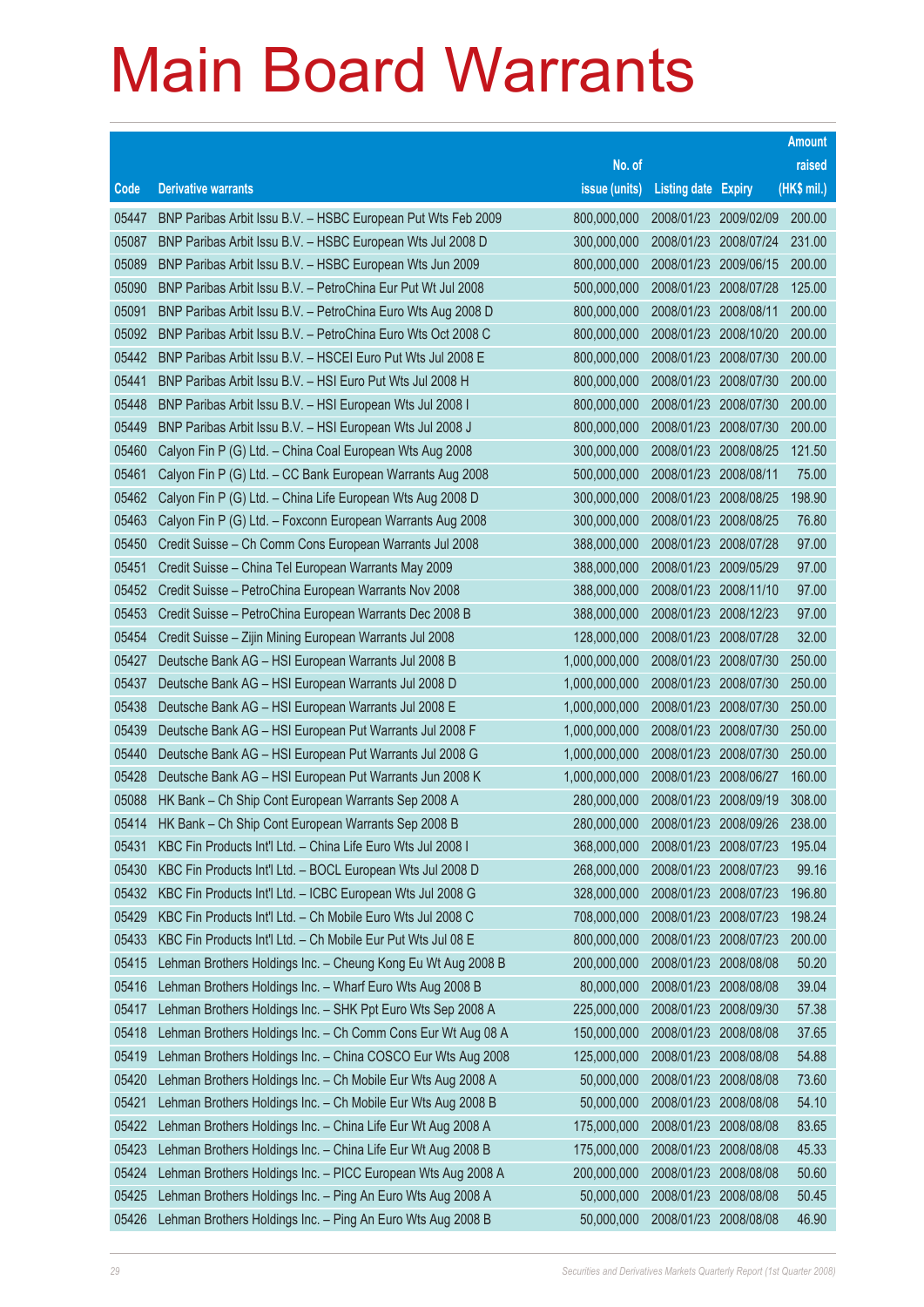|       |                                                              |               |                            |            | <b>Amount</b> |
|-------|--------------------------------------------------------------|---------------|----------------------------|------------|---------------|
|       |                                                              | No. of        |                            |            | raised        |
| Code  | <b>Derivative warrants</b>                                   | issue (units) | <b>Listing date Expiry</b> |            | (HK\$ mil.)   |
| 05447 | BNP Paribas Arbit Issu B.V. - HSBC European Put Wts Feb 2009 | 800,000,000   | 2008/01/23 2009/02/09      |            | 200.00        |
| 05087 | BNP Paribas Arbit Issu B.V. - HSBC European Wts Jul 2008 D   | 300,000,000   | 2008/01/23 2008/07/24      |            | 231.00        |
| 05089 | BNP Paribas Arbit Issu B.V. - HSBC European Wts Jun 2009     | 800,000,000   | 2008/01/23                 | 2009/06/15 | 200.00        |
| 05090 | BNP Paribas Arbit Issu B.V. - PetroChina Eur Put Wt Jul 2008 | 500,000,000   | 2008/01/23                 | 2008/07/28 | 125.00        |
| 05091 | BNP Paribas Arbit Issu B.V. - PetroChina Euro Wts Aug 2008 D | 800,000,000   | 2008/01/23                 | 2008/08/11 | 200.00        |
| 05092 | BNP Paribas Arbit Issu B.V. - PetroChina Euro Wts Oct 2008 C | 800,000,000   | 2008/01/23                 | 2008/10/20 | 200.00        |
| 05442 | BNP Paribas Arbit Issu B.V. - HSCEI Euro Put Wts Jul 2008 E  | 800,000,000   | 2008/01/23                 | 2008/07/30 | 200.00        |
| 05441 | BNP Paribas Arbit Issu B.V. - HSI Euro Put Wts Jul 2008 H    | 800,000,000   | 2008/01/23                 | 2008/07/30 | 200.00        |
| 05448 | BNP Paribas Arbit Issu B.V. - HSI European Wts Jul 2008 I    | 800,000,000   | 2008/01/23                 | 2008/07/30 | 200.00        |
| 05449 | BNP Paribas Arbit Issu B.V. - HSI European Wts Jul 2008 J    | 800,000,000   | 2008/01/23 2008/07/30      |            | 200.00        |
| 05460 | Calyon Fin P (G) Ltd. - China Coal European Wts Aug 2008     | 300,000,000   | 2008/01/23                 | 2008/08/25 | 121.50        |
| 05461 | Calyon Fin P (G) Ltd. - CC Bank European Warrants Aug 2008   | 500,000,000   | 2008/01/23 2008/08/11      |            | 75.00         |
| 05462 | Calyon Fin P (G) Ltd. - China Life European Wts Aug 2008 D   | 300,000,000   | 2008/01/23                 | 2008/08/25 | 198.90        |
| 05463 | Calyon Fin P (G) Ltd. - Foxconn European Warrants Aug 2008   | 300,000,000   | 2008/01/23 2008/08/25      |            | 76.80         |
| 05450 | Credit Suisse - Ch Comm Cons European Warrants Jul 2008      | 388,000,000   | 2008/01/23                 | 2008/07/28 | 97.00         |
| 05451 | Credit Suisse - China Tel European Warrants May 2009         | 388,000,000   | 2008/01/23                 | 2009/05/29 | 97.00         |
| 05452 | Credit Suisse - PetroChina European Warrants Nov 2008        | 388,000,000   | 2008/01/23                 | 2008/11/10 | 97.00         |
| 05453 | Credit Suisse - PetroChina European Warrants Dec 2008 B      | 388,000,000   | 2008/01/23 2008/12/23      |            | 97.00         |
| 05454 | Credit Suisse - Zijin Mining European Warrants Jul 2008      | 128,000,000   | 2008/01/23                 | 2008/07/28 | 32.00         |
| 05427 | Deutsche Bank AG - HSI European Warrants Jul 2008 B          | 1,000,000,000 | 2008/01/23                 | 2008/07/30 | 250.00        |
| 05437 | Deutsche Bank AG - HSI European Warrants Jul 2008 D          | 1,000,000,000 | 2008/01/23                 | 2008/07/30 | 250.00        |
| 05438 | Deutsche Bank AG - HSI European Warrants Jul 2008 E          | 1,000,000,000 | 2008/01/23                 | 2008/07/30 | 250.00        |
| 05439 | Deutsche Bank AG - HSI European Put Warrants Jul 2008 F      | 1,000,000,000 | 2008/01/23                 | 2008/07/30 | 250.00        |
| 05440 | Deutsche Bank AG - HSI European Put Warrants Jul 2008 G      | 1,000,000,000 | 2008/01/23                 | 2008/07/30 | 250.00        |
| 05428 | Deutsche Bank AG - HSI European Put Warrants Jun 2008 K      | 1,000,000,000 | 2008/01/23                 | 2008/06/27 | 160.00        |
| 05088 | HK Bank - Ch Ship Cont European Warrants Sep 2008 A          | 280,000,000   | 2008/01/23 2008/09/19      |            | 308.00        |
| 05414 | HK Bank - Ch Ship Cont European Warrants Sep 2008 B          | 280,000,000   | 2008/01/23 2008/09/26      |            | 238.00        |
| 05431 | KBC Fin Products Int'l Ltd. - China Life Euro Wts Jul 2008 I | 368,000,000   | 2008/01/23 2008/07/23      |            | 195.04        |
| 05430 | KBC Fin Products Int'l Ltd. - BOCL European Wts Jul 2008 D   | 268,000,000   | 2008/01/23                 | 2008/07/23 | 99.16         |
| 05432 | KBC Fin Products Int'l Ltd. - ICBC European Wts Jul 2008 G   | 328,000,000   | 2008/01/23 2008/07/23      |            | 196.80        |
| 05429 | KBC Fin Products Int'l Ltd. - Ch Mobile Euro Wts Jul 2008 C  | 708,000,000   | 2008/01/23                 | 2008/07/23 | 198.24        |
| 05433 | KBC Fin Products Int'l Ltd. - Ch Mobile Eur Put Wts Jul 08 E | 800,000,000   | 2008/01/23                 | 2008/07/23 | 200.00        |
| 05415 | Lehman Brothers Holdings Inc. - Cheung Kong Eu Wt Aug 2008 B | 200,000,000   | 2008/01/23                 | 2008/08/08 | 50.20         |
| 05416 | Lehman Brothers Holdings Inc. - Wharf Euro Wts Aug 2008 B    | 80,000,000    | 2008/01/23                 | 2008/08/08 | 39.04         |
| 05417 | Lehman Brothers Holdings Inc. - SHK Ppt Euro Wts Sep 2008 A  | 225,000,000   | 2008/01/23                 | 2008/09/30 | 57.38         |
| 05418 | Lehman Brothers Holdings Inc. - Ch Comm Cons Eur Wt Aug 08 A | 150,000,000   | 2008/01/23                 | 2008/08/08 | 37.65         |
| 05419 | Lehman Brothers Holdings Inc. - China COSCO Eur Wts Aug 2008 | 125,000,000   | 2008/01/23                 | 2008/08/08 | 54.88         |
| 05420 | Lehman Brothers Holdings Inc. - Ch Mobile Eur Wts Aug 2008 A | 50,000,000    | 2008/01/23                 | 2008/08/08 | 73.60         |
| 05421 | Lehman Brothers Holdings Inc. - Ch Mobile Eur Wts Aug 2008 B | 50,000,000    | 2008/01/23                 | 2008/08/08 | 54.10         |
| 05422 | Lehman Brothers Holdings Inc. - China Life Eur Wt Aug 2008 A | 175,000,000   | 2008/01/23                 | 2008/08/08 | 83.65         |
| 05423 | Lehman Brothers Holdings Inc. - China Life Eur Wt Aug 2008 B | 175,000,000   | 2008/01/23                 | 2008/08/08 | 45.33         |
| 05424 | Lehman Brothers Holdings Inc. - PICC European Wts Aug 2008 A | 200,000,000   | 2008/01/23                 | 2008/08/08 | 50.60         |
| 05425 | Lehman Brothers Holdings Inc. - Ping An Euro Wts Aug 2008 A  | 50,000,000    | 2008/01/23                 | 2008/08/08 | 50.45         |
| 05426 | Lehman Brothers Holdings Inc. - Ping An Euro Wts Aug 2008 B  | 50,000,000    | 2008/01/23                 | 2008/08/08 | 46.90         |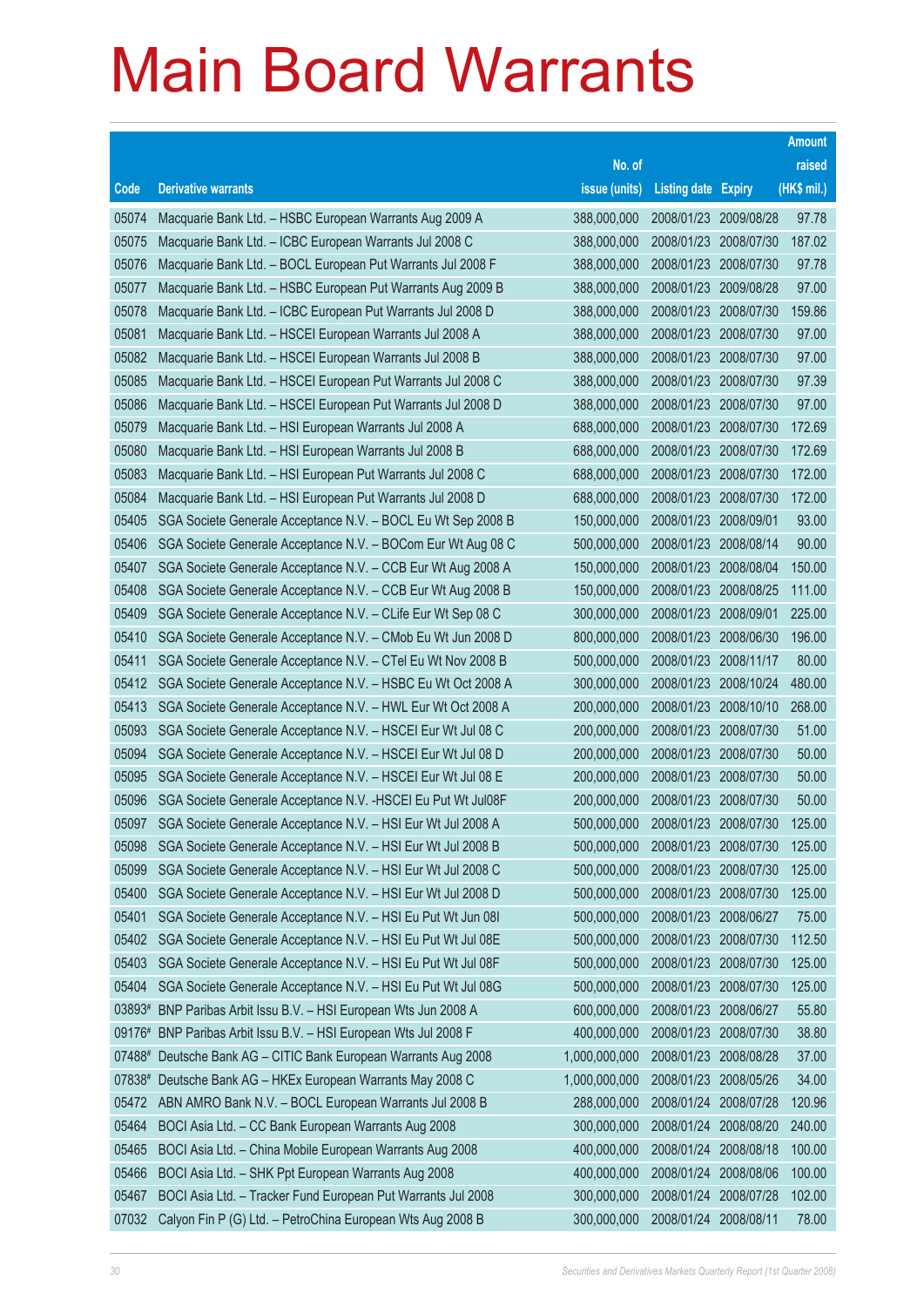|                |                                                                                                                              |                            |                                     |            | <b>Amount</b>   |
|----------------|------------------------------------------------------------------------------------------------------------------------------|----------------------------|-------------------------------------|------------|-----------------|
|                |                                                                                                                              | No. of                     |                                     |            | raised          |
| Code           | <b>Derivative warrants</b>                                                                                                   | issue (units)              | <b>Listing date Expiry</b>          |            | (HK\$ mil.)     |
| 05074          | Macquarie Bank Ltd. - HSBC European Warrants Aug 2009 A                                                                      | 388,000,000                | 2008/01/23                          | 2009/08/28 | 97.78           |
| 05075          | Macquarie Bank Ltd. - ICBC European Warrants Jul 2008 C                                                                      | 388,000,000                | 2008/01/23 2008/07/30               |            | 187.02          |
| 05076          | Macquarie Bank Ltd. - BOCL European Put Warrants Jul 2008 F                                                                  | 388,000,000                | 2008/01/23                          | 2008/07/30 | 97.78           |
| 05077          | Macquarie Bank Ltd. - HSBC European Put Warrants Aug 2009 B                                                                  | 388,000,000                | 2008/01/23 2009/08/28               |            | 97.00           |
| 05078          | Macquarie Bank Ltd. - ICBC European Put Warrants Jul 2008 D                                                                  | 388,000,000                | 2008/01/23                          | 2008/07/30 | 159.86          |
| 05081          | Macquarie Bank Ltd. - HSCEI European Warrants Jul 2008 A                                                                     | 388,000,000                | 2008/01/23 2008/07/30               |            | 97.00           |
| 05082          | Macquarie Bank Ltd. - HSCEI European Warrants Jul 2008 B                                                                     | 388,000,000                | 2008/01/23                          | 2008/07/30 | 97.00           |
| 05085          | Macquarie Bank Ltd. - HSCEI European Put Warrants Jul 2008 C                                                                 | 388,000,000                | 2008/01/23 2008/07/30               |            | 97.39           |
| 05086          | Macquarie Bank Ltd. - HSCEI European Put Warrants Jul 2008 D                                                                 | 388,000,000                | 2008/01/23                          | 2008/07/30 | 97.00           |
| 05079          | Macquarie Bank Ltd. - HSI European Warrants Jul 2008 A                                                                       | 688,000,000                | 2008/01/23 2008/07/30               |            | 172.69          |
| 05080          | Macquarie Bank Ltd. - HSI European Warrants Jul 2008 B                                                                       | 688,000,000                | 2008/01/23                          | 2008/07/30 | 172.69          |
| 05083          | Macquarie Bank Ltd. - HSI European Put Warrants Jul 2008 C                                                                   | 688,000,000                | 2008/01/23 2008/07/30               |            | 172.00          |
| 05084          | Macquarie Bank Ltd. - HSI European Put Warrants Jul 2008 D                                                                   | 688,000,000                | 2008/01/23                          | 2008/07/30 | 172.00          |
| 05405          | SGA Societe Generale Acceptance N.V. - BOCL Eu Wt Sep 2008 B                                                                 | 150,000,000                | 2008/01/23 2008/09/01               |            | 93.00           |
| 05406          | SGA Societe Generale Acceptance N.V. - BOCom Eur Wt Aug 08 C                                                                 | 500,000,000                | 2008/01/23                          | 2008/08/14 | 90.00           |
| 05407          | SGA Societe Generale Acceptance N.V. - CCB Eur Wt Aug 2008 A                                                                 | 150,000,000                | 2008/01/23 2008/08/04               |            | 150.00          |
| 05408          | SGA Societe Generale Acceptance N.V. - CCB Eur Wt Aug 2008 B                                                                 | 150,000,000                | 2008/01/23                          | 2008/08/25 | 111.00          |
| 05409          | SGA Societe Generale Acceptance N.V. - CLife Eur Wt Sep 08 C                                                                 | 300,000,000                | 2008/01/23 2008/09/01               |            | 225.00          |
| 05410          | SGA Societe Generale Acceptance N.V. - CMob Eu Wt Jun 2008 D                                                                 | 800,000,000                | 2008/01/23                          | 2008/06/30 | 196.00          |
| 05411          | SGA Societe Generale Acceptance N.V. - CTel Eu Wt Nov 2008 B                                                                 | 500,000,000                | 2008/01/23 2008/11/17               |            | 80.00           |
| 05412          | SGA Societe Generale Acceptance N.V. - HSBC Eu Wt Oct 2008 A                                                                 | 300,000,000                | 2008/01/23                          | 2008/10/24 | 480.00          |
| 05413          | SGA Societe Generale Acceptance N.V. - HWL Eur Wt Oct 2008 A                                                                 | 200,000,000                | 2008/01/23 2008/10/10               |            | 268.00<br>51.00 |
| 05093<br>05094 | SGA Societe Generale Acceptance N.V. - HSCEI Eur Wt Jul 08 C<br>SGA Societe Generale Acceptance N.V. - HSCEI Eur Wt Jul 08 D | 200,000,000<br>200,000,000 | 2008/01/23<br>2008/01/23 2008/07/30 | 2008/07/30 | 50.00           |
| 05095          | SGA Societe Generale Acceptance N.V. - HSCEI Eur Wt Jul 08 E                                                                 | 200,000,000                | 2008/01/23                          | 2008/07/30 | 50.00           |
| 05096          | SGA Societe Generale Acceptance N.V. - HSCEI Eu Put Wt Jul08F                                                                | 200,000,000                | 2008/01/23 2008/07/30               |            | 50.00           |
| 05097          | SGA Societe Generale Acceptance N.V. - HSI Eur Wt Jul 2008 A                                                                 | 500,000,000                | 2008/01/23 2008/07/30               |            | 125.00          |
| 05098          | SGA Societe Generale Acceptance N.V. - HSI Eur Wt Jul 2008 B                                                                 | 500,000,000                | 2008/01/23 2008/07/30               |            | 125.00          |
| 05099          | SGA Societe Generale Acceptance N.V. - HSI Eur Wt Jul 2008 C                                                                 | 500,000,000                | 2008/01/23                          | 2008/07/30 | 125.00          |
| 05400          | SGA Societe Generale Acceptance N.V. - HSI Eur Wt Jul 2008 D                                                                 | 500,000,000                | 2008/01/23 2008/07/30               |            | 125.00          |
| 05401          | SGA Societe Generale Acceptance N.V. - HSI Eu Put Wt Jun 081                                                                 | 500,000,000                | 2008/01/23 2008/06/27               |            | 75.00           |
| 05402          | SGA Societe Generale Acceptance N.V. - HSI Eu Put Wt Jul 08E                                                                 | 500,000,000                | 2008/01/23 2008/07/30               |            | 112.50          |
| 05403          | SGA Societe Generale Acceptance N.V. - HSI Eu Put Wt Jul 08F                                                                 | 500,000,000                | 2008/01/23                          | 2008/07/30 | 125.00          |
| 05404          | SGA Societe Generale Acceptance N.V. - HSI Eu Put Wt Jul 08G                                                                 | 500,000,000                | 2008/01/23                          | 2008/07/30 | 125.00          |
|                | 03893# BNP Paribas Arbit Issu B.V. - HSI European Wts Jun 2008 A                                                             | 600,000,000                | 2008/01/23                          | 2008/06/27 | 55.80           |
| 09176#         | BNP Paribas Arbit Issu B.V. - HSI European Wts Jul 2008 F                                                                    | 400,000,000                | 2008/01/23 2008/07/30               |            | 38.80           |
| 07488#         | Deutsche Bank AG - CITIC Bank European Warrants Aug 2008                                                                     | 1,000,000,000              | 2008/01/23                          | 2008/08/28 | 37.00           |
|                | 07838# Deutsche Bank AG - HKEx European Warrants May 2008 C                                                                  | 1,000,000,000              | 2008/01/23                          | 2008/05/26 | 34.00           |
| 05472          | ABN AMRO Bank N.V. - BOCL European Warrants Jul 2008 B                                                                       | 288,000,000                | 2008/01/24                          | 2008/07/28 | 120.96          |
| 05464          | BOCI Asia Ltd. - CC Bank European Warrants Aug 2008                                                                          | 300,000,000                | 2008/01/24                          | 2008/08/20 | 240.00          |
| 05465          | BOCI Asia Ltd. - China Mobile European Warrants Aug 2008                                                                     | 400,000,000                | 2008/01/24                          | 2008/08/18 | 100.00          |
| 05466          | BOCI Asia Ltd. - SHK Ppt European Warrants Aug 2008                                                                          | 400,000,000                | 2008/01/24                          | 2008/08/06 | 100.00          |
| 05467          | BOCI Asia Ltd. - Tracker Fund European Put Warrants Jul 2008                                                                 | 300,000,000                | 2008/01/24                          | 2008/07/28 | 102.00          |
| 07032          | Calyon Fin P (G) Ltd. - PetroChina European Wts Aug 2008 B                                                                   | 300,000,000                | 2008/01/24                          | 2008/08/11 | 78.00           |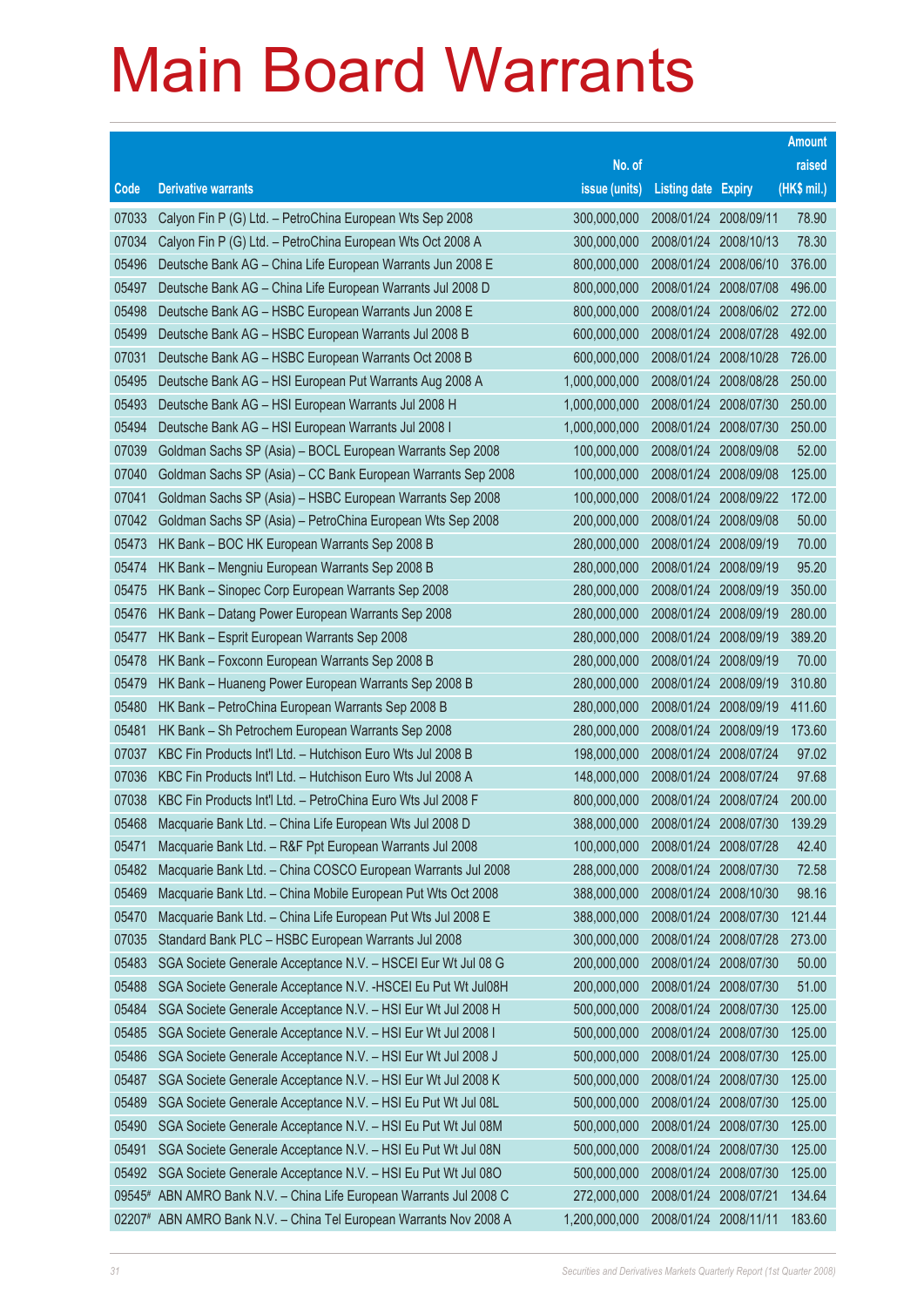|        |                                                               |               |                            |            | <b>Amount</b> |
|--------|---------------------------------------------------------------|---------------|----------------------------|------------|---------------|
|        |                                                               | No. of        |                            |            | raised        |
| Code   | <b>Derivative warrants</b>                                    | issue (units) | <b>Listing date Expiry</b> |            | (HK\$ mil.)   |
| 07033  | Calyon Fin P (G) Ltd. - PetroChina European Wts Sep 2008      | 300,000,000   | 2008/01/24                 | 2008/09/11 | 78.90         |
| 07034  | Calyon Fin P (G) Ltd. - PetroChina European Wts Oct 2008 A    | 300,000,000   | 2008/01/24                 | 2008/10/13 | 78.30         |
| 05496  | Deutsche Bank AG - China Life European Warrants Jun 2008 E    | 800,000,000   | 2008/01/24                 | 2008/06/10 | 376.00        |
| 05497  | Deutsche Bank AG - China Life European Warrants Jul 2008 D    | 800,000,000   | 2008/01/24                 | 2008/07/08 | 496.00        |
| 05498  | Deutsche Bank AG - HSBC European Warrants Jun 2008 E          | 800,000,000   | 2008/01/24                 | 2008/06/02 | 272.00        |
| 05499  | Deutsche Bank AG - HSBC European Warrants Jul 2008 B          | 600,000,000   | 2008/01/24                 | 2008/07/28 | 492.00        |
| 07031  | Deutsche Bank AG - HSBC European Warrants Oct 2008 B          | 600,000,000   | 2008/01/24                 | 2008/10/28 | 726.00        |
| 05495  | Deutsche Bank AG - HSI European Put Warrants Aug 2008 A       | 1,000,000,000 | 2008/01/24                 | 2008/08/28 | 250.00        |
| 05493  | Deutsche Bank AG - HSI European Warrants Jul 2008 H           | 1,000,000,000 | 2008/01/24                 | 2008/07/30 | 250.00        |
| 05494  | Deutsche Bank AG - HSI European Warrants Jul 2008 I           | 1,000,000,000 | 2008/01/24                 | 2008/07/30 | 250.00        |
| 07039  | Goldman Sachs SP (Asia) - BOCL European Warrants Sep 2008     | 100,000,000   | 2008/01/24                 | 2008/09/08 | 52.00         |
| 07040  | Goldman Sachs SP (Asia) - CC Bank European Warrants Sep 2008  | 100,000,000   | 2008/01/24                 | 2008/09/08 | 125.00        |
| 07041  | Goldman Sachs SP (Asia) - HSBC European Warrants Sep 2008     | 100,000,000   | 2008/01/24                 | 2008/09/22 | 172.00        |
| 07042  | Goldman Sachs SP (Asia) - PetroChina European Wts Sep 2008    | 200,000,000   | 2008/01/24                 | 2008/09/08 | 50.00         |
| 05473  | HK Bank - BOC HK European Warrants Sep 2008 B                 | 280,000,000   | 2008/01/24                 | 2008/09/19 | 70.00         |
| 05474  | HK Bank - Mengniu European Warrants Sep 2008 B                | 280,000,000   | 2008/01/24                 | 2008/09/19 | 95.20         |
| 05475  | HK Bank - Sinopec Corp European Warrants Sep 2008             | 280,000,000   | 2008/01/24                 | 2008/09/19 | 350.00        |
| 05476  | HK Bank - Datang Power European Warrants Sep 2008             | 280,000,000   | 2008/01/24                 | 2008/09/19 | 280.00        |
| 05477  | HK Bank - Esprit European Warrants Sep 2008                   | 280,000,000   | 2008/01/24                 | 2008/09/19 | 389.20        |
| 05478  | HK Bank - Foxconn European Warrants Sep 2008 B                | 280,000,000   | 2008/01/24                 | 2008/09/19 | 70.00         |
| 05479  | HK Bank - Huaneng Power European Warrants Sep 2008 B          | 280,000,000   | 2008/01/24                 | 2008/09/19 | 310.80        |
| 05480  | HK Bank - PetroChina European Warrants Sep 2008 B             | 280,000,000   | 2008/01/24                 | 2008/09/19 | 411.60        |
| 05481  | HK Bank - Sh Petrochem European Warrants Sep 2008             | 280,000,000   | 2008/01/24                 | 2008/09/19 | 173.60        |
| 07037  | KBC Fin Products Int'l Ltd. - Hutchison Euro Wts Jul 2008 B   | 198,000,000   | 2008/01/24                 | 2008/07/24 | 97.02         |
| 07036  | KBC Fin Products Int'l Ltd. - Hutchison Euro Wts Jul 2008 A   | 148,000,000   | 2008/01/24                 | 2008/07/24 | 97.68         |
| 07038  | KBC Fin Products Int'l Ltd. - PetroChina Euro Wts Jul 2008 F  | 800,000,000   | 2008/01/24 2008/07/24      |            | 200.00        |
| 05468  | Macquarie Bank Ltd. - China Life European Wts Jul 2008 D      | 388,000,000   | 2008/01/24 2008/07/30      |            | 139.29        |
| 05471  | Macquarie Bank Ltd. - R&F Ppt European Warrants Jul 2008      | 100,000,000   | 2008/01/24 2008/07/28      |            | 42.40         |
| 05482  | Macquarie Bank Ltd. - China COSCO European Warrants Jul 2008  | 288,000,000   | 2008/01/24                 | 2008/07/30 | 72.58         |
| 05469  | Macquarie Bank Ltd. - China Mobile European Put Wts Oct 2008  | 388,000,000   | 2008/01/24                 | 2008/10/30 | 98.16         |
| 05470  | Macquarie Bank Ltd. - China Life European Put Wts Jul 2008 E  | 388,000,000   | 2008/01/24                 | 2008/07/30 | 121.44        |
| 07035  | Standard Bank PLC - HSBC European Warrants Jul 2008           | 300,000,000   | 2008/01/24                 | 2008/07/28 | 273.00        |
| 05483  | SGA Societe Generale Acceptance N.V. - HSCEI Eur Wt Jul 08 G  | 200,000,000   | 2008/01/24                 | 2008/07/30 | 50.00         |
| 05488  | SGA Societe Generale Acceptance N.V. - HSCEI Eu Put Wt Jul08H | 200,000,000   | 2008/01/24                 | 2008/07/30 | 51.00         |
| 05484  | SGA Societe Generale Acceptance N.V. - HSI Eur Wt Jul 2008 H  | 500,000,000   | 2008/01/24                 | 2008/07/30 | 125.00        |
| 05485  | SGA Societe Generale Acceptance N.V. - HSI Eur Wt Jul 2008 I  | 500,000,000   | 2008/01/24                 | 2008/07/30 | 125.00        |
| 05486  | SGA Societe Generale Acceptance N.V. - HSI Eur Wt Jul 2008 J  | 500,000,000   | 2008/01/24                 | 2008/07/30 | 125.00        |
| 05487  | SGA Societe Generale Acceptance N.V. - HSI Eur Wt Jul 2008 K  | 500,000,000   | 2008/01/24                 | 2008/07/30 | 125.00        |
| 05489  | SGA Societe Generale Acceptance N.V. - HSI Eu Put Wt Jul 08L  | 500,000,000   | 2008/01/24                 | 2008/07/30 | 125.00        |
| 05490  | SGA Societe Generale Acceptance N.V. - HSI Eu Put Wt Jul 08M  | 500,000,000   | 2008/01/24                 | 2008/07/30 | 125.00        |
| 05491  | SGA Societe Generale Acceptance N.V. - HSI Eu Put Wt Jul 08N  | 500,000,000   | 2008/01/24                 | 2008/07/30 | 125.00        |
| 05492  | SGA Societe Generale Acceptance N.V. - HSI Eu Put Wt Jul 08O  | 500,000,000   | 2008/01/24                 | 2008/07/30 | 125.00        |
| 09545# | ABN AMRO Bank N.V. - China Life European Warrants Jul 2008 C  | 272,000,000   | 2008/01/24                 | 2008/07/21 | 134.64        |
| 02207# | ABN AMRO Bank N.V. - China Tel European Warrants Nov 2008 A   | 1,200,000,000 | 2008/01/24 2008/11/11      |            | 183.60        |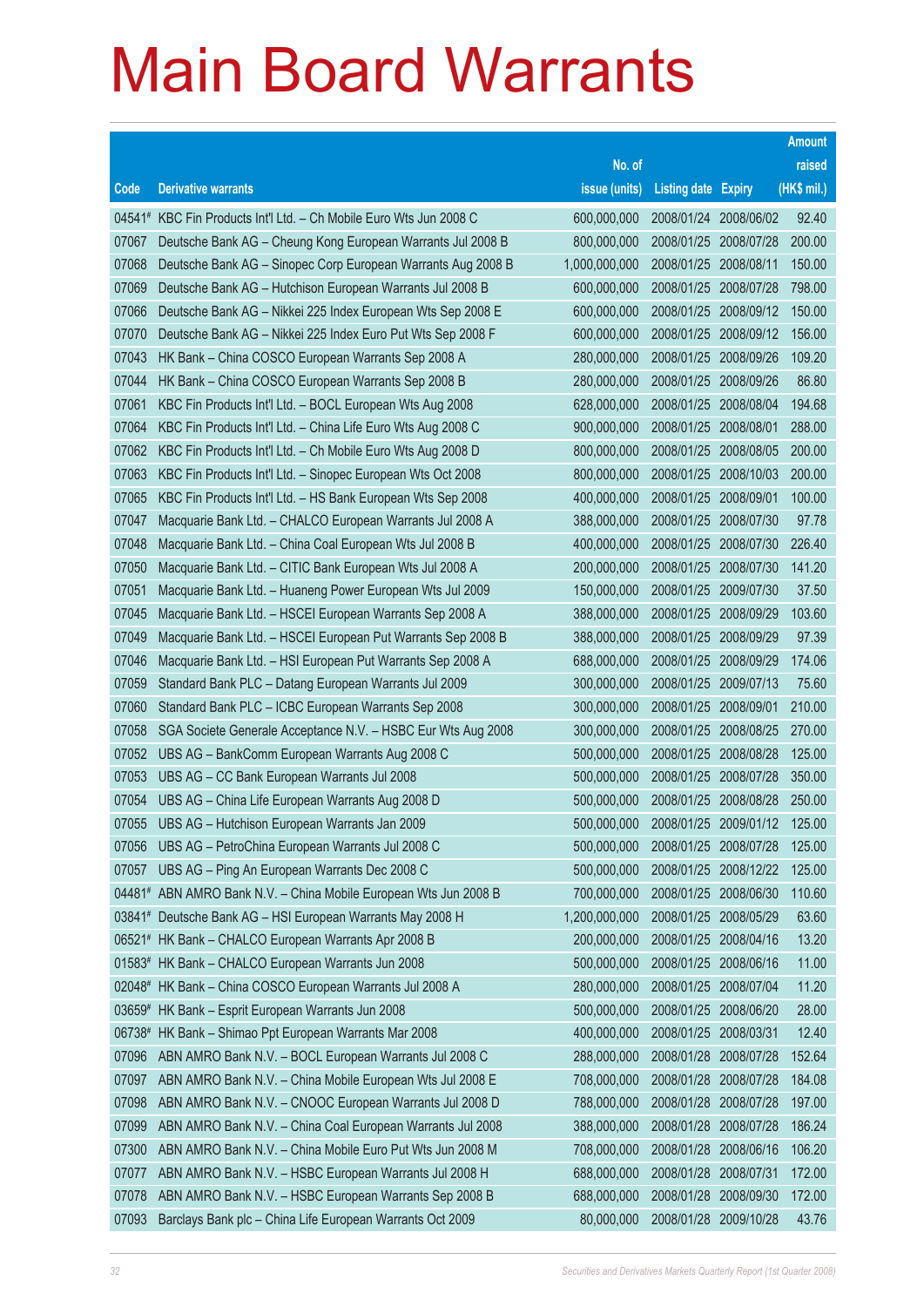|        |                                                                    |               |                            |            | <b>Amount</b> |
|--------|--------------------------------------------------------------------|---------------|----------------------------|------------|---------------|
|        |                                                                    | No. of        |                            |            | raised        |
| Code   | <b>Derivative warrants</b>                                         | issue (units) | <b>Listing date Expiry</b> |            | (HK\$ mil.)   |
|        | 04541# KBC Fin Products Int'l Ltd. - Ch Mobile Euro Wts Jun 2008 C | 600,000,000   | 2008/01/24 2008/06/02      |            | 92.40         |
| 07067  | Deutsche Bank AG - Cheung Kong European Warrants Jul 2008 B        | 800,000,000   | 2008/01/25                 | 2008/07/28 | 200.00        |
| 07068  | Deutsche Bank AG - Sinopec Corp European Warrants Aug 2008 B       | 1,000,000,000 | 2008/01/25                 | 2008/08/11 | 150.00        |
| 07069  | Deutsche Bank AG - Hutchison European Warrants Jul 2008 B          | 600,000,000   | 2008/01/25                 | 2008/07/28 | 798.00        |
| 07066  | Deutsche Bank AG - Nikkei 225 Index European Wts Sep 2008 E        | 600,000,000   | 2008/01/25                 | 2008/09/12 | 150.00        |
| 07070  | Deutsche Bank AG - Nikkei 225 Index Euro Put Wts Sep 2008 F        | 600,000,000   | 2008/01/25                 | 2008/09/12 | 156.00        |
| 07043  | HK Bank - China COSCO European Warrants Sep 2008 A                 | 280,000,000   | 2008/01/25                 | 2008/09/26 | 109.20        |
| 07044  | HK Bank - China COSCO European Warrants Sep 2008 B                 | 280,000,000   | 2008/01/25                 | 2008/09/26 | 86.80         |
| 07061  | KBC Fin Products Int'l Ltd. - BOCL European Wts Aug 2008           | 628,000,000   | 2008/01/25                 | 2008/08/04 | 194.68        |
| 07064  | KBC Fin Products Int'l Ltd. - China Life Euro Wts Aug 2008 C       | 900,000,000   | 2008/01/25                 | 2008/08/01 | 288.00        |
| 07062  | KBC Fin Products Int'l Ltd. - Ch Mobile Euro Wts Aug 2008 D        | 800,000,000   | 2008/01/25                 | 2008/08/05 | 200.00        |
| 07063  | KBC Fin Products Int'l Ltd. - Sinopec European Wts Oct 2008        | 800,000,000   | 2008/01/25                 | 2008/10/03 | 200.00        |
| 07065  | KBC Fin Products Int'l Ltd. - HS Bank European Wts Sep 2008        | 400,000,000   | 2008/01/25                 | 2008/09/01 | 100.00        |
| 07047  | Macquarie Bank Ltd. - CHALCO European Warrants Jul 2008 A          | 388,000,000   | 2008/01/25                 | 2008/07/30 | 97.78         |
| 07048  | Macquarie Bank Ltd. - China Coal European Wts Jul 2008 B           | 400,000,000   | 2008/01/25                 | 2008/07/30 | 226.40        |
| 07050  | Macquarie Bank Ltd. - CITIC Bank European Wts Jul 2008 A           | 200,000,000   | 2008/01/25                 | 2008/07/30 | 141.20        |
| 07051  | Macquarie Bank Ltd. - Huaneng Power European Wts Jul 2009          | 150,000,000   | 2008/01/25                 | 2009/07/30 | 37.50         |
| 07045  | Macquarie Bank Ltd. - HSCEI European Warrants Sep 2008 A           | 388,000,000   | 2008/01/25                 | 2008/09/29 | 103.60        |
| 07049  | Macquarie Bank Ltd. - HSCEI European Put Warrants Sep 2008 B       | 388,000,000   | 2008/01/25                 | 2008/09/29 | 97.39         |
| 07046  | Macquarie Bank Ltd. - HSI European Put Warrants Sep 2008 A         | 688,000,000   | 2008/01/25                 | 2008/09/29 | 174.06        |
| 07059  | Standard Bank PLC - Datang European Warrants Jul 2009              | 300,000,000   | 2008/01/25                 | 2009/07/13 | 75.60         |
| 07060  | Standard Bank PLC - ICBC European Warrants Sep 2008                | 300,000,000   | 2008/01/25                 | 2008/09/01 | 210.00        |
| 07058  | SGA Societe Generale Acceptance N.V. - HSBC Eur Wts Aug 2008       | 300,000,000   | 2008/01/25                 | 2008/08/25 | 270.00        |
| 07052  | UBS AG - BankComm European Warrants Aug 2008 C                     | 500,000,000   | 2008/01/25                 | 2008/08/28 | 125.00        |
| 07053  | UBS AG - CC Bank European Warrants Jul 2008                        | 500,000,000   | 2008/01/25                 | 2008/07/28 | 350.00        |
| 07054  | UBS AG - China Life European Warrants Aug 2008 D                   | 500,000,000   | 2008/01/25                 | 2008/08/28 | 250.00        |
| 07055  | UBS AG - Hutchison European Warrants Jan 2009                      | 500,000,000   | 2008/01/25                 | 2009/01/12 | 125.00        |
| 07056  | UBS AG - PetroChina European Warrants Jul 2008 C                   | 500,000,000   | 2008/01/25                 | 2008/07/28 | 125.00        |
| 07057  | UBS AG - Ping An European Warrants Dec 2008 C                      | 500,000,000   | 2008/01/25                 | 2008/12/22 | 125.00        |
|        | 04481# ABN AMRO Bank N.V. - China Mobile European Wts Jun 2008 B   | 700,000,000   | 2008/01/25                 | 2008/06/30 | 110.60        |
|        | 03841# Deutsche Bank AG - HSI European Warrants May 2008 H         | 1,200,000,000 | 2008/01/25                 | 2008/05/29 | 63.60         |
|        | 06521# HK Bank - CHALCO European Warrants Apr 2008 B               | 200,000,000   | 2008/01/25                 | 2008/04/16 | 13.20         |
|        | 01583# HK Bank - CHALCO European Warrants Jun 2008                 | 500,000,000   | 2008/01/25                 | 2008/06/16 | 11.00         |
|        | 02048# HK Bank - China COSCO European Warrants Jul 2008 A          | 280,000,000   | 2008/01/25                 | 2008/07/04 | 11.20         |
|        | 03659# HK Bank - Esprit European Warrants Jun 2008                 | 500,000,000   | 2008/01/25                 | 2008/06/20 | 28.00         |
| 06738# | HK Bank - Shimao Ppt European Warrants Mar 2008                    | 400,000,000   | 2008/01/25                 | 2008/03/31 | 12.40         |
| 07096  | ABN AMRO Bank N.V. - BOCL European Warrants Jul 2008 C             | 288,000,000   | 2008/01/28                 | 2008/07/28 | 152.64        |
| 07097  | ABN AMRO Bank N.V. - China Mobile European Wts Jul 2008 E          | 708,000,000   | 2008/01/28                 | 2008/07/28 | 184.08        |
| 07098  | ABN AMRO Bank N.V. - CNOOC European Warrants Jul 2008 D            | 788,000,000   | 2008/01/28                 | 2008/07/28 | 197.00        |
| 07099  | ABN AMRO Bank N.V. - China Coal European Warrants Jul 2008         | 388,000,000   | 2008/01/28                 | 2008/07/28 | 186.24        |
| 07300  | ABN AMRO Bank N.V. - China Mobile Euro Put Wts Jun 2008 M          | 708,000,000   | 2008/01/28                 | 2008/06/16 | 106.20        |
| 07077  | ABN AMRO Bank N.V. - HSBC European Warrants Jul 2008 H             | 688,000,000   | 2008/01/28                 | 2008/07/31 | 172.00        |
| 07078  | ABN AMRO Bank N.V. - HSBC European Warrants Sep 2008 B             | 688,000,000   | 2008/01/28                 | 2008/09/30 | 172.00        |
| 07093  | Barclays Bank plc - China Life European Warrants Oct 2009          | 80,000,000    | 2008/01/28                 | 2009/10/28 | 43.76         |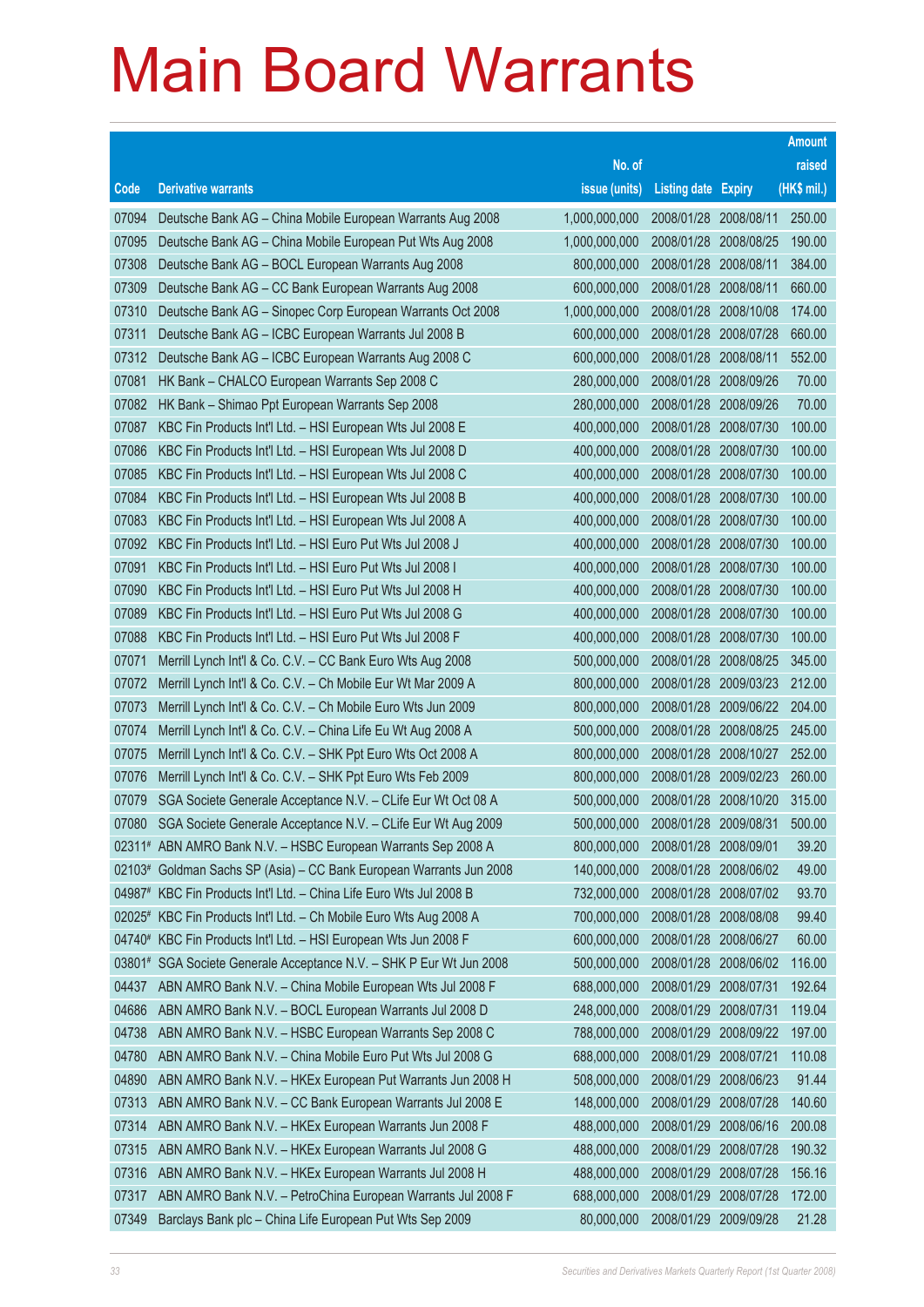|       |                                                                     |               |                            |            | <b>Amount</b> |
|-------|---------------------------------------------------------------------|---------------|----------------------------|------------|---------------|
|       |                                                                     | No. of        |                            |            | raised        |
| Code  | <b>Derivative warrants</b>                                          | issue (units) | <b>Listing date Expiry</b> |            | (HK\$ mil.)   |
| 07094 | Deutsche Bank AG - China Mobile European Warrants Aug 2008          | 1,000,000,000 | 2008/01/28 2008/08/11      |            | 250.00        |
| 07095 | Deutsche Bank AG - China Mobile European Put Wts Aug 2008           | 1,000,000,000 | 2008/01/28                 | 2008/08/25 | 190.00        |
| 07308 | Deutsche Bank AG - BOCL European Warrants Aug 2008                  | 800,000,000   | 2008/01/28                 | 2008/08/11 | 384.00        |
| 07309 | Deutsche Bank AG - CC Bank European Warrants Aug 2008               | 600,000,000   | 2008/01/28                 | 2008/08/11 | 660.00        |
| 07310 | Deutsche Bank AG - Sinopec Corp European Warrants Oct 2008          | 1,000,000,000 | 2008/01/28 2008/10/08      |            | 174.00        |
| 07311 | Deutsche Bank AG - ICBC European Warrants Jul 2008 B                | 600,000,000   | 2008/01/28                 | 2008/07/28 | 660.00        |
| 07312 | Deutsche Bank AG - ICBC European Warrants Aug 2008 C                | 600,000,000   | 2008/01/28                 | 2008/08/11 | 552.00        |
| 07081 | HK Bank - CHALCO European Warrants Sep 2008 C                       | 280,000,000   | 2008/01/28                 | 2008/09/26 | 70.00         |
| 07082 | HK Bank - Shimao Ppt European Warrants Sep 2008                     | 280,000,000   | 2008/01/28 2008/09/26      |            | 70.00         |
| 07087 | KBC Fin Products Int'l Ltd. - HSI European Wts Jul 2008 E           | 400,000,000   | 2008/01/28                 | 2008/07/30 | 100.00        |
| 07086 | KBC Fin Products Int'l Ltd. - HSI European Wts Jul 2008 D           | 400,000,000   | 2008/01/28                 | 2008/07/30 | 100.00        |
| 07085 | KBC Fin Products Int'l Ltd. - HSI European Wts Jul 2008 C           | 400,000,000   | 2008/01/28                 | 2008/07/30 | 100.00        |
| 07084 | KBC Fin Products Int'l Ltd. - HSI European Wts Jul 2008 B           | 400,000,000   | 2008/01/28 2008/07/30      |            | 100.00        |
| 07083 | KBC Fin Products Int'l Ltd. - HSI European Wts Jul 2008 A           | 400,000,000   | 2008/01/28                 | 2008/07/30 | 100.00        |
| 07092 | KBC Fin Products Int'l Ltd. - HSI Euro Put Wts Jul 2008 J           | 400,000,000   | 2008/01/28                 | 2008/07/30 | 100.00        |
| 07091 | KBC Fin Products Int'l Ltd. - HSI Euro Put Wts Jul 2008 I           | 400,000,000   | 2008/01/28                 | 2008/07/30 | 100.00        |
| 07090 | KBC Fin Products Int'l Ltd. - HSI Euro Put Wts Jul 2008 H           | 400,000,000   | 2008/01/28 2008/07/30      |            | 100.00        |
| 07089 | KBC Fin Products Int'l Ltd. - HSI Euro Put Wts Jul 2008 G           | 400,000,000   | 2008/01/28                 | 2008/07/30 | 100.00        |
| 07088 | KBC Fin Products Int'l Ltd. - HSI Euro Put Wts Jul 2008 F           | 400,000,000   | 2008/01/28                 | 2008/07/30 | 100.00        |
| 07071 | Merrill Lynch Int'l & Co. C.V. - CC Bank Euro Wts Aug 2008          | 500,000,000   | 2008/01/28                 | 2008/08/25 | 345.00        |
| 07072 | Merrill Lynch Int'l & Co. C.V. - Ch Mobile Eur Wt Mar 2009 A        | 800,000,000   | 2008/01/28 2009/03/23      |            | 212.00        |
| 07073 | Merrill Lynch Int'l & Co. C.V. - Ch Mobile Euro Wts Jun 2009        | 800,000,000   | 2008/01/28                 | 2009/06/22 | 204.00        |
| 07074 | Merrill Lynch Int'l & Co. C.V. - China Life Eu Wt Aug 2008 A        | 500,000,000   | 2008/01/28                 | 2008/08/25 | 245.00        |
| 07075 | Merrill Lynch Int'l & Co. C.V. - SHK Ppt Euro Wts Oct 2008 A        | 800,000,000   | 2008/01/28                 | 2008/10/27 | 252.00        |
| 07076 | Merrill Lynch Int'l & Co. C.V. - SHK Ppt Euro Wts Feb 2009          | 800,000,000   | 2008/01/28 2009/02/23      |            | 260.00        |
| 07079 | SGA Societe Generale Acceptance N.V. - CLife Eur Wt Oct 08 A        | 500,000,000   | 2008/01/28                 | 2008/10/20 | 315.00        |
| 07080 | SGA Societe Generale Acceptance N.V. - CLife Eur Wt Aug 2009        | 500,000,000   | 2008/01/28 2009/08/31      |            | 500.00        |
|       | 02311# ABN AMRO Bank N.V. - HSBC European Warrants Sep 2008 A       | 800,000,000   | 2008/01/28                 | 2008/09/01 | 39.20         |
|       | 02103# Goldman Sachs SP (Asia) – CC Bank European Warrants Jun 2008 | 140,000,000   | 2008/01/28                 | 2008/06/02 | 49.00         |
|       | 04987# KBC Fin Products Int'l Ltd. - China Life Euro Wts Jul 2008 B | 732,000,000   | 2008/01/28                 | 2008/07/02 | 93.70         |
|       | 02025# KBC Fin Products Int'l Ltd. - Ch Mobile Euro Wts Aug 2008 A  | 700,000,000   | 2008/01/28                 | 2008/08/08 | 99.40         |
|       | 04740# KBC Fin Products Int'l Ltd. - HSI European Wts Jun 2008 F    | 600,000,000   | 2008/01/28                 | 2008/06/27 | 60.00         |
|       | 03801# SGA Societe Generale Acceptance N.V. - SHK P Eur Wt Jun 2008 | 500,000,000   | 2008/01/28                 | 2008/06/02 | 116.00        |
| 04437 | ABN AMRO Bank N.V. - China Mobile European Wts Jul 2008 F           | 688,000,000   | 2008/01/29                 | 2008/07/31 | 192.64        |
| 04686 | ABN AMRO Bank N.V. - BOCL European Warrants Jul 2008 D              | 248,000,000   | 2008/01/29                 | 2008/07/31 | 119.04        |
| 04738 | ABN AMRO Bank N.V. - HSBC European Warrants Sep 2008 C              | 788,000,000   | 2008/01/29                 | 2008/09/22 | 197.00        |
| 04780 | ABN AMRO Bank N.V. - China Mobile Euro Put Wts Jul 2008 G           | 688,000,000   | 2008/01/29                 | 2008/07/21 | 110.08        |
| 04890 | ABN AMRO Bank N.V. - HKEx European Put Warrants Jun 2008 H          | 508,000,000   | 2008/01/29                 | 2008/06/23 | 91.44         |
| 07313 | ABN AMRO Bank N.V. - CC Bank European Warrants Jul 2008 E           | 148,000,000   | 2008/01/29                 | 2008/07/28 | 140.60        |
| 07314 | ABN AMRO Bank N.V. - HKEx European Warrants Jun 2008 F              | 488,000,000   | 2008/01/29                 | 2008/06/16 | 200.08        |
| 07315 | ABN AMRO Bank N.V. - HKEx European Warrants Jul 2008 G              | 488,000,000   | 2008/01/29                 | 2008/07/28 | 190.32        |
| 07316 | ABN AMRO Bank N.V. - HKEx European Warrants Jul 2008 H              | 488,000,000   | 2008/01/29                 | 2008/07/28 | 156.16        |
| 07317 | ABN AMRO Bank N.V. - PetroChina European Warrants Jul 2008 F        | 688,000,000   | 2008/01/29                 | 2008/07/28 | 172.00        |
| 07349 | Barclays Bank plc - China Life European Put Wts Sep 2009            | 80,000,000    | 2008/01/29                 | 2009/09/28 | 21.28         |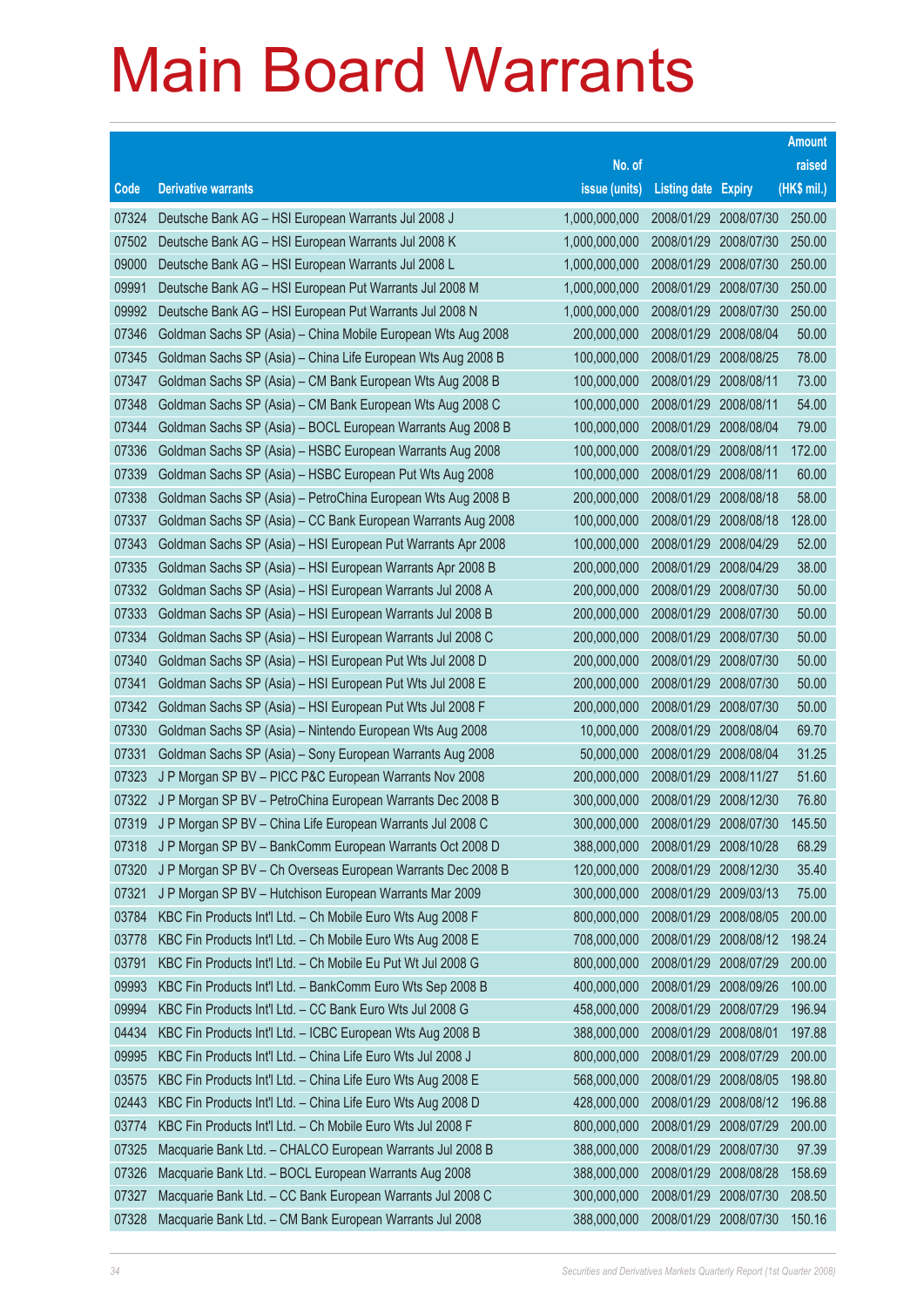|       |                                                              |               |                            |            | <b>Amount</b> |
|-------|--------------------------------------------------------------|---------------|----------------------------|------------|---------------|
|       |                                                              | No. of        |                            |            | raised        |
| Code  | <b>Derivative warrants</b>                                   | issue (units) | <b>Listing date Expiry</b> |            | (HK\$ mil.)   |
| 07324 | Deutsche Bank AG - HSI European Warrants Jul 2008 J          | 1,000,000,000 | 2008/01/29                 | 2008/07/30 | 250.00        |
| 07502 | Deutsche Bank AG - HSI European Warrants Jul 2008 K          | 1,000,000,000 | 2008/01/29                 | 2008/07/30 | 250.00        |
| 09000 | Deutsche Bank AG - HSI European Warrants Jul 2008 L          | 1,000,000,000 | 2008/01/29                 | 2008/07/30 | 250.00        |
| 09991 | Deutsche Bank AG - HSI European Put Warrants Jul 2008 M      | 1,000,000,000 | 2008/01/29                 | 2008/07/30 | 250.00        |
| 09992 | Deutsche Bank AG - HSI European Put Warrants Jul 2008 N      | 1,000,000,000 | 2008/01/29                 | 2008/07/30 | 250.00        |
| 07346 | Goldman Sachs SP (Asia) - China Mobile European Wts Aug 2008 | 200,000,000   | 2008/01/29                 | 2008/08/04 | 50.00         |
| 07345 | Goldman Sachs SP (Asia) - China Life European Wts Aug 2008 B | 100,000,000   | 2008/01/29                 | 2008/08/25 | 78.00         |
| 07347 | Goldman Sachs SP (Asia) - CM Bank European Wts Aug 2008 B    | 100,000,000   | 2008/01/29                 | 2008/08/11 | 73.00         |
| 07348 | Goldman Sachs SP (Asia) - CM Bank European Wts Aug 2008 C    | 100,000,000   | 2008/01/29                 | 2008/08/11 | 54.00         |
| 07344 | Goldman Sachs SP (Asia) - BOCL European Warrants Aug 2008 B  | 100,000,000   | 2008/01/29                 | 2008/08/04 | 79.00         |
| 07336 | Goldman Sachs SP (Asia) - HSBC European Warrants Aug 2008    | 100,000,000   | 2008/01/29                 | 2008/08/11 | 172.00        |
| 07339 | Goldman Sachs SP (Asia) - HSBC European Put Wts Aug 2008     | 100,000,000   | 2008/01/29                 | 2008/08/11 | 60.00         |
| 07338 | Goldman Sachs SP (Asia) - PetroChina European Wts Aug 2008 B | 200,000,000   | 2008/01/29                 | 2008/08/18 | 58.00         |
| 07337 | Goldman Sachs SP (Asia) - CC Bank European Warrants Aug 2008 | 100,000,000   | 2008/01/29                 | 2008/08/18 | 128.00        |
| 07343 | Goldman Sachs SP (Asia) - HSI European Put Warrants Apr 2008 | 100,000,000   | 2008/01/29                 | 2008/04/29 | 52.00         |
| 07335 | Goldman Sachs SP (Asia) - HSI European Warrants Apr 2008 B   | 200,000,000   | 2008/01/29                 | 2008/04/29 | 38.00         |
| 07332 | Goldman Sachs SP (Asia) - HSI European Warrants Jul 2008 A   | 200,000,000   | 2008/01/29                 | 2008/07/30 | 50.00         |
| 07333 | Goldman Sachs SP (Asia) - HSI European Warrants Jul 2008 B   | 200,000,000   | 2008/01/29                 | 2008/07/30 | 50.00         |
| 07334 | Goldman Sachs SP (Asia) - HSI European Warrants Jul 2008 C   | 200,000,000   | 2008/01/29                 | 2008/07/30 | 50.00         |
| 07340 | Goldman Sachs SP (Asia) - HSI European Put Wts Jul 2008 D    | 200,000,000   | 2008/01/29                 | 2008/07/30 | 50.00         |
| 07341 | Goldman Sachs SP (Asia) - HSI European Put Wts Jul 2008 E    | 200,000,000   | 2008/01/29                 | 2008/07/30 | 50.00         |
| 07342 | Goldman Sachs SP (Asia) - HSI European Put Wts Jul 2008 F    | 200,000,000   | 2008/01/29                 | 2008/07/30 | 50.00         |
| 07330 | Goldman Sachs SP (Asia) - Nintendo European Wts Aug 2008     | 10,000,000    | 2008/01/29                 | 2008/08/04 | 69.70         |
| 07331 | Goldman Sachs SP (Asia) - Sony European Warrants Aug 2008    | 50,000,000    | 2008/01/29                 | 2008/08/04 | 31.25         |
| 07323 | J P Morgan SP BV - PICC P&C European Warrants Nov 2008       | 200,000,000   | 2008/01/29                 | 2008/11/27 | 51.60         |
| 07322 | J P Morgan SP BV - PetroChina European Warrants Dec 2008 B   | 300,000,000   | 2008/01/29                 | 2008/12/30 | 76.80         |
| 07319 | J P Morgan SP BV - China Life European Warrants Jul 2008 C   | 300,000,000   | 2008/01/29                 | 2008/07/30 | 145.50        |
| 07318 | J P Morgan SP BV - BankComm European Warrants Oct 2008 D     | 388,000,000   | 2008/01/29 2008/10/28      |            | 68.29         |
| 07320 | J P Morgan SP BV - Ch Overseas European Warrants Dec 2008 B  | 120,000,000   | 2008/01/29                 | 2008/12/30 | 35.40         |
| 07321 | J P Morgan SP BV - Hutchison European Warrants Mar 2009      | 300,000,000   | 2008/01/29                 | 2009/03/13 | 75.00         |
| 03784 | KBC Fin Products Int'l Ltd. - Ch Mobile Euro Wts Aug 2008 F  | 800,000,000   | 2008/01/29                 | 2008/08/05 | 200.00        |
| 03778 | KBC Fin Products Int'l Ltd. - Ch Mobile Euro Wts Aug 2008 E  | 708,000,000   | 2008/01/29                 | 2008/08/12 | 198.24        |
| 03791 | KBC Fin Products Int'l Ltd. - Ch Mobile Eu Put Wt Jul 2008 G | 800,000,000   | 2008/01/29                 | 2008/07/29 | 200.00        |
| 09993 | KBC Fin Products Int'l Ltd. - BankComm Euro Wts Sep 2008 B   | 400,000,000   | 2008/01/29                 | 2008/09/26 | 100.00        |
| 09994 | KBC Fin Products Int'l Ltd. - CC Bank Euro Wts Jul 2008 G    | 458,000,000   | 2008/01/29                 | 2008/07/29 | 196.94        |
| 04434 | KBC Fin Products Int'l Ltd. - ICBC European Wts Aug 2008 B   | 388,000,000   | 2008/01/29                 | 2008/08/01 | 197.88        |
| 09995 | KBC Fin Products Int'l Ltd. - China Life Euro Wts Jul 2008 J | 800,000,000   | 2008/01/29                 | 2008/07/29 | 200.00        |
| 03575 | KBC Fin Products Int'l Ltd. - China Life Euro Wts Aug 2008 E | 568,000,000   | 2008/01/29                 | 2008/08/05 | 198.80        |
| 02443 | KBC Fin Products Int'l Ltd. - China Life Euro Wts Aug 2008 D | 428,000,000   | 2008/01/29                 | 2008/08/12 | 196.88        |
| 03774 | KBC Fin Products Int'l Ltd. - Ch Mobile Euro Wts Jul 2008 F  | 800,000,000   | 2008/01/29                 | 2008/07/29 | 200.00        |
| 07325 | Macquarie Bank Ltd. - CHALCO European Warrants Jul 2008 B    | 388,000,000   | 2008/01/29                 | 2008/07/30 | 97.39         |
| 07326 | Macquarie Bank Ltd. - BOCL European Warrants Aug 2008        | 388,000,000   | 2008/01/29                 | 2008/08/28 | 158.69        |
| 07327 | Macquarie Bank Ltd. - CC Bank European Warrants Jul 2008 C   | 300,000,000   | 2008/01/29                 | 2008/07/30 | 208.50        |
| 07328 | Macquarie Bank Ltd. - CM Bank European Warrants Jul 2008     | 388,000,000   | 2008/01/29 2008/07/30      |            | 150.16        |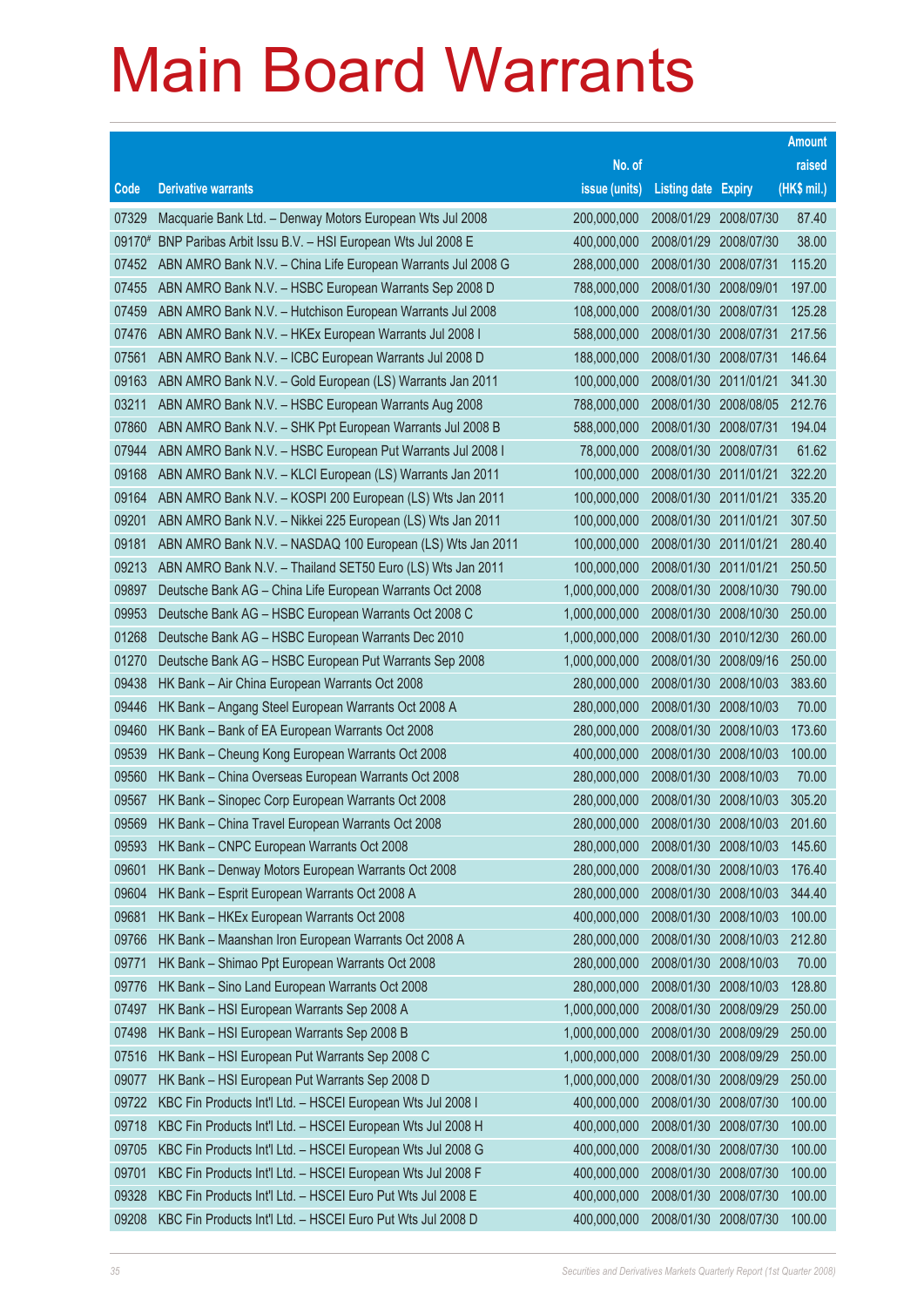|        |                                                              |               |                            |            | <b>Amount</b> |
|--------|--------------------------------------------------------------|---------------|----------------------------|------------|---------------|
|        |                                                              | No. of        |                            |            | raised        |
| Code   | <b>Derivative warrants</b>                                   | issue (units) | <b>Listing date Expiry</b> |            | (HK\$ mil.)   |
| 07329  | Macquarie Bank Ltd. - Denway Motors European Wts Jul 2008    | 200,000,000   | 2008/01/29 2008/07/30      |            | 87.40         |
| 09170# | BNP Paribas Arbit Issu B.V. - HSI European Wts Jul 2008 E    | 400,000,000   | 2008/01/29 2008/07/30      |            | 38.00         |
| 07452  | ABN AMRO Bank N.V. - China Life European Warrants Jul 2008 G | 288,000,000   | 2008/01/30                 | 2008/07/31 | 115.20        |
| 07455  | ABN AMRO Bank N.V. - HSBC European Warrants Sep 2008 D       | 788,000,000   | 2008/01/30 2008/09/01      |            | 197.00        |
| 07459  | ABN AMRO Bank N.V. - Hutchison European Warrants Jul 2008    | 108,000,000   | 2008/01/30 2008/07/31      |            | 125.28        |
| 07476  | ABN AMRO Bank N.V. - HKEx European Warrants Jul 2008 I       | 588,000,000   | 2008/01/30 2008/07/31      |            | 217.56        |
| 07561  | ABN AMRO Bank N.V. - ICBC European Warrants Jul 2008 D       | 188,000,000   | 2008/01/30 2008/07/31      |            | 146.64        |
| 09163  | ABN AMRO Bank N.V. - Gold European (LS) Warrants Jan 2011    | 100,000,000   | 2008/01/30 2011/01/21      |            | 341.30        |
| 03211  | ABN AMRO Bank N.V. - HSBC European Warrants Aug 2008         | 788,000,000   | 2008/01/30 2008/08/05      |            | 212.76        |
| 07860  | ABN AMRO Bank N.V. - SHK Ppt European Warrants Jul 2008 B    | 588,000,000   | 2008/01/30 2008/07/31      |            | 194.04        |
| 07944  | ABN AMRO Bank N.V. - HSBC European Put Warrants Jul 2008 I   | 78,000,000    | 2008/01/30 2008/07/31      |            | 61.62         |
| 09168  | ABN AMRO Bank N.V. - KLCI European (LS) Warrants Jan 2011    | 100,000,000   | 2008/01/30 2011/01/21      |            | 322.20        |
| 09164  | ABN AMRO Bank N.V. - KOSPI 200 European (LS) Wts Jan 2011    | 100,000,000   | 2008/01/30 2011/01/21      |            | 335.20        |
| 09201  | ABN AMRO Bank N.V. - Nikkei 225 European (LS) Wts Jan 2011   | 100,000,000   | 2008/01/30 2011/01/21      |            | 307.50        |
| 09181  | ABN AMRO Bank N.V. - NASDAQ 100 European (LS) Wts Jan 2011   | 100,000,000   | 2008/01/30 2011/01/21      |            | 280.40        |
| 09213  | ABN AMRO Bank N.V. - Thailand SET50 Euro (LS) Wts Jan 2011   | 100,000,000   | 2008/01/30 2011/01/21      |            | 250.50        |
| 09897  | Deutsche Bank AG - China Life European Warrants Oct 2008     | 1,000,000,000 | 2008/01/30 2008/10/30      |            | 790.00        |
| 09953  | Deutsche Bank AG - HSBC European Warrants Oct 2008 C         | 1,000,000,000 | 2008/01/30 2008/10/30      |            | 250.00        |
| 01268  | Deutsche Bank AG - HSBC European Warrants Dec 2010           | 1,000,000,000 | 2008/01/30                 | 2010/12/30 | 260.00        |
| 01270  | Deutsche Bank AG - HSBC European Put Warrants Sep 2008       | 1,000,000,000 | 2008/01/30 2008/09/16      |            | 250.00        |
| 09438  | HK Bank - Air China European Warrants Oct 2008               | 280,000,000   | 2008/01/30 2008/10/03      |            | 383.60        |
| 09446  | HK Bank - Angang Steel European Warrants Oct 2008 A          | 280,000,000   | 2008/01/30 2008/10/03      |            | 70.00         |
| 09460  | HK Bank - Bank of EA European Warrants Oct 2008              | 280,000,000   | 2008/01/30                 | 2008/10/03 | 173.60        |
| 09539  | HK Bank - Cheung Kong European Warrants Oct 2008             | 400,000,000   | 2008/01/30 2008/10/03      |            | 100.00        |
| 09560  | HK Bank - China Overseas European Warrants Oct 2008          | 280,000,000   | 2008/01/30                 | 2008/10/03 | 70.00         |
| 09567  | HK Bank - Sinopec Corp European Warrants Oct 2008            | 280,000,000   | 2008/01/30 2008/10/03      |            | 305.20        |
| 09569  | HK Bank - China Travel European Warrants Oct 2008            | 280,000,000   | 2008/01/30 2008/10/03      |            | 201.60        |
| 09593  | HK Bank - CNPC European Warrants Oct 2008                    | 280,000,000   | 2008/01/30 2008/10/03      |            | 145.60        |
| 09601  | HK Bank - Denway Motors European Warrants Oct 2008           | 280,000,000   | 2008/01/30                 | 2008/10/03 | 176.40        |
| 09604  | HK Bank - Esprit European Warrants Oct 2008 A                | 280,000,000   | 2008/01/30                 | 2008/10/03 | 344.40        |
| 09681  | HK Bank - HKEx European Warrants Oct 2008                    | 400,000,000   | 2008/01/30                 | 2008/10/03 | 100.00        |
| 09766  | HK Bank - Maanshan Iron European Warrants Oct 2008 A         | 280,000,000   | 2008/01/30                 | 2008/10/03 | 212.80        |
| 09771  | HK Bank - Shimao Ppt European Warrants Oct 2008              | 280,000,000   | 2008/01/30                 | 2008/10/03 | 70.00         |
| 09776  | HK Bank - Sino Land European Warrants Oct 2008               | 280,000,000   | 2008/01/30                 | 2008/10/03 | 128.80        |
| 07497  | HK Bank - HSI European Warrants Sep 2008 A                   | 1,000,000,000 | 2008/01/30                 | 2008/09/29 | 250.00        |
| 07498  | HK Bank - HSI European Warrants Sep 2008 B                   | 1,000,000,000 | 2008/01/30                 | 2008/09/29 | 250.00        |
| 07516  | HK Bank - HSI European Put Warrants Sep 2008 C               | 1,000,000,000 | 2008/01/30                 | 2008/09/29 | 250.00        |
| 09077  | HK Bank - HSI European Put Warrants Sep 2008 D               | 1,000,000,000 | 2008/01/30                 | 2008/09/29 | 250.00        |
| 09722  | KBC Fin Products Int'l Ltd. - HSCEI European Wts Jul 2008 I  | 400,000,000   | 2008/01/30                 | 2008/07/30 | 100.00        |
| 09718  | KBC Fin Products Int'l Ltd. - HSCEI European Wts Jul 2008 H  | 400,000,000   | 2008/01/30                 | 2008/07/30 | 100.00        |
| 09705  | KBC Fin Products Int'l Ltd. - HSCEI European Wts Jul 2008 G  | 400,000,000   | 2008/01/30                 | 2008/07/30 | 100.00        |
| 09701  | KBC Fin Products Int'l Ltd. - HSCEI European Wts Jul 2008 F  | 400,000,000   | 2008/01/30                 | 2008/07/30 | 100.00        |
| 09328  | KBC Fin Products Int'l Ltd. - HSCEI Euro Put Wts Jul 2008 E  | 400,000,000   | 2008/01/30                 | 2008/07/30 | 100.00        |
| 09208  | KBC Fin Products Int'l Ltd. - HSCEI Euro Put Wts Jul 2008 D  | 400,000,000   | 2008/01/30 2008/07/30      |            | 100.00        |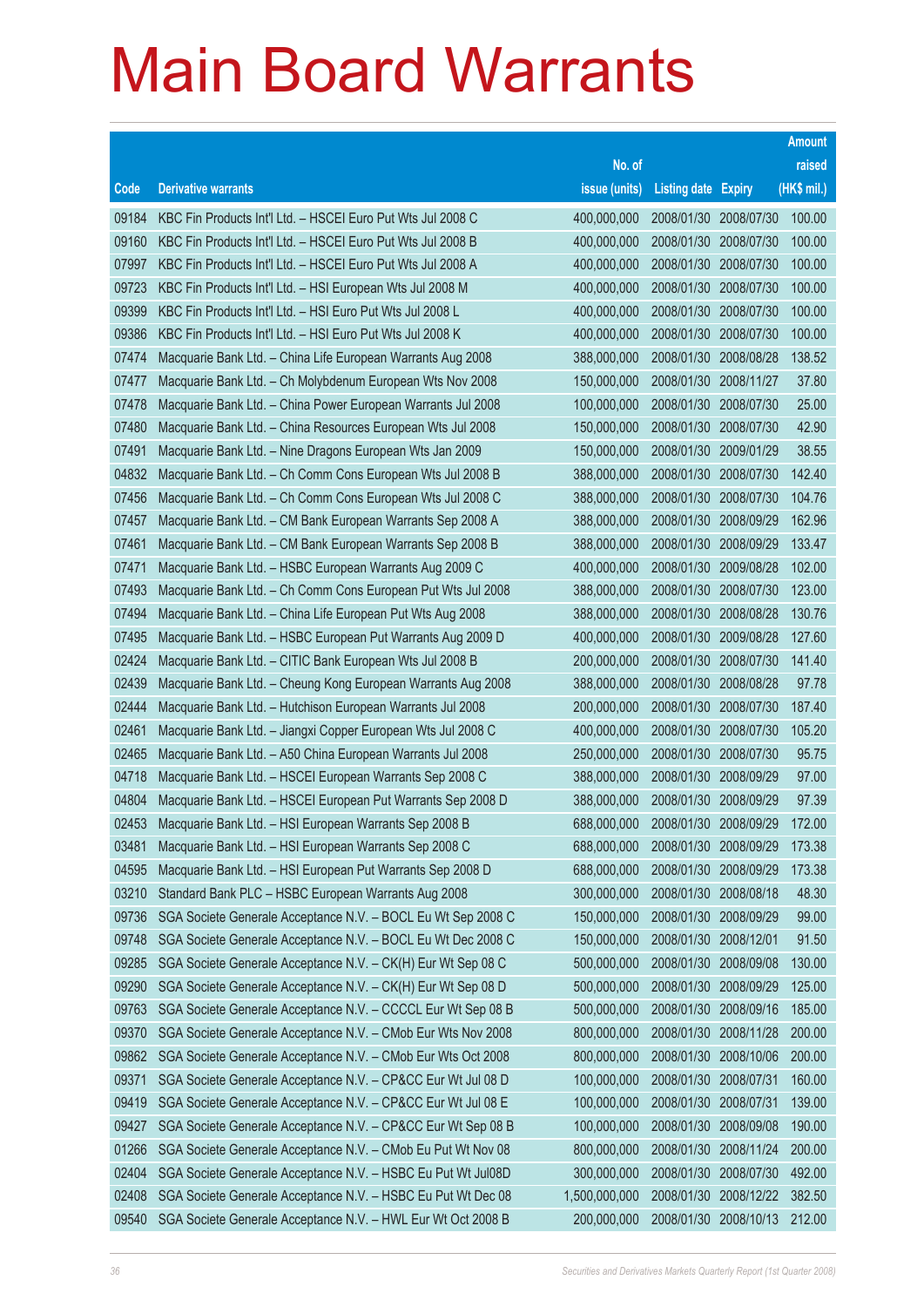|       |                                                              |               |                            |            | <b>Amount</b> |
|-------|--------------------------------------------------------------|---------------|----------------------------|------------|---------------|
|       |                                                              | No. of        |                            |            | raised        |
| Code  | <b>Derivative warrants</b>                                   | issue (units) | <b>Listing date Expiry</b> |            | (HK\$ mil.)   |
| 09184 | KBC Fin Products Int'l Ltd. - HSCEI Euro Put Wts Jul 2008 C  | 400,000,000   | 2008/01/30 2008/07/30      |            | 100.00        |
| 09160 | KBC Fin Products Int'l Ltd. - HSCEI Euro Put Wts Jul 2008 B  | 400,000,000   | 2008/01/30 2008/07/30      |            | 100.00        |
| 07997 | KBC Fin Products Int'l Ltd. - HSCEI Euro Put Wts Jul 2008 A  | 400,000,000   | 2008/01/30 2008/07/30      |            | 100.00        |
| 09723 | KBC Fin Products Int'l Ltd. - HSI European Wts Jul 2008 M    | 400,000,000   | 2008/01/30 2008/07/30      |            | 100.00        |
| 09399 | KBC Fin Products Int'l Ltd. - HSI Euro Put Wts Jul 2008 L    | 400,000,000   | 2008/01/30 2008/07/30      |            | 100.00        |
| 09386 | KBC Fin Products Int'l Ltd. - HSI Euro Put Wts Jul 2008 K    | 400,000,000   | 2008/01/30 2008/07/30      |            | 100.00        |
| 07474 | Macquarie Bank Ltd. - China Life European Warrants Aug 2008  | 388,000,000   | 2008/01/30                 | 2008/08/28 | 138.52        |
| 07477 | Macquarie Bank Ltd. - Ch Molybdenum European Wts Nov 2008    | 150,000,000   | 2008/01/30 2008/11/27      |            | 37.80         |
| 07478 | Macquarie Bank Ltd. - China Power European Warrants Jul 2008 | 100,000,000   | 2008/01/30 2008/07/30      |            | 25.00         |
| 07480 | Macquarie Bank Ltd. - China Resources European Wts Jul 2008  | 150,000,000   | 2008/01/30 2008/07/30      |            | 42.90         |
| 07491 | Macquarie Bank Ltd. - Nine Dragons European Wts Jan 2009     | 150,000,000   | 2008/01/30 2009/01/29      |            | 38.55         |
| 04832 | Macquarie Bank Ltd. - Ch Comm Cons European Wts Jul 2008 B   | 388,000,000   | 2008/01/30 2008/07/30      |            | 142.40        |
| 07456 | Macquarie Bank Ltd. - Ch Comm Cons European Wts Jul 2008 C   | 388,000,000   | 2008/01/30 2008/07/30      |            | 104.76        |
| 07457 | Macquarie Bank Ltd. - CM Bank European Warrants Sep 2008 A   | 388,000,000   | 2008/01/30 2008/09/29      |            | 162.96        |
| 07461 | Macquarie Bank Ltd. - CM Bank European Warrants Sep 2008 B   | 388,000,000   | 2008/01/30                 | 2008/09/29 | 133.47        |
| 07471 | Macquarie Bank Ltd. - HSBC European Warrants Aug 2009 C      | 400,000,000   | 2008/01/30 2009/08/28      |            | 102.00        |
| 07493 | Macquarie Bank Ltd. - Ch Comm Cons European Put Wts Jul 2008 | 388,000,000   | 2008/01/30 2008/07/30      |            | 123.00        |
| 07494 | Macquarie Bank Ltd. - China Life European Put Wts Aug 2008   | 388,000,000   | 2008/01/30 2008/08/28      |            | 130.76        |
| 07495 | Macquarie Bank Ltd. - HSBC European Put Warrants Aug 2009 D  | 400,000,000   | 2008/01/30                 | 2009/08/28 | 127.60        |
| 02424 | Macquarie Bank Ltd. - CITIC Bank European Wts Jul 2008 B     | 200,000,000   | 2008/01/30 2008/07/30      |            | 141.40        |
| 02439 | Macquarie Bank Ltd. - Cheung Kong European Warrants Aug 2008 | 388,000,000   | 2008/01/30 2008/08/28      |            | 97.78         |
| 02444 | Macquarie Bank Ltd. - Hutchison European Warrants Jul 2008   | 200,000,000   | 2008/01/30 2008/07/30      |            | 187.40        |
| 02461 | Macquarie Bank Ltd. - Jiangxi Copper European Wts Jul 2008 C | 400,000,000   | 2008/01/30                 | 2008/07/30 | 105.20        |
| 02465 | Macquarie Bank Ltd. - A50 China European Warrants Jul 2008   | 250,000,000   | 2008/01/30                 | 2008/07/30 | 95.75         |
| 04718 | Macquarie Bank Ltd. - HSCEI European Warrants Sep 2008 C     | 388,000,000   | 2008/01/30 2008/09/29      |            | 97.00         |
| 04804 | Macquarie Bank Ltd. - HSCEI European Put Warrants Sep 2008 D | 388,000,000   | 2008/01/30                 | 2008/09/29 | 97.39         |
| 02453 | Macquarie Bank Ltd. - HSI European Warrants Sep 2008 B       | 688,000,000   | 2008/01/30 2008/09/29      |            | 172.00        |
| 03481 | Macquarie Bank Ltd. - HSI European Warrants Sep 2008 C       | 688,000,000   | 2008/01/30 2008/09/29      |            | 173.38        |
| 04595 | Macquarie Bank Ltd. - HSI European Put Warrants Sep 2008 D   | 688,000,000   | 2008/01/30 2008/09/29      |            | 173.38        |
| 03210 | Standard Bank PLC - HSBC European Warrants Aug 2008          | 300,000,000   | 2008/01/30 2008/08/18      |            | 48.30         |
| 09736 | SGA Societe Generale Acceptance N.V. - BOCL Eu Wt Sep 2008 C | 150,000,000   | 2008/01/30 2008/09/29      |            | 99.00         |
| 09748 | SGA Societe Generale Acceptance N.V. - BOCL Eu Wt Dec 2008 C | 150,000,000   | 2008/01/30                 | 2008/12/01 | 91.50         |
| 09285 | SGA Societe Generale Acceptance N.V. - CK(H) Eur Wt Sep 08 C | 500,000,000   | 2008/01/30                 | 2008/09/08 | 130.00        |
| 09290 | SGA Societe Generale Acceptance N.V. - CK(H) Eur Wt Sep 08 D | 500,000,000   | 2008/01/30                 | 2008/09/29 | 125.00        |
| 09763 | SGA Societe Generale Acceptance N.V. - CCCCL Eur Wt Sep 08 B | 500,000,000   | 2008/01/30 2008/09/16      |            | 185.00        |
| 09370 | SGA Societe Generale Acceptance N.V. - CMob Eur Wts Nov 2008 | 800,000,000   | 2008/01/30                 | 2008/11/28 | 200.00        |
| 09862 | SGA Societe Generale Acceptance N.V. - CMob Eur Wts Oct 2008 | 800,000,000   | 2008/01/30                 | 2008/10/06 | 200.00        |
| 09371 | SGA Societe Generale Acceptance N.V. - CP&CC Eur Wt Jul 08 D | 100,000,000   | 2008/01/30                 | 2008/07/31 | 160.00        |
| 09419 | SGA Societe Generale Acceptance N.V. - CP&CC Eur Wt Jul 08 E | 100,000,000   | 2008/01/30 2008/07/31      |            | 139.00        |
| 09427 | SGA Societe Generale Acceptance N.V. - CP&CC Eur Wt Sep 08 B | 100,000,000   | 2008/01/30                 | 2008/09/08 | 190.00        |
| 01266 | SGA Societe Generale Acceptance N.V. - CMob Eu Put Wt Nov 08 | 800,000,000   | 2008/01/30                 | 2008/11/24 | 200.00        |
| 02404 | SGA Societe Generale Acceptance N.V. - HSBC Eu Put Wt Jul08D | 300,000,000   | 2008/01/30                 | 2008/07/30 | 492.00        |
| 02408 | SGA Societe Generale Acceptance N.V. - HSBC Eu Put Wt Dec 08 | 1,500,000,000 | 2008/01/30 2008/12/22      |            | 382.50        |
| 09540 | SGA Societe Generale Acceptance N.V. - HWL Eur Wt Oct 2008 B | 200,000,000   | 2008/01/30 2008/10/13      |            | 212.00        |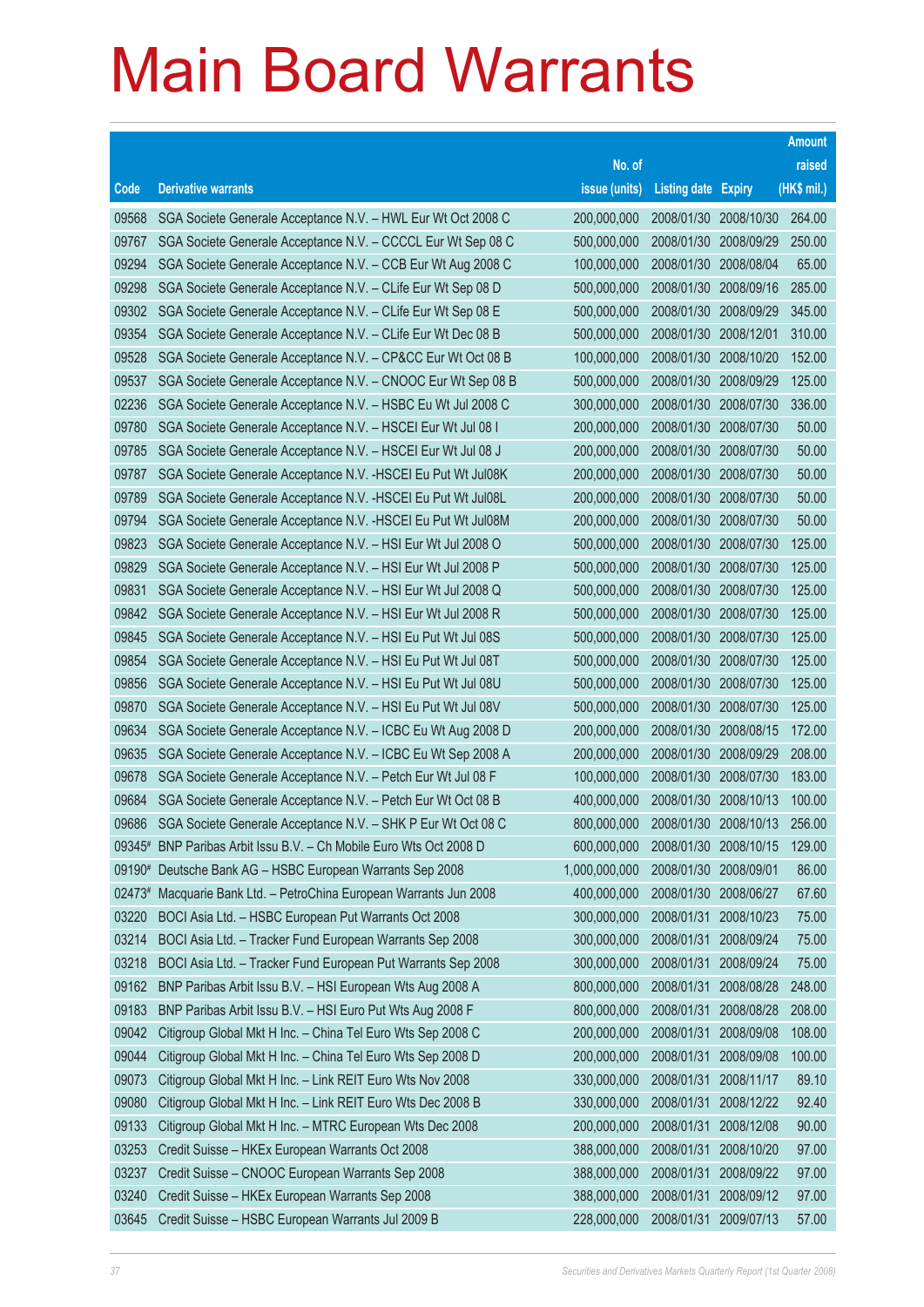|        |                                                                    |               |                            |            | <b>Amount</b> |
|--------|--------------------------------------------------------------------|---------------|----------------------------|------------|---------------|
|        |                                                                    | No. of        |                            |            | raised        |
| Code   | <b>Derivative warrants</b>                                         | issue (units) | <b>Listing date Expiry</b> |            | (HK\$ mil.)   |
| 09568  | SGA Societe Generale Acceptance N.V. - HWL Eur Wt Oct 2008 C       | 200,000,000   | 2008/01/30                 | 2008/10/30 | 264.00        |
| 09767  | SGA Societe Generale Acceptance N.V. - CCCCL Eur Wt Sep 08 C       | 500,000,000   | 2008/01/30                 | 2008/09/29 | 250.00        |
| 09294  | SGA Societe Generale Acceptance N.V. - CCB Eur Wt Aug 2008 C       | 100,000,000   | 2008/01/30                 | 2008/08/04 | 65.00         |
| 09298  | SGA Societe Generale Acceptance N.V. - CLife Eur Wt Sep 08 D       | 500,000,000   | 2008/01/30                 | 2008/09/16 | 285.00        |
| 09302  | SGA Societe Generale Acceptance N.V. - CLife Eur Wt Sep 08 E       | 500,000,000   | 2008/01/30 2008/09/29      |            | 345.00        |
| 09354  | SGA Societe Generale Acceptance N.V. - CLife Eur Wt Dec 08 B       | 500,000,000   | 2008/01/30                 | 2008/12/01 | 310.00        |
| 09528  | SGA Societe Generale Acceptance N.V. - CP&CC Eur Wt Oct 08 B       | 100,000,000   | 2008/01/30                 | 2008/10/20 | 152.00        |
| 09537  | SGA Societe Generale Acceptance N.V. - CNOOC Eur Wt Sep 08 B       | 500,000,000   | 2008/01/30                 | 2008/09/29 | 125.00        |
| 02236  | SGA Societe Generale Acceptance N.V. - HSBC Eu Wt Jul 2008 C       | 300,000,000   | 2008/01/30 2008/07/30      |            | 336.00        |
| 09780  | SGA Societe Generale Acceptance N.V. - HSCEI Eur Wt Jul 08 I       | 200,000,000   | 2008/01/30                 | 2008/07/30 | 50.00         |
| 09785  | SGA Societe Generale Acceptance N.V. - HSCEI Eur Wt Jul 08 J       | 200,000,000   | 2008/01/30                 | 2008/07/30 | 50.00         |
| 09787  | SGA Societe Generale Acceptance N.V. - HSCEI Eu Put Wt Jul08K      | 200,000,000   | 2008/01/30                 | 2008/07/30 | 50.00         |
| 09789  | SGA Societe Generale Acceptance N.V. - HSCEI Eu Put Wt Jul08L      | 200,000,000   | 2008/01/30                 | 2008/07/30 | 50.00         |
| 09794  | SGA Societe Generale Acceptance N.V. - HSCEI Eu Put Wt Jul08M      | 200,000,000   | 2008/01/30                 | 2008/07/30 | 50.00         |
| 09823  | SGA Societe Generale Acceptance N.V. - HSI Eur Wt Jul 2008 O       | 500,000,000   | 2008/01/30                 | 2008/07/30 | 125.00        |
| 09829  | SGA Societe Generale Acceptance N.V. - HSI Eur Wt Jul 2008 P       | 500,000,000   | 2008/01/30                 | 2008/07/30 | 125.00        |
| 09831  | SGA Societe Generale Acceptance N.V. - HSI Eur Wt Jul 2008 Q       | 500,000,000   | 2008/01/30                 | 2008/07/30 | 125.00        |
| 09842  | SGA Societe Generale Acceptance N.V. - HSI Eur Wt Jul 2008 R       | 500,000,000   | 2008/01/30                 | 2008/07/30 | 125.00        |
| 09845  | SGA Societe Generale Acceptance N.V. - HSI Eu Put Wt Jul 08S       | 500,000,000   | 2008/01/30                 | 2008/07/30 | 125.00        |
| 09854  | SGA Societe Generale Acceptance N.V. - HSI Eu Put Wt Jul 08T       | 500,000,000   | 2008/01/30                 | 2008/07/30 | 125.00        |
| 09856  | SGA Societe Generale Acceptance N.V. - HSI Eu Put Wt Jul 08U       | 500,000,000   | 2008/01/30                 | 2008/07/30 | 125.00        |
| 09870  | SGA Societe Generale Acceptance N.V. - HSI Eu Put Wt Jul 08V       | 500,000,000   | 2008/01/30                 | 2008/07/30 | 125.00        |
| 09634  | SGA Societe Generale Acceptance N.V. - ICBC Eu Wt Aug 2008 D       | 200,000,000   | 2008/01/30                 | 2008/08/15 | 172.00        |
| 09635  | SGA Societe Generale Acceptance N.V. - ICBC Eu Wt Sep 2008 A       | 200,000,000   | 2008/01/30                 | 2008/09/29 | 208.00        |
| 09678  | SGA Societe Generale Acceptance N.V. - Petch Eur Wt Jul 08 F       | 100,000,000   | 2008/01/30                 | 2008/07/30 | 183.00        |
| 09684  | SGA Societe Generale Acceptance N.V. - Petch Eur Wt Oct 08 B       | 400,000,000   | 2008/01/30                 | 2008/10/13 | 100.00        |
| 09686  | SGA Societe Generale Acceptance N.V. - SHK P Eur Wt Oct 08 C       | 800,000,000   | 2008/01/30 2008/10/13      |            | 256.00        |
|        | 09345# BNP Paribas Arbit Issu B.V. - Ch Mobile Euro Wts Oct 2008 D | 600,000,000   | 2008/01/30                 | 2008/10/15 | 129.00        |
| 09190# | Deutsche Bank AG - HSBC European Warrants Sep 2008                 | 1,000,000,000 | 2008/01/30                 | 2008/09/01 | 86.00         |
| 02473# | Macquarie Bank Ltd. - PetroChina European Warrants Jun 2008        | 400,000,000   | 2008/01/30                 | 2008/06/27 | 67.60         |
| 03220  | BOCI Asia Ltd. - HSBC European Put Warrants Oct 2008               | 300,000,000   | 2008/01/31                 | 2008/10/23 | 75.00         |
| 03214  | BOCI Asia Ltd. - Tracker Fund European Warrants Sep 2008           | 300,000,000   | 2008/01/31                 | 2008/09/24 | 75.00         |
| 03218  | BOCI Asia Ltd. - Tracker Fund European Put Warrants Sep 2008       | 300,000,000   | 2008/01/31                 | 2008/09/24 | 75.00         |
| 09162  | BNP Paribas Arbit Issu B.V. - HSI European Wts Aug 2008 A          | 800,000,000   | 2008/01/31                 | 2008/08/28 | 248.00        |
| 09183  | BNP Paribas Arbit Issu B.V. - HSI Euro Put Wts Aug 2008 F          | 800,000,000   | 2008/01/31                 | 2008/08/28 | 208.00        |
| 09042  | Citigroup Global Mkt H Inc. - China Tel Euro Wts Sep 2008 C        | 200,000,000   | 2008/01/31                 | 2008/09/08 | 108.00        |
| 09044  | Citigroup Global Mkt H Inc. - China Tel Euro Wts Sep 2008 D        | 200,000,000   | 2008/01/31                 | 2008/09/08 | 100.00        |
| 09073  | Citigroup Global Mkt H Inc. - Link REIT Euro Wts Nov 2008          | 330,000,000   | 2008/01/31                 | 2008/11/17 | 89.10         |
| 09080  | Citigroup Global Mkt H Inc. - Link REIT Euro Wts Dec 2008 B        | 330,000,000   | 2008/01/31                 | 2008/12/22 | 92.40         |
| 09133  | Citigroup Global Mkt H Inc. - MTRC European Wts Dec 2008           | 200,000,000   | 2008/01/31                 | 2008/12/08 | 90.00         |
| 03253  | Credit Suisse - HKEx European Warrants Oct 2008                    | 388,000,000   | 2008/01/31                 | 2008/10/20 | 97.00         |
| 03237  | Credit Suisse - CNOOC European Warrants Sep 2008                   | 388,000,000   | 2008/01/31                 | 2008/09/22 | 97.00         |
| 03240  | Credit Suisse - HKEx European Warrants Sep 2008                    | 388,000,000   | 2008/01/31                 | 2008/09/12 | 97.00         |
| 03645  | Credit Suisse - HSBC European Warrants Jul 2009 B                  | 228,000,000   | 2008/01/31                 | 2009/07/13 | 57.00         |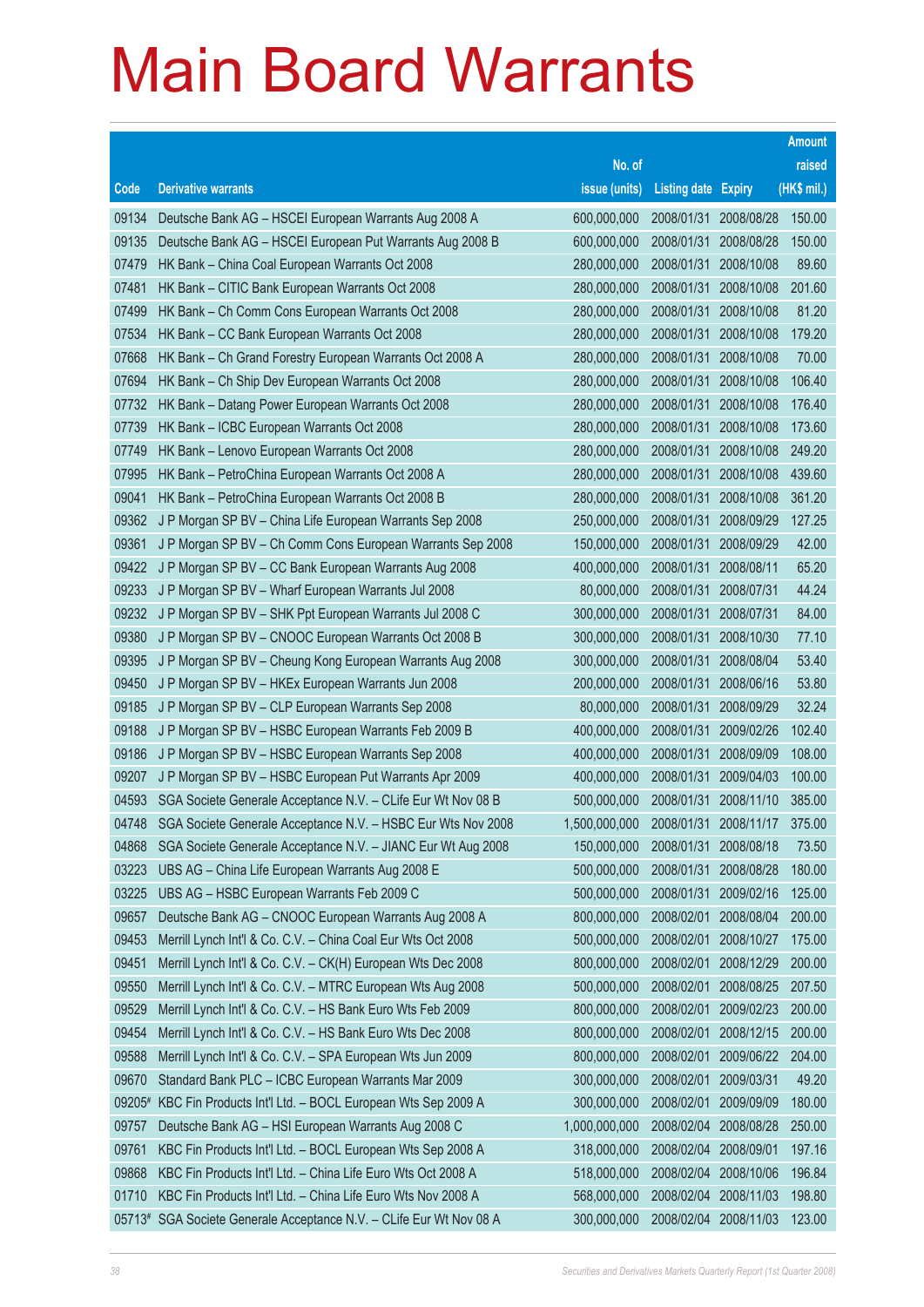|          |                                                              |               |                            |            | <b>Amount</b> |
|----------|--------------------------------------------------------------|---------------|----------------------------|------------|---------------|
|          |                                                              | No. of        |                            |            | raised        |
| Code     | <b>Derivative warrants</b>                                   | issue (units) | <b>Listing date Expiry</b> |            | (HK\$ mil.)   |
| 09134    | Deutsche Bank AG - HSCEI European Warrants Aug 2008 A        | 600,000,000   | 2008/01/31 2008/08/28      |            | 150.00        |
| 09135    | Deutsche Bank AG - HSCEI European Put Warrants Aug 2008 B    | 600,000,000   | 2008/01/31                 | 2008/08/28 | 150.00        |
| 07479    | HK Bank – China Coal European Warrants Oct 2008              | 280,000,000   | 2008/01/31                 | 2008/10/08 | 89.60         |
| 07481    | HK Bank - CITIC Bank European Warrants Oct 2008              | 280,000,000   | 2008/01/31                 | 2008/10/08 | 201.60        |
| 07499    | HK Bank - Ch Comm Cons European Warrants Oct 2008            | 280,000,000   | 2008/01/31                 | 2008/10/08 | 81.20         |
| 07534    | HK Bank - CC Bank European Warrants Oct 2008                 | 280,000,000   | 2008/01/31                 | 2008/10/08 | 179.20        |
| 07668    | HK Bank - Ch Grand Forestry European Warrants Oct 2008 A     | 280,000,000   | 2008/01/31                 | 2008/10/08 | 70.00         |
| 07694    | HK Bank - Ch Ship Dev European Warrants Oct 2008             | 280,000,000   | 2008/01/31                 | 2008/10/08 | 106.40        |
| 07732    | HK Bank - Datang Power European Warrants Oct 2008            | 280,000,000   | 2008/01/31                 | 2008/10/08 | 176.40        |
| 07739    | HK Bank - ICBC European Warrants Oct 2008                    | 280,000,000   | 2008/01/31                 | 2008/10/08 | 173.60        |
| 07749    | HK Bank - Lenovo European Warrants Oct 2008                  | 280,000,000   | 2008/01/31                 | 2008/10/08 | 249.20        |
| 07995    | HK Bank - PetroChina European Warrants Oct 2008 A            | 280,000,000   | 2008/01/31                 | 2008/10/08 | 439.60        |
| 09041    | HK Bank - PetroChina European Warrants Oct 2008 B            | 280,000,000   | 2008/01/31                 | 2008/10/08 | 361.20        |
| 09362    | J P Morgan SP BV - China Life European Warrants Sep 2008     | 250,000,000   | 2008/01/31                 | 2008/09/29 | 127.25        |
| 09361    | J P Morgan SP BV - Ch Comm Cons European Warrants Sep 2008   | 150,000,000   | 2008/01/31                 | 2008/09/29 | 42.00         |
| 09422    | J P Morgan SP BV - CC Bank European Warrants Aug 2008        | 400,000,000   | 2008/01/31                 | 2008/08/11 | 65.20         |
| 09233    | J P Morgan SP BV - Wharf European Warrants Jul 2008          | 80,000,000    | 2008/01/31                 | 2008/07/31 | 44.24         |
| 09232    | J P Morgan SP BV - SHK Ppt European Warrants Jul 2008 C      | 300,000,000   | 2008/01/31                 | 2008/07/31 | 84.00         |
| 09380    | J P Morgan SP BV - CNOOC European Warrants Oct 2008 B        | 300,000,000   | 2008/01/31                 | 2008/10/30 | 77.10         |
| 09395    | J P Morgan SP BV - Cheung Kong European Warrants Aug 2008    | 300,000,000   | 2008/01/31                 | 2008/08/04 | 53.40         |
| 09450    | J P Morgan SP BV - HKEx European Warrants Jun 2008           | 200,000,000   | 2008/01/31                 | 2008/06/16 | 53.80         |
| 09185    | J P Morgan SP BV - CLP European Warrants Sep 2008            | 80,000,000    | 2008/01/31                 | 2008/09/29 | 32.24         |
| 09188    | J P Morgan SP BV - HSBC European Warrants Feb 2009 B         | 400,000,000   | 2008/01/31                 | 2009/02/26 | 102.40        |
| 09186    | J P Morgan SP BV - HSBC European Warrants Sep 2008           | 400,000,000   | 2008/01/31                 | 2008/09/09 | 108.00        |
| 09207    | J P Morgan SP BV - HSBC European Put Warrants Apr 2009       | 400,000,000   | 2008/01/31                 | 2009/04/03 | 100.00        |
| 04593    | SGA Societe Generale Acceptance N.V. - CLife Eur Wt Nov 08 B | 500,000,000   | 2008/01/31                 | 2008/11/10 | 385.00        |
| 04748    | SGA Societe Generale Acceptance N.V. - HSBC Eur Wts Nov 2008 | 1,500,000,000 | 2008/01/31                 | 2008/11/17 | 375.00        |
| 04868    | SGA Societe Generale Acceptance N.V. - JIANC Eur Wt Aug 2008 | 150,000,000   | 2008/01/31                 | 2008/08/18 | 73.50         |
| 03223    | UBS AG - China Life European Warrants Aug 2008 E             | 500,000,000   | 2008/01/31                 | 2008/08/28 | 180.00        |
| 03225    | UBS AG - HSBC European Warrants Feb 2009 C                   | 500,000,000   | 2008/01/31                 | 2009/02/16 | 125.00        |
| 09657    | Deutsche Bank AG - CNOOC European Warrants Aug 2008 A        | 800,000,000   | 2008/02/01                 | 2008/08/04 | 200.00        |
| 09453    | Merrill Lynch Int'l & Co. C.V. - China Coal Eur Wts Oct 2008 | 500,000,000   | 2008/02/01                 | 2008/10/27 | 175.00        |
| 09451    | Merrill Lynch Int'l & Co. C.V. - CK(H) European Wts Dec 2008 | 800,000,000   | 2008/02/01                 | 2008/12/29 | 200.00        |
| 09550    | Merrill Lynch Int'l & Co. C.V. - MTRC European Wts Aug 2008  | 500,000,000   | 2008/02/01                 | 2008/08/25 | 207.50        |
| 09529    | Merrill Lynch Int'l & Co. C.V. - HS Bank Euro Wts Feb 2009   | 800,000,000   | 2008/02/01                 | 2009/02/23 | 200.00        |
| 09454    | Merrill Lynch Int'l & Co. C.V. - HS Bank Euro Wts Dec 2008   | 800,000,000   | 2008/02/01                 | 2008/12/15 | 200.00        |
| 09588    | Merrill Lynch Int'l & Co. C.V. - SPA European Wts Jun 2009   | 800,000,000   | 2008/02/01                 | 2009/06/22 | 204.00        |
| 09670    | Standard Bank PLC - ICBC European Warrants Mar 2009          | 300,000,000   | 2008/02/01                 | 2009/03/31 | 49.20         |
| 09205#   | KBC Fin Products Int'l Ltd. - BOCL European Wts Sep 2009 A   | 300,000,000   | 2008/02/01                 | 2009/09/09 | 180.00        |
| 09757    | Deutsche Bank AG - HSI European Warrants Aug 2008 C          | 1,000,000,000 | 2008/02/04                 | 2008/08/28 | 250.00        |
| 09761    | KBC Fin Products Int'l Ltd. - BOCL European Wts Sep 2008 A   | 318,000,000   | 2008/02/04                 | 2008/09/01 | 197.16        |
| 09868    | KBC Fin Products Int'l Ltd. - China Life Euro Wts Oct 2008 A | 518,000,000   | 2008/02/04                 | 2008/10/06 | 196.84        |
| 01710    | KBC Fin Products Int'l Ltd. - China Life Euro Wts Nov 2008 A | 568,000,000   | 2008/02/04                 | 2008/11/03 | 198.80        |
| $05713*$ | SGA Societe Generale Acceptance N.V. - CLife Eur Wt Nov 08 A | 300,000,000   | 2008/02/04 2008/11/03      |            | 123.00        |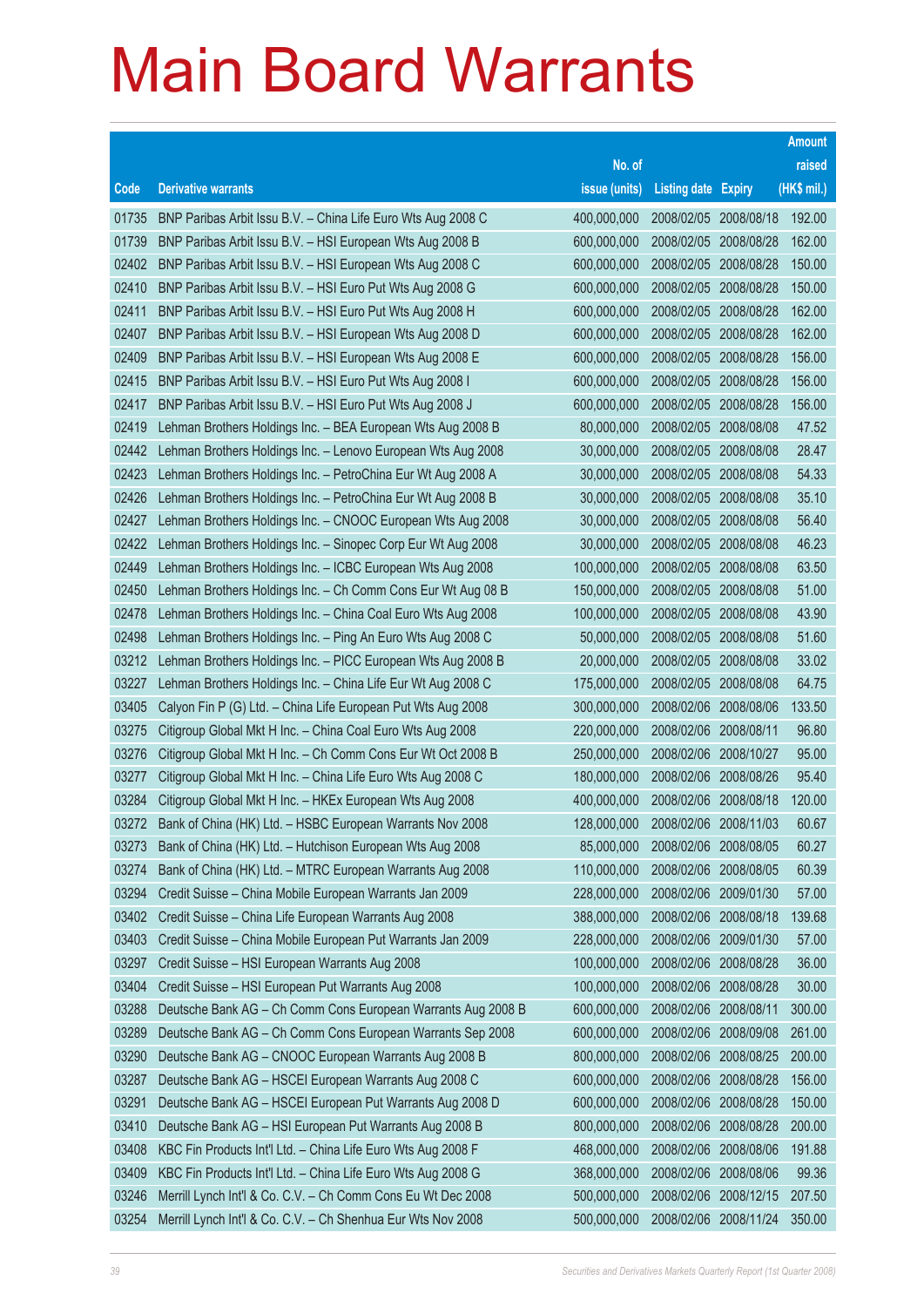|       |                                                              |               |                            |            | <b>Amount</b> |
|-------|--------------------------------------------------------------|---------------|----------------------------|------------|---------------|
|       |                                                              | No. of        |                            |            | raised        |
| Code  | <b>Derivative warrants</b>                                   | issue (units) | <b>Listing date Expiry</b> |            | (HK\$ mil.)   |
| 01735 | BNP Paribas Arbit Issu B.V. - China Life Euro Wts Aug 2008 C | 400,000,000   | 2008/02/05 2008/08/18      |            | 192.00        |
| 01739 | BNP Paribas Arbit Issu B.V. - HSI European Wts Aug 2008 B    | 600,000,000   | 2008/02/05 2008/08/28      |            | 162.00        |
| 02402 | BNP Paribas Arbit Issu B.V. - HSI European Wts Aug 2008 C    | 600,000,000   | 2008/02/05 2008/08/28      |            | 150.00        |
| 02410 | BNP Paribas Arbit Issu B.V. - HSI Euro Put Wts Aug 2008 G    | 600,000,000   | 2008/02/05 2008/08/28      |            | 150.00        |
| 02411 | BNP Paribas Arbit Issu B.V. - HSI Euro Put Wts Aug 2008 H    | 600,000,000   | 2008/02/05 2008/08/28      |            | 162.00        |
| 02407 | BNP Paribas Arbit Issu B.V. - HSI European Wts Aug 2008 D    | 600,000,000   | 2008/02/05 2008/08/28      |            | 162.00        |
| 02409 | BNP Paribas Arbit Issu B.V. - HSI European Wts Aug 2008 E    | 600,000,000   | 2008/02/05                 | 2008/08/28 | 156.00        |
| 02415 | BNP Paribas Arbit Issu B.V. - HSI Euro Put Wts Aug 2008 I    | 600,000,000   | 2008/02/05 2008/08/28      |            | 156.00        |
| 02417 | BNP Paribas Arbit Issu B.V. - HSI Euro Put Wts Aug 2008 J    | 600,000,000   | 2008/02/05 2008/08/28      |            | 156.00        |
| 02419 | Lehman Brothers Holdings Inc. - BEA European Wts Aug 2008 B  | 80,000,000    | 2008/02/05 2008/08/08      |            | 47.52         |
| 02442 | Lehman Brothers Holdings Inc. - Lenovo European Wts Aug 2008 | 30,000,000    | 2008/02/05                 | 2008/08/08 | 28.47         |
| 02423 | Lehman Brothers Holdings Inc. - PetroChina Eur Wt Aug 2008 A | 30,000,000    | 2008/02/05 2008/08/08      |            | 54.33         |
| 02426 | Lehman Brothers Holdings Inc. - PetroChina Eur Wt Aug 2008 B | 30,000,000    | 2008/02/05 2008/08/08      |            | 35.10         |
| 02427 | Lehman Brothers Holdings Inc. - CNOOC European Wts Aug 2008  | 30,000,000    | 2008/02/05 2008/08/08      |            | 56.40         |
| 02422 | Lehman Brothers Holdings Inc. - Sinopec Corp Eur Wt Aug 2008 | 30,000,000    | 2008/02/05                 | 2008/08/08 | 46.23         |
| 02449 | Lehman Brothers Holdings Inc. - ICBC European Wts Aug 2008   | 100,000,000   | 2008/02/05 2008/08/08      |            | 63.50         |
| 02450 | Lehman Brothers Holdings Inc. - Ch Comm Cons Eur Wt Aug 08 B | 150,000,000   | 2008/02/05 2008/08/08      |            | 51.00         |
| 02478 | Lehman Brothers Holdings Inc. - China Coal Euro Wts Aug 2008 | 100,000,000   | 2008/02/05 2008/08/08      |            | 43.90         |
| 02498 | Lehman Brothers Holdings Inc. - Ping An Euro Wts Aug 2008 C  | 50,000,000    | 2008/02/05                 | 2008/08/08 | 51.60         |
| 03212 | Lehman Brothers Holdings Inc. - PICC European Wts Aug 2008 B | 20,000,000    | 2008/02/05 2008/08/08      |            | 33.02         |
| 03227 | Lehman Brothers Holdings Inc. - China Life Eur Wt Aug 2008 C | 175,000,000   | 2008/02/05                 | 2008/08/08 | 64.75         |
| 03405 | Calyon Fin P (G) Ltd. - China Life European Put Wts Aug 2008 | 300,000,000   | 2008/02/06 2008/08/06      |            | 133.50        |
| 03275 | Citigroup Global Mkt H Inc. - China Coal Euro Wts Aug 2008   | 220,000,000   | 2008/02/06                 | 2008/08/11 | 96.80         |
| 03276 | Citigroup Global Mkt H Inc. - Ch Comm Cons Eur Wt Oct 2008 B | 250,000,000   | 2008/02/06 2008/10/27      |            | 95.00         |
| 03277 | Citigroup Global Mkt H Inc. - China Life Euro Wts Aug 2008 C | 180,000,000   | 2008/02/06 2008/08/26      |            | 95.40         |
| 03284 | Citigroup Global Mkt H Inc. - HKEx European Wts Aug 2008     | 400,000,000   | 2008/02/06 2008/08/18      |            | 120.00        |
| 03272 | Bank of China (HK) Ltd. - HSBC European Warrants Nov 2008    | 128,000,000   | 2008/02/06                 | 2008/11/03 | 60.67         |
| 03273 | Bank of China (HK) Ltd. - Hutchison European Wts Aug 2008    | 85,000,000    | 2008/02/06 2008/08/05      |            | 60.27         |
| 03274 | Bank of China (HK) Ltd. - MTRC European Warrants Aug 2008    | 110,000,000   | 2008/02/06 2008/08/05      |            | 60.39         |
| 03294 | Credit Suisse - China Mobile European Warrants Jan 2009      | 228,000,000   | 2008/02/06 2009/01/30      |            | 57.00         |
| 03402 | Credit Suisse - China Life European Warrants Aug 2008        | 388,000,000   | 2008/02/06 2008/08/18      |            | 139.68        |
| 03403 | Credit Suisse - China Mobile European Put Warrants Jan 2009  | 228,000,000   | 2008/02/06 2009/01/30      |            | 57.00         |
| 03297 | Credit Suisse - HSI European Warrants Aug 2008               | 100,000,000   | 2008/02/06                 | 2008/08/28 | 36.00         |
| 03404 | Credit Suisse - HSI European Put Warrants Aug 2008           | 100,000,000   | 2008/02/06 2008/08/28      |            | 30.00         |
| 03288 | Deutsche Bank AG - Ch Comm Cons European Warrants Aug 2008 B | 600,000,000   | 2008/02/06 2008/08/11      |            | 300.00        |
| 03289 | Deutsche Bank AG - Ch Comm Cons European Warrants Sep 2008   | 600,000,000   | 2008/02/06 2008/09/08      |            | 261.00        |
| 03290 | Deutsche Bank AG - CNOOC European Warrants Aug 2008 B        | 800,000,000   | 2008/02/06                 | 2008/08/25 | 200.00        |
| 03287 | Deutsche Bank AG - HSCEI European Warrants Aug 2008 C        | 600,000,000   | 2008/02/06 2008/08/28      |            | 156.00        |
| 03291 | Deutsche Bank AG - HSCEI European Put Warrants Aug 2008 D    | 600,000,000   | 2008/02/06 2008/08/28      |            | 150.00        |
| 03410 | Deutsche Bank AG - HSI European Put Warrants Aug 2008 B      | 800,000,000   | 2008/02/06 2008/08/28      |            | 200.00        |
| 03408 | KBC Fin Products Int'l Ltd. - China Life Euro Wts Aug 2008 F | 468,000,000   | 2008/02/06                 | 2008/08/06 | 191.88        |
| 03409 | KBC Fin Products Int'l Ltd. - China Life Euro Wts Aug 2008 G | 368,000,000   | 2008/02/06                 | 2008/08/06 | 99.36         |
| 03246 | Merrill Lynch Int'l & Co. C.V. - Ch Comm Cons Eu Wt Dec 2008 | 500,000,000   | 2008/02/06 2008/12/15      |            | 207.50        |
| 03254 | Merrill Lynch Int'l & Co. C.V. - Ch Shenhua Eur Wts Nov 2008 | 500,000,000   | 2008/02/06 2008/11/24      |            | 350.00        |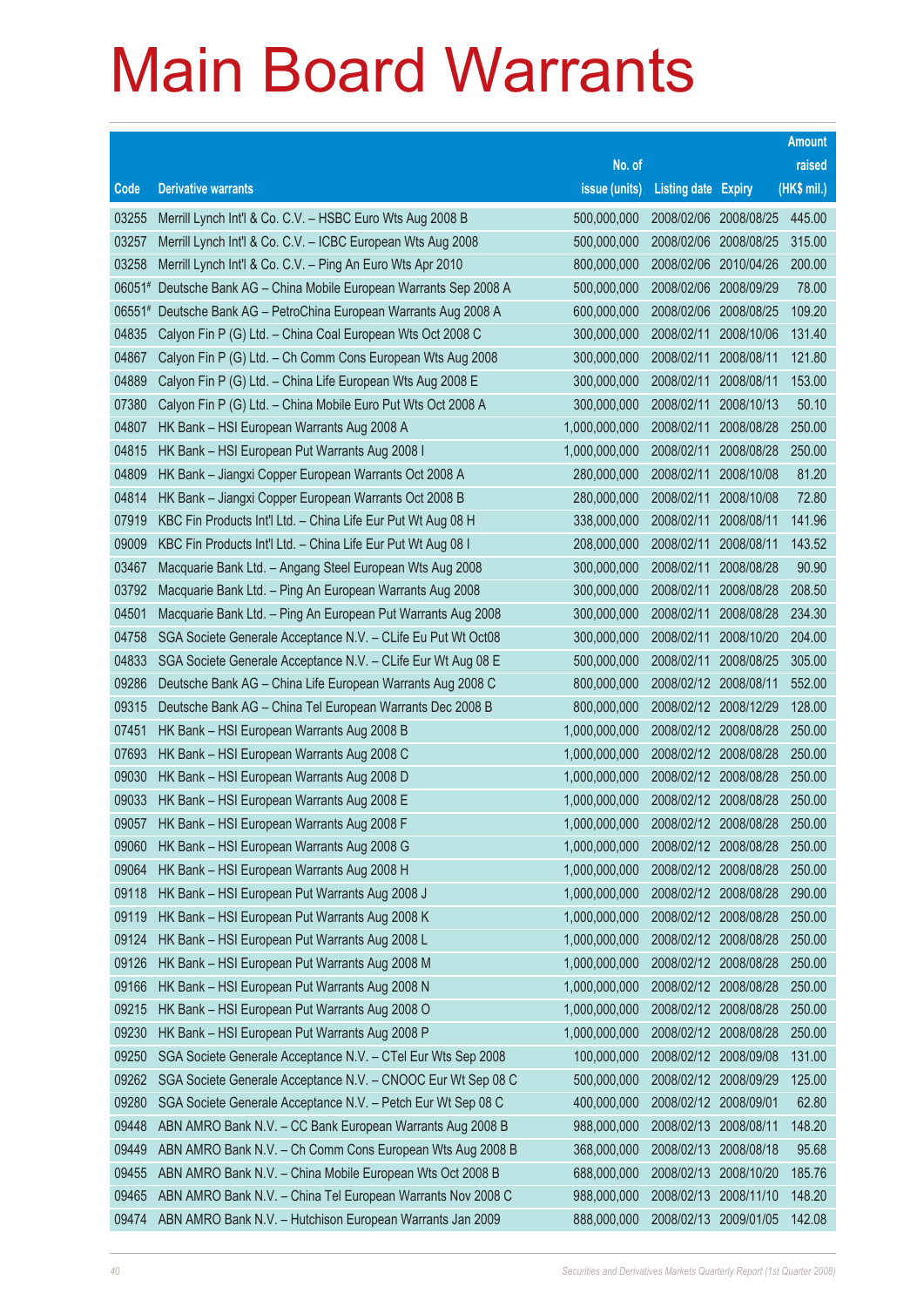|          |                                                              |               |                            |            | <b>Amount</b> |
|----------|--------------------------------------------------------------|---------------|----------------------------|------------|---------------|
|          |                                                              | No. of        |                            |            | raised        |
| Code     | <b>Derivative warrants</b>                                   | issue (units) | <b>Listing date Expiry</b> |            | (HK\$ mil.)   |
| 03255    | Merrill Lynch Int'l & Co. C.V. - HSBC Euro Wts Aug 2008 B    | 500,000,000   | 2008/02/06 2008/08/25      |            | 445.00        |
| 03257    | Merrill Lynch Int'l & Co. C.V. - ICBC European Wts Aug 2008  | 500,000,000   | 2008/02/06                 | 2008/08/25 | 315.00        |
| 03258    | Merrill Lynch Int'l & Co. C.V. - Ping An Euro Wts Apr 2010   | 800,000,000   | 2008/02/06                 | 2010/04/26 | 200.00        |
| 06051#   | Deutsche Bank AG - China Mobile European Warrants Sep 2008 A | 500,000,000   | 2008/02/06                 | 2008/09/29 | 78.00         |
| $06551*$ | Deutsche Bank AG - PetroChina European Warrants Aug 2008 A   | 600,000,000   | 2008/02/06                 | 2008/08/25 | 109.20        |
| 04835    | Calyon Fin P (G) Ltd. - China Coal European Wts Oct 2008 C   | 300,000,000   | 2008/02/11                 | 2008/10/06 | 131.40        |
| 04867    | Calyon Fin P (G) Ltd. - Ch Comm Cons European Wts Aug 2008   | 300,000,000   | 2008/02/11                 | 2008/08/11 | 121.80        |
| 04889    | Calyon Fin P (G) Ltd. - China Life European Wts Aug 2008 E   | 300,000,000   | 2008/02/11                 | 2008/08/11 | 153.00        |
| 07380    | Calyon Fin P (G) Ltd. - China Mobile Euro Put Wts Oct 2008 A | 300,000,000   | 2008/02/11                 | 2008/10/13 | 50.10         |
| 04807    | HK Bank - HSI European Warrants Aug 2008 A                   | 1,000,000,000 | 2008/02/11                 | 2008/08/28 | 250.00        |
| 04815    | HK Bank - HSI European Put Warrants Aug 2008 I               | 1,000,000,000 | 2008/02/11                 | 2008/08/28 | 250.00        |
| 04809    | HK Bank - Jiangxi Copper European Warrants Oct 2008 A        | 280,000,000   | 2008/02/11                 | 2008/10/08 | 81.20         |
| 04814    | HK Bank - Jiangxi Copper European Warrants Oct 2008 B        | 280,000,000   | 2008/02/11                 | 2008/10/08 | 72.80         |
| 07919    | KBC Fin Products Int'l Ltd. - China Life Eur Put Wt Aug 08 H | 338,000,000   | 2008/02/11                 | 2008/08/11 | 141.96        |
| 09009    | KBC Fin Products Int'l Ltd. - China Life Eur Put Wt Aug 08 I | 208,000,000   | 2008/02/11                 | 2008/08/11 | 143.52        |
| 03467    | Macquarie Bank Ltd. - Angang Steel European Wts Aug 2008     | 300,000,000   | 2008/02/11                 | 2008/08/28 | 90.90         |
| 03792    | Macquarie Bank Ltd. - Ping An European Warrants Aug 2008     | 300,000,000   | 2008/02/11                 | 2008/08/28 | 208.50        |
| 04501    | Macquarie Bank Ltd. - Ping An European Put Warrants Aug 2008 | 300,000,000   | 2008/02/11                 | 2008/08/28 | 234.30        |
| 04758    | SGA Societe Generale Acceptance N.V. - CLife Eu Put Wt Oct08 | 300,000,000   | 2008/02/11                 | 2008/10/20 | 204.00        |
| 04833    | SGA Societe Generale Acceptance N.V. - CLife Eur Wt Aug 08 E | 500,000,000   | 2008/02/11                 | 2008/08/25 | 305.00        |
| 09286    | Deutsche Bank AG - China Life European Warrants Aug 2008 C   | 800,000,000   | 2008/02/12 2008/08/11      |            | 552.00        |
| 09315    | Deutsche Bank AG - China Tel European Warrants Dec 2008 B    | 800,000,000   | 2008/02/12 2008/12/29      |            | 128.00        |
| 07451    | HK Bank - HSI European Warrants Aug 2008 B                   | 1,000,000,000 | 2008/02/12 2008/08/28      |            | 250.00        |
| 07693    | HK Bank - HSI European Warrants Aug 2008 C                   | 1,000,000,000 | 2008/02/12 2008/08/28      |            | 250.00        |
| 09030    | HK Bank - HSI European Warrants Aug 2008 D                   | 1,000,000,000 | 2008/02/12 2008/08/28      |            | 250.00        |
| 09033    | HK Bank - HSI European Warrants Aug 2008 E                   | 1,000,000,000 | 2008/02/12 2008/08/28      |            | 250.00        |
| 09057    | HK Bank - HSI European Warrants Aug 2008 F                   | 1,000,000,000 | 2008/02/12 2008/08/28      |            | 250.00        |
| 09060    | HK Bank - HSI European Warrants Aug 2008 G                   | 1,000,000,000 | 2008/02/12 2008/08/28      |            | 250.00        |
| 09064    | HK Bank - HSI European Warrants Aug 2008 H                   | 1,000,000,000 | 2008/02/12 2008/08/28      |            | 250.00        |
| 09118    | HK Bank - HSI European Put Warrants Aug 2008 J               | 1,000,000,000 | 2008/02/12 2008/08/28      |            | 290.00        |
| 09119    | HK Bank - HSI European Put Warrants Aug 2008 K               | 1,000,000,000 | 2008/02/12 2008/08/28      |            | 250.00        |
| 09124    | HK Bank - HSI European Put Warrants Aug 2008 L               | 1,000,000,000 | 2008/02/12 2008/08/28      |            | 250.00        |
| 09126    | HK Bank - HSI European Put Warrants Aug 2008 M               | 1,000,000,000 | 2008/02/12 2008/08/28      |            | 250.00        |
| 09166    | HK Bank - HSI European Put Warrants Aug 2008 N               | 1,000,000,000 | 2008/02/12 2008/08/28      |            | 250.00        |
| 09215    | HK Bank - HSI European Put Warrants Aug 2008 O               | 1,000,000,000 | 2008/02/12 2008/08/28      |            | 250.00        |
| 09230    | HK Bank - HSI European Put Warrants Aug 2008 P               | 1,000,000,000 | 2008/02/12 2008/08/28      |            | 250.00        |
| 09250    | SGA Societe Generale Acceptance N.V. - CTel Eur Wts Sep 2008 | 100,000,000   | 2008/02/12 2008/09/08      |            | 131.00        |
| 09262    | SGA Societe Generale Acceptance N.V. - CNOOC Eur Wt Sep 08 C | 500,000,000   | 2008/02/12 2008/09/29      |            | 125.00        |
| 09280    | SGA Societe Generale Acceptance N.V. - Petch Eur Wt Sep 08 C | 400,000,000   | 2008/02/12 2008/09/01      |            | 62.80         |
| 09448    | ABN AMRO Bank N.V. - CC Bank European Warrants Aug 2008 B    | 988,000,000   | 2008/02/13                 | 2008/08/11 | 148.20        |
| 09449    | ABN AMRO Bank N.V. - Ch Comm Cons European Wts Aug 2008 B    | 368,000,000   | 2008/02/13                 | 2008/08/18 | 95.68         |
| 09455    | ABN AMRO Bank N.V. - China Mobile European Wts Oct 2008 B    | 688,000,000   | 2008/02/13                 | 2008/10/20 | 185.76        |
| 09465    | ABN AMRO Bank N.V. - China Tel European Warrants Nov 2008 C  | 988,000,000   | 2008/02/13                 | 2008/11/10 | 148.20        |
| 09474    | ABN AMRO Bank N.V. - Hutchison European Warrants Jan 2009    | 888,000,000   | 2008/02/13 2009/01/05      |            | 142.08        |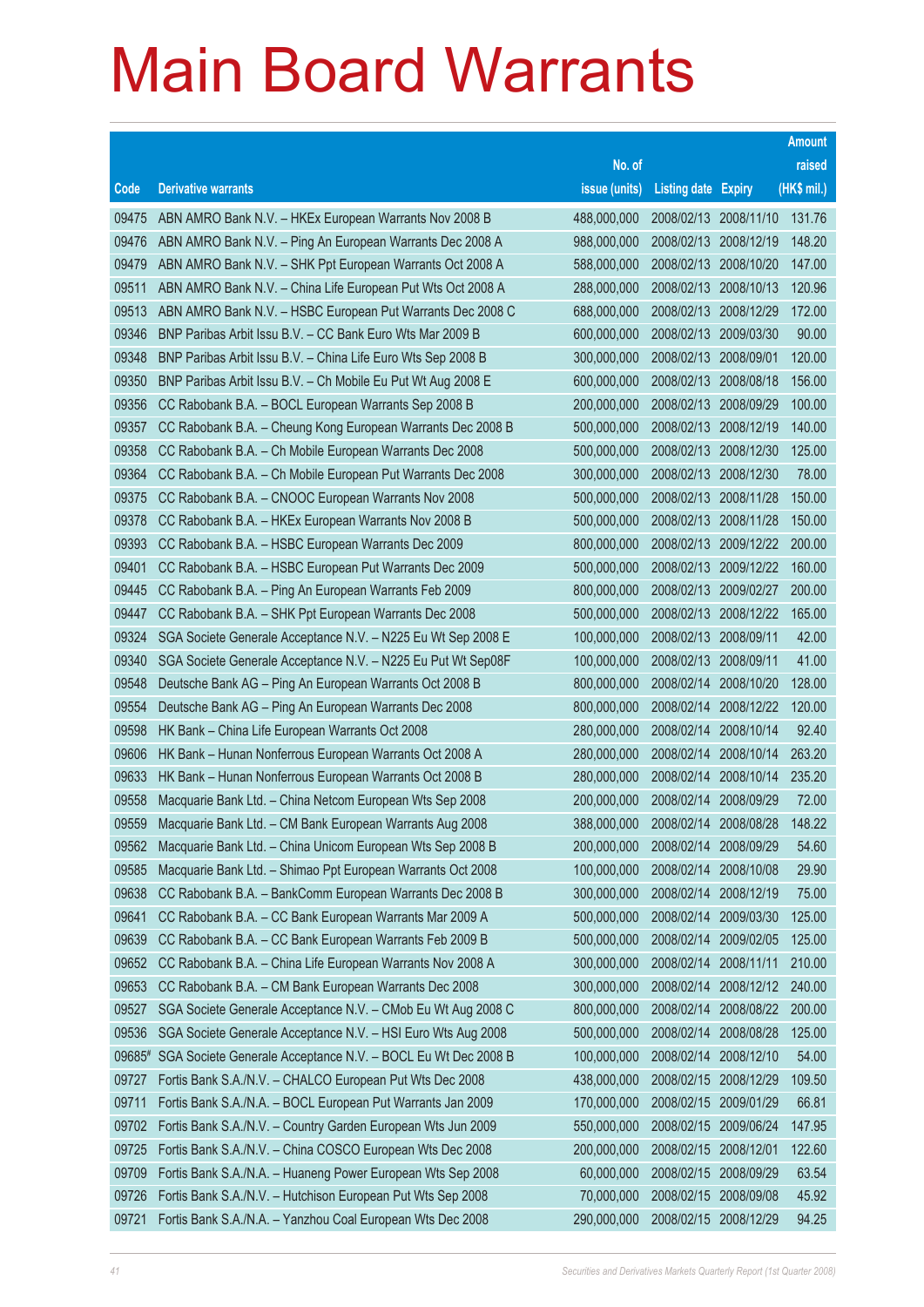|        |                                                              |               |                            |            | <b>Amount</b> |
|--------|--------------------------------------------------------------|---------------|----------------------------|------------|---------------|
|        |                                                              | No. of        |                            |            | raised        |
| Code   | <b>Derivative warrants</b>                                   | issue (units) | <b>Listing date Expiry</b> |            | (HK\$ mil.)   |
| 09475  | ABN AMRO Bank N.V. - HKEx European Warrants Nov 2008 B       | 488,000,000   | 2008/02/13 2008/11/10      |            | 131.76        |
| 09476  | ABN AMRO Bank N.V. - Ping An European Warrants Dec 2008 A    | 988,000,000   | 2008/02/13 2008/12/19      |            | 148.20        |
| 09479  | ABN AMRO Bank N.V. - SHK Ppt European Warrants Oct 2008 A    | 588,000,000   | 2008/02/13                 | 2008/10/20 | 147.00        |
| 09511  | ABN AMRO Bank N.V. - China Life European Put Wts Oct 2008 A  | 288,000,000   | 2008/02/13 2008/10/13      |            | 120.96        |
| 09513  | ABN AMRO Bank N.V. - HSBC European Put Warrants Dec 2008 C   | 688,000,000   | 2008/02/13                 | 2008/12/29 | 172.00        |
| 09346  | BNP Paribas Arbit Issu B.V. - CC Bank Euro Wts Mar 2009 B    | 600,000,000   | 2008/02/13 2009/03/30      |            | 90.00         |
| 09348  | BNP Paribas Arbit Issu B.V. - China Life Euro Wts Sep 2008 B | 300,000,000   | 2008/02/13                 | 2008/09/01 | 120.00        |
| 09350  | BNP Paribas Arbit Issu B.V. - Ch Mobile Eu Put Wt Aug 2008 E | 600,000,000   | 2008/02/13 2008/08/18      |            | 156.00        |
| 09356  | CC Rabobank B.A. - BOCL European Warrants Sep 2008 B         | 200,000,000   | 2008/02/13                 | 2008/09/29 | 100.00        |
| 09357  | CC Rabobank B.A. - Cheung Kong European Warrants Dec 2008 B  | 500,000,000   | 2008/02/13 2008/12/19      |            | 140.00        |
| 09358  | CC Rabobank B.A. - Ch Mobile European Warrants Dec 2008      | 500,000,000   | 2008/02/13                 | 2008/12/30 | 125.00        |
| 09364  | CC Rabobank B.A. - Ch Mobile European Put Warrants Dec 2008  | 300,000,000   | 2008/02/13 2008/12/30      |            | 78.00         |
| 09375  | CC Rabobank B.A. - CNOOC European Warrants Nov 2008          | 500,000,000   | 2008/02/13                 | 2008/11/28 | 150.00        |
| 09378  | CC Rabobank B.A. - HKEx European Warrants Nov 2008 B         | 500,000,000   | 2008/02/13 2008/11/28      |            | 150.00        |
| 09393  | CC Rabobank B.A. - HSBC European Warrants Dec 2009           | 800,000,000   | 2008/02/13                 | 2009/12/22 | 200.00        |
| 09401  | CC Rabobank B.A. - HSBC European Put Warrants Dec 2009       | 500,000,000   | 2008/02/13 2009/12/22      |            | 160.00        |
| 09445  | CC Rabobank B.A. - Ping An European Warrants Feb 2009        | 800,000,000   | 2008/02/13 2009/02/27      |            | 200.00        |
| 09447  | CC Rabobank B.A. - SHK Ppt European Warrants Dec 2008        | 500,000,000   | 2008/02/13 2008/12/22      |            | 165.00        |
| 09324  | SGA Societe Generale Acceptance N.V. - N225 Eu Wt Sep 2008 E | 100,000,000   | 2008/02/13                 | 2008/09/11 | 42.00         |
| 09340  | SGA Societe Generale Acceptance N.V. - N225 Eu Put Wt Sep08F | 100,000,000   | 2008/02/13 2008/09/11      |            | 41.00         |
| 09548  | Deutsche Bank AG - Ping An European Warrants Oct 2008 B      | 800,000,000   | 2008/02/14                 | 2008/10/20 | 128.00        |
| 09554  | Deutsche Bank AG - Ping An European Warrants Dec 2008        | 800,000,000   | 2008/02/14                 | 2008/12/22 | 120.00        |
| 09598  | HK Bank - China Life European Warrants Oct 2008              | 280,000,000   | 2008/02/14                 | 2008/10/14 | 92.40         |
| 09606  | HK Bank - Hunan Nonferrous European Warrants Oct 2008 A      | 280,000,000   | 2008/02/14                 | 2008/10/14 | 263.20        |
| 09633  | HK Bank - Hunan Nonferrous European Warrants Oct 2008 B      | 280,000,000   | 2008/02/14                 | 2008/10/14 | 235.20        |
| 09558  | Macquarie Bank Ltd. - China Netcom European Wts Sep 2008     | 200,000,000   | 2008/02/14                 | 2008/09/29 | 72.00         |
| 09559  | Macquarie Bank Ltd. - CM Bank European Warrants Aug 2008     | 388,000,000   | 2008/02/14 2008/08/28      |            | 148.22        |
| 09562  | Macquarie Bank Ltd. - China Unicom European Wts Sep 2008 B   | 200,000,000   | 2008/02/14                 | 2008/09/29 | 54.60         |
| 09585  | Macquarie Bank Ltd. - Shimao Ppt European Warrants Oct 2008  | 100,000,000   | 2008/02/14                 | 2008/10/08 | 29.90         |
| 09638  | CC Rabobank B.A. - BankComm European Warrants Dec 2008 B     | 300,000,000   | 2008/02/14                 | 2008/12/19 | 75.00         |
| 09641  | CC Rabobank B.A. - CC Bank European Warrants Mar 2009 A      | 500,000,000   | 2008/02/14                 | 2009/03/30 | 125.00        |
| 09639  | CC Rabobank B.A. - CC Bank European Warrants Feb 2009 B      | 500,000,000   | 2008/02/14                 | 2009/02/05 | 125.00        |
| 09652  | CC Rabobank B.A. - China Life European Warrants Nov 2008 A   | 300,000,000   | 2008/02/14                 | 2008/11/11 | 210.00        |
| 09653  | CC Rabobank B.A. - CM Bank European Warrants Dec 2008        | 300,000,000   | 2008/02/14                 | 2008/12/12 | 240.00        |
| 09527  | SGA Societe Generale Acceptance N.V. - CMob Eu Wt Aug 2008 C | 800,000,000   | 2008/02/14                 | 2008/08/22 | 200.00        |
| 09536  | SGA Societe Generale Acceptance N.V. - HSI Euro Wts Aug 2008 | 500,000,000   | 2008/02/14                 | 2008/08/28 | 125.00        |
| 09685# | SGA Societe Generale Acceptance N.V. - BOCL Eu Wt Dec 2008 B | 100,000,000   | 2008/02/14                 | 2008/12/10 | 54.00         |
| 09727  | Fortis Bank S.A./N.V. - CHALCO European Put Wts Dec 2008     | 438,000,000   | 2008/02/15                 | 2008/12/29 | 109.50        |
| 09711  | Fortis Bank S.A./N.A. - BOCL European Put Warrants Jan 2009  | 170,000,000   | 2008/02/15                 | 2009/01/29 | 66.81         |
| 09702  | Fortis Bank S.A./N.V. - Country Garden European Wts Jun 2009 | 550,000,000   | 2008/02/15                 | 2009/06/24 | 147.95        |
| 09725  | Fortis Bank S.A./N.V. - China COSCO European Wts Dec 2008    | 200,000,000   | 2008/02/15                 | 2008/12/01 | 122.60        |
| 09709  | Fortis Bank S.A./N.A. - Huaneng Power European Wts Sep 2008  | 60,000,000    | 2008/02/15                 | 2008/09/29 | 63.54         |
| 09726  | Fortis Bank S.A./N.V. - Hutchison European Put Wts Sep 2008  | 70,000,000    | 2008/02/15                 | 2008/09/08 | 45.92         |
| 09721  | Fortis Bank S.A./N.A. - Yanzhou Coal European Wts Dec 2008   | 290,000,000   | 2008/02/15 2008/12/29      |            | 94.25         |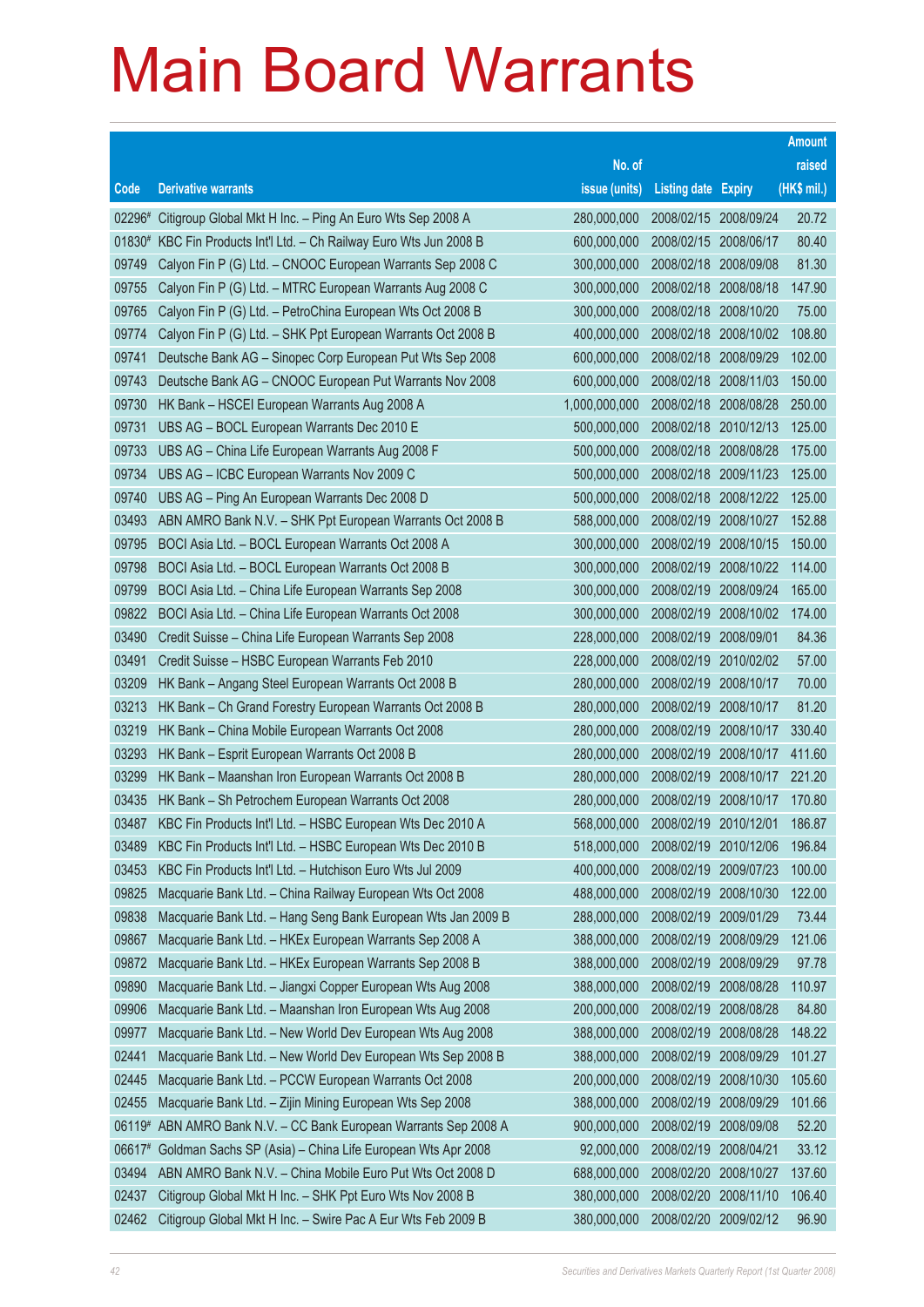|        |                                                              |               |                            |            | <b>Amount</b> |
|--------|--------------------------------------------------------------|---------------|----------------------------|------------|---------------|
|        |                                                              | No. of        |                            |            | raised        |
| Code   | <b>Derivative warrants</b>                                   | issue (units) | <b>Listing date Expiry</b> |            | (HK\$ mil.)   |
| 02296# | Citigroup Global Mkt H Inc. - Ping An Euro Wts Sep 2008 A    | 280,000,000   | 2008/02/15 2008/09/24      |            | 20.72         |
| 01830# | KBC Fin Products Int'l Ltd. - Ch Railway Euro Wts Jun 2008 B | 600,000,000   | 2008/02/15 2008/06/17      |            | 80.40         |
| 09749  | Calyon Fin P (G) Ltd. - CNOOC European Warrants Sep 2008 C   | 300,000,000   | 2008/02/18                 | 2008/09/08 | 81.30         |
| 09755  | Calyon Fin P (G) Ltd. - MTRC European Warrants Aug 2008 C    | 300,000,000   | 2008/02/18                 | 2008/08/18 | 147.90        |
| 09765  | Calyon Fin P (G) Ltd. - PetroChina European Wts Oct 2008 B   | 300,000,000   | 2008/02/18                 | 2008/10/20 | 75.00         |
| 09774  | Calyon Fin P (G) Ltd. - SHK Ppt European Warrants Oct 2008 B | 400,000,000   | 2008/02/18                 | 2008/10/02 | 108.80        |
| 09741  | Deutsche Bank AG - Sinopec Corp European Put Wts Sep 2008    | 600,000,000   | 2008/02/18                 | 2008/09/29 | 102.00        |
| 09743  | Deutsche Bank AG - CNOOC European Put Warrants Nov 2008      | 600,000,000   | 2008/02/18                 | 2008/11/03 | 150.00        |
| 09730  | HK Bank - HSCEI European Warrants Aug 2008 A                 | 1,000,000,000 | 2008/02/18                 | 2008/08/28 | 250.00        |
| 09731  | UBS AG - BOCL European Warrants Dec 2010 E                   | 500,000,000   | 2008/02/18 2010/12/13      |            | 125.00        |
| 09733  | UBS AG - China Life European Warrants Aug 2008 F             | 500,000,000   | 2008/02/18                 | 2008/08/28 | 175.00        |
| 09734  | UBS AG - ICBC European Warrants Nov 2009 C                   | 500,000,000   | 2008/02/18 2009/11/23      |            | 125.00        |
| 09740  | UBS AG - Ping An European Warrants Dec 2008 D                | 500,000,000   | 2008/02/18                 | 2008/12/22 | 125.00        |
| 03493  | ABN AMRO Bank N.V. - SHK Ppt European Warrants Oct 2008 B    | 588,000,000   | 2008/02/19                 | 2008/10/27 | 152.88        |
| 09795  | BOCI Asia Ltd. - BOCL European Warrants Oct 2008 A           | 300,000,000   | 2008/02/19                 | 2008/10/15 | 150.00        |
| 09798  | BOCI Asia Ltd. - BOCL European Warrants Oct 2008 B           | 300,000,000   | 2008/02/19                 | 2008/10/22 | 114.00        |
| 09799  | BOCI Asia Ltd. - China Life European Warrants Sep 2008       | 300,000,000   | 2008/02/19                 | 2008/09/24 | 165.00        |
| 09822  | BOCI Asia Ltd. - China Life European Warrants Oct 2008       | 300,000,000   | 2008/02/19                 | 2008/10/02 | 174.00        |
| 03490  | Credit Suisse - China Life European Warrants Sep 2008        | 228,000,000   | 2008/02/19                 | 2008/09/01 | 84.36         |
| 03491  | Credit Suisse - HSBC European Warrants Feb 2010              | 228,000,000   | 2008/02/19                 | 2010/02/02 | 57.00         |
| 03209  | HK Bank - Angang Steel European Warrants Oct 2008 B          | 280,000,000   | 2008/02/19                 | 2008/10/17 | 70.00         |
| 03213  | HK Bank - Ch Grand Forestry European Warrants Oct 2008 B     | 280,000,000   | 2008/02/19                 | 2008/10/17 | 81.20         |
| 03219  | HK Bank - China Mobile European Warrants Oct 2008            | 280,000,000   | 2008/02/19                 | 2008/10/17 | 330.40        |
| 03293  | HK Bank - Esprit European Warrants Oct 2008 B                | 280,000,000   | 2008/02/19                 | 2008/10/17 | 411.60        |
| 03299  | HK Bank - Maanshan Iron European Warrants Oct 2008 B         | 280,000,000   | 2008/02/19                 | 2008/10/17 | 221.20        |
| 03435  | HK Bank - Sh Petrochem European Warrants Oct 2008            | 280,000,000   | 2008/02/19                 | 2008/10/17 | 170.80        |
| 03487  | KBC Fin Products Int'l Ltd. - HSBC European Wts Dec 2010 A   | 568,000,000   | 2008/02/19                 | 2010/12/01 | 186.87        |
| 03489  | KBC Fin Products Int'l Ltd. - HSBC European Wts Dec 2010 B   | 518,000,000   | 2008/02/19 2010/12/06      |            | 196.84        |
| 03453  | KBC Fin Products Int'l Ltd. - Hutchison Euro Wts Jul 2009    | 400,000,000   | 2008/02/19                 | 2009/07/23 | 100.00        |
| 09825  | Macquarie Bank Ltd. - China Railway European Wts Oct 2008    | 488,000,000   | 2008/02/19                 | 2008/10/30 | 122.00        |
| 09838  | Macquarie Bank Ltd. - Hang Seng Bank European Wts Jan 2009 B | 288,000,000   | 2008/02/19                 | 2009/01/29 | 73.44         |
| 09867  | Macquarie Bank Ltd. - HKEx European Warrants Sep 2008 A      | 388,000,000   | 2008/02/19                 | 2008/09/29 | 121.06        |
| 09872  | Macquarie Bank Ltd. - HKEx European Warrants Sep 2008 B      | 388,000,000   | 2008/02/19                 | 2008/09/29 | 97.78         |
| 09890  | Macquarie Bank Ltd. - Jiangxi Copper European Wts Aug 2008   | 388,000,000   | 2008/02/19                 | 2008/08/28 | 110.97        |
| 09906  | Macquarie Bank Ltd. - Maanshan Iron European Wts Aug 2008    | 200,000,000   | 2008/02/19                 | 2008/08/28 | 84.80         |
| 09977  | Macquarie Bank Ltd. - New World Dev European Wts Aug 2008    | 388,000,000   | 2008/02/19                 | 2008/08/28 | 148.22        |
| 02441  | Macquarie Bank Ltd. - New World Dev European Wts Sep 2008 B  | 388,000,000   | 2008/02/19                 | 2008/09/29 | 101.27        |
| 02445  | Macquarie Bank Ltd. - PCCW European Warrants Oct 2008        | 200,000,000   | 2008/02/19                 | 2008/10/30 | 105.60        |
| 02455  | Macquarie Bank Ltd. - Zijin Mining European Wts Sep 2008     | 388,000,000   | 2008/02/19                 | 2008/09/29 | 101.66        |
| 06119# | ABN AMRO Bank N.V. - CC Bank European Warrants Sep 2008 A    | 900,000,000   | 2008/02/19                 | 2008/09/08 | 52.20         |
| 06617# | Goldman Sachs SP (Asia) - China Life European Wts Apr 2008   | 92,000,000    | 2008/02/19                 | 2008/04/21 | 33.12         |
| 03494  | ABN AMRO Bank N.V. - China Mobile Euro Put Wts Oct 2008 D    | 688,000,000   | 2008/02/20                 | 2008/10/27 | 137.60        |
| 02437  | Citigroup Global Mkt H Inc. - SHK Ppt Euro Wts Nov 2008 B    | 380,000,000   | 2008/02/20                 | 2008/11/10 | 106.40        |
| 02462  | Citigroup Global Mkt H Inc. - Swire Pac A Eur Wts Feb 2009 B | 380,000,000   | 2008/02/20                 | 2009/02/12 | 96.90         |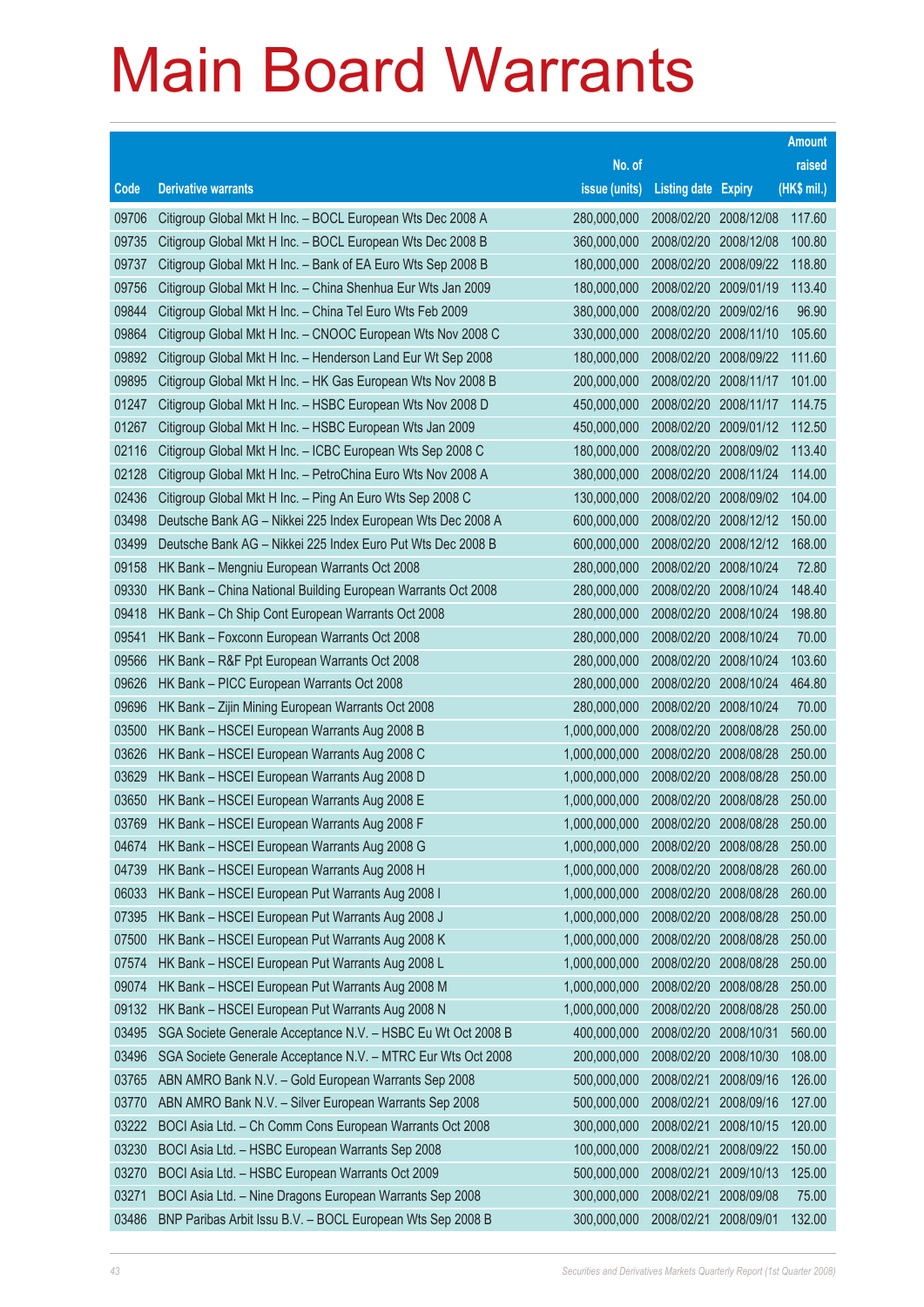|       |                                                              |               |                            |            | <b>Amount</b> |
|-------|--------------------------------------------------------------|---------------|----------------------------|------------|---------------|
|       |                                                              | No. of        |                            |            | raised        |
| Code  | <b>Derivative warrants</b>                                   | issue (units) | <b>Listing date Expiry</b> |            | (HK\$ mil.)   |
| 09706 | Citigroup Global Mkt H Inc. - BOCL European Wts Dec 2008 A   | 280,000,000   | 2008/02/20                 | 2008/12/08 | 117.60        |
| 09735 | Citigroup Global Mkt H Inc. - BOCL European Wts Dec 2008 B   | 360,000,000   | 2008/02/20                 | 2008/12/08 | 100.80        |
| 09737 | Citigroup Global Mkt H Inc. - Bank of EA Euro Wts Sep 2008 B | 180,000,000   | 2008/02/20                 | 2008/09/22 | 118.80        |
| 09756 | Citigroup Global Mkt H Inc. - China Shenhua Eur Wts Jan 2009 | 180,000,000   | 2008/02/20                 | 2009/01/19 | 113.40        |
| 09844 | Citigroup Global Mkt H Inc. - China Tel Euro Wts Feb 2009    | 380,000,000   | 2008/02/20                 | 2009/02/16 | 96.90         |
| 09864 | Citigroup Global Mkt H Inc. - CNOOC European Wts Nov 2008 C  | 330,000,000   | 2008/02/20                 | 2008/11/10 | 105.60        |
| 09892 | Citigroup Global Mkt H Inc. - Henderson Land Eur Wt Sep 2008 | 180,000,000   | 2008/02/20                 | 2008/09/22 | 111.60        |
| 09895 | Citigroup Global Mkt H Inc. - HK Gas European Wts Nov 2008 B | 200,000,000   | 2008/02/20                 | 2008/11/17 | 101.00        |
| 01247 | Citigroup Global Mkt H Inc. - HSBC European Wts Nov 2008 D   | 450,000,000   | 2008/02/20                 | 2008/11/17 | 114.75        |
| 01267 | Citigroup Global Mkt H Inc. - HSBC European Wts Jan 2009     | 450,000,000   | 2008/02/20                 | 2009/01/12 | 112.50        |
| 02116 | Citigroup Global Mkt H Inc. - ICBC European Wts Sep 2008 C   | 180,000,000   | 2008/02/20                 | 2008/09/02 | 113.40        |
| 02128 | Citigroup Global Mkt H Inc. - PetroChina Euro Wts Nov 2008 A | 380,000,000   | 2008/02/20                 | 2008/11/24 | 114.00        |
| 02436 | Citigroup Global Mkt H Inc. - Ping An Euro Wts Sep 2008 C    | 130,000,000   | 2008/02/20                 | 2008/09/02 | 104.00        |
| 03498 | Deutsche Bank AG - Nikkei 225 Index European Wts Dec 2008 A  | 600,000,000   | 2008/02/20                 | 2008/12/12 | 150.00        |
| 03499 | Deutsche Bank AG - Nikkei 225 Index Euro Put Wts Dec 2008 B  | 600,000,000   | 2008/02/20                 | 2008/12/12 | 168.00        |
| 09158 | HK Bank - Mengniu European Warrants Oct 2008                 | 280,000,000   | 2008/02/20                 | 2008/10/24 | 72.80         |
| 09330 | HK Bank - China National Building European Warrants Oct 2008 | 280,000,000   | 2008/02/20                 | 2008/10/24 | 148.40        |
| 09418 | HK Bank - Ch Ship Cont European Warrants Oct 2008            | 280,000,000   | 2008/02/20                 | 2008/10/24 | 198.80        |
| 09541 | HK Bank - Foxconn European Warrants Oct 2008                 | 280,000,000   | 2008/02/20                 | 2008/10/24 | 70.00         |
| 09566 | HK Bank - R&F Ppt European Warrants Oct 2008                 | 280,000,000   | 2008/02/20                 | 2008/10/24 | 103.60        |
| 09626 | HK Bank - PICC European Warrants Oct 2008                    | 280,000,000   | 2008/02/20                 | 2008/10/24 | 464.80        |
| 09696 | HK Bank - Zijin Mining European Warrants Oct 2008            | 280,000,000   | 2008/02/20                 | 2008/10/24 | 70.00         |
| 03500 | HK Bank - HSCEI European Warrants Aug 2008 B                 | 1,000,000,000 | 2008/02/20                 | 2008/08/28 | 250.00        |
| 03626 | HK Bank - HSCEI European Warrants Aug 2008 C                 | 1,000,000,000 | 2008/02/20                 | 2008/08/28 | 250.00        |
| 03629 | HK Bank - HSCEI European Warrants Aug 2008 D                 | 1,000,000,000 | 2008/02/20                 | 2008/08/28 | 250.00        |
| 03650 | HK Bank - HSCEI European Warrants Aug 2008 E                 | 1,000,000,000 | 2008/02/20                 | 2008/08/28 | 250.00        |
| 03769 | HK Bank - HSCEI European Warrants Aug 2008 F                 | 1,000,000,000 | 2008/02/20                 | 2008/08/28 | 250.00        |
| 04674 | HK Bank - HSCEI European Warrants Aug 2008 G                 | 1,000,000,000 | 2008/02/20                 | 2008/08/28 | 250.00        |
| 04739 | HK Bank - HSCEI European Warrants Aug 2008 H                 | 1,000,000,000 | 2008/02/20                 | 2008/08/28 | 260.00        |
| 06033 | HK Bank - HSCEI European Put Warrants Aug 2008 I             | 1,000,000,000 | 2008/02/20                 | 2008/08/28 | 260.00        |
| 07395 | HK Bank - HSCEI European Put Warrants Aug 2008 J             | 1,000,000,000 | 2008/02/20                 | 2008/08/28 | 250.00        |
| 07500 | HK Bank - HSCEI European Put Warrants Aug 2008 K             | 1,000,000,000 | 2008/02/20                 | 2008/08/28 | 250.00        |
| 07574 | HK Bank - HSCEI European Put Warrants Aug 2008 L             | 1,000,000,000 | 2008/02/20                 | 2008/08/28 | 250.00        |
| 09074 | HK Bank - HSCEI European Put Warrants Aug 2008 M             | 1,000,000,000 | 2008/02/20                 | 2008/08/28 | 250.00        |
| 09132 | HK Bank - HSCEI European Put Warrants Aug 2008 N             | 1,000,000,000 | 2008/02/20                 | 2008/08/28 | 250.00        |
| 03495 | SGA Societe Generale Acceptance N.V. - HSBC Eu Wt Oct 2008 B | 400,000,000   | 2008/02/20                 | 2008/10/31 | 560.00        |
| 03496 | SGA Societe Generale Acceptance N.V. - MTRC Eur Wts Oct 2008 | 200,000,000   | 2008/02/20                 | 2008/10/30 | 108.00        |
| 03765 | ABN AMRO Bank N.V. - Gold European Warrants Sep 2008         | 500,000,000   | 2008/02/21                 | 2008/09/16 | 126.00        |
| 03770 | ABN AMRO Bank N.V. - Silver European Warrants Sep 2008       | 500,000,000   | 2008/02/21                 | 2008/09/16 | 127.00        |
| 03222 | BOCI Asia Ltd. - Ch Comm Cons European Warrants Oct 2008     | 300,000,000   | 2008/02/21                 | 2008/10/15 | 120.00        |
| 03230 | BOCI Asia Ltd. - HSBC European Warrants Sep 2008             | 100,000,000   | 2008/02/21                 | 2008/09/22 | 150.00        |
| 03270 | BOCI Asia Ltd. - HSBC European Warrants Oct 2009             | 500,000,000   | 2008/02/21                 | 2009/10/13 | 125.00        |
| 03271 | BOCI Asia Ltd. - Nine Dragons European Warrants Sep 2008     | 300,000,000   | 2008/02/21                 | 2008/09/08 | 75.00         |
| 03486 | BNP Paribas Arbit Issu B.V. - BOCL European Wts Sep 2008 B   | 300,000,000   | 2008/02/21                 | 2008/09/01 | 132.00        |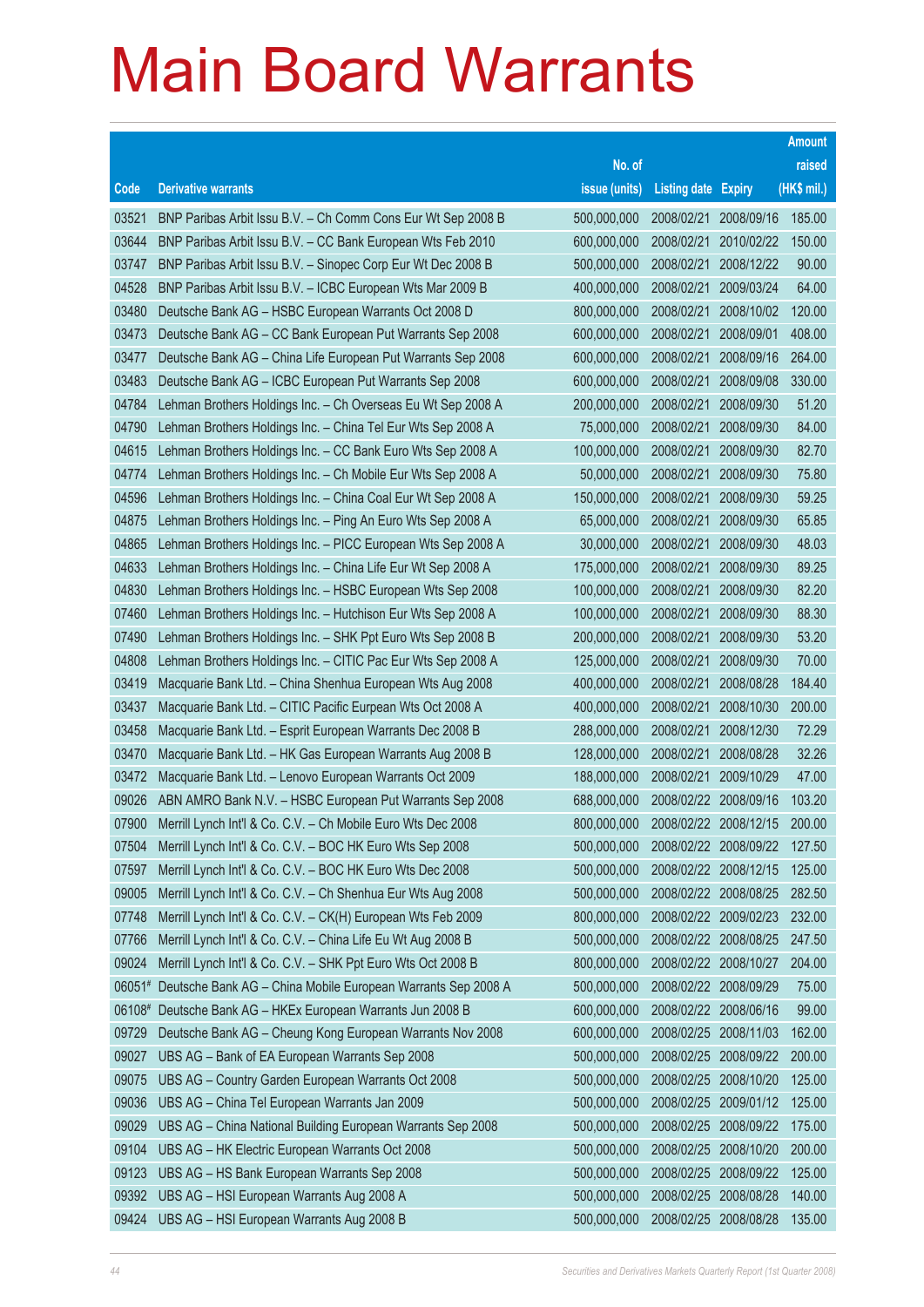|        |                                                              |               |                            |            | <b>Amount</b> |
|--------|--------------------------------------------------------------|---------------|----------------------------|------------|---------------|
|        |                                                              | No. of        |                            |            | raised        |
| Code   | <b>Derivative warrants</b>                                   | issue (units) | <b>Listing date Expiry</b> |            | (HK\$ mil.)   |
| 03521  | BNP Paribas Arbit Issu B.V. - Ch Comm Cons Eur Wt Sep 2008 B | 500,000,000   | 2008/02/21                 | 2008/09/16 | 185.00        |
| 03644  | BNP Paribas Arbit Issu B.V. - CC Bank European Wts Feb 2010  | 600,000,000   | 2008/02/21                 | 2010/02/22 | 150.00        |
| 03747  | BNP Paribas Arbit Issu B.V. - Sinopec Corp Eur Wt Dec 2008 B | 500,000,000   | 2008/02/21                 | 2008/12/22 | 90.00         |
| 04528  | BNP Paribas Arbit Issu B.V. - ICBC European Wts Mar 2009 B   | 400,000,000   | 2008/02/21                 | 2009/03/24 | 64.00         |
| 03480  | Deutsche Bank AG - HSBC European Warrants Oct 2008 D         | 800,000,000   | 2008/02/21                 | 2008/10/02 | 120.00        |
| 03473  | Deutsche Bank AG - CC Bank European Put Warrants Sep 2008    | 600,000,000   | 2008/02/21                 | 2008/09/01 | 408.00        |
| 03477  | Deutsche Bank AG - China Life European Put Warrants Sep 2008 | 600,000,000   | 2008/02/21                 | 2008/09/16 | 264.00        |
| 03483  | Deutsche Bank AG - ICBC European Put Warrants Sep 2008       | 600,000,000   | 2008/02/21                 | 2008/09/08 | 330.00        |
| 04784  | Lehman Brothers Holdings Inc. - Ch Overseas Eu Wt Sep 2008 A | 200,000,000   | 2008/02/21                 | 2008/09/30 | 51.20         |
| 04790  | Lehman Brothers Holdings Inc. - China Tel Eur Wts Sep 2008 A | 75,000,000    | 2008/02/21                 | 2008/09/30 | 84.00         |
| 04615  | Lehman Brothers Holdings Inc. - CC Bank Euro Wts Sep 2008 A  | 100,000,000   | 2008/02/21                 | 2008/09/30 | 82.70         |
| 04774  | Lehman Brothers Holdings Inc. - Ch Mobile Eur Wts Sep 2008 A | 50,000,000    | 2008/02/21                 | 2008/09/30 | 75.80         |
| 04596  | Lehman Brothers Holdings Inc. - China Coal Eur Wt Sep 2008 A | 150,000,000   | 2008/02/21                 | 2008/09/30 | 59.25         |
| 04875  | Lehman Brothers Holdings Inc. - Ping An Euro Wts Sep 2008 A  | 65,000,000    | 2008/02/21                 | 2008/09/30 | 65.85         |
| 04865  | Lehman Brothers Holdings Inc. - PICC European Wts Sep 2008 A | 30,000,000    | 2008/02/21                 | 2008/09/30 | 48.03         |
| 04633  | Lehman Brothers Holdings Inc. - China Life Eur Wt Sep 2008 A | 175,000,000   | 2008/02/21                 | 2008/09/30 | 89.25         |
| 04830  | Lehman Brothers Holdings Inc. - HSBC European Wts Sep 2008   | 100,000,000   | 2008/02/21                 | 2008/09/30 | 82.20         |
| 07460  | Lehman Brothers Holdings Inc. - Hutchison Eur Wts Sep 2008 A | 100,000,000   | 2008/02/21                 | 2008/09/30 | 88.30         |
| 07490  | Lehman Brothers Holdings Inc. - SHK Ppt Euro Wts Sep 2008 B  | 200,000,000   | 2008/02/21                 | 2008/09/30 | 53.20         |
| 04808  | Lehman Brothers Holdings Inc. - CITIC Pac Eur Wts Sep 2008 A | 125,000,000   | 2008/02/21                 | 2008/09/30 | 70.00         |
| 03419  | Macquarie Bank Ltd. - China Shenhua European Wts Aug 2008    | 400,000,000   | 2008/02/21                 | 2008/08/28 | 184.40        |
| 03437  | Macquarie Bank Ltd. - CITIC Pacific Eurpean Wts Oct 2008 A   | 400,000,000   | 2008/02/21                 | 2008/10/30 | 200.00        |
| 03458  | Macquarie Bank Ltd. - Esprit European Warrants Dec 2008 B    | 288,000,000   | 2008/02/21                 | 2008/12/30 | 72.29         |
| 03470  | Macquarie Bank Ltd. - HK Gas European Warrants Aug 2008 B    | 128,000,000   | 2008/02/21                 | 2008/08/28 | 32.26         |
| 03472  | Macquarie Bank Ltd. - Lenovo European Warrants Oct 2009      | 188,000,000   | 2008/02/21                 | 2009/10/29 | 47.00         |
| 09026  | ABN AMRO Bank N.V. - HSBC European Put Warrants Sep 2008     | 688,000,000   | 2008/02/22                 | 2008/09/16 | 103.20        |
| 07900  | Merrill Lynch Int'l & Co. C.V. - Ch Mobile Euro Wts Dec 2008 | 800,000,000   | 2008/02/22                 | 2008/12/15 | 200.00        |
| 07504  | Merrill Lynch Int'l & Co. C.V. - BOC HK Euro Wts Sep 2008    | 500,000,000   | 2008/02/22 2008/09/22      |            | 127.50        |
| 07597  | Merrill Lynch Int'l & Co. C.V. - BOC HK Euro Wts Dec 2008    | 500,000,000   | 2008/02/22 2008/12/15      |            | 125.00        |
| 09005  | Merrill Lynch Int'l & Co. C.V. - Ch Shenhua Eur Wts Aug 2008 | 500,000,000   | 2008/02/22 2008/08/25      |            | 282.50        |
| 07748  | Merrill Lynch Int'l & Co. C.V. - CK(H) European Wts Feb 2009 | 800,000,000   | 2008/02/22 2009/02/23      |            | 232.00        |
| 07766  | Merrill Lynch Int'l & Co. C.V. - China Life Eu Wt Aug 2008 B | 500,000,000   | 2008/02/22 2008/08/25      |            | 247.50        |
| 09024  | Merrill Lynch Int'l & Co. C.V. - SHK Ppt Euro Wts Oct 2008 B | 800,000,000   | 2008/02/22 2008/10/27      |            | 204.00        |
| 06051# | Deutsche Bank AG - China Mobile European Warrants Sep 2008 A | 500,000,000   | 2008/02/22 2008/09/29      |            | 75.00         |
| 06108# | Deutsche Bank AG - HKEx European Warrants Jun 2008 B         | 600,000,000   | 2008/02/22 2008/06/16      |            | 99.00         |
| 09729  | Deutsche Bank AG - Cheung Kong European Warrants Nov 2008    | 600,000,000   | 2008/02/25                 | 2008/11/03 | 162.00        |
| 09027  | UBS AG - Bank of EA European Warrants Sep 2008               | 500,000,000   | 2008/02/25                 | 2008/09/22 | 200.00        |
| 09075  | UBS AG - Country Garden European Warrants Oct 2008           | 500,000,000   | 2008/02/25                 | 2008/10/20 | 125.00        |
| 09036  | UBS AG - China Tel European Warrants Jan 2009                | 500,000,000   | 2008/02/25                 | 2009/01/12 | 125.00        |
| 09029  | UBS AG - China National Building European Warrants Sep 2008  | 500,000,000   | 2008/02/25                 | 2008/09/22 | 175.00        |
| 09104  | UBS AG - HK Electric European Warrants Oct 2008              | 500,000,000   | 2008/02/25                 | 2008/10/20 | 200.00        |
| 09123  | UBS AG - HS Bank European Warrants Sep 2008                  | 500,000,000   | 2008/02/25                 | 2008/09/22 | 125.00        |
| 09392  | UBS AG - HSI European Warrants Aug 2008 A                    | 500,000,000   | 2008/02/25                 | 2008/08/28 | 140.00        |
| 09424  | UBS AG - HSI European Warrants Aug 2008 B                    | 500,000,000   | 2008/02/25                 | 2008/08/28 | 135.00        |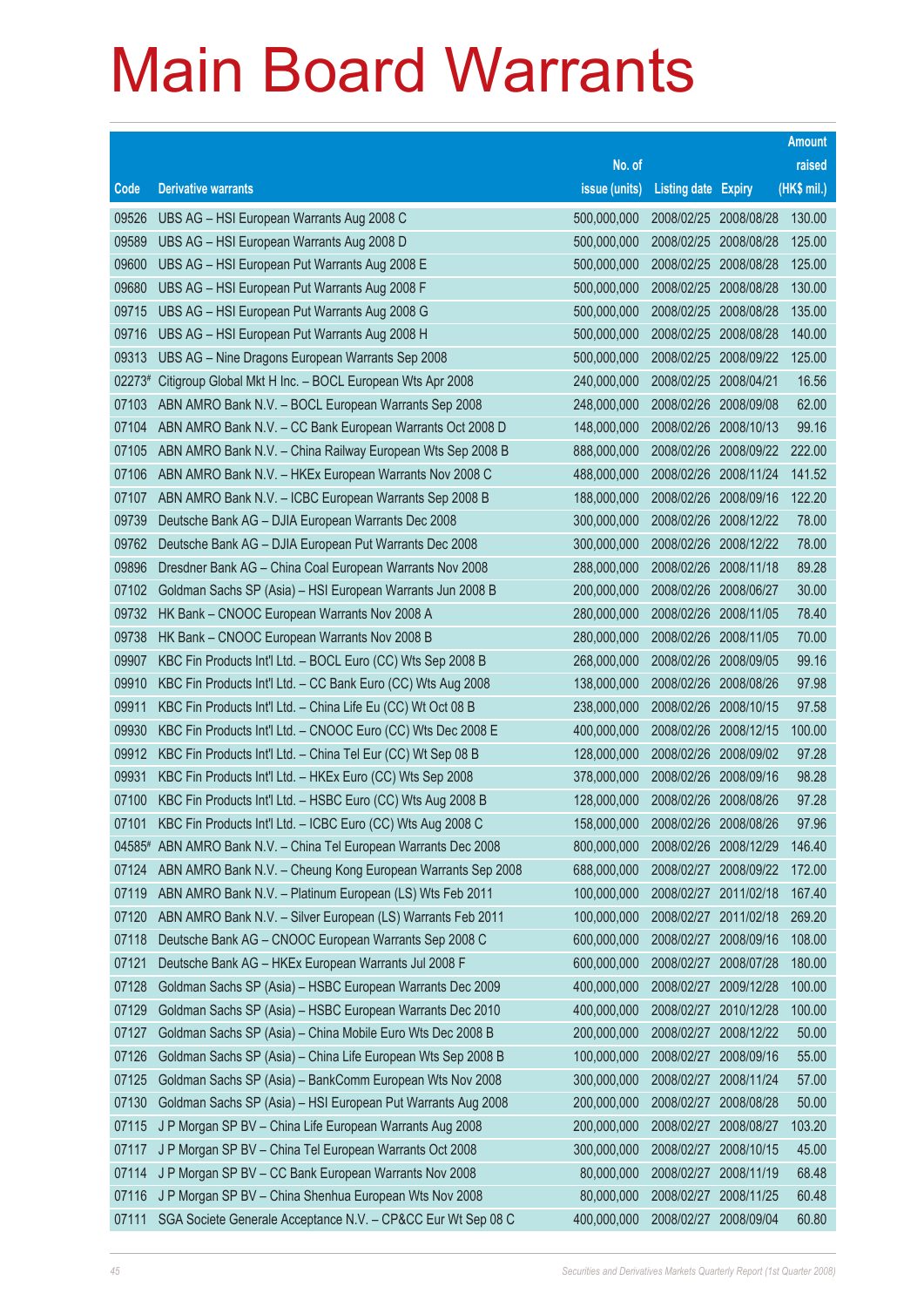|        |                                                                  |               |                            |            | <b>Amount</b> |
|--------|------------------------------------------------------------------|---------------|----------------------------|------------|---------------|
|        |                                                                  | No. of        |                            |            | raised        |
| Code   | <b>Derivative warrants</b>                                       | issue (units) | <b>Listing date Expiry</b> |            | (HK\$ mil.)   |
| 09526  | UBS AG - HSI European Warrants Aug 2008 C                        | 500,000,000   | 2008/02/25 2008/08/28      |            | 130.00        |
| 09589  | UBS AG - HSI European Warrants Aug 2008 D                        | 500,000,000   | 2008/02/25 2008/08/28      |            | 125.00        |
| 09600  | UBS AG - HSI European Put Warrants Aug 2008 E                    | 500,000,000   | 2008/02/25                 | 2008/08/28 | 125.00        |
| 09680  | UBS AG - HSI European Put Warrants Aug 2008 F                    | 500,000,000   | 2008/02/25 2008/08/28      |            | 130.00        |
| 09715  | UBS AG - HSI European Put Warrants Aug 2008 G                    | 500,000,000   | 2008/02/25                 | 2008/08/28 | 135.00        |
| 09716  | UBS AG - HSI European Put Warrants Aug 2008 H                    | 500,000,000   | 2008/02/25 2008/08/28      |            | 140.00        |
| 09313  | UBS AG - Nine Dragons European Warrants Sep 2008                 | 500,000,000   | 2008/02/25                 | 2008/09/22 | 125.00        |
| 02273# | Citigroup Global Mkt H Inc. - BOCL European Wts Apr 2008         | 240,000,000   | 2008/02/25 2008/04/21      |            | 16.56         |
| 07103  | ABN AMRO Bank N.V. - BOCL European Warrants Sep 2008             | 248,000,000   | 2008/02/26                 | 2008/09/08 | 62.00         |
| 07104  | ABN AMRO Bank N.V. - CC Bank European Warrants Oct 2008 D        | 148,000,000   | 2008/02/26 2008/10/13      |            | 99.16         |
| 07105  | ABN AMRO Bank N.V. - China Railway European Wts Sep 2008 B       | 888,000,000   | 2008/02/26                 | 2008/09/22 | 222.00        |
| 07106  | ABN AMRO Bank N.V. - HKEx European Warrants Nov 2008 C           | 488,000,000   | 2008/02/26 2008/11/24      |            | 141.52        |
| 07107  | ABN AMRO Bank N.V. - ICBC European Warrants Sep 2008 B           | 188,000,000   | 2008/02/26                 | 2008/09/16 | 122.20        |
| 09739  | Deutsche Bank AG - DJIA European Warrants Dec 2008               | 300,000,000   | 2008/02/26 2008/12/22      |            | 78.00         |
| 09762  | Deutsche Bank AG - DJIA European Put Warrants Dec 2008           | 300,000,000   | 2008/02/26                 | 2008/12/22 | 78.00         |
| 09896  | Dresdner Bank AG - China Coal European Warrants Nov 2008         | 288,000,000   | 2008/02/26 2008/11/18      |            | 89.28         |
| 07102  | Goldman Sachs SP (Asia) - HSI European Warrants Jun 2008 B       | 200,000,000   | 2008/02/26 2008/06/27      |            | 30.00         |
| 09732  | HK Bank - CNOOC European Warrants Nov 2008 A                     | 280,000,000   | 2008/02/26 2008/11/05      |            | 78.40         |
| 09738  | HK Bank - CNOOC European Warrants Nov 2008 B                     | 280,000,000   | 2008/02/26                 | 2008/11/05 | 70.00         |
| 09907  | KBC Fin Products Int'l Ltd. - BOCL Euro (CC) Wts Sep 2008 B      | 268,000,000   | 2008/02/26                 | 2008/09/05 | 99.16         |
| 09910  | KBC Fin Products Int'l Ltd. - CC Bank Euro (CC) Wts Aug 2008     | 138,000,000   | 2008/02/26                 | 2008/08/26 | 97.98         |
| 09911  | KBC Fin Products Int'l Ltd. - China Life Eu (CC) Wt Oct 08 B     | 238,000,000   | 2008/02/26                 | 2008/10/15 | 97.58         |
| 09930  | KBC Fin Products Int'l Ltd. - CNOOC Euro (CC) Wts Dec 2008 E     | 400,000,000   | 2008/02/26                 | 2008/12/15 | 100.00        |
| 09912  | KBC Fin Products Int'l Ltd. - China Tel Eur (CC) Wt Sep 08 B     | 128,000,000   | 2008/02/26                 | 2008/09/02 | 97.28         |
| 09931  | KBC Fin Products Int'l Ltd. - HKEx Euro (CC) Wts Sep 2008        | 378,000,000   | 2008/02/26 2008/09/16      |            | 98.28         |
| 07100  | KBC Fin Products Int'l Ltd. - HSBC Euro (CC) Wts Aug 2008 B      | 128,000,000   | 2008/02/26 2008/08/26      |            | 97.28         |
| 07101  | KBC Fin Products Int'l Ltd. - ICBC Euro (CC) Wts Aug 2008 C      | 158,000,000   | 2008/02/26 2008/08/26      |            | 97.96         |
|        | 04585# ABN AMRO Bank N.V. - China Tel European Warrants Dec 2008 | 800,000,000   | 2008/02/26 2008/12/29      |            | 146.40        |
| 07124  | ABN AMRO Bank N.V. - Cheung Kong European Warrants Sep 2008      | 688,000,000   | 2008/02/27 2008/09/22      |            | 172.00        |
| 07119  | ABN AMRO Bank N.V. - Platinum European (LS) Wts Feb 2011         | 100,000,000   | 2008/02/27 2011/02/18      |            | 167.40        |
| 07120  | ABN AMRO Bank N.V. - Silver European (LS) Warrants Feb 2011      | 100,000,000   | 2008/02/27                 | 2011/02/18 | 269.20        |
| 07118  | Deutsche Bank AG - CNOOC European Warrants Sep 2008 C            | 600,000,000   | 2008/02/27                 | 2008/09/16 | 108.00        |
| 07121  | Deutsche Bank AG - HKEx European Warrants Jul 2008 F             | 600,000,000   | 2008/02/27                 | 2008/07/28 | 180.00        |
| 07128  | Goldman Sachs SP (Asia) - HSBC European Warrants Dec 2009        | 400,000,000   | 2008/02/27                 | 2009/12/28 | 100.00        |
| 07129  | Goldman Sachs SP (Asia) - HSBC European Warrants Dec 2010        | 400,000,000   | 2008/02/27                 | 2010/12/28 | 100.00        |
| 07127  | Goldman Sachs SP (Asia) - China Mobile Euro Wts Dec 2008 B       | 200,000,000   | 2008/02/27                 | 2008/12/22 | 50.00         |
| 07126  | Goldman Sachs SP (Asia) - China Life European Wts Sep 2008 B     | 100,000,000   | 2008/02/27                 | 2008/09/16 | 55.00         |
| 07125  | Goldman Sachs SP (Asia) - BankComm European Wts Nov 2008         | 300,000,000   | 2008/02/27                 | 2008/11/24 | 57.00         |
| 07130  | Goldman Sachs SP (Asia) - HSI European Put Warrants Aug 2008     | 200,000,000   | 2008/02/27                 | 2008/08/28 | 50.00         |
| 07115  | J P Morgan SP BV - China Life European Warrants Aug 2008         | 200,000,000   | 2008/02/27                 | 2008/08/27 | 103.20        |
| 07117  | J P Morgan SP BV - China Tel European Warrants Oct 2008          | 300,000,000   | 2008/02/27                 | 2008/10/15 | 45.00         |
| 07114  | J P Morgan SP BV - CC Bank European Warrants Nov 2008            | 80,000,000    | 2008/02/27                 | 2008/11/19 | 68.48         |
| 07116  | J P Morgan SP BV - China Shenhua European Wts Nov 2008           | 80,000,000    | 2008/02/27                 | 2008/11/25 | 60.48         |
| 07111  | SGA Societe Generale Acceptance N.V. - CP&CC Eur Wt Sep 08 C     | 400,000,000   | 2008/02/27                 | 2008/09/04 | 60.80         |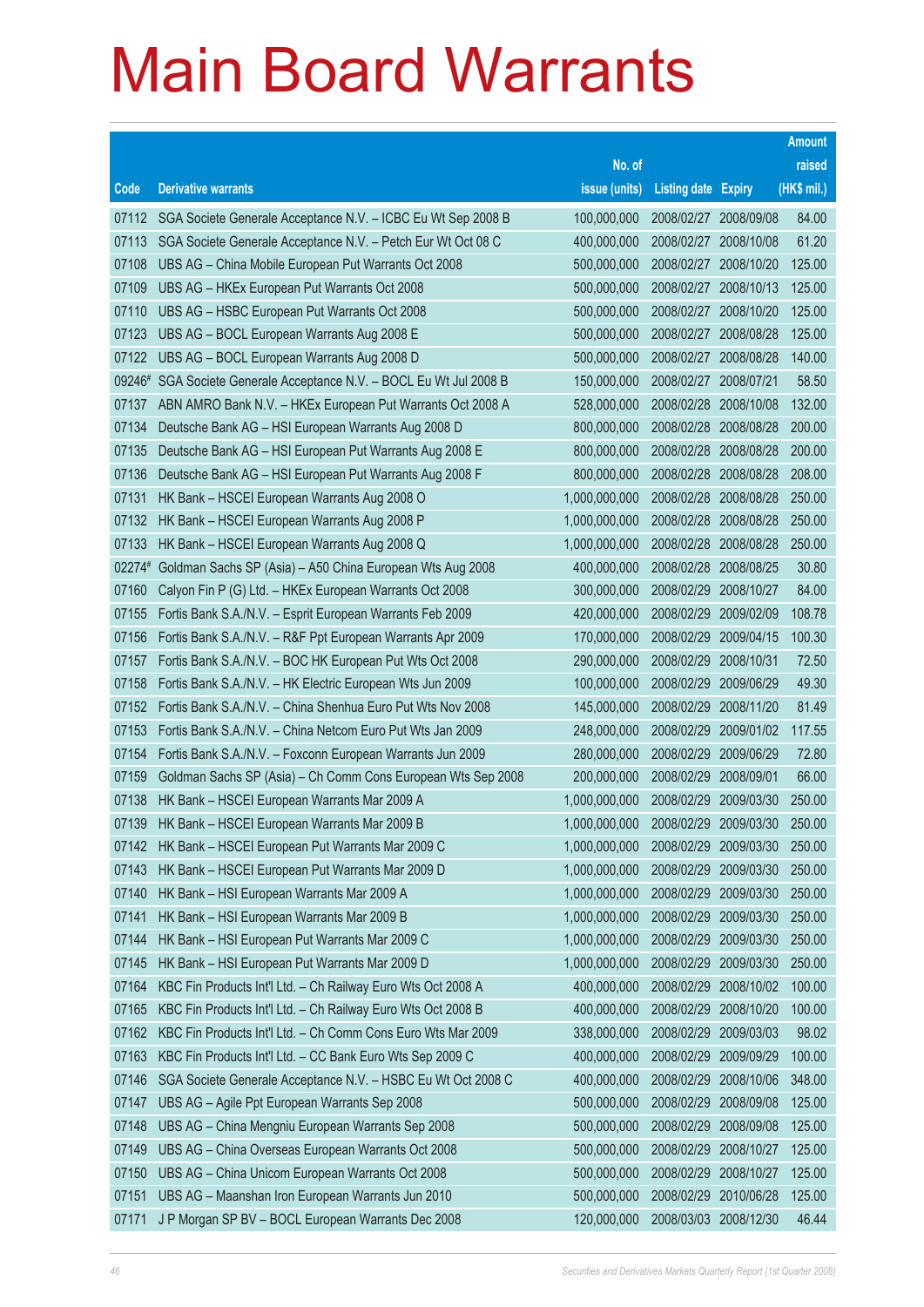|        |                                                                  |               |                            |            | <b>Amount</b> |
|--------|------------------------------------------------------------------|---------------|----------------------------|------------|---------------|
|        |                                                                  | No. of        |                            |            | raised        |
| Code   | <b>Derivative warrants</b>                                       | issue (units) | <b>Listing date Expiry</b> |            | (HK\$ mil.)   |
| 07112  | SGA Societe Generale Acceptance N.V. - ICBC Eu Wt Sep 2008 B     | 100,000,000   | 2008/02/27                 | 2008/09/08 | 84.00         |
| 07113  | SGA Societe Generale Acceptance N.V. - Petch Eur Wt Oct 08 C     | 400,000,000   | 2008/02/27                 | 2008/10/08 | 61.20         |
| 07108  | UBS AG - China Mobile European Put Warrants Oct 2008             | 500,000,000   | 2008/02/27                 | 2008/10/20 | 125.00        |
| 07109  | UBS AG - HKEx European Put Warrants Oct 2008                     | 500,000,000   | 2008/02/27                 | 2008/10/13 | 125.00        |
| 07110  | UBS AG - HSBC European Put Warrants Oct 2008                     | 500,000,000   | 2008/02/27                 | 2008/10/20 | 125.00        |
| 07123  | UBS AG - BOCL European Warrants Aug 2008 E                       | 500,000,000   | 2008/02/27                 | 2008/08/28 | 125.00        |
| 07122  | UBS AG - BOCL European Warrants Aug 2008 D                       | 500,000,000   | 2008/02/27                 | 2008/08/28 | 140.00        |
| 09246# | SGA Societe Generale Acceptance N.V. - BOCL Eu Wt Jul 2008 B     | 150,000,000   | 2008/02/27 2008/07/21      |            | 58.50         |
| 07137  | ABN AMRO Bank N.V. - HKEx European Put Warrants Oct 2008 A       | 528,000,000   | 2008/02/28                 | 2008/10/08 | 132.00        |
| 07134  | Deutsche Bank AG - HSI European Warrants Aug 2008 D              | 800,000,000   | 2008/02/28                 | 2008/08/28 | 200.00        |
| 07135  | Deutsche Bank AG - HSI European Put Warrants Aug 2008 E          | 800,000,000   | 2008/02/28                 | 2008/08/28 | 200.00        |
| 07136  | Deutsche Bank AG - HSI European Put Warrants Aug 2008 F          | 800,000,000   | 2008/02/28 2008/08/28      |            | 208.00        |
| 07131  | HK Bank - HSCEI European Warrants Aug 2008 O                     | 1,000,000,000 | 2008/02/28                 | 2008/08/28 | 250.00        |
| 07132  | HK Bank - HSCEI European Warrants Aug 2008 P                     | 1,000,000,000 | 2008/02/28                 | 2008/08/28 | 250.00        |
| 07133  | HK Bank - HSCEI European Warrants Aug 2008 Q                     | 1,000,000,000 | 2008/02/28                 | 2008/08/28 | 250.00        |
|        | 02274# Goldman Sachs SP (Asia) - A50 China European Wts Aug 2008 | 400,000,000   | 2008/02/28 2008/08/25      |            | 30.80         |
| 07160  | Calyon Fin P (G) Ltd. - HKEx European Warrants Oct 2008          | 300,000,000   | 2008/02/29                 | 2008/10/27 | 84.00         |
| 07155  | Fortis Bank S.A./N.V. - Esprit European Warrants Feb 2009        | 420,000,000   | 2008/02/29                 | 2009/02/09 | 108.78        |
| 07156  | Fortis Bank S.A./N.V. - R&F Ppt European Warrants Apr 2009       | 170,000,000   | 2008/02/29                 | 2009/04/15 | 100.30        |
| 07157  | Fortis Bank S.A./N.V. - BOC HK European Put Wts Oct 2008         | 290,000,000   | 2008/02/29                 | 2008/10/31 | 72.50         |
| 07158  | Fortis Bank S.A./N.V. - HK Electric European Wts Jun 2009        | 100,000,000   | 2008/02/29                 | 2009/06/29 | 49.30         |
| 07152  | Fortis Bank S.A./N.V. - China Shenhua Euro Put Wts Nov 2008      | 145,000,000   | 2008/02/29                 | 2008/11/20 | 81.49         |
| 07153  | Fortis Bank S.A./N.V. - China Netcom Euro Put Wts Jan 2009       | 248,000,000   | 2008/02/29                 | 2009/01/02 | 117.55        |
| 07154  | Fortis Bank S.A./N.V. - Foxconn European Warrants Jun 2009       | 280,000,000   | 2008/02/29                 | 2009/06/29 | 72.80         |
| 07159  | Goldman Sachs SP (Asia) - Ch Comm Cons European Wts Sep 2008     | 200,000,000   | 2008/02/29                 | 2008/09/01 | 66.00         |
| 07138  | HK Bank - HSCEI European Warrants Mar 2009 A                     | 1,000,000,000 | 2008/02/29                 | 2009/03/30 | 250.00        |
| 07139  | HK Bank - HSCEI European Warrants Mar 2009 B                     | 1,000,000,000 | 2008/02/29 2009/03/30      |            | 250.00        |
| 07142  | HK Bank - HSCEI European Put Warrants Mar 2009 C                 | 1,000,000,000 | 2008/02/29                 | 2009/03/30 | 250.00        |
| 07143  | HK Bank - HSCEI European Put Warrants Mar 2009 D                 | 1,000,000,000 | 2008/02/29                 | 2009/03/30 | 250.00        |
| 07140  | HK Bank - HSI European Warrants Mar 2009 A                       | 1,000,000,000 | 2008/02/29                 | 2009/03/30 | 250.00        |
| 07141  | HK Bank - HSI European Warrants Mar 2009 B                       | 1,000,000,000 | 2008/02/29                 | 2009/03/30 | 250.00        |
| 07144  | HK Bank - HSI European Put Warrants Mar 2009 C                   | 1,000,000,000 | 2008/02/29                 | 2009/03/30 | 250.00        |
| 07145  | HK Bank - HSI European Put Warrants Mar 2009 D                   | 1,000,000,000 | 2008/02/29                 | 2009/03/30 | 250.00        |
| 07164  | KBC Fin Products Int'l Ltd. - Ch Railway Euro Wts Oct 2008 A     | 400,000,000   | 2008/02/29                 | 2008/10/02 | 100.00        |
| 07165  | KBC Fin Products Int'l Ltd. - Ch Railway Euro Wts Oct 2008 B     | 400,000,000   | 2008/02/29                 | 2008/10/20 | 100.00        |
| 07162  | KBC Fin Products Int'l Ltd. - Ch Comm Cons Euro Wts Mar 2009     | 338,000,000   | 2008/02/29                 | 2009/03/03 | 98.02         |
| 07163  | KBC Fin Products Int'l Ltd. - CC Bank Euro Wts Sep 2009 C        | 400,000,000   | 2008/02/29                 | 2009/09/29 | 100.00        |
| 07146  | SGA Societe Generale Acceptance N.V. - HSBC Eu Wt Oct 2008 C     | 400,000,000   | 2008/02/29                 | 2008/10/06 | 348.00        |
| 07147  | UBS AG - Agile Ppt European Warrants Sep 2008                    | 500,000,000   | 2008/02/29                 | 2008/09/08 | 125.00        |
| 07148  | UBS AG - China Mengniu European Warrants Sep 2008                | 500,000,000   | 2008/02/29                 | 2008/09/08 | 125.00        |
| 07149  | UBS AG - China Overseas European Warrants Oct 2008               | 500,000,000   | 2008/02/29                 | 2008/10/27 | 125.00        |
| 07150  | UBS AG - China Unicom European Warrants Oct 2008                 | 500,000,000   | 2008/02/29                 | 2008/10/27 | 125.00        |
| 07151  | UBS AG - Maanshan Iron European Warrants Jun 2010                | 500,000,000   | 2008/02/29                 | 2010/06/28 | 125.00        |
| 07171  | J P Morgan SP BV - BOCL European Warrants Dec 2008               | 120,000,000   | 2008/03/03 2008/12/30      |            | 46.44         |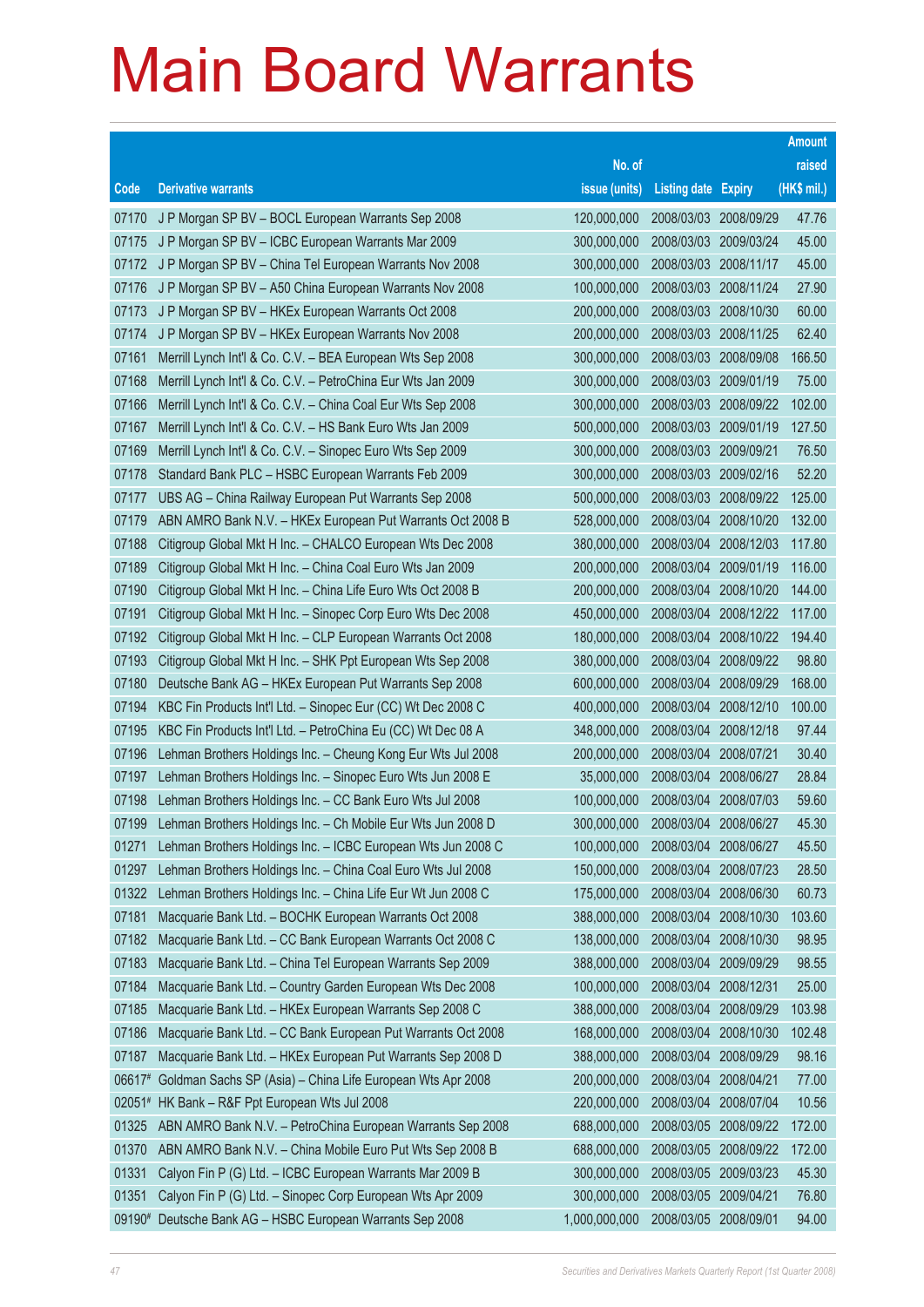|        |                                                              |               |                            |            | <b>Amount</b> |
|--------|--------------------------------------------------------------|---------------|----------------------------|------------|---------------|
|        |                                                              | No. of        |                            |            | raised        |
| Code   | <b>Derivative warrants</b>                                   | issue (units) | <b>Listing date Expiry</b> |            | (HK\$ mil.)   |
| 07170  | J P Morgan SP BV - BOCL European Warrants Sep 2008           | 120,000,000   | 2008/03/03                 | 2008/09/29 | 47.76         |
| 07175  | J P Morgan SP BV - ICBC European Warrants Mar 2009           | 300,000,000   | 2008/03/03 2009/03/24      |            | 45.00         |
| 07172  | J P Morgan SP BV - China Tel European Warrants Nov 2008      | 300,000,000   | 2008/03/03                 | 2008/11/17 | 45.00         |
| 07176  | J P Morgan SP BV - A50 China European Warrants Nov 2008      | 100,000,000   | 2008/03/03 2008/11/24      |            | 27.90         |
| 07173  | J P Morgan SP BV - HKEx European Warrants Oct 2008           | 200,000,000   | 2008/03/03 2008/10/30      |            | 60.00         |
| 07174  | J P Morgan SP BV - HKEx European Warrants Nov 2008           | 200,000,000   | 2008/03/03 2008/11/25      |            | 62.40         |
| 07161  | Merrill Lynch Int'l & Co. C.V. - BEA European Wts Sep 2008   | 300,000,000   | 2008/03/03                 | 2008/09/08 | 166.50        |
| 07168  | Merrill Lynch Int'l & Co. C.V. - PetroChina Eur Wts Jan 2009 | 300,000,000   | 2008/03/03 2009/01/19      |            | 75.00         |
| 07166  | Merrill Lynch Int'l & Co. C.V. - China Coal Eur Wts Sep 2008 | 300,000,000   | 2008/03/03 2008/09/22      |            | 102.00        |
| 07167  | Merrill Lynch Int'l & Co. C.V. - HS Bank Euro Wts Jan 2009   | 500,000,000   | 2008/03/03 2009/01/19      |            | 127.50        |
| 07169  | Merrill Lynch Int'l & Co. C.V. - Sinopec Euro Wts Sep 2009   | 300,000,000   | 2008/03/03                 | 2009/09/21 | 76.50         |
| 07178  | Standard Bank PLC - HSBC European Warrants Feb 2009          | 300,000,000   | 2008/03/03 2009/02/16      |            | 52.20         |
| 07177  | UBS AG - China Railway European Put Warrants Sep 2008        | 500,000,000   | 2008/03/03 2008/09/22      |            | 125.00        |
| 07179  | ABN AMRO Bank N.V. - HKEx European Put Warrants Oct 2008 B   | 528,000,000   | 2008/03/04 2008/10/20      |            | 132.00        |
| 07188  | Citigroup Global Mkt H Inc. - CHALCO European Wts Dec 2008   | 380,000,000   | 2008/03/04                 | 2008/12/03 | 117.80        |
| 07189  | Citigroup Global Mkt H Inc. - China Coal Euro Wts Jan 2009   | 200,000,000   | 2008/03/04 2009/01/19      |            | 116.00        |
| 07190  | Citigroup Global Mkt H Inc. - China Life Euro Wts Oct 2008 B | 200,000,000   | 2008/03/04                 | 2008/10/20 | 144.00        |
| 07191  | Citigroup Global Mkt H Inc. - Sinopec Corp Euro Wts Dec 2008 | 450,000,000   | 2008/03/04                 | 2008/12/22 | 117.00        |
| 07192  | Citigroup Global Mkt H Inc. - CLP European Warrants Oct 2008 | 180,000,000   | 2008/03/04                 | 2008/10/22 | 194.40        |
| 07193  | Citigroup Global Mkt H Inc. - SHK Ppt European Wts Sep 2008  | 380,000,000   | 2008/03/04 2008/09/22      |            | 98.80         |
| 07180  | Deutsche Bank AG - HKEx European Put Warrants Sep 2008       | 600,000,000   | 2008/03/04                 | 2008/09/29 | 168.00        |
| 07194  | KBC Fin Products Int'l Ltd. - Sinopec Eur (CC) Wt Dec 2008 C | 400,000,000   | 2008/03/04                 | 2008/12/10 | 100.00        |
| 07195  | KBC Fin Products Int'l Ltd. - PetroChina Eu (CC) Wt Dec 08 A | 348,000,000   | 2008/03/04                 | 2008/12/18 | 97.44         |
| 07196  | Lehman Brothers Holdings Inc. - Cheung Kong Eur Wts Jul 2008 | 200,000,000   | 2008/03/04 2008/07/21      |            | 30.40         |
| 07197  | Lehman Brothers Holdings Inc. - Sinopec Euro Wts Jun 2008 E  | 35,000,000    | 2008/03/04                 | 2008/06/27 | 28.84         |
| 07198  | Lehman Brothers Holdings Inc. - CC Bank Euro Wts Jul 2008    | 100,000,000   | 2008/03/04                 | 2008/07/03 | 59.60         |
| 07199  | Lehman Brothers Holdings Inc. - Ch Mobile Eur Wts Jun 2008 D | 300,000,000   | 2008/03/04 2008/06/27      |            | 45.30         |
| 01271  | Lehman Brothers Holdings Inc. - ICBC European Wts Jun 2008 C | 100,000,000   | 2008/03/04 2008/06/27      |            | 45.50         |
| 01297  | Lehman Brothers Holdings Inc. - China Coal Euro Wts Jul 2008 | 150,000,000   | 2008/03/04                 | 2008/07/23 | 28.50         |
| 01322  | Lehman Brothers Holdings Inc. - China Life Eur Wt Jun 2008 C | 175,000,000   | 2008/03/04                 | 2008/06/30 | 60.73         |
| 07181  | Macquarie Bank Ltd. - BOCHK European Warrants Oct 2008       | 388,000,000   | 2008/03/04                 | 2008/10/30 | 103.60        |
| 07182  | Macquarie Bank Ltd. - CC Bank European Warrants Oct 2008 C   | 138,000,000   | 2008/03/04                 | 2008/10/30 | 98.95         |
| 07183  | Macquarie Bank Ltd. - China Tel European Warrants Sep 2009   | 388,000,000   | 2008/03/04                 | 2009/09/29 | 98.55         |
| 07184  | Macquarie Bank Ltd. - Country Garden European Wts Dec 2008   | 100,000,000   | 2008/03/04                 | 2008/12/31 | 25.00         |
| 07185  | Macquarie Bank Ltd. - HKEx European Warrants Sep 2008 C      | 388,000,000   | 2008/03/04                 | 2008/09/29 | 103.98        |
| 07186  | Macquarie Bank Ltd. - CC Bank European Put Warrants Oct 2008 | 168,000,000   | 2008/03/04                 | 2008/10/30 | 102.48        |
| 07187  | Macquarie Bank Ltd. - HKEx European Put Warrants Sep 2008 D  | 388,000,000   | 2008/03/04                 | 2008/09/29 | 98.16         |
| 06617# | Goldman Sachs SP (Asia) - China Life European Wts Apr 2008   | 200,000,000   | 2008/03/04                 | 2008/04/21 | 77.00         |
|        | 02051# HK Bank - R&F Ppt European Wts Jul 2008               | 220,000,000   | 2008/03/04                 | 2008/07/04 | 10.56         |
| 01325  | ABN AMRO Bank N.V. - PetroChina European Warrants Sep 2008   | 688,000,000   | 2008/03/05                 | 2008/09/22 | 172.00        |
| 01370  | ABN AMRO Bank N.V. - China Mobile Euro Put Wts Sep 2008 B    | 688,000,000   | 2008/03/05                 | 2008/09/22 | 172.00        |
| 01331  | Calyon Fin P (G) Ltd. - ICBC European Warrants Mar 2009 B    | 300,000,000   | 2008/03/05                 | 2009/03/23 | 45.30         |
| 01351  | Calyon Fin P (G) Ltd. - Sinopec Corp European Wts Apr 2009   | 300,000,000   | 2008/03/05                 | 2009/04/21 | 76.80         |
| 09190# | Deutsche Bank AG - HSBC European Warrants Sep 2008           | 1,000,000,000 | 2008/03/05                 | 2008/09/01 | 94.00         |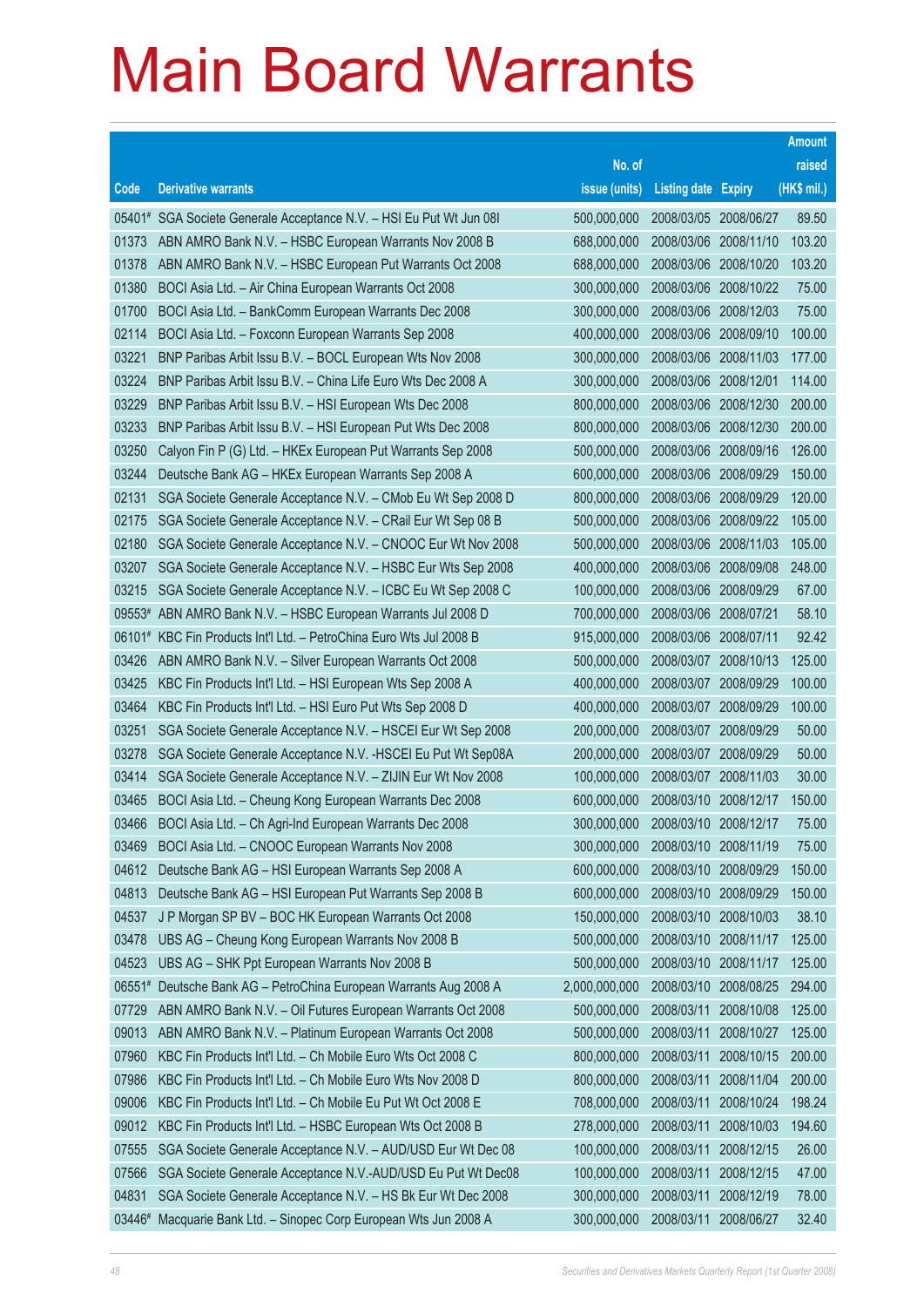|        |                                                                     |               |                            |            | <b>Amount</b> |
|--------|---------------------------------------------------------------------|---------------|----------------------------|------------|---------------|
|        |                                                                     | No. of        |                            |            | raised        |
| Code   | <b>Derivative warrants</b>                                          | issue (units) | <b>Listing date Expiry</b> |            | (HK\$ mil.)   |
|        | 05401# SGA Societe Generale Acceptance N.V. - HSI Eu Put Wt Jun 08I | 500,000,000   | 2008/03/05 2008/06/27      |            | 89.50         |
| 01373  | ABN AMRO Bank N.V. - HSBC European Warrants Nov 2008 B              | 688,000,000   | 2008/03/06 2008/11/10      |            | 103.20        |
| 01378  | ABN AMRO Bank N.V. - HSBC European Put Warrants Oct 2008            | 688,000,000   | 2008/03/06 2008/10/20      |            | 103.20        |
| 01380  | BOCI Asia Ltd. - Air China European Warrants Oct 2008               | 300,000,000   | 2008/03/06 2008/10/22      |            | 75.00         |
| 01700  | BOCI Asia Ltd. - BankComm European Warrants Dec 2008                | 300,000,000   | 2008/03/06 2008/12/03      |            | 75.00         |
| 02114  | BOCI Asia Ltd. - Foxconn European Warrants Sep 2008                 | 400,000,000   | 2008/03/06 2008/09/10      |            | 100.00        |
| 03221  | BNP Paribas Arbit Issu B.V. - BOCL European Wts Nov 2008            | 300,000,000   | 2008/03/06                 | 2008/11/03 | 177.00        |
| 03224  | BNP Paribas Arbit Issu B.V. - China Life Euro Wts Dec 2008 A        | 300,000,000   | 2008/03/06 2008/12/01      |            | 114.00        |
| 03229  | BNP Paribas Arbit Issu B.V. - HSI European Wts Dec 2008             | 800,000,000   | 2008/03/06 2008/12/30      |            | 200.00        |
| 03233  | BNP Paribas Arbit Issu B.V. - HSI European Put Wts Dec 2008         | 800,000,000   | 2008/03/06 2008/12/30      |            | 200.00        |
| 03250  | Calyon Fin P (G) Ltd. - HKEx European Put Warrants Sep 2008         | 500,000,000   | 2008/03/06                 | 2008/09/16 | 126.00        |
| 03244  | Deutsche Bank AG - HKEx European Warrants Sep 2008 A                | 600,000,000   | 2008/03/06 2008/09/29      |            | 150.00        |
| 02131  | SGA Societe Generale Acceptance N.V. - CMob Eu Wt Sep 2008 D        | 800,000,000   | 2008/03/06 2008/09/29      |            | 120.00        |
| 02175  | SGA Societe Generale Acceptance N.V. - CRail Eur Wt Sep 08 B        | 500,000,000   | 2008/03/06 2008/09/22      |            | 105.00        |
| 02180  | SGA Societe Generale Acceptance N.V. - CNOOC Eur Wt Nov 2008        | 500,000,000   | 2008/03/06                 | 2008/11/03 | 105.00        |
| 03207  | SGA Societe Generale Acceptance N.V. - HSBC Eur Wts Sep 2008        | 400,000,000   | 2008/03/06 2008/09/08      |            | 248.00        |
| 03215  | SGA Societe Generale Acceptance N.V. - ICBC Eu Wt Sep 2008 C        | 100,000,000   | 2008/03/06 2008/09/29      |            | 67.00         |
| 09553# | ABN AMRO Bank N.V. - HSBC European Warrants Jul 2008 D              | 700,000,000   | 2008/03/06 2008/07/21      |            | 58.10         |
| 06101# | KBC Fin Products Int'l Ltd. - PetroChina Euro Wts Jul 2008 B        | 915,000,000   | 2008/03/06                 | 2008/07/11 | 92.42         |
| 03426  | ABN AMRO Bank N.V. - Silver European Warrants Oct 2008              | 500,000,000   | 2008/03/07 2008/10/13      |            | 125.00        |
| 03425  | KBC Fin Products Int'l Ltd. - HSI European Wts Sep 2008 A           | 400,000,000   | 2008/03/07 2008/09/29      |            | 100.00        |
| 03464  | KBC Fin Products Int'l Ltd. - HSI Euro Put Wts Sep 2008 D           | 400,000,000   | 2008/03/07 2008/09/29      |            | 100.00        |
| 03251  | SGA Societe Generale Acceptance N.V. - HSCEI Eur Wt Sep 2008        | 200,000,000   | 2008/03/07                 | 2008/09/29 | 50.00         |
| 03278  | SGA Societe Generale Acceptance N.V. - HSCEI Eu Put Wt Sep08A       | 200,000,000   | 2008/03/07 2008/09/29      |            | 50.00         |
| 03414  | SGA Societe Generale Acceptance N.V. - ZIJIN Eur Wt Nov 2008        | 100,000,000   | 2008/03/07 2008/11/03      |            | 30.00         |
| 03465  | BOCI Asia Ltd. - Cheung Kong European Warrants Dec 2008             | 600,000,000   | 2008/03/10 2008/12/17      |            | 150.00        |
| 03466  | BOCI Asia Ltd. - Ch Agri-Ind European Warrants Dec 2008             | 300,000,000   | 2008/03/10 2008/12/17      |            | 75.00         |
| 03469  | BOCI Asia Ltd. - CNOOC European Warrants Nov 2008                   | 300,000,000   | 2008/03/10 2008/11/19      |            | 75.00         |
| 04612  | Deutsche Bank AG - HSI European Warrants Sep 2008 A                 | 600,000,000   | 2008/03/10                 | 2008/09/29 | 150.00        |
| 04813  | Deutsche Bank AG - HSI European Put Warrants Sep 2008 B             | 600,000,000   | 2008/03/10                 | 2008/09/29 | 150.00        |
| 04537  | J P Morgan SP BV - BOC HK European Warrants Oct 2008                | 150,000,000   | 2008/03/10                 | 2008/10/03 | 38.10         |
| 03478  | UBS AG - Cheung Kong European Warrants Nov 2008 B                   | 500,000,000   | 2008/03/10                 | 2008/11/17 | 125.00        |
| 04523  | UBS AG - SHK Ppt European Warrants Nov 2008 B                       | 500,000,000   | 2008/03/10                 | 2008/11/17 | 125.00        |
| 06551# | Deutsche Bank AG - PetroChina European Warrants Aug 2008 A          | 2,000,000,000 | 2008/03/10                 | 2008/08/25 | 294.00        |
| 07729  | ABN AMRO Bank N.V. - Oil Futures European Warrants Oct 2008         | 500,000,000   | 2008/03/11                 | 2008/10/08 | 125.00        |
| 09013  | ABN AMRO Bank N.V. - Platinum European Warrants Oct 2008            | 500,000,000   | 2008/03/11                 | 2008/10/27 | 125.00        |
| 07960  | KBC Fin Products Int'l Ltd. - Ch Mobile Euro Wts Oct 2008 C         | 800,000,000   | 2008/03/11                 | 2008/10/15 | 200.00        |
| 07986  | KBC Fin Products Int'l Ltd. - Ch Mobile Euro Wts Nov 2008 D         | 800,000,000   | 2008/03/11                 | 2008/11/04 | 200.00        |
| 09006  | KBC Fin Products Int'l Ltd. - Ch Mobile Eu Put Wt Oct 2008 E        | 708,000,000   | 2008/03/11                 | 2008/10/24 | 198.24        |
| 09012  | KBC Fin Products Int'l Ltd. - HSBC European Wts Oct 2008 B          | 278,000,000   | 2008/03/11                 | 2008/10/03 | 194.60        |
| 07555  | SGA Societe Generale Acceptance N.V. - AUD/USD Eur Wt Dec 08        | 100,000,000   | 2008/03/11                 | 2008/12/15 | 26.00         |
| 07566  | SGA Societe Generale Acceptance N.V.-AUD/USD Eu Put Wt Dec08        | 100,000,000   | 2008/03/11                 | 2008/12/15 | 47.00         |
| 04831  | SGA Societe Generale Acceptance N.V. - HS Bk Eur Wt Dec 2008        | 300,000,000   | 2008/03/11                 | 2008/12/19 | 78.00         |
| 03446# | Macquarie Bank Ltd. - Sinopec Corp European Wts Jun 2008 A          | 300,000,000   | 2008/03/11                 | 2008/06/27 | 32.40         |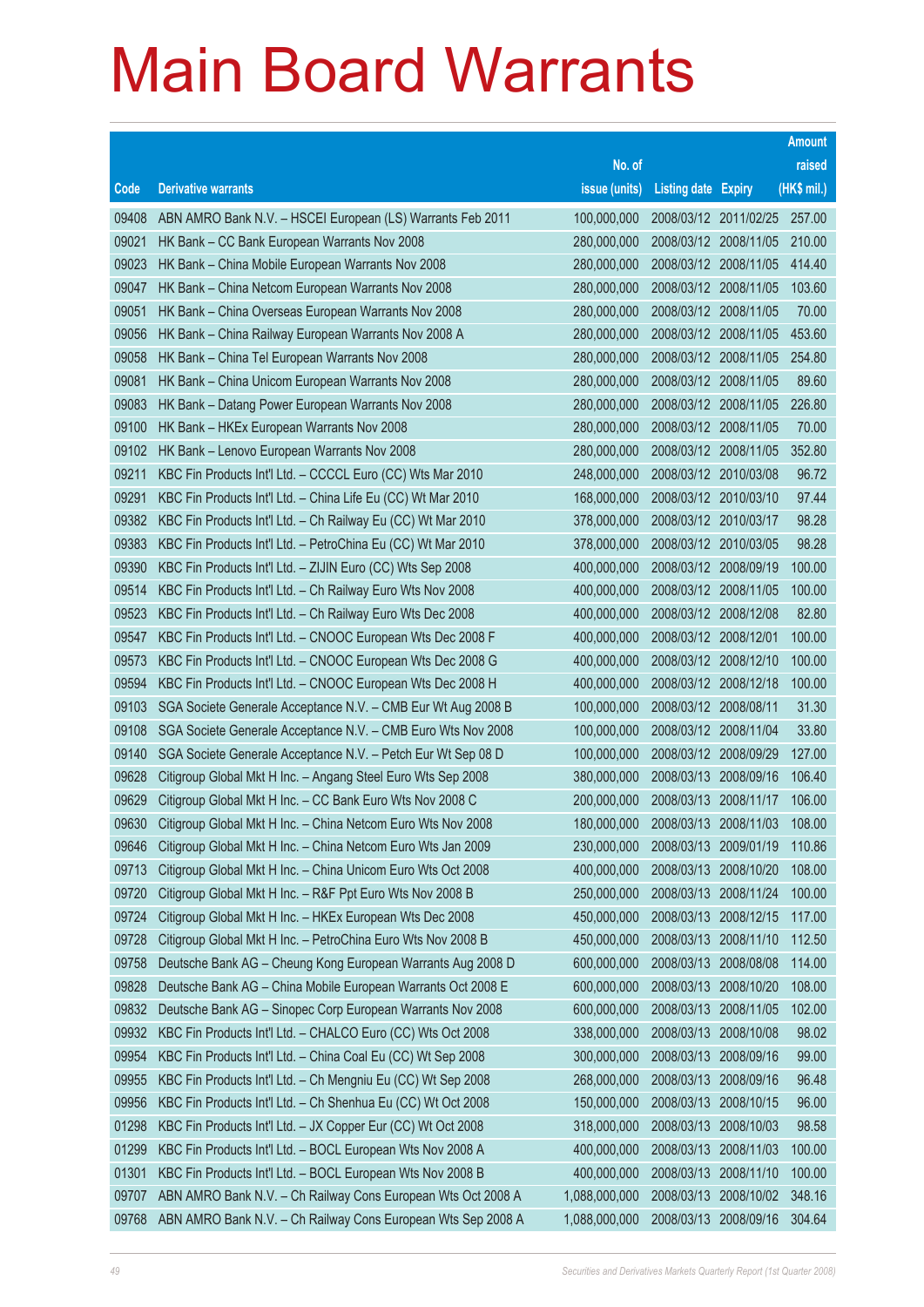|       |                                                              |               |                            |            | <b>Amount</b> |
|-------|--------------------------------------------------------------|---------------|----------------------------|------------|---------------|
|       |                                                              | No. of        |                            |            | raised        |
| Code  | <b>Derivative warrants</b>                                   | issue (units) | <b>Listing date Expiry</b> |            | (HK\$ mil.)   |
| 09408 | ABN AMRO Bank N.V. - HSCEI European (LS) Warrants Feb 2011   | 100,000,000   | 2008/03/12 2011/02/25      |            | 257.00        |
| 09021 | HK Bank - CC Bank European Warrants Nov 2008                 | 280,000,000   | 2008/03/12 2008/11/05      |            | 210.00        |
| 09023 | HK Bank - China Mobile European Warrants Nov 2008            | 280,000,000   | 2008/03/12 2008/11/05      |            | 414.40        |
| 09047 | HK Bank - China Netcom European Warrants Nov 2008            | 280,000,000   | 2008/03/12 2008/11/05      |            | 103.60        |
| 09051 | HK Bank - China Overseas European Warrants Nov 2008          | 280,000,000   | 2008/03/12 2008/11/05      |            | 70.00         |
| 09056 | HK Bank - China Railway European Warrants Nov 2008 A         | 280,000,000   | 2008/03/12 2008/11/05      |            | 453.60        |
| 09058 | HK Bank - China Tel European Warrants Nov 2008               | 280,000,000   | 2008/03/12 2008/11/05      |            | 254.80        |
| 09081 | HK Bank - China Unicom European Warrants Nov 2008            | 280,000,000   | 2008/03/12 2008/11/05      |            | 89.60         |
| 09083 | HK Bank - Datang Power European Warrants Nov 2008            | 280,000,000   | 2008/03/12 2008/11/05      |            | 226.80        |
| 09100 | HK Bank - HKEx European Warrants Nov 2008                    | 280,000,000   | 2008/03/12 2008/11/05      |            | 70.00         |
| 09102 | HK Bank - Lenovo European Warrants Nov 2008                  | 280,000,000   | 2008/03/12 2008/11/05      |            | 352.80        |
| 09211 | KBC Fin Products Int'l Ltd. - CCCCL Euro (CC) Wts Mar 2010   | 248,000,000   | 2008/03/12 2010/03/08      |            | 96.72         |
| 09291 | KBC Fin Products Int'l Ltd. - China Life Eu (CC) Wt Mar 2010 | 168,000,000   | 2008/03/12 2010/03/10      |            | 97.44         |
| 09382 | KBC Fin Products Int'l Ltd. - Ch Railway Eu (CC) Wt Mar 2010 | 378,000,000   | 2008/03/12 2010/03/17      |            | 98.28         |
| 09383 | KBC Fin Products Int'l Ltd. - PetroChina Eu (CC) Wt Mar 2010 | 378,000,000   | 2008/03/12 2010/03/05      |            | 98.28         |
| 09390 | KBC Fin Products Int'l Ltd. - ZIJIN Euro (CC) Wts Sep 2008   | 400,000,000   | 2008/03/12 2008/09/19      |            | 100.00        |
| 09514 | KBC Fin Products Int'l Ltd. - Ch Railway Euro Wts Nov 2008   | 400,000,000   | 2008/03/12 2008/11/05      |            | 100.00        |
| 09523 | KBC Fin Products Int'l Ltd. - Ch Railway Euro Wts Dec 2008   | 400,000,000   | 2008/03/12 2008/12/08      |            | 82.80         |
| 09547 | KBC Fin Products Int'l Ltd. - CNOOC European Wts Dec 2008 F  | 400,000,000   | 2008/03/12 2008/12/01      |            | 100.00        |
| 09573 | KBC Fin Products Int'l Ltd. - CNOOC European Wts Dec 2008 G  | 400,000,000   | 2008/03/12 2008/12/10      |            | 100.00        |
| 09594 | KBC Fin Products Int'l Ltd. - CNOOC European Wts Dec 2008 H  | 400,000,000   | 2008/03/12 2008/12/18      |            | 100.00        |
| 09103 | SGA Societe Generale Acceptance N.V. - CMB Eur Wt Aug 2008 B | 100,000,000   | 2008/03/12 2008/08/11      |            | 31.30         |
| 09108 | SGA Societe Generale Acceptance N.V. - CMB Euro Wts Nov 2008 | 100,000,000   | 2008/03/12 2008/11/04      |            | 33.80         |
| 09140 | SGA Societe Generale Acceptance N.V. - Petch Eur Wt Sep 08 D | 100,000,000   | 2008/03/12 2008/09/29      |            | 127.00        |
| 09628 | Citigroup Global Mkt H Inc. - Angang Steel Euro Wts Sep 2008 | 380,000,000   | 2008/03/13 2008/09/16      |            | 106.40        |
| 09629 | Citigroup Global Mkt H Inc. - CC Bank Euro Wts Nov 2008 C    | 200,000,000   | 2008/03/13 2008/11/17      |            | 106.00        |
| 09630 | Citigroup Global Mkt H Inc. - China Netcom Euro Wts Nov 2008 | 180,000,000   | 2008/03/13 2008/11/03      |            | 108.00        |
| 09646 | Citigroup Global Mkt H Inc. - China Netcom Euro Wts Jan 2009 | 230,000,000   | 2008/03/13 2009/01/19      |            | 110.86        |
| 09713 | Citigroup Global Mkt H Inc. - China Unicom Euro Wts Oct 2008 | 400,000,000   | 2008/03/13                 | 2008/10/20 | 108.00        |
| 09720 | Citigroup Global Mkt H Inc. - R&F Ppt Euro Wts Nov 2008 B    | 250,000,000   | 2008/03/13 2008/11/24      |            | 100.00        |
| 09724 | Citigroup Global Mkt H Inc. - HKEx European Wts Dec 2008     | 450,000,000   | 2008/03/13 2008/12/15      |            | 117.00        |
| 09728 | Citigroup Global Mkt H Inc. - PetroChina Euro Wts Nov 2008 B | 450,000,000   | 2008/03/13 2008/11/10      |            | 112.50        |
| 09758 | Deutsche Bank AG - Cheung Kong European Warrants Aug 2008 D  | 600,000,000   | 2008/03/13                 | 2008/08/08 | 114.00        |
| 09828 | Deutsche Bank AG - China Mobile European Warrants Oct 2008 E | 600,000,000   | 2008/03/13                 | 2008/10/20 | 108.00        |
| 09832 | Deutsche Bank AG - Sinopec Corp European Warrants Nov 2008   | 600,000,000   | 2008/03/13                 | 2008/11/05 | 102.00        |
| 09932 | KBC Fin Products Int'l Ltd. - CHALCO Euro (CC) Wts Oct 2008  | 338,000,000   | 2008/03/13                 | 2008/10/08 | 98.02         |
| 09954 | KBC Fin Products Int'l Ltd. - China Coal Eu (CC) Wt Sep 2008 | 300,000,000   | 2008/03/13                 | 2008/09/16 | 99.00         |
| 09955 | KBC Fin Products Int'l Ltd. - Ch Mengniu Eu (CC) Wt Sep 2008 | 268,000,000   | 2008/03/13 2008/09/16      |            | 96.48         |
| 09956 | KBC Fin Products Int'l Ltd. - Ch Shenhua Eu (CC) Wt Oct 2008 | 150,000,000   | 2008/03/13                 | 2008/10/15 | 96.00         |
| 01298 | KBC Fin Products Int'l Ltd. - JX Copper Eur (CC) Wt Oct 2008 | 318,000,000   | 2008/03/13                 | 2008/10/03 | 98.58         |
| 01299 | KBC Fin Products Int'l Ltd. - BOCL European Wts Nov 2008 A   | 400,000,000   | 2008/03/13                 | 2008/11/03 | 100.00        |
| 01301 | KBC Fin Products Int'l Ltd. - BOCL European Wts Nov 2008 B   | 400,000,000   | 2008/03/13                 | 2008/11/10 | 100.00        |
| 09707 | ABN AMRO Bank N.V. - Ch Railway Cons European Wts Oct 2008 A | 1,088,000,000 | 2008/03/13 2008/10/02      |            | 348.16        |
| 09768 | ABN AMRO Bank N.V. - Ch Railway Cons European Wts Sep 2008 A | 1,088,000,000 | 2008/03/13 2008/09/16      |            | 304.64        |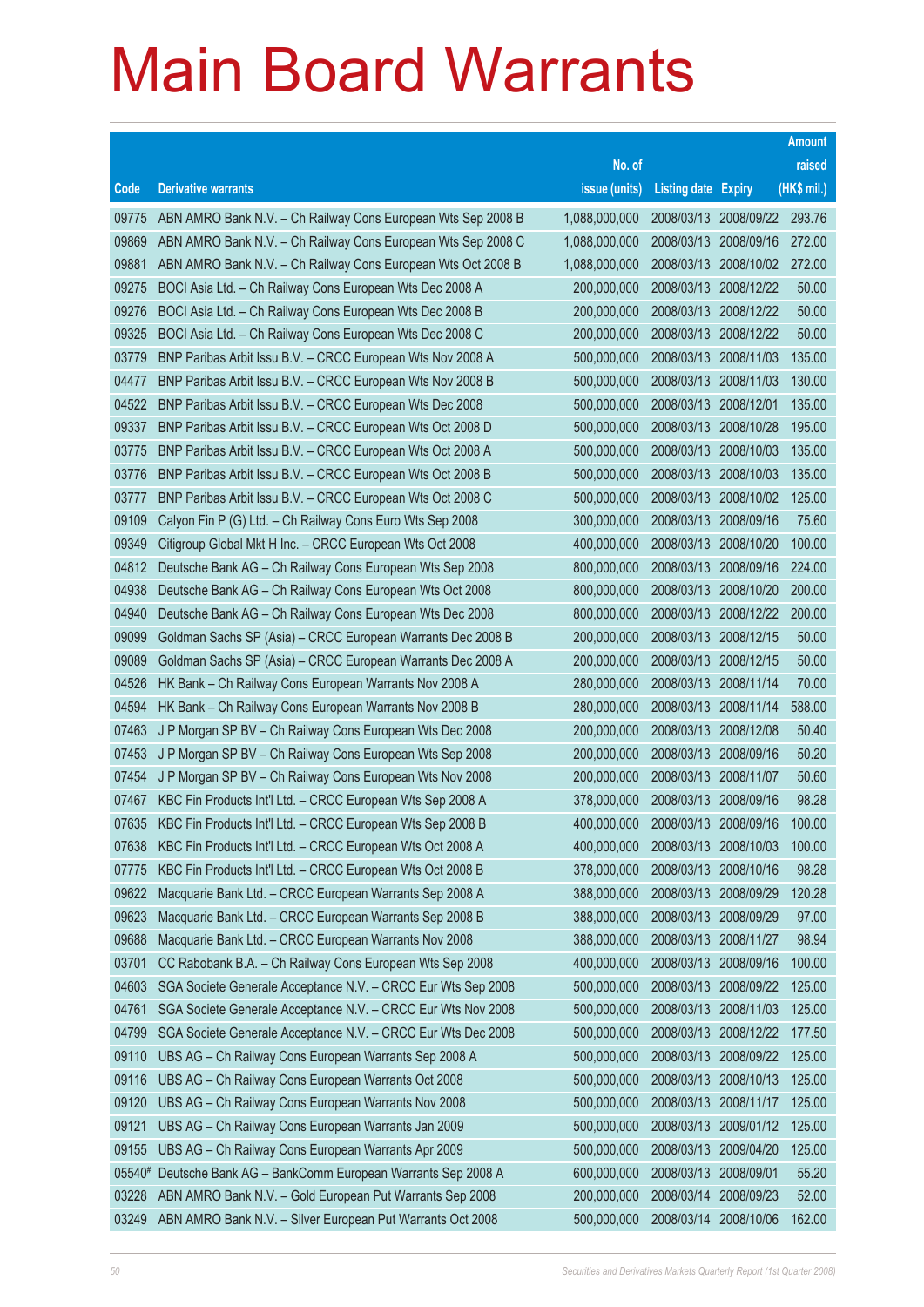|        |                                                              |               |                            |            | <b>Amount</b> |
|--------|--------------------------------------------------------------|---------------|----------------------------|------------|---------------|
|        |                                                              | No. of        |                            |            | raised        |
| Code   | <b>Derivative warrants</b>                                   | issue (units) | <b>Listing date Expiry</b> |            | (HK\$ mil.)   |
| 09775  | ABN AMRO Bank N.V. - Ch Railway Cons European Wts Sep 2008 B | 1,088,000,000 | 2008/03/13                 | 2008/09/22 | 293.76        |
| 09869  | ABN AMRO Bank N.V. - Ch Railway Cons European Wts Sep 2008 C | 1,088,000,000 | 2008/03/13                 | 2008/09/16 | 272.00        |
| 09881  | ABN AMRO Bank N.V. - Ch Railway Cons European Wts Oct 2008 B | 1,088,000,000 | 2008/03/13                 | 2008/10/02 | 272.00        |
| 09275  | BOCI Asia Ltd. - Ch Railway Cons European Wts Dec 2008 A     | 200,000,000   | 2008/03/13                 | 2008/12/22 | 50.00         |
| 09276  | BOCI Asia Ltd. - Ch Railway Cons European Wts Dec 2008 B     | 200,000,000   | 2008/03/13 2008/12/22      |            | 50.00         |
| 09325  | BOCI Asia Ltd. - Ch Railway Cons European Wts Dec 2008 C     | 200,000,000   | 2008/03/13                 | 2008/12/22 | 50.00         |
| 03779  | BNP Paribas Arbit Issu B.V. - CRCC European Wts Nov 2008 A   | 500,000,000   | 2008/03/13                 | 2008/11/03 | 135.00        |
| 04477  | BNP Paribas Arbit Issu B.V. - CRCC European Wts Nov 2008 B   | 500,000,000   | 2008/03/13                 | 2008/11/03 | 130.00        |
| 04522  | BNP Paribas Arbit Issu B.V. - CRCC European Wts Dec 2008     | 500,000,000   | 2008/03/13 2008/12/01      |            | 135.00        |
| 09337  | BNP Paribas Arbit Issu B.V. - CRCC European Wts Oct 2008 D   | 500,000,000   | 2008/03/13                 | 2008/10/28 | 195.00        |
| 03775  | BNP Paribas Arbit Issu B.V. - CRCC European Wts Oct 2008 A   | 500,000,000   | 2008/03/13                 | 2008/10/03 | 135.00        |
| 03776  | BNP Paribas Arbit Issu B.V. - CRCC European Wts Oct 2008 B   | 500,000,000   | 2008/03/13                 | 2008/10/03 | 135.00        |
| 03777  | BNP Paribas Arbit Issu B.V. - CRCC European Wts Oct 2008 C   | 500,000,000   | 2008/03/13                 | 2008/10/02 | 125.00        |
| 09109  | Calyon Fin P (G) Ltd. - Ch Railway Cons Euro Wts Sep 2008    | 300,000,000   | 2008/03/13                 | 2008/09/16 | 75.60         |
| 09349  | Citigroup Global Mkt H Inc. - CRCC European Wts Oct 2008     | 400,000,000   | 2008/03/13                 | 2008/10/20 | 100.00        |
| 04812  | Deutsche Bank AG - Ch Railway Cons European Wts Sep 2008     | 800,000,000   | 2008/03/13                 | 2008/09/16 | 224.00        |
| 04938  | Deutsche Bank AG - Ch Railway Cons European Wts Oct 2008     | 800,000,000   | 2008/03/13                 | 2008/10/20 | 200.00        |
| 04940  | Deutsche Bank AG - Ch Railway Cons European Wts Dec 2008     | 800,000,000   | 2008/03/13                 | 2008/12/22 | 200.00        |
| 09099  | Goldman Sachs SP (Asia) - CRCC European Warrants Dec 2008 B  | 200,000,000   | 2008/03/13                 | 2008/12/15 | 50.00         |
| 09089  | Goldman Sachs SP (Asia) - CRCC European Warrants Dec 2008 A  | 200,000,000   | 2008/03/13                 | 2008/12/15 | 50.00         |
| 04526  | HK Bank - Ch Railway Cons European Warrants Nov 2008 A       | 280,000,000   | 2008/03/13 2008/11/14      |            | 70.00         |
| 04594  | HK Bank - Ch Railway Cons European Warrants Nov 2008 B       | 280,000,000   | 2008/03/13                 | 2008/11/14 | 588.00        |
| 07463  | J P Morgan SP BV - Ch Railway Cons European Wts Dec 2008     | 200,000,000   | 2008/03/13                 | 2008/12/08 | 50.40         |
| 07453  | J P Morgan SP BV - Ch Railway Cons European Wts Sep 2008     | 200,000,000   | 2008/03/13                 | 2008/09/16 | 50.20         |
| 07454  | J P Morgan SP BV - Ch Railway Cons European Wts Nov 2008     | 200,000,000   | 2008/03/13 2008/11/07      |            | 50.60         |
| 07467  | KBC Fin Products Int'l Ltd. - CRCC European Wts Sep 2008 A   | 378,000,000   | 2008/03/13                 | 2008/09/16 | 98.28         |
| 07635  | KBC Fin Products Int'l Ltd. - CRCC European Wts Sep 2008 B   | 400,000,000   | 2008/03/13                 | 2008/09/16 | 100.00        |
| 07638  | KBC Fin Products Int'l Ltd. - CRCC European Wts Oct 2008 A   | 400,000,000   | 2008/03/13                 | 2008/10/03 | 100.00        |
| 07775  | KBC Fin Products Int'l Ltd. - CRCC European Wts Oct 2008 B   | 378,000,000   | 2008/03/13                 | 2008/10/16 | 98.28         |
| 09622  | Macquarie Bank Ltd. - CRCC European Warrants Sep 2008 A      | 388,000,000   | 2008/03/13                 | 2008/09/29 | 120.28        |
| 09623  | Macquarie Bank Ltd. - CRCC European Warrants Sep 2008 B      | 388,000,000   | 2008/03/13                 | 2008/09/29 | 97.00         |
| 09688  | Macquarie Bank Ltd. - CRCC European Warrants Nov 2008        | 388,000,000   | 2008/03/13                 | 2008/11/27 | 98.94         |
| 03701  | CC Rabobank B.A. - Ch Railway Cons European Wts Sep 2008     | 400,000,000   | 2008/03/13                 | 2008/09/16 | 100.00        |
| 04603  | SGA Societe Generale Acceptance N.V. - CRCC Eur Wts Sep 2008 | 500,000,000   | 2008/03/13                 | 2008/09/22 | 125.00        |
| 04761  | SGA Societe Generale Acceptance N.V. - CRCC Eur Wts Nov 2008 | 500,000,000   | 2008/03/13                 | 2008/11/03 | 125.00        |
| 04799  | SGA Societe Generale Acceptance N.V. - CRCC Eur Wts Dec 2008 | 500,000,000   | 2008/03/13                 | 2008/12/22 | 177.50        |
| 09110  | UBS AG - Ch Railway Cons European Warrants Sep 2008 A        | 500,000,000   | 2008/03/13                 | 2008/09/22 | 125.00        |
| 09116  | UBS AG - Ch Railway Cons European Warrants Oct 2008          | 500,000,000   | 2008/03/13                 | 2008/10/13 | 125.00        |
| 09120  | UBS AG - Ch Railway Cons European Warrants Nov 2008          | 500,000,000   | 2008/03/13                 | 2008/11/17 | 125.00        |
| 09121  | UBS AG - Ch Railway Cons European Warrants Jan 2009          | 500,000,000   | 2008/03/13                 | 2009/01/12 | 125.00        |
| 09155  | UBS AG - Ch Railway Cons European Warrants Apr 2009          | 500,000,000   | 2008/03/13                 | 2009/04/20 | 125.00        |
| 05540# | Deutsche Bank AG - BankComm European Warrants Sep 2008 A     | 600,000,000   | 2008/03/13                 | 2008/09/01 | 55.20         |
| 03228  | ABN AMRO Bank N.V. - Gold European Put Warrants Sep 2008     | 200,000,000   | 2008/03/14                 | 2008/09/23 | 52.00         |
| 03249  | ABN AMRO Bank N.V. - Silver European Put Warrants Oct 2008   | 500,000,000   | 2008/03/14                 | 2008/10/06 | 162.00        |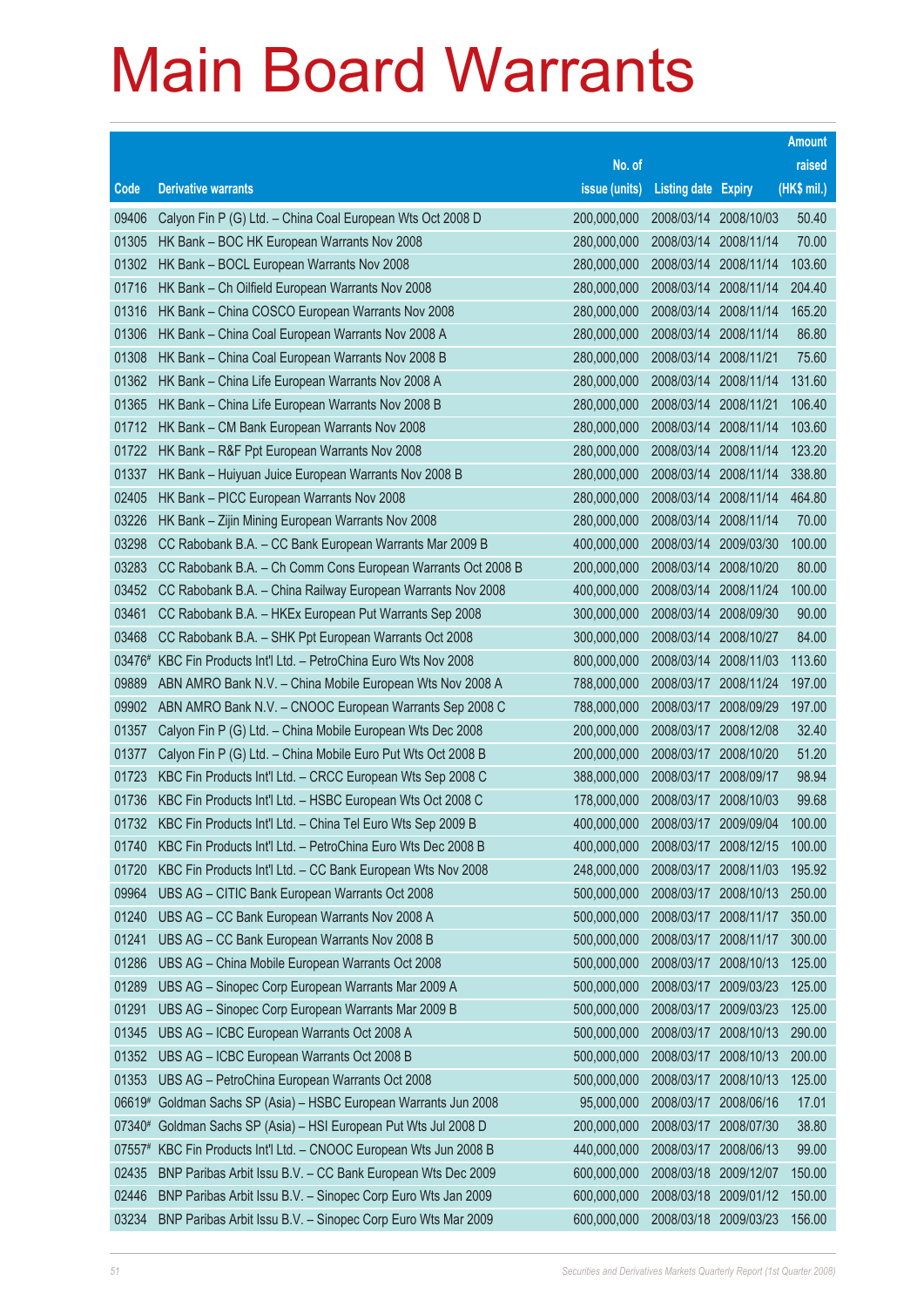|                |                                                                                                |                            |                            |                          | <b>Amount</b>    |
|----------------|------------------------------------------------------------------------------------------------|----------------------------|----------------------------|--------------------------|------------------|
|                |                                                                                                | No. of                     |                            |                          | raised           |
| Code           | <b>Derivative warrants</b>                                                                     | issue (units)              | <b>Listing date Expiry</b> |                          | (HK\$ mil.)      |
| 09406          | Calyon Fin P (G) Ltd. - China Coal European Wts Oct 2008 D                                     | 200,000,000                | 2008/03/14                 | 2008/10/03               | 50.40            |
| 01305          | HK Bank - BOC HK European Warrants Nov 2008                                                    | 280,000,000                | 2008/03/14                 | 2008/11/14               | 70.00            |
| 01302          | HK Bank - BOCL European Warrants Nov 2008                                                      | 280,000,000                | 2008/03/14                 | 2008/11/14               | 103.60           |
| 01716          | HK Bank - Ch Oilfield European Warrants Nov 2008                                               | 280,000,000                | 2008/03/14                 | 2008/11/14               | 204.40           |
| 01316          | HK Bank - China COSCO European Warrants Nov 2008                                               | 280,000,000                | 2008/03/14                 | 2008/11/14               | 165.20           |
| 01306          | HK Bank - China Coal European Warrants Nov 2008 A                                              | 280,000,000                | 2008/03/14                 | 2008/11/14               | 86.80            |
| 01308          | HK Bank - China Coal European Warrants Nov 2008 B                                              | 280,000,000                | 2008/03/14                 | 2008/11/21               | 75.60            |
| 01362          | HK Bank - China Life European Warrants Nov 2008 A                                              | 280,000,000                | 2008/03/14                 | 2008/11/14               | 131.60           |
| 01365          | HK Bank - China Life European Warrants Nov 2008 B                                              | 280,000,000                | 2008/03/14                 | 2008/11/21               | 106.40           |
| 01712          | HK Bank - CM Bank European Warrants Nov 2008                                                   | 280,000,000                | 2008/03/14                 | 2008/11/14               | 103.60           |
| 01722          | HK Bank - R&F Ppt European Warrants Nov 2008                                                   | 280,000,000                | 2008/03/14                 | 2008/11/14               | 123.20           |
| 01337          | HK Bank - Huiyuan Juice European Warrants Nov 2008 B                                           | 280,000,000                | 2008/03/14                 | 2008/11/14               | 338.80           |
| 02405          | HK Bank - PICC European Warrants Nov 2008                                                      | 280,000,000                | 2008/03/14                 | 2008/11/14               | 464.80           |
| 03226          | HK Bank - Zijin Mining European Warrants Nov 2008                                              | 280,000,000                | 2008/03/14                 | 2008/11/14               | 70.00            |
| 03298          | CC Rabobank B.A. - CC Bank European Warrants Mar 2009 B                                        | 400,000,000                | 2008/03/14                 | 2009/03/30               | 100.00           |
| 03283          | CC Rabobank B.A. - Ch Comm Cons European Warrants Oct 2008 B                                   | 200,000,000                | 2008/03/14                 | 2008/10/20               | 80.00            |
| 03452          | CC Rabobank B.A. - China Railway European Warrants Nov 2008                                    | 400,000,000                | 2008/03/14                 | 2008/11/24               | 100.00           |
| 03461          | CC Rabobank B.A. - HKEx European Put Warrants Sep 2008                                         | 300,000,000                | 2008/03/14                 | 2008/09/30               | 90.00            |
| 03468          | CC Rabobank B.A. - SHK Ppt European Warrants Oct 2008                                          | 300,000,000                | 2008/03/14                 | 2008/10/27               | 84.00            |
| 03476#         | KBC Fin Products Int'l Ltd. - PetroChina Euro Wts Nov 2008                                     | 800,000,000                | 2008/03/14                 | 2008/11/03               | 113.60           |
| 09889          | ABN AMRO Bank N.V. - China Mobile European Wts Nov 2008 A                                      | 788,000,000                | 2008/03/17 2008/11/24      |                          | 197.00           |
| 09902          | ABN AMRO Bank N.V. - CNOOC European Warrants Sep 2008 C                                        | 788,000,000                | 2008/03/17 2008/09/29      |                          | 197.00           |
| 01357          | Calyon Fin P (G) Ltd. - China Mobile European Wts Dec 2008                                     | 200,000,000                | 2008/03/17                 | 2008/12/08               | 32.40            |
| 01377          | Calyon Fin P (G) Ltd. - China Mobile Euro Put Wts Oct 2008 B                                   | 200,000,000                | 2008/03/17 2008/10/20      |                          | 51.20            |
| 01723          | KBC Fin Products Int'l Ltd. - CRCC European Wts Sep 2008 C                                     | 388,000,000                | 2008/03/17 2008/09/17      |                          | 98.94            |
| 01736          | KBC Fin Products Int'l Ltd. - HSBC European Wts Oct 2008 C                                     | 178,000,000                | 2008/03/17 2008/10/03      |                          | 99.68            |
| 01732          | KBC Fin Products Int'l Ltd. - China Tel Euro Wts Sep 2009 B                                    | 400,000,000                | 2008/03/17                 | 2009/09/04               | 100.00           |
| 01740          | KBC Fin Products Int'l Ltd. - PetroChina Euro Wts Dec 2008 B                                   | 400,000,000                | 2008/03/17 2008/12/15      |                          | 100.00           |
| 01720          | KBC Fin Products Int'l Ltd. - CC Bank European Wts Nov 2008                                    | 248,000,000                | 2008/03/17                 | 2008/11/03               | 195.92           |
| 09964          | UBS AG - CITIC Bank European Warrants Oct 2008                                                 | 500,000,000                | 2008/03/17                 | 2008/10/13               | 250.00           |
| 01240          | UBS AG - CC Bank European Warrants Nov 2008 A<br>UBS AG - CC Bank European Warrants Nov 2008 B | 500,000,000                | 2008/03/17 2008/11/17      |                          | 350.00           |
| 01241          |                                                                                                | 500,000,000<br>500,000,000 | 2008/03/17                 | 2008/11/17               | 300.00           |
| 01286<br>01289 | UBS AG - China Mobile European Warrants Oct 2008                                               | 500,000,000                | 2008/03/17                 | 2008/10/13               | 125.00<br>125.00 |
|                | UBS AG - Sinopec Corp European Warrants Mar 2009 A                                             |                            | 2008/03/17                 | 2009/03/23               |                  |
| 01291          | UBS AG - Sinopec Corp European Warrants Mar 2009 B                                             | 500,000,000<br>500,000,000 | 2008/03/17                 | 2009/03/23               | 125.00           |
| 01345          | UBS AG - ICBC European Warrants Oct 2008 A                                                     |                            | 2008/03/17                 | 2008/10/13<br>2008/10/13 | 290.00           |
| 01352          | UBS AG - ICBC European Warrants Oct 2008 B                                                     | 500,000,000                | 2008/03/17                 |                          | 200.00           |
| 01353          | UBS AG - PetroChina European Warrants Oct 2008                                                 | 500,000,000                | 2008/03/17                 | 2008/10/13               | 125.00           |
| 06619#         | Goldman Sachs SP (Asia) - HSBC European Warrants Jun 2008                                      | 95,000,000                 | 2008/03/17                 | 2008/06/16               | 17.01            |
| 07340#         | Goldman Sachs SP (Asia) - HSI European Put Wts Jul 2008 D                                      | 200,000,000                | 2008/03/17                 | 2008/07/30               | 38.80            |
| $07557*$       | KBC Fin Products Int'l Ltd. - CNOOC European Wts Jun 2008 B                                    | 440,000,000                | 2008/03/17                 | 2008/06/13               | 99.00            |
| 02435          | BNP Paribas Arbit Issu B.V. - CC Bank European Wts Dec 2009                                    | 600,000,000                | 2008/03/18                 | 2009/12/07               | 150.00           |
| 02446          | BNP Paribas Arbit Issu B.V. - Sinopec Corp Euro Wts Jan 2009                                   | 600,000,000                | 2008/03/18                 | 2009/01/12               | 150.00           |
| 03234          | BNP Paribas Arbit Issu B.V. - Sinopec Corp Euro Wts Mar 2009                                   | 600,000,000                | 2008/03/18 2009/03/23      |                          | 156.00           |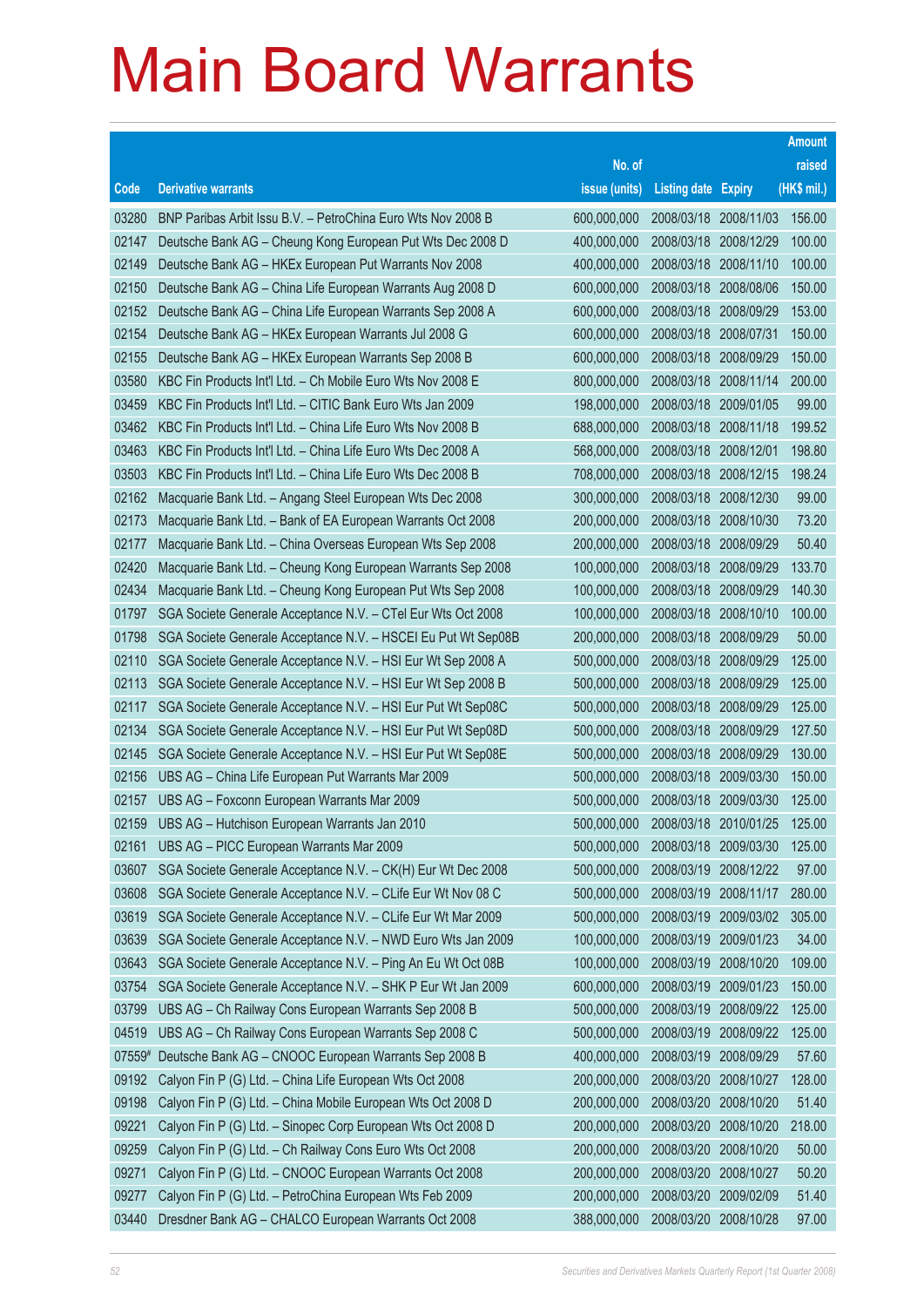|        |                                                               |               |                            |            | <b>Amount</b> |
|--------|---------------------------------------------------------------|---------------|----------------------------|------------|---------------|
|        |                                                               | No. of        |                            |            | raised        |
| Code   | <b>Derivative warrants</b>                                    | issue (units) | <b>Listing date Expiry</b> |            | (HK\$ mil.)   |
| 03280  | BNP Paribas Arbit Issu B.V. - PetroChina Euro Wts Nov 2008 B  | 600,000,000   | 2008/03/18 2008/11/03      |            | 156.00        |
| 02147  | Deutsche Bank AG - Cheung Kong European Put Wts Dec 2008 D    | 400,000,000   | 2008/03/18 2008/12/29      |            | 100.00        |
| 02149  | Deutsche Bank AG - HKEx European Put Warrants Nov 2008        | 400,000,000   | 2008/03/18                 | 2008/11/10 | 100.00        |
| 02150  | Deutsche Bank AG - China Life European Warrants Aug 2008 D    | 600,000,000   | 2008/03/18                 | 2008/08/06 | 150.00        |
| 02152  | Deutsche Bank AG - China Life European Warrants Sep 2008 A    | 600,000,000   | 2008/03/18                 | 2008/09/29 | 153.00        |
| 02154  | Deutsche Bank AG - HKEx European Warrants Jul 2008 G          | 600,000,000   | 2008/03/18                 | 2008/07/31 | 150.00        |
| 02155  | Deutsche Bank AG - HKEx European Warrants Sep 2008 B          | 600,000,000   | 2008/03/18                 | 2008/09/29 | 150.00        |
| 03580  | KBC Fin Products Int'l Ltd. - Ch Mobile Euro Wts Nov 2008 E   | 800,000,000   | 2008/03/18                 | 2008/11/14 | 200.00        |
| 03459  | KBC Fin Products Int'l Ltd. - CITIC Bank Euro Wts Jan 2009    | 198,000,000   | 2008/03/18                 | 2009/01/05 | 99.00         |
| 03462  | KBC Fin Products Int'l Ltd. - China Life Euro Wts Nov 2008 B  | 688,000,000   | 2008/03/18                 | 2008/11/18 | 199.52        |
| 03463  | KBC Fin Products Int'l Ltd. - China Life Euro Wts Dec 2008 A  | 568,000,000   | 2008/03/18                 | 2008/12/01 | 198.80        |
| 03503  | KBC Fin Products Int'l Ltd. - China Life Euro Wts Dec 2008 B  | 708,000,000   | 2008/03/18                 | 2008/12/15 | 198.24        |
| 02162  | Macquarie Bank Ltd. - Angang Steel European Wts Dec 2008      | 300,000,000   | 2008/03/18                 | 2008/12/30 | 99.00         |
| 02173  | Macquarie Bank Ltd. - Bank of EA European Warrants Oct 2008   | 200,000,000   | 2008/03/18                 | 2008/10/30 | 73.20         |
| 02177  | Macquarie Bank Ltd. - China Overseas European Wts Sep 2008    | 200,000,000   | 2008/03/18                 | 2008/09/29 | 50.40         |
| 02420  | Macquarie Bank Ltd. - Cheung Kong European Warrants Sep 2008  | 100,000,000   | 2008/03/18                 | 2008/09/29 | 133.70        |
| 02434  | Macquarie Bank Ltd. - Cheung Kong European Put Wts Sep 2008   | 100,000,000   | 2008/03/18                 | 2008/09/29 | 140.30        |
| 01797  | SGA Societe Generale Acceptance N.V. - CTel Eur Wts Oct 2008  | 100,000,000   | 2008/03/18                 | 2008/10/10 | 100.00        |
| 01798  | SGA Societe Generale Acceptance N.V. - HSCEI Eu Put Wt Sep08B | 200,000,000   | 2008/03/18                 | 2008/09/29 | 50.00         |
| 02110  | SGA Societe Generale Acceptance N.V. - HSI Eur Wt Sep 2008 A  | 500,000,000   | 2008/03/18                 | 2008/09/29 | 125.00        |
| 02113  | SGA Societe Generale Acceptance N.V. - HSI Eur Wt Sep 2008 B  | 500,000,000   | 2008/03/18                 | 2008/09/29 | 125.00        |
| 02117  | SGA Societe Generale Acceptance N.V. - HSI Eur Put Wt Sep08C  | 500,000,000   | 2008/03/18                 | 2008/09/29 | 125.00        |
| 02134  | SGA Societe Generale Acceptance N.V. - HSI Eur Put Wt Sep08D  | 500,000,000   | 2008/03/18                 | 2008/09/29 | 127.50        |
| 02145  | SGA Societe Generale Acceptance N.V. - HSI Eur Put Wt Sep08E  | 500,000,000   | 2008/03/18                 | 2008/09/29 | 130.00        |
| 02156  | UBS AG - China Life European Put Warrants Mar 2009            | 500,000,000   | 2008/03/18                 | 2009/03/30 | 150.00        |
| 02157  | UBS AG - Foxconn European Warrants Mar 2009                   | 500,000,000   | 2008/03/18                 | 2009/03/30 | 125.00        |
| 02159  | UBS AG - Hutchison European Warrants Jan 2010                 | 500,000,000   | 2008/03/18 2010/01/25      |            | 125.00        |
| 02161  | UBS AG - PICC European Warrants Mar 2009                      | 500,000,000   | 2008/03/18                 | 2009/03/30 | 125.00        |
| 03607  | SGA Societe Generale Acceptance N.V. - CK(H) Eur Wt Dec 2008  | 500,000,000   | 2008/03/19                 | 2008/12/22 | 97.00         |
| 03608  | SGA Societe Generale Acceptance N.V. - CLife Eur Wt Nov 08 C  | 500,000,000   | 2008/03/19                 | 2008/11/17 | 280.00        |
| 03619  | SGA Societe Generale Acceptance N.V. - CLife Eur Wt Mar 2009  | 500,000,000   | 2008/03/19                 | 2009/03/02 | 305.00        |
| 03639  | SGA Societe Generale Acceptance N.V. - NWD Euro Wts Jan 2009  | 100,000,000   | 2008/03/19                 | 2009/01/23 | 34.00         |
| 03643  | SGA Societe Generale Acceptance N.V. - Ping An Eu Wt Oct 08B  | 100,000,000   | 2008/03/19                 | 2008/10/20 | 109.00        |
| 03754  | SGA Societe Generale Acceptance N.V. - SHK P Eur Wt Jan 2009  | 600,000,000   | 2008/03/19                 | 2009/01/23 | 150.00        |
| 03799  | UBS AG - Ch Railway Cons European Warrants Sep 2008 B         | 500,000,000   | 2008/03/19                 | 2008/09/22 | 125.00        |
| 04519  | UBS AG - Ch Railway Cons European Warrants Sep 2008 C         | 500,000,000   | 2008/03/19                 | 2008/09/22 | 125.00        |
| 07559# | Deutsche Bank AG - CNOOC European Warrants Sep 2008 B         | 400,000,000   | 2008/03/19                 | 2008/09/29 | 57.60         |
| 09192  | Calyon Fin P (G) Ltd. - China Life European Wts Oct 2008      | 200,000,000   | 2008/03/20                 | 2008/10/27 | 128.00        |
| 09198  | Calyon Fin P (G) Ltd. - China Mobile European Wts Oct 2008 D  | 200,000,000   | 2008/03/20                 | 2008/10/20 | 51.40         |
| 09221  | Calyon Fin P (G) Ltd. - Sinopec Corp European Wts Oct 2008 D  | 200,000,000   | 2008/03/20                 | 2008/10/20 | 218.00        |
| 09259  | Calyon Fin P (G) Ltd. - Ch Railway Cons Euro Wts Oct 2008     | 200,000,000   | 2008/03/20                 | 2008/10/20 | 50.00         |
| 09271  | Calyon Fin P (G) Ltd. - CNOOC European Warrants Oct 2008      | 200,000,000   | 2008/03/20                 | 2008/10/27 | 50.20         |
| 09277  | Calyon Fin P (G) Ltd. - PetroChina European Wts Feb 2009      | 200,000,000   | 2008/03/20                 | 2009/02/09 | 51.40         |
| 03440  | Dresdner Bank AG - CHALCO European Warrants Oct 2008          | 388,000,000   | 2008/03/20                 | 2008/10/28 | 97.00         |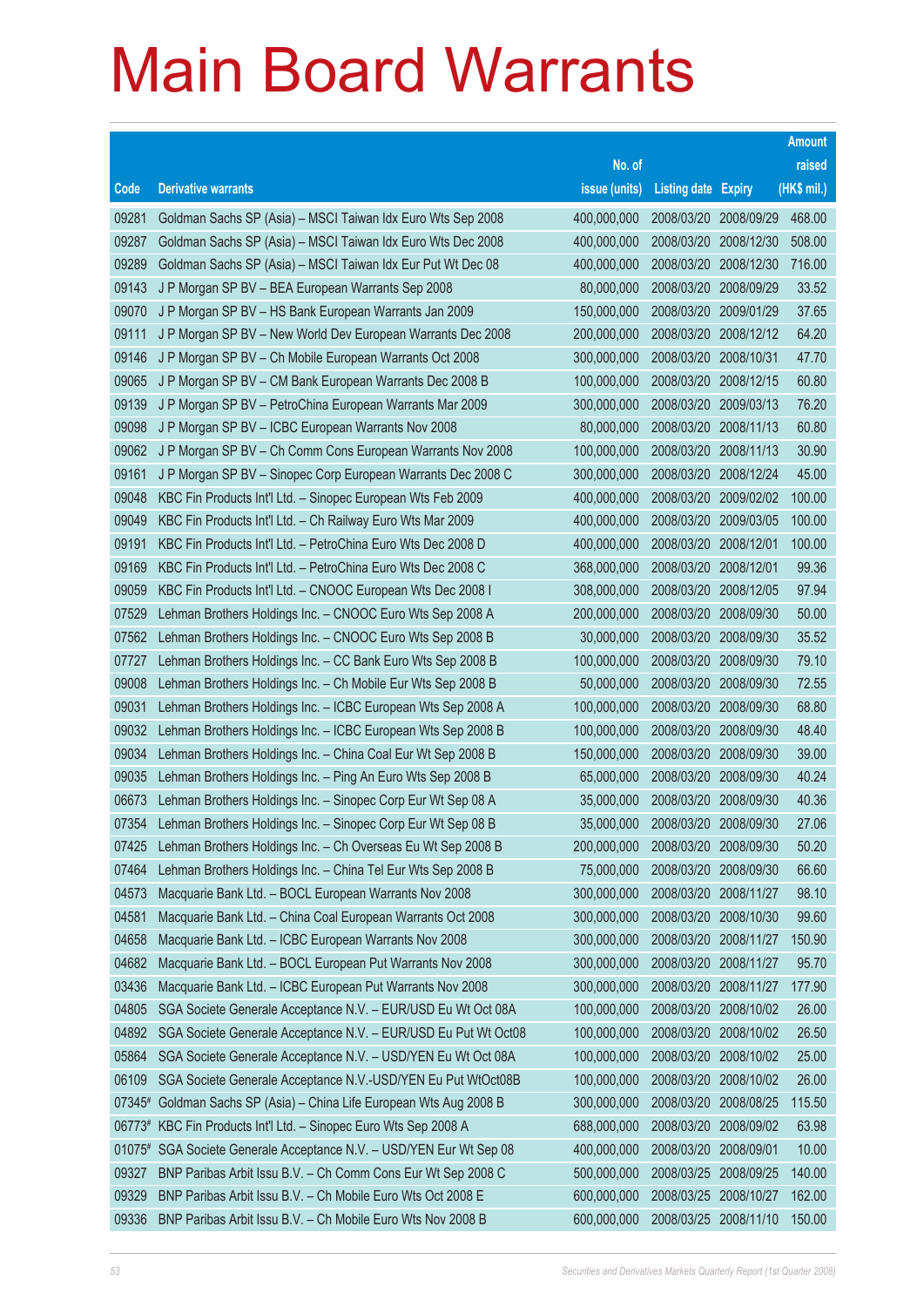|              |                                                                |               |                            |            | <b>Amount</b> |
|--------------|----------------------------------------------------------------|---------------|----------------------------|------------|---------------|
|              |                                                                | No. of        |                            |            | raised        |
| Code         | <b>Derivative warrants</b>                                     | issue (units) | <b>Listing date Expiry</b> |            | (HK\$ mil.)   |
| 09281        | Goldman Sachs SP (Asia) - MSCI Taiwan Idx Euro Wts Sep 2008    | 400,000,000   | 2008/03/20 2008/09/29      |            | 468.00        |
| 09287        | Goldman Sachs SP (Asia) - MSCI Taiwan Idx Euro Wts Dec 2008    | 400,000,000   | 2008/03/20 2008/12/30      |            | 508.00        |
| 09289        | Goldman Sachs SP (Asia) - MSCI Taiwan Idx Eur Put Wt Dec 08    | 400,000,000   | 2008/03/20                 | 2008/12/30 | 716.00        |
| 09143        | J P Morgan SP BV - BEA European Warrants Sep 2008              | 80,000,000    | 2008/03/20 2008/09/29      |            | 33.52         |
| 09070        | J P Morgan SP BV - HS Bank European Warrants Jan 2009          | 150,000,000   | 2008/03/20                 | 2009/01/29 | 37.65         |
| 09111        | J P Morgan SP BV - New World Dev European Warrants Dec 2008    | 200,000,000   | 2008/03/20 2008/12/12      |            | 64.20         |
| 09146        | J P Morgan SP BV - Ch Mobile European Warrants Oct 2008        | 300,000,000   | 2008/03/20                 | 2008/10/31 | 47.70         |
| 09065        | J P Morgan SP BV - CM Bank European Warrants Dec 2008 B        | 100,000,000   | 2008/03/20 2008/12/15      |            | 60.80         |
| 09139        | J P Morgan SP BV - PetroChina European Warrants Mar 2009       | 300,000,000   | 2008/03/20                 | 2009/03/13 | 76.20         |
| 09098        | J P Morgan SP BV - ICBC European Warrants Nov 2008             | 80,000,000    | 2008/03/20 2008/11/13      |            | 60.80         |
| 09062        | J P Morgan SP BV - Ch Comm Cons European Warrants Nov 2008     | 100,000,000   | 2008/03/20                 | 2008/11/13 | 30.90         |
| 09161        | J P Morgan SP BV - Sinopec Corp European Warrants Dec 2008 C   | 300,000,000   | 2008/03/20 2008/12/24      |            | 45.00         |
| 09048        | KBC Fin Products Int'l Ltd. - Sinopec European Wts Feb 2009    | 400,000,000   | 2008/03/20                 | 2009/02/02 | 100.00        |
| 09049        | KBC Fin Products Int'l Ltd. - Ch Railway Euro Wts Mar 2009     | 400,000,000   | 2008/03/20 2009/03/05      |            | 100.00        |
| 09191        | KBC Fin Products Int'l Ltd. - PetroChina Euro Wts Dec 2008 D   | 400,000,000   | 2008/03/20                 | 2008/12/01 | 100.00        |
| 09169        | KBC Fin Products Int'l Ltd. - PetroChina Euro Wts Dec 2008 C   | 368,000,000   | 2008/03/20 2008/12/01      |            | 99.36         |
| 09059        | KBC Fin Products Int'l Ltd. - CNOOC European Wts Dec 2008 I    | 308,000,000   | 2008/03/20                 | 2008/12/05 | 97.94         |
| 07529        | Lehman Brothers Holdings Inc. - CNOOC Euro Wts Sep 2008 A      | 200,000,000   | 2008/03/20 2008/09/30      |            | 50.00         |
| 07562        | Lehman Brothers Holdings Inc. - CNOOC Euro Wts Sep 2008 B      | 30,000,000    | 2008/03/20                 | 2008/09/30 | 35.52         |
| 07727        | Lehman Brothers Holdings Inc. - CC Bank Euro Wts Sep 2008 B    | 100,000,000   | 2008/03/20 2008/09/30      |            | 79.10         |
| 09008        | Lehman Brothers Holdings Inc. - Ch Mobile Eur Wts Sep 2008 B   | 50,000,000    | 2008/03/20                 | 2008/09/30 | 72.55         |
| 09031        | Lehman Brothers Holdings Inc. - ICBC European Wts Sep 2008 A   | 100,000,000   | 2008/03/20                 | 2008/09/30 | 68.80         |
| 09032        | Lehman Brothers Holdings Inc. - ICBC European Wts Sep 2008 B   | 100,000,000   | 2008/03/20                 | 2008/09/30 | 48.40         |
| 09034        | Lehman Brothers Holdings Inc. - China Coal Eur Wt Sep 2008 B   | 150,000,000   | 2008/03/20                 | 2008/09/30 | 39.00         |
| 09035        | Lehman Brothers Holdings Inc. - Ping An Euro Wts Sep 2008 B    | 65,000,000    | 2008/03/20                 | 2008/09/30 | 40.24         |
| 06673        | Lehman Brothers Holdings Inc. - Sinopec Corp Eur Wt Sep 08 A   | 35,000,000    | 2008/03/20                 | 2008/09/30 | 40.36         |
| 07354        | Lehman Brothers Holdings Inc. - Sinopec Corp Eur Wt Sep 08 B   | 35,000,000    | 2008/03/20 2008/09/30      |            | 27.06         |
| 07425        | Lehman Brothers Holdings Inc. - Ch Overseas Eu Wt Sep 2008 B   | 200,000,000   | 2008/03/20 2008/09/30      |            | 50.20         |
| 07464        | Lehman Brothers Holdings Inc. - China Tel Eur Wts Sep 2008 B   | 75,000,000    | 2008/03/20                 | 2008/09/30 | 66.60         |
| 04573        | Macquarie Bank Ltd. - BOCL European Warrants Nov 2008          | 300,000,000   | 2008/03/20                 | 2008/11/27 | 98.10         |
| 04581        | Macquarie Bank Ltd. - China Coal European Warrants Oct 2008    | 300,000,000   | 2008/03/20                 | 2008/10/30 | 99.60         |
| 04658        | Macquarie Bank Ltd. - ICBC European Warrants Nov 2008          | 300,000,000   | 2008/03/20                 | 2008/11/27 | 150.90        |
| 04682        | Macquarie Bank Ltd. - BOCL European Put Warrants Nov 2008      | 300,000,000   | 2008/03/20                 | 2008/11/27 | 95.70         |
| 03436        | Macquarie Bank Ltd. - ICBC European Put Warrants Nov 2008      | 300,000,000   | 2008/03/20                 | 2008/11/27 | 177.90        |
| 04805        | SGA Societe Generale Acceptance N.V. - EUR/USD Eu Wt Oct 08A   | 100,000,000   | 2008/03/20                 | 2008/10/02 | 26.00         |
| 04892        | SGA Societe Generale Acceptance N.V. - EUR/USD Eu Put Wt Oct08 | 100,000,000   | 2008/03/20                 | 2008/10/02 | 26.50         |
| 05864        | SGA Societe Generale Acceptance N.V. - USD/YEN Eu Wt Oct 08A   | 100,000,000   | 2008/03/20                 | 2008/10/02 | 25.00         |
| 06109        | SGA Societe Generale Acceptance N.V.-USD/YEN Eu Put WtOct08B   | 100,000,000   | 2008/03/20                 | 2008/10/02 | 26.00         |
| 07345#       | Goldman Sachs SP (Asia) - China Life European Wts Aug 2008 B   | 300,000,000   | 2008/03/20                 | 2008/08/25 | 115.50        |
| 06773#       | KBC Fin Products Int'l Ltd. - Sinopec Euro Wts Sep 2008 A      | 688,000,000   | 2008/03/20                 | 2008/09/02 | 63.98         |
| $01075^{\#}$ | SGA Societe Generale Acceptance N.V. - USD/YEN Eur Wt Sep 08   | 400,000,000   | 2008/03/20                 | 2008/09/01 | 10.00         |
| 09327        | BNP Paribas Arbit Issu B.V. - Ch Comm Cons Eur Wt Sep 2008 C   | 500,000,000   | 2008/03/25 2008/09/25      |            | 140.00        |
| 09329        | BNP Paribas Arbit Issu B.V. - Ch Mobile Euro Wts Oct 2008 E    | 600,000,000   | 2008/03/25                 | 2008/10/27 | 162.00        |
| 09336        | BNP Paribas Arbit Issu B.V. - Ch Mobile Euro Wts Nov 2008 B    | 600,000,000   | 2008/03/25 2008/11/10      |            | 150.00        |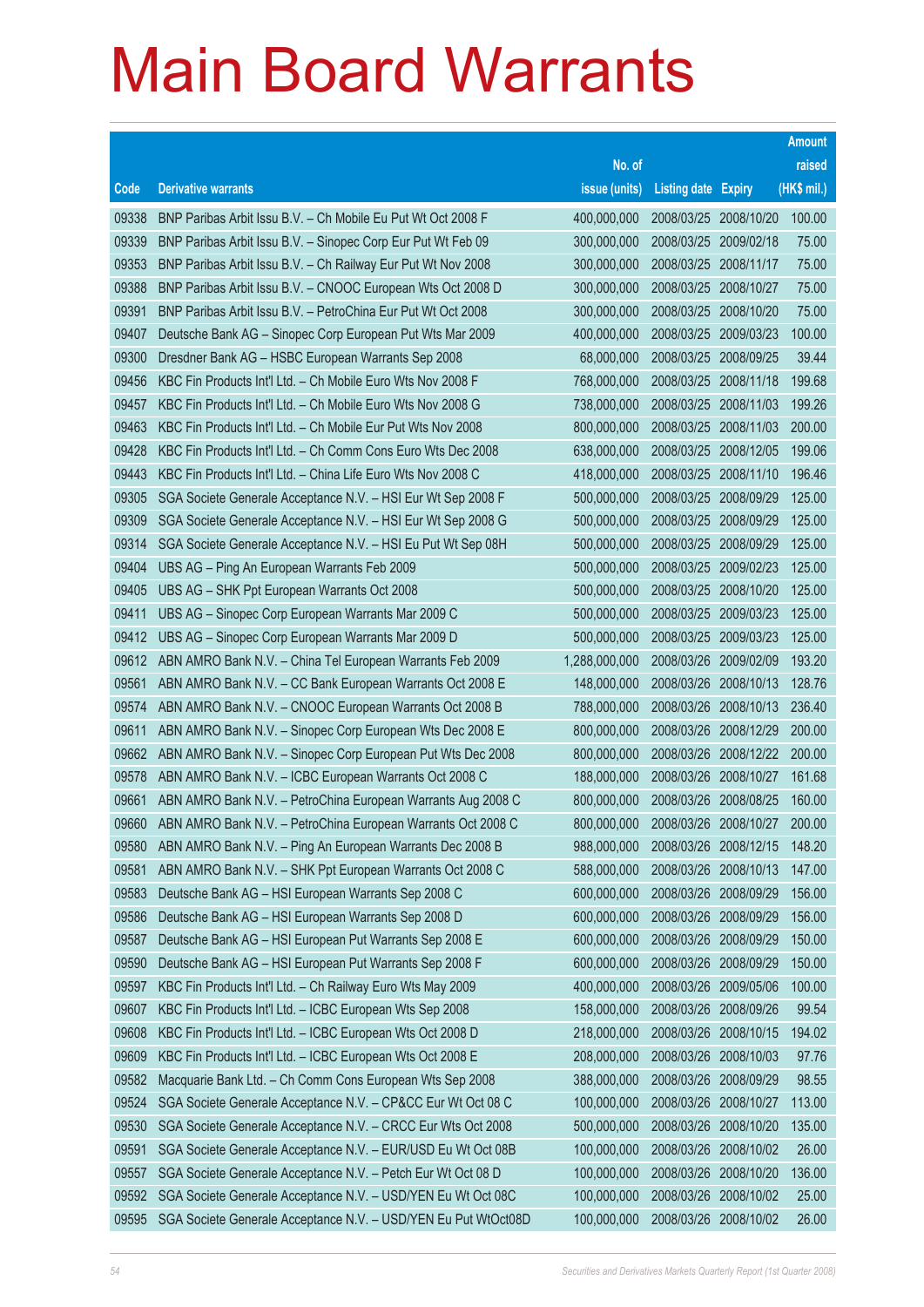|                |                                                                                                                          |                            |                            |                          | <b>Amount</b>    |
|----------------|--------------------------------------------------------------------------------------------------------------------------|----------------------------|----------------------------|--------------------------|------------------|
|                |                                                                                                                          | No. of                     |                            |                          | raised           |
| Code           | <b>Derivative warrants</b>                                                                                               | issue (units)              | <b>Listing date Expiry</b> |                          | (HK\$ mil.)      |
| 09338          | BNP Paribas Arbit Issu B.V. - Ch Mobile Eu Put Wt Oct 2008 F                                                             | 400,000,000                | 2008/03/25 2008/10/20      |                          | 100.00           |
| 09339          | BNP Paribas Arbit Issu B.V. - Sinopec Corp Eur Put Wt Feb 09                                                             | 300,000,000                | 2008/03/25 2009/02/18      |                          | 75.00            |
| 09353          | BNP Paribas Arbit Issu B.V. - Ch Railway Eur Put Wt Nov 2008                                                             | 300,000,000                | 2008/03/25 2008/11/17      |                          | 75.00            |
| 09388          | BNP Paribas Arbit Issu B.V. - CNOOC European Wts Oct 2008 D                                                              | 300,000,000                | 2008/03/25 2008/10/27      |                          | 75.00            |
| 09391          | BNP Paribas Arbit Issu B.V. - PetroChina Eur Put Wt Oct 2008                                                             | 300,000,000                | 2008/03/25 2008/10/20      |                          | 75.00            |
| 09407          | Deutsche Bank AG - Sinopec Corp European Put Wts Mar 2009                                                                | 400,000,000                | 2008/03/25 2009/03/23      |                          | 100.00           |
| 09300          | Dresdner Bank AG - HSBC European Warrants Sep 2008                                                                       | 68,000,000                 | 2008/03/25                 | 2008/09/25               | 39.44            |
| 09456          | KBC Fin Products Int'l Ltd. - Ch Mobile Euro Wts Nov 2008 F                                                              | 768,000,000                | 2008/03/25 2008/11/18      |                          | 199.68           |
| 09457          | KBC Fin Products Int'l Ltd. - Ch Mobile Euro Wts Nov 2008 G                                                              | 738,000,000                | 2008/03/25                 | 2008/11/03               | 199.26           |
| 09463          | KBC Fin Products Int'l Ltd. - Ch Mobile Eur Put Wts Nov 2008                                                             | 800,000,000                | 2008/03/25 2008/11/03      |                          | 200.00           |
| 09428          | KBC Fin Products Int'l Ltd. - Ch Comm Cons Euro Wts Dec 2008                                                             | 638,000,000                | 2008/03/25                 | 2008/12/05               | 199.06           |
| 09443          | KBC Fin Products Int'l Ltd. - China Life Euro Wts Nov 2008 C                                                             | 418,000,000                | 2008/03/25 2008/11/10      |                          | 196.46           |
| 09305          | SGA Societe Generale Acceptance N.V. - HSI Eur Wt Sep 2008 F                                                             | 500,000,000                | 2008/03/25                 | 2008/09/29               | 125.00           |
| 09309          | SGA Societe Generale Acceptance N.V. - HSI Eur Wt Sep 2008 G                                                             | 500,000,000                | 2008/03/25 2008/09/29      |                          | 125.00           |
| 09314          | SGA Societe Generale Acceptance N.V. - HSI Eu Put Wt Sep 08H                                                             | 500,000,000                | 2008/03/25                 | 2008/09/29               | 125.00           |
| 09404          | UBS AG - Ping An European Warrants Feb 2009                                                                              | 500,000,000                | 2008/03/25 2009/02/23      |                          | 125.00           |
| 09405          | UBS AG - SHK Ppt European Warrants Oct 2008                                                                              | 500,000,000                | 2008/03/25                 | 2008/10/20               | 125.00           |
| 09411          | UBS AG - Sinopec Corp European Warrants Mar 2009 C                                                                       | 500,000,000                | 2008/03/25 2009/03/23      |                          | 125.00           |
| 09412          | UBS AG - Sinopec Corp European Warrants Mar 2009 D                                                                       | 500,000,000                | 2008/03/25                 | 2009/03/23               | 125.00           |
| 09612          | ABN AMRO Bank N.V. - China Tel European Warrants Feb 2009                                                                | 1,288,000,000              | 2008/03/26 2009/02/09      |                          | 193.20           |
| 09561          | ABN AMRO Bank N.V. - CC Bank European Warrants Oct 2008 E                                                                | 148,000,000                | 2008/03/26                 | 2008/10/13               | 128.76           |
| 09574          | ABN AMRO Bank N.V. - CNOOC European Warrants Oct 2008 B                                                                  | 788,000,000                | 2008/03/26                 | 2008/10/13               | 236.40           |
| 09611          | ABN AMRO Bank N.V. - Sinopec Corp European Wts Dec 2008 E                                                                | 800,000,000                | 2008/03/26                 | 2008/12/29               | 200.00           |
| 09662          | ABN AMRO Bank N.V. - Sinopec Corp European Put Wts Dec 2008                                                              | 800,000,000                | 2008/03/26 2008/12/22      |                          | 200.00           |
| 09578          | ABN AMRO Bank N.V. - ICBC European Warrants Oct 2008 C                                                                   | 188,000,000                | 2008/03/26 2008/10/27      |                          | 161.68           |
| 09661          | ABN AMRO Bank N.V. - PetroChina European Warrants Aug 2008 C                                                             | 800,000,000                | 2008/03/26 2008/08/25      |                          | 160.00           |
| 09660          | ABN AMRO Bank N.V. - PetroChina European Warrants Oct 2008 C                                                             | 800,000,000                | 2008/03/26 2008/10/27      |                          | 200.00           |
| 09580          | ABN AMRO Bank N.V. - Ping An European Warrants Dec 2008 B                                                                | 988,000,000                | 2008/03/26 2008/12/15      |                          | 148.20           |
| 09581          | ABN AMRO Bank N.V. - SHK Ppt European Warrants Oct 2008 C                                                                | 588,000,000                | 2008/03/26                 | 2008/10/13               | 147.00           |
| 09583          | Deutsche Bank AG - HSI European Warrants Sep 2008 C                                                                      | 600,000,000                | 2008/03/26                 | 2008/09/29               | 156.00           |
| 09586          | Deutsche Bank AG - HSI European Warrants Sep 2008 D                                                                      | 600,000,000                | 2008/03/26                 | 2008/09/29               | 156.00           |
| 09587          | Deutsche Bank AG - HSI European Put Warrants Sep 2008 E                                                                  | 600,000,000<br>600,000,000 | 2008/03/26                 | 2008/09/29               | 150.00           |
| 09590          | Deutsche Bank AG - HSI European Put Warrants Sep 2008 F                                                                  | 400,000,000                | 2008/03/26                 | 2008/09/29               | 150.00<br>100.00 |
| 09597          | KBC Fin Products Int'l Ltd. - Ch Railway Euro Wts May 2009<br>KBC Fin Products Int'l Ltd. - ICBC European Wts Sep 2008   | 158,000,000                | 2008/03/26<br>2008/03/26   | 2009/05/06               | 99.54            |
| 09607<br>09608 |                                                                                                                          | 218,000,000                | 2008/03/26                 | 2008/09/26<br>2008/10/15 | 194.02           |
| 09609          | KBC Fin Products Int'l Ltd. - ICBC European Wts Oct 2008 D                                                               | 208,000,000                | 2008/03/26                 | 2008/10/03               | 97.76            |
| 09582          | KBC Fin Products Int'l Ltd. - ICBC European Wts Oct 2008 E                                                               | 388,000,000                |                            |                          | 98.55            |
| 09524          | Macquarie Bank Ltd. - Ch Comm Cons European Wts Sep 2008<br>SGA Societe Generale Acceptance N.V. - CP&CC Eur Wt Oct 08 C | 100,000,000                | 2008/03/26<br>2008/03/26   | 2008/09/29<br>2008/10/27 | 113.00           |
| 09530          | SGA Societe Generale Acceptance N.V. - CRCC Eur Wts Oct 2008                                                             | 500,000,000                | 2008/03/26                 | 2008/10/20               | 135.00           |
| 09591          | SGA Societe Generale Acceptance N.V. - EUR/USD Eu Wt Oct 08B                                                             | 100,000,000                | 2008/03/26                 | 2008/10/02               | 26.00            |
| 09557          | SGA Societe Generale Acceptance N.V. - Petch Eur Wt Oct 08 D                                                             | 100,000,000                | 2008/03/26                 | 2008/10/20               | 136.00           |
| 09592          | SGA Societe Generale Acceptance N.V. - USD/YEN Eu Wt Oct 08C                                                             | 100,000,000                | 2008/03/26                 | 2008/10/02               | 25.00            |
|                |                                                                                                                          |                            |                            |                          |                  |
| 09595          | SGA Societe Generale Acceptance N.V. - USD/YEN Eu Put WtOct08D                                                           | 100,000,000                | 2008/03/26 2008/10/02      |                          | 26.00            |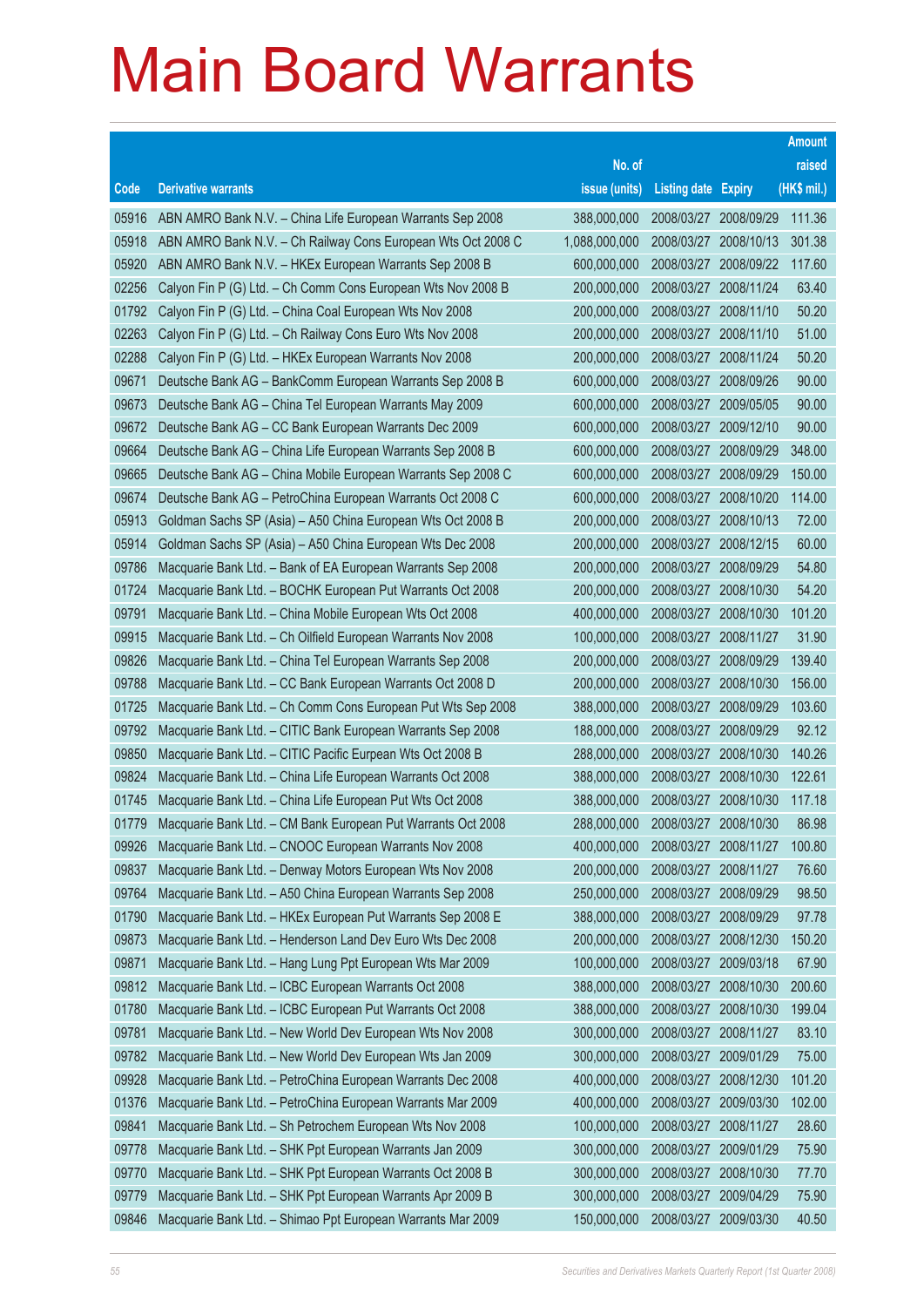|       |                                                              |               |                            |            | <b>Amount</b> |
|-------|--------------------------------------------------------------|---------------|----------------------------|------------|---------------|
|       |                                                              | No. of        |                            |            | raised        |
| Code  | <b>Derivative warrants</b>                                   | issue (units) | <b>Listing date Expiry</b> |            | (HK\$ mil.)   |
| 05916 | ABN AMRO Bank N.V. - China Life European Warrants Sep 2008   | 388,000,000   | 2008/03/27                 | 2008/09/29 | 111.36        |
| 05918 | ABN AMRO Bank N.V. - Ch Railway Cons European Wts Oct 2008 C | 1,088,000,000 | 2008/03/27                 | 2008/10/13 | 301.38        |
| 05920 | ABN AMRO Bank N.V. - HKEx European Warrants Sep 2008 B       | 600,000,000   | 2008/03/27                 | 2008/09/22 | 117.60        |
| 02256 | Calyon Fin P (G) Ltd. - Ch Comm Cons European Wts Nov 2008 B | 200,000,000   | 2008/03/27                 | 2008/11/24 | 63.40         |
| 01792 | Calyon Fin P (G) Ltd. - China Coal European Wts Nov 2008     | 200,000,000   | 2008/03/27                 | 2008/11/10 | 50.20         |
| 02263 | Calyon Fin P (G) Ltd. - Ch Railway Cons Euro Wts Nov 2008    | 200,000,000   | 2008/03/27                 | 2008/11/10 | 51.00         |
| 02288 | Calyon Fin P (G) Ltd. - HKEx European Warrants Nov 2008      | 200,000,000   | 2008/03/27                 | 2008/11/24 | 50.20         |
| 09671 | Deutsche Bank AG - BankComm European Warrants Sep 2008 B     | 600,000,000   | 2008/03/27                 | 2008/09/26 | 90.00         |
| 09673 | Deutsche Bank AG - China Tel European Warrants May 2009      | 600,000,000   | 2008/03/27                 | 2009/05/05 | 90.00         |
| 09672 | Deutsche Bank AG - CC Bank European Warrants Dec 2009        | 600,000,000   | 2008/03/27                 | 2009/12/10 | 90.00         |
| 09664 | Deutsche Bank AG – China Life European Warrants Sep 2008 B   | 600,000,000   | 2008/03/27                 | 2008/09/29 | 348.00        |
| 09665 | Deutsche Bank AG - China Mobile European Warrants Sep 2008 C | 600,000,000   | 2008/03/27                 | 2008/09/29 | 150.00        |
| 09674 | Deutsche Bank AG - PetroChina European Warrants Oct 2008 C   | 600,000,000   | 2008/03/27                 | 2008/10/20 | 114.00        |
| 05913 | Goldman Sachs SP (Asia) - A50 China European Wts Oct 2008 B  | 200,000,000   | 2008/03/27                 | 2008/10/13 | 72.00         |
| 05914 | Goldman Sachs SP (Asia) - A50 China European Wts Dec 2008    | 200,000,000   | 2008/03/27                 | 2008/12/15 | 60.00         |
| 09786 | Macquarie Bank Ltd. - Bank of EA European Warrants Sep 2008  | 200,000,000   | 2008/03/27                 | 2008/09/29 | 54.80         |
| 01724 | Macquarie Bank Ltd. - BOCHK European Put Warrants Oct 2008   | 200,000,000   | 2008/03/27                 | 2008/10/30 | 54.20         |
| 09791 | Macquarie Bank Ltd. - China Mobile European Wts Oct 2008     | 400,000,000   | 2008/03/27                 | 2008/10/30 | 101.20        |
| 09915 | Macquarie Bank Ltd. – Ch Oilfield European Warrants Nov 2008 | 100,000,000   | 2008/03/27                 | 2008/11/27 | 31.90         |
| 09826 | Macquarie Bank Ltd. - China Tel European Warrants Sep 2008   | 200,000,000   | 2008/03/27                 | 2008/09/29 | 139.40        |
| 09788 | Macquarie Bank Ltd. - CC Bank European Warrants Oct 2008 D   | 200,000,000   | 2008/03/27                 | 2008/10/30 | 156.00        |
| 01725 | Macquarie Bank Ltd. - Ch Comm Cons European Put Wts Sep 2008 | 388,000,000   | 2008/03/27                 | 2008/09/29 | 103.60        |
| 09792 | Macquarie Bank Ltd. - CITIC Bank European Warrants Sep 2008  | 188,000,000   | 2008/03/27                 | 2008/09/29 | 92.12         |
| 09850 | Macquarie Bank Ltd. - CITIC Pacific Eurpean Wts Oct 2008 B   | 288,000,000   | 2008/03/27                 | 2008/10/30 | 140.26        |
| 09824 | Macquarie Bank Ltd. - China Life European Warrants Oct 2008  | 388,000,000   | 2008/03/27                 | 2008/10/30 | 122.61        |
| 01745 | Macquarie Bank Ltd. - China Life European Put Wts Oct 2008   | 388,000,000   | 2008/03/27                 | 2008/10/30 | 117.18        |
| 01779 | Macquarie Bank Ltd. - CM Bank European Put Warrants Oct 2008 | 288,000,000   | 2008/03/27                 | 2008/10/30 | 86.98         |
| 09926 | Macquarie Bank Ltd. - CNOOC European Warrants Nov 2008       | 400,000,000   | 2008/03/27                 | 2008/11/27 | 100.80        |
| 09837 | Macquarie Bank Ltd. - Denway Motors European Wts Nov 2008    | 200,000,000   | 2008/03/27                 | 2008/11/27 | 76.60         |
| 09764 | Macquarie Bank Ltd. - A50 China European Warrants Sep 2008   | 250,000,000   | 2008/03/27                 | 2008/09/29 | 98.50         |
| 01790 | Macquarie Bank Ltd. - HKEx European Put Warrants Sep 2008 E  | 388,000,000   | 2008/03/27                 | 2008/09/29 | 97.78         |
| 09873 | Macquarie Bank Ltd. - Henderson Land Dev Euro Wts Dec 2008   | 200,000,000   | 2008/03/27                 | 2008/12/30 | 150.20        |
| 09871 | Macquarie Bank Ltd. - Hang Lung Ppt European Wts Mar 2009    | 100,000,000   | 2008/03/27                 | 2009/03/18 | 67.90         |
| 09812 | Macquarie Bank Ltd. - ICBC European Warrants Oct 2008        | 388,000,000   | 2008/03/27                 | 2008/10/30 | 200.60        |
| 01780 | Macquarie Bank Ltd. - ICBC European Put Warrants Oct 2008    | 388,000,000   | 2008/03/27                 | 2008/10/30 | 199.04        |
| 09781 | Macquarie Bank Ltd. - New World Dev European Wts Nov 2008    | 300,000,000   | 2008/03/27                 | 2008/11/27 | 83.10         |
| 09782 | Macquarie Bank Ltd. - New World Dev European Wts Jan 2009    | 300,000,000   | 2008/03/27                 | 2009/01/29 | 75.00         |
| 09928 | Macquarie Bank Ltd. - PetroChina European Warrants Dec 2008  | 400,000,000   | 2008/03/27                 | 2008/12/30 | 101.20        |
| 01376 | Macquarie Bank Ltd. - PetroChina European Warrants Mar 2009  | 400,000,000   | 2008/03/27                 | 2009/03/30 | 102.00        |
| 09841 | Macquarie Bank Ltd. - Sh Petrochem European Wts Nov 2008     | 100,000,000   | 2008/03/27                 | 2008/11/27 | 28.60         |
| 09778 | Macquarie Bank Ltd. - SHK Ppt European Warrants Jan 2009     | 300,000,000   | 2008/03/27                 | 2009/01/29 | 75.90         |
| 09770 | Macquarie Bank Ltd. - SHK Ppt European Warrants Oct 2008 B   | 300,000,000   | 2008/03/27                 | 2008/10/30 | 77.70         |
| 09779 | Macquarie Bank Ltd. - SHK Ppt European Warrants Apr 2009 B   | 300,000,000   | 2008/03/27                 | 2009/04/29 | 75.90         |
| 09846 | Macquarie Bank Ltd. - Shimao Ppt European Warrants Mar 2009  | 150,000,000   | 2008/03/27                 | 2009/03/30 | 40.50         |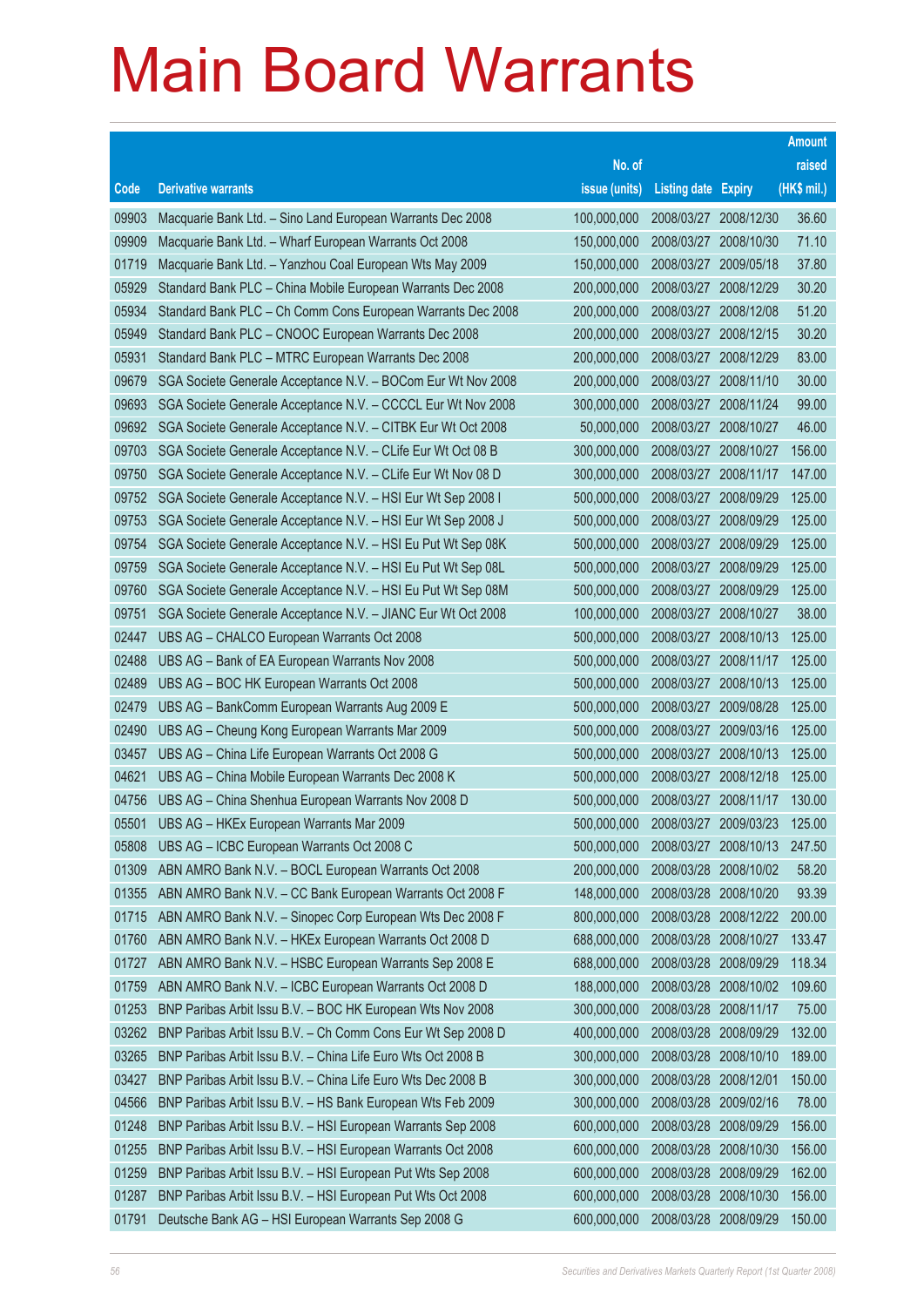|       |                                                              |               |                            |            | <b>Amount</b> |
|-------|--------------------------------------------------------------|---------------|----------------------------|------------|---------------|
|       |                                                              | No. of        |                            |            | raised        |
| Code  | <b>Derivative warrants</b>                                   | issue (units) | <b>Listing date Expiry</b> |            | (HK\$ mil.)   |
| 09903 | Macquarie Bank Ltd. - Sino Land European Warrants Dec 2008   | 100,000,000   | 2008/03/27                 | 2008/12/30 | 36.60         |
| 09909 | Macquarie Bank Ltd. - Wharf European Warrants Oct 2008       | 150,000,000   | 2008/03/27                 | 2008/10/30 | 71.10         |
| 01719 | Macquarie Bank Ltd. - Yanzhou Coal European Wts May 2009     | 150,000,000   | 2008/03/27                 | 2009/05/18 | 37.80         |
| 05929 | Standard Bank PLC - China Mobile European Warrants Dec 2008  | 200,000,000   | 2008/03/27                 | 2008/12/29 | 30.20         |
| 05934 | Standard Bank PLC - Ch Comm Cons European Warrants Dec 2008  | 200,000,000   | 2008/03/27                 | 2008/12/08 | 51.20         |
| 05949 | Standard Bank PLC - CNOOC European Warrants Dec 2008         | 200,000,000   | 2008/03/27                 | 2008/12/15 | 30.20         |
| 05931 | Standard Bank PLC - MTRC European Warrants Dec 2008          | 200,000,000   | 2008/03/27                 | 2008/12/29 | 83.00         |
| 09679 | SGA Societe Generale Acceptance N.V. - BOCom Eur Wt Nov 2008 | 200,000,000   | 2008/03/27                 | 2008/11/10 | 30.00         |
| 09693 | SGA Societe Generale Acceptance N.V. - CCCCL Eur Wt Nov 2008 | 300,000,000   | 2008/03/27                 | 2008/11/24 | 99.00         |
| 09692 | SGA Societe Generale Acceptance N.V. - CITBK Eur Wt Oct 2008 | 50,000,000    | 2008/03/27                 | 2008/10/27 | 46.00         |
| 09703 | SGA Societe Generale Acceptance N.V. - CLife Eur Wt Oct 08 B | 300,000,000   | 2008/03/27                 | 2008/10/27 | 156.00        |
| 09750 | SGA Societe Generale Acceptance N.V. - CLife Eur Wt Nov 08 D | 300,000,000   | 2008/03/27                 | 2008/11/17 | 147.00        |
| 09752 | SGA Societe Generale Acceptance N.V. - HSI Eur Wt Sep 2008 I | 500,000,000   | 2008/03/27                 | 2008/09/29 | 125.00        |
| 09753 | SGA Societe Generale Acceptance N.V. - HSI Eur Wt Sep 2008 J | 500,000,000   | 2008/03/27                 | 2008/09/29 | 125.00        |
| 09754 | SGA Societe Generale Acceptance N.V. - HSI Eu Put Wt Sep 08K | 500,000,000   | 2008/03/27                 | 2008/09/29 | 125.00        |
| 09759 | SGA Societe Generale Acceptance N.V. - HSI Eu Put Wt Sep 08L | 500,000,000   | 2008/03/27                 | 2008/09/29 | 125.00        |
| 09760 | SGA Societe Generale Acceptance N.V. - HSI Eu Put Wt Sep 08M | 500,000,000   | 2008/03/27                 | 2008/09/29 | 125.00        |
| 09751 | SGA Societe Generale Acceptance N.V. - JIANC Eur Wt Oct 2008 | 100,000,000   | 2008/03/27                 | 2008/10/27 | 38.00         |
| 02447 | UBS AG - CHALCO European Warrants Oct 2008                   | 500,000,000   | 2008/03/27                 | 2008/10/13 | 125.00        |
| 02488 | UBS AG - Bank of EA European Warrants Nov 2008               | 500,000,000   | 2008/03/27                 | 2008/11/17 | 125.00        |
| 02489 | UBS AG - BOC HK European Warrants Oct 2008                   | 500,000,000   | 2008/03/27                 | 2008/10/13 | 125.00        |
| 02479 | UBS AG - BankComm European Warrants Aug 2009 E               | 500,000,000   | 2008/03/27                 | 2009/08/28 | 125.00        |
| 02490 | UBS AG - Cheung Kong European Warrants Mar 2009              | 500,000,000   | 2008/03/27                 | 2009/03/16 | 125.00        |
| 03457 | UBS AG - China Life European Warrants Oct 2008 G             | 500,000,000   | 2008/03/27                 | 2008/10/13 | 125.00        |
| 04621 | UBS AG - China Mobile European Warrants Dec 2008 K           | 500,000,000   | 2008/03/27                 | 2008/12/18 | 125.00        |
| 04756 | UBS AG - China Shenhua European Warrants Nov 2008 D          | 500,000,000   | 2008/03/27                 | 2008/11/17 | 130.00        |
| 05501 | UBS AG - HKEx European Warrants Mar 2009                     | 500,000,000   | 2008/03/27 2009/03/23      |            | 125.00        |
| 05808 | UBS AG - ICBC European Warrants Oct 2008 C                   | 500,000,000   | 2008/03/27 2008/10/13      |            | 247.50        |
| 01309 | ABN AMRO Bank N.V. - BOCL European Warrants Oct 2008         | 200,000,000   | 2008/03/28                 | 2008/10/02 | 58.20         |
| 01355 | ABN AMRO Bank N.V. - CC Bank European Warrants Oct 2008 F    | 148,000,000   | 2008/03/28 2008/10/20      |            | 93.39         |
| 01715 | ABN AMRO Bank N.V. - Sinopec Corp European Wts Dec 2008 F    | 800,000,000   | 2008/03/28                 | 2008/12/22 | 200.00        |
| 01760 | ABN AMRO Bank N.V. - HKEx European Warrants Oct 2008 D       | 688,000,000   | 2008/03/28                 | 2008/10/27 | 133.47        |
| 01727 | ABN AMRO Bank N.V. - HSBC European Warrants Sep 2008 E       | 688,000,000   | 2008/03/28                 | 2008/09/29 | 118.34        |
| 01759 | ABN AMRO Bank N.V. - ICBC European Warrants Oct 2008 D       | 188,000,000   | 2008/03/28                 | 2008/10/02 | 109.60        |
| 01253 | BNP Paribas Arbit Issu B.V. - BOC HK European Wts Nov 2008   | 300,000,000   | 2008/03/28                 | 2008/11/17 | 75.00         |
| 03262 | BNP Paribas Arbit Issu B.V. - Ch Comm Cons Eur Wt Sep 2008 D | 400,000,000   | 2008/03/28                 | 2008/09/29 | 132.00        |
| 03265 | BNP Paribas Arbit Issu B.V. - China Life Euro Wts Oct 2008 B | 300,000,000   | 2008/03/28                 | 2008/10/10 | 189.00        |
| 03427 | BNP Paribas Arbit Issu B.V. - China Life Euro Wts Dec 2008 B | 300,000,000   | 2008/03/28                 | 2008/12/01 | 150.00        |
| 04566 | BNP Paribas Arbit Issu B.V. - HS Bank European Wts Feb 2009  | 300,000,000   | 2008/03/28                 | 2009/02/16 | 78.00         |
| 01248 | BNP Paribas Arbit Issu B.V. - HSI European Warrants Sep 2008 | 600,000,000   | 2008/03/28                 | 2008/09/29 | 156.00        |
| 01255 | BNP Paribas Arbit Issu B.V. - HSI European Warrants Oct 2008 | 600,000,000   | 2008/03/28                 | 2008/10/30 | 156.00        |
| 01259 | BNP Paribas Arbit Issu B.V. - HSI European Put Wts Sep 2008  | 600,000,000   | 2008/03/28                 | 2008/09/29 | 162.00        |
| 01287 | BNP Paribas Arbit Issu B.V. - HSI European Put Wts Oct 2008  | 600,000,000   | 2008/03/28                 | 2008/10/30 | 156.00        |
| 01791 | Deutsche Bank AG - HSI European Warrants Sep 2008 G          | 600,000,000   | 2008/03/28 2008/09/29      |            | 150.00        |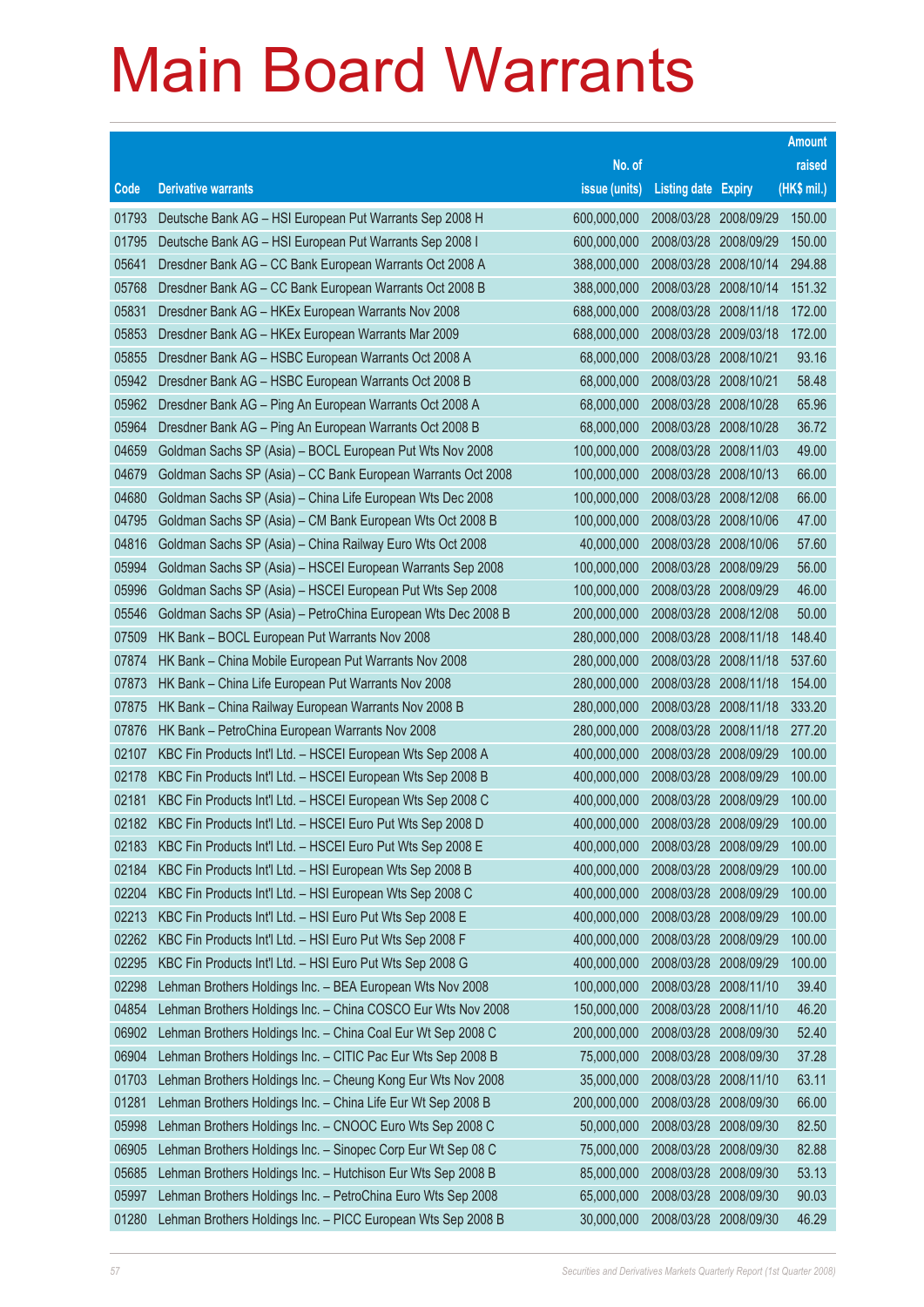|       |                                                              |               |                            |            | <b>Amount</b> |
|-------|--------------------------------------------------------------|---------------|----------------------------|------------|---------------|
|       |                                                              | No. of        |                            |            | raised        |
| Code  | <b>Derivative warrants</b>                                   | issue (units) | <b>Listing date Expiry</b> |            | (HK\$ mil.)   |
| 01793 | Deutsche Bank AG - HSI European Put Warrants Sep 2008 H      | 600,000,000   | 2008/03/28 2008/09/29      |            | 150.00        |
| 01795 | Deutsche Bank AG - HSI European Put Warrants Sep 2008 I      | 600,000,000   | 2008/03/28 2008/09/29      |            | 150.00        |
| 05641 | Dresdner Bank AG - CC Bank European Warrants Oct 2008 A      | 388,000,000   | 2008/03/28                 | 2008/10/14 | 294.88        |
| 05768 | Dresdner Bank AG - CC Bank European Warrants Oct 2008 B      | 388,000,000   | 2008/03/28 2008/10/14      |            | 151.32        |
| 05831 | Dresdner Bank AG - HKEx European Warrants Nov 2008           | 688,000,000   | 2008/03/28                 | 2008/11/18 | 172.00        |
| 05853 | Dresdner Bank AG - HKEx European Warrants Mar 2009           | 688,000,000   | 2008/03/28 2009/03/18      |            | 172.00        |
| 05855 | Dresdner Bank AG - HSBC European Warrants Oct 2008 A         | 68,000,000    | 2008/03/28                 | 2008/10/21 | 93.16         |
| 05942 | Dresdner Bank AG - HSBC European Warrants Oct 2008 B         | 68,000,000    | 2008/03/28 2008/10/21      |            | 58.48         |
| 05962 | Dresdner Bank AG - Ping An European Warrants Oct 2008 A      | 68,000,000    | 2008/03/28 2008/10/28      |            | 65.96         |
| 05964 | Dresdner Bank AG - Ping An European Warrants Oct 2008 B      | 68,000,000    | 2008/03/28 2008/10/28      |            | 36.72         |
| 04659 | Goldman Sachs SP (Asia) - BOCL European Put Wts Nov 2008     | 100,000,000   | 2008/03/28                 | 2008/11/03 | 49.00         |
| 04679 | Goldman Sachs SP (Asia) - CC Bank European Warrants Oct 2008 | 100,000,000   | 2008/03/28 2008/10/13      |            | 66.00         |
| 04680 | Goldman Sachs SP (Asia) - China Life European Wts Dec 2008   | 100,000,000   | 2008/03/28                 | 2008/12/08 | 66.00         |
| 04795 | Goldman Sachs SP (Asia) - CM Bank European Wts Oct 2008 B    | 100,000,000   | 2008/03/28 2008/10/06      |            | 47.00         |
| 04816 | Goldman Sachs SP (Asia) - China Railway Euro Wts Oct 2008    | 40,000,000    | 2008/03/28                 | 2008/10/06 | 57.60         |
| 05994 | Goldman Sachs SP (Asia) - HSCEI European Warrants Sep 2008   | 100,000,000   | 2008/03/28 2008/09/29      |            | 56.00         |
| 05996 | Goldman Sachs SP (Asia) - HSCEI European Put Wts Sep 2008    | 100,000,000   | 2008/03/28                 | 2008/09/29 | 46.00         |
| 05546 | Goldman Sachs SP (Asia) - PetroChina European Wts Dec 2008 B | 200,000,000   | 2008/03/28 2008/12/08      |            | 50.00         |
| 07509 | HK Bank - BOCL European Put Warrants Nov 2008                | 280,000,000   | 2008/03/28                 | 2008/11/18 | 148.40        |
| 07874 | HK Bank - China Mobile European Put Warrants Nov 2008        | 280,000,000   | 2008/03/28 2008/11/18      |            | 537.60        |
| 07873 | HK Bank - China Life European Put Warrants Nov 2008          | 280,000,000   | 2008/03/28                 | 2008/11/18 | 154.00        |
| 07875 | HK Bank - China Railway European Warrants Nov 2008 B         | 280,000,000   | 2008/03/28 2008/11/18      |            | 333.20        |
| 07876 | HK Bank - PetroChina European Warrants Nov 2008              | 280,000,000   | 2008/03/28                 | 2008/11/18 | 277.20        |
| 02107 | KBC Fin Products Int'l Ltd. - HSCEI European Wts Sep 2008 A  | 400,000,000   | 2008/03/28 2008/09/29      |            | 100.00        |
| 02178 | KBC Fin Products Int'l Ltd. - HSCEI European Wts Sep 2008 B  | 400,000,000   | 2008/03/28 2008/09/29      |            | 100.00        |
| 02181 | KBC Fin Products Int'l Ltd. - HSCEI European Wts Sep 2008 C  | 400,000,000   | 2008/03/28 2008/09/29      |            | 100.00        |
| 02182 | KBC Fin Products Int'l Ltd. - HSCEI Euro Put Wts Sep 2008 D  | 400,000,000   | 2008/03/28 2008/09/29      |            | 100.00        |
| 02183 | KBC Fin Products Int'l Ltd. - HSCEI Euro Put Wts Sep 2008 E  | 400,000,000   | 2008/03/28 2008/09/29      |            | 100.00        |
| 02184 | KBC Fin Products Int'l Ltd. - HSI European Wts Sep 2008 B    | 400,000,000   | 2008/03/28                 | 2008/09/29 | 100.00        |
| 02204 | KBC Fin Products Int'l Ltd. - HSI European Wts Sep 2008 C    | 400,000,000   | 2008/03/28 2008/09/29      |            | 100.00        |
| 02213 | KBC Fin Products Int'l Ltd. - HSI Euro Put Wts Sep 2008 E    | 400,000,000   | 2008/03/28                 | 2008/09/29 | 100.00        |
| 02262 | KBC Fin Products Int'l Ltd. - HSI Euro Put Wts Sep 2008 F    | 400,000,000   | 2008/03/28                 | 2008/09/29 | 100.00        |
| 02295 | KBC Fin Products Int'l Ltd. - HSI Euro Put Wts Sep 2008 G    | 400,000,000   | 2008/03/28                 | 2008/09/29 | 100.00        |
| 02298 | Lehman Brothers Holdings Inc. - BEA European Wts Nov 2008    | 100,000,000   | 2008/03/28 2008/11/10      |            | 39.40         |
| 04854 | Lehman Brothers Holdings Inc. - China COSCO Eur Wts Nov 2008 | 150,000,000   | 2008/03/28                 | 2008/11/10 | 46.20         |
| 06902 | Lehman Brothers Holdings Inc. - China Coal Eur Wt Sep 2008 C | 200,000,000   | 2008/03/28                 | 2008/09/30 | 52.40         |
| 06904 | Lehman Brothers Holdings Inc. - CITIC Pac Eur Wts Sep 2008 B | 75,000,000    | 2008/03/28                 | 2008/09/30 | 37.28         |
| 01703 | Lehman Brothers Holdings Inc. - Cheung Kong Eur Wts Nov 2008 | 35,000,000    | 2008/03/28                 | 2008/11/10 | 63.11         |
| 01281 | Lehman Brothers Holdings Inc. - China Life Eur Wt Sep 2008 B | 200,000,000   | 2008/03/28                 | 2008/09/30 | 66.00         |
| 05998 | Lehman Brothers Holdings Inc. - CNOOC Euro Wts Sep 2008 C    | 50,000,000    | 2008/03/28                 | 2008/09/30 | 82.50         |
| 06905 | Lehman Brothers Holdings Inc. - Sinopec Corp Eur Wt Sep 08 C | 75,000,000    | 2008/03/28                 | 2008/09/30 | 82.88         |
| 05685 | Lehman Brothers Holdings Inc. - Hutchison Eur Wts Sep 2008 B | 85,000,000    | 2008/03/28                 | 2008/09/30 | 53.13         |
| 05997 | Lehman Brothers Holdings Inc. - PetroChina Euro Wts Sep 2008 | 65,000,000    | 2008/03/28                 | 2008/09/30 | 90.03         |
| 01280 | Lehman Brothers Holdings Inc. - PICC European Wts Sep 2008 B | 30,000,000    | 2008/03/28 2008/09/30      |            | 46.29         |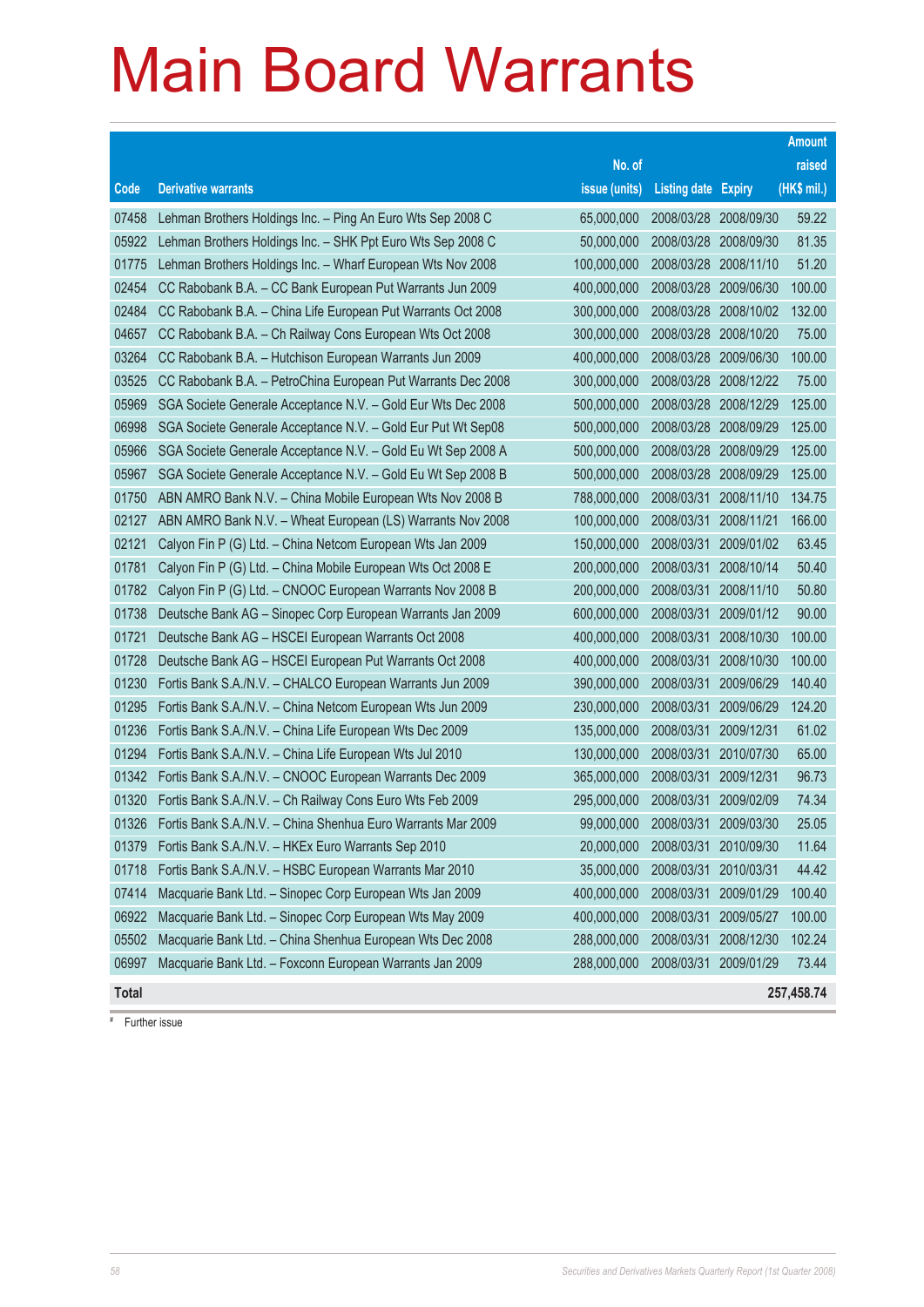|       |                                                              |               |                            |            | <b>Amount</b> |
|-------|--------------------------------------------------------------|---------------|----------------------------|------------|---------------|
|       |                                                              | No. of        |                            |            | raised        |
| Code  | <b>Derivative warrants</b>                                   | issue (units) | <b>Listing date Expiry</b> |            | $(HK$$ mil.)  |
| 07458 | Lehman Brothers Holdings Inc. - Ping An Euro Wts Sep 2008 C  | 65,000,000    | 2008/03/28                 | 2008/09/30 | 59.22         |
| 05922 | Lehman Brothers Holdings Inc. - SHK Ppt Euro Wts Sep 2008 C  | 50,000,000    | 2008/03/28                 | 2008/09/30 | 81.35         |
| 01775 | Lehman Brothers Holdings Inc. - Wharf European Wts Nov 2008  | 100,000,000   | 2008/03/28                 | 2008/11/10 | 51.20         |
| 02454 | CC Rabobank B.A. - CC Bank European Put Warrants Jun 2009    | 400,000,000   | 2008/03/28                 | 2009/06/30 | 100.00        |
| 02484 | CC Rabobank B.A. - China Life European Put Warrants Oct 2008 | 300,000,000   | 2008/03/28                 | 2008/10/02 | 132.00        |
| 04657 | CC Rabobank B.A. - Ch Railway Cons European Wts Oct 2008     | 300,000,000   | 2008/03/28                 | 2008/10/20 | 75.00         |
| 03264 | CC Rabobank B.A. - Hutchison European Warrants Jun 2009      | 400,000,000   | 2008/03/28                 | 2009/06/30 | 100.00        |
| 03525 | CC Rabobank B.A. - PetroChina European Put Warrants Dec 2008 | 300,000,000   | 2008/03/28                 | 2008/12/22 | 75.00         |
| 05969 | SGA Societe Generale Acceptance N.V. - Gold Eur Wts Dec 2008 | 500,000,000   | 2008/03/28                 | 2008/12/29 | 125.00        |
| 06998 | SGA Societe Generale Acceptance N.V. - Gold Eur Put Wt Sep08 | 500,000,000   | 2008/03/28                 | 2008/09/29 | 125.00        |
| 05966 | SGA Societe Generale Acceptance N.V. - Gold Eu Wt Sep 2008 A | 500,000,000   | 2008/03/28                 | 2008/09/29 | 125.00        |
| 05967 | SGA Societe Generale Acceptance N.V. - Gold Eu Wt Sep 2008 B | 500,000,000   | 2008/03/28                 | 2008/09/29 | 125.00        |
| 01750 | ABN AMRO Bank N.V. - China Mobile European Wts Nov 2008 B    | 788,000,000   | 2008/03/31                 | 2008/11/10 | 134.75        |
| 02127 | ABN AMRO Bank N.V. - Wheat European (LS) Warrants Nov 2008   | 100,000,000   | 2008/03/31                 | 2008/11/21 | 166.00        |
| 02121 | Calyon Fin P (G) Ltd. - China Netcom European Wts Jan 2009   | 150,000,000   | 2008/03/31                 | 2009/01/02 | 63.45         |
| 01781 | Calyon Fin P (G) Ltd. - China Mobile European Wts Oct 2008 E | 200,000,000   | 2008/03/31                 | 2008/10/14 | 50.40         |
| 01782 | Calyon Fin P (G) Ltd. - CNOOC European Warrants Nov 2008 B   | 200,000,000   | 2008/03/31                 | 2008/11/10 | 50.80         |
| 01738 | Deutsche Bank AG - Sinopec Corp European Warrants Jan 2009   | 600,000,000   | 2008/03/31                 | 2009/01/12 | 90.00         |
| 01721 | Deutsche Bank AG - HSCEI European Warrants Oct 2008          | 400,000,000   | 2008/03/31                 | 2008/10/30 | 100.00        |
| 01728 | Deutsche Bank AG - HSCEI European Put Warrants Oct 2008      | 400,000,000   | 2008/03/31                 | 2008/10/30 | 100.00        |
| 01230 | Fortis Bank S.A./N.V. - CHALCO European Warrants Jun 2009    | 390,000,000   | 2008/03/31                 | 2009/06/29 | 140.40        |
| 01295 | Fortis Bank S.A./N.V. - China Netcom European Wts Jun 2009   | 230,000,000   | 2008/03/31                 | 2009/06/29 | 124.20        |
| 01236 | Fortis Bank S.A./N.V. - China Life European Wts Dec 2009     | 135,000,000   | 2008/03/31                 | 2009/12/31 | 61.02         |
| 01294 | Fortis Bank S.A./N.V. - China Life European Wts Jul 2010     | 130,000,000   | 2008/03/31                 | 2010/07/30 | 65.00         |
| 01342 | Fortis Bank S.A./N.V. - CNOOC European Warrants Dec 2009     | 365,000,000   | 2008/03/31                 | 2009/12/31 | 96.73         |
| 01320 | Fortis Bank S.A./N.V. - Ch Railway Cons Euro Wts Feb 2009    | 295,000,000   | 2008/03/31                 | 2009/02/09 | 74.34         |
| 01326 | Fortis Bank S.A./N.V. - China Shenhua Euro Warrants Mar 2009 | 99,000,000    | 2008/03/31                 | 2009/03/30 | 25.05         |
| 01379 | Fortis Bank S.A./N.V. - HKEx Euro Warrants Sep 2010          | 20,000,000    | 2008/03/31                 | 2010/09/30 | 11.64         |
| 01718 | Fortis Bank S.A./N.V. - HSBC European Warrants Mar 2010      | 35,000,000    | 2008/03/31                 | 2010/03/31 | 44.42         |
| 07414 | Macquarie Bank Ltd. - Sinopec Corp European Wts Jan 2009     | 400,000,000   | 2008/03/31                 | 2009/01/29 | 100.40        |
| 06922 | Macquarie Bank Ltd. - Sinopec Corp European Wts May 2009     | 400,000,000   | 2008/03/31                 | 2009/05/27 | 100.00        |
| 05502 | Macquarie Bank Ltd. - China Shenhua European Wts Dec 2008    | 288,000,000   | 2008/03/31                 | 2008/12/30 | 102.24        |
| 06997 | Macquarie Bank Ltd. - Foxconn European Warrants Jan 2009     | 288,000,000   | 2008/03/31                 | 2009/01/29 | 73.44         |
| Total |                                                              |               |                            |            | 257,458.74    |

# Further issue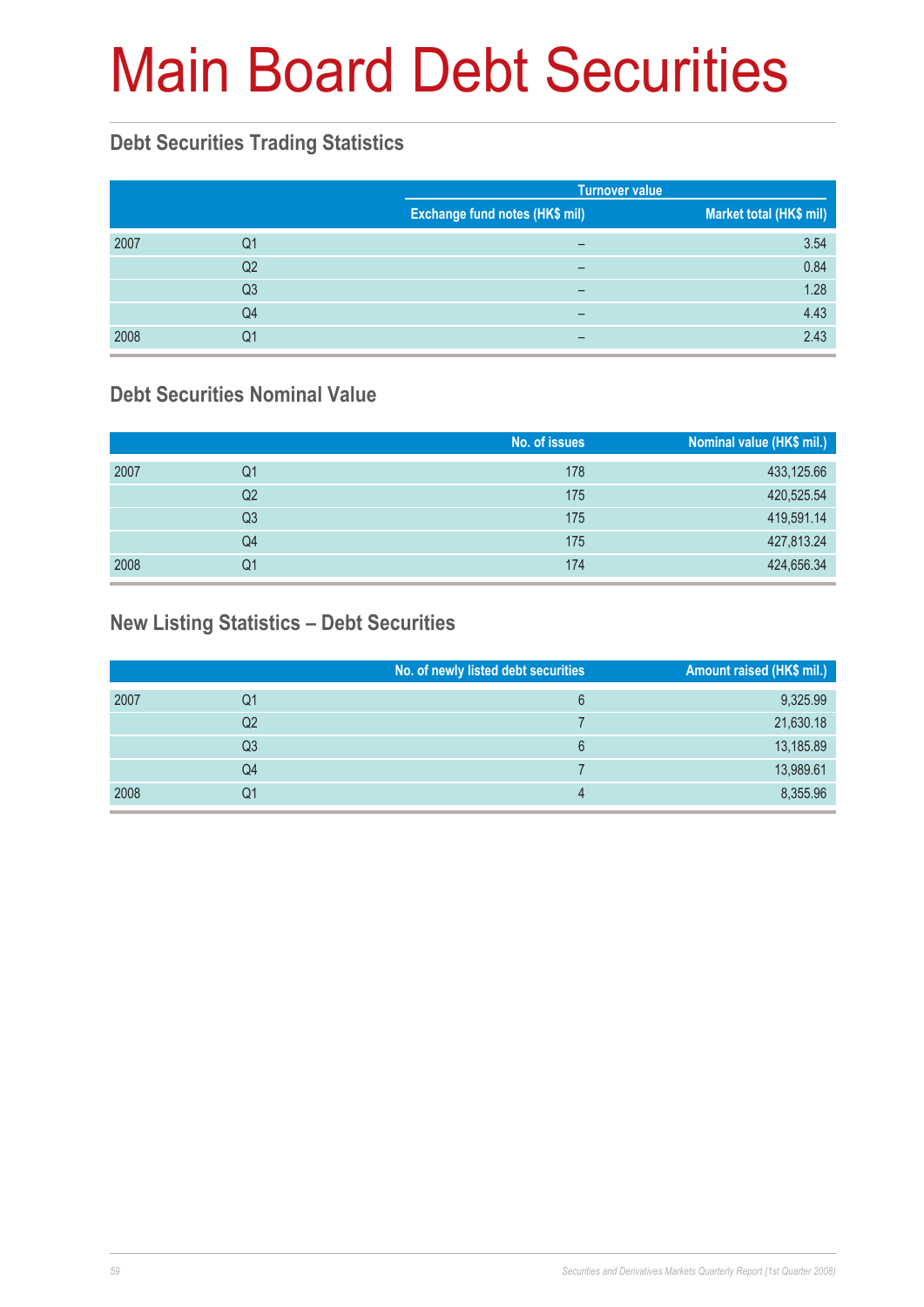# Main Board Debt Securities

#### **Debt Securities Trading Statistics**

|      |                |                                | <b>Turnover value</b>   |  |  |
|------|----------------|--------------------------------|-------------------------|--|--|
|      |                | Exchange fund notes (HK\$ mil) | Market total (HK\$ mil) |  |  |
| 2007 | Q1             | -                              | 3.54                    |  |  |
|      | Q <sub>2</sub> | -                              | 0.84                    |  |  |
|      | Q <sub>3</sub> | -                              | 1.28                    |  |  |
|      | Q <sub>4</sub> | -                              | 4.43                    |  |  |
| 2008 | Q1             | -                              | 2.43                    |  |  |

#### **Debt Securities Nominal Value**

|      |    | No. of issues | Nominal value (HK\$ mil.) |
|------|----|---------------|---------------------------|
| 2007 | Q1 | 178           | 433,125.66                |
|      | Q2 | 175           | 420,525.54                |
|      | Q3 | 175           | 419,591.14                |
|      | Q4 | 175           | 427,813.24                |
| 2008 | Q1 | 174           | 424,656.34                |

### **New Listing Statistics – Debt Securities**

|      |                | No. of newly listed debt securities | Amount raised (HK\$ mil.) |
|------|----------------|-------------------------------------|---------------------------|
| 2007 | Q1             | 6                                   | 9,325.99                  |
|      | Q <sub>2</sub> |                                     | 21,630.18                 |
|      | Q3             | 6                                   | 13,185.89                 |
|      | Q4             |                                     | 13,989.61                 |
| 2008 | Q1             | 4                                   | 8,355.96                  |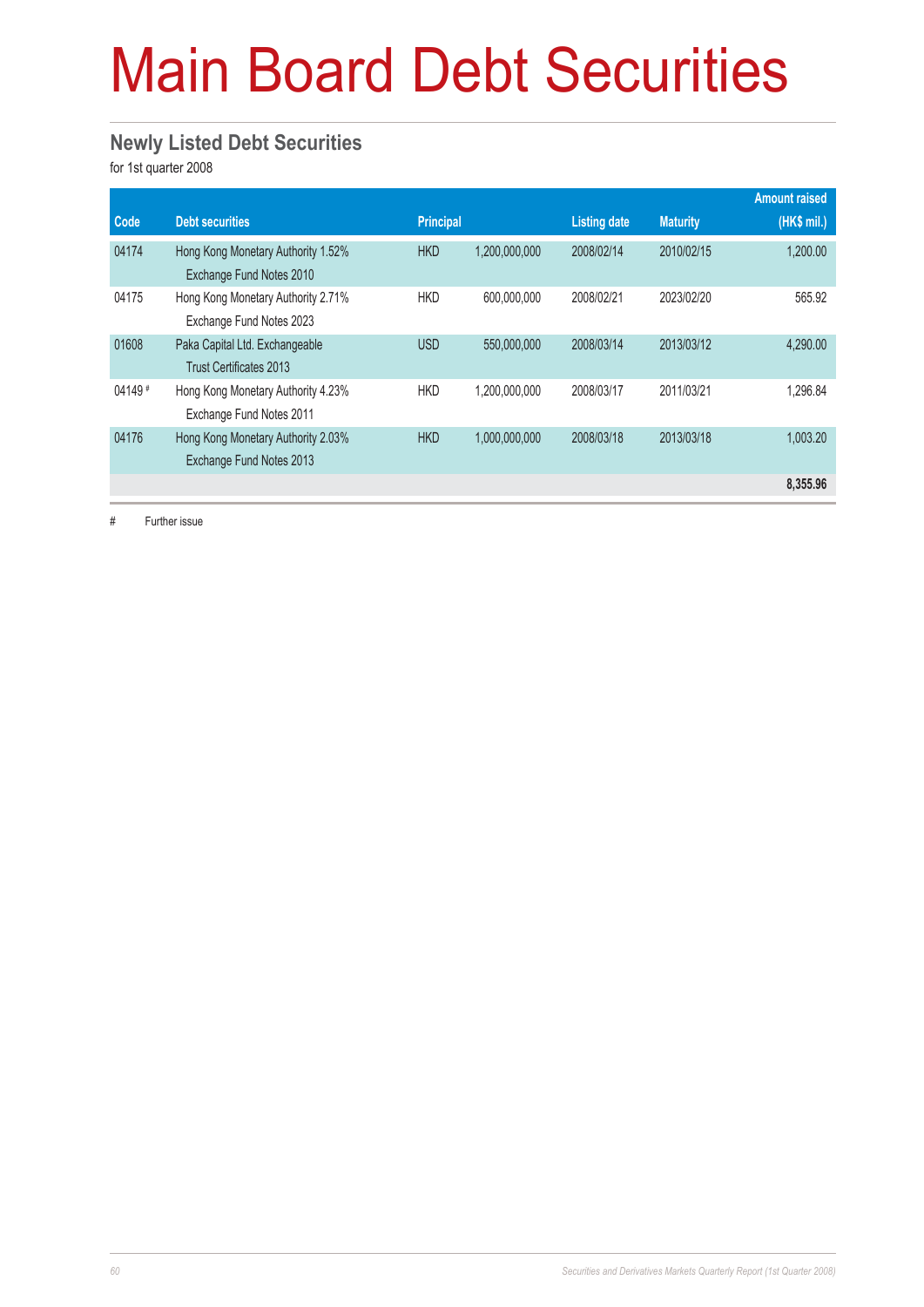# Main Board Debt Securities

#### **Newly Listed Debt Securities**

for 1st quarter 2008

|          |                                                                  |            |               |                     |                 | <b>Amount raised</b> |
|----------|------------------------------------------------------------------|------------|---------------|---------------------|-----------------|----------------------|
| Code     | <b>Debt securities</b>                                           | Principal  |               | <b>Listing date</b> | <b>Maturity</b> | (HK\$ mil.)          |
| 04174    | Hong Kong Monetary Authority 1.52%<br>Exchange Fund Notes 2010   | <b>HKD</b> | 1,200,000,000 | 2008/02/14          | 2010/02/15      | 1,200.00             |
| 04175    | Hong Kong Monetary Authority 2.71%<br>Exchange Fund Notes 2023   | <b>HKD</b> | 600.000.000   | 2008/02/21          | 2023/02/20      | 565.92               |
| 01608    | Paka Capital Ltd. Exchangeable<br><b>Trust Certificates 2013</b> | <b>USD</b> | 550,000,000   | 2008/03/14          | 2013/03/12      | 4.290.00             |
| $04149*$ | Hong Kong Monetary Authority 4.23%<br>Exchange Fund Notes 2011   | <b>HKD</b> | 1,200,000,000 | 2008/03/17          | 2011/03/21      | 1.296.84             |
| 04176    | Hong Kong Monetary Authority 2.03%<br>Exchange Fund Notes 2013   | <b>HKD</b> | 1,000,000,000 | 2008/03/18          | 2013/03/18      | 1.003.20             |
|          |                                                                  |            |               |                     |                 | 8,355.96             |

# Further issue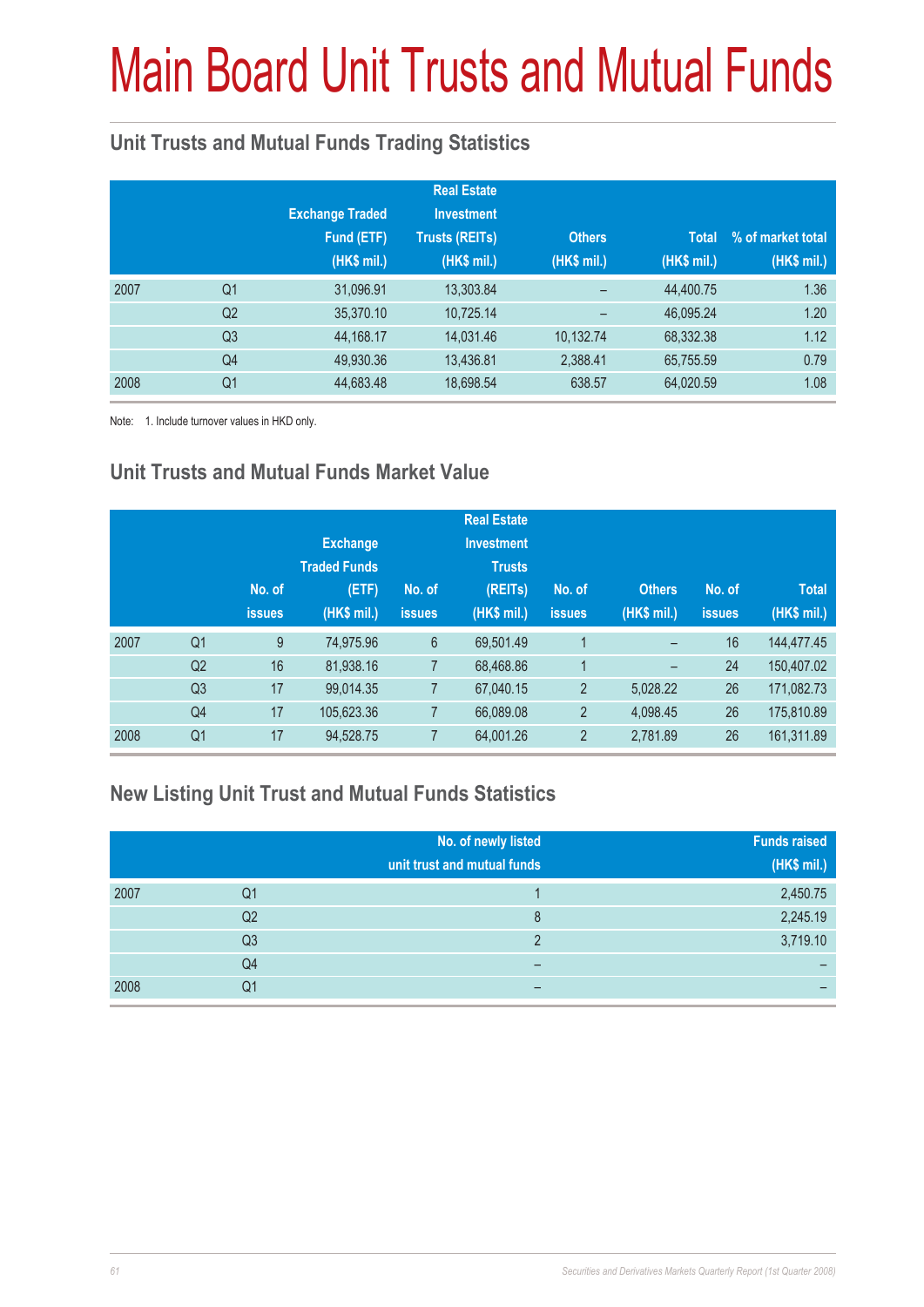# Main Board Unit Trusts and Mutual Funds

### **Unit Trusts and Mutual Funds Trading Statistics**

|      |                | <b>Exchange Traded</b><br>Fund (ETF)<br>(HK\$ mil.) | <b>Real Estate</b><br><b>Investment</b><br><b>Trusts (REITs)</b><br>(HK\$ mil.) | <b>Others</b><br>(HK\$ mil.) | <b>Total</b><br>(HK\$ mil.) | % of market total<br>(HK\$ mil.) |
|------|----------------|-----------------------------------------------------|---------------------------------------------------------------------------------|------------------------------|-----------------------------|----------------------------------|
| 2007 | Q <sub>1</sub> | 31,096.91                                           | 13,303.84                                                                       |                              | 44,400.75                   | 1.36                             |
|      | Q <sub>2</sub> | 35,370.10                                           | 10,725.14                                                                       |                              | 46,095.24                   | 1.20                             |
|      | Q <sub>3</sub> | 44,168.17                                           | 14,031.46                                                                       | 10,132.74                    | 68,332.38                   | 1.12                             |
|      | Q4             | 49,930.36                                           | 13,436.81                                                                       | 2,388.41                     | 65,755.59                   | 0.79                             |
| 2008 | Q <sub>1</sub> | 44,683.48                                           | 18,698.54                                                                       | 638.57                       | 64,020.59                   | 1.08                             |

Note: 1. Include turnover values in HKD only.

### **Unit Trusts and Mutual Funds Market Value**

|      |                | No. of<br><b>issues</b> | <b>Exchange</b><br><b>Traded Funds</b><br>(ETF)<br>(HK\$ mil.) | No. of<br>issues | <b>Real Estate</b><br><b>Investment</b><br><b>Trusts</b><br>(REITs)<br>(HK\$ mil.) | No. of<br><b>issues</b> | <b>Others</b><br>(HK\$ mil.) | No. of<br><b>issues</b> | <b>Total</b><br>(HK\$ mil.) |
|------|----------------|-------------------------|----------------------------------------------------------------|------------------|------------------------------------------------------------------------------------|-------------------------|------------------------------|-------------------------|-----------------------------|
| 2007 | Q <sub>1</sub> | 9                       | 74,975.96                                                      | $6\phantom{1}$   | 69,501.49                                                                          | 1                       | -                            | 16                      | 144,477.45                  |
|      | Q <sub>2</sub> | 16                      | 81,938.16                                                      | 7                | 68,468.86                                                                          | 1                       | -                            | 24                      | 150,407.02                  |
|      | Q <sub>3</sub> | 17                      | 99,014.35                                                      | 7                | 67,040.15                                                                          | $\overline{2}$          | 5,028.22                     | 26                      | 171,082.73                  |
|      | Q4             | 17                      | 105,623.36                                                     |                  | 66,089.08                                                                          | $\overline{2}$          | 4.098.45                     | 26                      | 175,810.89                  |
| 2008 | Q <sub>1</sub> | 17                      | 94,528.75                                                      |                  | 64,001.26                                                                          | $\overline{2}$          | 2,781.89                     | 26                      | 161,311.89                  |

#### **New Listing Unit Trust and Mutual Funds Statistics**

|      |                | No. of newly listed<br>unit trust and mutual funds | <b>Funds raised</b><br>(HK\$ mil.) |
|------|----------------|----------------------------------------------------|------------------------------------|
| 2007 | Q1             |                                                    | 2,450.75                           |
|      | Q2             | 8                                                  | 2,245.19                           |
|      | Q <sub>3</sub> | ົ                                                  | 3,719.10                           |
|      | Q4             | -                                                  |                                    |
| 2008 | Q1             | -                                                  | -                                  |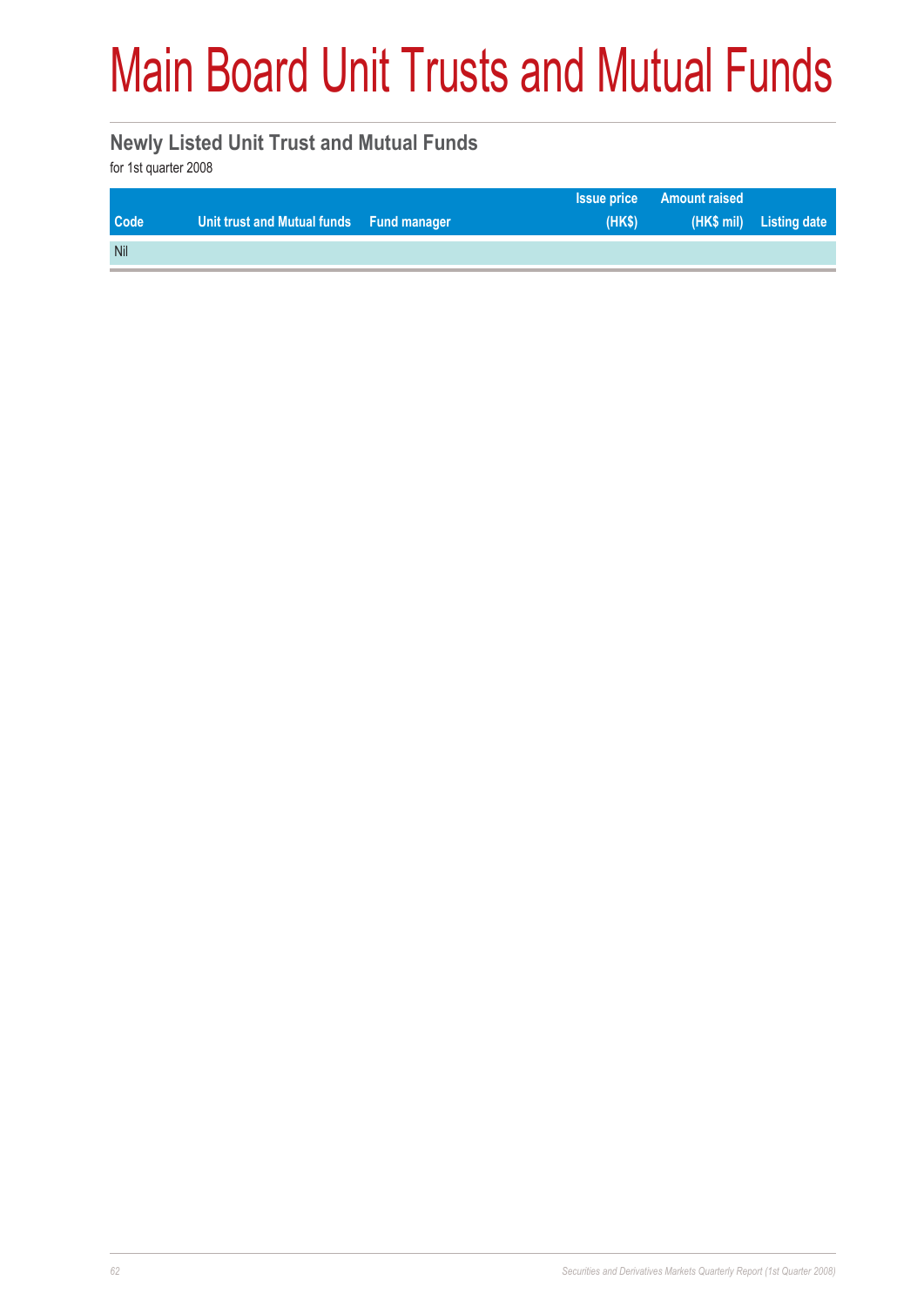# Main Board Unit Trusts and Mutual Funds

#### **Newly Listed Unit Trust and Mutual Funds**

for 1st quarter 2008

|            |                                          |        | <b>Issue price Amount raised</b> |                         |
|------------|------------------------------------------|--------|----------------------------------|-------------------------|
| Code       | Unit trust and Mutual funds Fund manager | $(HK\$ |                                  | (HK\$ mil) Listing date |
| <b>Nil</b> |                                          |        |                                  |                         |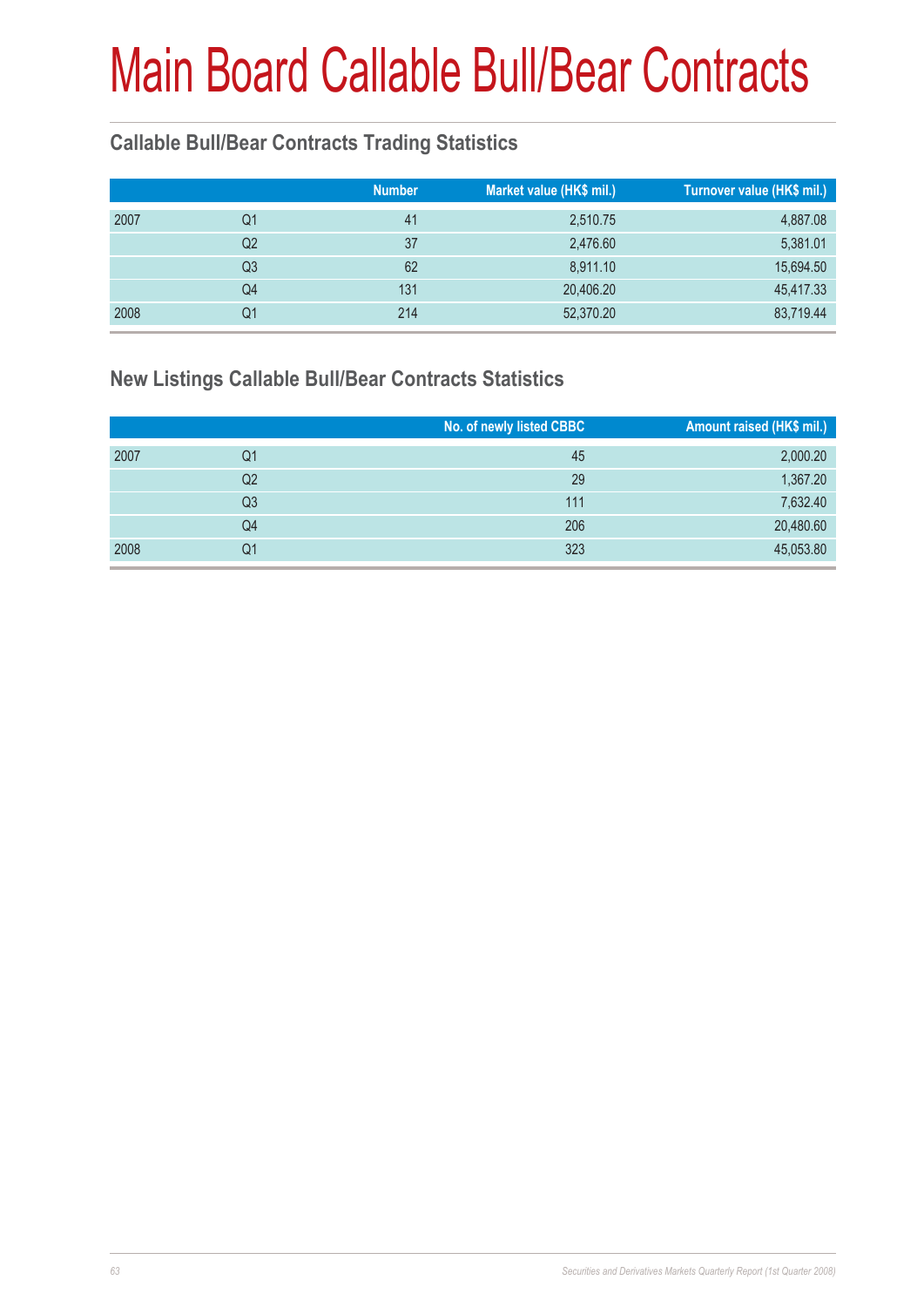### **Callable Bull/Bear Contracts Trading Statistics**

|      |    | <b>Number</b> | Market value (HK\$ mil.) | Turnover value (HK\$ mil.) |
|------|----|---------------|--------------------------|----------------------------|
| 2007 | Q1 | 41            | 2,510.75                 | 4,887.08                   |
|      | Q2 | 37            | 2,476.60                 | 5,381.01                   |
|      | Q3 | 62            | 8,911.10                 | 15,694.50                  |
|      | Q4 | 131           | 20,406.20                | 45,417.33                  |
| 2008 | Q1 | 214           | 52,370.20                | 83,719.44                  |

#### **New Listings Callable Bull/Bear Contracts Statistics**

|      |    | No. of newly listed CBBC | Amount raised (HK\$ mil.) |
|------|----|--------------------------|---------------------------|
| 2007 | Q1 | 45                       | 2,000.20                  |
|      | Q2 | 29                       | 1,367.20                  |
|      | Q3 | 111                      | 7,632.40                  |
|      | Q4 | 206                      | 20,480.60                 |
| 2008 | Q1 | 323                      | 45,053.80                 |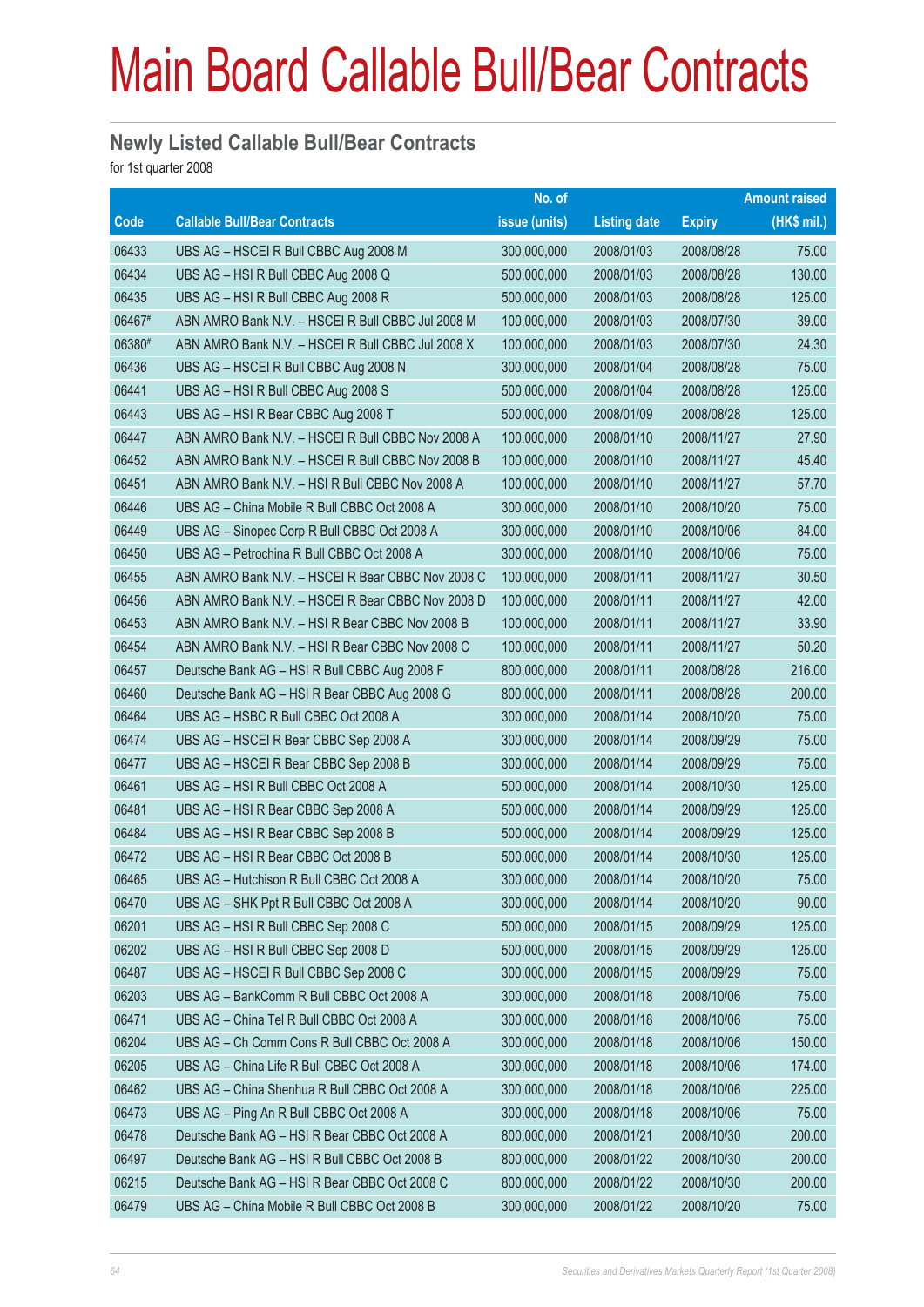#### **Newly Listed Callable Bull/Bear Contracts**

for 1st quarter 2008

|        |                                                   | No. of        |                     |               | <b>Amount raised</b> |
|--------|---------------------------------------------------|---------------|---------------------|---------------|----------------------|
| Code   | <b>Callable Bull/Bear Contracts</b>               | issue (units) | <b>Listing date</b> | <b>Expiry</b> | $(HK$$ mil.)         |
| 06433  | UBS AG - HSCEI R Bull CBBC Aug 2008 M             | 300,000,000   | 2008/01/03          | 2008/08/28    | 75.00                |
| 06434  | UBS AG - HSI R Bull CBBC Aug 2008 Q               | 500,000,000   | 2008/01/03          | 2008/08/28    | 130.00               |
| 06435  | UBS AG - HSI R Bull CBBC Aug 2008 R               | 500,000,000   | 2008/01/03          | 2008/08/28    | 125.00               |
| 06467# | ABN AMRO Bank N.V. - HSCEI R Bull CBBC Jul 2008 M | 100,000,000   | 2008/01/03          | 2008/07/30    | 39.00                |
| 06380# | ABN AMRO Bank N.V. - HSCEI R Bull CBBC Jul 2008 X | 100,000,000   | 2008/01/03          | 2008/07/30    | 24.30                |
| 06436  | UBS AG - HSCEI R Bull CBBC Aug 2008 N             | 300,000,000   | 2008/01/04          | 2008/08/28    | 75.00                |
| 06441  | UBS AG - HSI R Bull CBBC Aug 2008 S               | 500,000,000   | 2008/01/04          | 2008/08/28    | 125.00               |
| 06443  | UBS AG - HSI R Bear CBBC Aug 2008 T               | 500,000,000   | 2008/01/09          | 2008/08/28    | 125.00               |
| 06447  | ABN AMRO Bank N.V. - HSCEI R Bull CBBC Nov 2008 A | 100,000,000   | 2008/01/10          | 2008/11/27    | 27.90                |
| 06452  | ABN AMRO Bank N.V. - HSCEI R Bull CBBC Nov 2008 B | 100,000,000   | 2008/01/10          | 2008/11/27    | 45.40                |
| 06451  | ABN AMRO Bank N.V. - HSI R Bull CBBC Nov 2008 A   | 100,000,000   | 2008/01/10          | 2008/11/27    | 57.70                |
| 06446  | UBS AG - China Mobile R Bull CBBC Oct 2008 A      | 300,000,000   | 2008/01/10          | 2008/10/20    | 75.00                |
| 06449  | UBS AG - Sinopec Corp R Bull CBBC Oct 2008 A      | 300,000,000   | 2008/01/10          | 2008/10/06    | 84.00                |
| 06450  | UBS AG - Petrochina R Bull CBBC Oct 2008 A        | 300,000,000   | 2008/01/10          | 2008/10/06    | 75.00                |
| 06455  | ABN AMRO Bank N.V. - HSCEI R Bear CBBC Nov 2008 C | 100,000,000   | 2008/01/11          | 2008/11/27    | 30.50                |
| 06456  | ABN AMRO Bank N.V. - HSCEI R Bear CBBC Nov 2008 D | 100,000,000   | 2008/01/11          | 2008/11/27    | 42.00                |
| 06453  | ABN AMRO Bank N.V. - HSI R Bear CBBC Nov 2008 B   | 100,000,000   | 2008/01/11          | 2008/11/27    | 33.90                |
| 06454  | ABN AMRO Bank N.V. - HSI R Bear CBBC Nov 2008 C   | 100,000,000   | 2008/01/11          | 2008/11/27    | 50.20                |
| 06457  | Deutsche Bank AG - HSI R Bull CBBC Aug 2008 F     | 800,000,000   | 2008/01/11          | 2008/08/28    | 216.00               |
| 06460  | Deutsche Bank AG - HSI R Bear CBBC Aug 2008 G     | 800,000,000   | 2008/01/11          | 2008/08/28    | 200.00               |
| 06464  | UBS AG - HSBC R Bull CBBC Oct 2008 A              | 300,000,000   | 2008/01/14          | 2008/10/20    | 75.00                |
| 06474  | UBS AG - HSCEI R Bear CBBC Sep 2008 A             | 300,000,000   | 2008/01/14          | 2008/09/29    | 75.00                |
| 06477  | UBS AG - HSCEI R Bear CBBC Sep 2008 B             | 300,000,000   | 2008/01/14          | 2008/09/29    | 75.00                |
| 06461  | UBS AG - HSI R Bull CBBC Oct 2008 A               | 500,000,000   | 2008/01/14          | 2008/10/30    | 125.00               |
| 06481  | UBS AG - HSI R Bear CBBC Sep 2008 A               | 500,000,000   | 2008/01/14          | 2008/09/29    | 125.00               |
| 06484  | UBS AG - HSI R Bear CBBC Sep 2008 B               | 500,000,000   | 2008/01/14          | 2008/09/29    | 125.00               |
| 06472  | UBS AG - HSI R Bear CBBC Oct 2008 B               | 500,000,000   | 2008/01/14          | 2008/10/30    | 125.00               |
| 06465  | UBS AG - Hutchison R Bull CBBC Oct 2008 A         | 300,000,000   | 2008/01/14          | 2008/10/20    | 75.00                |
| 06470  | UBS AG - SHK Ppt R Bull CBBC Oct 2008 A           | 300,000,000   | 2008/01/14          | 2008/10/20    | 90.00                |
| 06201  | UBS AG - HSI R Bull CBBC Sep 2008 C               | 500,000,000   | 2008/01/15          | 2008/09/29    | 125.00               |
| 06202  | UBS AG - HSI R Bull CBBC Sep 2008 D               | 500,000,000   | 2008/01/15          | 2008/09/29    | 125.00               |
| 06487  | UBS AG - HSCEI R Bull CBBC Sep 2008 C             | 300,000,000   | 2008/01/15          | 2008/09/29    | 75.00                |
| 06203  | UBS AG - BankComm R Bull CBBC Oct 2008 A          | 300,000,000   | 2008/01/18          | 2008/10/06    | 75.00                |
| 06471  | UBS AG - China Tel R Bull CBBC Oct 2008 A         | 300,000,000   | 2008/01/18          | 2008/10/06    | 75.00                |
| 06204  | UBS AG - Ch Comm Cons R Bull CBBC Oct 2008 A      | 300,000,000   | 2008/01/18          | 2008/10/06    | 150.00               |
| 06205  | UBS AG - China Life R Bull CBBC Oct 2008 A        | 300,000,000   | 2008/01/18          | 2008/10/06    | 174.00               |
| 06462  | UBS AG - China Shenhua R Bull CBBC Oct 2008 A     | 300,000,000   | 2008/01/18          | 2008/10/06    | 225.00               |
| 06473  | UBS AG - Ping An R Bull CBBC Oct 2008 A           | 300,000,000   | 2008/01/18          | 2008/10/06    | 75.00                |
| 06478  | Deutsche Bank AG - HSI R Bear CBBC Oct 2008 A     | 800,000,000   | 2008/01/21          | 2008/10/30    | 200.00               |
| 06497  | Deutsche Bank AG - HSI R Bull CBBC Oct 2008 B     | 800,000,000   | 2008/01/22          | 2008/10/30    | 200.00               |
| 06215  | Deutsche Bank AG - HSI R Bear CBBC Oct 2008 C     | 800,000,000   | 2008/01/22          | 2008/10/30    | 200.00               |
| 06479  | UBS AG - China Mobile R Bull CBBC Oct 2008 B      | 300,000,000   | 2008/01/22          | 2008/10/20    | 75.00                |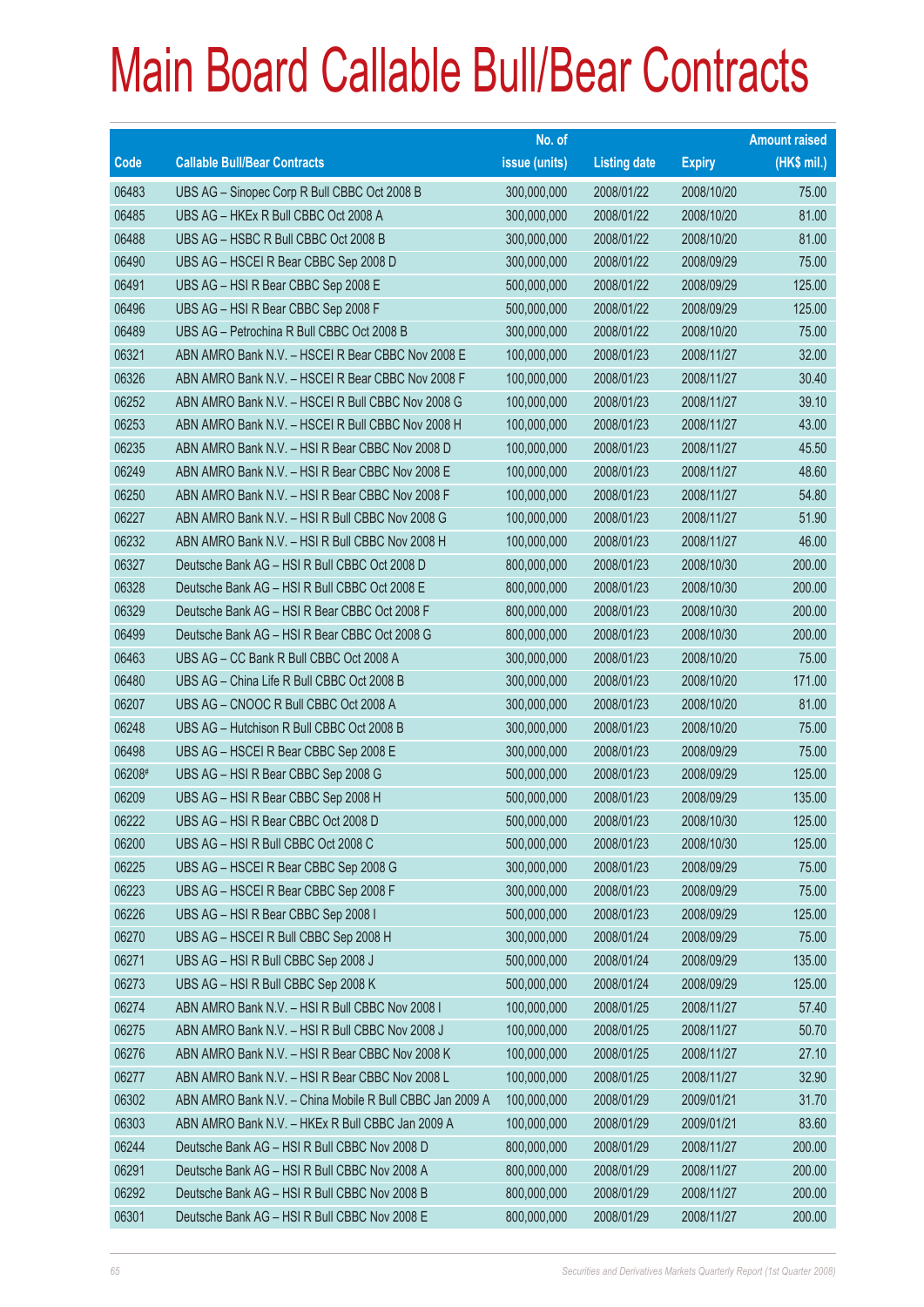|        |                                                          | No. of        |                     |               | <b>Amount raised</b> |
|--------|----------------------------------------------------------|---------------|---------------------|---------------|----------------------|
| Code   | <b>Callable Bull/Bear Contracts</b>                      | issue (units) | <b>Listing date</b> | <b>Expiry</b> | (HK\$ mil.)          |
| 06483  | UBS AG - Sinopec Corp R Bull CBBC Oct 2008 B             | 300,000,000   | 2008/01/22          | 2008/10/20    | 75.00                |
| 06485  | UBS AG - HKEx R Bull CBBC Oct 2008 A                     | 300,000,000   | 2008/01/22          | 2008/10/20    | 81.00                |
| 06488  | UBS AG - HSBC R Bull CBBC Oct 2008 B                     | 300,000,000   | 2008/01/22          | 2008/10/20    | 81.00                |
| 06490  | UBS AG - HSCEI R Bear CBBC Sep 2008 D                    | 300,000,000   | 2008/01/22          | 2008/09/29    | 75.00                |
| 06491  | UBS AG - HSI R Bear CBBC Sep 2008 E                      | 500,000,000   | 2008/01/22          | 2008/09/29    | 125.00               |
| 06496  | UBS AG - HSI R Bear CBBC Sep 2008 F                      | 500,000,000   | 2008/01/22          | 2008/09/29    | 125.00               |
| 06489  | UBS AG - Petrochina R Bull CBBC Oct 2008 B               | 300,000,000   | 2008/01/22          | 2008/10/20    | 75.00                |
| 06321  | ABN AMRO Bank N.V. - HSCEI R Bear CBBC Nov 2008 E        | 100,000,000   | 2008/01/23          | 2008/11/27    | 32.00                |
| 06326  | ABN AMRO Bank N.V. - HSCEI R Bear CBBC Nov 2008 F        | 100,000,000   | 2008/01/23          | 2008/11/27    | 30.40                |
| 06252  | ABN AMRO Bank N.V. - HSCEI R Bull CBBC Nov 2008 G        | 100,000,000   | 2008/01/23          | 2008/11/27    | 39.10                |
| 06253  | ABN AMRO Bank N.V. - HSCEI R Bull CBBC Nov 2008 H        | 100,000,000   | 2008/01/23          | 2008/11/27    | 43.00                |
| 06235  | ABN AMRO Bank N.V. - HSI R Bear CBBC Nov 2008 D          | 100,000,000   | 2008/01/23          | 2008/11/27    | 45.50                |
| 06249  | ABN AMRO Bank N.V. - HSI R Bear CBBC Nov 2008 E          | 100,000,000   | 2008/01/23          | 2008/11/27    | 48.60                |
| 06250  | ABN AMRO Bank N.V. - HSI R Bear CBBC Nov 2008 F          | 100,000,000   | 2008/01/23          | 2008/11/27    | 54.80                |
| 06227  | ABN AMRO Bank N.V. - HSI R Bull CBBC Nov 2008 G          | 100,000,000   | 2008/01/23          | 2008/11/27    | 51.90                |
| 06232  | ABN AMRO Bank N.V. - HSI R Bull CBBC Nov 2008 H          | 100,000,000   | 2008/01/23          | 2008/11/27    | 46.00                |
| 06327  | Deutsche Bank AG - HSI R Bull CBBC Oct 2008 D            | 800,000,000   | 2008/01/23          | 2008/10/30    | 200.00               |
| 06328  | Deutsche Bank AG - HSI R Bull CBBC Oct 2008 E            | 800,000,000   | 2008/01/23          | 2008/10/30    | 200.00               |
| 06329  | Deutsche Bank AG - HSI R Bear CBBC Oct 2008 F            | 800,000,000   | 2008/01/23          | 2008/10/30    | 200.00               |
| 06499  | Deutsche Bank AG - HSI R Bear CBBC Oct 2008 G            | 800,000,000   | 2008/01/23          | 2008/10/30    | 200.00               |
| 06463  | UBS AG - CC Bank R Bull CBBC Oct 2008 A                  | 300,000,000   | 2008/01/23          | 2008/10/20    | 75.00                |
| 06480  | UBS AG - China Life R Bull CBBC Oct 2008 B               | 300,000,000   | 2008/01/23          | 2008/10/20    | 171.00               |
| 06207  | UBS AG - CNOOC R Bull CBBC Oct 2008 A                    | 300,000,000   | 2008/01/23          | 2008/10/20    | 81.00                |
| 06248  | UBS AG - Hutchison R Bull CBBC Oct 2008 B                | 300,000,000   | 2008/01/23          | 2008/10/20    | 75.00                |
| 06498  | UBS AG - HSCEI R Bear CBBC Sep 2008 E                    | 300,000,000   | 2008/01/23          | 2008/09/29    | 75.00                |
| 06208# | UBS AG - HSI R Bear CBBC Sep 2008 G                      | 500,000,000   | 2008/01/23          | 2008/09/29    | 125.00               |
| 06209  | UBS AG - HSI R Bear CBBC Sep 2008 H                      | 500,000,000   | 2008/01/23          | 2008/09/29    | 135.00               |
| 06222  | UBS AG – HSI R Bear CBBC Oct 2008 D                      | 500,000,000   | 2008/01/23          | 2008/10/30    | 125.00               |
| 06200  | UBS AG - HSI R Bull CBBC Oct 2008 C                      | 500,000,000   | 2008/01/23          | 2008/10/30    | 125.00               |
| 06225  | UBS AG - HSCEI R Bear CBBC Sep 2008 G                    | 300,000,000   | 2008/01/23          | 2008/09/29    | 75.00                |
| 06223  | UBS AG - HSCEI R Bear CBBC Sep 2008 F                    | 300,000,000   | 2008/01/23          | 2008/09/29    | 75.00                |
| 06226  | UBS AG - HSI R Bear CBBC Sep 2008 I                      | 500,000,000   | 2008/01/23          | 2008/09/29    | 125.00               |
| 06270  | UBS AG - HSCEI R Bull CBBC Sep 2008 H                    | 300,000,000   | 2008/01/24          | 2008/09/29    | 75.00                |
| 06271  | UBS AG - HSI R Bull CBBC Sep 2008 J                      | 500,000,000   | 2008/01/24          | 2008/09/29    | 135.00               |
| 06273  | UBS AG - HSI R Bull CBBC Sep 2008 K                      | 500,000,000   | 2008/01/24          | 2008/09/29    | 125.00               |
| 06274  | ABN AMRO Bank N.V. - HSI R Bull CBBC Nov 2008 I          | 100,000,000   | 2008/01/25          | 2008/11/27    | 57.40                |
| 06275  | ABN AMRO Bank N.V. - HSI R Bull CBBC Nov 2008 J          | 100,000,000   | 2008/01/25          | 2008/11/27    | 50.70                |
| 06276  | ABN AMRO Bank N.V. - HSI R Bear CBBC Nov 2008 K          | 100,000,000   | 2008/01/25          | 2008/11/27    | 27.10                |
| 06277  | ABN AMRO Bank N.V. - HSI R Bear CBBC Nov 2008 L          | 100,000,000   | 2008/01/25          | 2008/11/27    | 32.90                |
| 06302  | ABN AMRO Bank N.V. - China Mobile R Bull CBBC Jan 2009 A | 100,000,000   | 2008/01/29          | 2009/01/21    | 31.70                |
| 06303  | ABN AMRO Bank N.V. - HKEx R Bull CBBC Jan 2009 A         | 100,000,000   | 2008/01/29          | 2009/01/21    | 83.60                |
| 06244  | Deutsche Bank AG - HSI R Bull CBBC Nov 2008 D            | 800,000,000   | 2008/01/29          | 2008/11/27    | 200.00               |
| 06291  | Deutsche Bank AG - HSI R Bull CBBC Nov 2008 A            | 800,000,000   | 2008/01/29          | 2008/11/27    | 200.00               |
| 06292  | Deutsche Bank AG - HSI R Bull CBBC Nov 2008 B            | 800,000,000   | 2008/01/29          | 2008/11/27    | 200.00               |
| 06301  | Deutsche Bank AG - HSI R Bull CBBC Nov 2008 E            | 800,000,000   | 2008/01/29          | 2008/11/27    | 200.00               |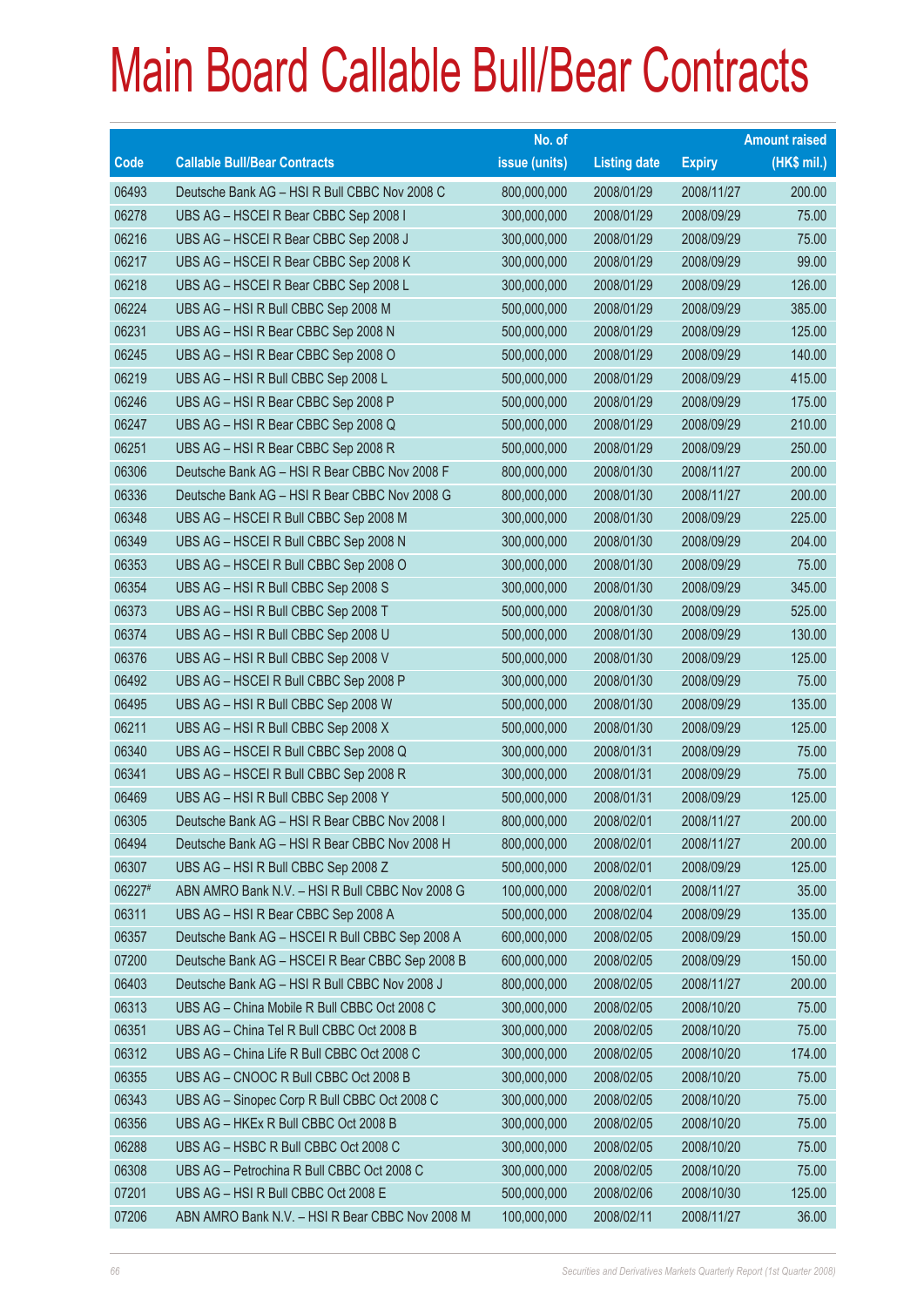|        |                                                 | No. of        |                     |               | <b>Amount raised</b> |
|--------|-------------------------------------------------|---------------|---------------------|---------------|----------------------|
| Code   | <b>Callable Bull/Bear Contracts</b>             | issue (units) | <b>Listing date</b> | <b>Expiry</b> | (HK\$ mil.)          |
| 06493  | Deutsche Bank AG - HSI R Bull CBBC Nov 2008 C   | 800,000,000   | 2008/01/29          | 2008/11/27    | 200.00               |
| 06278  | UBS AG - HSCEI R Bear CBBC Sep 2008 I           | 300,000,000   | 2008/01/29          | 2008/09/29    | 75.00                |
| 06216  | UBS AG - HSCEI R Bear CBBC Sep 2008 J           | 300,000,000   | 2008/01/29          | 2008/09/29    | 75.00                |
| 06217  | UBS AG - HSCEI R Bear CBBC Sep 2008 K           | 300,000,000   | 2008/01/29          | 2008/09/29    | 99.00                |
| 06218  | UBS AG - HSCEI R Bear CBBC Sep 2008 L           | 300,000,000   | 2008/01/29          | 2008/09/29    | 126.00               |
| 06224  | UBS AG - HSI R Bull CBBC Sep 2008 M             | 500,000,000   | 2008/01/29          | 2008/09/29    | 385.00               |
| 06231  | UBS AG - HSI R Bear CBBC Sep 2008 N             | 500,000,000   | 2008/01/29          | 2008/09/29    | 125.00               |
| 06245  | UBS AG - HSI R Bear CBBC Sep 2008 O             | 500,000,000   | 2008/01/29          | 2008/09/29    | 140.00               |
| 06219  | UBS AG - HSI R Bull CBBC Sep 2008 L             | 500,000,000   | 2008/01/29          | 2008/09/29    | 415.00               |
| 06246  | UBS AG - HSI R Bear CBBC Sep 2008 P             | 500,000,000   | 2008/01/29          | 2008/09/29    | 175.00               |
| 06247  | UBS AG - HSI R Bear CBBC Sep 2008 Q             | 500,000,000   | 2008/01/29          | 2008/09/29    | 210.00               |
| 06251  | UBS AG - HSI R Bear CBBC Sep 2008 R             | 500,000,000   | 2008/01/29          | 2008/09/29    | 250.00               |
| 06306  | Deutsche Bank AG - HSI R Bear CBBC Nov 2008 F   | 800,000,000   | 2008/01/30          | 2008/11/27    | 200.00               |
| 06336  | Deutsche Bank AG - HSI R Bear CBBC Nov 2008 G   | 800,000,000   | 2008/01/30          | 2008/11/27    | 200.00               |
| 06348  | UBS AG - HSCEI R Bull CBBC Sep 2008 M           | 300,000,000   | 2008/01/30          | 2008/09/29    | 225.00               |
| 06349  | UBS AG - HSCEI R Bull CBBC Sep 2008 N           | 300,000,000   | 2008/01/30          | 2008/09/29    | 204.00               |
| 06353  | UBS AG - HSCEI R Bull CBBC Sep 2008 O           | 300,000,000   | 2008/01/30          | 2008/09/29    | 75.00                |
| 06354  | UBS AG - HSI R Bull CBBC Sep 2008 S             | 300,000,000   | 2008/01/30          | 2008/09/29    | 345.00               |
| 06373  | UBS AG - HSI R Bull CBBC Sep 2008 T             | 500,000,000   | 2008/01/30          | 2008/09/29    | 525.00               |
| 06374  | UBS AG - HSI R Bull CBBC Sep 2008 U             | 500,000,000   | 2008/01/30          | 2008/09/29    | 130.00               |
| 06376  | UBS AG - HSI R Bull CBBC Sep 2008 V             | 500,000,000   | 2008/01/30          | 2008/09/29    | 125.00               |
| 06492  | UBS AG - HSCEI R Bull CBBC Sep 2008 P           | 300,000,000   | 2008/01/30          | 2008/09/29    | 75.00                |
| 06495  | UBS AG - HSI R Bull CBBC Sep 2008 W             | 500,000,000   | 2008/01/30          | 2008/09/29    | 135.00               |
| 06211  | UBS AG - HSI R Bull CBBC Sep 2008 X             | 500,000,000   | 2008/01/30          | 2008/09/29    | 125.00               |
| 06340  | UBS AG - HSCEI R Bull CBBC Sep 2008 Q           | 300,000,000   | 2008/01/31          | 2008/09/29    | 75.00                |
| 06341  | UBS AG - HSCEI R Bull CBBC Sep 2008 R           | 300,000,000   | 2008/01/31          | 2008/09/29    | 75.00                |
| 06469  | UBS AG - HSI R Bull CBBC Sep 2008 Y             | 500,000,000   | 2008/01/31          | 2008/09/29    | 125.00               |
| 06305  | Deutsche Bank AG - HSI R Bear CBBC Nov 2008 I   | 800,000,000   | 2008/02/01          | 2008/11/27    | 200.00               |
| 06494  | Deutsche Bank AG - HSI R Bear CBBC Nov 2008 H   | 800,000,000   | 2008/02/01          | 2008/11/27    | 200.00               |
| 06307  | UBS AG - HSI R Bull CBBC Sep 2008 Z             | 500,000,000   | 2008/02/01          | 2008/09/29    | 125.00               |
| 06227# | ABN AMRO Bank N.V. - HSI R Bull CBBC Nov 2008 G | 100,000,000   | 2008/02/01          | 2008/11/27    | 35.00                |
| 06311  | UBS AG - HSI R Bear CBBC Sep 2008 A             | 500,000,000   | 2008/02/04          | 2008/09/29    | 135.00               |
| 06357  | Deutsche Bank AG - HSCEI R Bull CBBC Sep 2008 A | 600,000,000   | 2008/02/05          | 2008/09/29    | 150.00               |
| 07200  | Deutsche Bank AG - HSCEI R Bear CBBC Sep 2008 B | 600,000,000   | 2008/02/05          | 2008/09/29    | 150.00               |
| 06403  | Deutsche Bank AG - HSI R Bull CBBC Nov 2008 J   | 800,000,000   | 2008/02/05          | 2008/11/27    | 200.00               |
| 06313  | UBS AG - China Mobile R Bull CBBC Oct 2008 C    | 300,000,000   | 2008/02/05          | 2008/10/20    | 75.00                |
| 06351  | UBS AG - China Tel R Bull CBBC Oct 2008 B       | 300,000,000   | 2008/02/05          | 2008/10/20    | 75.00                |
| 06312  | UBS AG - China Life R Bull CBBC Oct 2008 C      | 300,000,000   | 2008/02/05          | 2008/10/20    | 174.00               |
| 06355  | UBS AG - CNOOC R Bull CBBC Oct 2008 B           | 300,000,000   | 2008/02/05          | 2008/10/20    | 75.00                |
| 06343  | UBS AG - Sinopec Corp R Bull CBBC Oct 2008 C    | 300,000,000   | 2008/02/05          | 2008/10/20    | 75.00                |
| 06356  | UBS AG - HKEx R Bull CBBC Oct 2008 B            | 300,000,000   | 2008/02/05          | 2008/10/20    | 75.00                |
| 06288  | UBS AG - HSBC R Bull CBBC Oct 2008 C            | 300,000,000   | 2008/02/05          | 2008/10/20    | 75.00                |
| 06308  | UBS AG - Petrochina R Bull CBBC Oct 2008 C      | 300,000,000   | 2008/02/05          | 2008/10/20    | 75.00                |
| 07201  | UBS AG - HSI R Bull CBBC Oct 2008 E             | 500,000,000   | 2008/02/06          | 2008/10/30    | 125.00               |
| 07206  | ABN AMRO Bank N.V. - HSI R Bear CBBC Nov 2008 M | 100,000,000   | 2008/02/11          | 2008/11/27    | 36.00                |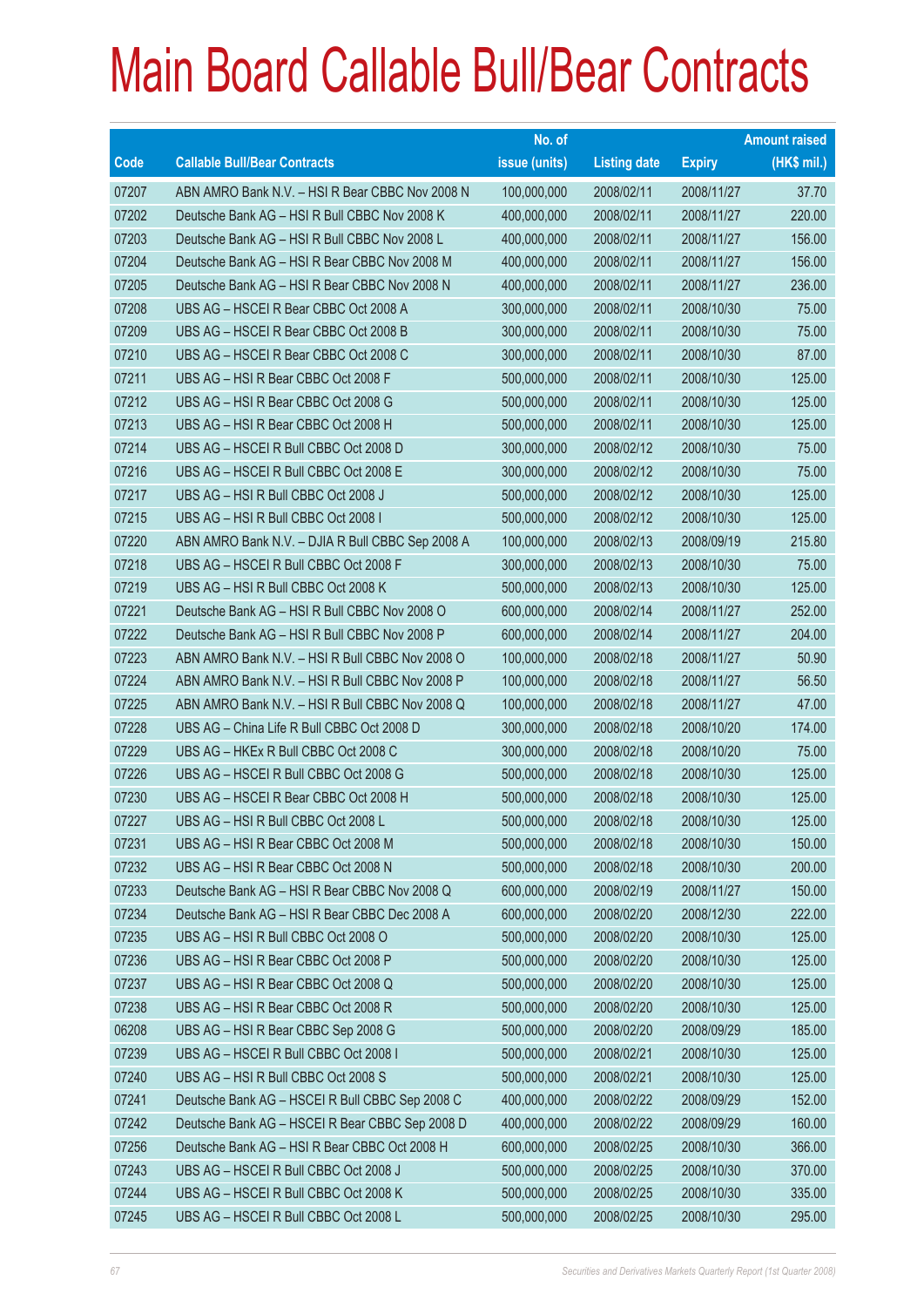|             |                                                  | No. of        |                     |               | <b>Amount raised</b> |
|-------------|--------------------------------------------------|---------------|---------------------|---------------|----------------------|
| <b>Code</b> | <b>Callable Bull/Bear Contracts</b>              | issue (units) | <b>Listing date</b> | <b>Expiry</b> | (HK\$ mil.)          |
| 07207       | ABN AMRO Bank N.V. - HSI R Bear CBBC Nov 2008 N  | 100,000,000   | 2008/02/11          | 2008/11/27    | 37.70                |
| 07202       | Deutsche Bank AG - HSI R Bull CBBC Nov 2008 K    | 400,000,000   | 2008/02/11          | 2008/11/27    | 220.00               |
| 07203       | Deutsche Bank AG - HSI R Bull CBBC Nov 2008 L    | 400,000,000   | 2008/02/11          | 2008/11/27    | 156.00               |
| 07204       | Deutsche Bank AG - HSI R Bear CBBC Nov 2008 M    | 400,000,000   | 2008/02/11          | 2008/11/27    | 156.00               |
| 07205       | Deutsche Bank AG - HSI R Bear CBBC Nov 2008 N    | 400,000,000   | 2008/02/11          | 2008/11/27    | 236.00               |
| 07208       | UBS AG - HSCEI R Bear CBBC Oct 2008 A            | 300,000,000   | 2008/02/11          | 2008/10/30    | 75.00                |
| 07209       | UBS AG - HSCEI R Bear CBBC Oct 2008 B            | 300,000,000   | 2008/02/11          | 2008/10/30    | 75.00                |
| 07210       | UBS AG - HSCEI R Bear CBBC Oct 2008 C            | 300,000,000   | 2008/02/11          | 2008/10/30    | 87.00                |
| 07211       | UBS AG - HSI R Bear CBBC Oct 2008 F              | 500,000,000   | 2008/02/11          | 2008/10/30    | 125.00               |
| 07212       | UBS AG - HSI R Bear CBBC Oct 2008 G              | 500,000,000   | 2008/02/11          | 2008/10/30    | 125.00               |
| 07213       | UBS AG - HSI R Bear CBBC Oct 2008 H              | 500,000,000   | 2008/02/11          | 2008/10/30    | 125.00               |
| 07214       | UBS AG - HSCEI R Bull CBBC Oct 2008 D            | 300,000,000   | 2008/02/12          | 2008/10/30    | 75.00                |
| 07216       | UBS AG - HSCEI R Bull CBBC Oct 2008 E            | 300,000,000   | 2008/02/12          | 2008/10/30    | 75.00                |
| 07217       | UBS AG - HSI R Bull CBBC Oct 2008 J              | 500,000,000   | 2008/02/12          | 2008/10/30    | 125.00               |
| 07215       | UBS AG - HSI R Bull CBBC Oct 2008 I              | 500,000,000   | 2008/02/12          | 2008/10/30    | 125.00               |
| 07220       | ABN AMRO Bank N.V. - DJIA R Bull CBBC Sep 2008 A | 100,000,000   | 2008/02/13          | 2008/09/19    | 215.80               |
| 07218       | UBS AG - HSCEI R Bull CBBC Oct 2008 F            | 300,000,000   | 2008/02/13          | 2008/10/30    | 75.00                |
| 07219       | UBS AG - HSI R Bull CBBC Oct 2008 K              | 500,000,000   | 2008/02/13          | 2008/10/30    | 125.00               |
| 07221       | Deutsche Bank AG - HSI R Bull CBBC Nov 2008 O    | 600,000,000   | 2008/02/14          | 2008/11/27    | 252.00               |
| 07222       | Deutsche Bank AG - HSI R Bull CBBC Nov 2008 P    | 600,000,000   | 2008/02/14          | 2008/11/27    | 204.00               |
| 07223       | ABN AMRO Bank N.V. - HSI R Bull CBBC Nov 2008 O  | 100,000,000   | 2008/02/18          | 2008/11/27    | 50.90                |
| 07224       | ABN AMRO Bank N.V. - HSI R Bull CBBC Nov 2008 P  | 100,000,000   | 2008/02/18          | 2008/11/27    | 56.50                |
| 07225       | ABN AMRO Bank N.V. - HSI R Bull CBBC Nov 2008 Q  | 100,000,000   | 2008/02/18          | 2008/11/27    | 47.00                |
| 07228       | UBS AG - China Life R Bull CBBC Oct 2008 D       | 300,000,000   | 2008/02/18          | 2008/10/20    | 174.00               |
| 07229       | UBS AG - HKEx R Bull CBBC Oct 2008 C             | 300,000,000   | 2008/02/18          | 2008/10/20    | 75.00                |
| 07226       | UBS AG - HSCEI R Bull CBBC Oct 2008 G            | 500,000,000   | 2008/02/18          | 2008/10/30    | 125.00               |
| 07230       | UBS AG - HSCEI R Bear CBBC Oct 2008 H            | 500,000,000   | 2008/02/18          | 2008/10/30    | 125.00               |
| 07227       | UBS AG - HSI R Bull CBBC Oct 2008 L              | 500,000,000   | 2008/02/18          | 2008/10/30    | 125.00               |
| 07231       | UBS AG - HSI R Bear CBBC Oct 2008 M              | 500,000,000   | 2008/02/18          | 2008/10/30    | 150.00               |
| 07232       | UBS AG - HSI R Bear CBBC Oct 2008 N              | 500,000,000   | 2008/02/18          | 2008/10/30    | 200.00               |
| 07233       | Deutsche Bank AG - HSI R Bear CBBC Nov 2008 Q    | 600,000,000   | 2008/02/19          | 2008/11/27    | 150.00               |
| 07234       | Deutsche Bank AG - HSI R Bear CBBC Dec 2008 A    | 600,000,000   | 2008/02/20          | 2008/12/30    | 222.00               |
| 07235       | UBS AG - HSI R Bull CBBC Oct 2008 O              | 500,000,000   | 2008/02/20          | 2008/10/30    | 125.00               |
| 07236       | UBS AG - HSI R Bear CBBC Oct 2008 P              | 500,000,000   | 2008/02/20          | 2008/10/30    | 125.00               |
| 07237       | UBS AG - HSI R Bear CBBC Oct 2008 Q              | 500,000,000   | 2008/02/20          | 2008/10/30    | 125.00               |
| 07238       | UBS AG - HSI R Bear CBBC Oct 2008 R              | 500,000,000   | 2008/02/20          | 2008/10/30    | 125.00               |
| 06208       | UBS AG - HSI R Bear CBBC Sep 2008 G              | 500,000,000   | 2008/02/20          | 2008/09/29    | 185.00               |
| 07239       | UBS AG - HSCEI R Bull CBBC Oct 2008 I            | 500,000,000   | 2008/02/21          | 2008/10/30    | 125.00               |
| 07240       | UBS AG - HSI R Bull CBBC Oct 2008 S              | 500,000,000   | 2008/02/21          | 2008/10/30    | 125.00               |
| 07241       | Deutsche Bank AG - HSCEI R Bull CBBC Sep 2008 C  | 400,000,000   | 2008/02/22          | 2008/09/29    | 152.00               |
| 07242       | Deutsche Bank AG - HSCEI R Bear CBBC Sep 2008 D  | 400,000,000   | 2008/02/22          | 2008/09/29    | 160.00               |
| 07256       | Deutsche Bank AG - HSI R Bear CBBC Oct 2008 H    | 600,000,000   | 2008/02/25          | 2008/10/30    | 366.00               |
| 07243       | UBS AG - HSCEI R Bull CBBC Oct 2008 J            | 500,000,000   | 2008/02/25          | 2008/10/30    | 370.00               |
| 07244       | UBS AG - HSCEI R Bull CBBC Oct 2008 K            | 500,000,000   | 2008/02/25          | 2008/10/30    | 335.00               |
| 07245       | UBS AG - HSCEI R Bull CBBC Oct 2008 L            | 500,000,000   | 2008/02/25          | 2008/10/30    | 295.00               |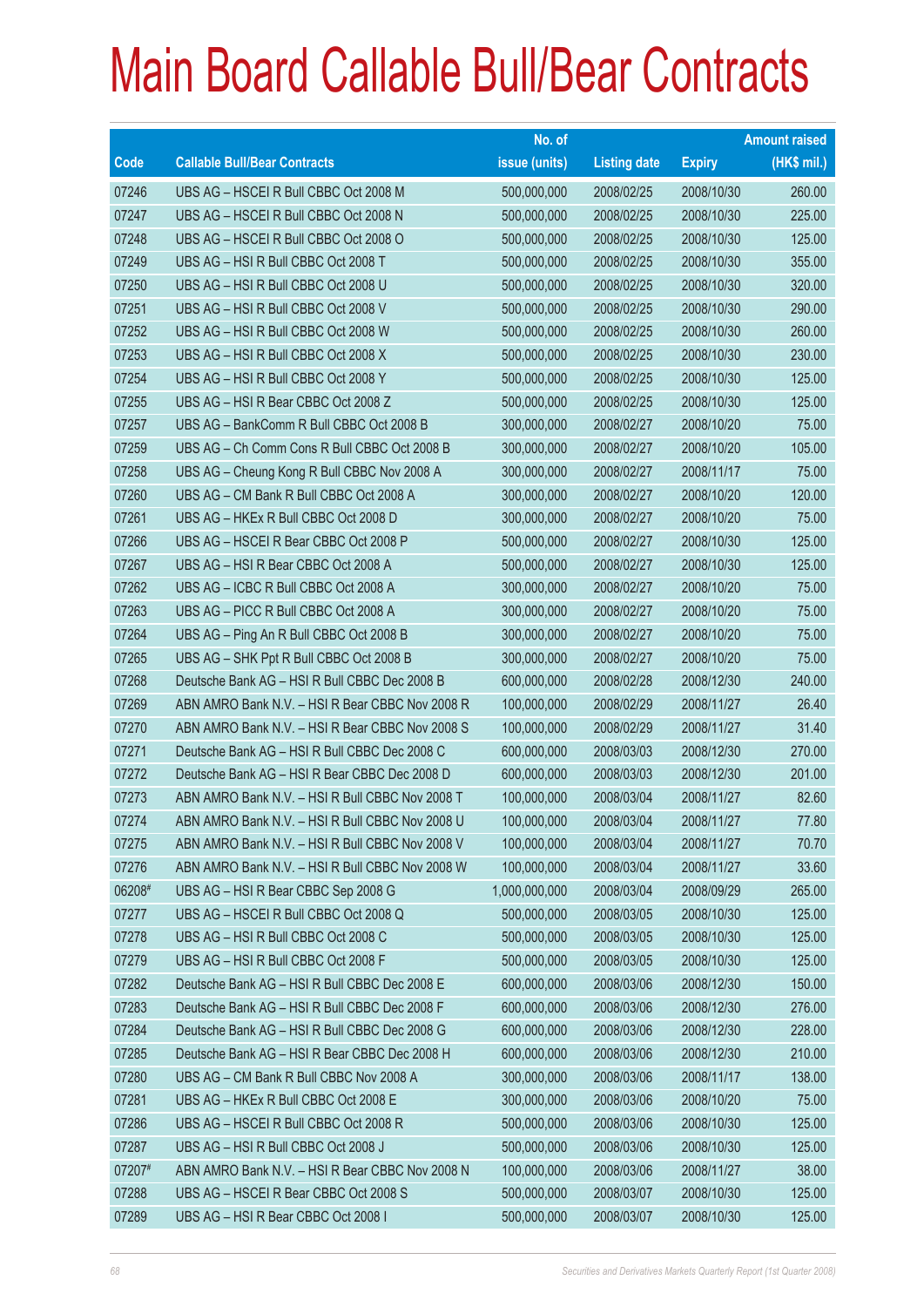|             |                                                 | No. of        |                     |               | <b>Amount raised</b> |
|-------------|-------------------------------------------------|---------------|---------------------|---------------|----------------------|
| <b>Code</b> | <b>Callable Bull/Bear Contracts</b>             | issue (units) | <b>Listing date</b> | <b>Expiry</b> | (HK\$ mil.)          |
| 07246       | UBS AG - HSCEI R Bull CBBC Oct 2008 M           | 500,000,000   | 2008/02/25          | 2008/10/30    | 260.00               |
| 07247       | UBS AG - HSCEI R Bull CBBC Oct 2008 N           | 500,000,000   | 2008/02/25          | 2008/10/30    | 225.00               |
| 07248       | UBS AG - HSCEI R Bull CBBC Oct 2008 O           | 500,000,000   | 2008/02/25          | 2008/10/30    | 125.00               |
| 07249       | UBS AG - HSI R Bull CBBC Oct 2008 T             | 500,000,000   | 2008/02/25          | 2008/10/30    | 355.00               |
| 07250       | UBS AG - HSI R Bull CBBC Oct 2008 U             | 500,000,000   | 2008/02/25          | 2008/10/30    | 320.00               |
| 07251       | UBS AG - HSI R Bull CBBC Oct 2008 V             | 500,000,000   | 2008/02/25          | 2008/10/30    | 290.00               |
| 07252       | UBS AG - HSI R Bull CBBC Oct 2008 W             | 500,000,000   | 2008/02/25          | 2008/10/30    | 260.00               |
| 07253       | UBS AG - HSI R Bull CBBC Oct 2008 X             | 500,000,000   | 2008/02/25          | 2008/10/30    | 230.00               |
| 07254       | UBS AG - HSI R Bull CBBC Oct 2008 Y             | 500,000,000   | 2008/02/25          | 2008/10/30    | 125.00               |
| 07255       | UBS AG - HSI R Bear CBBC Oct 2008 Z             | 500,000,000   | 2008/02/25          | 2008/10/30    | 125.00               |
| 07257       | UBS AG - BankComm R Bull CBBC Oct 2008 B        | 300,000,000   | 2008/02/27          | 2008/10/20    | 75.00                |
| 07259       | UBS AG - Ch Comm Cons R Bull CBBC Oct 2008 B    | 300,000,000   | 2008/02/27          | 2008/10/20    | 105.00               |
| 07258       | UBS AG - Cheung Kong R Bull CBBC Nov 2008 A     | 300,000,000   | 2008/02/27          | 2008/11/17    | 75.00                |
| 07260       | UBS AG - CM Bank R Bull CBBC Oct 2008 A         | 300,000,000   | 2008/02/27          | 2008/10/20    | 120.00               |
| 07261       | UBS AG - HKEx R Bull CBBC Oct 2008 D            | 300,000,000   | 2008/02/27          | 2008/10/20    | 75.00                |
| 07266       | UBS AG - HSCEI R Bear CBBC Oct 2008 P           | 500,000,000   | 2008/02/27          | 2008/10/30    | 125.00               |
| 07267       | UBS AG - HSI R Bear CBBC Oct 2008 A             | 500,000,000   | 2008/02/27          | 2008/10/30    | 125.00               |
| 07262       | UBS AG - ICBC R Bull CBBC Oct 2008 A            | 300,000,000   | 2008/02/27          | 2008/10/20    | 75.00                |
| 07263       | UBS AG - PICC R Bull CBBC Oct 2008 A            | 300,000,000   | 2008/02/27          | 2008/10/20    | 75.00                |
| 07264       | UBS AG - Ping An R Bull CBBC Oct 2008 B         | 300,000,000   | 2008/02/27          | 2008/10/20    | 75.00                |
| 07265       | UBS AG - SHK Ppt R Bull CBBC Oct 2008 B         | 300,000,000   | 2008/02/27          | 2008/10/20    | 75.00                |
| 07268       | Deutsche Bank AG - HSI R Bull CBBC Dec 2008 B   | 600,000,000   | 2008/02/28          | 2008/12/30    | 240.00               |
| 07269       | ABN AMRO Bank N.V. - HSI R Bear CBBC Nov 2008 R | 100,000,000   | 2008/02/29          | 2008/11/27    | 26.40                |
| 07270       | ABN AMRO Bank N.V. - HSI R Bear CBBC Nov 2008 S | 100,000,000   | 2008/02/29          | 2008/11/27    | 31.40                |
| 07271       | Deutsche Bank AG - HSI R Bull CBBC Dec 2008 C   | 600,000,000   | 2008/03/03          | 2008/12/30    | 270.00               |
| 07272       | Deutsche Bank AG - HSI R Bear CBBC Dec 2008 D   | 600,000,000   | 2008/03/03          | 2008/12/30    | 201.00               |
| 07273       | ABN AMRO Bank N.V. - HSI R Bull CBBC Nov 2008 T | 100,000,000   | 2008/03/04          | 2008/11/27    | 82.60                |
| 07274       | ABN AMRO Bank N.V. - HSI R Bull CBBC Nov 2008 U | 100,000,000   | 2008/03/04          | 2008/11/27    | 77.80                |
| 07275       | ABN AMRO Bank N.V. - HSI R Bull CBBC Nov 2008 V | 100,000,000   | 2008/03/04          | 2008/11/27    | 70.70                |
| 07276       | ABN AMRO Bank N.V. - HSI R Bull CBBC Nov 2008 W | 100,000,000   | 2008/03/04          | 2008/11/27    | 33.60                |
| 06208#      | UBS AG - HSI R Bear CBBC Sep 2008 G             | 1,000,000,000 | 2008/03/04          | 2008/09/29    | 265.00               |
| 07277       | UBS AG - HSCEI R Bull CBBC Oct 2008 Q           | 500,000,000   | 2008/03/05          | 2008/10/30    | 125.00               |
| 07278       | UBS AG - HSI R Bull CBBC Oct 2008 C             | 500,000,000   | 2008/03/05          | 2008/10/30    | 125.00               |
| 07279       | UBS AG - HSI R Bull CBBC Oct 2008 F             | 500,000,000   | 2008/03/05          | 2008/10/30    | 125.00               |
| 07282       | Deutsche Bank AG - HSI R Bull CBBC Dec 2008 E   | 600,000,000   | 2008/03/06          | 2008/12/30    | 150.00               |
| 07283       | Deutsche Bank AG - HSI R Bull CBBC Dec 2008 F   | 600,000,000   | 2008/03/06          | 2008/12/30    | 276.00               |
| 07284       | Deutsche Bank AG - HSI R Bull CBBC Dec 2008 G   | 600,000,000   | 2008/03/06          | 2008/12/30    | 228.00               |
| 07285       | Deutsche Bank AG - HSI R Bear CBBC Dec 2008 H   | 600,000,000   | 2008/03/06          | 2008/12/30    | 210.00               |
| 07280       | UBS AG - CM Bank R Bull CBBC Nov 2008 A         | 300,000,000   | 2008/03/06          | 2008/11/17    | 138.00               |
| 07281       | UBS AG - HKEx R Bull CBBC Oct 2008 E            | 300,000,000   | 2008/03/06          | 2008/10/20    | 75.00                |
| 07286       | UBS AG - HSCEI R Bull CBBC Oct 2008 R           | 500,000,000   | 2008/03/06          | 2008/10/30    | 125.00               |
| 07287       | UBS AG - HSI R Bull CBBC Oct 2008 J             | 500,000,000   | 2008/03/06          | 2008/10/30    | 125.00               |
| 07207#      | ABN AMRO Bank N.V. - HSI R Bear CBBC Nov 2008 N | 100,000,000   | 2008/03/06          | 2008/11/27    | 38.00                |
| 07288       | UBS AG - HSCEI R Bear CBBC Oct 2008 S           | 500,000,000   | 2008/03/07          | 2008/10/30    | 125.00               |
| 07289       | UBS AG - HSI R Bear CBBC Oct 2008 I             | 500,000,000   | 2008/03/07          | 2008/10/30    | 125.00               |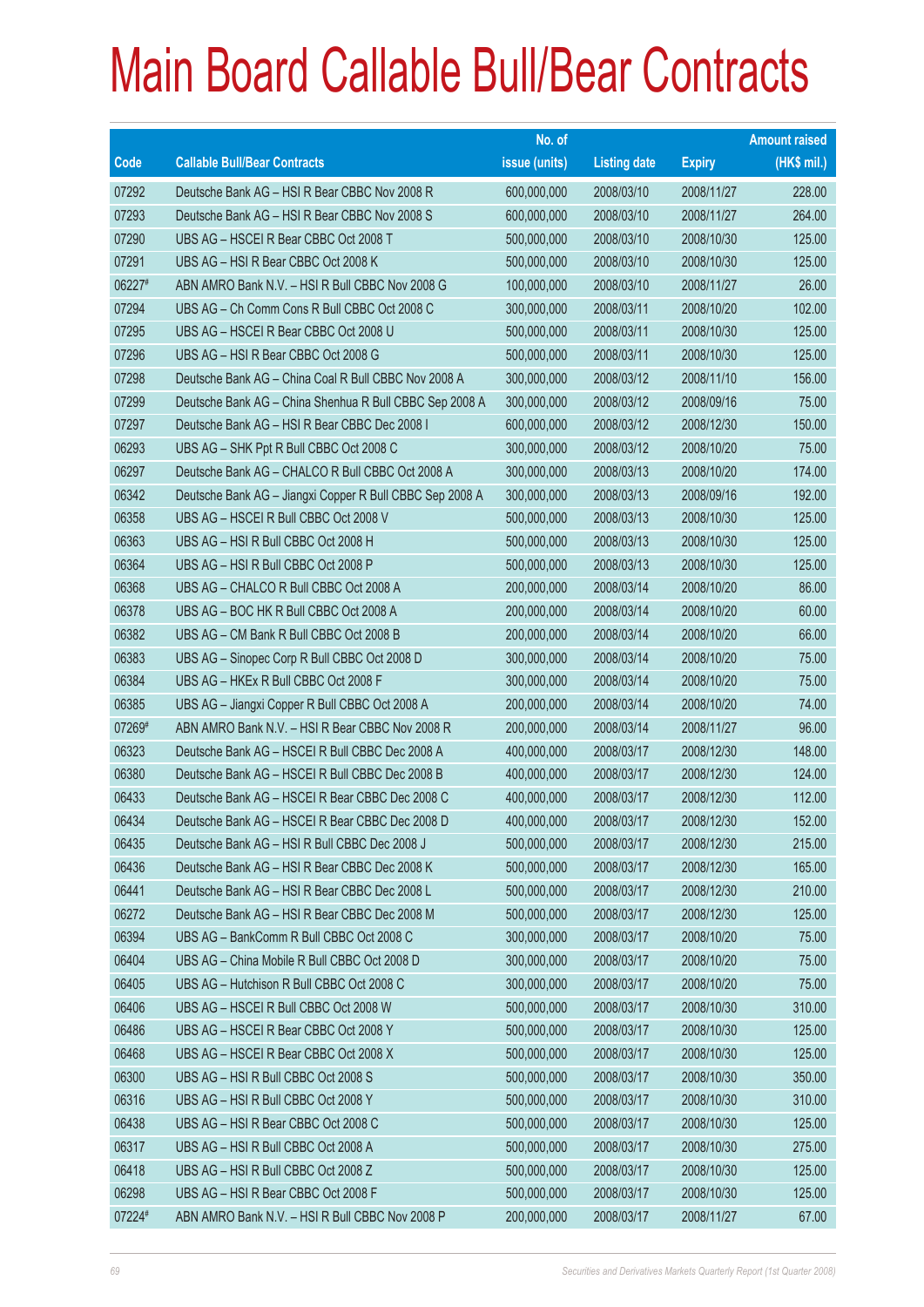|        |                                                          | No. of        |                     |               | <b>Amount raised</b> |
|--------|----------------------------------------------------------|---------------|---------------------|---------------|----------------------|
| Code   | <b>Callable Bull/Bear Contracts</b>                      | issue (units) | <b>Listing date</b> | <b>Expiry</b> | (HK\$ mil.)          |
| 07292  | Deutsche Bank AG - HSI R Bear CBBC Nov 2008 R            | 600,000,000   | 2008/03/10          | 2008/11/27    | 228.00               |
| 07293  | Deutsche Bank AG - HSI R Bear CBBC Nov 2008 S            | 600,000,000   | 2008/03/10          | 2008/11/27    | 264.00               |
| 07290  | UBS AG - HSCEI R Bear CBBC Oct 2008 T                    | 500,000,000   | 2008/03/10          | 2008/10/30    | 125.00               |
| 07291  | UBS AG - HSI R Bear CBBC Oct 2008 K                      | 500,000,000   | 2008/03/10          | 2008/10/30    | 125.00               |
| 06227# | ABN AMRO Bank N.V. - HSI R Bull CBBC Nov 2008 G          | 100,000,000   | 2008/03/10          | 2008/11/27    | 26.00                |
| 07294  | UBS AG - Ch Comm Cons R Bull CBBC Oct 2008 C             | 300,000,000   | 2008/03/11          | 2008/10/20    | 102.00               |
| 07295  | UBS AG - HSCEI R Bear CBBC Oct 2008 U                    | 500,000,000   | 2008/03/11          | 2008/10/30    | 125.00               |
| 07296  | UBS AG - HSI R Bear CBBC Oct 2008 G                      | 500,000,000   | 2008/03/11          | 2008/10/30    | 125.00               |
| 07298  | Deutsche Bank AG - China Coal R Bull CBBC Nov 2008 A     | 300,000,000   | 2008/03/12          | 2008/11/10    | 156.00               |
| 07299  | Deutsche Bank AG - China Shenhua R Bull CBBC Sep 2008 A  | 300,000,000   | 2008/03/12          | 2008/09/16    | 75.00                |
| 07297  | Deutsche Bank AG - HSI R Bear CBBC Dec 2008 I            | 600,000,000   | 2008/03/12          | 2008/12/30    | 150.00               |
| 06293  | UBS AG - SHK Ppt R Bull CBBC Oct 2008 C                  | 300,000,000   | 2008/03/12          | 2008/10/20    | 75.00                |
| 06297  | Deutsche Bank AG - CHALCO R Bull CBBC Oct 2008 A         | 300,000,000   | 2008/03/13          | 2008/10/20    | 174.00               |
| 06342  | Deutsche Bank AG - Jiangxi Copper R Bull CBBC Sep 2008 A | 300,000,000   | 2008/03/13          | 2008/09/16    | 192.00               |
| 06358  | UBS AG - HSCEI R Bull CBBC Oct 2008 V                    | 500,000,000   | 2008/03/13          | 2008/10/30    | 125.00               |
| 06363  | UBS AG - HSI R Bull CBBC Oct 2008 H                      | 500,000,000   | 2008/03/13          | 2008/10/30    | 125.00               |
| 06364  | UBS AG - HSI R Bull CBBC Oct 2008 P                      | 500,000,000   | 2008/03/13          | 2008/10/30    | 125.00               |
| 06368  | UBS AG - CHALCO R Bull CBBC Oct 2008 A                   | 200,000,000   | 2008/03/14          | 2008/10/20    | 86.00                |
| 06378  | UBS AG - BOC HK R Bull CBBC Oct 2008 A                   | 200,000,000   | 2008/03/14          | 2008/10/20    | 60.00                |
| 06382  | UBS AG - CM Bank R Bull CBBC Oct 2008 B                  | 200,000,000   | 2008/03/14          | 2008/10/20    | 66.00                |
| 06383  | UBS AG - Sinopec Corp R Bull CBBC Oct 2008 D             | 300,000,000   | 2008/03/14          | 2008/10/20    | 75.00                |
| 06384  | UBS AG - HKEx R Bull CBBC Oct 2008 F                     | 300,000,000   | 2008/03/14          | 2008/10/20    | 75.00                |
| 06385  | UBS AG - Jiangxi Copper R Bull CBBC Oct 2008 A           | 200,000,000   | 2008/03/14          | 2008/10/20    | 74.00                |
| 07269# | ABN AMRO Bank N.V. - HSI R Bear CBBC Nov 2008 R          | 200,000,000   | 2008/03/14          | 2008/11/27    | 96.00                |
| 06323  | Deutsche Bank AG - HSCEI R Bull CBBC Dec 2008 A          | 400,000,000   | 2008/03/17          | 2008/12/30    | 148.00               |
| 06380  | Deutsche Bank AG - HSCEI R Bull CBBC Dec 2008 B          | 400,000,000   | 2008/03/17          | 2008/12/30    | 124.00               |
| 06433  | Deutsche Bank AG - HSCEI R Bear CBBC Dec 2008 C          | 400,000,000   | 2008/03/17          | 2008/12/30    | 112.00               |
| 06434  | Deutsche Bank AG - HSCEI R Bear CBBC Dec 2008 D          | 400,000,000   | 2008/03/17          | 2008/12/30    | 152.00               |
| 06435  | Deutsche Bank AG - HSI R Bull CBBC Dec 2008 J            | 500,000,000   | 2008/03/17          | 2008/12/30    | 215.00               |
| 06436  | Deutsche Bank AG - HSI R Bear CBBC Dec 2008 K            | 500,000,000   | 2008/03/17          | 2008/12/30    | 165.00               |
| 06441  | Deutsche Bank AG - HSI R Bear CBBC Dec 2008 L            | 500,000,000   | 2008/03/17          | 2008/12/30    | 210.00               |
| 06272  | Deutsche Bank AG - HSI R Bear CBBC Dec 2008 M            | 500,000,000   | 2008/03/17          | 2008/12/30    | 125.00               |
| 06394  | UBS AG - BankComm R Bull CBBC Oct 2008 C                 | 300,000,000   | 2008/03/17          | 2008/10/20    | 75.00                |
| 06404  | UBS AG - China Mobile R Bull CBBC Oct 2008 D             | 300,000,000   | 2008/03/17          | 2008/10/20    | 75.00                |
| 06405  | UBS AG - Hutchison R Bull CBBC Oct 2008 C                | 300,000,000   | 2008/03/17          | 2008/10/20    | 75.00                |
| 06406  | UBS AG - HSCEI R Bull CBBC Oct 2008 W                    | 500,000,000   | 2008/03/17          | 2008/10/30    | 310.00               |
| 06486  | UBS AG - HSCEI R Bear CBBC Oct 2008 Y                    | 500,000,000   | 2008/03/17          | 2008/10/30    | 125.00               |
| 06468  | UBS AG - HSCEI R Bear CBBC Oct 2008 X                    | 500,000,000   | 2008/03/17          | 2008/10/30    | 125.00               |
| 06300  | UBS AG - HSI R Bull CBBC Oct 2008 S                      | 500,000,000   | 2008/03/17          | 2008/10/30    | 350.00               |
| 06316  | UBS AG - HSI R Bull CBBC Oct 2008 Y                      | 500,000,000   | 2008/03/17          | 2008/10/30    | 310.00               |
| 06438  | UBS AG - HSI R Bear CBBC Oct 2008 C                      | 500,000,000   | 2008/03/17          | 2008/10/30    | 125.00               |
| 06317  | UBS AG - HSI R Bull CBBC Oct 2008 A                      | 500,000,000   | 2008/03/17          | 2008/10/30    | 275.00               |
| 06418  | UBS AG - HSI R Bull CBBC Oct 2008 Z                      | 500,000,000   | 2008/03/17          | 2008/10/30    | 125.00               |
| 06298  | UBS AG - HSI R Bear CBBC Oct 2008 F                      | 500,000,000   | 2008/03/17          | 2008/10/30    | 125.00               |
| 07224# | ABN AMRO Bank N.V. - HSI R Bull CBBC Nov 2008 P          | 200,000,000   | 2008/03/17          | 2008/11/27    | 67.00                |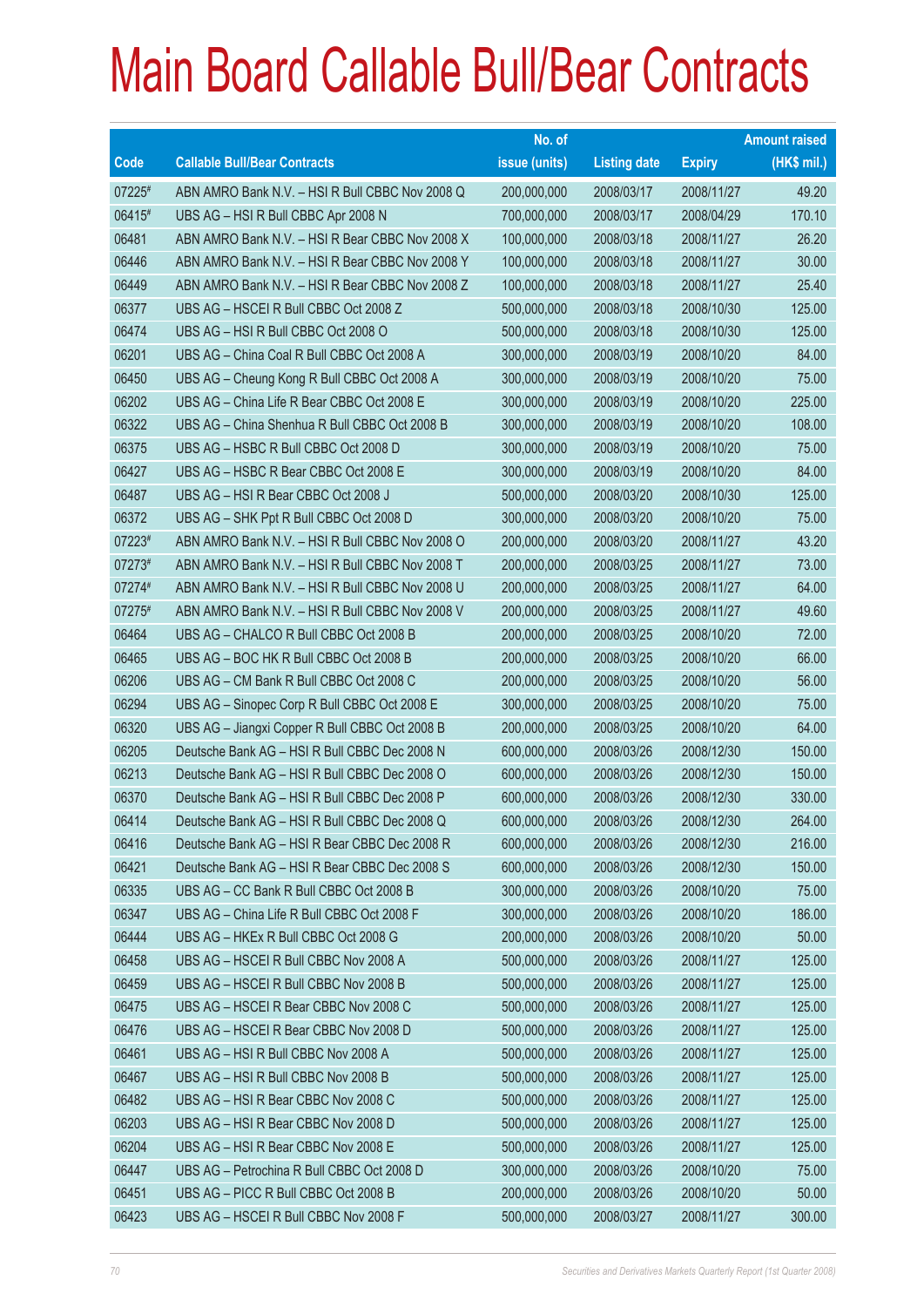|        |                                                 | No. of        |                     |               | <b>Amount raised</b> |
|--------|-------------------------------------------------|---------------|---------------------|---------------|----------------------|
| Code   | <b>Callable Bull/Bear Contracts</b>             | issue (units) | <b>Listing date</b> | <b>Expiry</b> | (HK\$ mil.)          |
| 07225# | ABN AMRO Bank N.V. - HSI R Bull CBBC Nov 2008 Q | 200,000,000   | 2008/03/17          | 2008/11/27    | 49.20                |
| 06415# | UBS AG - HSI R Bull CBBC Apr 2008 N             | 700,000,000   | 2008/03/17          | 2008/04/29    | 170.10               |
| 06481  | ABN AMRO Bank N.V. - HSI R Bear CBBC Nov 2008 X | 100,000,000   | 2008/03/18          | 2008/11/27    | 26.20                |
| 06446  | ABN AMRO Bank N.V. - HSI R Bear CBBC Nov 2008 Y | 100,000,000   | 2008/03/18          | 2008/11/27    | 30.00                |
| 06449  | ABN AMRO Bank N.V. - HSI R Bear CBBC Nov 2008 Z | 100,000,000   | 2008/03/18          | 2008/11/27    | 25.40                |
| 06377  | UBS AG - HSCEI R Bull CBBC Oct 2008 Z           | 500,000,000   | 2008/03/18          | 2008/10/30    | 125.00               |
| 06474  | UBS AG - HSI R Bull CBBC Oct 2008 O             | 500,000,000   | 2008/03/18          | 2008/10/30    | 125.00               |
| 06201  | UBS AG - China Coal R Bull CBBC Oct 2008 A      | 300,000,000   | 2008/03/19          | 2008/10/20    | 84.00                |
| 06450  | UBS AG - Cheung Kong R Bull CBBC Oct 2008 A     | 300,000,000   | 2008/03/19          | 2008/10/20    | 75.00                |
| 06202  | UBS AG - China Life R Bear CBBC Oct 2008 E      | 300,000,000   | 2008/03/19          | 2008/10/20    | 225.00               |
| 06322  | UBS AG - China Shenhua R Bull CBBC Oct 2008 B   | 300,000,000   | 2008/03/19          | 2008/10/20    | 108.00               |
| 06375  | UBS AG - HSBC R Bull CBBC Oct 2008 D            | 300,000,000   | 2008/03/19          | 2008/10/20    | 75.00                |
| 06427  | UBS AG - HSBC R Bear CBBC Oct 2008 E            | 300,000,000   | 2008/03/19          | 2008/10/20    | 84.00                |
| 06487  | UBS AG - HSI R Bear CBBC Oct 2008 J             | 500,000,000   | 2008/03/20          | 2008/10/30    | 125.00               |
| 06372  | UBS AG - SHK Ppt R Bull CBBC Oct 2008 D         | 300,000,000   | 2008/03/20          | 2008/10/20    | 75.00                |
| 07223# | ABN AMRO Bank N.V. - HSI R Bull CBBC Nov 2008 O | 200,000,000   | 2008/03/20          | 2008/11/27    | 43.20                |
| 07273# | ABN AMRO Bank N.V. - HSI R Bull CBBC Nov 2008 T | 200,000,000   | 2008/03/25          | 2008/11/27    | 73.00                |
| 07274# | ABN AMRO Bank N.V. - HSI R Bull CBBC Nov 2008 U | 200,000,000   | 2008/03/25          | 2008/11/27    | 64.00                |
| 07275# | ABN AMRO Bank N.V. - HSI R Bull CBBC Nov 2008 V | 200,000,000   | 2008/03/25          | 2008/11/27    | 49.60                |
| 06464  | UBS AG - CHALCO R Bull CBBC Oct 2008 B          | 200,000,000   | 2008/03/25          | 2008/10/20    | 72.00                |
| 06465  | UBS AG - BOC HK R Bull CBBC Oct 2008 B          | 200,000,000   | 2008/03/25          | 2008/10/20    | 66.00                |
| 06206  | UBS AG - CM Bank R Bull CBBC Oct 2008 C         | 200,000,000   | 2008/03/25          | 2008/10/20    | 56.00                |
| 06294  | UBS AG - Sinopec Corp R Bull CBBC Oct 2008 E    | 300,000,000   | 2008/03/25          | 2008/10/20    | 75.00                |
| 06320  | UBS AG - Jiangxi Copper R Bull CBBC Oct 2008 B  | 200,000,000   | 2008/03/25          | 2008/10/20    | 64.00                |
| 06205  | Deutsche Bank AG - HSI R Bull CBBC Dec 2008 N   | 600,000,000   | 2008/03/26          | 2008/12/30    | 150.00               |
| 06213  | Deutsche Bank AG - HSI R Bull CBBC Dec 2008 O   | 600,000,000   | 2008/03/26          | 2008/12/30    | 150.00               |
| 06370  | Deutsche Bank AG - HSI R Bull CBBC Dec 2008 P   | 600,000,000   | 2008/03/26          | 2008/12/30    | 330.00               |
| 06414  | Deutsche Bank AG - HSI R Bull CBBC Dec 2008 Q   | 600,000,000   | 2008/03/26          | 2008/12/30    | 264.00               |
| 06416  | Deutsche Bank AG - HSI R Bear CBBC Dec 2008 R   | 600,000,000   | 2008/03/26          | 2008/12/30    | 216.00               |
| 06421  | Deutsche Bank AG - HSI R Bear CBBC Dec 2008 S   | 600,000,000   | 2008/03/26          | 2008/12/30    | 150.00               |
| 06335  | UBS AG - CC Bank R Bull CBBC Oct 2008 B         | 300,000,000   | 2008/03/26          | 2008/10/20    | 75.00                |
| 06347  | UBS AG - China Life R Bull CBBC Oct 2008 F      | 300,000,000   | 2008/03/26          | 2008/10/20    | 186.00               |
| 06444  | UBS AG - HKEx R Bull CBBC Oct 2008 G            | 200,000,000   | 2008/03/26          | 2008/10/20    | 50.00                |
| 06458  | UBS AG - HSCEI R Bull CBBC Nov 2008 A           | 500,000,000   | 2008/03/26          | 2008/11/27    | 125.00               |
| 06459  | UBS AG - HSCEI R Bull CBBC Nov 2008 B           | 500,000,000   | 2008/03/26          | 2008/11/27    | 125.00               |
| 06475  | UBS AG - HSCEI R Bear CBBC Nov 2008 C           | 500,000,000   | 2008/03/26          | 2008/11/27    | 125.00               |
| 06476  | UBS AG - HSCEI R Bear CBBC Nov 2008 D           | 500,000,000   | 2008/03/26          | 2008/11/27    | 125.00               |
| 06461  | UBS AG - HSI R Bull CBBC Nov 2008 A             | 500,000,000   | 2008/03/26          | 2008/11/27    | 125.00               |
| 06467  | UBS AG - HSI R Bull CBBC Nov 2008 B             | 500,000,000   | 2008/03/26          | 2008/11/27    | 125.00               |
| 06482  | UBS AG - HSI R Bear CBBC Nov 2008 C             | 500,000,000   | 2008/03/26          | 2008/11/27    | 125.00               |
| 06203  | UBS AG - HSI R Bear CBBC Nov 2008 D             | 500,000,000   | 2008/03/26          | 2008/11/27    | 125.00               |
| 06204  | UBS AG - HSI R Bear CBBC Nov 2008 E             | 500,000,000   | 2008/03/26          | 2008/11/27    | 125.00               |
| 06447  | UBS AG - Petrochina R Bull CBBC Oct 2008 D      | 300,000,000   | 2008/03/26          | 2008/10/20    | 75.00                |
| 06451  | UBS AG - PICC R Bull CBBC Oct 2008 B            | 200,000,000   | 2008/03/26          | 2008/10/20    | 50.00                |
| 06423  | UBS AG - HSCEI R Bull CBBC Nov 2008 F           | 500,000,000   | 2008/03/27          | 2008/11/27    | 300.00               |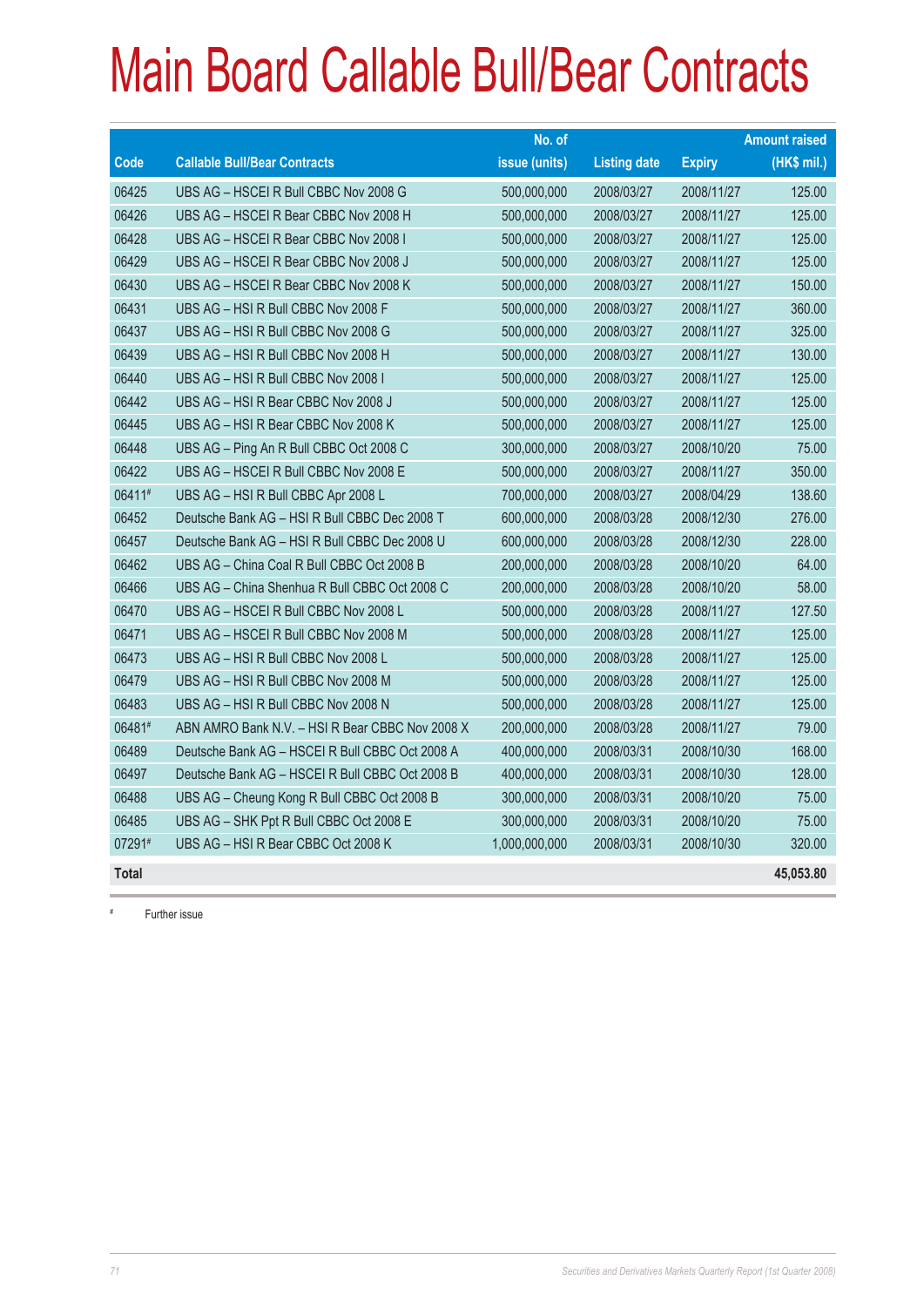|              |                                                 | No. of        |                     |               | <b>Amount raised</b> |
|--------------|-------------------------------------------------|---------------|---------------------|---------------|----------------------|
| Code         | <b>Callable Bull/Bear Contracts</b>             | issue (units) | <b>Listing date</b> | <b>Expiry</b> | $(HK$$ mil.)         |
| 06425        | UBS AG - HSCEI R Bull CBBC Nov 2008 G           | 500,000,000   | 2008/03/27          | 2008/11/27    | 125.00               |
| 06426        | UBS AG - HSCEI R Bear CBBC Nov 2008 H           | 500,000,000   | 2008/03/27          | 2008/11/27    | 125.00               |
| 06428        | UBS AG - HSCEI R Bear CBBC Nov 2008 I           | 500,000,000   | 2008/03/27          | 2008/11/27    | 125.00               |
| 06429        | UBS AG - HSCEI R Bear CBBC Nov 2008 J           | 500,000,000   | 2008/03/27          | 2008/11/27    | 125.00               |
| 06430        | UBS AG - HSCEI R Bear CBBC Nov 2008 K           | 500,000,000   | 2008/03/27          | 2008/11/27    | 150.00               |
| 06431        | UBS AG - HSI R Bull CBBC Nov 2008 F             | 500,000,000   | 2008/03/27          | 2008/11/27    | 360.00               |
| 06437        | UBS AG - HSI R Bull CBBC Nov 2008 G             | 500,000,000   | 2008/03/27          | 2008/11/27    | 325.00               |
| 06439        | UBS AG - HSI R Bull CBBC Nov 2008 H             | 500,000,000   | 2008/03/27          | 2008/11/27    | 130.00               |
| 06440        | UBS AG - HSI R Bull CBBC Nov 2008 I             | 500,000,000   | 2008/03/27          | 2008/11/27    | 125.00               |
| 06442        | UBS AG - HSI R Bear CBBC Nov 2008 J             | 500,000,000   | 2008/03/27          | 2008/11/27    | 125.00               |
| 06445        | UBS AG - HSI R Bear CBBC Nov 2008 K             | 500,000,000   | 2008/03/27          | 2008/11/27    | 125.00               |
| 06448        | UBS AG - Ping An R Bull CBBC Oct 2008 C         | 300,000,000   | 2008/03/27          | 2008/10/20    | 75.00                |
| 06422        | UBS AG - HSCEI R Bull CBBC Nov 2008 E           | 500,000,000   | 2008/03/27          | 2008/11/27    | 350.00               |
| 06411#       | UBS AG - HSI R Bull CBBC Apr 2008 L             | 700,000,000   | 2008/03/27          | 2008/04/29    | 138.60               |
| 06452        | Deutsche Bank AG - HSI R Bull CBBC Dec 2008 T   | 600,000,000   | 2008/03/28          | 2008/12/30    | 276.00               |
| 06457        | Deutsche Bank AG - HSI R Bull CBBC Dec 2008 U   | 600,000,000   | 2008/03/28          | 2008/12/30    | 228.00               |
| 06462        | UBS AG - China Coal R Bull CBBC Oct 2008 B      | 200,000,000   | 2008/03/28          | 2008/10/20    | 64.00                |
| 06466        | UBS AG - China Shenhua R Bull CBBC Oct 2008 C   | 200,000,000   | 2008/03/28          | 2008/10/20    | 58.00                |
| 06470        | UBS AG - HSCEI R Bull CBBC Nov 2008 L           | 500,000,000   | 2008/03/28          | 2008/11/27    | 127.50               |
| 06471        | UBS AG - HSCEI R Bull CBBC Nov 2008 M           | 500,000,000   | 2008/03/28          | 2008/11/27    | 125.00               |
| 06473        | UBS AG - HSI R Bull CBBC Nov 2008 L             | 500,000,000   | 2008/03/28          | 2008/11/27    | 125.00               |
| 06479        | UBS AG - HSI R Bull CBBC Nov 2008 M             | 500,000,000   | 2008/03/28          | 2008/11/27    | 125.00               |
| 06483        | UBS AG - HSI R Bull CBBC Nov 2008 N             | 500,000,000   | 2008/03/28          | 2008/11/27    | 125.00               |
| 06481#       | ABN AMRO Bank N.V. - HSI R Bear CBBC Nov 2008 X | 200,000,000   | 2008/03/28          | 2008/11/27    | 79.00                |
| 06489        | Deutsche Bank AG - HSCEI R Bull CBBC Oct 2008 A | 400,000,000   | 2008/03/31          | 2008/10/30    | 168.00               |
| 06497        | Deutsche Bank AG - HSCEI R Bull CBBC Oct 2008 B | 400,000,000   | 2008/03/31          | 2008/10/30    | 128.00               |
| 06488        | UBS AG - Cheung Kong R Bull CBBC Oct 2008 B     | 300,000,000   | 2008/03/31          | 2008/10/20    | 75.00                |
| 06485        | UBS AG - SHK Ppt R Bull CBBC Oct 2008 E         | 300,000,000   | 2008/03/31          | 2008/10/20    | 75.00                |
| 07291#       | UBS AG - HSI R Bear CBBC Oct 2008 K             | 1,000,000,000 | 2008/03/31          | 2008/10/30    | 320.00               |
| <b>Total</b> |                                                 |               |                     |               | 45,053.80            |

# Further issue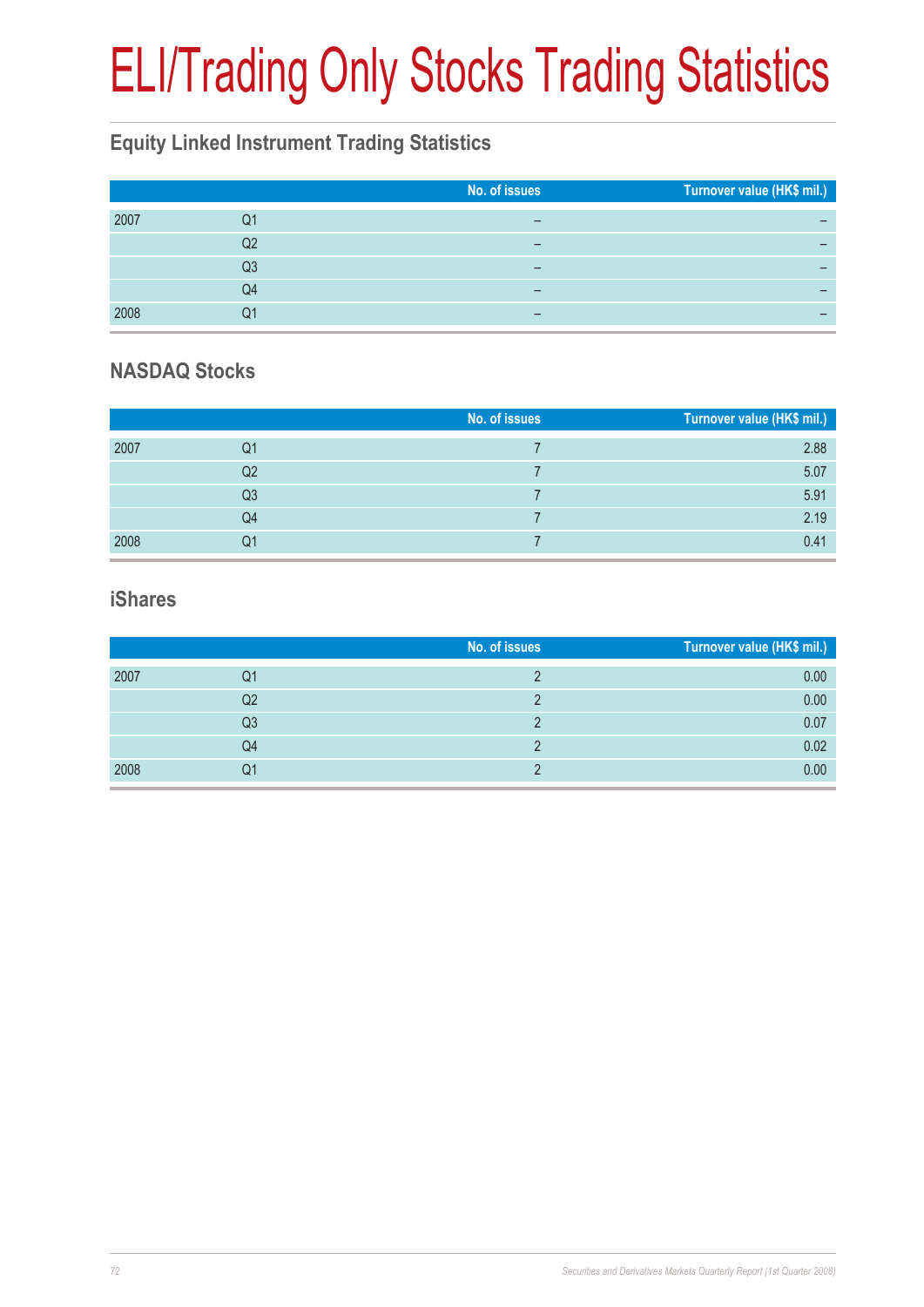# ELI/Trading Only Stocks Trading Statistics

### **Equity Linked Instrument Trading Statistics**

|      |    | No. of issues | Turnover value (HK\$ mil.) |
|------|----|---------------|----------------------------|
| 2007 | Q1 | -             |                            |
|      | Q2 | -             |                            |
|      | Q3 |               |                            |
|      | Q4 | -             |                            |
| 2008 | Q1 | –             |                            |

#### **NASDAQ Stocks**

|      |                | No. of issues | Turnover value (HK\$ mil.) |
|------|----------------|---------------|----------------------------|
| 2007 | Q1             |               | 2.88                       |
|      | Q2             |               | 5.07                       |
|      | Q <sub>3</sub> |               | 5.91                       |
|      | Q4             |               | 2.19                       |
| 2008 | Q1             |               | 0.41                       |

#### **iShares**

|      |    | No. of issues | Turnover value (HK\$ mil.) |
|------|----|---------------|----------------------------|
| 2007 | Q1 |               | 0.00                       |
|      | Q2 |               | 0.00                       |
|      | Q3 |               | 0.07                       |
|      | Q4 |               | 0.02                       |
| 2008 | Q1 |               | 0.00                       |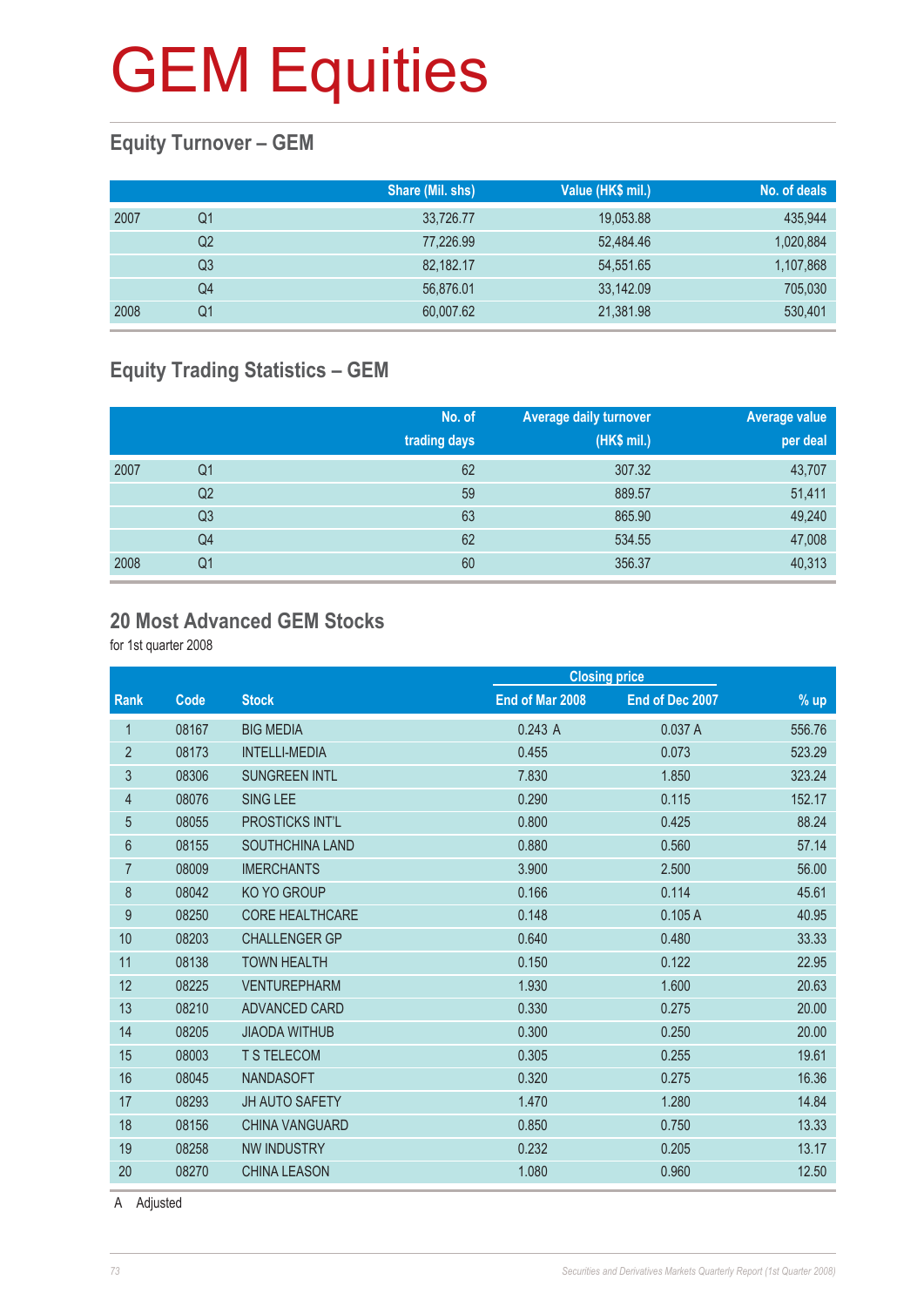#### **Equity Turnover – GEM**

|      |    | Share (Mil. shs) | Value (HK\$ mil.) | No. of deals |
|------|----|------------------|-------------------|--------------|
| 2007 | Q1 | 33,726.77        | 19,053.88         | 435,944      |
|      | Q2 | 77.226.99        | 52.484.46         | 1,020,884    |
|      | Q3 | 82.182.17        | 54,551.65         | 1,107,868    |
|      | Q4 | 56,876.01        | 33,142.09         | 705,030      |
| 2008 | Q1 | 60,007.62        | 21,381.98         | 530,401      |

#### **Equity Trading Statistics – GEM**

|      |                | No. of<br>trading days | <b>Average daily turnover</b><br>(HK\$ mil.) | <b>Average value</b><br>per deal |
|------|----------------|------------------------|----------------------------------------------|----------------------------------|
| 2007 | Q <sub>1</sub> | 62                     | 307.32                                       | 43,707                           |
|      | Q <sub>2</sub> | 59                     | 889.57                                       | 51,411                           |
|      | Q <sub>3</sub> | 63                     | 865.90                                       | 49,240                           |
|      | Q4             | 62                     | 534.55                                       | 47,008                           |
| 2008 | Q <sub>1</sub> | 60                     | 356.37                                       | 40,313                           |

#### **20 Most Advanced GEM Stocks**

for 1st quarter 2008

|                |       |                        | <b>Closing price</b> |                 |        |
|----------------|-------|------------------------|----------------------|-----------------|--------|
| <b>Rank</b>    | Code  | <b>Stock</b>           | End of Mar 2008      | End of Dec 2007 | % up   |
| 1              | 08167 | <b>BIG MEDIA</b>       | 0.243A               | 0.037A          | 556.76 |
| $\overline{2}$ | 08173 | <b>INTELLI-MEDIA</b>   | 0.455                | 0.073           | 523.29 |
| 3              | 08306 | <b>SUNGREEN INTL</b>   | 7.830                | 1.850           | 323.24 |
| 4              | 08076 | <b>SING LEE</b>        | 0.290                | 0.115           | 152.17 |
| 5              | 08055 | <b>PROSTICKS INT'L</b> | 0.800                | 0.425           | 88.24  |
| 6              | 08155 | <b>SOUTHCHINA LAND</b> | 0.880                | 0.560           | 57.14  |
| $\overline{7}$ | 08009 | <b>IMERCHANTS</b>      | 3.900                | 2.500           | 56.00  |
| 8              | 08042 | <b>KO YO GROUP</b>     | 0.166                | 0.114           | 45.61  |
| 9              | 08250 | <b>CORE HEALTHCARE</b> | 0.148                | 0.105A          | 40.95  |
| 10             | 08203 | <b>CHALLENGER GP</b>   | 0.640                | 0.480           | 33.33  |
| 11             | 08138 | <b>TOWN HEALTH</b>     | 0.150                | 0.122           | 22.95  |
| 12             | 08225 | <b>VENTUREPHARM</b>    | 1.930                | 1.600           | 20.63  |
| 13             | 08210 | <b>ADVANCED CARD</b>   | 0.330                | 0.275           | 20.00  |
| 14             | 08205 | <b>JIAODA WITHUB</b>   | 0.300                | 0.250           | 20.00  |
| 15             | 08003 | <b>T S TELECOM</b>     | 0.305                | 0.255           | 19.61  |
| 16             | 08045 | <b>NANDASOFT</b>       | 0.320                | 0.275           | 16.36  |
| 17             | 08293 | <b>JH AUTO SAFETY</b>  | 1.470                | 1.280           | 14.84  |
| 18             | 08156 | <b>CHINA VANGUARD</b>  | 0.850                | 0.750           | 13.33  |
| 19             | 08258 | <b>NW INDUSTRY</b>     | 0.232                | 0.205           | 13.17  |
| 20             | 08270 | <b>CHINA LEASON</b>    | 1.080                | 0.960           | 12.50  |
|                |       |                        |                      |                 |        |

A Adjusted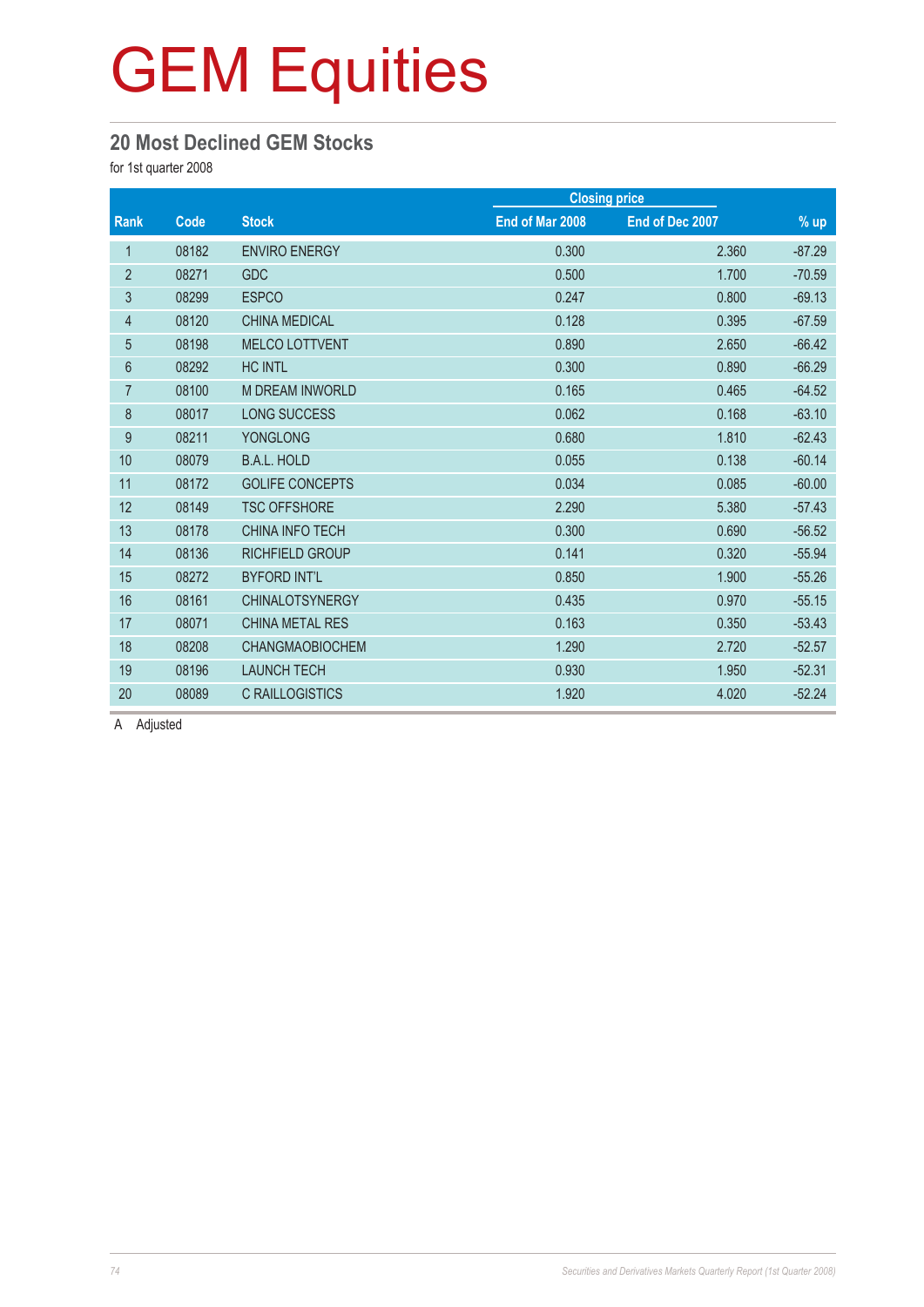#### **20 Most Declined GEM Stocks**

for 1st quarter 2008

|                |       |                        |                 | <b>Closing price</b> |          |  |
|----------------|-------|------------------------|-----------------|----------------------|----------|--|
| Rank           | Code  | <b>Stock</b>           | End of Mar 2008 | End of Dec 2007      | $%$ up   |  |
| $\mathbf{1}$   | 08182 | <b>ENVIRO ENERGY</b>   | 0.300           | 2.360                | $-87.29$ |  |
| $\overline{2}$ | 08271 | <b>GDC</b>             | 0.500           | 1.700                | $-70.59$ |  |
| 3              | 08299 | <b>ESPCO</b>           | 0.247           | 0.800                | $-69.13$ |  |
| 4              | 08120 | <b>CHINA MEDICAL</b>   | 0.128           | 0.395                | $-67.59$ |  |
| $\overline{5}$ | 08198 | <b>MELCO LOTTVENT</b>  | 0.890           | 2.650                | $-66.42$ |  |
| 6              | 08292 | <b>HC INTL</b>         | 0.300           | 0.890                | $-66.29$ |  |
| $\overline{7}$ | 08100 | <b>M DREAM INWORLD</b> | 0.165           | 0.465                | $-64.52$ |  |
| $\bf 8$        | 08017 | <b>LONG SUCCESS</b>    | 0.062           | 0.168                | $-63.10$ |  |
| 9              | 08211 | <b>YONGLONG</b>        | 0.680           | 1.810                | $-62.43$ |  |
| 10             | 08079 | <b>B.A.L. HOLD</b>     | 0.055           | 0.138                | $-60.14$ |  |
| 11             | 08172 | <b>GOLIFE CONCEPTS</b> | 0.034           | 0.085                | $-60.00$ |  |
| 12             | 08149 | <b>TSC OFFSHORE</b>    | 2.290           | 5.380                | $-57.43$ |  |
| 13             | 08178 | <b>CHINA INFO TECH</b> | 0.300           | 0.690                | $-56.52$ |  |
| 14             | 08136 | <b>RICHFIELD GROUP</b> | 0.141           | 0.320                | $-55.94$ |  |
| 15             | 08272 | <b>BYFORD INT'L</b>    | 0.850           | 1.900                | $-55.26$ |  |
| 16             | 08161 | <b>CHINALOTSYNERGY</b> | 0.435           | 0.970                | $-55.15$ |  |
| 17             | 08071 | <b>CHINA METAL RES</b> | 0.163           | 0.350                | $-53.43$ |  |
| 18             | 08208 | <b>CHANGMAOBIOCHEM</b> | 1.290           | 2.720                | $-52.57$ |  |
| 19             | 08196 | <b>LAUNCH TECH</b>     | 0.930           | 1.950                | $-52.31$ |  |
| 20             | 08089 | <b>C RAILLOGISTICS</b> | 1.920           | 4.020                | $-52.24$ |  |

A Adjusted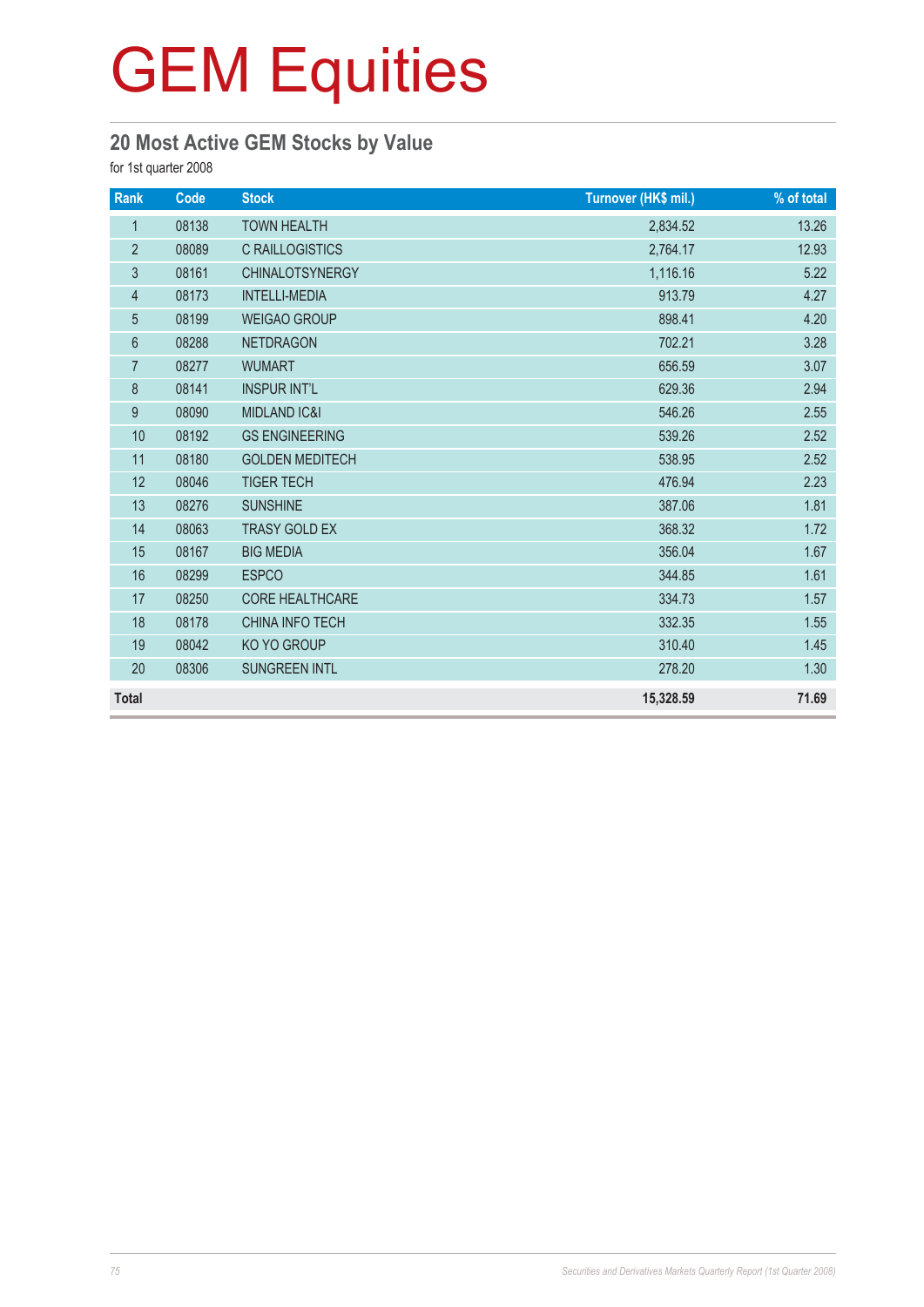#### **20 Most Active GEM Stocks by Value**

for 1st quarter 2008

| Rank             | Code  | <b>Stock</b>            | Turnover (HK\$ mil.) | % of total |
|------------------|-------|-------------------------|----------------------|------------|
| $\mathbf{1}$     | 08138 | <b>TOWN HEALTH</b>      | 2,834.52             | 13.26      |
| $\sqrt{2}$       | 08089 | <b>C RAILLOGISTICS</b>  | 2,764.17             | 12.93      |
| $\mathfrak{Z}$   | 08161 | <b>CHINALOTSYNERGY</b>  | 1,116.16             | 5.22       |
| $\overline{4}$   | 08173 | <b>INTELLI-MEDIA</b>    | 913.79               | 4.27       |
| 5                | 08199 | <b>WEIGAO GROUP</b>     | 898.41               | 4.20       |
| 6                | 08288 | <b>NETDRAGON</b>        | 702.21               | 3.28       |
| $\overline{7}$   | 08277 | <b>WUMART</b>           | 656.59               | 3.07       |
| 8                | 08141 | <b>INSPUR INT'L</b>     | 629.36               | 2.94       |
| $\boldsymbol{9}$ | 08090 | <b>MIDLAND IC&amp;I</b> | 546.26               | 2.55       |
| 10               | 08192 | <b>GS ENGINEERING</b>   | 539.26               | 2.52       |
| 11               | 08180 | <b>GOLDEN MEDITECH</b>  | 538.95               | 2.52       |
| 12               | 08046 | <b>TIGER TECH</b>       | 476.94               | 2.23       |
| 13               | 08276 | <b>SUNSHINE</b>         | 387.06               | 1.81       |
| 14               | 08063 | <b>TRASY GOLD EX</b>    | 368.32               | 1.72       |
| 15               | 08167 | <b>BIG MEDIA</b>        | 356.04               | 1.67       |
| 16               | 08299 | <b>ESPCO</b>            | 344.85               | 1.61       |
| 17               | 08250 | <b>CORE HEALTHCARE</b>  | 334.73               | 1.57       |
| 18               | 08178 | <b>CHINA INFO TECH</b>  | 332.35               | 1.55       |
| 19               | 08042 | KO YO GROUP             | 310.40               | 1.45       |
| 20               | 08306 | <b>SUNGREEN INTL</b>    | 278.20               | 1.30       |
| <b>Total</b>     |       |                         | 15,328.59            | 71.69      |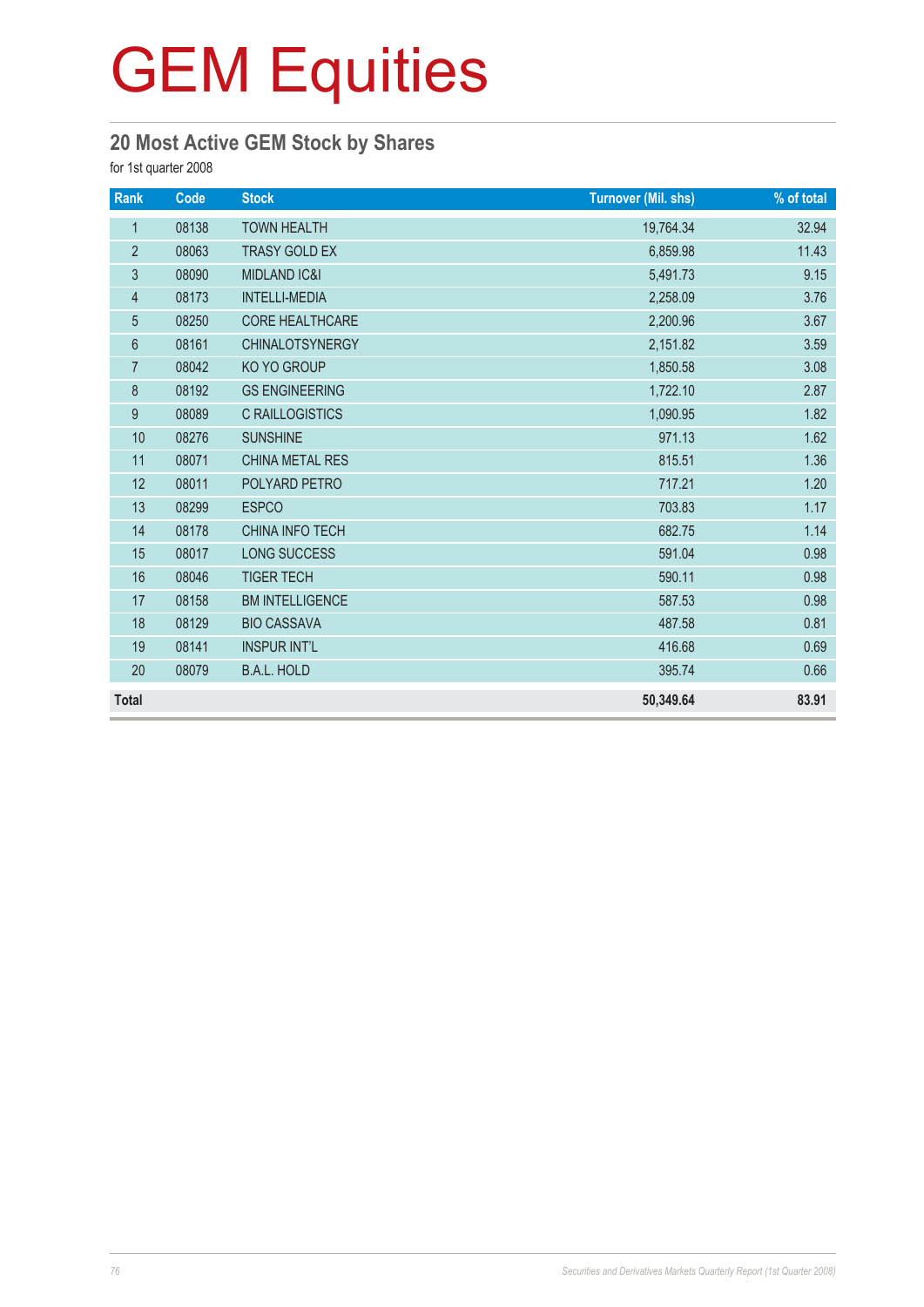#### **20 Most Active GEM Stock by Shares**

for 1st quarter 2008

| Rank           | Code  | <b>Stock</b>            | <b>Turnover (Mil. shs)</b> | % of total |
|----------------|-------|-------------------------|----------------------------|------------|
| $\mathbf{1}$   | 08138 | <b>TOWN HEALTH</b>      | 19,764.34                  | 32.94      |
| $\overline{2}$ | 08063 | <b>TRASY GOLD EX</b>    | 6,859.98                   | 11.43      |
| 3              | 08090 | <b>MIDLAND IC&amp;I</b> | 5,491.73                   | 9.15       |
| 4              | 08173 | <b>INTELLI-MEDIA</b>    | 2,258.09                   | 3.76       |
| $\overline{5}$ | 08250 | <b>CORE HEALTHCARE</b>  | 2,200.96                   | 3.67       |
| $6\,$          | 08161 | <b>CHINALOTSYNERGY</b>  | 2,151.82                   | 3.59       |
| $\overline{7}$ | 08042 | KO YO GROUP             | 1,850.58                   | 3.08       |
| 8              | 08192 | <b>GS ENGINEERING</b>   | 1,722.10                   | 2.87       |
| 9              | 08089 | <b>C RAILLOGISTICS</b>  | 1,090.95                   | 1.82       |
| 10             | 08276 | <b>SUNSHINE</b>         | 971.13                     | 1.62       |
| 11             | 08071 | <b>CHINA METAL RES</b>  | 815.51                     | 1.36       |
| 12             | 08011 | POLYARD PETRO           | 717.21                     | 1.20       |
| 13             | 08299 | <b>ESPCO</b>            | 703.83                     | 1.17       |
| 14             | 08178 | CHINA INFO TECH         | 682.75                     | 1.14       |
| 15             | 08017 | <b>LONG SUCCESS</b>     | 591.04                     | 0.98       |
| 16             | 08046 | <b>TIGER TECH</b>       | 590.11                     | 0.98       |
| 17             | 08158 | <b>BM INTELLIGENCE</b>  | 587.53                     | 0.98       |
| 18             | 08129 | <b>BIO CASSAVA</b>      | 487.58                     | 0.81       |
| 19             | 08141 | <b>INSPUR INT'L</b>     | 416.68                     | 0.69       |
| 20             | 08079 | <b>B.A.L. HOLD</b>      | 395.74                     | 0.66       |
| <b>Total</b>   |       |                         | 50,349.64                  | 83.91      |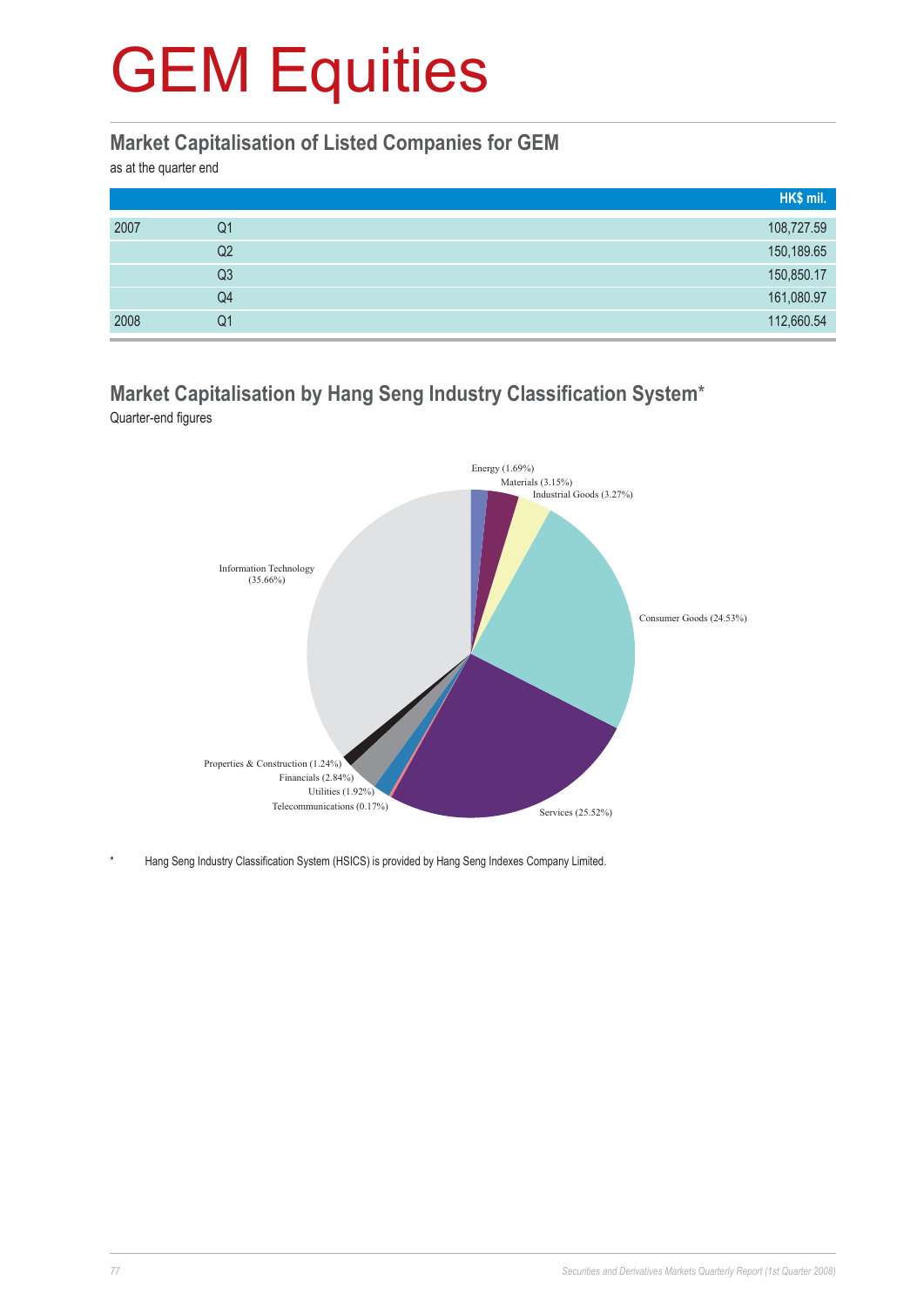#### **Market Capitalisation of Listed Companies for GEM**

as at the quarter end

|      |                | HK\$ mil.  |
|------|----------------|------------|
| 2007 | Q1             | 108,727.59 |
|      | Q <sub>2</sub> | 150,189.65 |
|      | Q3             | 150,850.17 |
|      | Q4             | 161,080.97 |
| 2008 | Q1             | 112,660.54 |

#### **Market Capitalisation by Hang Seng Industry Classification System**\* Quarter-end figures



Hang Seng Industry Classification System (HSICS) is provided by Hang Seng Indexes Company Limited.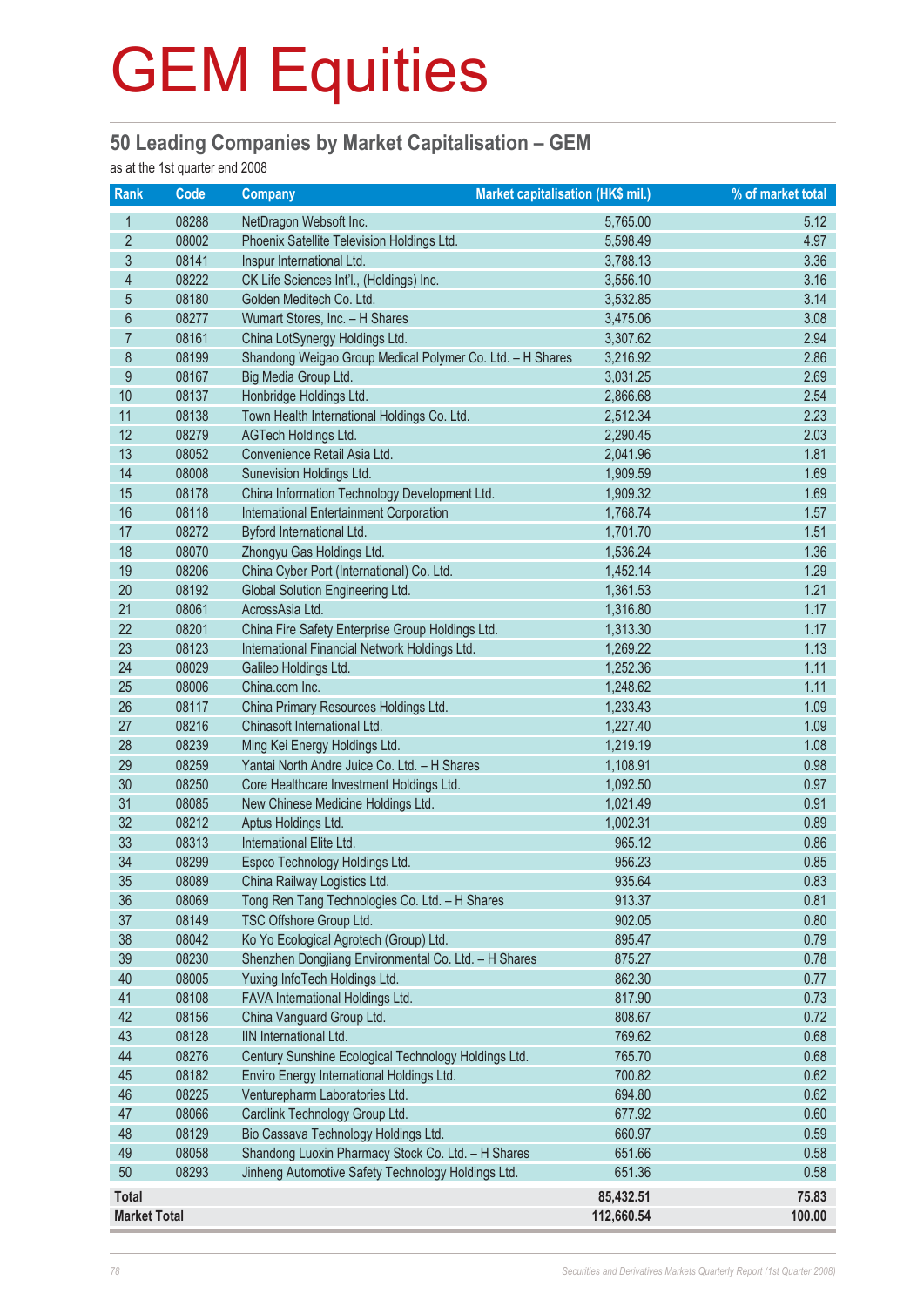#### **50 Leading Companies by Market Capitalisation – GEM**

as at the 1st quarter end 2008

| Rank                    | Code  | <b>Company</b>                                            | Market capitalisation (HK\$ mil.) | % of market total |
|-------------------------|-------|-----------------------------------------------------------|-----------------------------------|-------------------|
| 1                       | 08288 | NetDragon Websoft Inc.                                    | 5,765.00                          | 5.12              |
| $\overline{2}$          | 08002 | Phoenix Satellite Television Holdings Ltd.                | 5,598.49                          | 4.97              |
| $\sqrt{3}$              | 08141 | Inspur International Ltd.                                 | 3,788.13                          | 3.36              |
| $\overline{\mathbf{4}}$ | 08222 | CK Life Sciences Int'l., (Holdings) Inc.                  | 3,556.10                          | 3.16              |
| $\overline{5}$          | 08180 | Golden Meditech Co. Ltd.                                  | 3,532.85                          | 3.14              |
| $6\,$                   | 08277 | Wumart Stores, Inc. - H Shares                            | 3,475.06                          | 3.08              |
| $\overline{7}$          | 08161 | China LotSynergy Holdings Ltd.                            | 3,307.62                          | 2.94              |
| 8                       | 08199 | Shandong Weigao Group Medical Polymer Co. Ltd. - H Shares | 3,216.92                          | 2.86              |
| $\boldsymbol{9}$        | 08167 | Big Media Group Ltd.                                      | 3,031.25                          | 2.69              |
| 10                      | 08137 | Honbridge Holdings Ltd.                                   | 2,866.68                          | 2.54              |
| 11                      | 08138 | Town Health International Holdings Co. Ltd.               | 2,512.34                          | 2.23              |
| 12                      | 08279 | AGTech Holdings Ltd.                                      | 2,290.45                          | 2.03              |
| 13                      | 08052 | Convenience Retail Asia Ltd.                              | 2,041.96                          | 1.81              |
| 14                      | 08008 | Sunevision Holdings Ltd.                                  | 1,909.59                          | 1.69              |
| 15                      | 08178 | China Information Technology Development Ltd.             | 1,909.32                          | 1.69              |
| 16                      | 08118 | International Entertainment Corporation                   | 1,768.74                          | 1.57              |
| 17                      | 08272 | Byford International Ltd.                                 | 1,701.70                          | 1.51              |
| 18                      | 08070 | Zhongyu Gas Holdings Ltd.                                 | 1,536.24                          | 1.36              |
| 19                      | 08206 | China Cyber Port (International) Co. Ltd.                 | 1,452.14                          | 1.29              |
| 20                      | 08192 | Global Solution Engineering Ltd.                          | 1,361.53                          | 1.21              |
| 21                      | 08061 | AcrossAsia Ltd.                                           | 1,316.80                          | 1.17              |
| 22                      | 08201 | China Fire Safety Enterprise Group Holdings Ltd.          | 1,313.30                          | 1.17              |
| 23                      | 08123 | International Financial Network Holdings Ltd.             | 1,269.22                          | 1.13              |
| 24                      | 08029 | Galileo Holdings Ltd.                                     | 1,252.36                          | 1.11              |
| 25                      | 08006 | China.com Inc.                                            | 1,248.62                          | 1.11              |
| 26                      | 08117 | China Primary Resources Holdings Ltd.                     | 1,233.43                          | 1.09              |
| 27                      | 08216 | Chinasoft International Ltd.                              | 1,227.40                          | 1.09              |
| 28                      | 08239 | Ming Kei Energy Holdings Ltd.                             | 1,219.19                          | 1.08              |
| 29                      | 08259 | Yantai North Andre Juice Co. Ltd. - H Shares              | 1,108.91                          | 0.98              |
| 30                      | 08250 | Core Healthcare Investment Holdings Ltd.                  | 1,092.50                          | 0.97              |
| 31                      | 08085 | New Chinese Medicine Holdings Ltd.                        | 1,021.49                          | 0.91              |
| 32                      | 08212 | Aptus Holdings Ltd.                                       | 1,002.31                          | 0.89              |
| 33                      | 08313 | International Elite Ltd.                                  | 965.12                            | 0.86              |
| 34                      | 08299 | Espco Technology Holdings Ltd.                            | 956.23                            | 0.85              |
| 35                      | 08089 | China Railway Logistics Ltd.                              | 935.64                            | 0.83              |
| 36                      | 08069 | Tong Ren Tang Technologies Co. Ltd. - H Shares            | 913.37                            | 0.81              |
| 37                      | 08149 | TSC Offshore Group Ltd.                                   | 902.05                            | 0.80              |
| 38                      | 08042 | Ko Yo Ecological Agrotech (Group) Ltd.                    | 895.47                            | 0.79              |
| 39                      | 08230 | Shenzhen Dongjiang Environmental Co. Ltd. - H Shares      | 875.27                            | 0.78              |
| 40                      | 08005 | Yuxing InfoTech Holdings Ltd.                             | 862.30                            | 0.77              |
| 41                      | 08108 | FAVA International Holdings Ltd.                          | 817.90                            | 0.73              |
| 42                      | 08156 | China Vanguard Group Ltd.                                 | 808.67                            | 0.72              |
| 43                      | 08128 | IIN International Ltd.                                    | 769.62                            | 0.68              |
| 44                      | 08276 | Century Sunshine Ecological Technology Holdings Ltd.      | 765.70                            | 0.68              |
| 45                      | 08182 | Enviro Energy International Holdings Ltd.                 | 700.82                            | 0.62              |
| 46                      | 08225 | Venturepharm Laboratories Ltd.                            | 694.80                            | 0.62              |
| 47                      | 08066 | Cardlink Technology Group Ltd.                            | 677.92                            | 0.60              |
| 48                      | 08129 | Bio Cassava Technology Holdings Ltd.                      | 660.97                            | 0.59              |
| 49                      | 08058 | Shandong Luoxin Pharmacy Stock Co. Ltd. - H Shares        | 651.66                            | 0.58              |
| 50                      | 08293 | Jinheng Automotive Safety Technology Holdings Ltd.        | 651.36                            | 0.58              |
| <b>Total</b>            |       |                                                           | 85,432.51                         | 75.83             |
| <b>Market Total</b>     |       |                                                           | 112,660.54                        | 100.00            |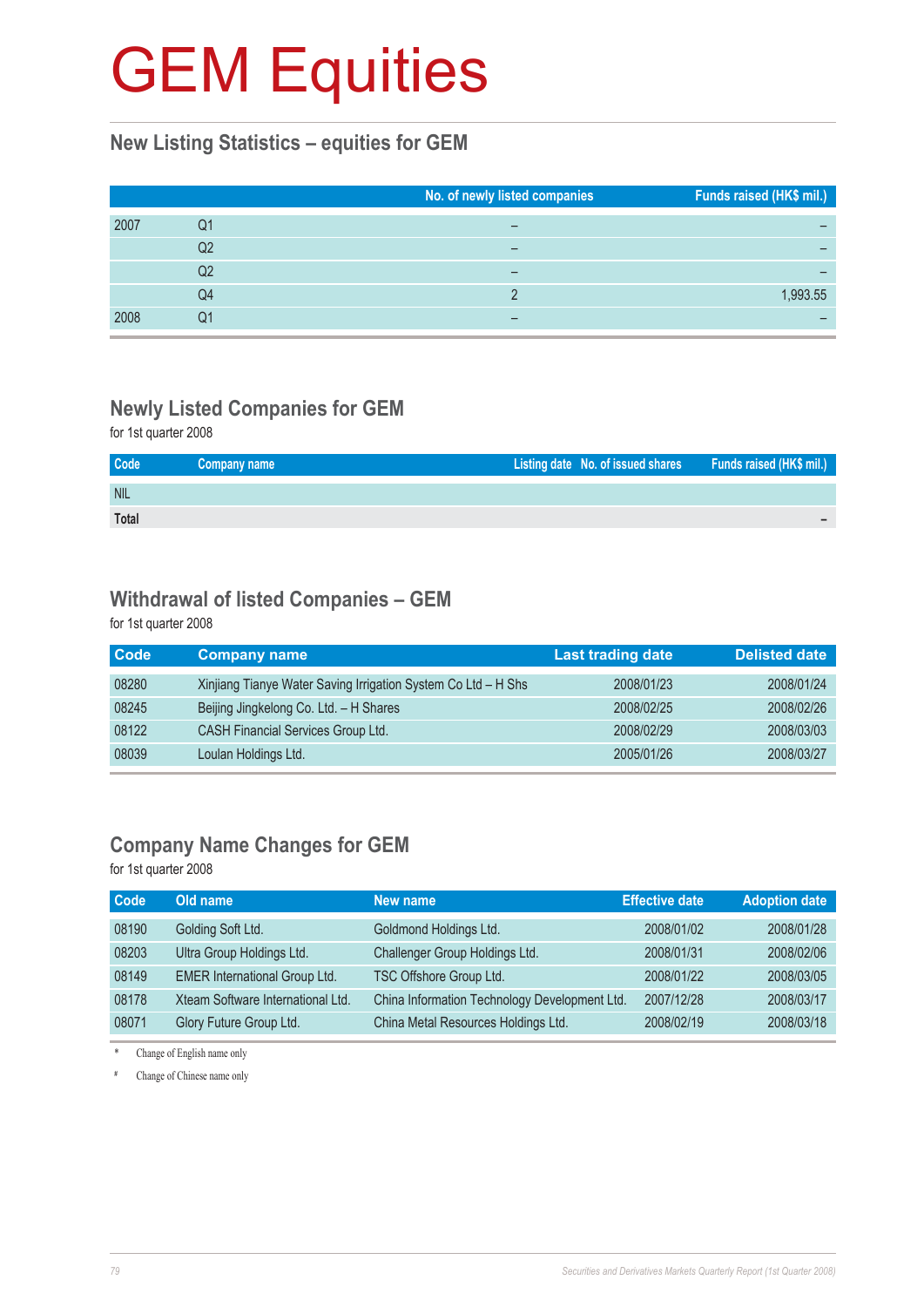#### **New Listing Statistics – equities for GEM**

|      |    | No. of newly listed companies | Funds raised (HK\$ mil.) |
|------|----|-------------------------------|--------------------------|
| 2007 | Q1 |                               |                          |
|      | Q2 | -                             |                          |
|      | Q2 |                               |                          |
|      | Q4 |                               | 1,993.55                 |
| 2008 | 01 |                               |                          |

### **Newly Listed Companies for GEM**

for 1st quarter 2008

| Code         | Company name | Listing date No. of issued shares Funds raised (HK\$ mil.) |  |
|--------------|--------------|------------------------------------------------------------|--|
| <b>NIL</b>   |              |                                                            |  |
| <b>Total</b> |              |                                                            |  |

#### **Withdrawal of listed Companies – GEM**

for 1st quarter 2008

| <b>Code</b> | <b>Company name</b>                                           | <b>Last trading date</b> | <b>Delisted date</b> |
|-------------|---------------------------------------------------------------|--------------------------|----------------------|
| 08280       | Xinjiang Tianye Water Saving Irrigation System Co Ltd - H Shs | 2008/01/23               | 2008/01/24           |
| 08245       | Beijing Jingkelong Co. Ltd. - H Shares                        | 2008/02/25               | 2008/02/26           |
| 08122       | <b>CASH Financial Services Group Ltd.</b>                     | 2008/02/29               | 2008/03/03           |
| 08039       | Loulan Holdings Ltd.                                          | 2005/01/26               | 2008/03/27           |

#### **Company Name Changes for GEM**

for 1st quarter 2008

| <b>Code</b> | Old name                             | New name                                      | <b>Effective date</b> | <b>Adoption date</b> |
|-------------|--------------------------------------|-----------------------------------------------|-----------------------|----------------------|
| 08190       | Golding Soft Ltd.                    | Goldmond Holdings Ltd.                        | 2008/01/02            | 2008/01/28           |
| 08203       | Ultra Group Holdings Ltd.            | Challenger Group Holdings Ltd.                | 2008/01/31            | 2008/02/06           |
| 08149       | <b>EMER International Group Ltd.</b> | TSC Offshore Group Ltd.                       | 2008/01/22            | 2008/03/05           |
| 08178       | Xteam Software International Ltd.    | China Information Technology Development Ltd. | 2007/12/28            | 2008/03/17           |
| 08071       | Glory Future Group Ltd.              | China Metal Resources Holdings Ltd.           | 2008/02/19            | 2008/03/18           |

\* Change of English name only

# Change of Chinese name only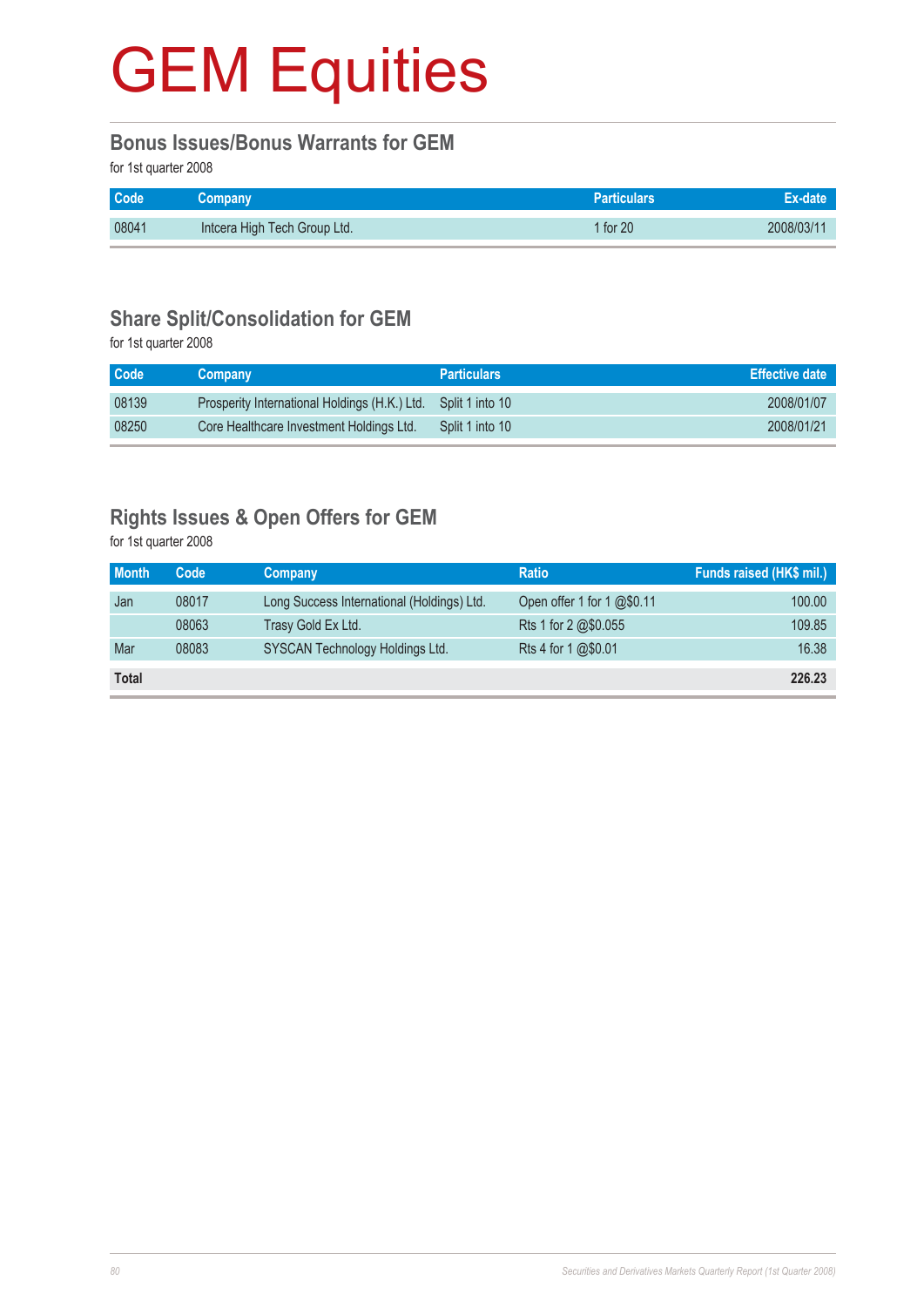#### **Bonus Issues/Bonus Warrants for GEM**

for 1st quarter 2008

| <b>Code</b> | <b>Company</b>               | <b>Particulars</b> ' | Ex-date    |
|-------------|------------------------------|----------------------|------------|
| 08041       | Intcera High Tech Group Ltd. | $1$ for $20$         | 2008/03/11 |

#### **Share Split/Consolidation for GEM**

for 1st quarter 2008

| Code  | <b>Company</b>                                | <b>Particulars</b> | <b>Effective date</b> |
|-------|-----------------------------------------------|--------------------|-----------------------|
| 08139 | Prosperity International Holdings (H.K.) Ltd. | Split 1 into 10    | 2008/01/07            |
| 08250 | Core Healthcare Investment Holdings Ltd.      | Split 1 into 10    | 2008/01/21            |

#### **Rights Issues & Open Offers for GEM**

for 1st quarter 2008

| <b>Month</b> | Code  | <b>Company</b>                             | <b>Ratio</b>               | Funds raised (HK\$ mil.) |
|--------------|-------|--------------------------------------------|----------------------------|--------------------------|
| Jan          | 08017 | Long Success International (Holdings) Ltd. | Open offer 1 for 1 @\$0.11 | 100.00                   |
|              | 08063 | Trasy Gold Ex Ltd.                         | Rts 1 for 2 @\$0.055       | 109.85                   |
| Mar          | 08083 | SYSCAN Technology Holdings Ltd.            | Rts 4 for 1 @\$0.01        | 16.38                    |
| <b>Total</b> |       |                                            |                            | 226.23                   |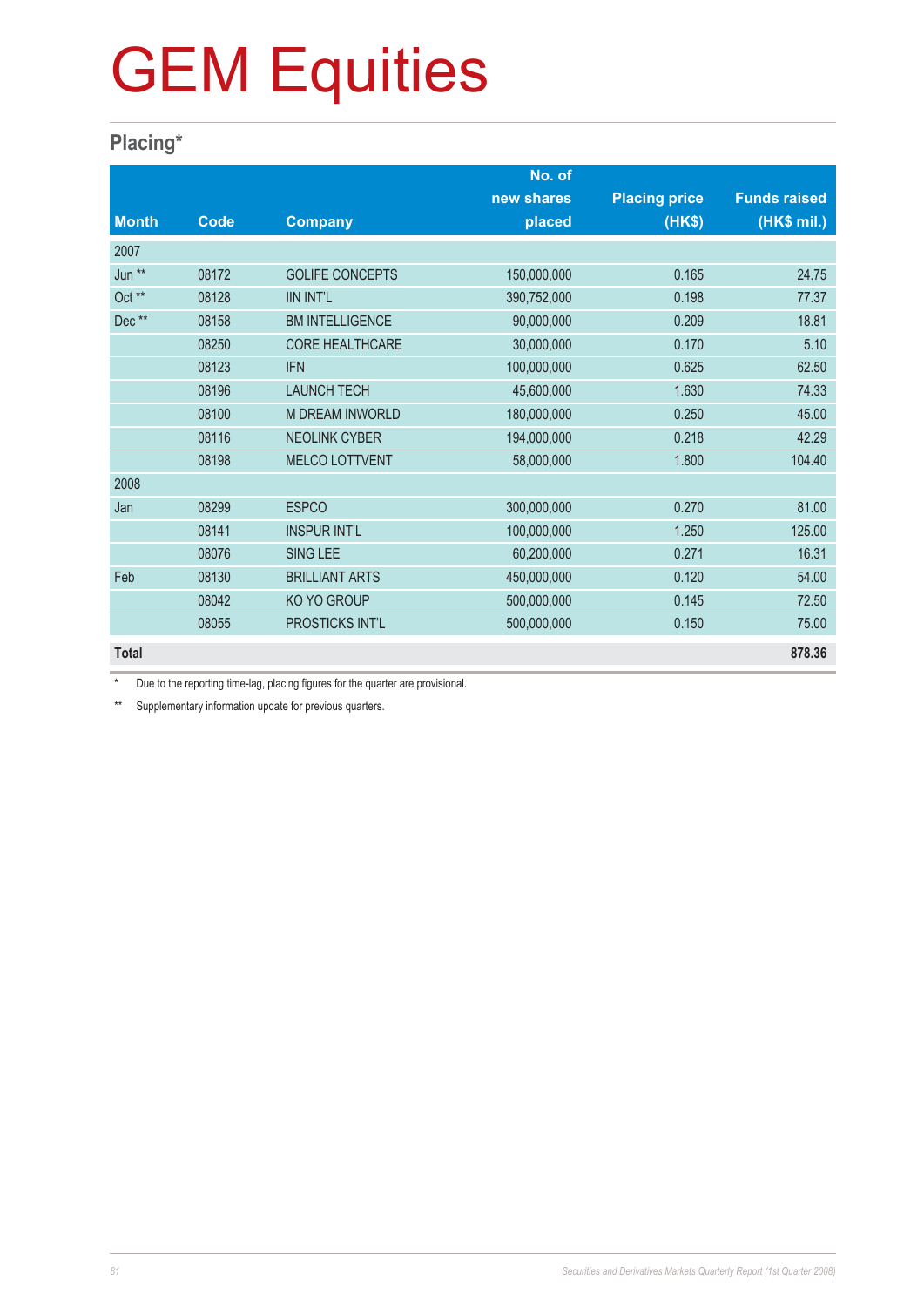#### **Placing\***

|              |       |                        | No. of      |                      |                     |
|--------------|-------|------------------------|-------------|----------------------|---------------------|
|              |       |                        | new shares  | <b>Placing price</b> | <b>Funds raised</b> |
| <b>Month</b> | Code  | <b>Company</b>         | placed      | (HK\$)               | (HK\$ mil.)         |
| 2007         |       |                        |             |                      |                     |
| Jun **       | 08172 | <b>GOLIFE CONCEPTS</b> | 150,000,000 | 0.165                | 24.75               |
| Oct **       | 08128 | <b>IIN INT'L</b>       | 390,752,000 | 0.198                | 77.37               |
| Dec**        | 08158 | <b>BM INTELLIGENCE</b> | 90,000,000  | 0.209                | 18.81               |
|              | 08250 | <b>CORE HEALTHCARE</b> | 30,000,000  | 0.170                | 5.10                |
|              | 08123 | <b>IFN</b>             | 100,000,000 | 0.625                | 62.50               |
|              | 08196 | <b>LAUNCH TECH</b>     | 45,600,000  | 1.630                | 74.33               |
|              | 08100 | M DREAM INWORLD        | 180,000,000 | 0.250                | 45.00               |
|              | 08116 | <b>NEOLINK CYBER</b>   | 194,000,000 | 0.218                | 42.29               |
|              | 08198 | MELCO LOTTVENT         | 58,000,000  | 1.800                | 104.40              |
| 2008         |       |                        |             |                      |                     |
| Jan          | 08299 | <b>ESPCO</b>           | 300,000,000 | 0.270                | 81.00               |
|              | 08141 | <b>INSPUR INT'L</b>    | 100,000,000 | 1.250                | 125.00              |
|              | 08076 | SING LEE               | 60,200,000  | 0.271                | 16.31               |
| Feb          | 08130 | <b>BRILLIANT ARTS</b>  | 450,000,000 | 0.120                | 54.00               |
|              | 08042 | KO YO GROUP            | 500,000,000 | 0.145                | 72.50               |
|              | 08055 | PROSTICKS INT'L        | 500,000,000 | 0.150                | 75.00               |
| <b>Total</b> |       |                        |             |                      | 878.36              |

\* Due to the reporting time-lag, placing figures for the quarter are provisional.

\*\* Supplementary information update for previous quarters.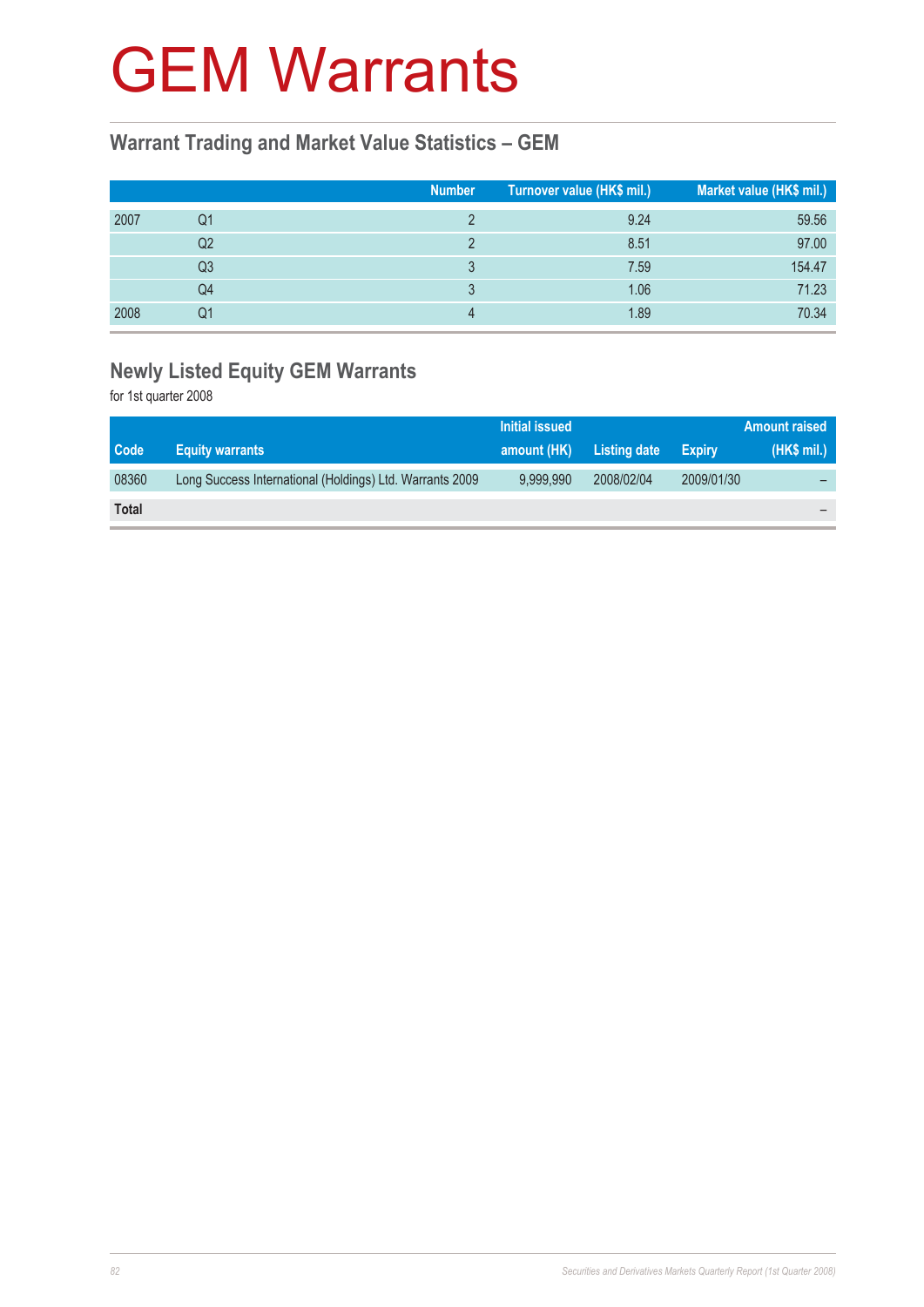### GEM Warrants

#### **Warrant Trading and Market Value Statistics – GEM**

|      |                | <b>Number</b> | Turnover value (HK\$ mil.) | Market value (HK\$ mil.) |
|------|----------------|---------------|----------------------------|--------------------------|
| 2007 | Q1             |               | 9.24                       | 59.56                    |
|      | Q <sub>2</sub> |               | 8.51                       | 97.00                    |
|      | Q3             |               | 7.59                       | 154.47                   |
|      | Q4             |               | 1.06                       | 71.23                    |
| 2008 | Q1             |               | 1.89                       | 70.34                    |

#### **Newly Listed Equity GEM Warrants**

for 1st quarter 2008

|              |                                                          | Initial issued |              |               | <b>Amount raised</b> |
|--------------|----------------------------------------------------------|----------------|--------------|---------------|----------------------|
| Code         | <b>Equity warrants</b>                                   | amount (HK)    | Listing date | <b>Expiry</b> | (HK\$ mil.)          |
| 08360        | Long Success International (Holdings) Ltd. Warrants 2009 | 9.999.990      | 2008/02/04   | 2009/01/30    |                      |
| <b>Total</b> |                                                          |                |              |               |                      |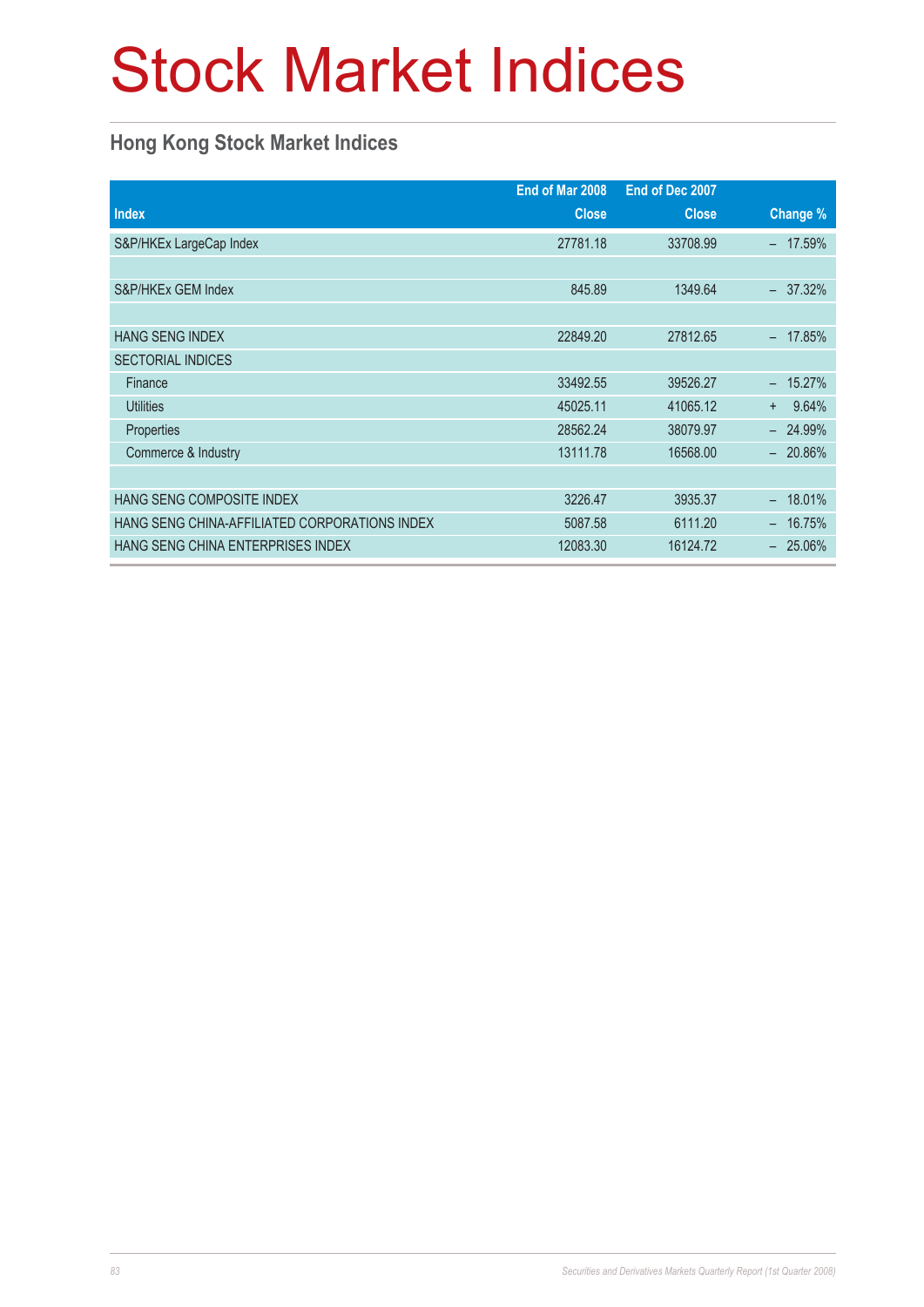## Stock Market Indices

#### **Hong Kong Stock Market Indices**

|                                               | End of Mar 2008 | End of Dec 2007 |               |
|-----------------------------------------------|-----------------|-----------------|---------------|
| <b>Index</b>                                  | <b>Close</b>    | <b>Close</b>    | Change %      |
| S&P/HKEx LargeCap Index                       | 27781.18        | 33708.99        | 17.59%        |
|                                               |                 |                 |               |
| S&P/HKEx GEM Index                            | 845.89          | 1349.64         | 37.32%        |
|                                               |                 |                 |               |
| <b>HANG SENG INDEX</b>                        | 22849.20        | 27812.65        | 17.85%        |
| <b>SECTORIAL INDICES</b>                      |                 |                 |               |
| Finance                                       | 33492.55        | 39526.27        | 15.27%        |
| <b>Utilities</b>                              | 45025.11        | 41065.12        | 9.64%<br>$+$  |
| Properties                                    | 28562.24        | 38079.97        | 24.99%        |
| Commerce & Industry                           | 13111.78        | 16568.00        | $-20.86\%$    |
|                                               |                 |                 |               |
| <b>HANG SENG COMPOSITE INDEX</b>              | 3226.47         | 3935.37         | 18.01%<br>$-$ |
| HANG SENG CHINA-AFFILIATED CORPORATIONS INDEX | 5087.58         | 6111.20         | 16.75%        |
| HANG SENG CHINA ENTERPRISES INDEX             | 12083.30        | 16124.72        | $-25.06\%$    |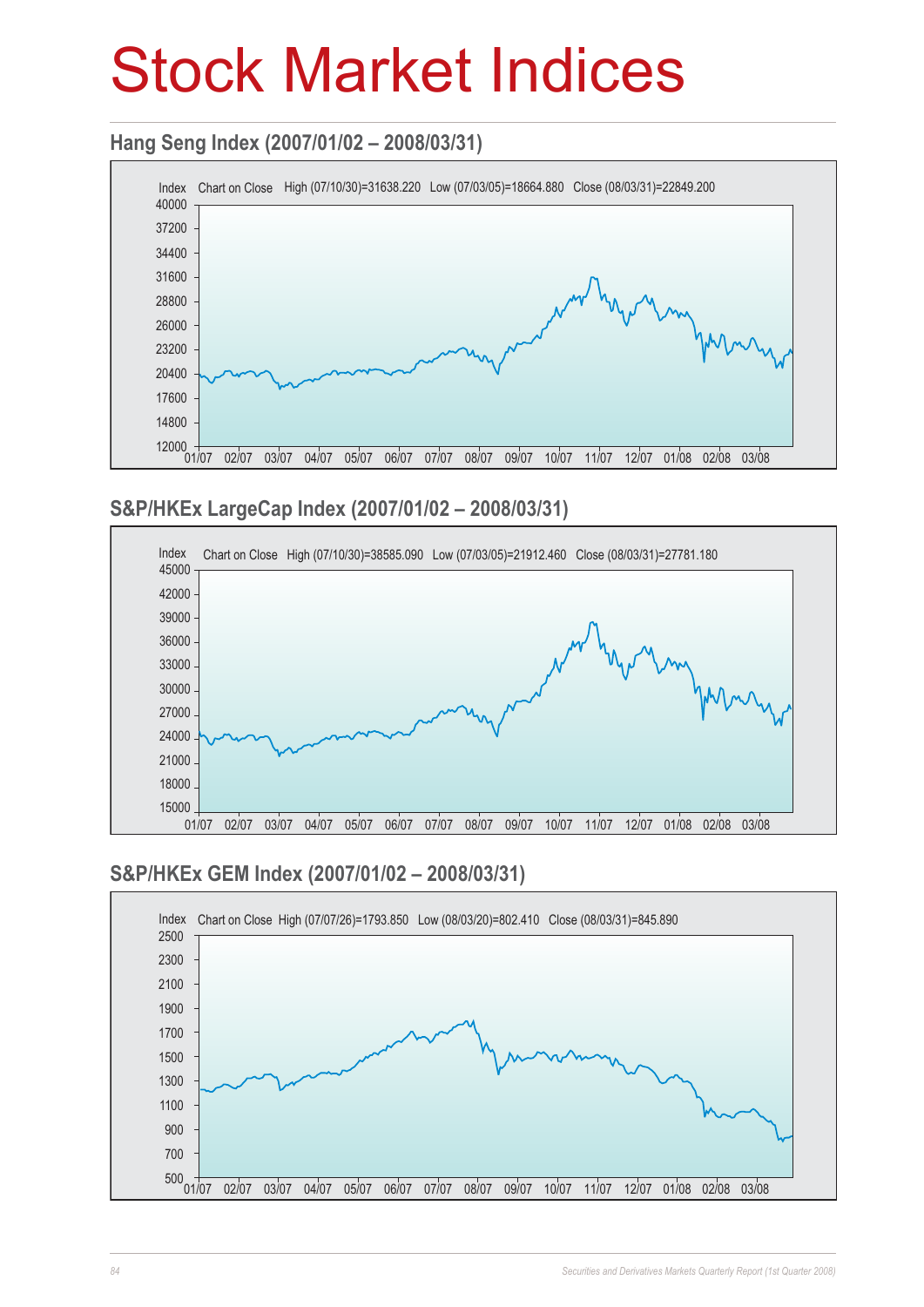### Stock Market Indices

#### **Hang Seng Index (2007/01/02 – 2008/03/31)**



#### **S&P/HKEx LargeCap Index (2007/01/02 – 2008/03/31)**



#### **S&P/HKEx GEM Index (2007/01/02 – 2008/03/31)**

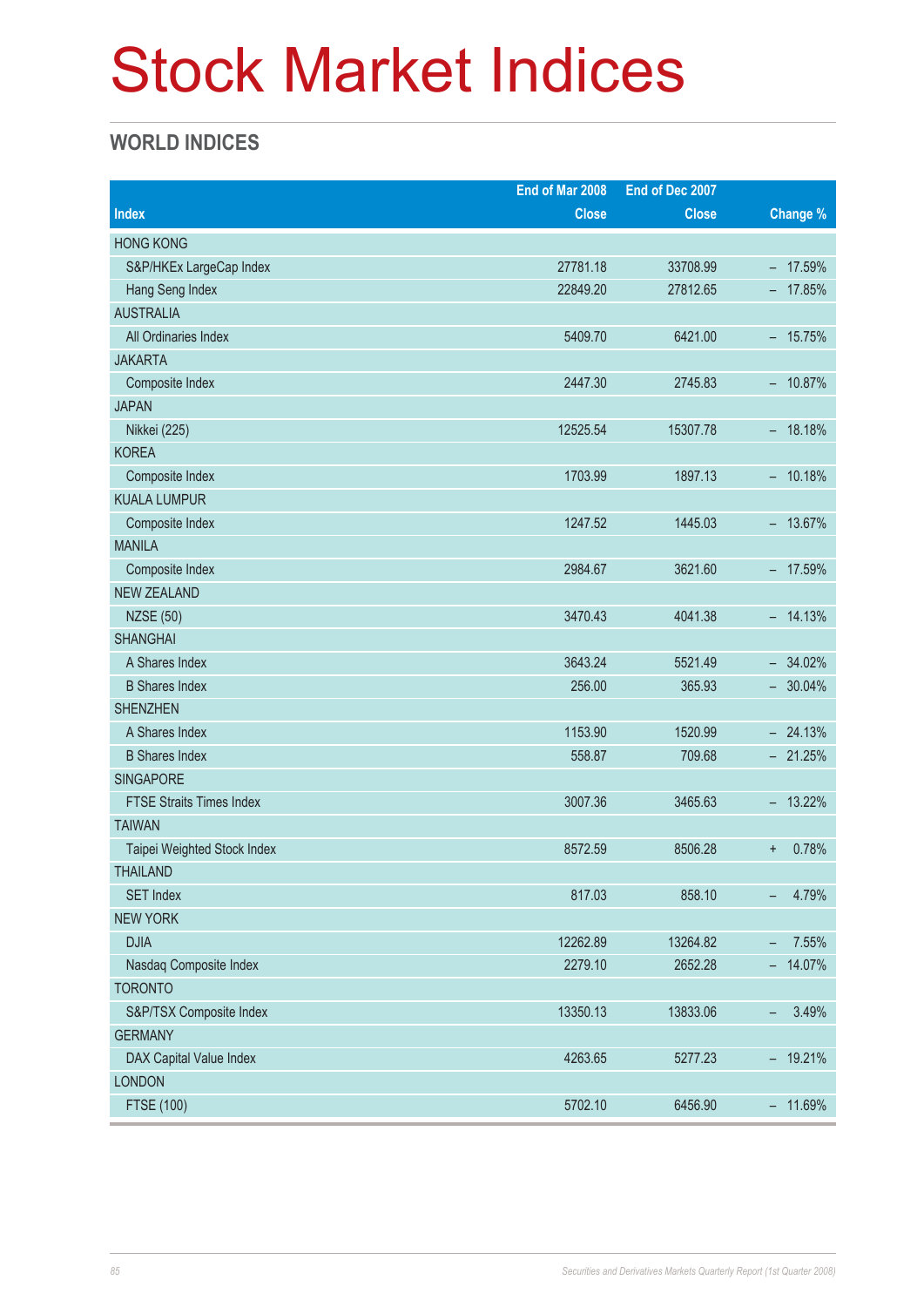### Stock Market Indices

#### **WORLD INDICES**

|                                 | End of Mar 2008 | End of Dec 2007 |                                   |
|---------------------------------|-----------------|-----------------|-----------------------------------|
| <b>Index</b>                    | <b>Close</b>    | <b>Close</b>    | Change %                          |
| <b>HONG KONG</b>                |                 |                 |                                   |
| S&P/HKEx LargeCap Index         | 27781.18        | 33708.99        | $-17.59%$                         |
| Hang Seng Index                 | 22849.20        | 27812.65        | $-17.85%$                         |
| <b>AUSTRALIA</b>                |                 |                 |                                   |
| All Ordinaries Index            | 5409.70         | 6421.00         | $-15.75%$                         |
| <b>JAKARTA</b>                  |                 |                 |                                   |
| Composite Index                 | 2447.30         | 2745.83         | $-10.87%$                         |
| <b>JAPAN</b>                    |                 |                 |                                   |
| Nikkei (225)                    | 12525.54        | 15307.78        | $-18.18%$                         |
| <b>KOREA</b>                    |                 |                 |                                   |
| Composite Index                 | 1703.99         | 1897.13         | $-10.18%$                         |
| <b>KUALA LUMPUR</b>             |                 |                 |                                   |
| Composite Index                 | 1247.52         | 1445.03         | $-13.67%$                         |
| <b>MANILA</b>                   |                 |                 |                                   |
| Composite Index                 | 2984.67         | 3621.60         | $-17.59%$                         |
| <b>NEW ZEALAND</b>              |                 |                 |                                   |
| <b>NZSE (50)</b>                | 3470.43         | 4041.38         | $-14.13%$                         |
| <b>SHANGHAI</b>                 |                 |                 |                                   |
| A Shares Index                  | 3643.24         | 5521.49         | $-34.02%$                         |
| <b>B</b> Shares Index           | 256.00          | 365.93          | $-30.04\%$                        |
| <b>SHENZHEN</b>                 |                 |                 |                                   |
| A Shares Index                  | 1153.90         | 1520.99         | $-24.13%$                         |
| <b>B</b> Shares Index           | 558.87          | 709.68          | $-21.25%$                         |
| <b>SINGAPORE</b>                |                 |                 |                                   |
| <b>FTSE Straits Times Index</b> | 3007.36         | 3465.63         | $-13.22\%$                        |
| <b>TAIWAN</b>                   |                 |                 |                                   |
| Taipei Weighted Stock Index     | 8572.59         | 8506.28         | 0.78%<br>$\ddot{}$                |
| <b>THAILAND</b>                 |                 |                 |                                   |
| <b>SET Index</b>                | 817.03          | 858.10          | 4.79%<br>$\overline{\phantom{0}}$ |
| <b>NEW YORK</b>                 |                 |                 |                                   |
| <b>DJIA</b>                     | 12262.89        | 13264.82        | 7.55%<br>-                        |
| Nasdaq Composite Index          | 2279.10         | 2652.28         | 14.07%<br>Ξ.                      |
| <b>TORONTO</b>                  |                 |                 |                                   |
| S&P/TSX Composite Index         | 13350.13        | 13833.06        | 3.49%<br>$\overline{\phantom{a}}$ |
| <b>GERMANY</b>                  |                 |                 |                                   |
| DAX Capital Value Index         | 4263.65         | 5277.23         | $-19.21%$                         |
| <b>LONDON</b>                   |                 |                 |                                   |
| FTSE (100)                      | 5702.10         | 6456.90         | $-11.69%$                         |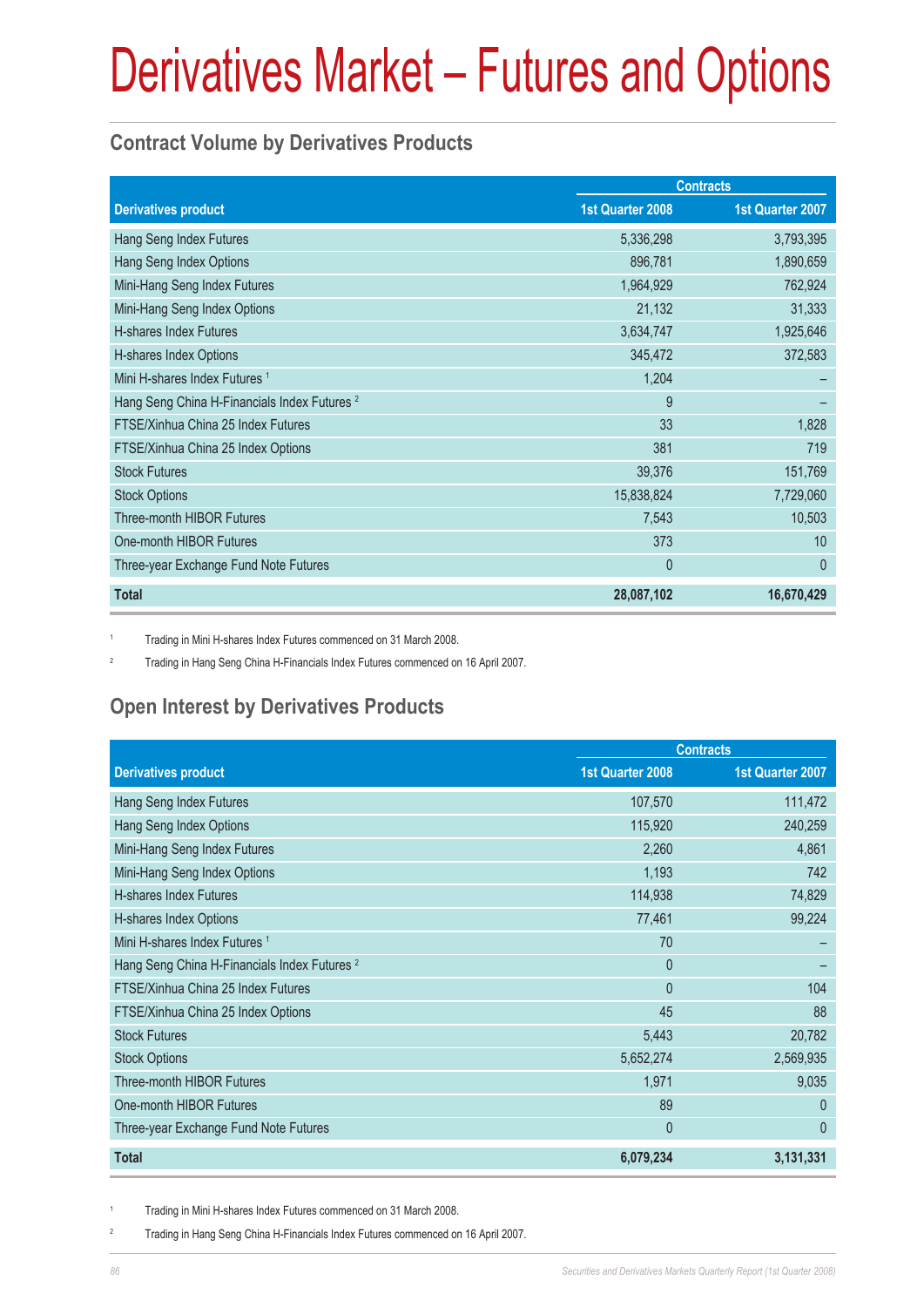#### **Contract Volume by Derivatives Products**

|                                                         | <b>Contracts</b> |                  |
|---------------------------------------------------------|------------------|------------------|
| <b>Derivatives product</b>                              | 1st Quarter 2008 | 1st Quarter 2007 |
| Hang Seng Index Futures                                 | 5,336,298        | 3,793,395        |
| Hang Seng Index Options                                 | 896,781          | 1,890,659        |
| Mini-Hang Seng Index Futures                            | 1,964,929        | 762,924          |
| Mini-Hang Seng Index Options                            | 21,132           | 31,333           |
| H-shares Index Futures                                  | 3,634,747        | 1,925,646        |
| H-shares Index Options                                  | 345,472          | 372,583          |
| Mini H-shares Index Futures <sup>1</sup>                | 1,204            |                  |
| Hang Seng China H-Financials Index Futures <sup>2</sup> | 9                |                  |
| FTSE/Xinhua China 25 Index Futures                      | 33               | 1,828            |
| FTSE/Xinhua China 25 Index Options                      | 381              | 719              |
| <b>Stock Futures</b>                                    | 39,376           | 151,769          |
| <b>Stock Options</b>                                    | 15,838,824       | 7,729,060        |
| <b>Three-month HIBOR Futures</b>                        | 7,543            | 10,503           |
| One-month HIBOR Futures                                 | 373              | 10               |
| Three-year Exchange Fund Note Futures                   | $\mathbf{0}$     | $\mathbf{0}$     |
| <b>Total</b>                                            | 28,087,102       | 16,670,429       |

1 Trading in Mini H-shares Index Futures commenced on 31 March 2008.

2 Trading in Hang Seng China H-Financials Index Futures commenced on 16 April 2007.

#### **Open Interest by Derivatives Products**

|                                                         | <b>Contracts</b>        |                  |  |
|---------------------------------------------------------|-------------------------|------------------|--|
| <b>Derivatives product</b>                              | <b>1st Quarter 2008</b> | 1st Quarter 2007 |  |
| Hang Seng Index Futures                                 | 107,570                 | 111,472          |  |
| Hang Seng Index Options                                 | 115,920                 | 240,259          |  |
| Mini-Hang Seng Index Futures                            | 2,260                   | 4,861            |  |
| Mini-Hang Seng Index Options                            | 1,193                   | 742              |  |
| H-shares Index Futures                                  | 114,938                 | 74,829           |  |
| H-shares Index Options                                  | 77,461                  | 99,224           |  |
| Mini H-shares Index Futures <sup>1</sup>                | 70                      |                  |  |
| Hang Seng China H-Financials Index Futures <sup>2</sup> | $\mathbf{0}$            |                  |  |
| FTSE/Xinhua China 25 Index Futures                      | $\mathbf{0}$            | 104              |  |
| FTSE/Xinhua China 25 Index Options                      | 45                      | 88               |  |
| <b>Stock Futures</b>                                    | 5,443                   | 20,782           |  |
| <b>Stock Options</b>                                    | 5,652,274               | 2,569,935        |  |
| Three-month HIBOR Futures                               | 1,971                   | 9,035            |  |
| One-month HIBOR Futures                                 | 89                      | $\theta$         |  |
| Three-year Exchange Fund Note Futures                   | $\mathbf{0}$            | $\mathbf{0}$     |  |
| <b>Total</b>                                            | 6,079,234               | 3,131,331        |  |

1 Trading in Mini H-shares Index Futures commenced on 31 March 2008.

2 Trading in Hang Seng China H-Financials Index Futures commenced on 16 April 2007.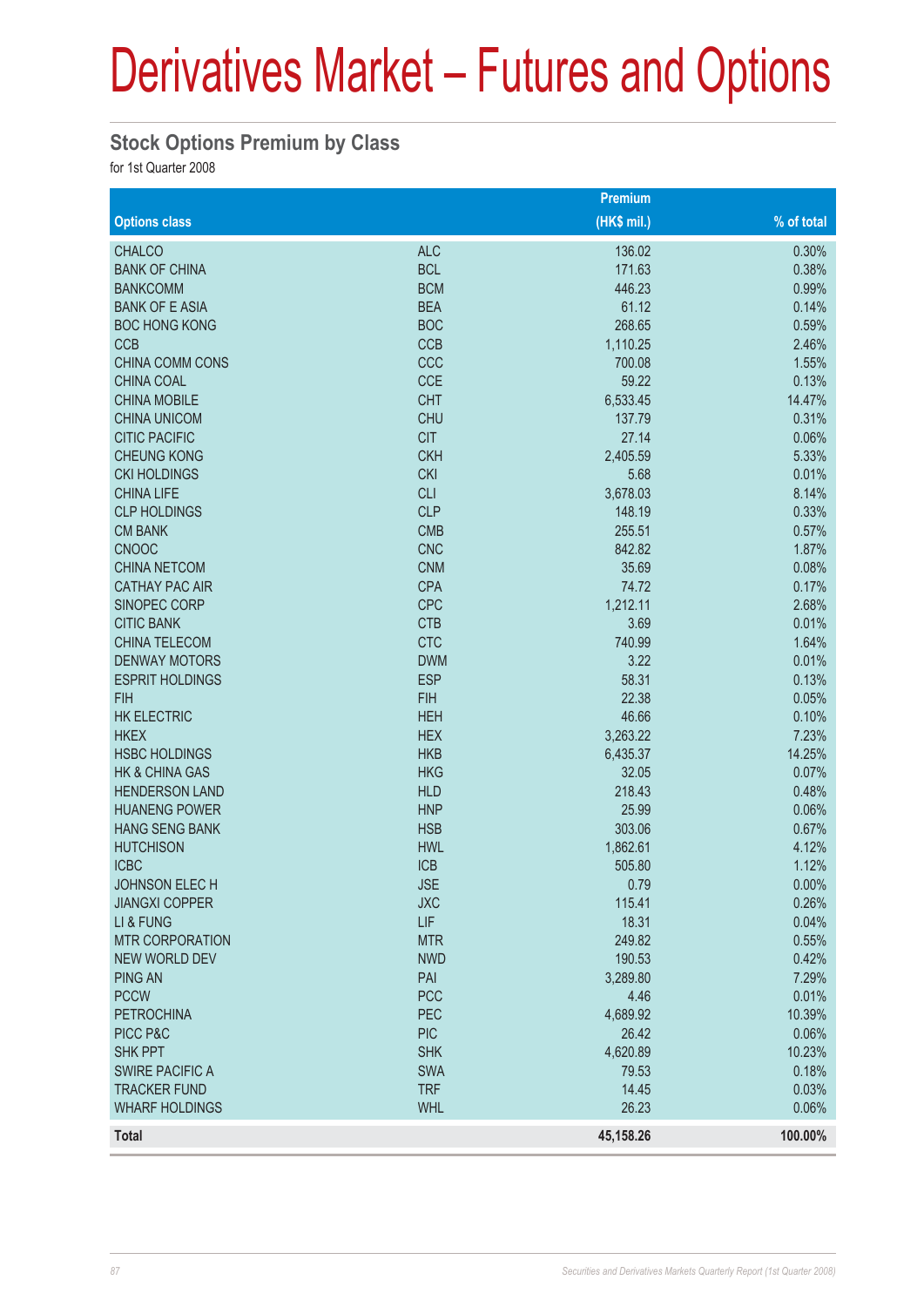#### **Stock Options Premium by Class**

for 1st Quarter 2008

|                           |            | Premium     |              |
|---------------------------|------------|-------------|--------------|
| <b>Options class</b>      |            | (HK\$ mil.) | $%$ of total |
| <b>CHALCO</b>             | <b>ALC</b> | 136.02      | 0.30%        |
| <b>BANK OF CHINA</b>      | <b>BCL</b> | 171.63      | 0.38%        |
| <b>BANKCOMM</b>           | <b>BCM</b> | 446.23      | 0.99%        |
| <b>BANK OF E ASIA</b>     | <b>BEA</b> | 61.12       | 0.14%        |
| <b>BOC HONG KONG</b>      | <b>BOC</b> | 268.65      | 0.59%        |
| <b>CCB</b>                | <b>CCB</b> | 1,110.25    | 2.46%        |
| <b>CHINA COMM CONS</b>    | CCC        | 700.08      | 1.55%        |
| <b>CHINA COAL</b>         | <b>CCE</b> | 59.22       | 0.13%        |
| <b>CHINA MOBILE</b>       | <b>CHT</b> | 6,533.45    | 14.47%       |
| <b>CHINA UNICOM</b>       | <b>CHU</b> | 137.79      | 0.31%        |
| <b>CITIC PACIFIC</b>      | <b>CIT</b> | 27.14       | 0.06%        |
| <b>CHEUNG KONG</b>        | <b>CKH</b> | 2,405.59    | 5.33%        |
| <b>CKI HOLDINGS</b>       | <b>CKI</b> | 5.68        | 0.01%        |
| <b>CHINA LIFE</b>         | <b>CLI</b> | 3,678.03    | 8.14%        |
| <b>CLP HOLDINGS</b>       | <b>CLP</b> | 148.19      | 0.33%        |
| <b>CM BANK</b>            | <b>CMB</b> | 255.51      | 0.57%        |
| <b>CNOOC</b>              | <b>CNC</b> | 842.82      | 1.87%        |
| <b>CHINA NETCOM</b>       | <b>CNM</b> | 35.69       | 0.08%        |
| <b>CATHAY PAC AIR</b>     | <b>CPA</b> | 74.72       | 0.17%        |
| SINOPEC CORP              | <b>CPC</b> | 1,212.11    | 2.68%        |
| <b>CITIC BANK</b>         | <b>CTB</b> | 3.69        | 0.01%        |
| <b>CHINA TELECOM</b>      | <b>CTC</b> | 740.99      | 1.64%        |
| <b>DENWAY MOTORS</b>      | <b>DWM</b> | 3.22        | 0.01%        |
| <b>ESPRIT HOLDINGS</b>    | <b>ESP</b> | 58.31       | 0.13%        |
| <b>FIH</b>                | <b>FIH</b> | 22.38       | 0.05%        |
| <b>HK ELECTRIC</b>        | <b>HEH</b> | 46.66       | 0.10%        |
| <b>HKEX</b>               | <b>HEX</b> | 3,263.22    | 7.23%        |
| <b>HSBC HOLDINGS</b>      | <b>HKB</b> | 6,435.37    | 14.25%       |
| <b>HK &amp; CHINA GAS</b> | <b>HKG</b> | 32.05       | 0.07%        |
| <b>HENDERSON LAND</b>     | <b>HLD</b> | 218.43      | 0.48%        |
| <b>HUANENG POWER</b>      | <b>HNP</b> | 25.99       | 0.06%        |
| <b>HANG SENG BANK</b>     | <b>HSB</b> | 303.06      | 0.67%        |
| <b>HUTCHISON</b>          | <b>HWL</b> | 1,862.61    | 4.12%        |
| <b>ICBC</b>               | <b>ICB</b> | 505.80      | 1.12%        |
| JOHNSON ELECH             | <b>JSE</b> | 0.79        | 0.00%        |
| <b>JIANGXI COPPER</b>     | <b>JXC</b> | 115.41      | 0.26%        |
| LI & FUNG                 | LIF        | 18.31       | 0.04%        |
| <b>MTR CORPORATION</b>    | <b>MTR</b> | 249.82      | 0.55%        |
| <b>NEW WORLD DEV</b>      | <b>NWD</b> | 190.53      | 0.42%        |
| <b>PING AN</b>            | PAI        | 3,289.80    | 7.29%        |
| <b>PCCW</b>               | <b>PCC</b> | 4.46        | 0.01%        |
| <b>PETROCHINA</b>         | PEC        | 4,689.92    | 10.39%       |
| PICC P&C                  | <b>PIC</b> | 26.42       | 0.06%        |
| <b>SHK PPT</b>            | <b>SHK</b> | 4,620.89    | 10.23%       |
| <b>SWIRE PACIFIC A</b>    | <b>SWA</b> | 79.53       | 0.18%        |
| <b>TRACKER FUND</b>       | <b>TRF</b> | 14.45       | 0.03%        |
| <b>WHARF HOLDINGS</b>     | <b>WHL</b> | 26.23       | 0.06%        |
| <b>Total</b>              |            | 45,158.26   | 100.00%      |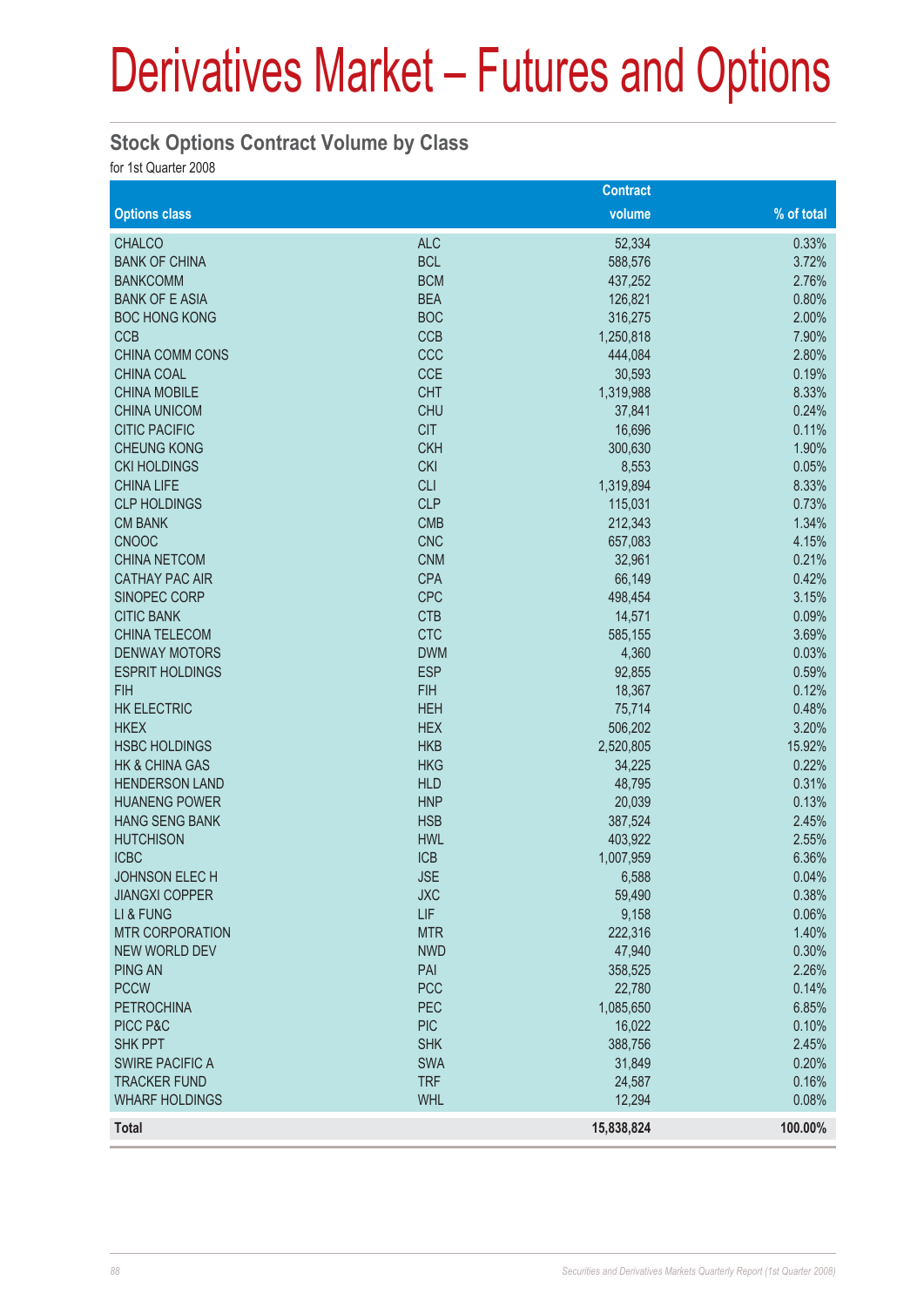#### **Stock Options Contract Volume by Class**

for 1st Quarter 2008

|                           |            | <b>Contract</b> |            |
|---------------------------|------------|-----------------|------------|
| <b>Options class</b>      |            | volume          | % of total |
| <b>CHALCO</b>             | <b>ALC</b> | 52,334          | 0.33%      |
| <b>BANK OF CHINA</b>      | <b>BCL</b> | 588,576         | 3.72%      |
| <b>BANKCOMM</b>           | <b>BCM</b> | 437,252         | 2.76%      |
| <b>BANK OF E ASIA</b>     | <b>BEA</b> | 126,821         | 0.80%      |
| <b>BOC HONG KONG</b>      | <b>BOC</b> | 316,275         | 2.00%      |
| <b>CCB</b>                | <b>CCB</b> | 1,250,818       | 7.90%      |
| <b>CHINA COMM CONS</b>    | CCC        | 444,084         | 2.80%      |
| <b>CHINA COAL</b>         | <b>CCE</b> | 30,593          | 0.19%      |
| <b>CHINA MOBILE</b>       | <b>CHT</b> | 1,319,988       | 8.33%      |
| <b>CHINA UNICOM</b>       | <b>CHU</b> | 37,841          | 0.24%      |
| <b>CITIC PACIFIC</b>      | <b>CIT</b> | 16,696          | 0.11%      |
| <b>CHEUNG KONG</b>        | <b>CKH</b> | 300,630         | 1.90%      |
| <b>CKI HOLDINGS</b>       | <b>CKI</b> | 8,553           | 0.05%      |
| <b>CHINA LIFE</b>         | <b>CLI</b> | 1,319,894       | 8.33%      |
| <b>CLP HOLDINGS</b>       | <b>CLP</b> | 115,031         | 0.73%      |
| <b>CM BANK</b>            | <b>CMB</b> | 212,343         | 1.34%      |
| <b>CNOOC</b>              | <b>CNC</b> | 657,083         | 4.15%      |
| <b>CHINA NETCOM</b>       | <b>CNM</b> | 32,961          | 0.21%      |
| <b>CATHAY PAC AIR</b>     | <b>CPA</b> | 66,149          | 0.42%      |
| SINOPEC CORP              | <b>CPC</b> | 498,454         | 3.15%      |
| <b>CITIC BANK</b>         | <b>CTB</b> | 14,571          | 0.09%      |
| <b>CHINA TELECOM</b>      | <b>CTC</b> | 585,155         | 3.69%      |
| <b>DENWAY MOTORS</b>      | <b>DWM</b> | 4,360           | 0.03%      |
| <b>ESPRIT HOLDINGS</b>    | <b>ESP</b> | 92,855          | 0.59%      |
| <b>FIH</b>                | <b>FIH</b> | 18,367          | 0.12%      |
| <b>HK ELECTRIC</b>        | <b>HEH</b> | 75,714          | 0.48%      |
| <b>HKEX</b>               | <b>HEX</b> | 506,202         | 3.20%      |
| <b>HSBC HOLDINGS</b>      | <b>HKB</b> | 2,520,805       | 15.92%     |
| <b>HK &amp; CHINA GAS</b> | <b>HKG</b> | 34,225          | 0.22%      |
| <b>HENDERSON LAND</b>     | <b>HLD</b> | 48,795          | 0.31%      |
| <b>HUANENG POWER</b>      | <b>HNP</b> | 20,039          | 0.13%      |
| <b>HANG SENG BANK</b>     | <b>HSB</b> | 387,524         | 2.45%      |
| <b>HUTCHISON</b>          | <b>HWL</b> | 403,922         | 2.55%      |
| <b>ICBC</b>               | <b>ICB</b> | 1,007,959       | 6.36%      |
| JOHNSON ELECH             | <b>JSE</b> | 6,588           | 0.04%      |
| <b>JIANGXI COPPER</b>     | <b>JXC</b> | 59,490          | 0.38%      |
| LI & FUNG                 | LIF        | 9,158           | 0.06%      |
| <b>MTR CORPORATION</b>    | <b>MTR</b> | 222,316         | 1.40%      |
| <b>NEW WORLD DEV</b>      | <b>NWD</b> | 47,940          | 0.30%      |
| <b>PING AN</b>            | PAI        | 358,525         | 2.26%      |
| <b>PCCW</b>               | <b>PCC</b> | 22,780          | 0.14%      |
| <b>PETROCHINA</b>         | PEC        | 1,085,650       | 6.85%      |
| PICC P&C                  | <b>PIC</b> | 16,022          | 0.10%      |
| <b>SHK PPT</b>            | <b>SHK</b> | 388,756         | 2.45%      |
| <b>SWIRE PACIFIC A</b>    | <b>SWA</b> | 31,849          | 0.20%      |
| <b>TRACKER FUND</b>       | <b>TRF</b> | 24,587          | 0.16%      |
| <b>WHARF HOLDINGS</b>     | <b>WHL</b> | 12,294          | 0.08%      |
| <b>Total</b>              |            | 15,838,824      | 100.00%    |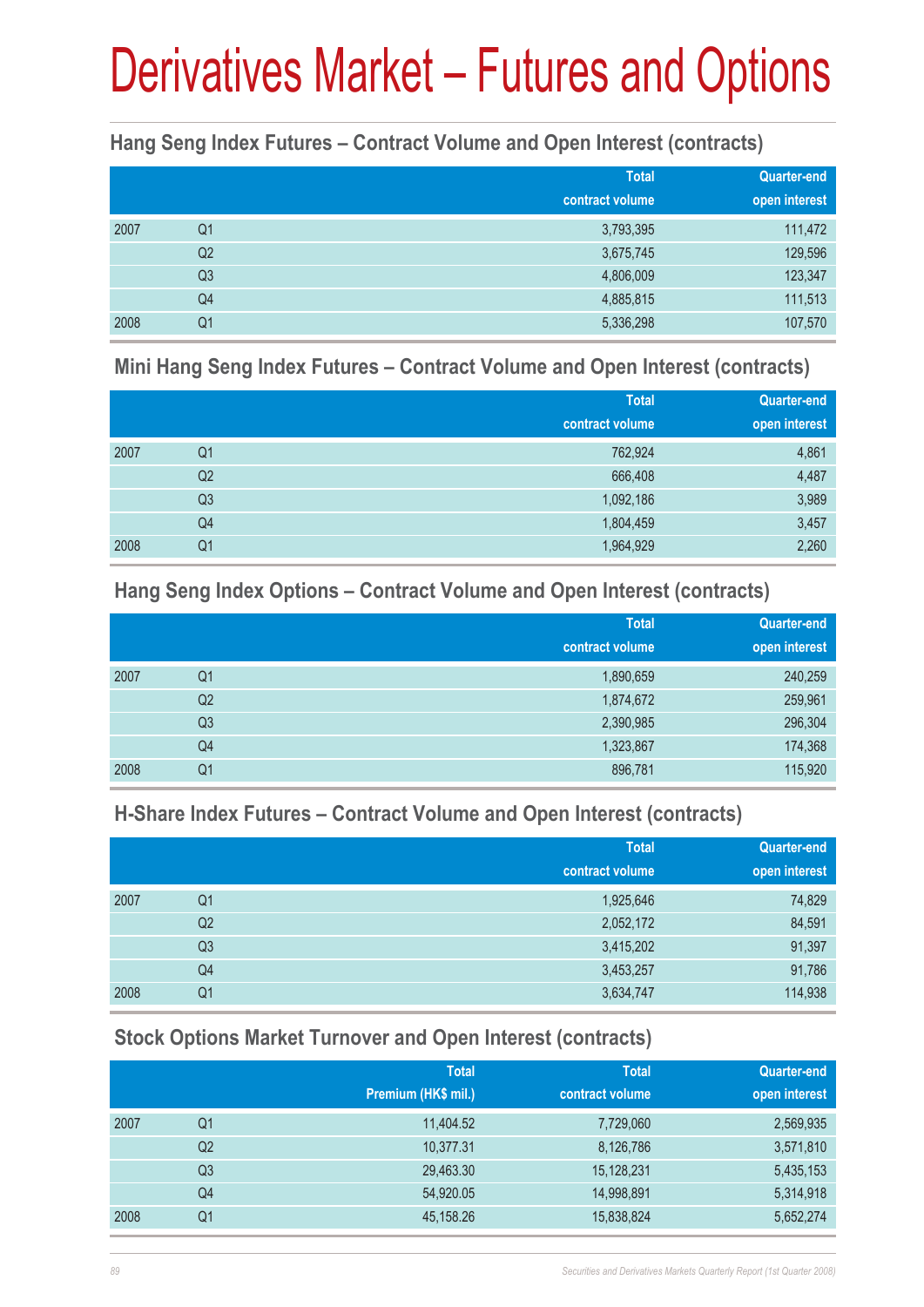#### **Hang Seng Index Futures – Contract Volume and Open Interest (contracts)**

|      |                | <b>Total</b><br>contract volume | <b>Quarter-end</b><br>open interest |
|------|----------------|---------------------------------|-------------------------------------|
| 2007 | Q <sub>1</sub> | 3,793,395                       | 111,472                             |
|      | Q <sub>2</sub> | 3,675,745                       | 129,596                             |
|      | Q <sub>3</sub> | 4,806,009                       | 123,347                             |
|      | Q4             | 4,885,815                       | 111,513                             |
| 2008 | Q1             | 5,336,298                       | 107,570                             |

#### **Mini Hang Seng Index Futures – Contract Volume and Open Interest (contracts)**

|      |                | <b>Total</b><br>contract volume | <b>Quarter-end</b><br>open interest |
|------|----------------|---------------------------------|-------------------------------------|
| 2007 | Q <sub>1</sub> | 762,924                         | 4,861                               |
|      | Q <sub>2</sub> | 666,408                         | 4,487                               |
|      | Q <sub>3</sub> | 1,092,186                       | 3,989                               |
|      | Q4             | 1,804,459                       | 3,457                               |
| 2008 | Q1             | 1,964,929                       | 2,260                               |

#### **Hang Seng Index Options – Contract Volume and Open Interest (contracts)**

|      |                | <b>Total</b>    | <b>Quarter-end</b> |
|------|----------------|-----------------|--------------------|
|      |                | contract volume | open interest      |
| 2007 | Q1             | 1,890,659       | 240,259            |
|      | Q <sub>2</sub> | 1,874,672       | 259,961            |
|      | Q3             | 2,390,985       | 296,304            |
|      | Q4             | 1,323,867       | 174,368            |
| 2008 | Q1             | 896,781         | 115,920            |

#### **H-Share Index Futures – Contract Volume and Open Interest (contracts)**

|      |                | <b>Total</b>    | <b>Quarter-end</b> |
|------|----------------|-----------------|--------------------|
|      |                | contract volume | open interest      |
| 2007 | Q <sub>1</sub> | 1,925,646       | 74,829             |
|      | Q <sub>2</sub> | 2,052,172       | 84,591             |
|      | Q3             | 3,415,202       | 91,397             |
|      | Q4             | 3,453,257       | 91,786             |
| 2008 | Q <sub>1</sub> | 3,634,747       | 114,938            |

#### **Stock Options Market Turnover and Open Interest (contracts)**

|      |    | <b>Total</b>        | <b>Total</b>    | Quarter-end   |
|------|----|---------------------|-----------------|---------------|
|      |    | Premium (HK\$ mil.) | contract volume | open interest |
| 2007 | Q1 | 11,404.52           | 7,729,060       | 2,569,935     |
|      | Q2 | 10,377.31           | 8,126,786       | 3,571,810     |
|      | Q3 | 29,463.30           | 15,128,231      | 5,435,153     |
|      | Q4 | 54,920.05           | 14,998,891      | 5,314,918     |
| 2008 | Q1 | 45,158.26           | 15,838,824      | 5,652,274     |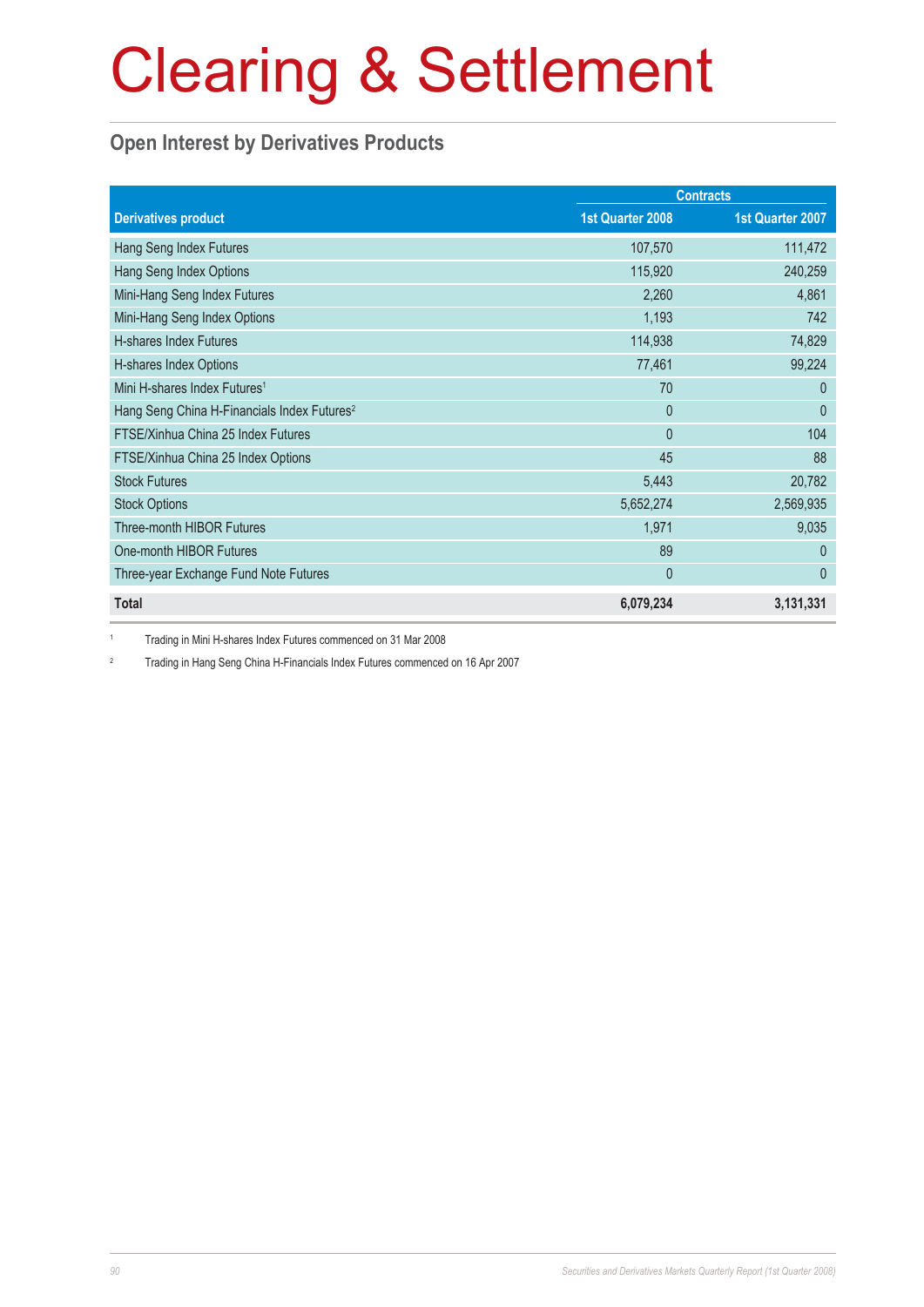#### **Open Interest by Derivatives Products**

|                                                         |                  | <b>Contracts</b> |
|---------------------------------------------------------|------------------|------------------|
| <b>Derivatives product</b>                              | 1st Quarter 2008 | 1st Quarter 2007 |
| Hang Seng Index Futures                                 | 107,570          | 111,472          |
| Hang Seng Index Options                                 | 115,920          | 240,259          |
| Mini-Hang Seng Index Futures                            | 2,260            | 4,861            |
| Mini-Hang Seng Index Options                            | 1,193            | 742              |
| H-shares Index Futures                                  | 114,938          | 74,829           |
| H-shares Index Options                                  | 77,461           | 99,224           |
| Mini H-shares Index Futures <sup>1</sup>                | 70               | $\Omega$         |
| Hang Seng China H-Financials Index Futures <sup>2</sup> | $\overline{0}$   | $\Omega$         |
| FTSE/Xinhua China 25 Index Futures                      | $\overline{0}$   | 104              |
| FTSE/Xinhua China 25 Index Options                      | 45               | 88               |
| <b>Stock Futures</b>                                    | 5,443            | 20,782           |
| <b>Stock Options</b>                                    | 5,652,274        | 2,569,935        |
| <b>Three-month HIBOR Futures</b>                        | 1,971            | 9,035            |
| One-month HIBOR Futures                                 | 89               | $\Omega$         |
| Three-year Exchange Fund Note Futures                   | $\mathbf{0}$     | $\mathbf{0}$     |
| <b>Total</b>                                            | 6,079,234        | 3,131,331        |

1 Trading in Mini H-shares Index Futures commenced on 31 Mar 2008

2 Trading in Hang Seng China H-Financials Index Futures commenced on 16 Apr 2007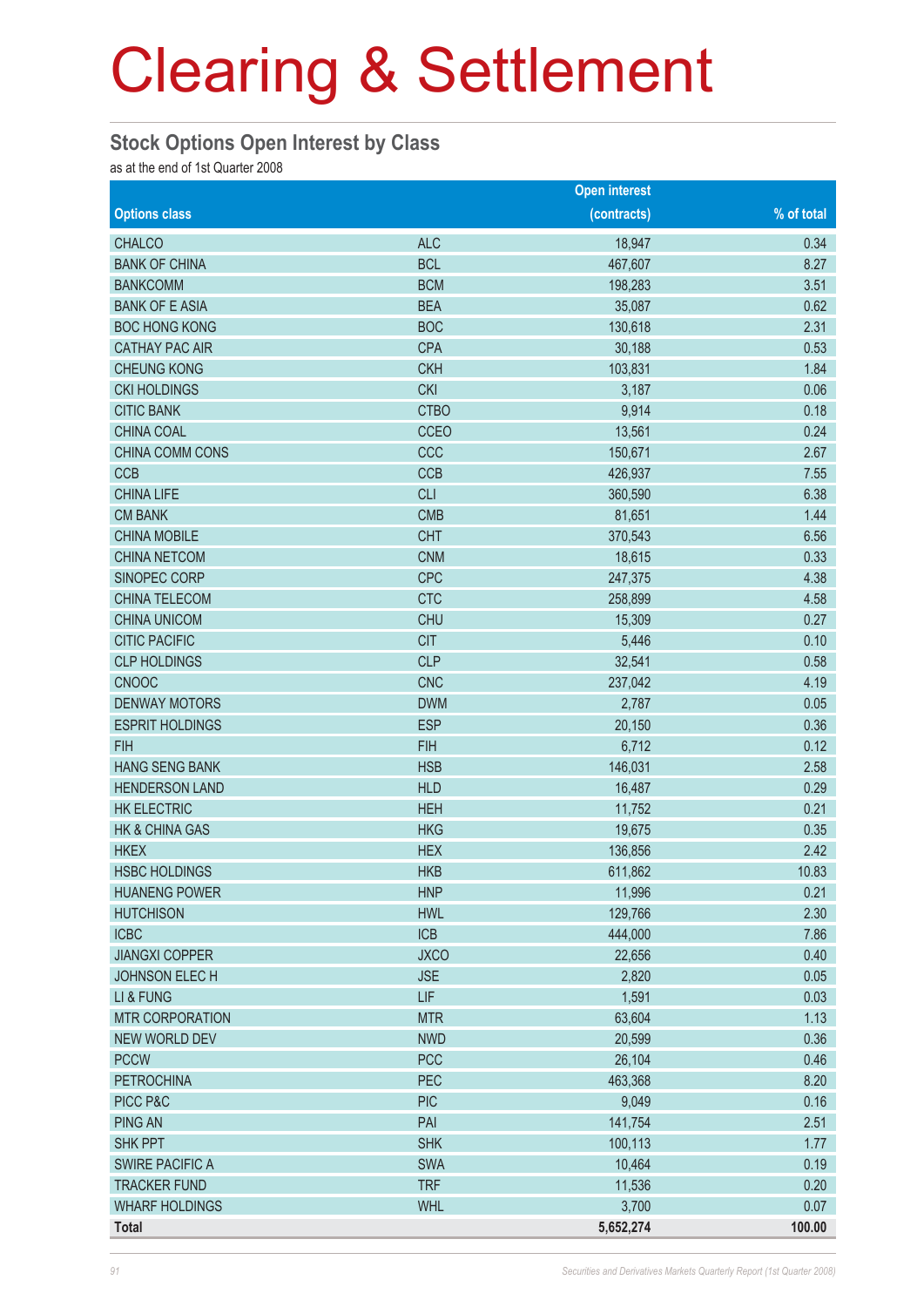#### **Stock Options Open Interest by Class**

as at the end of 1st Quarter 2008

|                           |             | <b>Open interest</b> |            |
|---------------------------|-------------|----------------------|------------|
| <b>Options class</b>      |             | (contracts)          | % of total |
| <b>CHALCO</b>             | <b>ALC</b>  | 18,947               | 0.34       |
| <b>BANK OF CHINA</b>      | <b>BCL</b>  | 467,607              | 8.27       |
| <b>BANKCOMM</b>           | <b>BCM</b>  | 198,283              | 3.51       |
| <b>BANK OF E ASIA</b>     | <b>BEA</b>  | 35,087               | 0.62       |
| <b>BOC HONG KONG</b>      | <b>BOC</b>  | 130,618              | 2.31       |
| <b>CATHAY PAC AIR</b>     | <b>CPA</b>  | 30,188               | 0.53       |
| <b>CHEUNG KONG</b>        | <b>CKH</b>  | 103,831              | 1.84       |
| <b>CKI HOLDINGS</b>       | <b>CKI</b>  | 3,187                | 0.06       |
| <b>CITIC BANK</b>         | <b>CTBO</b> | 9,914                | 0.18       |
| <b>CHINA COAL</b>         | CCEO        | 13,561               | 0.24       |
| CHINA COMM CONS           | CCC         | 150,671              | 2.67       |
| <b>CCB</b>                | <b>CCB</b>  | 426,937              | 7.55       |
| <b>CHINA LIFE</b>         | <b>CLI</b>  | 360,590              | 6.38       |
| <b>CM BANK</b>            | <b>CMB</b>  | 81,651               | 1.44       |
| <b>CHINA MOBILE</b>       | <b>CHT</b>  | 370,543              | 6.56       |
| <b>CHINA NETCOM</b>       | <b>CNM</b>  | 18,615               | 0.33       |
| SINOPEC CORP              | <b>CPC</b>  | 247,375              | 4.38       |
| <b>CHINA TELECOM</b>      | <b>CTC</b>  | 258,899              | 4.58       |
| <b>CHINA UNICOM</b>       | <b>CHU</b>  | 15,309               | 0.27       |
| <b>CITIC PACIFIC</b>      | <b>CIT</b>  | 5,446                | 0.10       |
| <b>CLP HOLDINGS</b>       | <b>CLP</b>  | 32,541               | 0.58       |
| <b>CNOOC</b>              | <b>CNC</b>  | 237,042              | 4.19       |
| <b>DENWAY MOTORS</b>      | <b>DWM</b>  | 2,787                | 0.05       |
| <b>ESPRIT HOLDINGS</b>    | <b>ESP</b>  | 20,150               | 0.36       |
| <b>FIH</b>                | <b>FIH</b>  | 6,712                | 0.12       |
| <b>HANG SENG BANK</b>     | <b>HSB</b>  | 146,031              | 2.58       |
| <b>HENDERSON LAND</b>     | <b>HLD</b>  | 16,487               | 0.29       |
| <b>HK ELECTRIC</b>        | <b>HEH</b>  | 11,752               | 0.21       |
| <b>HK &amp; CHINA GAS</b> | <b>HKG</b>  | 19,675               | 0.35       |
| <b>HKEX</b>               | <b>HEX</b>  | 136,856              | 2.42       |
| <b>HSBC HOLDINGS</b>      | <b>HKB</b>  | 611,862              | 10.83      |
| <b>HUANENG POWER</b>      | <b>HNP</b>  | 11,996               | 0.21       |
| <b>HUTCHISON</b>          | <b>HWL</b>  | 129,766              | 2.30       |
| <b>ICBC</b>               | <b>ICB</b>  | 444,000              | 7.86       |
| <b>JIANGXI COPPER</b>     | <b>JXCO</b> | 22,656               | 0.40       |
| <b>JOHNSON ELECH</b>      | <b>JSE</b>  | 2,820                | 0.05       |
| LI & FUNG                 | <b>LIF</b>  | 1,591                | 0.03       |
| <b>MTR CORPORATION</b>    | <b>MTR</b>  | 63,604               | 1.13       |
| NEW WORLD DEV             | <b>NWD</b>  | 20,599               | 0.36       |
| <b>PCCW</b>               | <b>PCC</b>  | 26,104               | 0.46       |
| <b>PETROCHINA</b>         | <b>PEC</b>  | 463,368              | 8.20       |
| PICC P&C                  | <b>PIC</b>  | 9,049                | 0.16       |
| <b>PING AN</b>            | PAI         | 141,754              | 2.51       |
| <b>SHK PPT</b>            | <b>SHK</b>  | 100,113              | 1.77       |
| <b>SWIRE PACIFIC A</b>    | <b>SWA</b>  | 10,464               | 0.19       |
| <b>TRACKER FUND</b>       | <b>TRF</b>  | 11,536               | 0.20       |
| <b>WHARF HOLDINGS</b>     | <b>WHL</b>  | 3,700                | 0.07       |
| <b>Total</b>              |             | 5,652,274            | 100.00     |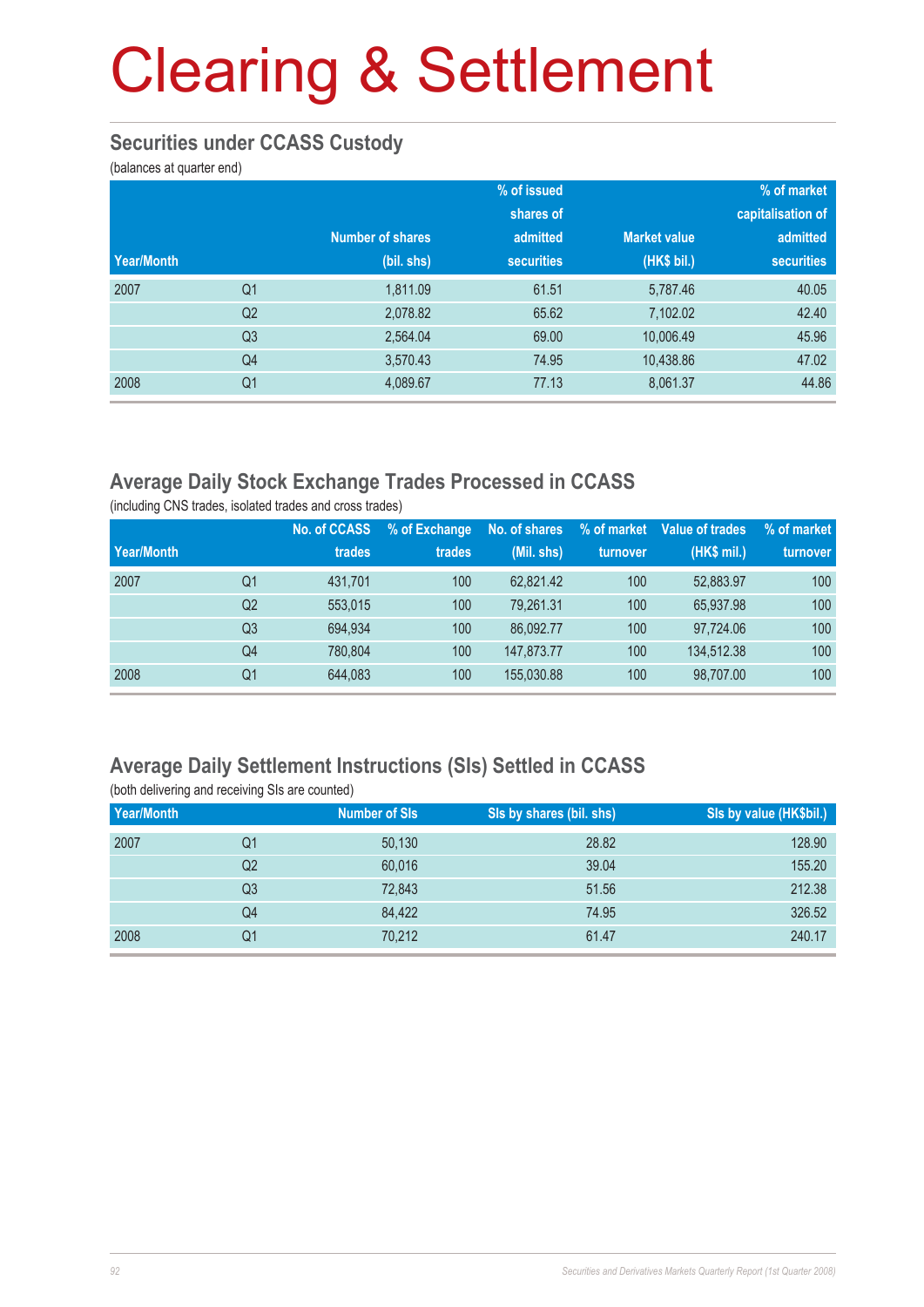#### **Securities under CCASS Custody**

(balances at quarter end)

|            |                |                  | % of issued       |                     | % of market       |
|------------|----------------|------------------|-------------------|---------------------|-------------------|
|            |                |                  | shares of         |                     | capitalisation of |
|            |                | Number of shares | admitted          | <b>Market value</b> | admitted          |
| Year/Month |                | (bil. shs)       | <b>securities</b> | (HK\$ bil.)         | <b>securities</b> |
| 2007       | Q <sub>1</sub> | 1,811.09         | 61.51             | 5,787.46            | 40.05             |
|            | Q <sub>2</sub> | 2,078.82         | 65.62             | 7,102.02            | 42.40             |
|            | Q <sub>3</sub> | 2,564.04         | 69.00             | 10,006.49           | 45.96             |
|            | Q4             | 3,570.43         | 74.95             | 10,438.86           | 47.02             |
| 2008       | Q <sub>1</sub> | 4,089.67         | 77.13             | 8,061.37            | 44.86             |

#### **Average Daily Stock Exchange Trades Processed in CCASS**

(including CNS trades, isolated trades and cross trades)

|            |                | No. of CCASS | % of Exchange | No. of shares | % of market | Value of trades | % of market |
|------------|----------------|--------------|---------------|---------------|-------------|-----------------|-------------|
| Year/Month |                | trades       | trades        | (Mil. shs)    | turnover    | (HK\$ mil.)     | turnover    |
| 2007       | Q1             | 431.701      | 100           | 62.821.42     | 100         | 52,883.97       | 100         |
|            | Q2             | 553.015      | 100           | 79.261.31     | 100         | 65.937.98       | 100         |
|            | Q <sub>3</sub> | 694.934      | 100           | 86.092.77     | 100         | 97.724.06       | 100         |
|            | Q4             | 780.804      | 100           | 147,873,77    | 100         | 134.512.38      | 100         |
| 2008       | Q1             | 644,083      | 100           | 155,030.88    | 100         | 98,707.00       | 100         |

#### **Average Daily Settlement Instructions (SIs) Settled in CCASS** (both delivering and receiving SIs are counted)

| Year/Month |    | <b>Number of SIs</b> | Sis by shares (bil. shs) | Sis by value (HK\$bil.) |
|------------|----|----------------------|--------------------------|-------------------------|
| 2007       | Q1 | 50,130               | 28.82                    | 128.90                  |
|            | Q2 | 60,016               | 39.04                    | 155.20                  |
|            | Q3 | 72.843               | 51.56                    | 212.38                  |
|            | Q4 | 84.422               | 74.95                    | 326.52                  |
| 2008       | Q1 | 70,212               | 61.47                    | 240.17                  |
|            |    |                      |                          |                         |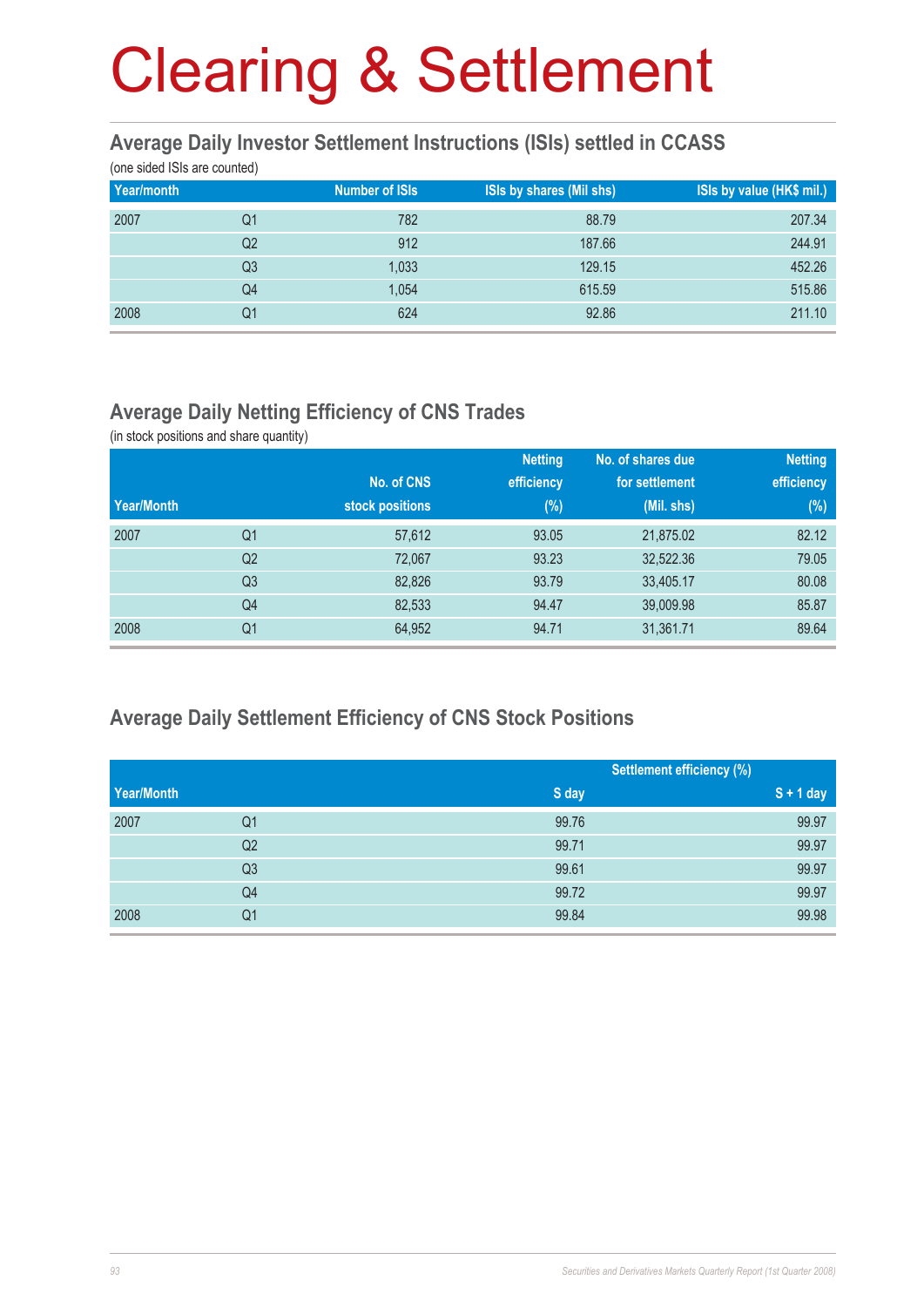#### **Average Daily Investor Settlement Instructions (ISIs) settled in CCASS**

(one sided ISIs are counted)

| Year/month |                | <b>Number of ISIs</b> | <b>ISIs by shares (Mil shs)</b> | ISIs by value (HK\$ mil.) |
|------------|----------------|-----------------------|---------------------------------|---------------------------|
| 2007       | Q1             | 782                   | 88.79                           | 207.34                    |
|            | Q2             | 912                   | 187.66                          | 244.91                    |
|            | Q <sub>3</sub> | 1,033                 | 129.15                          | 452.26                    |
|            | Q4             | 1,054                 | 615.59                          | 515.86                    |
| 2008       | Q1             | 624                   | 92.86                           | 211.10                    |

#### **Average Daily Netting Efficiency of CNS Trades**

(in stock positions and share quantity)

|            |                |                 | <b>Netting</b> | No. of shares due | <b>Netting</b> |
|------------|----------------|-----------------|----------------|-------------------|----------------|
|            |                | No. of CNS      | efficiency     | for settlement    | efficiency     |
| Year/Month |                | stock positions | $(\%)$         | (Mil. shs)        | (%)            |
| 2007       | Q1             | 57,612          | 93.05          | 21,875.02         | 82.12          |
|            | Q <sub>2</sub> | 72,067          | 93.23          | 32,522.36         | 79.05          |
|            | Q <sub>3</sub> | 82,826          | 93.79          | 33,405.17         | 80.08          |
|            | Q4             | 82,533          | 94.47          | 39,009.98         | 85.87          |
| 2008       | Q <sub>1</sub> | 64,952          | 94.71          | 31,361.71         | 89.64          |

#### **Average Daily Settlement Efficiency of CNS Stock Positions**

|            |                |       | <b>Settlement efficiency (%)</b> |  |
|------------|----------------|-------|----------------------------------|--|
| Year/Month |                | S day | $S + 1$ day                      |  |
| 2007       | Q <sub>1</sub> | 99.76 | 99.97                            |  |
|            | Q2             | 99.71 | 99.97                            |  |
|            | Q <sub>3</sub> | 99.61 | 99.97                            |  |
|            | Q4             | 99.72 | 99.97                            |  |
| 2008       | Q1             | 99.84 | 99.98                            |  |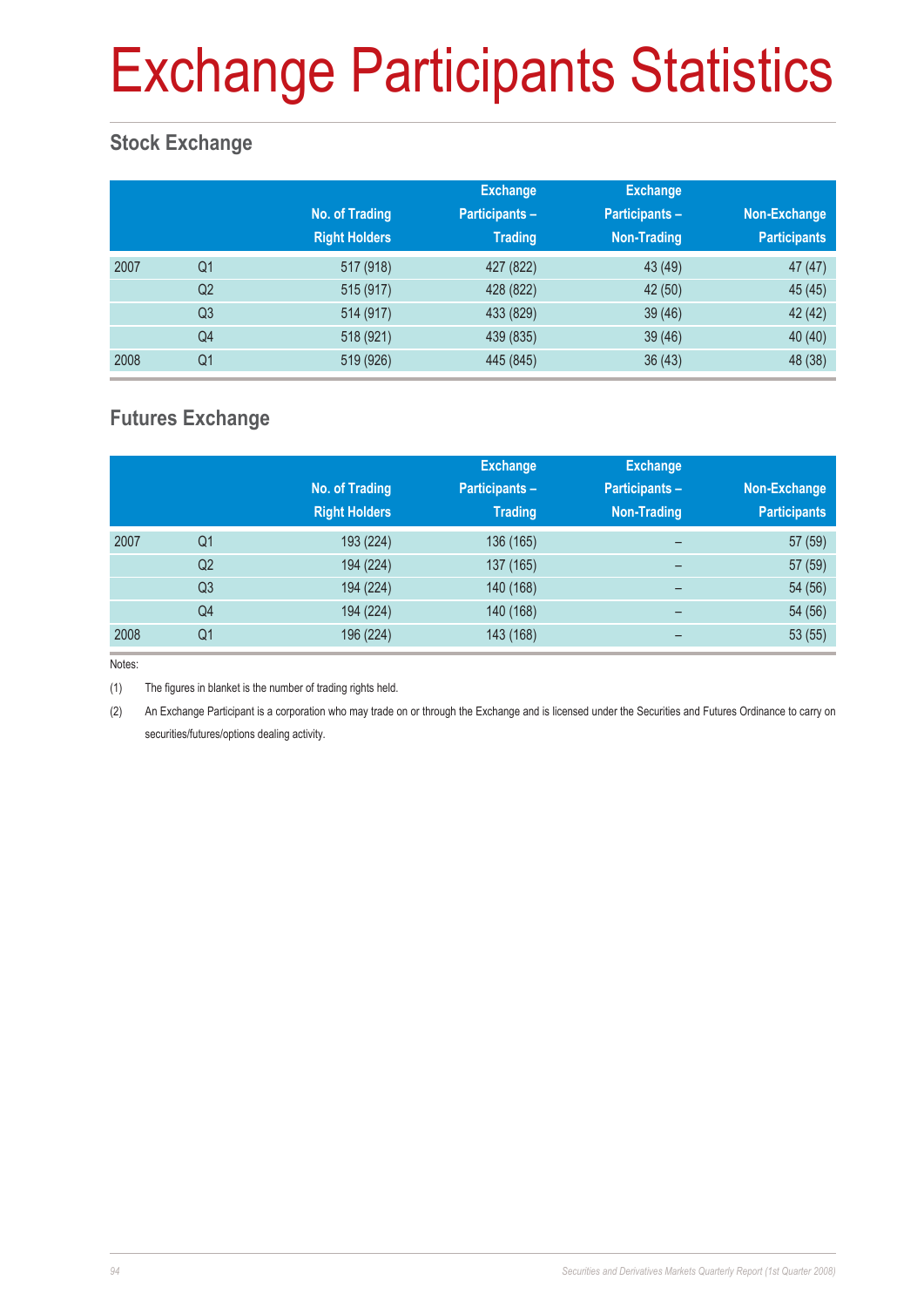## Exchange Participants Statistics

#### **Stock Exchange**

|      |                | No. of Trading<br><b>Right Holders</b> | <b>Exchange</b><br><b>Participants -</b><br><b>Trading</b> | <b>Exchange</b><br><b>Participants -</b><br><b>Non-Trading</b> | Non-Exchange<br><b>Participants</b> |
|------|----------------|----------------------------------------|------------------------------------------------------------|----------------------------------------------------------------|-------------------------------------|
| 2007 | Q <sub>1</sub> | 517 (918)                              | 427 (822)                                                  | 43 (49)                                                        | 47(47)                              |
|      | Q <sub>2</sub> | 515 (917)                              | 428 (822)                                                  | 42 (50)                                                        | 45 (45)                             |
|      | Q <sub>3</sub> | 514 (917)                              | 433 (829)                                                  | 39(46)                                                         | 42 (42)                             |
|      | Q4             | 518 (921)                              | 439 (835)                                                  | 39(46)                                                         | 40 (40)                             |
| 2008 | Q <sub>1</sub> | 519 (926)                              | 445 (845)                                                  | 36(43)                                                         | 48 (38)                             |

#### **Futures Exchange**

|      |                |                      | <b>Exchange</b> | <b>Exchange</b>          |                     |
|------|----------------|----------------------|-----------------|--------------------------|---------------------|
|      |                | No. of Trading       | Participants-   | <b>Participants -</b>    | Non-Exchange        |
|      |                | <b>Right Holders</b> | <b>Trading</b>  | <b>Non-Trading</b>       | <b>Participants</b> |
| 2007 | Q <sub>1</sub> | 193 (224)            | 136 (165)       | $\qquad \qquad$          | 57 (59)             |
|      | Q <sub>2</sub> | 194 (224)            | 137 (165)       | $\overline{\phantom{0}}$ | 57 (59)             |
|      | Q <sub>3</sub> | 194 (224)            | 140 (168)       | -                        | 54 (56)             |
|      | Q4             | 194 (224)            | 140 (168)       | $\qquad \qquad$          | 54 (56)             |
| 2008 | Q <sub>1</sub> | 196 (224)            | 143 (168)       | -                        | 53(55)              |

Notes:

(1) The figures in blanket is the number of trading rights held.

(2) An Exchange Participant is a corporation who may trade on or through the Exchange and is licensed under the Securities and Futures Ordinance to carry on securities/futures/options dealing activity.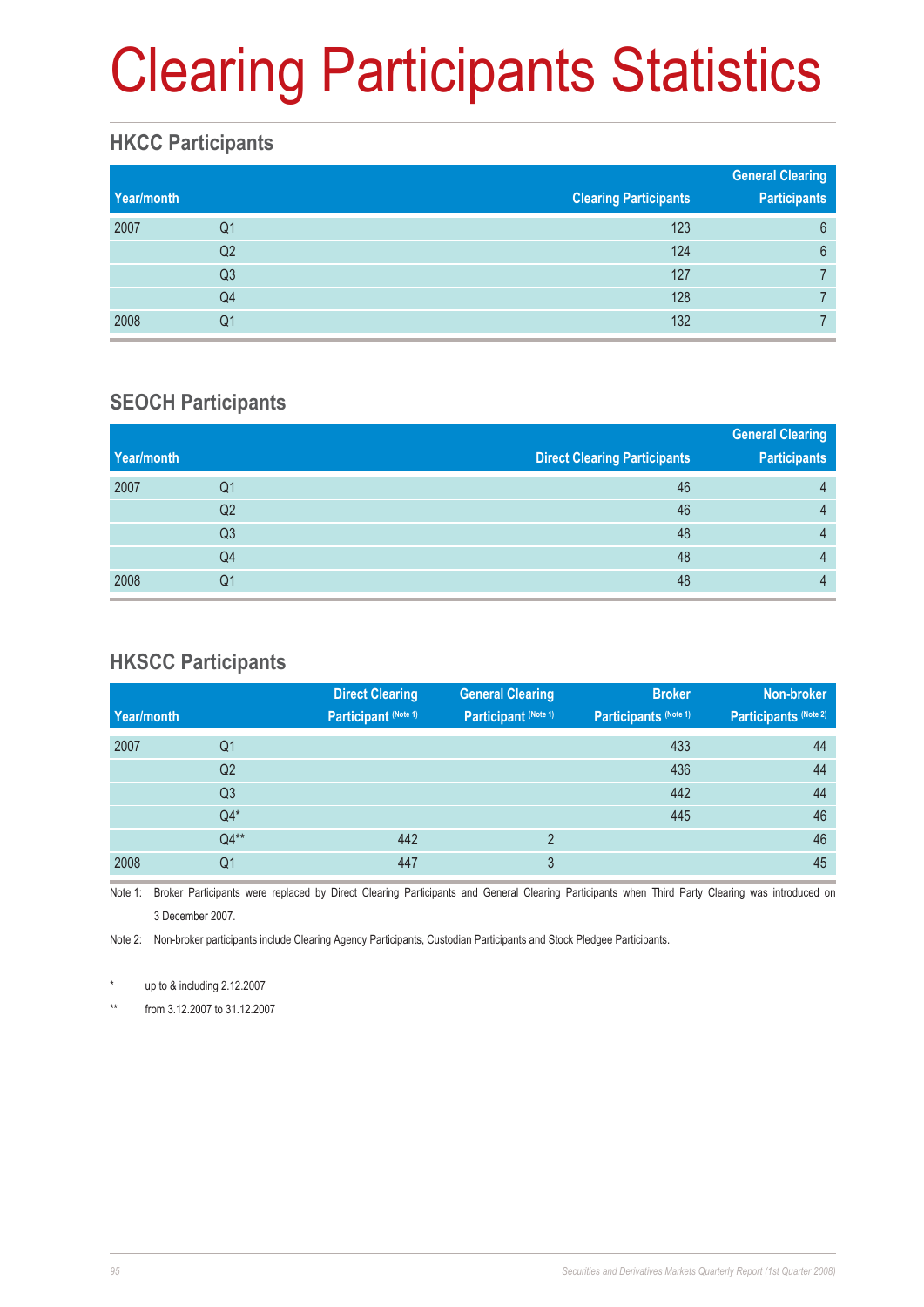# Clearing Participants Statistics

#### **HKCC Participants**

| Year/month |                | <b>Clearing Participants</b> | <b>General Clearing</b><br><b>Participants</b> |
|------------|----------------|------------------------------|------------------------------------------------|
| 2007       | Q1             | 123                          | 6                                              |
|            | Q2             | 124                          | $6\phantom{1}6$                                |
|            | Q <sub>3</sub> | 127                          |                                                |
|            | Q4             | 128                          |                                                |
| 2008       | Q1             | 132                          |                                                |

#### **SEOCH Participants**

|            |    |                                     | <b>General Clearing</b> |
|------------|----|-------------------------------------|-------------------------|
| Year/month |    | <b>Direct Clearing Participants</b> | <b>Participants</b>     |
| 2007       | Q1 | 46                                  | 4                       |
|            | Q2 | 46                                  | 4                       |
|            | Q3 | 48                                  | 4                       |
|            | Q4 | 48                                  | 4                       |
| 2008       | Q1 | 48                                  | 4                       |

#### **HKSCC Participants**

|            |                | <b>Direct Clearing</b> | <b>General Clearing</b> | <b>Broker</b>         | Non-broker            |
|------------|----------------|------------------------|-------------------------|-----------------------|-----------------------|
| Year/month |                | Participant (Note 1)   | Participant (Note 1)    | Participants (Note 1) | Participants (Note 2) |
| 2007       | Q1             |                        |                         | 433                   | 44                    |
|            | Q <sub>2</sub> |                        |                         | 436                   | 44                    |
|            | Q <sub>3</sub> |                        |                         | 442                   | 44                    |
|            | $Q4*$          |                        |                         | 445                   | 46                    |
|            | $Q4**$         | 442                    | $\overline{2}$          |                       | 46                    |
| 2008       | Q1             | 447                    | 3                       |                       | 45                    |

Note 1: Broker Participants were replaced by Direct Clearing Participants and General Clearing Participants when Third Party Clearing was introduced on 3 December 2007.

Note 2: Non-broker participants include Clearing Agency Participants, Custodian Participants and Stock Pledgee Participants.

up to  $&$  including 2.12.2007

\*\* from 3.12.2007 to 31.12.2007